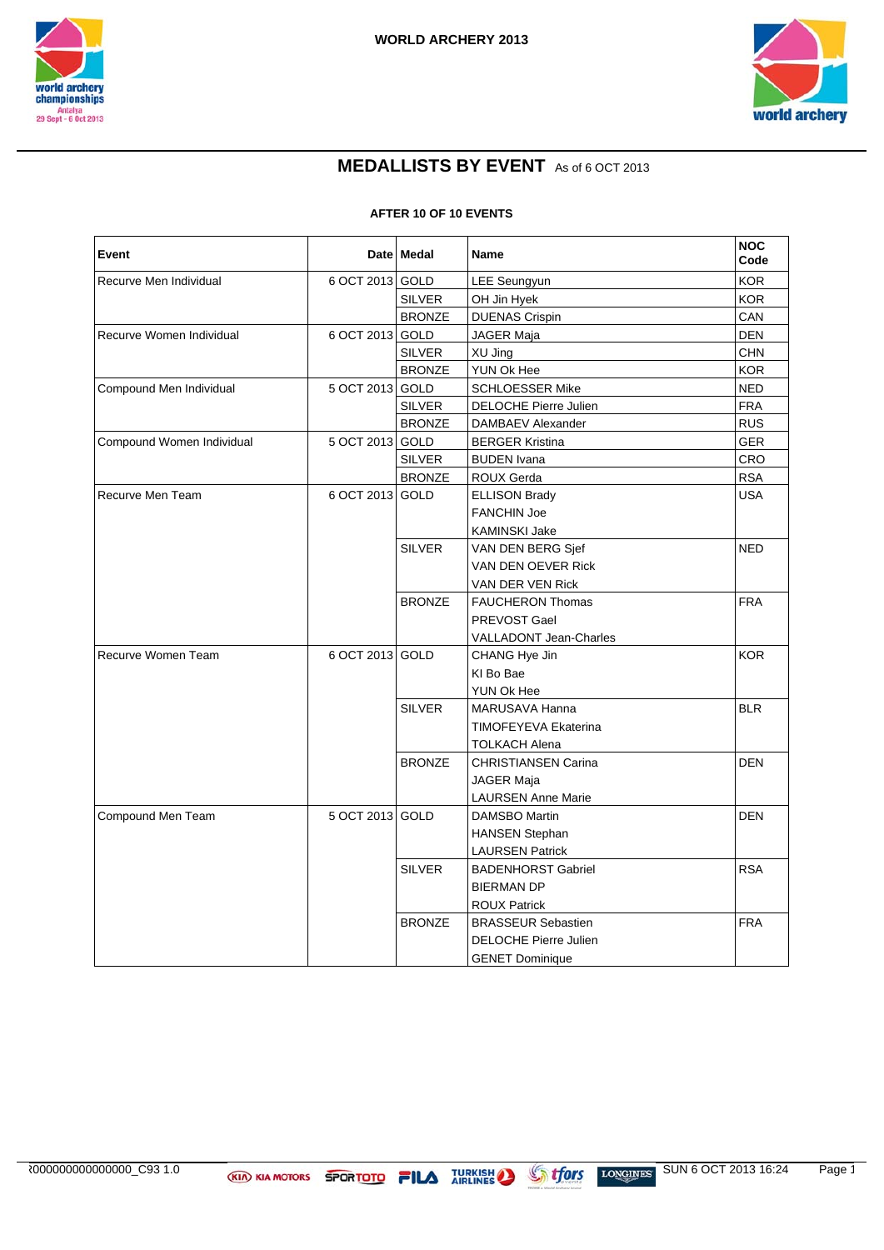



## **MEDALLISTS BY EVENT** As of 6 OCT 2013

**AFTER 10 OF 10 EVENTS**

| Event                     |                 | Date   Medal  | Name                         | <b>NOC</b><br>Code |
|---------------------------|-----------------|---------------|------------------------------|--------------------|
| Recurve Men Individual    | 6 OCT 2013 GOLD |               | LEE Seungyun                 | <b>KOR</b>         |
|                           |                 | <b>SILVER</b> | OH Jin Hyek                  | <b>KOR</b>         |
|                           |                 | <b>BRONZE</b> | <b>DUENAS Crispin</b>        | CAN                |
| Recurve Women Individual  | 6 OCT 2013 GOLD |               | JAGER Maja                   | <b>DEN</b>         |
|                           |                 | <b>SILVER</b> | XU Jing                      | CHN                |
|                           |                 | <b>BRONZE</b> | YUN Ok Hee                   | <b>KOR</b>         |
| Compound Men Individual   | 5 OCT 2013 GOLD |               | <b>SCHLOESSER Mike</b>       | <b>NED</b>         |
|                           |                 | <b>SILVER</b> | DELOCHE Pierre Julien        | <b>FRA</b>         |
|                           |                 | <b>BRONZE</b> | DAMBAEV Alexander            | <b>RUS</b>         |
| Compound Women Individual | 5 OCT 2013 GOLD |               | <b>BERGER Kristina</b>       | <b>GER</b>         |
|                           |                 | <b>SILVER</b> | <b>BUDEN</b> Ivana           | CRO                |
|                           |                 | <b>BRONZE</b> | ROUX Gerda                   | <b>RSA</b>         |
| Recurve Men Team          | 6 OCT 2013 GOLD |               | <b>ELLISON Brady</b>         | <b>USA</b>         |
|                           |                 |               | <b>FANCHIN Joe</b>           |                    |
|                           |                 |               | KAMINSKI Jake                |                    |
|                           |                 | <b>SILVER</b> | VAN DEN BERG Sjef            | <b>NED</b>         |
|                           |                 |               | VAN DEN OEVER Rick           |                    |
|                           |                 |               | VAN DER VEN Rick             |                    |
|                           |                 | <b>BRONZE</b> | <b>FAUCHERON Thomas</b>      | <b>FRA</b>         |
|                           |                 |               | PREVOST Gael                 |                    |
|                           |                 |               | VALLADONT Jean-Charles       |                    |
| Recurve Women Team        | 6 OCT 2013 GOLD |               | CHANG Hye Jin                | <b>KOR</b>         |
|                           |                 |               | KI Bo Bae                    |                    |
|                           |                 |               | YUN Ok Hee                   |                    |
|                           |                 | <b>SILVER</b> | MARUSAVA Hanna               | BLR                |
|                           |                 |               | TIMOFEYEVA Ekaterina         |                    |
|                           |                 |               | TOLKACH Alena                |                    |
|                           |                 | <b>BRONZE</b> | <b>CHRISTIANSEN Carina</b>   | <b>DEN</b>         |
|                           |                 |               | JAGER Maja                   |                    |
|                           |                 |               | <b>LAURSEN Anne Marie</b>    |                    |
| Compound Men Team         | 5 OCT 2013 GOLD |               | <b>DAMSBO Martin</b>         | <b>DEN</b>         |
|                           |                 |               | <b>HANSEN Stephan</b>        |                    |
|                           |                 |               | <b>LAURSEN Patrick</b>       |                    |
|                           |                 | <b>SILVER</b> | <b>BADENHORST Gabriel</b>    | <b>RSA</b>         |
|                           |                 |               | <b>BIERMAN DP</b>            |                    |
|                           |                 |               | <b>ROUX Patrick</b>          |                    |
|                           |                 | <b>BRONZE</b> | <b>BRASSEUR Sebastien</b>    | <b>FRA</b>         |
|                           |                 |               | <b>DELOCHE Pierre Julien</b> |                    |
|                           |                 |               | <b>GENET Dominique</b>       |                    |

AR000000000000000\_C93 1.0 SUN 6 OCT 2013 16:24 Page 1/2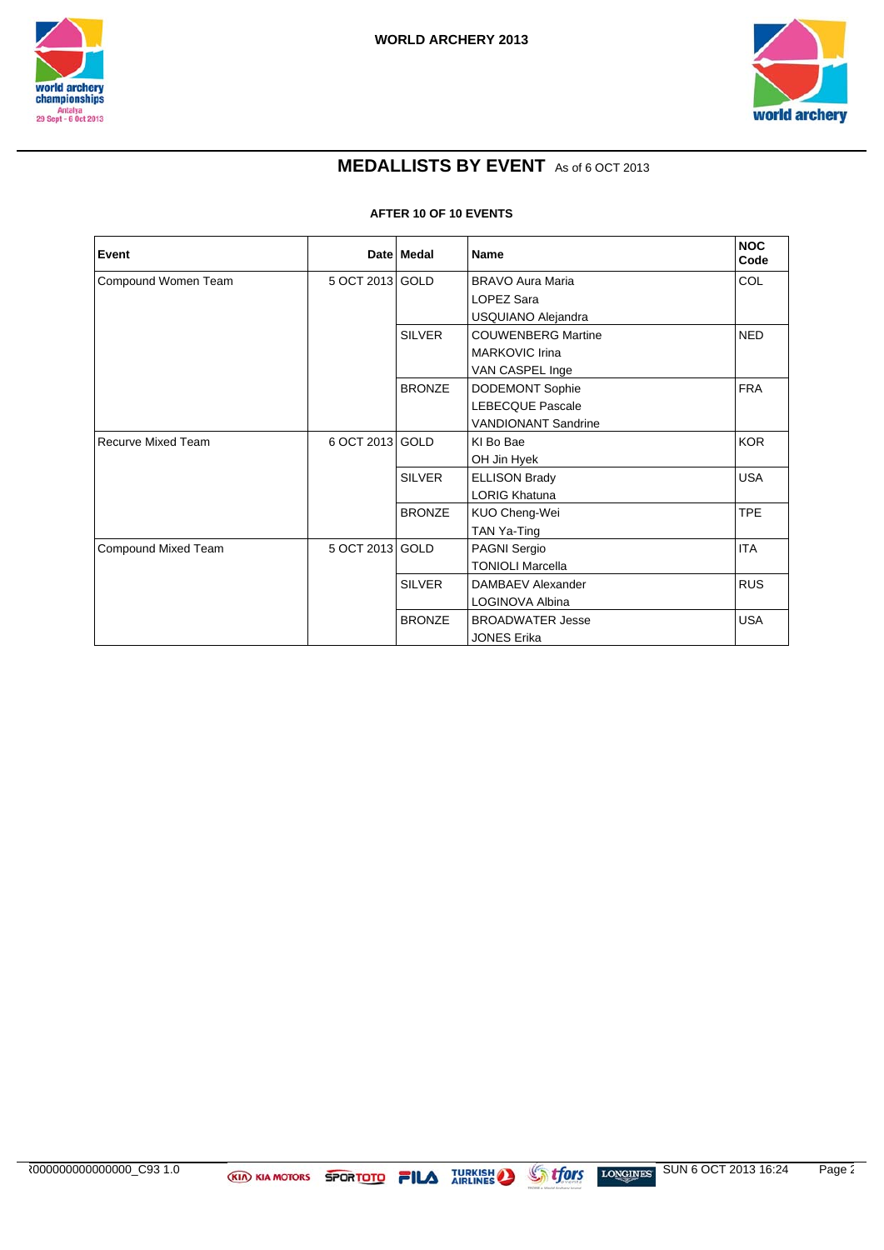



### **MEDALLISTS BY EVENT** As of 6 OCT 2013

**AFTER 10 OF 10 EVENTS**

| Event                     |                 | Date Medal    | <b>Name</b>                | <b>NOC</b><br>Code |
|---------------------------|-----------------|---------------|----------------------------|--------------------|
| Compound Women Team       | 5 OCT 2013 GOLD |               | <b>BRAVO Aura Maria</b>    | COL                |
|                           |                 |               | <b>LOPEZ Sara</b>          |                    |
|                           |                 |               | USQUIANO Alejandra         |                    |
|                           |                 | <b>SILVER</b> | <b>COUWENBERG Martine</b>  | <b>NED</b>         |
|                           |                 |               | <b>MARKOVIC Irina</b>      |                    |
|                           |                 |               | VAN CASPEL Inge            |                    |
|                           |                 | <b>BRONZE</b> | <b>DODEMONT Sophie</b>     | <b>FRA</b>         |
|                           |                 |               | <b>LEBECQUE Pascale</b>    |                    |
|                           |                 |               | <b>VANDIONANT Sandrine</b> |                    |
| <b>Recurve Mixed Team</b> | 6 OCT 2013 GOLD |               | KI Bo Bae                  | <b>KOR</b>         |
|                           |                 |               | OH Jin Hyek                |                    |
|                           |                 | <b>SILVER</b> | <b>ELLISON Brady</b>       | <b>USA</b>         |
|                           |                 |               | <b>LORIG Khatuna</b>       |                    |
|                           |                 | <b>BRONZE</b> | KUO Cheng-Wei              | <b>TPE</b>         |
|                           |                 |               | TAN Ya-Ting                |                    |
| Compound Mixed Team       | 5 OCT 2013 GOLD |               | PAGNI Sergio               | <b>ITA</b>         |
|                           |                 |               | <b>TONIOLI Marcella</b>    |                    |
|                           |                 | <b>SILVER</b> | DAMBAEV Alexander          | <b>RUS</b>         |
|                           |                 |               | LOGINOVA Albina            |                    |
|                           |                 | <b>BRONZE</b> | <b>BROADWATER Jesse</b>    | <b>USA</b>         |
|                           |                 |               | <b>JONES Erika</b>         |                    |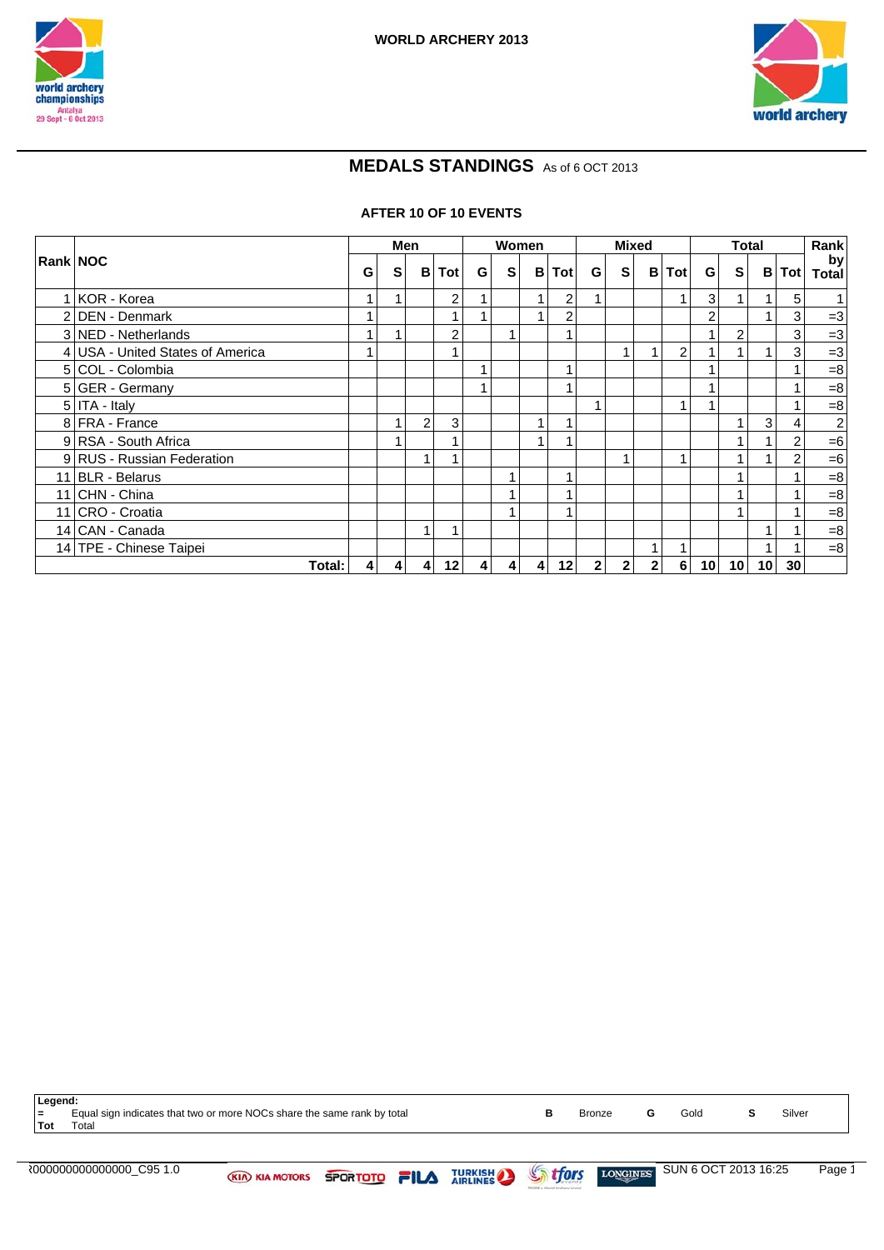



## **MEDALS STANDINGS** As of 6 OCT 2013

#### **AFTER 10 OF 10 EVENTS**

|                                  |                | Men            |                |              |                | Women |                |                |                | <b>Mixed</b> |                |                |                 | <b>Total</b>    |                 |     | Rank               |
|----------------------------------|----------------|----------------|----------------|--------------|----------------|-------|----------------|----------------|----------------|--------------|----------------|----------------|-----------------|-----------------|-----------------|-----|--------------------|
| Rank NOC                         | G              | S              |                | <b>B</b> Tot | G              | S     |                | <b>B</b> Tot   | G              | S            | B              | Tot            | G               | <b>s</b>        | В               | Tot | by<br><b>Total</b> |
| KOR - Korea                      |                |                |                | 2            |                |       | 1              | $\overline{2}$ |                |              |                | 1              | 3 <sub>l</sub>  |                 |                 | 5   |                    |
| 2 DEN - Denmark                  |                |                |                |              |                |       | 1              | $\overline{2}$ |                |              |                |                | 2               |                 |                 | 3   | $=3$               |
| 3 NED - Netherlands              |                |                |                | 2            |                |       |                |                |                |              |                |                |                 | $\overline{2}$  |                 | 3   | $=3$               |
| 4 USA - United States of America |                |                |                |              |                |       |                |                |                | 1            |                | $\overline{2}$ |                 |                 |                 | 3   | $=3$               |
| 5 COL - Colombia                 |                |                |                |              |                |       |                |                |                |              |                |                |                 |                 |                 |     | $= 8$              |
| 5 GER - Germany                  |                |                |                |              |                |       |                |                |                |              |                |                |                 |                 |                 |     | $=8$               |
| $5$ ITA - Italy                  |                |                |                |              |                |       |                |                |                |              |                | 1              |                 |                 |                 |     | $=8$               |
| 8 FRA - France                   |                |                | 2 <sub>1</sub> | 3            |                |       | 1              |                |                |              |                |                |                 |                 | 3 <sub>l</sub>  | 4   | $\mathbf{2}$       |
| 9 RSA - South Africa             |                |                |                |              |                |       | 1              |                |                |              |                |                |                 |                 |                 | 2   | $=6$               |
| 9 RUS - Russian Federation       |                |                | $\mathbf{1}$   |              |                |       |                |                |                |              |                | и              |                 |                 |                 | 2   | $=6$               |
| 11 BLR - Belarus                 |                |                |                |              |                |       |                |                |                |              |                |                |                 |                 |                 |     | $= 8$              |
| 11 CHN - China                   |                |                |                |              |                |       |                |                |                |              |                |                |                 |                 |                 |     | $= 8$              |
| 11 CRO - Croatia                 |                |                |                |              |                |       |                |                |                |              |                |                |                 |                 |                 |     | $=8$               |
| 14 CAN - Canada                  |                |                |                |              |                |       |                |                |                |              |                |                |                 |                 |                 |     | $= 8$              |
| 14 TPE - Chinese Taipei          |                |                |                |              |                |       |                |                |                |              |                |                |                 |                 |                 |     | $=8$               |
| Total:                           | $\overline{4}$ | $\overline{4}$ | $\overline{4}$ | 12           | $\overline{4}$ | 41    | $\overline{4}$ | 12             | 2 <sup>1</sup> | $\mathbf{2}$ | 2 <sub>1</sub> | 6 <sup>1</sup> | 10 <sup>1</sup> | 10 <sup>1</sup> | 10 <sup>1</sup> | 30  |                    |

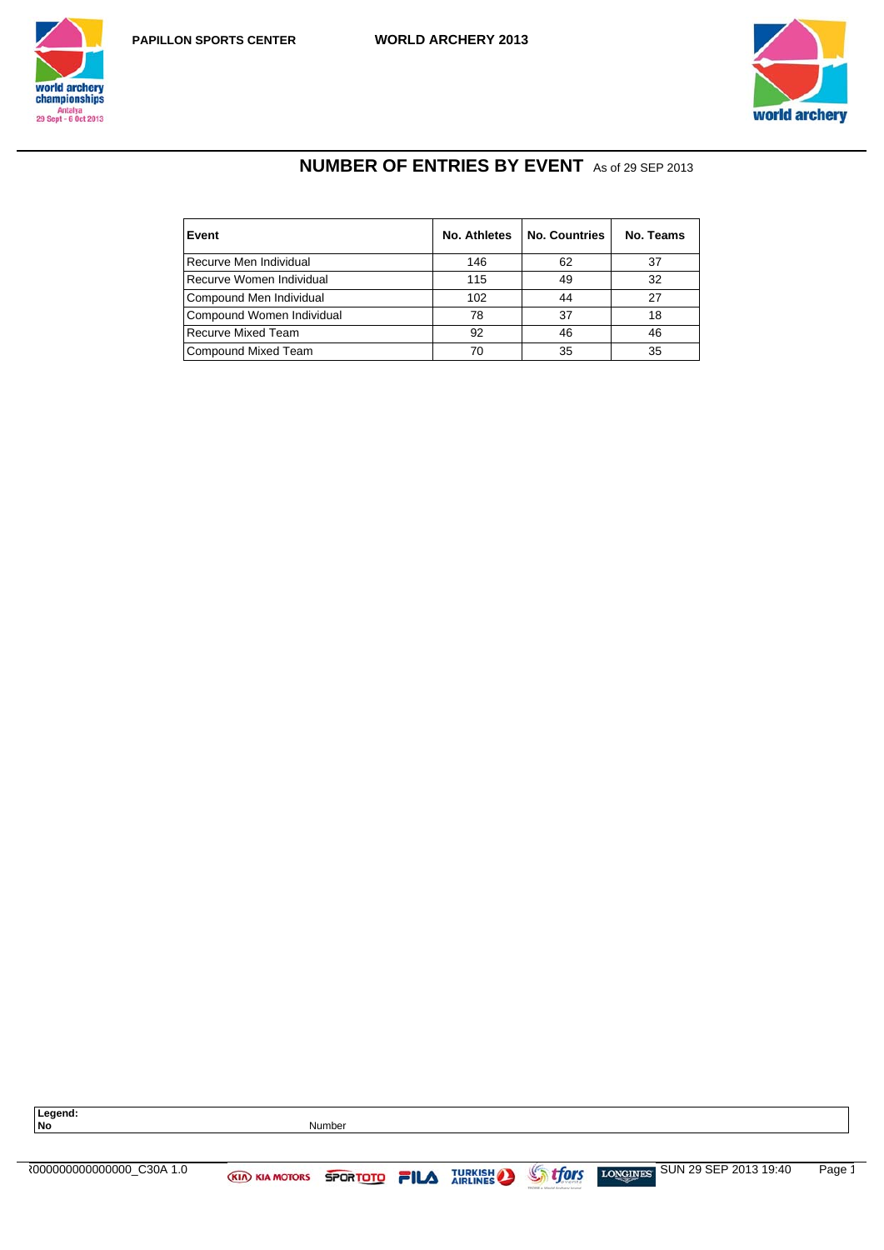





# **NUMBER OF ENTRIES BY EVENT** As of 29 SEP 2013

| Event                     | No. Athletes | <b>No. Countries</b> | No. Teams |
|---------------------------|--------------|----------------------|-----------|
| Recurve Men Individual    | 146          | 62                   | 37        |
| Recurve Women Individual  | 115          | 49                   | 32        |
| Compound Men Individual   | 102          | 44                   | 27        |
| Compound Women Individual | 78           | 37                   | 18        |
| <b>Recurve Mixed Team</b> | 92           | 46                   | 46        |
| Compound Mixed Team       | 70           | 35                   | 35        |

| Legend:<br>No               |                                     | <b>Number</b> |                |                |                                |        |
|-----------------------------|-------------------------------------|---------------|----------------|----------------|--------------------------------|--------|
| ₹00000000000000000 C30A 1.0 | <b>KIA KIA MOTORS SPORTOTO FILA</b> |               | <b>TURKISH</b> | <b>Strfors</b> | LONGINES SUN 29 SEP 2013 19:40 | Page 1 |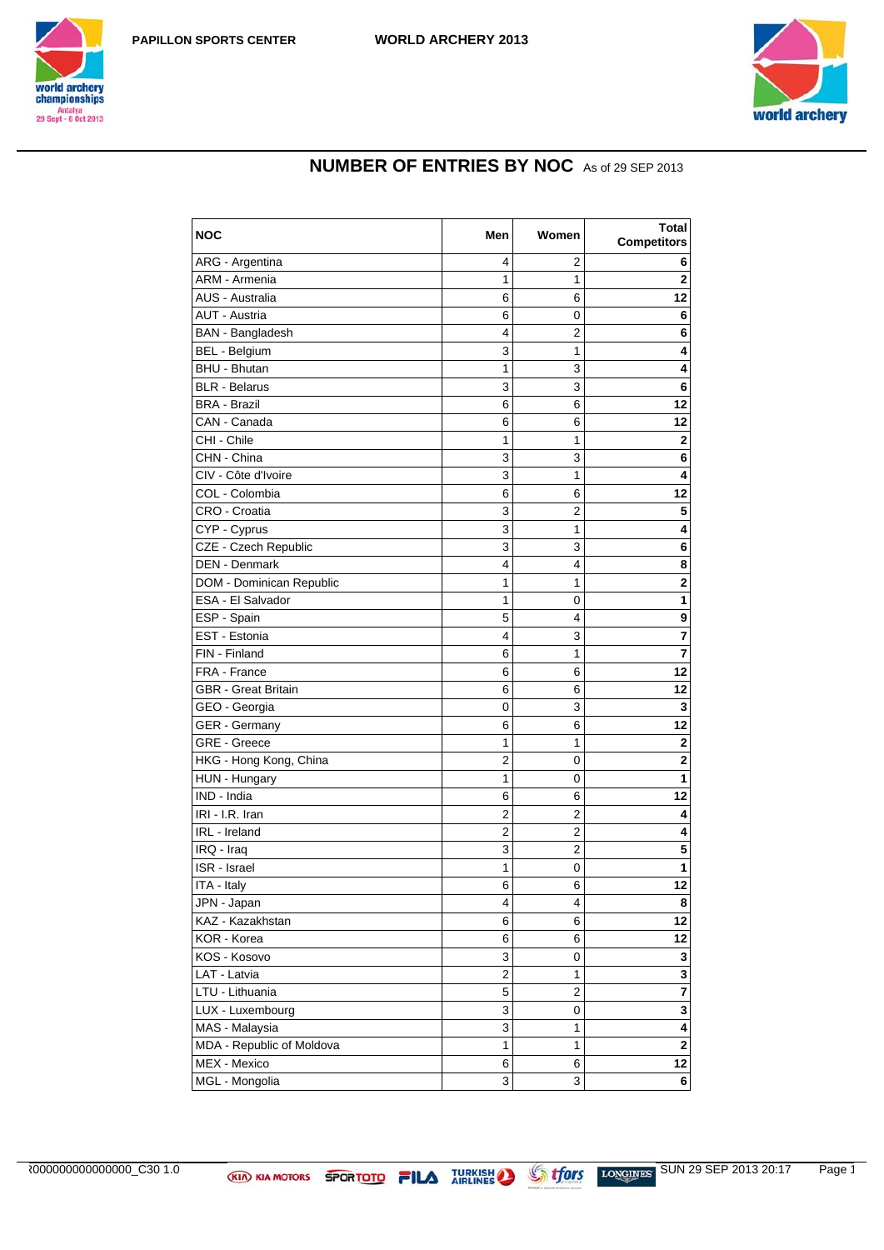





## **NUMBER OF ENTRIES BY NOC** As of 29 SEP 2013

| <b>NOC</b>                | Men                     | Women | <b>Total</b><br><b>Competitors</b> |
|---------------------------|-------------------------|-------|------------------------------------|
| ARG - Argentina           | 4                       | 2     | 6                                  |
| ARM - Armenia             | 1                       | 1     | $\mathbf 2$                        |
| AUS - Australia           | 6                       | 6     | 12                                 |
| AUT - Austria             | 6                       | 0     | 6                                  |
| <b>BAN</b> - Bangladesh   | 4                       | 2     | 6                                  |
| <b>BEL - Belgium</b>      | 3                       | 1     | 4                                  |
| BHU - Bhutan              | 1                       | 3     | 4                                  |
| <b>BLR</b> - Belarus      | 3                       | 3     | 6                                  |
| <b>BRA - Brazil</b>       | 6                       | 6     | 12                                 |
| CAN - Canada              | 6                       | 6     | 12                                 |
| CHI - Chile               | 1                       | 1     | 2                                  |
| CHN - China               | 3                       | 3     | 6                                  |
| CIV - Côte d'Ivoire       | 3                       | 1     | 4                                  |
| COL - Colombia            | 6                       | 6     | 12                                 |
| CRO - Croatia             | 3                       | 2     | 5                                  |
| CYP - Cyprus              | 3                       | 1     | 4                                  |
| CZE - Czech Republic      | 3                       | 3     | 6                                  |
| DEN - Denmark             | 4                       | 4     | 8                                  |
| DOM - Dominican Republic  | 1                       | 1     | $\mathbf 2$                        |
| ESA - El Salvador         | 1                       | 0     | $\mathbf{1}$                       |
| ESP - Spain               | 5                       | 4     | 9                                  |
| EST - Estonia             | 4                       | 3     | 7                                  |
| FIN - Finland             | 6                       | 1     | 7                                  |
| FRA - France              | 6                       | 6     | 12                                 |
| GBR - Great Britain       | 6                       | 6     | 12                                 |
| GEO - Georgia             | 0                       | 3     | 3                                  |
| GER - Germany             | 6                       | 6     | 12                                 |
| GRE - Greece              | 1                       | 1     | 2                                  |
| HKG - Hong Kong, China    | $\overline{\mathbf{c}}$ | 0     | $\mathbf 2$                        |
| HUN - Hungary             | 1                       | 0     | 1                                  |
| IND - India               | 6                       | 6     | 12                                 |
| IRI - I.R. Iran           | 2                       | 2     | 4                                  |
| IRL - Ireland             | $\overline{2}$          | 2     | 4                                  |
| IRQ - Iraq                | 3                       | 2     | 5                                  |
| ISR - Israel              | 1                       | 0     | 1                                  |
| ITA - Italy               | 6                       | 6     | 12                                 |
| JPN - Japan               | 4                       | 4     | 8                                  |
| KAZ - Kazakhstan          | 6                       | 6     | 12                                 |
| KOR - Korea               | 6                       | 6     | 12                                 |
| KOS - Kosovo              | 3                       | 0     | $\mathbf 3$                        |
| LAT - Latvia              | $\overline{c}$          | 1     | 3                                  |
| LTU - Lithuania           | 5                       | 2     | $\overline{\mathbf{7}}$            |
| LUX - Luxembourg          | 3                       | 0     | 3                                  |
| MAS - Malaysia            | 3                       | 1     | $\overline{\mathbf{4}}$            |
| MDA - Republic of Moldova | 1                       | 1     | $\overline{\mathbf{2}}$            |
| MEX - Mexico              | 6                       | 6     | 12                                 |
| MGL - Mongolia            | 3                       | 3     | 6                                  |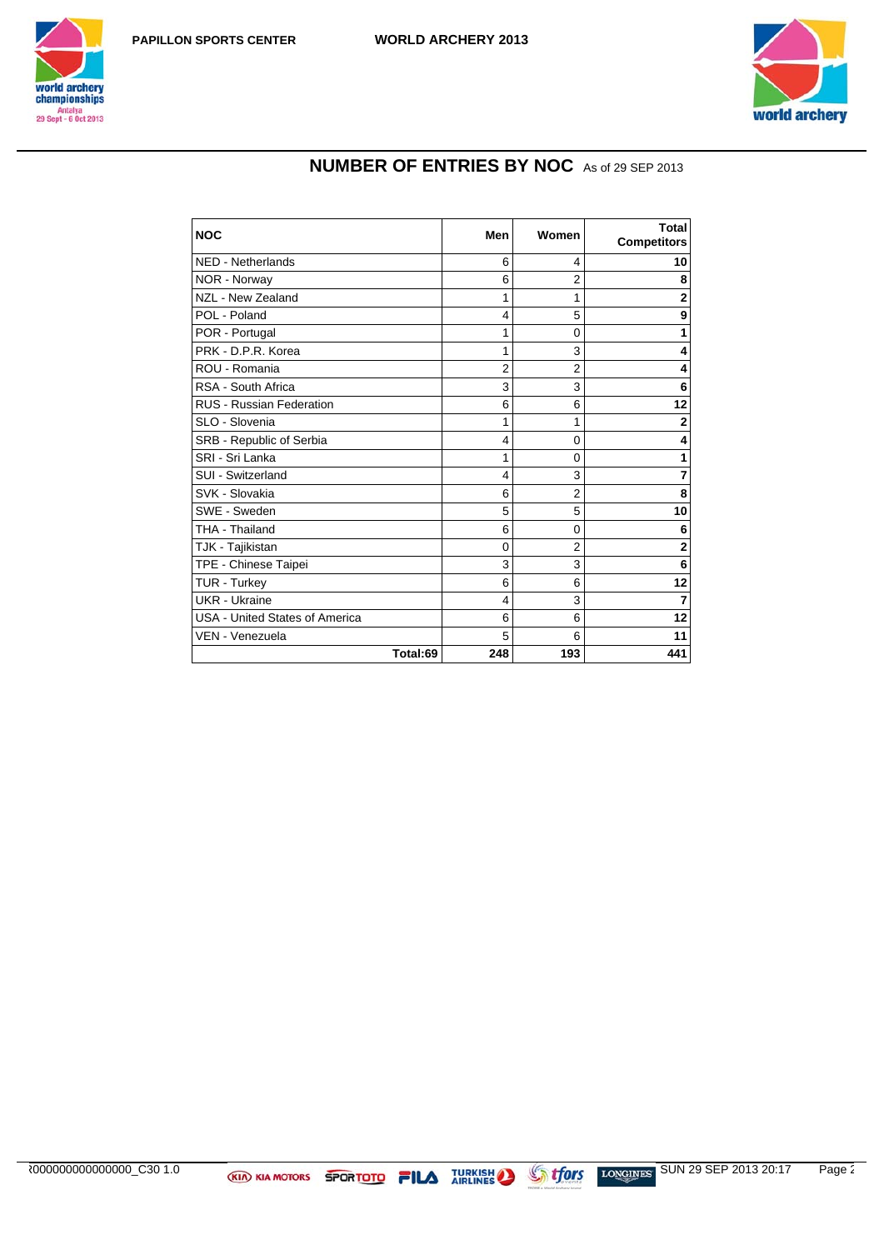





## **NUMBER OF ENTRIES BY NOC** As of 29 SEP 2013

| <b>NOC</b>                            | Men      | Women          | Total<br><b>Competitors</b> |
|---------------------------------------|----------|----------------|-----------------------------|
| <b>NED - Netherlands</b>              | 6        | 4              | 10                          |
| NOR - Norway                          | 6        | $\overline{2}$ | 8                           |
| NZL - New Zealand                     | 1        | 1              | $\overline{2}$              |
| POL - Poland                          | 4        | 5              | 9                           |
| POR - Portugal                        | 1        | 0              | 1                           |
| PRK - D.P.R. Korea                    | 1        | 3              | 4                           |
| ROU - Romania                         | 2        | 2              | 4                           |
| RSA - South Africa                    | 3        | 3              | 6                           |
| <b>RUS - Russian Federation</b>       | 6        | 6              | 12                          |
| SLO - Slovenia                        | 1        | 1              | 2                           |
| SRB - Republic of Serbia              | 4        | 0              | 4                           |
| SRI - Sri Lanka                       | 1        | $\Omega$       | 1                           |
| SUI - Switzerland                     | 4        | 3              | 7                           |
| SVK - Slovakia                        | 6        | $\overline{2}$ | 8                           |
| SWE - Sweden                          | 5        | 5              | 10                          |
| THA - Thailand                        | 6        | 0              | 6                           |
| TJK - Tajikistan                      | $\Omega$ | $\overline{2}$ | $\overline{2}$              |
| TPE - Chinese Taipei                  | 3        | 3              | 6                           |
| TUR - Turkey                          | 6        | 6              | 12                          |
| UKR - Ukraine                         | 4        | 3              | 7                           |
| <b>USA - United States of America</b> | 6        | 6              | 12                          |
| VEN - Venezuela                       | 5        | 6              | 11                          |
| Total:69                              | 248      | 193            | 441                         |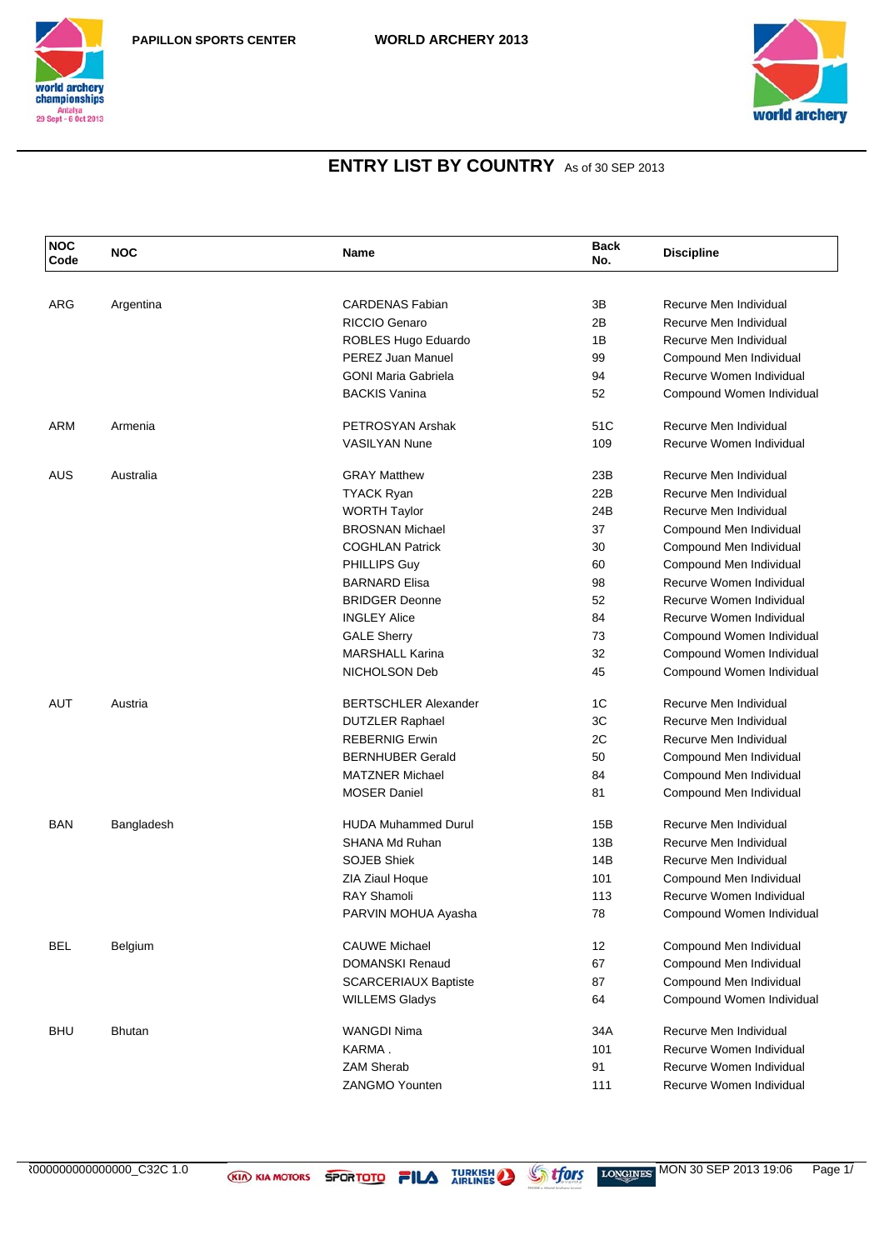



| <b>NOC</b><br>Code | <b>NOC</b> | <b>Name</b>                 | <b>Back</b><br>No. | <b>Discipline</b>         |
|--------------------|------------|-----------------------------|--------------------|---------------------------|
|                    |            |                             |                    |                           |
| ARG                | Argentina  | <b>CARDENAS Fabian</b>      | 3B                 | Recurve Men Individual    |
|                    |            | <b>RICCIO Genaro</b>        | 2B                 | Recurve Men Individual    |
|                    |            | ROBLES Hugo Eduardo         | 1B                 | Recurve Men Individual    |
|                    |            | PEREZ Juan Manuel           | 99                 | Compound Men Individual   |
|                    |            | <b>GONI Maria Gabriela</b>  | 94                 | Recurve Women Individual  |
|                    |            | <b>BACKIS Vanina</b>        | 52                 | Compound Women Individual |
| <b>ARM</b>         | Armenia    | PETROSYAN Arshak            | 51C                | Recurve Men Individual    |
|                    |            | <b>VASILYAN Nune</b>        | 109                | Recurve Women Individual  |
| AUS                | Australia  | <b>GRAY Matthew</b>         | 23B                | Recurve Men Individual    |
|                    |            | <b>TYACK Ryan</b>           | 22B                | Recurve Men Individual    |
|                    |            | <b>WORTH Taylor</b>         | 24B                | Recurve Men Individual    |
|                    |            | <b>BROSNAN Michael</b>      | 37                 | Compound Men Individual   |
|                    |            | <b>COGHLAN Patrick</b>      | 30                 | Compound Men Individual   |
|                    |            | PHILLIPS Guy                | 60                 | Compound Men Individual   |
|                    |            | <b>BARNARD Elisa</b>        | 98                 | Recurve Women Individual  |
|                    |            | <b>BRIDGER Deonne</b>       | 52                 | Recurve Women Individual  |
|                    |            | <b>INGLEY Alice</b>         | 84                 | Recurve Women Individual  |
|                    |            | <b>GALE Sherry</b>          | 73                 | Compound Women Individual |
|                    |            | <b>MARSHALL Karina</b>      | 32                 | Compound Women Individual |
|                    |            | NICHOLSON Deb               | 45                 | Compound Women Individual |
| AUT                | Austria    | <b>BERTSCHLER Alexander</b> | 1C                 | Recurve Men Individual    |
|                    |            | <b>DUTZLER Raphael</b>      | 3C                 | Recurve Men Individual    |
|                    |            | <b>REBERNIG Erwin</b>       | 2C                 | Recurve Men Individual    |
|                    |            | <b>BERNHUBER Gerald</b>     | 50                 | Compound Men Individual   |
|                    |            | <b>MATZNER Michael</b>      | 84                 | Compound Men Individual   |
|                    |            | <b>MOSER Daniel</b>         | 81                 | Compound Men Individual   |
| <b>BAN</b>         | Bangladesh | <b>HUDA Muhammed Durul</b>  | 15B                | Recurve Men Individual    |
|                    |            | <b>SHANA Md Ruhan</b>       | 13B                | Recurve Men Individual    |
|                    |            | <b>SOJEB Shiek</b>          | 14B                | Recurve Men Individual    |
|                    |            | ZIA Ziaul Hoque             | 101                | Compound Men Individual   |
|                    |            | <b>RAY Shamoli</b>          | 113                | Recurve Women Individual  |
|                    |            | PARVIN MOHUA Ayasha         | 78                 | Compound Women Individual |
| BEL                | Belgium    | <b>CAUWE Michael</b>        | 12                 | Compound Men Individual   |
|                    |            | <b>DOMANSKI Renaud</b>      | 67                 | Compound Men Individual   |
|                    |            | <b>SCARCERIAUX Baptiste</b> | 87                 | Compound Men Individual   |
|                    |            | <b>WILLEMS Gladys</b>       | 64                 | Compound Women Individual |
| BHU                | Bhutan     | <b>WANGDI Nima</b>          | 34A                | Recurve Men Individual    |
|                    |            | KARMA.                      | 101                | Recurve Women Individual  |
|                    |            | <b>ZAM Sherab</b>           | 91                 | Recurve Women Individual  |
|                    |            | <b>ZANGMO Younten</b>       | 111                | Recurve Women Individual  |
|                    |            |                             |                    |                           |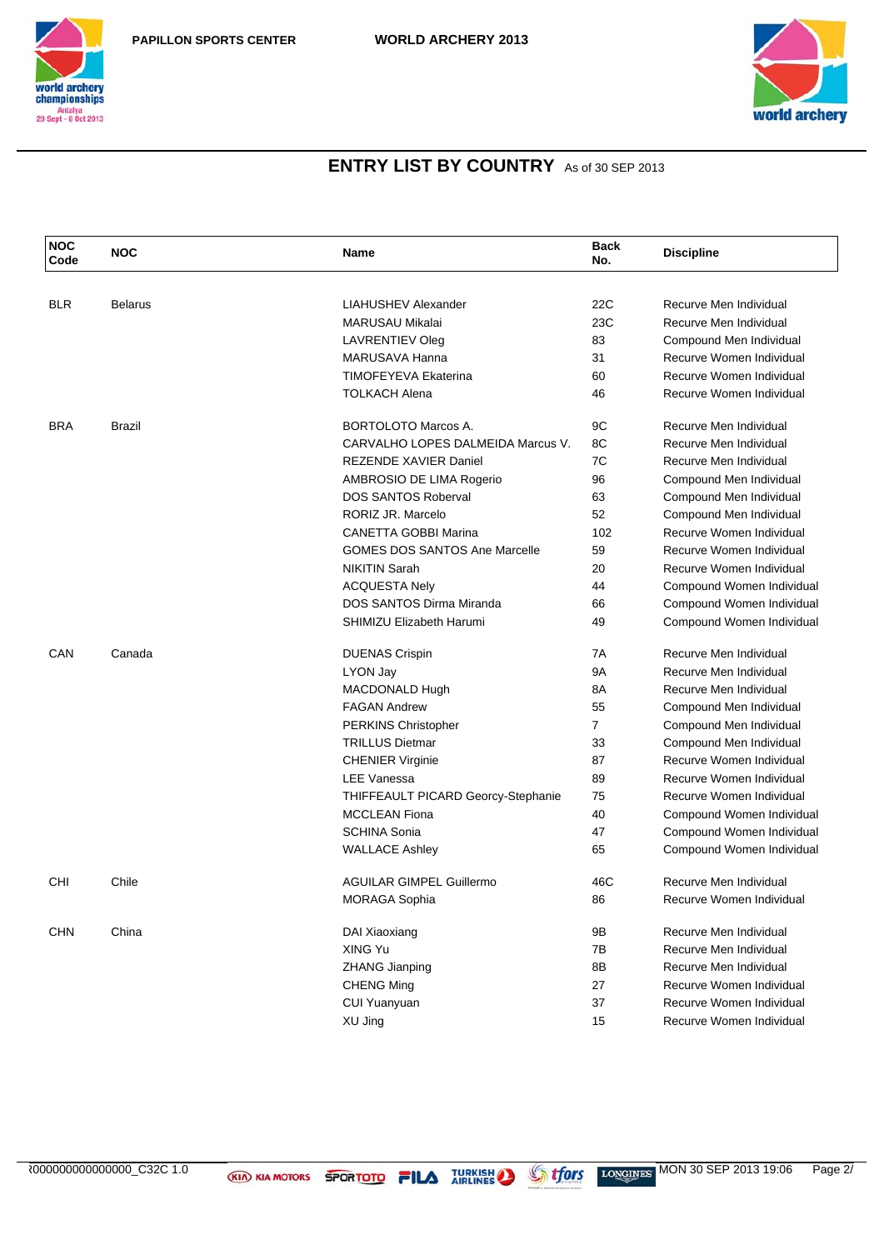



| <b>NOC</b><br>Code | <b>NOC</b>     | <b>Name</b>                          | <b>Back</b><br>No. | <b>Discipline</b>         |
|--------------------|----------------|--------------------------------------|--------------------|---------------------------|
|                    |                |                                      |                    |                           |
| <b>BLR</b>         | <b>Belarus</b> | LIAHUSHEV Alexander                  | 22C                | Recurve Men Individual    |
|                    |                | <b>MARUSAU Mikalai</b>               | 23C                | Recurve Men Individual    |
|                    |                | <b>LAVRENTIEV Oleg</b>               | 83                 | Compound Men Individual   |
|                    |                | MARUSAVA Hanna                       | 31                 | Recurve Women Individual  |
|                    |                | <b>TIMOFEYEVA Ekaterina</b>          | 60                 | Recurve Women Individual  |
|                    |                | <b>TOLKACH Alena</b>                 | 46                 | Recurve Women Individual  |
| <b>BRA</b>         | Brazil         | <b>BORTOLOTO Marcos A.</b>           | 9C                 | Recurve Men Individual    |
|                    |                | CARVALHO LOPES DALMEIDA Marcus V.    | 8C                 | Recurve Men Individual    |
|                    |                | REZENDE XAVIER Daniel                | 7C                 | Recurve Men Individual    |
|                    |                | AMBROSIO DE LIMA Rogerio             | 96                 | Compound Men Individual   |
|                    |                | <b>DOS SANTOS Roberval</b>           | 63                 | Compound Men Individual   |
|                    |                | RORIZ JR. Marcelo                    | 52                 | Compound Men Individual   |
|                    |                | <b>CANETTA GOBBI Marina</b>          | 102                | Recurve Women Individual  |
|                    |                | <b>GOMES DOS SANTOS Ane Marcelle</b> | 59                 | Recurve Women Individual  |
|                    |                | <b>NIKITIN Sarah</b>                 | 20                 | Recurve Women Individual  |
|                    |                | <b>ACQUESTA Nely</b>                 | 44                 | Compound Women Individual |
|                    |                | DOS SANTOS Dirma Miranda             | 66                 | Compound Women Individual |
|                    |                | SHIMIZU Elizabeth Harumi             | 49                 | Compound Women Individual |
| CAN                | Canada         | <b>DUENAS Crispin</b>                | 7A                 | Recurve Men Individual    |
|                    |                | LYON Jay                             | <b>9A</b>          | Recurve Men Individual    |
|                    |                | MACDONALD Hugh                       | 8A                 | Recurve Men Individual    |
|                    |                | <b>FAGAN Andrew</b>                  | 55                 | Compound Men Individual   |
|                    |                | PERKINS Christopher                  | $\overline{7}$     | Compound Men Individual   |
|                    |                | <b>TRILLUS Dietmar</b>               | 33                 | Compound Men Individual   |
|                    |                | <b>CHENIER Virginie</b>              | 87                 | Recurve Women Individual  |
|                    |                | LEE Vanessa                          | 89                 | Recurve Women Individual  |
|                    |                | THIFFEAULT PICARD Georcy-Stephanie   | 75                 | Recurve Women Individual  |
|                    |                | <b>MCCLEAN Fiona</b>                 | 40                 | Compound Women Individual |
|                    |                | <b>SCHINA Sonia</b>                  | 47                 | Compound Women Individual |
|                    |                | <b>WALLACE Ashley</b>                | 65                 | Compound Women Individual |
| CHI                | Chile          | <b>AGUILAR GIMPEL Guillermo</b>      | 46C                | Recurve Men Individual    |
|                    |                | <b>MORAGA Sophia</b>                 | 86                 | Recurve Women Individual  |
| <b>CHN</b>         | China          | DAI Xiaoxiang                        | 9Β                 | Recurve Men Individual    |
|                    |                | XING Yu                              | 7B                 | Recurve Men Individual    |
|                    |                | <b>ZHANG Jianping</b>                | 8B                 | Recurve Men Individual    |
|                    |                | <b>CHENG Ming</b>                    | 27                 | Recurve Women Individual  |
|                    |                | <b>CUI Yuanyuan</b>                  | 37                 | Recurve Women Individual  |
|                    |                | XU Jing                              | 15                 | Recurve Women Individual  |
|                    |                |                                      |                    |                           |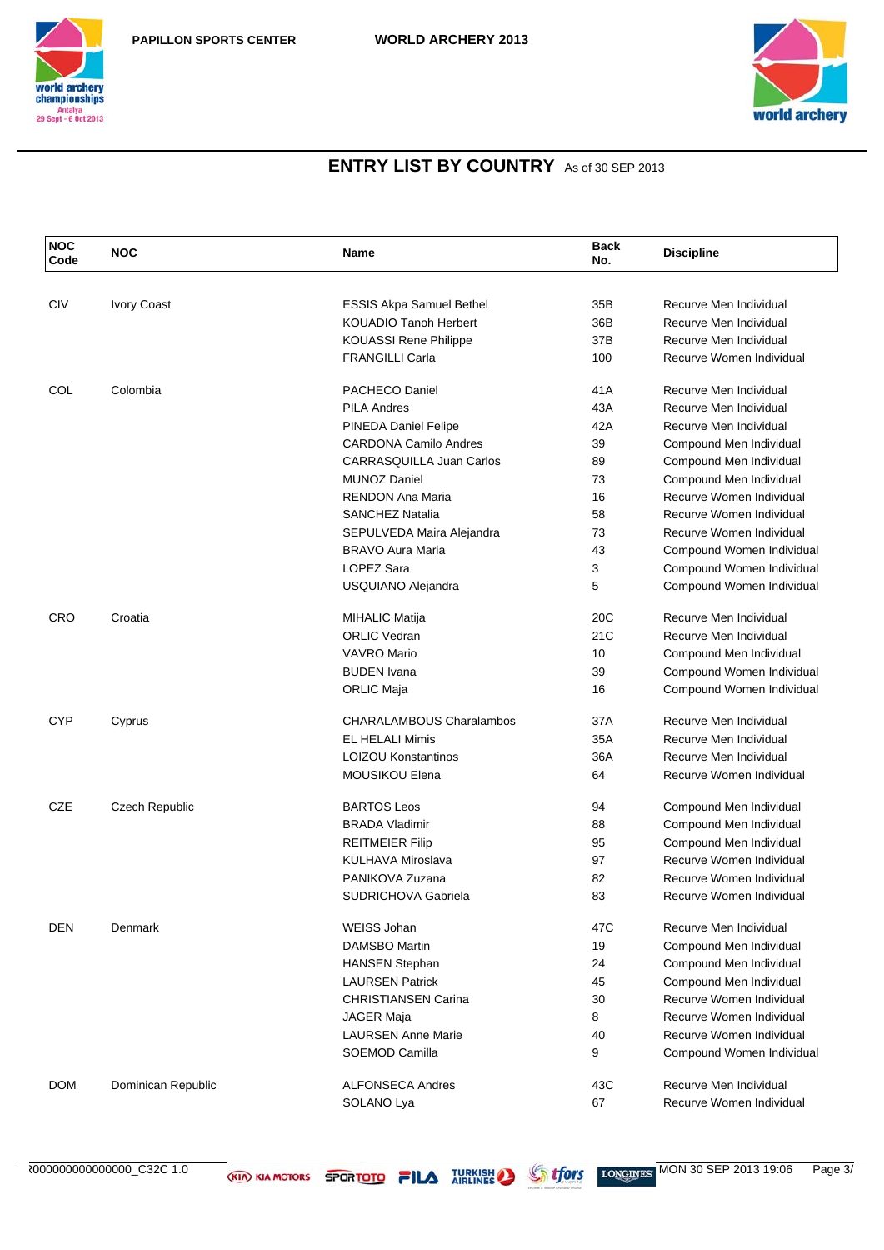



| CIV<br>Recurve Men Individual<br><b>Ivory Coast</b><br><b>ESSIS Akpa Samuel Bethel</b><br>35B<br><b>KOUADIO Tanoh Herbert</b><br>36B<br>Recurve Men Individual<br><b>KOUASSI Rene Philippe</b><br>37B<br>Recurve Men Individual<br><b>FRANGILLI Carla</b><br>Recurve Women Individual<br>100<br>COL<br>Colombia<br><b>PACHECO Daniel</b><br>41A<br>Recurve Men Individual<br>43A<br><b>PILA Andres</b><br>Recurve Men Individual<br>PINEDA Daniel Felipe<br>42A<br>Recurve Men Individual<br><b>CARDONA Camilo Andres</b><br>39<br>Compound Men Individual<br><b>CARRASQUILLA Juan Carlos</b><br>89<br>Compound Men Individual<br><b>MUNOZ Daniel</b><br>73<br>Compound Men Individual<br><b>RENDON Ana Maria</b><br>16<br>Recurve Women Individual<br><b>SANCHEZ Natalia</b><br>58<br>Recurve Women Individual<br>SEPULVEDA Maira Alejandra<br>73<br>Recurve Women Individual<br><b>BRAVO Aura Maria</b><br>43<br>Compound Women Individual<br><b>LOPEZ Sara</b><br>3<br>Compound Women Individual<br>USQUIANO Alejandra<br>5<br>Compound Women Individual<br>20C<br><b>CRO</b><br>Recurve Men Individual<br>Croatia<br><b>MIHALIC Matija</b><br><b>ORLIC Vedran</b><br>21C<br>Recurve Men Individual<br><b>VAVRO Mario</b><br>10<br>Compound Men Individual<br><b>BUDEN</b> Ivana<br>39<br>Compound Women Individual<br><b>ORLIC Maja</b><br>16<br>Compound Women Individual<br><b>CYP</b><br><b>CHARALAMBOUS Charalambos</b><br>37A<br>Recurve Men Individual<br>Cyprus<br><b>EL HELALI Mimis</b><br>35A<br>Recurve Men Individual<br><b>LOIZOU Konstantinos</b><br>36A<br>Recurve Men Individual<br><b>MOUSIKOU Elena</b><br>64<br>Recurve Women Individual<br><b>CZE</b><br><b>BARTOS Leos</b><br>94<br><b>Czech Republic</b><br>Compound Men Individual<br><b>BRADA Vladimir</b><br>88<br>Compound Men Individual<br><b>REITMEIER Filip</b><br>95<br>Compound Men Individual<br>KULHAVA Miroslava<br>97<br>Recurve Women Individual<br>82<br>PANIKOVA Zuzana<br>Recurve Women Individual<br><b>SUDRICHOVA Gabriela</b><br>83<br>Recurve Women Individual<br>Denmark<br><b>WEISS Johan</b><br>47C<br>Recurve Men Individual<br>DEN<br><b>DAMSBO Martin</b><br>19<br>Compound Men Individual<br><b>HANSEN Stephan</b><br>Compound Men Individual<br>24<br><b>LAURSEN Patrick</b><br>Compound Men Individual<br>45<br>Recurve Women Individual<br><b>CHRISTIANSEN Carina</b><br>30<br>8<br>Recurve Women Individual<br>JAGER Maja<br><b>LAURSEN Anne Marie</b><br>Recurve Women Individual<br>40<br>SOEMOD Camilla<br>9<br>Compound Women Individual<br>Recurve Men Individual<br><b>DOM</b><br>Dominican Republic<br><b>ALFONSECA Andres</b><br>43C<br>Recurve Women Individual | <b>NOC</b><br>Code | <b>NOC</b> | Name       | <b>Back</b><br>No. | <b>Discipline</b> |
|-------------------------------------------------------------------------------------------------------------------------------------------------------------------------------------------------------------------------------------------------------------------------------------------------------------------------------------------------------------------------------------------------------------------------------------------------------------------------------------------------------------------------------------------------------------------------------------------------------------------------------------------------------------------------------------------------------------------------------------------------------------------------------------------------------------------------------------------------------------------------------------------------------------------------------------------------------------------------------------------------------------------------------------------------------------------------------------------------------------------------------------------------------------------------------------------------------------------------------------------------------------------------------------------------------------------------------------------------------------------------------------------------------------------------------------------------------------------------------------------------------------------------------------------------------------------------------------------------------------------------------------------------------------------------------------------------------------------------------------------------------------------------------------------------------------------------------------------------------------------------------------------------------------------------------------------------------------------------------------------------------------------------------------------------------------------------------------------------------------------------------------------------------------------------------------------------------------------------------------------------------------------------------------------------------------------------------------------------------------------------------------------------------------------------------------------------------------------------------------------------------------------------------------------------------------------------------------------------------------------------------------------------------------------------------------|--------------------|------------|------------|--------------------|-------------------|
|                                                                                                                                                                                                                                                                                                                                                                                                                                                                                                                                                                                                                                                                                                                                                                                                                                                                                                                                                                                                                                                                                                                                                                                                                                                                                                                                                                                                                                                                                                                                                                                                                                                                                                                                                                                                                                                                                                                                                                                                                                                                                                                                                                                                                                                                                                                                                                                                                                                                                                                                                                                                                                                                                     |                    |            |            |                    |                   |
|                                                                                                                                                                                                                                                                                                                                                                                                                                                                                                                                                                                                                                                                                                                                                                                                                                                                                                                                                                                                                                                                                                                                                                                                                                                                                                                                                                                                                                                                                                                                                                                                                                                                                                                                                                                                                                                                                                                                                                                                                                                                                                                                                                                                                                                                                                                                                                                                                                                                                                                                                                                                                                                                                     |                    |            |            |                    |                   |
|                                                                                                                                                                                                                                                                                                                                                                                                                                                                                                                                                                                                                                                                                                                                                                                                                                                                                                                                                                                                                                                                                                                                                                                                                                                                                                                                                                                                                                                                                                                                                                                                                                                                                                                                                                                                                                                                                                                                                                                                                                                                                                                                                                                                                                                                                                                                                                                                                                                                                                                                                                                                                                                                                     |                    |            |            |                    |                   |
|                                                                                                                                                                                                                                                                                                                                                                                                                                                                                                                                                                                                                                                                                                                                                                                                                                                                                                                                                                                                                                                                                                                                                                                                                                                                                                                                                                                                                                                                                                                                                                                                                                                                                                                                                                                                                                                                                                                                                                                                                                                                                                                                                                                                                                                                                                                                                                                                                                                                                                                                                                                                                                                                                     |                    |            |            |                    |                   |
|                                                                                                                                                                                                                                                                                                                                                                                                                                                                                                                                                                                                                                                                                                                                                                                                                                                                                                                                                                                                                                                                                                                                                                                                                                                                                                                                                                                                                                                                                                                                                                                                                                                                                                                                                                                                                                                                                                                                                                                                                                                                                                                                                                                                                                                                                                                                                                                                                                                                                                                                                                                                                                                                                     |                    |            |            |                    |                   |
|                                                                                                                                                                                                                                                                                                                                                                                                                                                                                                                                                                                                                                                                                                                                                                                                                                                                                                                                                                                                                                                                                                                                                                                                                                                                                                                                                                                                                                                                                                                                                                                                                                                                                                                                                                                                                                                                                                                                                                                                                                                                                                                                                                                                                                                                                                                                                                                                                                                                                                                                                                                                                                                                                     |                    |            |            |                    |                   |
|                                                                                                                                                                                                                                                                                                                                                                                                                                                                                                                                                                                                                                                                                                                                                                                                                                                                                                                                                                                                                                                                                                                                                                                                                                                                                                                                                                                                                                                                                                                                                                                                                                                                                                                                                                                                                                                                                                                                                                                                                                                                                                                                                                                                                                                                                                                                                                                                                                                                                                                                                                                                                                                                                     |                    |            |            |                    |                   |
|                                                                                                                                                                                                                                                                                                                                                                                                                                                                                                                                                                                                                                                                                                                                                                                                                                                                                                                                                                                                                                                                                                                                                                                                                                                                                                                                                                                                                                                                                                                                                                                                                                                                                                                                                                                                                                                                                                                                                                                                                                                                                                                                                                                                                                                                                                                                                                                                                                                                                                                                                                                                                                                                                     |                    |            |            |                    |                   |
|                                                                                                                                                                                                                                                                                                                                                                                                                                                                                                                                                                                                                                                                                                                                                                                                                                                                                                                                                                                                                                                                                                                                                                                                                                                                                                                                                                                                                                                                                                                                                                                                                                                                                                                                                                                                                                                                                                                                                                                                                                                                                                                                                                                                                                                                                                                                                                                                                                                                                                                                                                                                                                                                                     |                    |            |            |                    |                   |
|                                                                                                                                                                                                                                                                                                                                                                                                                                                                                                                                                                                                                                                                                                                                                                                                                                                                                                                                                                                                                                                                                                                                                                                                                                                                                                                                                                                                                                                                                                                                                                                                                                                                                                                                                                                                                                                                                                                                                                                                                                                                                                                                                                                                                                                                                                                                                                                                                                                                                                                                                                                                                                                                                     |                    |            |            |                    |                   |
|                                                                                                                                                                                                                                                                                                                                                                                                                                                                                                                                                                                                                                                                                                                                                                                                                                                                                                                                                                                                                                                                                                                                                                                                                                                                                                                                                                                                                                                                                                                                                                                                                                                                                                                                                                                                                                                                                                                                                                                                                                                                                                                                                                                                                                                                                                                                                                                                                                                                                                                                                                                                                                                                                     |                    |            |            |                    |                   |
|                                                                                                                                                                                                                                                                                                                                                                                                                                                                                                                                                                                                                                                                                                                                                                                                                                                                                                                                                                                                                                                                                                                                                                                                                                                                                                                                                                                                                                                                                                                                                                                                                                                                                                                                                                                                                                                                                                                                                                                                                                                                                                                                                                                                                                                                                                                                                                                                                                                                                                                                                                                                                                                                                     |                    |            |            |                    |                   |
|                                                                                                                                                                                                                                                                                                                                                                                                                                                                                                                                                                                                                                                                                                                                                                                                                                                                                                                                                                                                                                                                                                                                                                                                                                                                                                                                                                                                                                                                                                                                                                                                                                                                                                                                                                                                                                                                                                                                                                                                                                                                                                                                                                                                                                                                                                                                                                                                                                                                                                                                                                                                                                                                                     |                    |            |            |                    |                   |
|                                                                                                                                                                                                                                                                                                                                                                                                                                                                                                                                                                                                                                                                                                                                                                                                                                                                                                                                                                                                                                                                                                                                                                                                                                                                                                                                                                                                                                                                                                                                                                                                                                                                                                                                                                                                                                                                                                                                                                                                                                                                                                                                                                                                                                                                                                                                                                                                                                                                                                                                                                                                                                                                                     |                    |            |            |                    |                   |
|                                                                                                                                                                                                                                                                                                                                                                                                                                                                                                                                                                                                                                                                                                                                                                                                                                                                                                                                                                                                                                                                                                                                                                                                                                                                                                                                                                                                                                                                                                                                                                                                                                                                                                                                                                                                                                                                                                                                                                                                                                                                                                                                                                                                                                                                                                                                                                                                                                                                                                                                                                                                                                                                                     |                    |            |            |                    |                   |
|                                                                                                                                                                                                                                                                                                                                                                                                                                                                                                                                                                                                                                                                                                                                                                                                                                                                                                                                                                                                                                                                                                                                                                                                                                                                                                                                                                                                                                                                                                                                                                                                                                                                                                                                                                                                                                                                                                                                                                                                                                                                                                                                                                                                                                                                                                                                                                                                                                                                                                                                                                                                                                                                                     |                    |            |            |                    |                   |
|                                                                                                                                                                                                                                                                                                                                                                                                                                                                                                                                                                                                                                                                                                                                                                                                                                                                                                                                                                                                                                                                                                                                                                                                                                                                                                                                                                                                                                                                                                                                                                                                                                                                                                                                                                                                                                                                                                                                                                                                                                                                                                                                                                                                                                                                                                                                                                                                                                                                                                                                                                                                                                                                                     |                    |            |            |                    |                   |
|                                                                                                                                                                                                                                                                                                                                                                                                                                                                                                                                                                                                                                                                                                                                                                                                                                                                                                                                                                                                                                                                                                                                                                                                                                                                                                                                                                                                                                                                                                                                                                                                                                                                                                                                                                                                                                                                                                                                                                                                                                                                                                                                                                                                                                                                                                                                                                                                                                                                                                                                                                                                                                                                                     |                    |            |            |                    |                   |
|                                                                                                                                                                                                                                                                                                                                                                                                                                                                                                                                                                                                                                                                                                                                                                                                                                                                                                                                                                                                                                                                                                                                                                                                                                                                                                                                                                                                                                                                                                                                                                                                                                                                                                                                                                                                                                                                                                                                                                                                                                                                                                                                                                                                                                                                                                                                                                                                                                                                                                                                                                                                                                                                                     |                    |            |            |                    |                   |
|                                                                                                                                                                                                                                                                                                                                                                                                                                                                                                                                                                                                                                                                                                                                                                                                                                                                                                                                                                                                                                                                                                                                                                                                                                                                                                                                                                                                                                                                                                                                                                                                                                                                                                                                                                                                                                                                                                                                                                                                                                                                                                                                                                                                                                                                                                                                                                                                                                                                                                                                                                                                                                                                                     |                    |            |            |                    |                   |
|                                                                                                                                                                                                                                                                                                                                                                                                                                                                                                                                                                                                                                                                                                                                                                                                                                                                                                                                                                                                                                                                                                                                                                                                                                                                                                                                                                                                                                                                                                                                                                                                                                                                                                                                                                                                                                                                                                                                                                                                                                                                                                                                                                                                                                                                                                                                                                                                                                                                                                                                                                                                                                                                                     |                    |            |            |                    |                   |
|                                                                                                                                                                                                                                                                                                                                                                                                                                                                                                                                                                                                                                                                                                                                                                                                                                                                                                                                                                                                                                                                                                                                                                                                                                                                                                                                                                                                                                                                                                                                                                                                                                                                                                                                                                                                                                                                                                                                                                                                                                                                                                                                                                                                                                                                                                                                                                                                                                                                                                                                                                                                                                                                                     |                    |            |            |                    |                   |
|                                                                                                                                                                                                                                                                                                                                                                                                                                                                                                                                                                                                                                                                                                                                                                                                                                                                                                                                                                                                                                                                                                                                                                                                                                                                                                                                                                                                                                                                                                                                                                                                                                                                                                                                                                                                                                                                                                                                                                                                                                                                                                                                                                                                                                                                                                                                                                                                                                                                                                                                                                                                                                                                                     |                    |            |            |                    |                   |
|                                                                                                                                                                                                                                                                                                                                                                                                                                                                                                                                                                                                                                                                                                                                                                                                                                                                                                                                                                                                                                                                                                                                                                                                                                                                                                                                                                                                                                                                                                                                                                                                                                                                                                                                                                                                                                                                                                                                                                                                                                                                                                                                                                                                                                                                                                                                                                                                                                                                                                                                                                                                                                                                                     |                    |            |            |                    |                   |
|                                                                                                                                                                                                                                                                                                                                                                                                                                                                                                                                                                                                                                                                                                                                                                                                                                                                                                                                                                                                                                                                                                                                                                                                                                                                                                                                                                                                                                                                                                                                                                                                                                                                                                                                                                                                                                                                                                                                                                                                                                                                                                                                                                                                                                                                                                                                                                                                                                                                                                                                                                                                                                                                                     |                    |            |            |                    |                   |
|                                                                                                                                                                                                                                                                                                                                                                                                                                                                                                                                                                                                                                                                                                                                                                                                                                                                                                                                                                                                                                                                                                                                                                                                                                                                                                                                                                                                                                                                                                                                                                                                                                                                                                                                                                                                                                                                                                                                                                                                                                                                                                                                                                                                                                                                                                                                                                                                                                                                                                                                                                                                                                                                                     |                    |            |            |                    |                   |
|                                                                                                                                                                                                                                                                                                                                                                                                                                                                                                                                                                                                                                                                                                                                                                                                                                                                                                                                                                                                                                                                                                                                                                                                                                                                                                                                                                                                                                                                                                                                                                                                                                                                                                                                                                                                                                                                                                                                                                                                                                                                                                                                                                                                                                                                                                                                                                                                                                                                                                                                                                                                                                                                                     |                    |            |            |                    |                   |
|                                                                                                                                                                                                                                                                                                                                                                                                                                                                                                                                                                                                                                                                                                                                                                                                                                                                                                                                                                                                                                                                                                                                                                                                                                                                                                                                                                                                                                                                                                                                                                                                                                                                                                                                                                                                                                                                                                                                                                                                                                                                                                                                                                                                                                                                                                                                                                                                                                                                                                                                                                                                                                                                                     |                    |            |            |                    |                   |
|                                                                                                                                                                                                                                                                                                                                                                                                                                                                                                                                                                                                                                                                                                                                                                                                                                                                                                                                                                                                                                                                                                                                                                                                                                                                                                                                                                                                                                                                                                                                                                                                                                                                                                                                                                                                                                                                                                                                                                                                                                                                                                                                                                                                                                                                                                                                                                                                                                                                                                                                                                                                                                                                                     |                    |            |            |                    |                   |
|                                                                                                                                                                                                                                                                                                                                                                                                                                                                                                                                                                                                                                                                                                                                                                                                                                                                                                                                                                                                                                                                                                                                                                                                                                                                                                                                                                                                                                                                                                                                                                                                                                                                                                                                                                                                                                                                                                                                                                                                                                                                                                                                                                                                                                                                                                                                                                                                                                                                                                                                                                                                                                                                                     |                    |            |            |                    |                   |
|                                                                                                                                                                                                                                                                                                                                                                                                                                                                                                                                                                                                                                                                                                                                                                                                                                                                                                                                                                                                                                                                                                                                                                                                                                                                                                                                                                                                                                                                                                                                                                                                                                                                                                                                                                                                                                                                                                                                                                                                                                                                                                                                                                                                                                                                                                                                                                                                                                                                                                                                                                                                                                                                                     |                    |            |            |                    |                   |
|                                                                                                                                                                                                                                                                                                                                                                                                                                                                                                                                                                                                                                                                                                                                                                                                                                                                                                                                                                                                                                                                                                                                                                                                                                                                                                                                                                                                                                                                                                                                                                                                                                                                                                                                                                                                                                                                                                                                                                                                                                                                                                                                                                                                                                                                                                                                                                                                                                                                                                                                                                                                                                                                                     |                    |            |            |                    |                   |
|                                                                                                                                                                                                                                                                                                                                                                                                                                                                                                                                                                                                                                                                                                                                                                                                                                                                                                                                                                                                                                                                                                                                                                                                                                                                                                                                                                                                                                                                                                                                                                                                                                                                                                                                                                                                                                                                                                                                                                                                                                                                                                                                                                                                                                                                                                                                                                                                                                                                                                                                                                                                                                                                                     |                    |            |            |                    |                   |
|                                                                                                                                                                                                                                                                                                                                                                                                                                                                                                                                                                                                                                                                                                                                                                                                                                                                                                                                                                                                                                                                                                                                                                                                                                                                                                                                                                                                                                                                                                                                                                                                                                                                                                                                                                                                                                                                                                                                                                                                                                                                                                                                                                                                                                                                                                                                                                                                                                                                                                                                                                                                                                                                                     |                    |            |            |                    |                   |
|                                                                                                                                                                                                                                                                                                                                                                                                                                                                                                                                                                                                                                                                                                                                                                                                                                                                                                                                                                                                                                                                                                                                                                                                                                                                                                                                                                                                                                                                                                                                                                                                                                                                                                                                                                                                                                                                                                                                                                                                                                                                                                                                                                                                                                                                                                                                                                                                                                                                                                                                                                                                                                                                                     |                    |            |            |                    |                   |
|                                                                                                                                                                                                                                                                                                                                                                                                                                                                                                                                                                                                                                                                                                                                                                                                                                                                                                                                                                                                                                                                                                                                                                                                                                                                                                                                                                                                                                                                                                                                                                                                                                                                                                                                                                                                                                                                                                                                                                                                                                                                                                                                                                                                                                                                                                                                                                                                                                                                                                                                                                                                                                                                                     |                    |            |            |                    |                   |
|                                                                                                                                                                                                                                                                                                                                                                                                                                                                                                                                                                                                                                                                                                                                                                                                                                                                                                                                                                                                                                                                                                                                                                                                                                                                                                                                                                                                                                                                                                                                                                                                                                                                                                                                                                                                                                                                                                                                                                                                                                                                                                                                                                                                                                                                                                                                                                                                                                                                                                                                                                                                                                                                                     |                    |            |            |                    |                   |
|                                                                                                                                                                                                                                                                                                                                                                                                                                                                                                                                                                                                                                                                                                                                                                                                                                                                                                                                                                                                                                                                                                                                                                                                                                                                                                                                                                                                                                                                                                                                                                                                                                                                                                                                                                                                                                                                                                                                                                                                                                                                                                                                                                                                                                                                                                                                                                                                                                                                                                                                                                                                                                                                                     |                    |            |            |                    |                   |
|                                                                                                                                                                                                                                                                                                                                                                                                                                                                                                                                                                                                                                                                                                                                                                                                                                                                                                                                                                                                                                                                                                                                                                                                                                                                                                                                                                                                                                                                                                                                                                                                                                                                                                                                                                                                                                                                                                                                                                                                                                                                                                                                                                                                                                                                                                                                                                                                                                                                                                                                                                                                                                                                                     |                    |            |            |                    |                   |
|                                                                                                                                                                                                                                                                                                                                                                                                                                                                                                                                                                                                                                                                                                                                                                                                                                                                                                                                                                                                                                                                                                                                                                                                                                                                                                                                                                                                                                                                                                                                                                                                                                                                                                                                                                                                                                                                                                                                                                                                                                                                                                                                                                                                                                                                                                                                                                                                                                                                                                                                                                                                                                                                                     |                    |            |            |                    |                   |
|                                                                                                                                                                                                                                                                                                                                                                                                                                                                                                                                                                                                                                                                                                                                                                                                                                                                                                                                                                                                                                                                                                                                                                                                                                                                                                                                                                                                                                                                                                                                                                                                                                                                                                                                                                                                                                                                                                                                                                                                                                                                                                                                                                                                                                                                                                                                                                                                                                                                                                                                                                                                                                                                                     |                    |            |            |                    |                   |
|                                                                                                                                                                                                                                                                                                                                                                                                                                                                                                                                                                                                                                                                                                                                                                                                                                                                                                                                                                                                                                                                                                                                                                                                                                                                                                                                                                                                                                                                                                                                                                                                                                                                                                                                                                                                                                                                                                                                                                                                                                                                                                                                                                                                                                                                                                                                                                                                                                                                                                                                                                                                                                                                                     |                    |            | SOLANO Lya | 67                 |                   |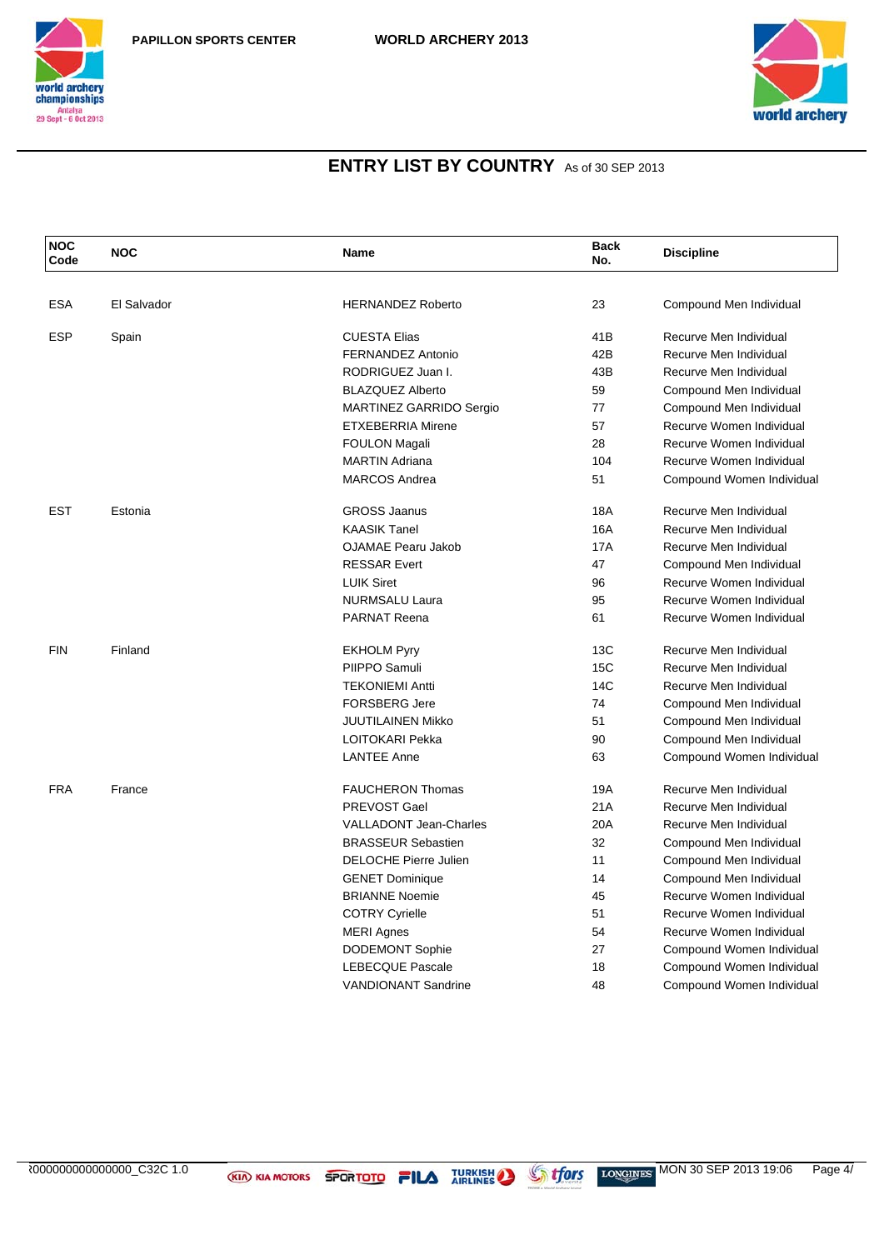



| <b>NOC</b><br>Code | <b>NOC</b>  | Name                          | <b>Back</b><br>No. | <b>Discipline</b>         |
|--------------------|-------------|-------------------------------|--------------------|---------------------------|
|                    |             |                               |                    |                           |
| <b>ESA</b>         | El Salvador | <b>HERNANDEZ Roberto</b>      | 23                 | Compound Men Individual   |
| <b>ESP</b>         | Spain       | <b>CUESTA Elias</b>           | 41B                | Recurve Men Individual    |
|                    |             | FERNANDEZ Antonio             | 42B                | Recurve Men Individual    |
|                    |             | RODRIGUEZ Juan I.             | 43B                | Recurve Men Individual    |
|                    |             | <b>BLAZQUEZ Alberto</b>       | 59                 | Compound Men Individual   |
|                    |             | MARTINEZ GARRIDO Sergio       | 77                 | Compound Men Individual   |
|                    |             | <b>ETXEBERRIA Mirene</b>      | 57                 | Recurve Women Individual  |
|                    |             | <b>FOULON Magali</b>          | 28                 | Recurve Women Individual  |
|                    |             | <b>MARTIN Adriana</b>         | 104                | Recurve Women Individual  |
|                    |             | <b>MARCOS Andrea</b>          | 51                 | Compound Women Individual |
| <b>EST</b>         | Estonia     | <b>GROSS Jaanus</b>           | <b>18A</b>         | Recurve Men Individual    |
|                    |             | <b>KAASIK Tanel</b>           | <b>16A</b>         | Recurve Men Individual    |
|                    |             | <b>OJAMAE Pearu Jakob</b>     | <b>17A</b>         | Recurve Men Individual    |
|                    |             | <b>RESSAR Evert</b>           | 47                 | Compound Men Individual   |
|                    |             | <b>LUIK Siret</b>             | 96                 | Recurve Women Individual  |
|                    |             | NURMSALU Laura                | 95                 | Recurve Women Individual  |
|                    |             | <b>PARNAT Reena</b>           | 61                 | Recurve Women Individual  |
| <b>FIN</b>         | Finland     | <b>EKHOLM Pyry</b>            | 13C                | Recurve Men Individual    |
|                    |             | PIIPPO Samuli                 | 15C                | Recurve Men Individual    |
|                    |             | <b>TEKONIEMI Antti</b>        | 14C                | Recurve Men Individual    |
|                    |             | <b>FORSBERG Jere</b>          | 74                 | Compound Men Individual   |
|                    |             | JUUTILAINEN Mikko             | 51                 | Compound Men Individual   |
|                    |             | LOITOKARI Pekka               | 90                 | Compound Men Individual   |
|                    |             | <b>LANTEE Anne</b>            | 63                 | Compound Women Individual |
| <b>FRA</b>         | France      | <b>FAUCHERON Thomas</b>       | 19A                | Recurve Men Individual    |
|                    |             | PREVOST Gael                  | 21A                | Recurve Men Individual    |
|                    |             | <b>VALLADONT Jean-Charles</b> | 20A                | Recurve Men Individual    |
|                    |             | <b>BRASSEUR Sebastien</b>     | 32                 | Compound Men Individual   |
|                    |             | <b>DELOCHE Pierre Julien</b>  | 11                 | Compound Men Individual   |
|                    |             | <b>GENET Dominique</b>        | 14                 | Compound Men Individual   |
|                    |             | <b>BRIANNE Noemie</b>         | 45                 | Recurve Women Individual  |
|                    |             | <b>COTRY Cyrielle</b>         | 51                 | Recurve Women Individual  |
|                    |             | <b>MERI Agnes</b>             | 54                 | Recurve Women Individual  |
|                    |             | <b>DODEMONT Sophie</b>        | 27                 | Compound Women Individual |
|                    |             | <b>LEBECQUE Pascale</b>       | 18                 | Compound Women Individual |
|                    |             | <b>VANDIONANT Sandrine</b>    | 48                 | Compound Women Individual |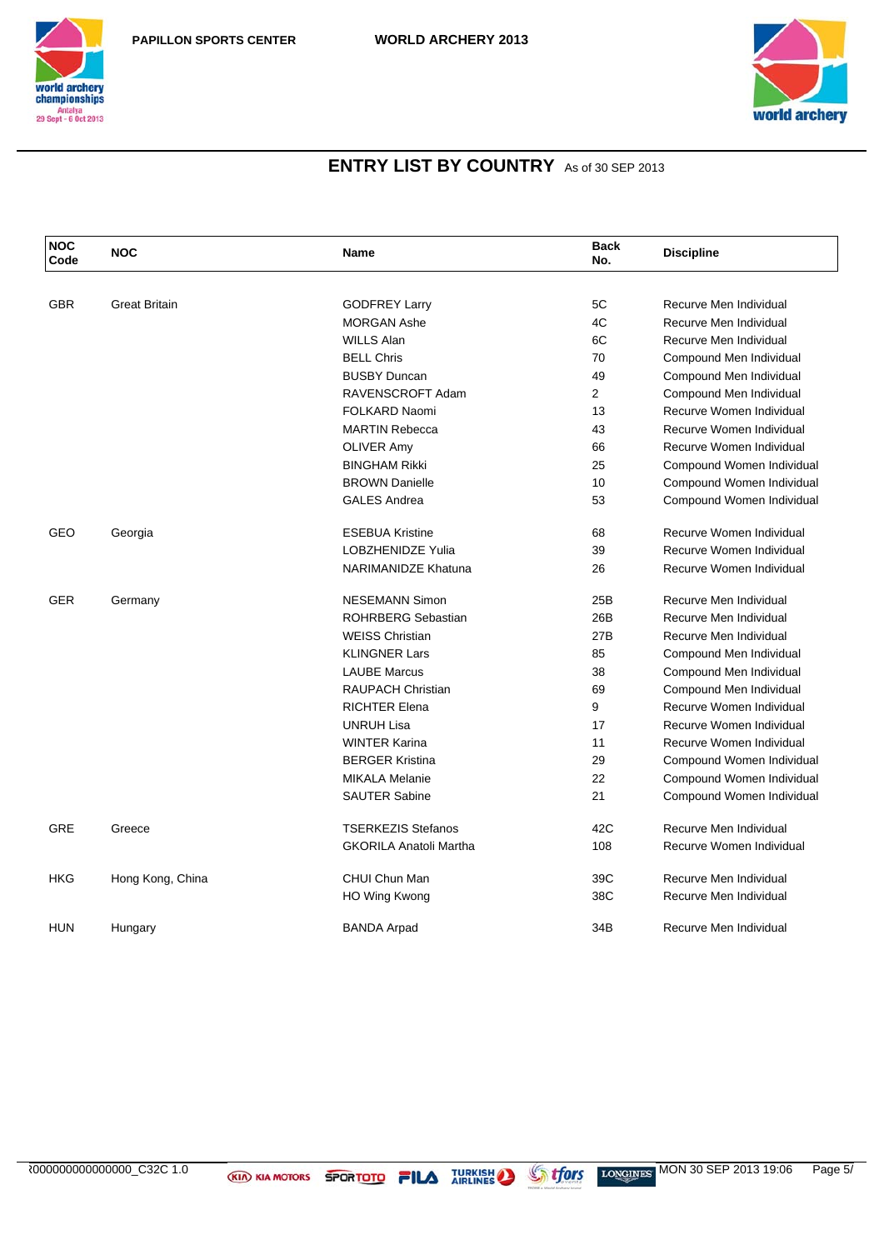



| <b>NOC</b><br>Code | <b>NOC</b>           | Name                          | <b>Back</b><br>No. | <b>Discipline</b>         |
|--------------------|----------------------|-------------------------------|--------------------|---------------------------|
|                    |                      |                               |                    |                           |
| <b>GBR</b>         | <b>Great Britain</b> | <b>GODFREY Larry</b>          | 5C                 | Recurve Men Individual    |
|                    |                      | <b>MORGAN Ashe</b>            | 4C                 | Recurve Men Individual    |
|                    |                      | <b>WILLS Alan</b>             | 6C                 | Recurve Men Individual    |
|                    |                      | <b>BELL Chris</b>             | 70                 | Compound Men Individual   |
|                    |                      | <b>BUSBY Duncan</b>           | 49                 | Compound Men Individual   |
|                    |                      | RAVENSCROFT Adam              | $\overline{2}$     | Compound Men Individual   |
|                    |                      | FOLKARD Naomi                 | 13                 | Recurve Women Individual  |
|                    |                      | <b>MARTIN Rebecca</b>         | 43                 | Recurve Women Individual  |
|                    |                      | <b>OLIVER Amy</b>             | 66                 | Recurve Women Individual  |
|                    |                      | <b>BINGHAM Rikki</b>          | 25                 | Compound Women Individual |
|                    |                      | <b>BROWN Danielle</b>         | 10                 | Compound Women Individual |
|                    |                      | <b>GALES Andrea</b>           | 53                 | Compound Women Individual |
| GEO                | Georgia              | <b>ESEBUA Kristine</b>        | 68                 | Recurve Women Individual  |
|                    |                      | <b>LOBZHENIDZE Yulia</b>      | 39                 | Recurve Women Individual  |
|                    |                      | <b>NARIMANIDZE Khatuna</b>    | 26                 | Recurve Women Individual  |
| <b>GER</b>         | Germany              | <b>NESEMANN Simon</b>         | 25B                | Recurve Men Individual    |
|                    |                      | <b>ROHRBERG Sebastian</b>     | 26B                | Recurve Men Individual    |
|                    |                      | <b>WEISS Christian</b>        | 27B                | Recurve Men Individual    |
|                    |                      | <b>KLINGNER Lars</b>          | 85                 | Compound Men Individual   |
|                    |                      | <b>LAUBE Marcus</b>           | 38                 | Compound Men Individual   |
|                    |                      | <b>RAUPACH Christian</b>      | 69                 | Compound Men Individual   |
|                    |                      | <b>RICHTER Elena</b>          | 9                  | Recurve Women Individual  |
|                    |                      | <b>UNRUH Lisa</b>             | 17                 | Recurve Women Individual  |
|                    |                      | <b>WINTER Karina</b>          | 11                 | Recurve Women Individual  |
|                    |                      | <b>BERGER Kristina</b>        | 29                 | Compound Women Individual |
|                    |                      | <b>MIKALA Melanie</b>         | 22                 | Compound Women Individual |
|                    |                      | <b>SAUTER Sabine</b>          | 21                 | Compound Women Individual |
| <b>GRE</b>         | Greece               | <b>TSERKEZIS Stefanos</b>     | 42C                | Recurve Men Individual    |
|                    |                      | <b>GKORILA Anatoli Martha</b> | 108                | Recurve Women Individual  |
| HKG                | Hong Kong, China     | CHUI Chun Man                 | 39C                | Recurve Men Individual    |
|                    |                      | <b>HO Wing Kwong</b>          | 38C                | Recurve Men Individual    |
| <b>HUN</b>         | Hungary              | <b>BANDA Arpad</b>            | 34B                | Recurve Men Individual    |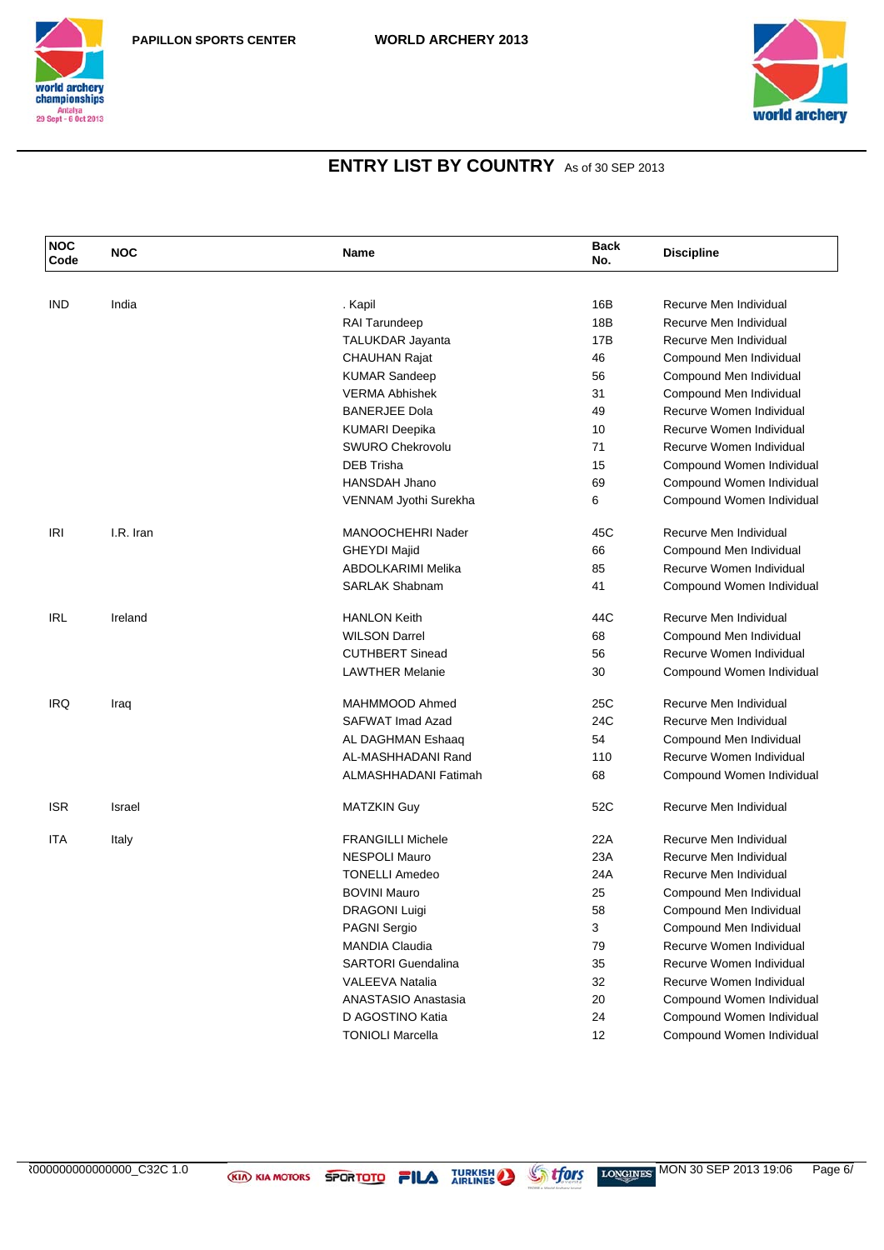



| <b>NOC</b><br>Code | <b>NOC</b>    | Name                      | <b>Back</b><br>No. | <b>Discipline</b>         |
|--------------------|---------------|---------------------------|--------------------|---------------------------|
|                    |               |                           |                    |                           |
| IND                | India         | . Kapil                   | 16B                | Recurve Men Individual    |
|                    |               | RAI Tarundeep             | 18B                | Recurve Men Individual    |
|                    |               | <b>TALUKDAR Jayanta</b>   | 17B                | Recurve Men Individual    |
|                    |               | <b>CHAUHAN Rajat</b>      | 46                 | Compound Men Individual   |
|                    |               | <b>KUMAR Sandeep</b>      | 56                 | Compound Men Individual   |
|                    |               | <b>VERMA Abhishek</b>     | 31                 | Compound Men Individual   |
|                    |               | <b>BANERJEE Dola</b>      | 49                 | Recurve Women Individual  |
|                    |               | <b>KUMARI Deepika</b>     | 10                 | Recurve Women Individual  |
|                    |               | SWURO Chekrovolu          | 71                 | Recurve Women Individual  |
|                    |               | <b>DEB Trisha</b>         | 15                 | Compound Women Individual |
|                    |               | <b>HANSDAH Jhano</b>      | 69                 | Compound Women Individual |
|                    |               | VENNAM Jyothi Surekha     | 6                  | Compound Women Individual |
| IRI                | I.R. Iran     | MANOOCHEHRI Nader         | 45C                | Recurve Men Individual    |
|                    |               | <b>GHEYDI Majid</b>       | 66                 | Compound Men Individual   |
|                    |               | ABDOLKARIMI Melika        | 85                 | Recurve Women Individual  |
|                    |               | <b>SARLAK Shabnam</b>     | 41                 | Compound Women Individual |
| <b>IRL</b>         | Ireland       | <b>HANLON Keith</b>       | 44C                | Recurve Men Individual    |
|                    |               | <b>WILSON Darrel</b>      | 68                 | Compound Men Individual   |
|                    |               | <b>CUTHBERT Sinead</b>    | 56                 | Recurve Women Individual  |
|                    |               | <b>LAWTHER Melanie</b>    | 30                 | Compound Women Individual |
| <b>IRQ</b>         | Iraq          | MAHMMOOD Ahmed            | 25C                | Recurve Men Individual    |
|                    |               | SAFWAT Imad Azad          | 24C                | Recurve Men Individual    |
|                    |               | AL DAGHMAN Eshaaq         | 54                 | Compound Men Individual   |
|                    |               | AL-MASHHADANI Rand        | 110                | Recurve Women Individual  |
|                    |               | ALMASHHADANI Fatimah      | 68                 | Compound Women Individual |
| <b>ISR</b>         | <b>Israel</b> | <b>MATZKIN Guy</b>        | 52C                | Recurve Men Individual    |
| ITA                | Italy         | <b>FRANGILLI Michele</b>  | 22A                | Recurve Men Individual    |
|                    |               | <b>NESPOLI Mauro</b>      | 23A                | Recurve Men Individual    |
|                    |               | <b>TONELLI Amedeo</b>     | 24A                | Recurve Men Individual    |
|                    |               | <b>BOVINI Mauro</b>       | 25                 | Compound Men Individual   |
|                    |               | <b>DRAGONI Luigi</b>      | 58                 | Compound Men Individual   |
|                    |               | <b>PAGNI Sergio</b>       | 3                  | Compound Men Individual   |
|                    |               | <b>MANDIA Claudia</b>     | 79                 | Recurve Women Individual  |
|                    |               | <b>SARTORI</b> Guendalina | 35                 | Recurve Women Individual  |
|                    |               | <b>VALEEVA Natalia</b>    | 32                 | Recurve Women Individual  |
|                    |               | ANASTASIO Anastasia       | 20                 | Compound Women Individual |
|                    |               | D AGOSTINO Katia          | 24                 | Compound Women Individual |
|                    |               | <b>TONIOLI Marcella</b>   | 12                 | Compound Women Individual |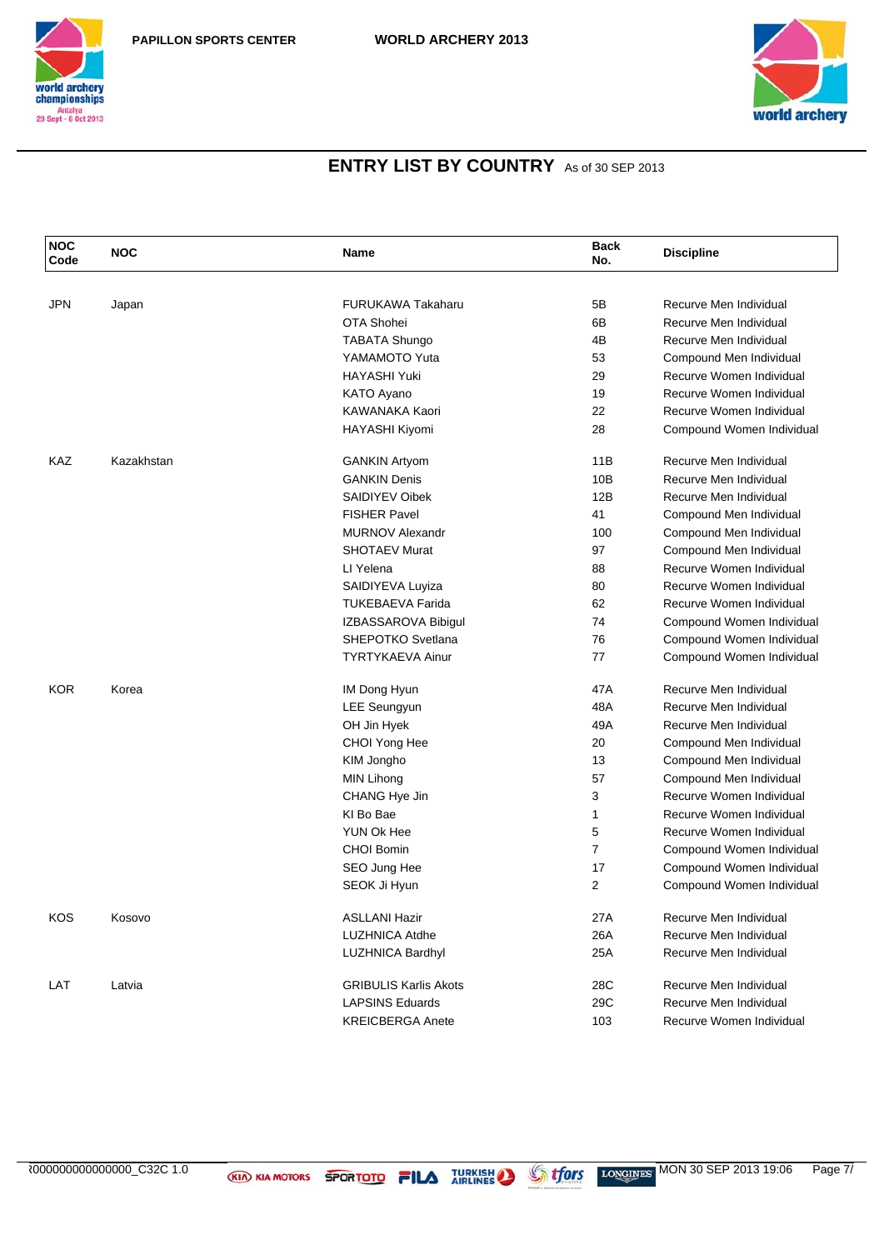



| <b>NOC</b><br>Code | <b>NOC</b> | <b>Name</b>                  | <b>Back</b><br>No. | <b>Discipline</b>         |
|--------------------|------------|------------------------------|--------------------|---------------------------|
|                    |            |                              |                    |                           |
| <b>JPN</b>         | Japan      | <b>FURUKAWA Takaharu</b>     | 5B                 | Recurve Men Individual    |
|                    |            | OTA Shohei                   | 6B                 | Recurve Men Individual    |
|                    |            | <b>TABATA Shungo</b>         | 4B                 | Recurve Men Individual    |
|                    |            | YAMAMOTO Yuta                | 53                 | Compound Men Individual   |
|                    |            | <b>HAYASHI Yuki</b>          | 29                 | Recurve Women Individual  |
|                    |            | KATO Ayano                   | 19                 | Recurve Women Individual  |
|                    |            | KAWANAKA Kaori               | 22                 | Recurve Women Individual  |
|                    |            | <b>HAYASHI Kiyomi</b>        | 28                 | Compound Women Individual |
| KAZ                | Kazakhstan | <b>GANKIN Artyom</b>         | 11B                | Recurve Men Individual    |
|                    |            | <b>GANKIN Denis</b>          | 10B                | Recurve Men Individual    |
|                    |            | <b>SAIDIYEV Oibek</b>        | 12B                | Recurve Men Individual    |
|                    |            | <b>FISHER Pavel</b>          | 41                 | Compound Men Individual   |
|                    |            | <b>MURNOV Alexandr</b>       | 100                | Compound Men Individual   |
|                    |            | <b>SHOTAEV Murat</b>         | 97                 | Compound Men Individual   |
|                    |            | LI Yelena                    | 88                 | Recurve Women Individual  |
|                    |            | SAIDIYEVA Luyiza             | 80                 | Recurve Women Individual  |
|                    |            | <b>TUKEBAEVA Farida</b>      | 62                 | Recurve Women Individual  |
|                    |            | IZBASSAROVA Bibigul          | 74                 | Compound Women Individual |
|                    |            | SHEPOTKO Svetlana            | 76                 | Compound Women Individual |
|                    |            | <b>TYRTYKAEVA Ainur</b>      | 77                 | Compound Women Individual |
| <b>KOR</b>         | Korea      | IM Dong Hyun                 | 47A                | Recurve Men Individual    |
|                    |            | <b>LEE Seungyun</b>          | 48A                | Recurve Men Individual    |
|                    |            | OH Jin Hyek                  | 49A                | Recurve Men Individual    |
|                    |            | CHOI Yong Hee                | 20                 | Compound Men Individual   |
|                    |            | KIM Jongho                   | 13                 | Compound Men Individual   |
|                    |            | MIN Lihong                   | 57                 | Compound Men Individual   |
|                    |            | CHANG Hye Jin                | 3                  | Recurve Women Individual  |
|                    |            | KI Bo Bae                    | $\mathbf{1}$       | Recurve Women Individual  |
|                    |            | YUN Ok Hee                   | 5                  | Recurve Women Individual  |
|                    |            | <b>CHOI Bomin</b>            | $\overline{7}$     | Compound Women Individual |
|                    |            | SEO Jung Hee                 | 17                 | Compound Women Individual |
|                    |            | SEOK Ji Hyun                 | $\overline{2}$     | Compound Women Individual |
| KOS                | Kosovo     | <b>ASLLANI Hazir</b>         | 27A                | Recurve Men Individual    |
|                    |            | LUZHNICA Atdhe               | 26A                | Recurve Men Individual    |
|                    |            | <b>LUZHNICA Bardhyl</b>      | 25A                | Recurve Men Individual    |
| LAT                | Latvia     | <b>GRIBULIS Karlis Akots</b> | 28C                | Recurve Men Individual    |
|                    |            | <b>LAPSINS Eduards</b>       | 29C                | Recurve Men Individual    |
|                    |            | <b>KREICBERGA Anete</b>      | 103                | Recurve Women Individual  |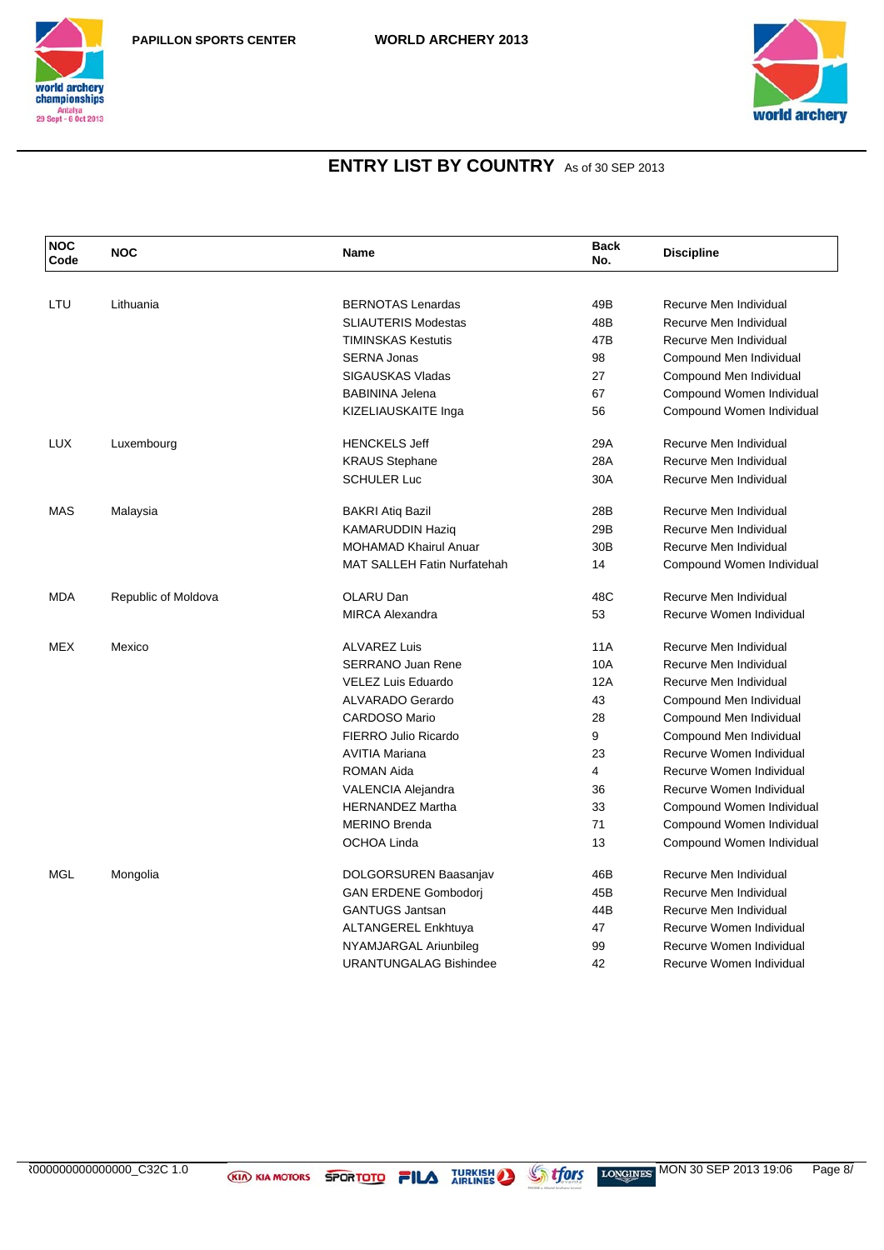



| <b>NOC</b><br>Code | <b>NOC</b>          | Name                               | <b>Back</b><br>No. | <b>Discipline</b>         |
|--------------------|---------------------|------------------------------------|--------------------|---------------------------|
|                    |                     |                                    |                    |                           |
| LTU                | Lithuania           | <b>BERNOTAS Lenardas</b>           | 49B                | Recurve Men Individual    |
|                    |                     | <b>SLIAUTERIS Modestas</b>         | 48B                | Recurve Men Individual    |
|                    |                     | <b>TIMINSKAS Kestutis</b>          | 47B                | Recurve Men Individual    |
|                    |                     | <b>SERNA Jonas</b>                 | 98                 | Compound Men Individual   |
|                    |                     | SIGAUSKAS Vladas                   | 27                 | Compound Men Individual   |
|                    |                     | <b>BABININA Jelena</b>             | 67                 | Compound Women Individual |
|                    |                     | KIZELIAUSKAITE Inga                | 56                 | Compound Women Individual |
| <b>LUX</b>         | Luxembourg          | <b>HENCKELS Jeff</b>               | 29A                | Recurve Men Individual    |
|                    |                     | <b>KRAUS Stephane</b>              | 28A                | Recurve Men Individual    |
|                    |                     | <b>SCHULER Luc</b>                 | 30A                | Recurve Men Individual    |
| <b>MAS</b>         | Malaysia            | <b>BAKRI Atiq Bazil</b>            | 28B                | Recurve Men Individual    |
|                    |                     | <b>KAMARUDDIN Haziq</b>            | 29B                | Recurve Men Individual    |
|                    |                     | <b>MOHAMAD Khairul Anuar</b>       | 30 <sub>B</sub>    | Recurve Men Individual    |
|                    |                     | <b>MAT SALLEH Fatin Nurfatehah</b> | 14                 | Compound Women Individual |
| <b>MDA</b>         | Republic of Moldova | OLARU Dan                          | 48C                | Recurve Men Individual    |
|                    |                     | <b>MIRCA Alexandra</b>             | 53                 | Recurve Women Individual  |
| <b>MEX</b>         | Mexico              | <b>ALVAREZ Luis</b>                | <b>11A</b>         | Recurve Men Individual    |
|                    |                     | <b>SERRANO Juan Rene</b>           | 10A                | Recurve Men Individual    |
|                    |                     | VELEZ Luis Eduardo                 | 12A                | Recurve Men Individual    |
|                    |                     | <b>ALVARADO Gerardo</b>            | 43                 | Compound Men Individual   |
|                    |                     | <b>CARDOSO Mario</b>               | 28                 | Compound Men Individual   |
|                    |                     | <b>FIERRO Julio Ricardo</b>        | 9                  | Compound Men Individual   |
|                    |                     | <b>AVITIA Mariana</b>              | 23                 | Recurve Women Individual  |
|                    |                     | <b>ROMAN Aida</b>                  | 4                  | Recurve Women Individual  |
|                    |                     | VALENCIA Alejandra                 | 36                 | Recurve Women Individual  |
|                    |                     | <b>HERNANDEZ Martha</b>            | 33                 | Compound Women Individual |
|                    |                     | <b>MERINO Brenda</b>               | 71                 | Compound Women Individual |
|                    |                     | OCHOA Linda                        | 13                 | Compound Women Individual |
| <b>MGL</b>         | Mongolia            | DOLGORSUREN Baasanjav              | 46B                | Recurve Men Individual    |
|                    |                     | <b>GAN ERDENE Gombodori</b>        | 45B                | Recurve Men Individual    |
|                    |                     | <b>GANTUGS Jantsan</b>             | 44B                | Recurve Men Individual    |
|                    |                     | ALTANGEREL Enkhtuya                | 47                 | Recurve Women Individual  |
|                    |                     | NYAMJARGAL Ariunbileg              | 99                 | Recurve Women Individual  |
|                    |                     | <b>URANTUNGALAG Bishindee</b>      | 42                 | Recurve Women Individual  |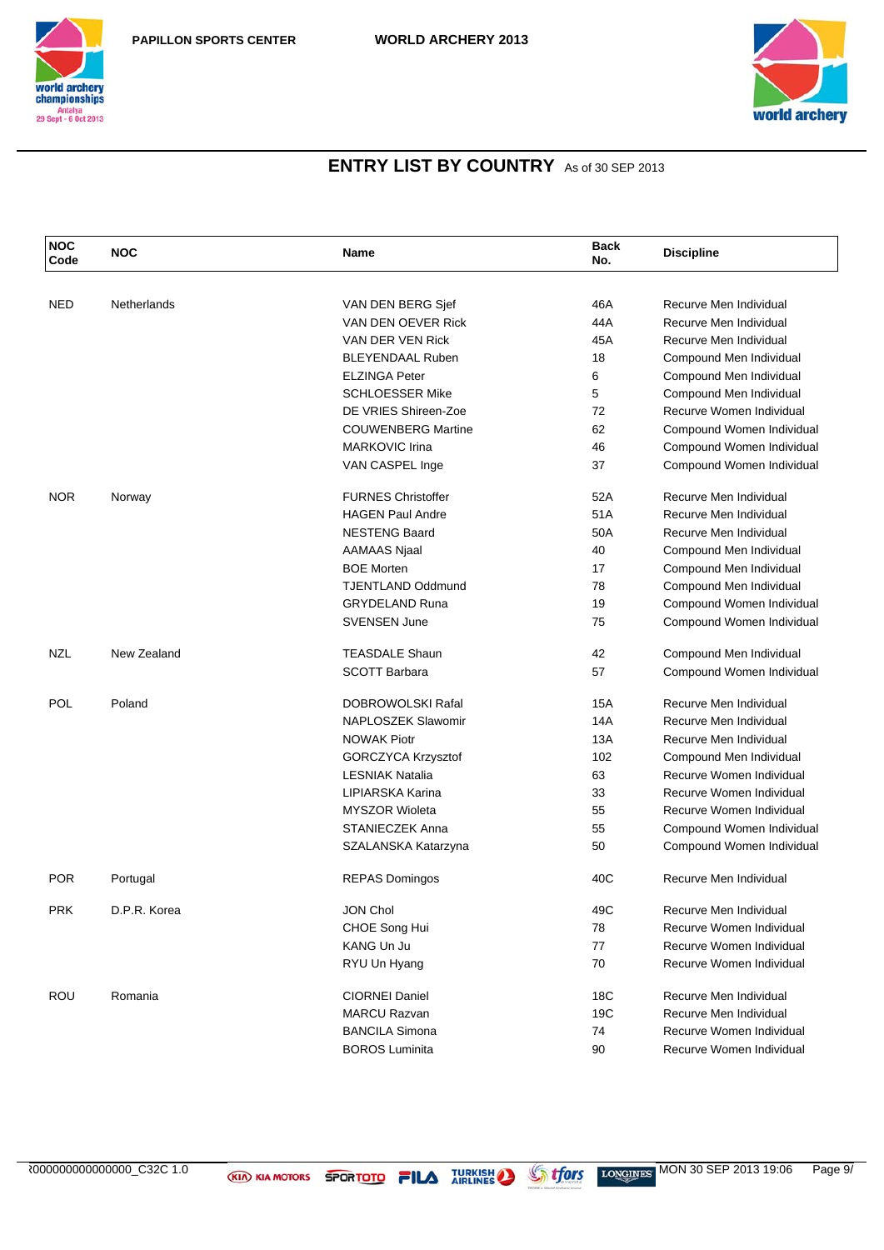



| <b>NOC</b><br>Code | <b>NOC</b>   | Name                      | <b>Back</b><br>No. | <b>Discipline</b>         |
|--------------------|--------------|---------------------------|--------------------|---------------------------|
|                    |              |                           |                    |                           |
| <b>NED</b>         | Netherlands  | VAN DEN BERG Sjef         | 46A                | Recurve Men Individual    |
|                    |              | VAN DEN OEVER Rick        | 44A                | Recurve Men Individual    |
|                    |              | VAN DER VEN Rick          | 45A                | Recurve Men Individual    |
|                    |              | <b>BLEYENDAAL Ruben</b>   | 18                 | Compound Men Individual   |
|                    |              | <b>ELZINGA Peter</b>      | 6                  | Compound Men Individual   |
|                    |              | <b>SCHLOESSER Mike</b>    | 5                  | Compound Men Individual   |
|                    |              | DE VRIES Shireen-Zoe      | 72                 | Recurve Women Individual  |
|                    |              | <b>COUWENBERG Martine</b> | 62                 | Compound Women Individual |
|                    |              | <b>MARKOVIC Irina</b>     | 46                 | Compound Women Individual |
|                    |              | VAN CASPEL Inge           | 37                 | Compound Women Individual |
| <b>NOR</b>         | Norway       | <b>FURNES Christoffer</b> | 52A                | Recurve Men Individual    |
|                    |              | <b>HAGEN Paul Andre</b>   | 51A                | Recurve Men Individual    |
|                    |              | <b>NESTENG Baard</b>      | 50A                | Recurve Men Individual    |
|                    |              | <b>AAMAAS Njaal</b>       | 40                 | Compound Men Individual   |
|                    |              | <b>BOE Morten</b>         | 17                 | Compound Men Individual   |
|                    |              | <b>TJENTLAND Oddmund</b>  | 78                 | Compound Men Individual   |
|                    |              | <b>GRYDELAND Runa</b>     | 19                 | Compound Women Individual |
|                    |              | <b>SVENSEN June</b>       | 75                 | Compound Women Individual |
| NZL                | New Zealand  | <b>TEASDALE Shaun</b>     | 42                 | Compound Men Individual   |
|                    |              | <b>SCOTT Barbara</b>      | 57                 | Compound Women Individual |
| POL                | Poland       | DOBROWOLSKI Rafal         | 15A                | Recurve Men Individual    |
|                    |              | NAPLOSZEK Slawomir        | 14A                | Recurve Men Individual    |
|                    |              | <b>NOWAK Piotr</b>        | 13A                | Recurve Men Individual    |
|                    |              | GORCZYCA Krzysztof        | 102                | Compound Men Individual   |
|                    |              | <b>LESNIAK Natalia</b>    | 63                 | Recurve Women Individual  |
|                    |              | LIPIARSKA Karina          | 33                 | Recurve Women Individual  |
|                    |              | <b>MYSZOR Wioleta</b>     | 55                 | Recurve Women Individual  |
|                    |              | <b>STANIECZEK Anna</b>    | 55                 | Compound Women Individual |
|                    |              | SZALANSKA Katarzyna       | 50                 | Compound Women Individual |
| <b>POR</b>         | Portugal     | <b>REPAS Domingos</b>     | 40C                | Recurve Men Individual    |
| <b>PRK</b>         | D.P.R. Korea | JON Chol                  | 49C                | Recurve Men Individual    |
|                    |              | CHOE Song Hui             | 78                 | Recurve Women Individual  |
|                    |              | <b>KANG Un Ju</b>         | 77                 | Recurve Women Individual  |
|                    |              | RYU Un Hyang              | 70                 | Recurve Women Individual  |
| <b>ROU</b>         | Romania      | <b>CIORNEI Daniel</b>     | 18C                | Recurve Men Individual    |
|                    |              | <b>MARCU Razvan</b>       | 19C                | Recurve Men Individual    |
|                    |              | <b>BANCILA Simona</b>     | 74                 | Recurve Women Individual  |
|                    |              | <b>BOROS Luminita</b>     | 90                 | Recurve Women Individual  |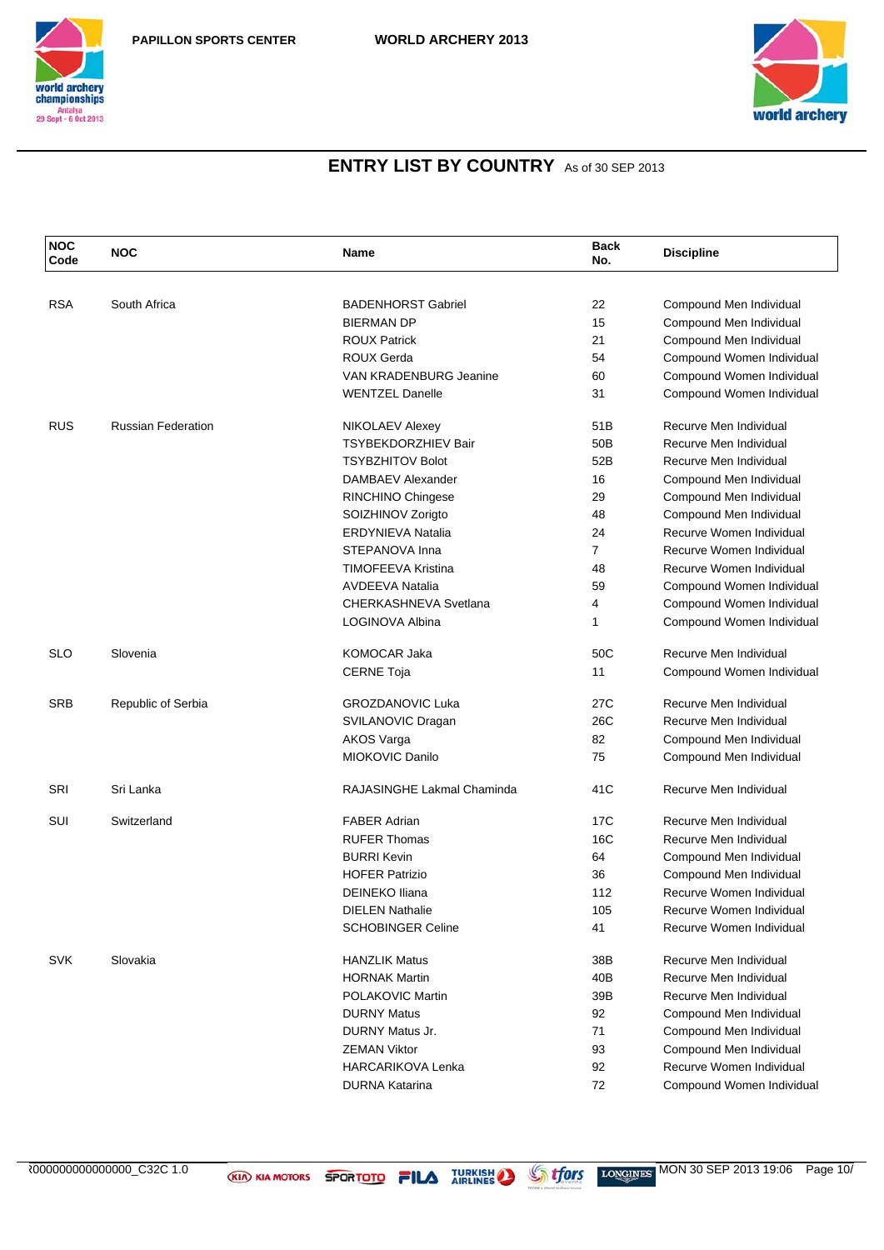



| <b>NOC</b><br>Code | <b>NOC</b>                | Name                          | <b>Back</b><br>No. | <b>Discipline</b>         |
|--------------------|---------------------------|-------------------------------|--------------------|---------------------------|
|                    |                           |                               |                    |                           |
| <b>RSA</b>         | South Africa              | <b>BADENHORST Gabriel</b>     | 22                 | Compound Men Individual   |
|                    |                           | <b>BIERMAN DP</b>             | 15                 | Compound Men Individual   |
|                    |                           | <b>ROUX Patrick</b>           | 21                 | Compound Men Individual   |
|                    |                           | <b>ROUX Gerda</b>             | 54                 | Compound Women Individual |
|                    |                           | <b>VAN KRADENBURG Jeanine</b> | 60                 | Compound Women Individual |
|                    |                           | <b>WENTZEL Danelle</b>        | 31                 | Compound Women Individual |
| <b>RUS</b>         | <b>Russian Federation</b> | NIKOLAEV Alexey               | 51B                | Recurve Men Individual    |
|                    |                           | <b>TSYBEKDORZHIEV Bair</b>    | 50 <sub>B</sub>    | Recurve Men Individual    |
|                    |                           | <b>TSYBZHITOV Bolot</b>       | 52B                | Recurve Men Individual    |
|                    |                           | DAMBAEV Alexander             | 16                 | Compound Men Individual   |
|                    |                           | RINCHINO Chingese             | 29                 | Compound Men Individual   |
|                    |                           | SOIZHINOV Zorigto             | 48                 | Compound Men Individual   |
|                    |                           | <b>ERDYNIEVA Natalia</b>      | 24                 | Recurve Women Individual  |
|                    |                           | STEPANOVA Inna                | $\overline{7}$     | Recurve Women Individual  |
|                    |                           | TIMOFEEVA Kristina            | 48                 | Recurve Women Individual  |
|                    |                           | <b>AVDEEVA Natalia</b>        | 59                 | Compound Women Individual |
|                    |                           | CHERKASHNEVA Svetlana         | 4                  | Compound Women Individual |
|                    |                           | LOGINOVA Albina               | 1                  | Compound Women Individual |
| <b>SLO</b>         | Slovenia                  | KOMOCAR Jaka                  | 50C                | Recurve Men Individual    |
|                    |                           | <b>CERNE Toja</b>             | 11                 | Compound Women Individual |
| <b>SRB</b>         | Republic of Serbia        | <b>GROZDANOVIC Luka</b>       | 27C                | Recurve Men Individual    |
|                    |                           | SVILANOVIC Dragan             | 26C                | Recurve Men Individual    |
|                    |                           | <b>AKOS Varga</b>             | 82                 | Compound Men Individual   |
|                    |                           | MIOKOVIC Danilo               | 75                 | Compound Men Individual   |
| SRI                | Sri Lanka                 | RAJASINGHE Lakmal Chaminda    | 41C                | Recurve Men Individual    |
| SUI                | Switzerland               | <b>FABER Adrian</b>           | 17C                | Recurve Men Individual    |
|                    |                           | <b>RUFER Thomas</b>           | 16C                | Recurve Men Individual    |
|                    |                           | <b>BURRI Kevin</b>            | 64                 | Compound Men Individual   |
|                    |                           | <b>HOFER Patrizio</b>         | 36                 | Compound Men Individual   |
|                    |                           | <b>DEINEKO Iliana</b>         | 112                | Recurve Women Individual  |
|                    |                           | <b>DIELEN Nathalie</b>        | 105                | Recurve Women Individual  |
|                    |                           | <b>SCHOBINGER Celine</b>      | 41                 | Recurve Women Individual  |
| <b>SVK</b>         | Slovakia                  | <b>HANZLIK Matus</b>          | 38B                | Recurve Men Individual    |
|                    |                           | <b>HORNAK Martin</b>          | 40B                | Recurve Men Individual    |
|                    |                           | POLAKOVIC Martin              | 39B                | Recurve Men Individual    |
|                    |                           | <b>DURNY Matus</b>            | 92                 | Compound Men Individual   |
|                    |                           | DURNY Matus Jr.               | 71                 | Compound Men Individual   |
|                    |                           | <b>ZEMAN Viktor</b>           | 93                 | Compound Men Individual   |
|                    |                           | <b>HARCARIKOVA Lenka</b>      | 92                 | Recurve Women Individual  |
|                    |                           | <b>DURNA Katarina</b>         | 72                 | Compound Women Individual |
|                    |                           |                               |                    |                           |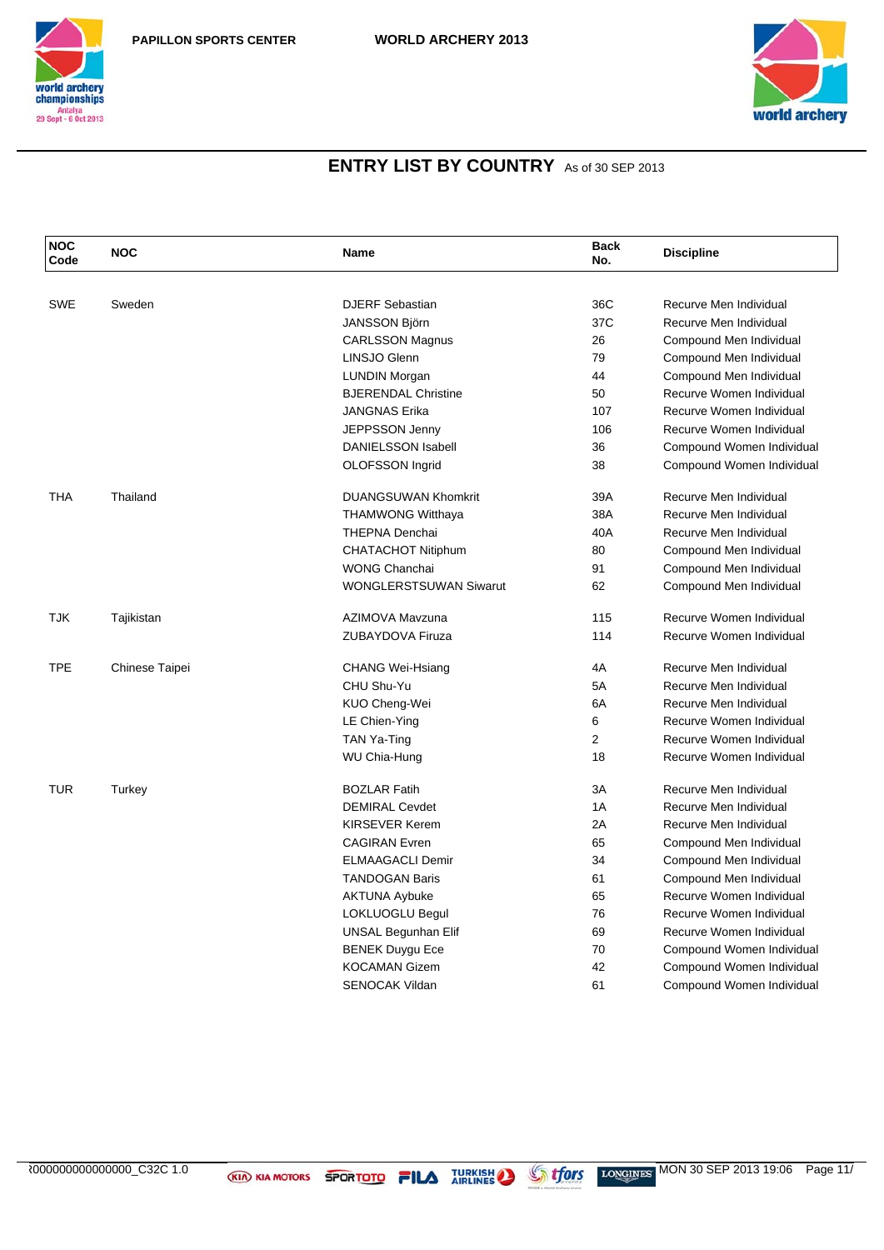



| <b>NOC</b><br>Code | <b>NOC</b>     | Name                          | <b>Back</b><br>No. | <b>Discipline</b>         |
|--------------------|----------------|-------------------------------|--------------------|---------------------------|
|                    |                |                               |                    |                           |
| <b>SWE</b>         | Sweden         | <b>DJERF</b> Sebastian        | 36C                | Recurve Men Individual    |
|                    |                | <b>JANSSON Björn</b>          | 37C                | Recurve Men Individual    |
|                    |                | <b>CARLSSON Magnus</b>        | 26                 | Compound Men Individual   |
|                    |                | LINSJO Glenn                  | 79                 | Compound Men Individual   |
|                    |                | <b>LUNDIN Morgan</b>          | 44                 | Compound Men Individual   |
|                    |                | <b>BJERENDAL Christine</b>    | 50                 | Recurve Women Individual  |
|                    |                | <b>JANGNAS Erika</b>          | 107                | Recurve Women Individual  |
|                    |                | <b>JEPPSSON Jenny</b>         | 106                | Recurve Women Individual  |
|                    |                | <b>DANIELSSON Isabell</b>     | 36                 | Compound Women Individual |
|                    |                | OLOFSSON Ingrid               | 38                 | Compound Women Individual |
| <b>THA</b>         | Thailand       | <b>DUANGSUWAN Khomkrit</b>    | 39A                | Recurve Men Individual    |
|                    |                | <b>THAMWONG Witthaya</b>      | 38A                | Recurve Men Individual    |
|                    |                | <b>THEPNA Denchai</b>         | 40A                | Recurve Men Individual    |
|                    |                | <b>CHATACHOT Nitiphum</b>     | 80                 | Compound Men Individual   |
|                    |                | <b>WONG Chanchai</b>          | 91                 | Compound Men Individual   |
|                    |                | <b>WONGLERSTSUWAN Siwarut</b> | 62                 | Compound Men Individual   |
| <b>TJK</b>         | Tajikistan     | AZIMOVA Mavzuna               | 115                | Recurve Women Individual  |
|                    |                | <b>ZUBAYDOVA Firuza</b>       | 114                | Recurve Women Individual  |
| <b>TPE</b>         | Chinese Taipei | <b>CHANG Wei-Hsiang</b>       | 4A                 | Recurve Men Individual    |
|                    |                | CHU Shu-Yu                    | 5A                 | Recurve Men Individual    |
|                    |                | KUO Cheng-Wei                 | 6A                 | Recurve Men Individual    |
|                    |                | LE Chien-Ying                 | 6                  | Recurve Women Individual  |
|                    |                | TAN Ya-Ting                   | $\overline{2}$     | Recurve Women Individual  |
|                    |                | WU Chia-Hung                  | 18                 | Recurve Women Individual  |
| <b>TUR</b>         | Turkey         | <b>BOZLAR Fatih</b>           | 3A                 | Recurve Men Individual    |
|                    |                | <b>DEMIRAL Cevdet</b>         | 1A                 | Recurve Men Individual    |
|                    |                | KIRSEVER Kerem                | 2A                 | Recurve Men Individual    |
|                    |                | <b>CAGIRAN</b> Evren          | 65                 | Compound Men Individual   |
|                    |                | <b>ELMAAGACLI Demir</b>       | 34                 | Compound Men Individual   |
|                    |                | <b>TANDOGAN Baris</b>         | 61                 | Compound Men Individual   |
|                    |                | <b>AKTUNA Aybuke</b>          | 65                 | Recurve Women Individual  |
|                    |                | LOKLUOGLU Begul               | 76                 | Recurve Women Individual  |
|                    |                | UNSAL Begunhan Elif           | 69                 | Recurve Women Individual  |
|                    |                | <b>BENEK Duygu Ece</b>        | 70                 | Compound Women Individual |
|                    |                | <b>KOCAMAN Gizem</b>          | 42                 | Compound Women Individual |
|                    |                | <b>SENOCAK Vildan</b>         | 61                 | Compound Women Individual |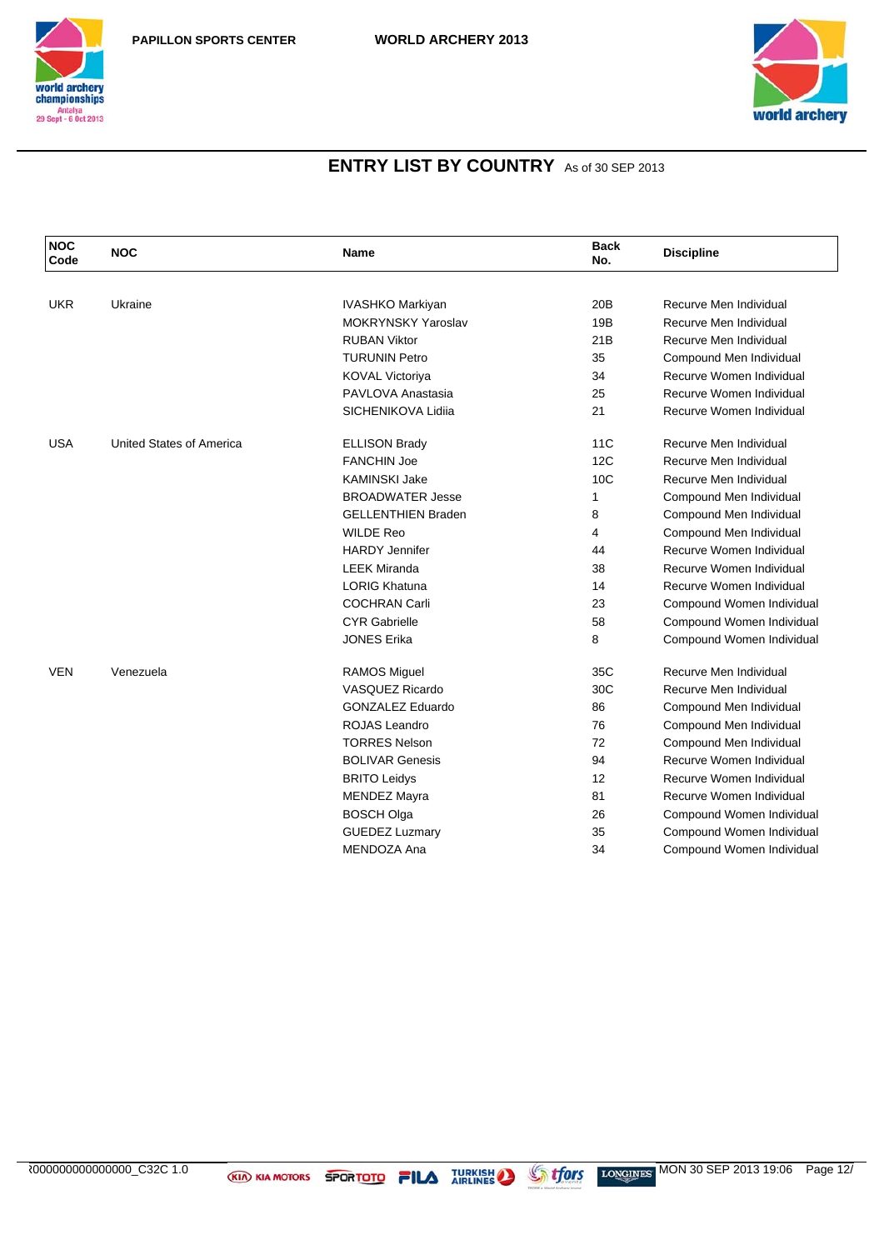



| <b>NOC</b><br>Code | <b>NOC</b>               | <b>Name</b>               | <b>Back</b><br>No. | <b>Discipline</b>         |
|--------------------|--------------------------|---------------------------|--------------------|---------------------------|
|                    |                          |                           |                    |                           |
| <b>UKR</b>         | Ukraine                  | IVASHKO Markiyan          | 20 <sub>B</sub>    | Recurve Men Individual    |
|                    |                          | <b>MOKRYNSKY Yaroslav</b> | 19B                | Recurve Men Individual    |
|                    |                          | <b>RUBAN Viktor</b>       | 21B                | Recurve Men Individual    |
|                    |                          | TURUNIN Petro             | 35                 | Compound Men Individual   |
|                    |                          | <b>KOVAL Victoriya</b>    | 34                 | Recurve Women Individual  |
|                    |                          | PAVLOVA Anastasia         | 25                 | Recurve Women Individual  |
|                    |                          | SICHENIKOVA Lidija        | 21                 | Recurve Women Individual  |
| <b>USA</b>         | United States of America | <b>ELLISON Brady</b>      | 11C                | Recurve Men Individual    |
|                    |                          | <b>FANCHIN Joe</b>        | 12C                | Recurve Men Individual    |
|                    |                          | <b>KAMINSKI Jake</b>      | 10C                | Recurve Men Individual    |
|                    |                          | <b>BROADWATER Jesse</b>   | 1                  | Compound Men Individual   |
|                    |                          | <b>GELLENTHIEN Braden</b> | 8                  | Compound Men Individual   |
|                    |                          | <b>WILDE Reo</b>          | 4                  | Compound Men Individual   |
|                    |                          | <b>HARDY Jennifer</b>     | 44                 | Recurve Women Individual  |
|                    |                          | <b>LEEK Miranda</b>       | 38                 | Recurve Women Individual  |
|                    |                          | <b>LORIG Khatuna</b>      | 14                 | Recurve Women Individual  |
|                    |                          | <b>COCHRAN Carli</b>      | 23                 | Compound Women Individual |
|                    |                          | <b>CYR Gabrielle</b>      | 58                 | Compound Women Individual |
|                    |                          | <b>JONES Erika</b>        | 8                  | Compound Women Individual |
| <b>VEN</b>         | Venezuela                | <b>RAMOS Miguel</b>       | 35C                | Recurve Men Individual    |
|                    |                          | <b>VASQUEZ Ricardo</b>    | 30C                | Recurve Men Individual    |
|                    |                          | GONZALEZ Eduardo          | 86                 | Compound Men Individual   |
|                    |                          | ROJAS Leandro             | 76                 | Compound Men Individual   |
|                    |                          | <b>TORRES Nelson</b>      | 72                 | Compound Men Individual   |
|                    |                          | <b>BOLIVAR Genesis</b>    | 94                 | Recurve Women Individual  |
|                    |                          | <b>BRITO Leidys</b>       | 12                 | Recurve Women Individual  |
|                    |                          | <b>MENDEZ Mayra</b>       | 81                 | Recurve Women Individual  |
|                    |                          | <b>BOSCH Olga</b>         | 26                 | Compound Women Individual |
|                    |                          | <b>GUEDEZ Luzmary</b>     | 35                 | Compound Women Individual |
|                    |                          | MENDOZA Ana               | 34                 | Compound Women Individual |
|                    |                          |                           |                    |                           |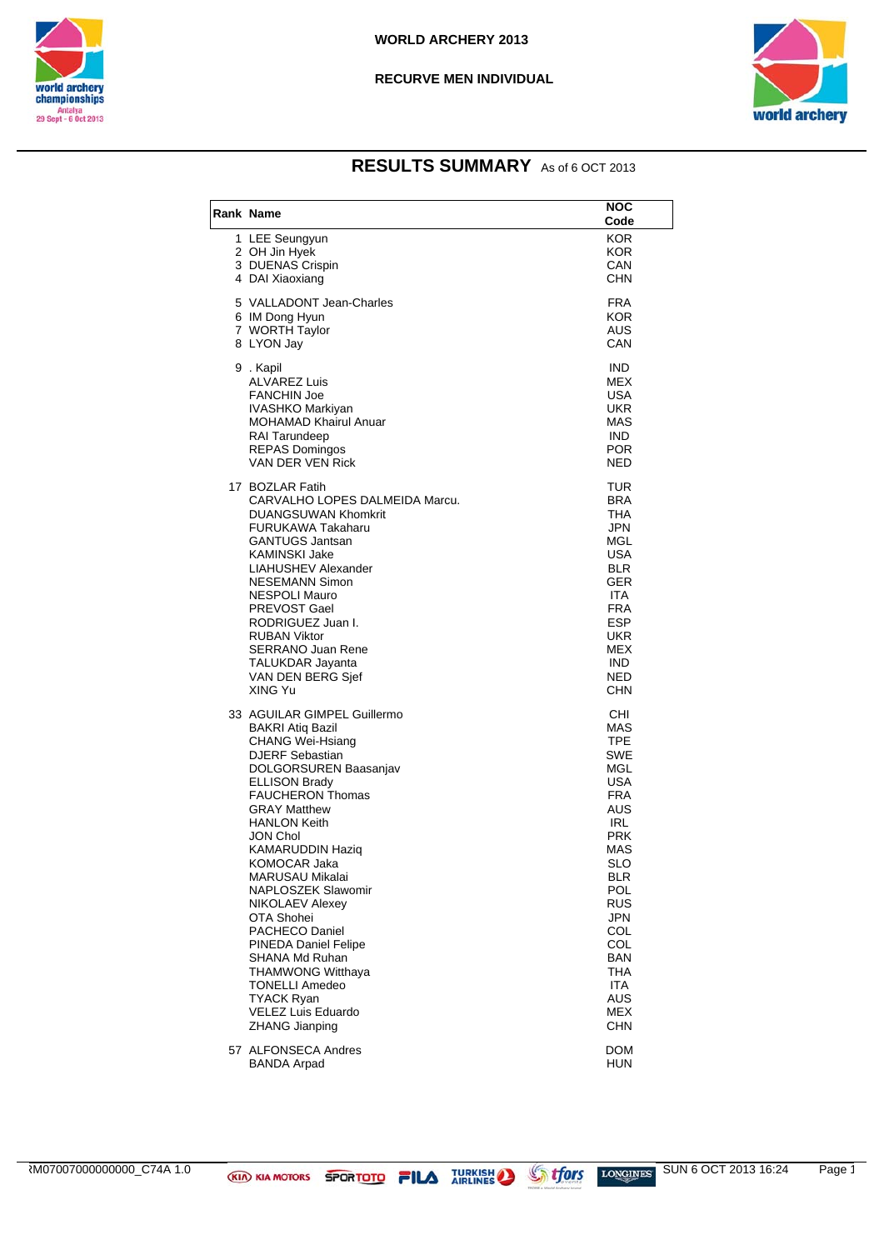



### **RESULTS SUMMARY** As of 6 OCT 2013

| <b>Rank Name</b>                                                                                                                                                                                                                                                                                                                                                                                                                                                                                                                                     | <b>NOC</b><br>Code                                                                                                                                                                                             |
|------------------------------------------------------------------------------------------------------------------------------------------------------------------------------------------------------------------------------------------------------------------------------------------------------------------------------------------------------------------------------------------------------------------------------------------------------------------------------------------------------------------------------------------------------|----------------------------------------------------------------------------------------------------------------------------------------------------------------------------------------------------------------|
| 1 LEE Seungyun<br>2 OH Jin Hyek<br>3 DUENAS Crispin<br>4 DAI Xiaoxiang                                                                                                                                                                                                                                                                                                                                                                                                                                                                               | <b>KOR</b><br><b>KOR</b><br>CAN<br>CHN                                                                                                                                                                         |
| 5 VALLADONT Jean-Charles<br>6 IM Dong Hyun<br>7 WORTH Taylor<br>8 LYON Jay                                                                                                                                                                                                                                                                                                                                                                                                                                                                           | <b>FRA</b><br><b>KOR</b><br>AUS<br>CAN                                                                                                                                                                         |
| 9.Kapil<br><b>ALVAREZ Luis</b><br><b>FANCHIN Joe</b><br>IVASHKO Markiyan<br>MOHAMAD Khairul Anuar<br><b>RAI Tarundeep</b><br><b>REPAS Domingos</b><br>VAN DER VEN Rick                                                                                                                                                                                                                                                                                                                                                                               | <b>IND</b><br><b>MEX</b><br>USA<br>UKR<br>MAS<br><b>IND</b><br><b>POR</b><br><b>NED</b>                                                                                                                        |
| 17 BOZLAR Fatih<br>CARVALHO LOPES DALMEIDA Marcu.<br><b>DUANGSUWAN Khomkrit</b><br><b>FURUKAWA Takaharu</b><br><b>GANTUGS Jantsan</b><br><b>KAMINSKI Jake</b><br>LIAHUSHEV Alexander<br><b>NESEMANN Simon</b><br><b>NESPOLI Mauro</b><br>PREVOST Gael<br>RODRIGUEZ Juan I.<br><b>RUBAN Viktor</b><br><b>SERRANO Juan Rene</b><br>TALUKDAR Jayanta<br>VAN DEN BERG Sjef<br>XING Yu                                                                                                                                                                    | TUR<br><b>BRA</b><br><b>THA</b><br><b>JPN</b><br>MGL<br><b>USA</b><br><b>BLR</b><br>GER<br><b>ITA</b><br><b>FRA</b><br><b>ESP</b><br>UKR<br><b>MEX</b><br><b>IND</b><br><b>NED</b><br>CHN                      |
| 33 AGUILAR GIMPEL Guillermo<br><b>BAKRI Atiq Bazil</b><br><b>CHANG Wei-Hsiang</b><br><b>DJERF Sebastian</b><br>DOLGORSUREN Baasanjav<br><b>ELLISON Brady</b><br><b>FAUCHERON Thomas</b><br><b>GRAY Matthew</b><br>HANLON Keith<br>JON Chol<br><b>KAMARUDDIN Haziq</b><br>KOMOCAR Jaka<br>MARUSAU Mikalai<br>NAPLOSZEK Slawomir<br>NIKOLAEV Alexey<br>OTA Shohei<br>PACHECO Daniel<br>PINEDA Daniel Felipe<br>SHANA Md Ruhan<br><b>THAMWONG Witthaya</b><br><b>TONELLI Amedeo</b><br><b>TYACK Ryan</b><br><b>VELEZ Luis Eduardo</b><br>ZHANG Jianping | CHI<br>MAS<br><b>TPE</b><br>SWE<br>MGL<br>USA<br><b>FRA</b><br>AUS<br>IRL<br>PRK<br>MAS<br><b>SLO</b><br>BLR<br><b>POL</b><br><b>RUS</b><br>JPN<br>COL<br>COL<br><b>BAN</b><br>THA<br>ITA<br>AUS<br>MEX<br>CHN |
| 57 ALFONSECA Andres<br><b>BANDA Arpad</b>                                                                                                                                                                                                                                                                                                                                                                                                                                                                                                            | DOM<br>HUN                                                                                                                                                                                                     |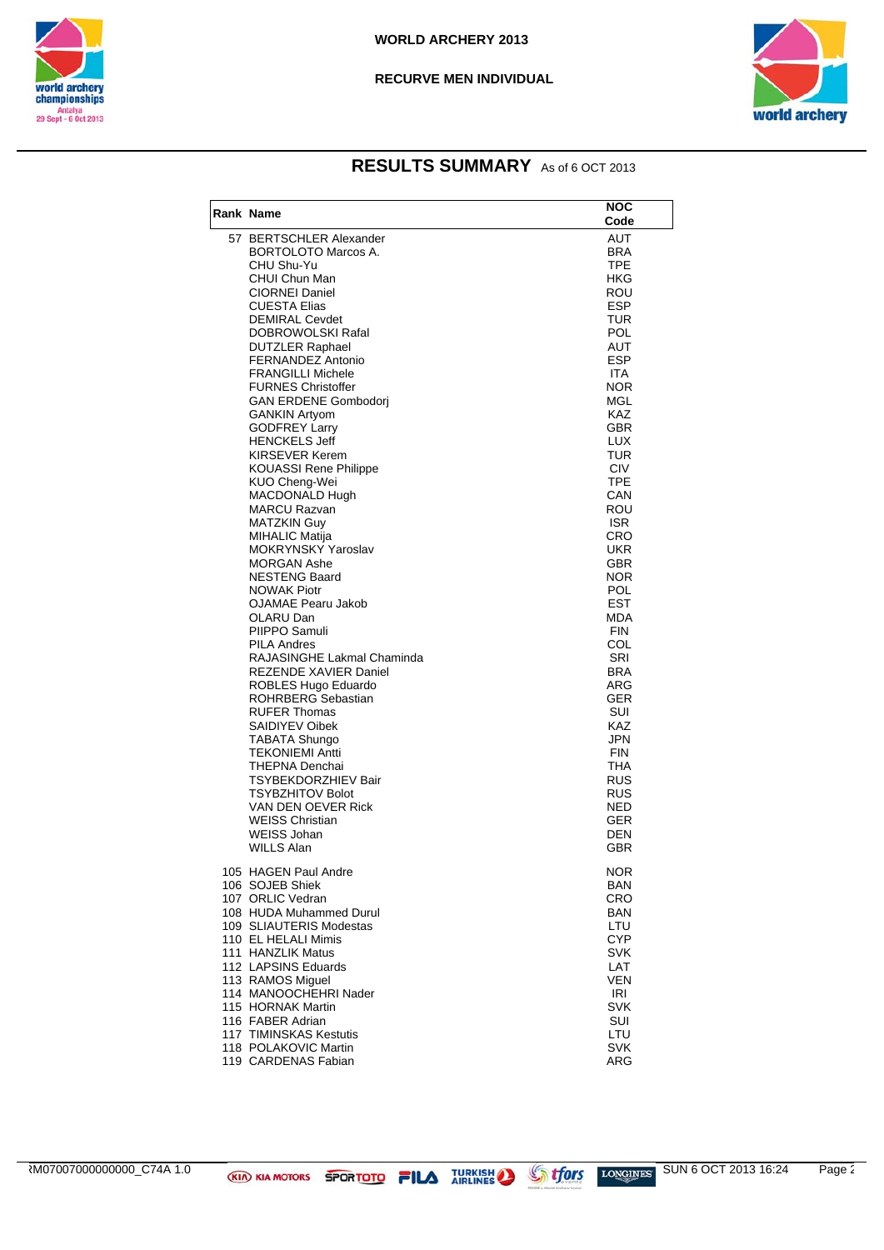



### **RESULTS SUMMARY** As of 6 OCT 2013

| Rank Name                                             | NOC<br>Code       |
|-------------------------------------------------------|-------------------|
| 57 BERTSCHLER Alexander                               | AUT               |
| <b>BORTOLOTO Marcos A.</b>                            | <b>BRA</b>        |
| CHU Shu-Yu                                            | <b>TPE</b>        |
| CHUI Chun Man                                         | HKG               |
| <b>CIORNEI Daniel</b>                                 | ROU               |
| <b>CUESTA Elias</b>                                   | ESP               |
| <b>DEMIRAL Cevdet</b>                                 | TUR               |
| DOBROWOLSKI Rafal                                     | <b>POL</b>        |
| <b>DUTZLER Raphael</b>                                | AUT               |
| FERNANDEZ Antonio                                     | <b>ESP</b>        |
| <b>FRANGILLI Michele</b>                              | ITA.              |
| <b>FURNES Christoffer</b>                             | <b>NOR</b>        |
| <b>GAN ERDENE Gombodori</b>                           | MGL               |
| <b>GANKIN Artyom</b>                                  | KAZ               |
| <b>GODFREY Larry</b>                                  | <b>GBR</b>        |
| <b>HENCKELS Jeff</b>                                  | LUX               |
| <b>KIRSEVER Kerem</b>                                 | TUR               |
| <b>KOUASSI Rene Philippe</b>                          | <b>CIV</b>        |
| KUO Cheng-Wei                                         | <b>TPE</b>        |
| MACDONALD Hugh                                        | CAN               |
| <b>MARCU Razvan</b><br><b>MATZKIN Guy</b>             | ROU               |
|                                                       | <b>ISR</b><br>CRO |
| <b>MIHALIC Matija</b><br><b>MOKRYNSKY Yaroslav</b>    | <b>UKR</b>        |
| <b>MORGAN Ashe</b>                                    | GBR               |
| <b>NESTENG Baard</b>                                  | NOR.              |
| <b>NOWAK Piotr</b>                                    | <b>POL</b>        |
| <b>OJAMAE Pearu Jakob</b>                             | EST               |
| OLARU Dan                                             | MDA               |
| PIIPPO Samuli                                         | <b>FIN</b>        |
| <b>PILA Andres</b>                                    | COL               |
| RAJASINGHE Lakmal Chaminda                            | SRI               |
| <b>REZENDE XAVIER Daniel</b>                          | <b>BRA</b>        |
| ROBLES Hugo Eduardo                                   | ARG               |
| ROHRBERG Sebastian                                    | <b>GER</b>        |
| <b>RUFER Thomas</b>                                   | SUI               |
| SAIDIYEV Oibek                                        | KAZ               |
| TABATA Shungo                                         | JPN               |
| <b>TEKONIEMI Antti</b>                                | <b>FIN</b>        |
| THEPNA Denchai                                        | THA               |
| <b>TSYBEKDORZHIEV Bair</b><br><b>TSYBZHITOV Bolot</b> | RUS<br><b>RUS</b> |
| VAN DEN OEVER Rick                                    | <b>NED</b>        |
| <b>WEISS Christian</b>                                | <b>GER</b>        |
| <b>WEISS Johan</b>                                    | DEN               |
| <b>WILLS Alan</b>                                     | GBR               |
|                                                       |                   |
| 105 HAGEN Paul Andre                                  | <b>NOR</b>        |
| 106 SOJEB Shiek                                       | BAN               |
| 107 ORLIC Vedran                                      | CRO               |
| 108 HUDA Muhammed Durul                               | <b>BAN</b>        |
| 109 SLIAUTERIS Modestas                               | LTU               |
| 110 EL HELALI Mimis                                   | CYP               |
| 111 HANZLIK Matus                                     | <b>SVK</b>        |
| 112 LAPSINS Eduards                                   | LAT               |
| 113 RAMOS Miguel                                      | VEN               |
| 114 MANOOCHEHRI Nader                                 | IRI               |
| 115 HORNAK Martin                                     | SVK               |
| 116 FABER Adrian                                      | SUI               |
| <b>117 TIMINSKAS Kestutis</b><br>118 POLAKOVIC Martin | LTU<br><b>SVK</b> |
| 119 CARDENAS Fabian                                   | <b>ARG</b>        |
|                                                       |                   |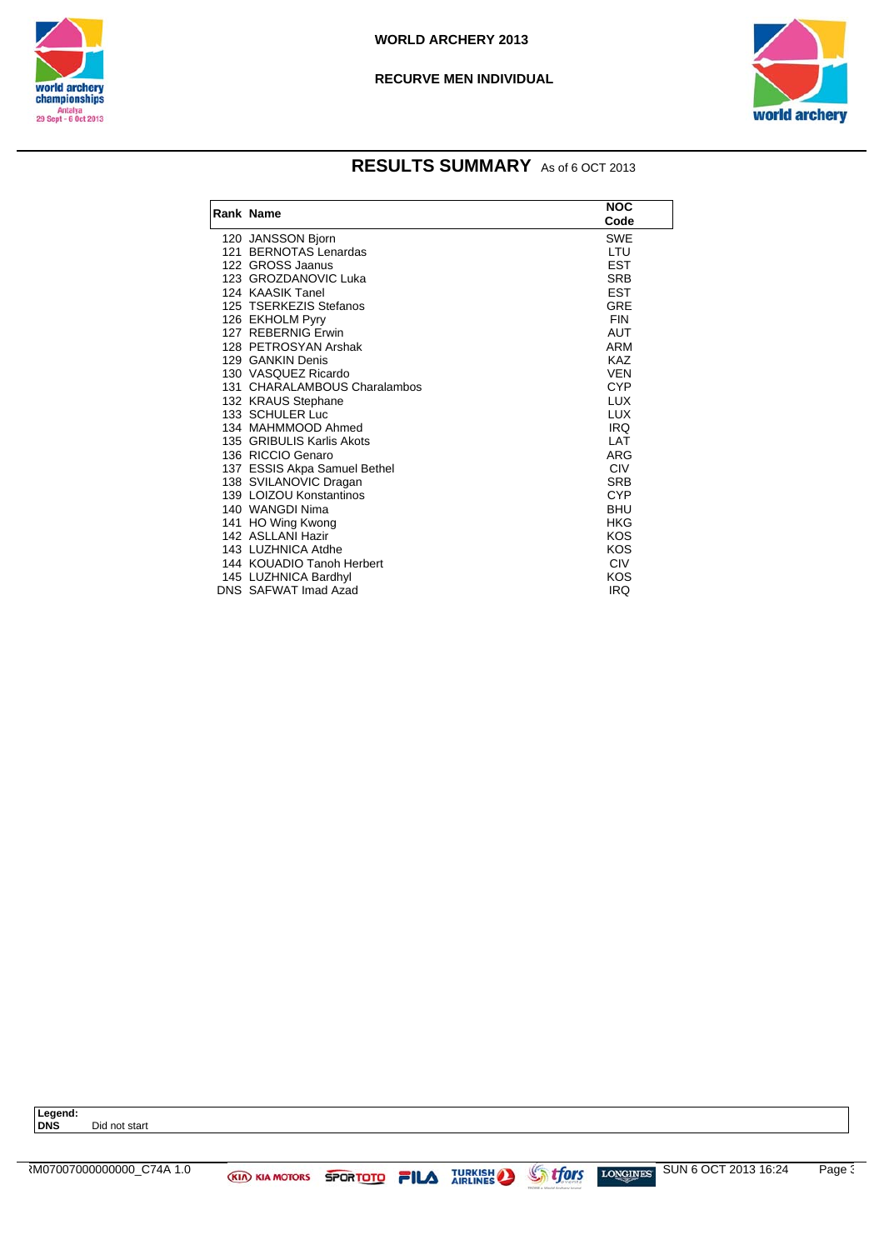



### **RESULTS SUMMARY** As of 6 OCT 2013

| Rank Name                    | <b>NOC</b> |
|------------------------------|------------|
|                              | Code       |
| 120 JANSSON Bjorn            | <b>SWE</b> |
| 121 BERNOTAS Lenardas        | LTU        |
| 122 GROSS Jaanus             | <b>EST</b> |
| 123 GROZDANOVIC Luka         | <b>SRB</b> |
| 124 KAASIK Tanel             | <b>EST</b> |
| 125 TSERKEZIS Stefanos       | <b>GRE</b> |
| 126 EKHOLM Pyry              | <b>FIN</b> |
| 127 REBERNIG Erwin           | <b>AUT</b> |
| 128 PETROSYAN Arshak         | <b>ARM</b> |
| 129 GANKIN Denis             | <b>KAZ</b> |
| 130 VASQUEZ Ricardo          | <b>VEN</b> |
| 131 CHARALAMBOUS Charalambos | <b>CYP</b> |
| 132 KRAUS Stephane           | <b>LUX</b> |
| 133 SCHULER Luc              | <b>LUX</b> |
| 134 MAHMMOOD Ahmed           | <b>IRQ</b> |
| 135 GRIBULIS Karlis Akots    | LAT        |
| 136 RICCIO Genaro            | ARG        |
| 137 ESSIS Akpa Samuel Bethel | <b>CIV</b> |
| 138 SVILANOVIC Dragan        | <b>SRB</b> |
| 139 LOIZOU Konstantinos      | <b>CYP</b> |
| 140 WANGDI Nima              | <b>BHU</b> |
| 141 HO Wing Kwong            | HKG        |
| 142 ASLLANI Hazir            | <b>KOS</b> |
| 143 LUZHNICA Atdhe           | KOS        |
| 144 KOUADIO Tanoh Herbert    | <b>CIV</b> |
| 145 LUZHNICA Bardhyl         | KOS        |
| DNS SAFWAT Imad Azad         | <b>IRQ</b> |

Legend:<br>DNS Did not start

ARM07007000000000\_C74A 1.0 SUN 6 OCT 2013 16:24 Page 3/3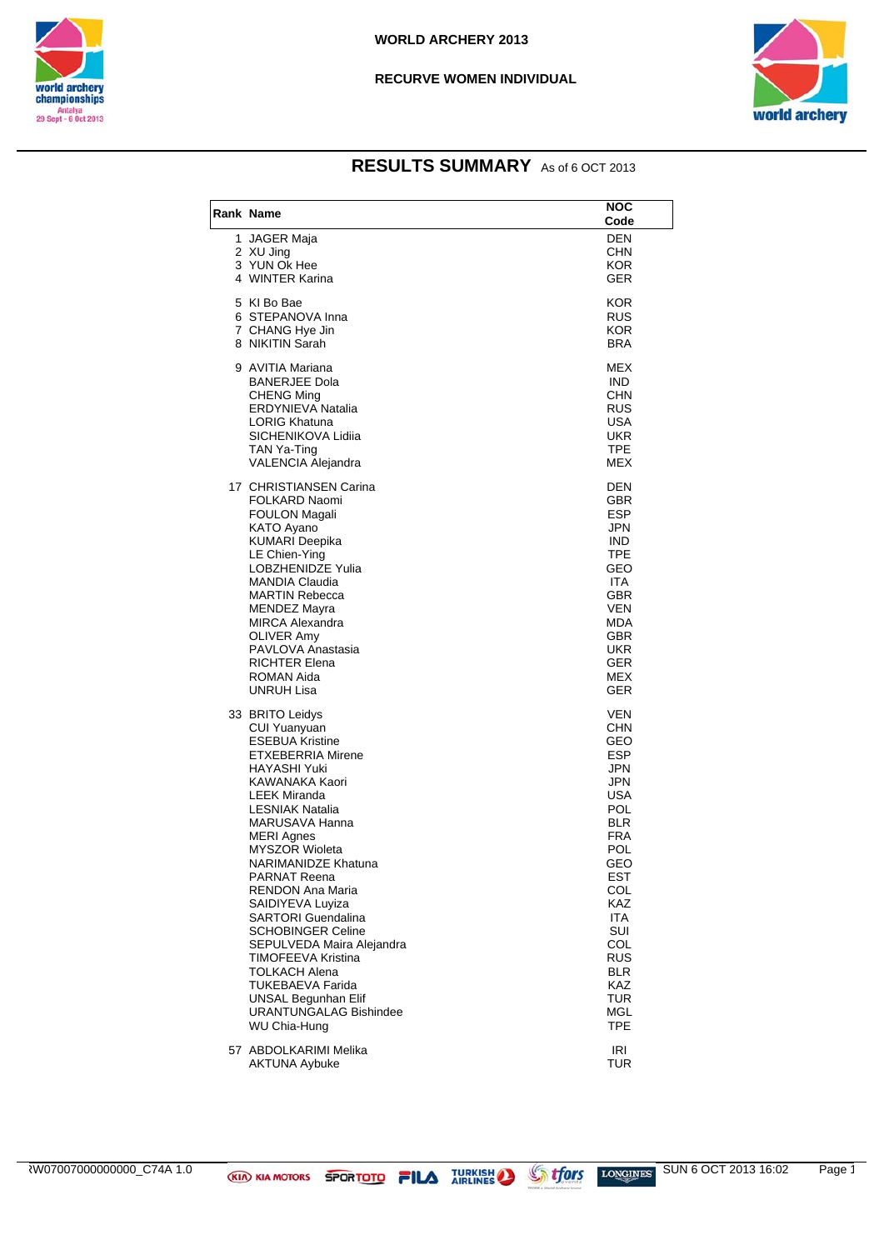



### **RESULTS SUMMARY** As of 6 OCT 2013

| Rank Name                                                                                                                                                                                                                                                                                                                                                                                                                                                                                                                                                             | NOC<br>Code                                                                                                                                                                                                                                |
|-----------------------------------------------------------------------------------------------------------------------------------------------------------------------------------------------------------------------------------------------------------------------------------------------------------------------------------------------------------------------------------------------------------------------------------------------------------------------------------------------------------------------------------------------------------------------|--------------------------------------------------------------------------------------------------------------------------------------------------------------------------------------------------------------------------------------------|
| 1 JAGER Maja<br>2 XU Jing<br>3 YUN Ok Hee<br>4 WINTER Karina                                                                                                                                                                                                                                                                                                                                                                                                                                                                                                          | <b>DEN</b><br>CHN<br><b>KOR</b><br>GER                                                                                                                                                                                                     |
| 5 KI Bo Bae<br>6 STEPANOVA Inna<br>7 CHANG Hye Jin<br>8 NIKITIN Sarah                                                                                                                                                                                                                                                                                                                                                                                                                                                                                                 | <b>KOR</b><br>RUS<br>KOR.<br><b>BRA</b>                                                                                                                                                                                                    |
| 9 AVITIA Mariana<br><b>BANERJEE Dola</b><br><b>CHENG Ming</b><br><b>ERDYNIEVA Natalia</b><br><b>LORIG Khatuna</b><br>SICHENIKOVA Lidiia<br>TAN Ya-Ting<br>VALENCIA Alejandra                                                                                                                                                                                                                                                                                                                                                                                          | MEX<br><b>IND</b><br><b>CHN</b><br><b>RUS</b><br><b>USA</b><br><b>UKR</b><br><b>TPE</b><br><b>MEX</b>                                                                                                                                      |
| 17 CHRISTIANSEN Carina<br>FOLKARD Naomi<br><b>FOULON Magali</b><br>KATO Ayano<br><b>KUMARI Deepika</b><br>LE Chien-Ying<br><b>LOBZHENIDZE Yulia</b><br><b>MANDIA Claudia</b><br><b>MARTIN Rebecca</b><br><b>MENDEZ Mayra</b><br><b>MIRCA Alexandra</b><br>OLIVER Amy<br>PAVLOVA Anastasia<br><b>RICHTER Elena</b><br>ROMAN Aida<br>UNRUH Lisa                                                                                                                                                                                                                         | DEN<br>GBR<br><b>ESP</b><br>JPN<br><b>IND</b><br><b>TPE</b><br>GEO<br><b>ITA</b><br><b>GBR</b><br><b>VEN</b><br><b>MDA</b><br><b>GBR</b><br><b>UKR</b><br><b>GER</b><br>MEX<br><b>GER</b>                                                  |
| 33 BRITO Leidys<br>CUI Yuanyuan<br><b>ESEBUA Kristine</b><br>ETXEBERRIA Mirene<br>HAYASHI Yuki<br>KAWANAKA Kaori<br><b>LEEK Miranda</b><br><b>LESNIAK Natalia</b><br>MARUSAVA Hanna<br><b>MERI Agnes</b><br><b>MYSZOR Wioleta</b><br>NARIMANIDZE Khatuna<br><b>PARNAT Reena</b><br>RENDON Ana Maria<br>SAIDIYEVA Luyiza<br><b>SARTORI Guendalina</b><br><b>SCHOBINGER Celine</b><br>SEPULVEDA Maira Alejandra<br>TIMOFEEVA Kristina<br><b>TOLKACH Alena</b><br><b>TUKEBAEVA Farida</b><br><b>UNSAL Begunhan Elif</b><br><b>URANTUNGALAG Bishindee</b><br>WU Chia-Hung | <b>VEN</b><br>CHN<br>GEO<br><b>ESP</b><br>JPN<br>JPN<br>USA<br><b>POL</b><br><b>BLR</b><br><b>FRA</b><br>POL<br>GEO<br>EST<br>COL<br>KAZ<br><b>ITA</b><br><b>SUI</b><br>COL<br><b>RUS</b><br><b>BLR</b><br>KAZ<br>TUR<br>MGL<br><b>TPE</b> |
| 57 ABDOLKARIMI Melika<br><b>AKTUNA Aybuke</b>                                                                                                                                                                                                                                                                                                                                                                                                                                                                                                                         | IRI<br>TUR                                                                                                                                                                                                                                 |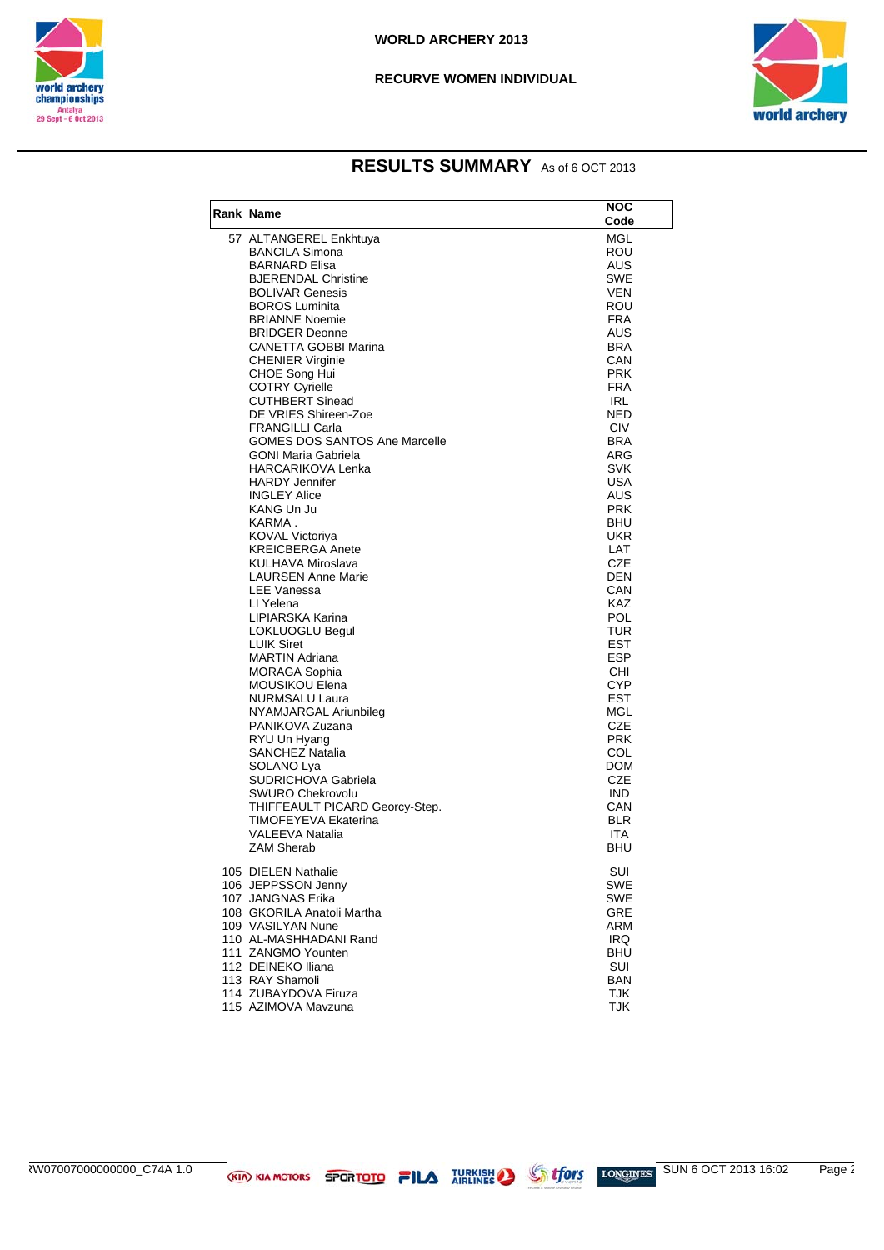



### **RESULTS SUMMARY** As of 6 OCT 2013

| Rank Name                                    | <b>NOC</b>        |
|----------------------------------------------|-------------------|
|                                              | Code              |
| 57 ALTANGEREL Enkhtuya                       | MGL               |
| <b>BANCILA Simona</b>                        | ROU               |
| <b>BARNARD Elisa</b>                         | AUS               |
| <b>BJERENDAL Christine</b>                   | <b>SWE</b>        |
| <b>BOLIVAR Genesis</b>                       | <b>VEN</b>        |
| <b>BOROS Luminita</b>                        | <b>ROU</b>        |
| <b>BRIANNE Noemie</b>                        | <b>FRA</b>        |
| <b>BRIDGER Deonne</b>                        | <b>AUS</b>        |
| <b>CANETTA GOBBI Marina</b>                  | <b>BRA</b>        |
| <b>CHENIER Virginie</b>                      | CAN               |
| CHOE Song Hui                                | <b>PRK</b>        |
| <b>COTRY Cyrielle</b>                        | <b>FRA</b>        |
| <b>CUTHBERT Sinead</b>                       | <b>IRL</b>        |
| DE VRIES Shireen-Zoe                         | <b>NED</b>        |
| <b>FRANGILLI Carla</b>                       | <b>CIV</b>        |
| <b>GOMES DOS SANTOS Ane Marcelle</b>         | <b>BRA</b>        |
| <b>GONI Maria Gabriela</b>                   | ARG               |
| HARCARIKOVA Lenka                            | SVK               |
| <b>HARDY Jennifer</b><br><b>INGLEY Alice</b> | USA               |
| KANG Un Ju                                   | AUS<br><b>PRK</b> |
| KARMA.                                       | <b>BHU</b>        |
| <b>KOVAL Victoriya</b>                       | UKR               |
| <b>KREICBERGA Anete</b>                      | LAT               |
| KULHAVA Miroslava                            | <b>CZE</b>        |
| <b>LAURSEN Anne Marie</b>                    | DEN               |
| <b>LEE Vanessa</b>                           | CAN               |
| LI Yelena                                    | <b>KAZ</b>        |
| LIPIARSKA Karina                             | POL               |
| LOKLUOGLU Begul                              | <b>TUR</b>        |
| <b>LUIK Siret</b>                            | EST               |
| <b>MARTIN Adriana</b>                        | <b>ESP</b>        |
| MORAGA Sophia                                | CHI               |
| MOUSIKOU Elena                               | <b>CYP</b>        |
| NURMSALU Laura                               | EST               |
| NYAMJARGAL Ariunbileg                        | MGL               |
| PANIKOVA Zuzana                              | <b>CZE</b>        |
| RYU Un Hyang                                 | <b>PRK</b>        |
| <b>SANCHEZ Natalia</b>                       | COL               |
| SOLANO Lya                                   | DOM               |
| SUDRICHOVA Gabriela                          | <b>CZE</b>        |
| <b>SWURO Chekrovolu</b>                      | <b>IND</b>        |
| THIFFEAULT PICARD Georcy-Step.               | CAN               |
| TIMOFEYEVA Ekaterina                         | <b>BLR</b>        |
| <b>VALEEVA Natalia</b>                       | <b>ITA</b>        |
| <b>ZAM Sherab</b>                            | BHU               |
| 105 DIELEN Nathalie                          | SUI               |
| 106 JEPPSSON Jenny                           | SWE               |
| 107 JANGNAS Erika                            | SWE               |
| 108 GKORILA Anatoli Martha                   | GRE               |
| 109 VASILYAN Nune                            | ARM               |
| 110 AL-MASHHADANI Rand                       | IRQ.              |
| 111 ZANGMO Younten                           | <b>BHU</b>        |
| 112 DEINEKO Iliana                           | SUI               |
| 113 RAY Shamoli                              | <b>BAN</b>        |
| 114 ZUBAYDOVA Firuza                         | <b>TJK</b>        |
| 115 AZIMOVA Mavzuna                          | <b>TJK</b>        |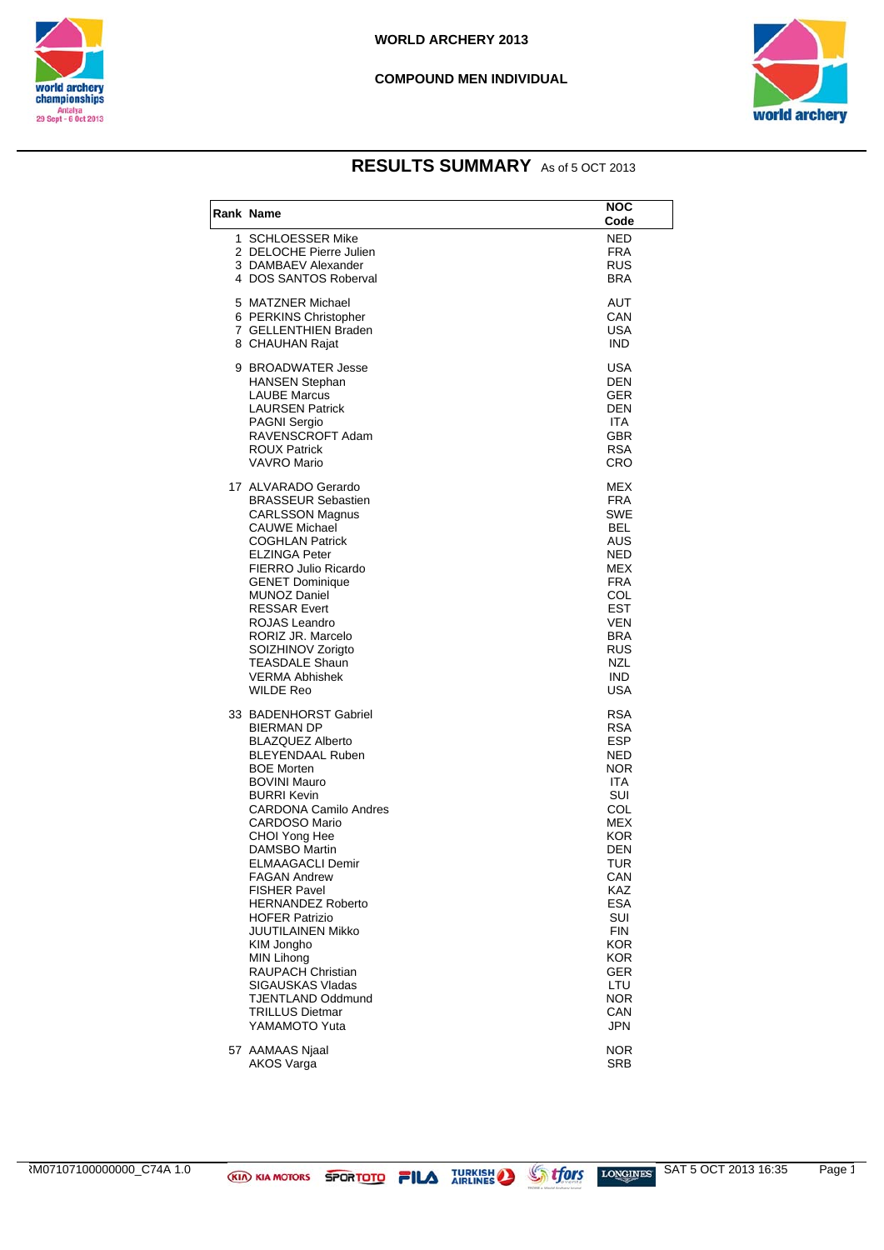

#### **COMPOUND MEN INDIVIDUAL**



### **RESULTS SUMMARY** As of 5 OCT 2013

| Rank Name                                                                                                                                                                                                                                                                                                                                                                                                                                                                                                                                                                 | <b>NOC</b><br>Code                                                                                                                                                                                                                                        |
|---------------------------------------------------------------------------------------------------------------------------------------------------------------------------------------------------------------------------------------------------------------------------------------------------------------------------------------------------------------------------------------------------------------------------------------------------------------------------------------------------------------------------------------------------------------------------|-----------------------------------------------------------------------------------------------------------------------------------------------------------------------------------------------------------------------------------------------------------|
| 1 SCHLOESSER Mike<br>2 DELOCHE Pierre Julien<br>3 DAMBAEV Alexander<br>4 DOS SANTOS Roberval                                                                                                                                                                                                                                                                                                                                                                                                                                                                              | NED<br><b>FRA</b><br>RUS.<br><b>BRA</b>                                                                                                                                                                                                                   |
| 5 MATZNER Michael<br>6 PERKINS Christopher<br>7 GELLENTHIEN Braden<br>8 CHAUHAN Rajat                                                                                                                                                                                                                                                                                                                                                                                                                                                                                     | AUT<br>CAN<br>USA<br><b>IND</b>                                                                                                                                                                                                                           |
| 9 BROADWATER Jesse<br><b>HANSEN Stephan</b><br><b>LAUBE Marcus</b><br><b>LAURSEN Patrick</b><br><b>PAGNI Sergio</b><br>RAVENSCROFT Adam<br><b>ROUX Patrick</b><br><b>VAVRO Mario</b>                                                                                                                                                                                                                                                                                                                                                                                      | USA<br>DEN<br><b>GER</b><br>DEN<br><b>ITA</b><br><b>GBR</b><br><b>RSA</b><br><b>CRO</b>                                                                                                                                                                   |
| 17 ALVARADO Gerardo<br><b>BRASSEUR Sebastien</b><br><b>CARLSSON Magnus</b><br><b>CAUWE Michael</b><br><b>COGHLAN Patrick</b><br>ELZINGA Peter<br>FIERRO Julio Ricardo<br><b>GENET Dominique</b><br><b>MUNOZ Daniel</b><br><b>RESSAR Evert</b><br><b>ROJAS Leandro</b><br>RORIZ JR. Marcelo<br>SOIZHINOV Zorigto<br><b>TEASDALE Shaun</b><br><b>VERMA Abhishek</b><br><b>WILDE Reo</b>                                                                                                                                                                                     | <b>MEX</b><br><b>FRA</b><br><b>SWE</b><br>BEL<br>AUS<br><b>NED</b><br>MEX<br><b>FRA</b><br>COL<br><b>EST</b><br>VEN<br><b>BRA</b><br><b>RUS</b><br><b>NZL</b><br><b>IND</b><br>USA                                                                        |
| 33 BADENHORST Gabriel<br><b>BIERMAN DP</b><br><b>BLAZQUEZ Alberto</b><br><b>BLEYENDAAL Ruben</b><br><b>BOE Morten</b><br><b>BOVINI Mauro</b><br><b>BURRI Kevin</b><br><b>CARDONA Camilo Andres</b><br><b>CARDOSO Mario</b><br>CHOI Yong Hee<br>DAMSBO Martin<br><b>ELMAAGACLI Demir</b><br><b>FAGAN Andrew</b><br><b>FISHER Pavel</b><br><b>HERNANDEZ Roberto</b><br><b>HOFER Patrizio</b><br>JUUTILAINEN Mikko<br>KIM Jongho<br><b>MIN Lihong</b><br><b>RAUPACH Christian</b><br>SIGAUSKAS Vladas<br><b>TJENTLAND Oddmund</b><br><b>TRILLUS Dietmar</b><br>YAMAMOTO Yuta | <b>RSA</b><br><b>RSA</b><br><b>ESP</b><br>NED<br><b>NOR</b><br>ITA.<br>SUI<br>COL<br>MEX<br><b>KOR</b><br><b>DEN</b><br><b>TUR</b><br>CAN<br><b>KAZ</b><br><b>ESA</b><br><b>SUI</b><br><b>FIN</b><br>KOR<br><b>KOR</b><br>GER<br>LTU<br>NOR<br>CAN<br>JPN |
| 57 AAMAAS Njaal<br><b>AKOS Varga</b>                                                                                                                                                                                                                                                                                                                                                                                                                                                                                                                                      | <b>NOR</b><br>SRB                                                                                                                                                                                                                                         |

 $\overline{R}$ M07107100000000\_C74A 1.0  $\overline{R}$  KIA MOTORS SPORTOTO FILA TURKISH STORE LONGINES SAT 5 OCT 2013 16:35 Page 1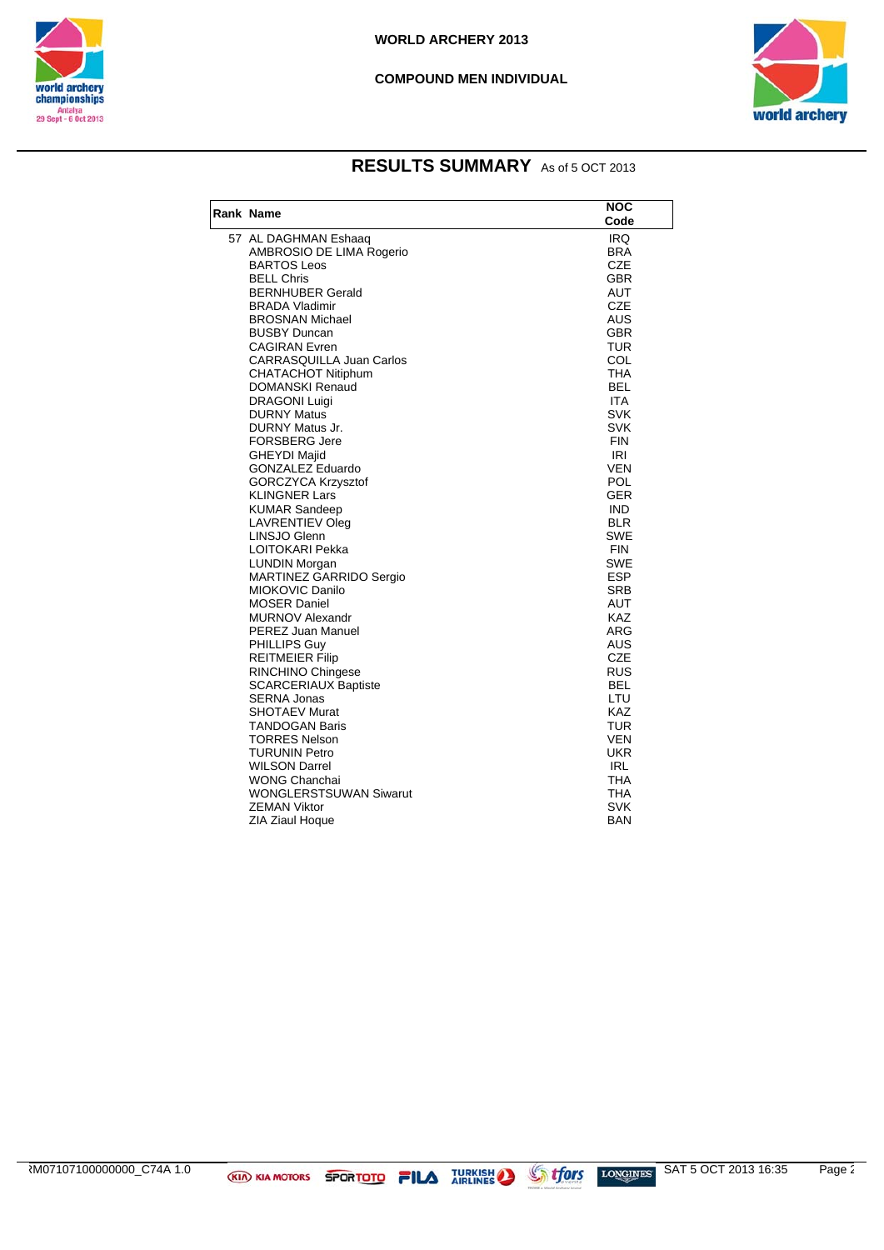

#### **COMPOUND MEN INDIVIDUAL**



### **RESULTS SUMMARY** As of 5 OCT 2013

| <b>Rank Name</b>                                     | <b>NOC</b>        |
|------------------------------------------------------|-------------------|
|                                                      | Code              |
| 57 AL DAGHMAN Eshaaq                                 | IRQ.              |
| AMBROSIO DE LIMA Rogerio                             | <b>BRA</b>        |
| <b>BARTOS Leos</b>                                   | <b>CZE</b>        |
| <b>BELL Chris</b>                                    | GBR               |
| <b>BERNHUBER Gerald</b>                              | <b>AUT</b>        |
| <b>BRADA Vladimir</b>                                | <b>CZE</b>        |
| <b>BROSNAN Michael</b>                               | AUS               |
| <b>BUSBY Duncan</b>                                  | <b>GBR</b>        |
| <b>CAGIRAN Evren</b>                                 | <b>TUR</b>        |
| <b>CARRASQUILLA Juan Carlos</b>                      | COL               |
| CHATACHOT Nitiphum                                   | THA               |
| DOMANSKI Renaud                                      | <b>BEL</b>        |
| <b>DRAGONI Luigi</b>                                 | <b>ITA</b>        |
| <b>DURNY Matus</b>                                   | <b>SVK</b>        |
| DURNY Matus Jr.                                      | SVK               |
| <b>FORSBERG Jere</b>                                 | <b>FIN</b><br>IRI |
| <b>GHEYDI Majid</b>                                  |                   |
| <b>GONZALEZ Eduardo</b><br><b>GORCZYCA Krzysztof</b> | <b>VEN</b><br>POL |
| <b>KLINGNER Lars</b>                                 | <b>GER</b>        |
| <b>KUMAR Sandeep</b>                                 | <b>IND</b>        |
| <b>LAVRENTIEV Oleg</b>                               | <b>BLR</b>        |
| LINSJO Glenn                                         | SWE               |
| <b>LOITOKARI Pekka</b>                               | <b>FIN</b>        |
| <b>LUNDIN Morgan</b>                                 | <b>SWE</b>        |
| <b>MARTINEZ GARRIDO Sergio</b>                       | <b>ESP</b>        |
| MIOKOVIC Danilo                                      | <b>SRB</b>        |
| <b>MOSER Daniel</b>                                  | AUT               |
| <b>MURNOV Alexandr</b>                               | KAZ               |
| PEREZ Juan Manuel                                    | <b>ARG</b>        |
| PHILLIPS Guy                                         | <b>AUS</b>        |
| <b>REITMEIER Filip</b>                               | <b>CZE</b>        |
| RINCHINO Chingese                                    | RUS               |
| <b>SCARCERIAUX Baptiste</b>                          | <b>BEL</b>        |
| <b>SERNA Jonas</b>                                   | LTU               |
| <b>SHOTAEV Murat</b>                                 | <b>KAZ</b>        |
| <b>TANDOGAN Baris</b>                                | <b>TUR</b>        |
| <b>TORRES Nelson</b>                                 | <b>VEN</b>        |
| <b>TURUNIN Petro</b>                                 | <b>UKR</b>        |
| <b>WILSON Darrel</b>                                 | <b>IRL</b>        |
| WONG Chanchai<br><b>WONGLERSTSUWAN Siwarut</b>       | THA               |
|                                                      | THA               |
| <b>ZEMAN Viktor</b>                                  | SVK<br><b>BAN</b> |
| ZIA Ziaul Hoque                                      |                   |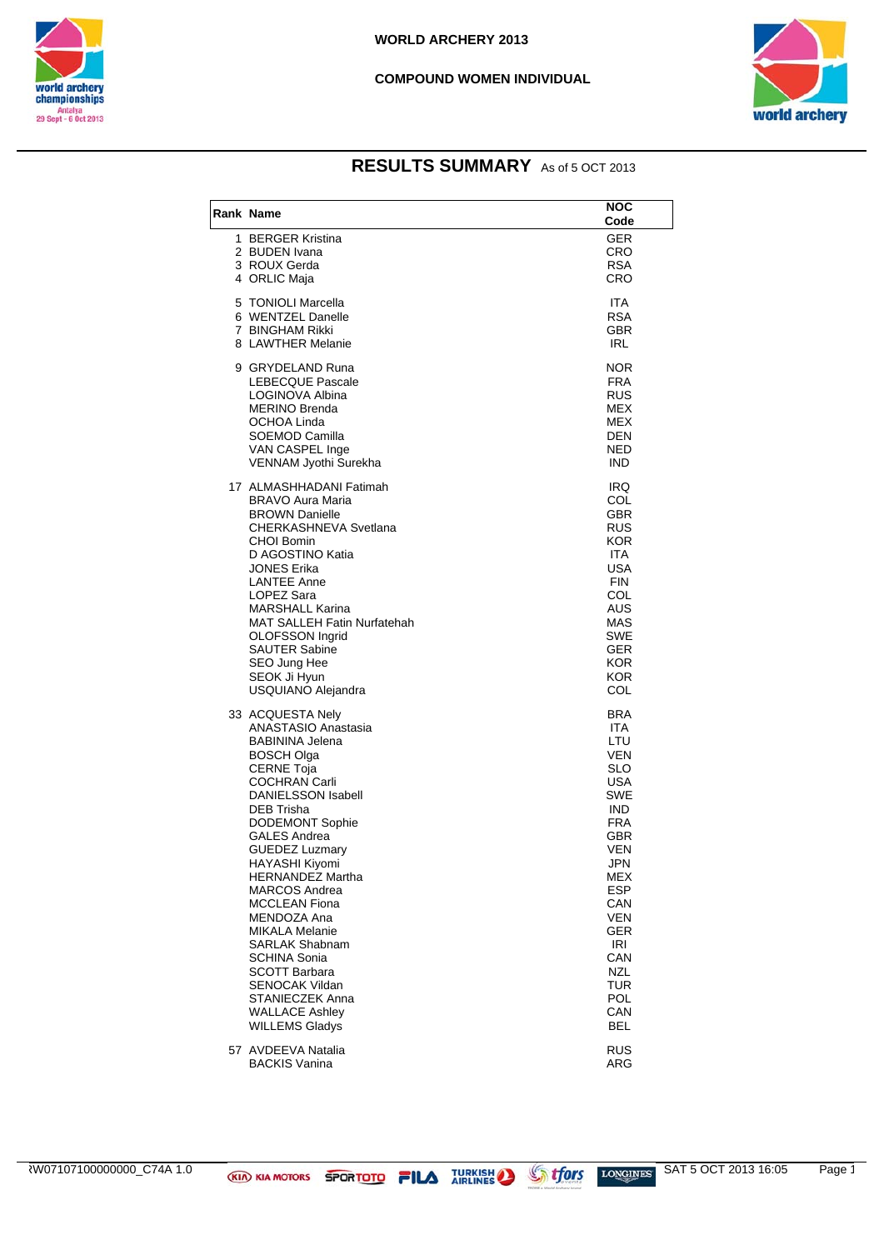

#### **COMPOUND WOMEN INDIVIDUAL**



### **RESULTS SUMMARY** As of 5 OCT 2013

| Rank Name                                                                                                                                                                                                                                                                                                                                                                                                                                                                                                                                                    | NOC<br>Code                                                                                                                                                                                                                          |
|--------------------------------------------------------------------------------------------------------------------------------------------------------------------------------------------------------------------------------------------------------------------------------------------------------------------------------------------------------------------------------------------------------------------------------------------------------------------------------------------------------------------------------------------------------------|--------------------------------------------------------------------------------------------------------------------------------------------------------------------------------------------------------------------------------------|
| 1 BERGER Kristina<br>2 BUDEN Ivana<br>3 ROUX Gerda<br>4 ORLIC Maja                                                                                                                                                                                                                                                                                                                                                                                                                                                                                           | <b>GER</b><br>CRO<br><b>RSA</b><br>CRO                                                                                                                                                                                               |
| 5 TONIOLI Marcella<br>6 WENTZEL Danelle<br>7 BINGHAM Rikki<br>8 LAWTHER Melanie                                                                                                                                                                                                                                                                                                                                                                                                                                                                              | <b>ITA</b><br><b>RSA</b><br><b>GBR</b><br>IRL                                                                                                                                                                                        |
| 9 GRYDELAND Runa<br><b>LEBECQUE Pascale</b><br>LOGINOVA Albina<br><b>MERINO Brenda</b><br>OCHOA Linda<br>SOEMOD Camilla<br>VAN CASPEL Inge<br>VENNAM Jyothi Surekha                                                                                                                                                                                                                                                                                                                                                                                          | <b>NOR</b><br><b>FRA</b><br><b>RUS</b><br><b>MEX</b><br><b>MEX</b><br>DEN<br>NED<br><b>IND</b>                                                                                                                                       |
| 17 ALMASHHADANI Fatimah<br>BRAVO Aura Maria<br><b>BROWN Danielle</b><br>CHERKASHNEVA Svetlana<br>CHOI Bomin<br>D AGOSTINO Katia<br>JONES Erika<br><b>LANTEE Anne</b><br>LOPEZ Sara<br><b>MARSHALL Karina</b><br><b>MAT SALLEH Fatin Nurfatehah</b><br><b>OLOFSSON Ingrid</b><br><b>SAUTER Sabine</b><br>SEO Jung Hee<br>SEOK Ji Hyun<br>USQUIANO Alejandra                                                                                                                                                                                                   | IRQ<br>COL<br>GBR<br>RUS<br>KOR<br>ITA.<br><b>USA</b><br><b>FIN</b><br>COL<br>AUS<br>MAS<br><b>SWE</b><br><b>GER</b><br>KOR.<br><b>KOR</b><br>COL                                                                                    |
| 33 ACQUESTA Nely<br>ANASTASIO Anastasia<br><b>BABININA Jelena</b><br>BOSCH Olga<br><b>CERNE Toja</b><br><b>COCHRAN Carli</b><br><b>DANIELSSON Isabell</b><br>DEB Trisha<br><b>DODEMONT Sophie</b><br><b>GALES Andrea</b><br><b>GUEDEZ Luzmary</b><br>HAYASHI Kiyomi<br><b>HERNANDEZ Martha</b><br><b>MARCOS Andrea</b><br><b>MCCLEAN Fiona</b><br>MENDOZA Ana<br><b>MIKALA Melanie</b><br><b>SARLAK Shabnam</b><br><b>SCHINA Sonia</b><br><b>SCOTT Barbara</b><br><b>SENOCAK Vildan</b><br>STANIECZEK Anna<br><b>WALLACE Ashley</b><br><b>WILLEMS Gladys</b> | BRA<br>ITA.<br>LTU<br>VEN<br><b>SLO</b><br>USA<br><b>SWE</b><br><b>IND</b><br><b>FRA</b><br>GBR<br><b>VEN</b><br><b>JPN</b><br>MEX<br><b>ESP</b><br>CAN<br><b>VEN</b><br>GER<br>IRI<br>CAN<br>NZL<br>TUR<br><b>POL</b><br>CAN<br>BEL |
| 57 AVDEEVA Natalia<br><b>BACKIS Vanina</b>                                                                                                                                                                                                                                                                                                                                                                                                                                                                                                                   | <b>RUS</b><br><b>ARG</b>                                                                                                                                                                                                             |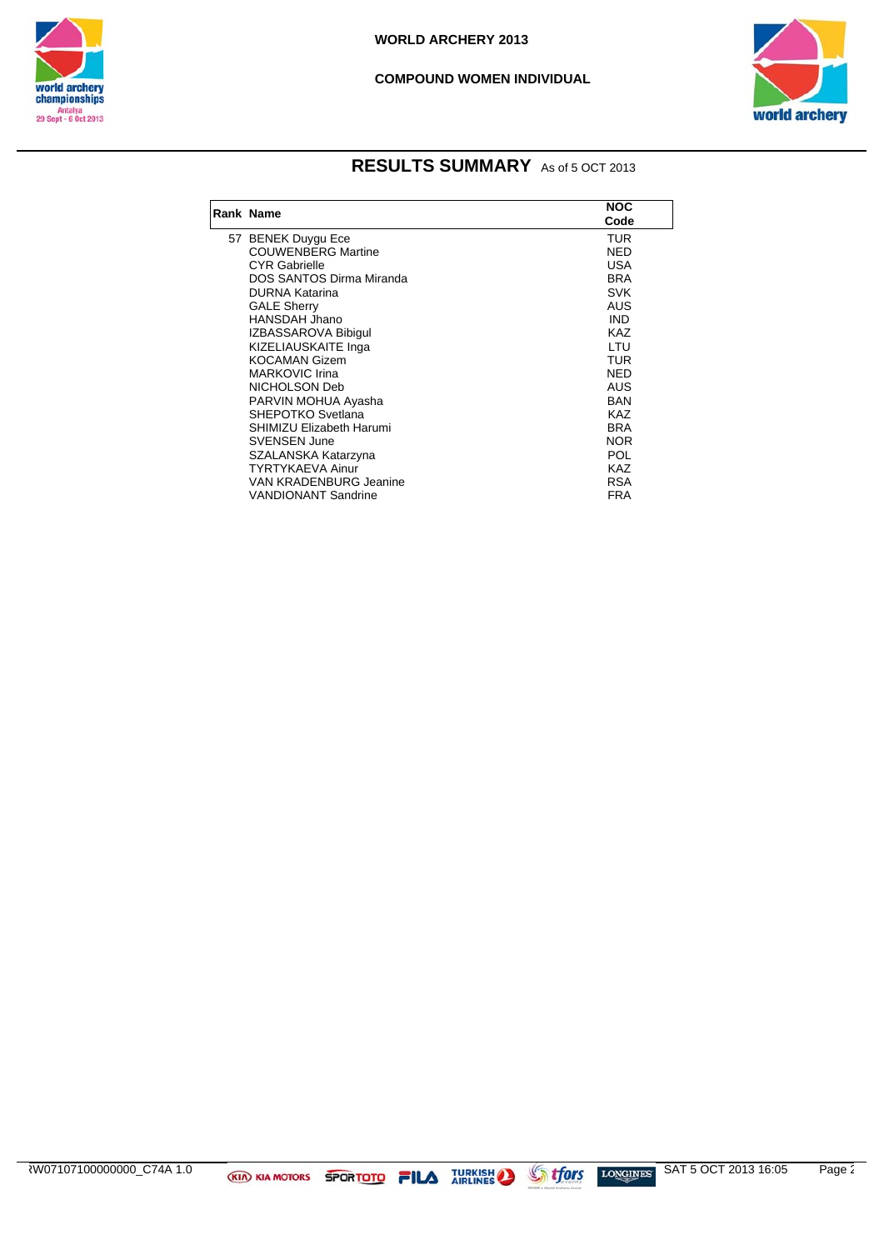

 $\overline{\phantom{a}}$ 

#### **COMPOUND WOMEN INDIVIDUAL**



### **RESULTS SUMMARY** As of 5 OCT 2013

| Rank Name                     | <b>NOC</b><br>Code |
|-------------------------------|--------------------|
| 57 BENEK Duygu Ece            | TUR                |
| <b>COUWENBERG Martine</b>     | <b>NED</b>         |
| <b>CYR Gabrielle</b>          | USA                |
| DOS SANTOS Dirma Miranda      | <b>BRA</b>         |
| <b>DURNA Katarina</b>         | <b>SVK</b>         |
| <b>GALE Sherry</b>            | AUS                |
| HANSDAH Jhano                 | <b>IND</b>         |
| IZBASSAROVA Bibigul           | <b>KAZ</b>         |
| KIZELIAUSKAITE Inga           | LTU                |
| KOCAMAN Gizem                 | <b>TUR</b>         |
| <b>MARKOVIC Irina</b>         | <b>NED</b>         |
| NICHOLSON Deb                 | AUS                |
| PARVIN MOHUA Ayasha           | <b>BAN</b>         |
| SHEPOTKO Svetlana             | KA7                |
| SHIMIZU Elizabeth Harumi      | <b>BRA</b>         |
| <b>SVENSEN June</b>           | <b>NOR</b>         |
| SZALANSKA Katarzyna           | POL                |
| TYRTYKAEVA Ainur              | KA7                |
| <b>VAN KRADENBURG Jeanine</b> | <b>RSA</b>         |
| VANDIONANT Sandrine           | FRA                |

 $\frac{1}{2}$   $\frac{1}{2}$   $\frac{1}{2}$   $\frac{1}{2}$   $\frac{1}{2}$   $\frac{1}{2}$   $\frac{1}{2}$   $\frac{1}{2}$   $\frac{1}{2}$   $\frac{1}{2}$   $\frac{1}{2}$   $\frac{1}{2}$   $\frac{1}{2}$   $\frac{1}{2}$   $\frac{1}{2}$   $\frac{1}{2}$   $\frac{1}{2}$   $\frac{1}{2}$   $\frac{1}{2}$   $\frac{1}{2}$   $\frac{1}{2}$   $\frac{1}{2}$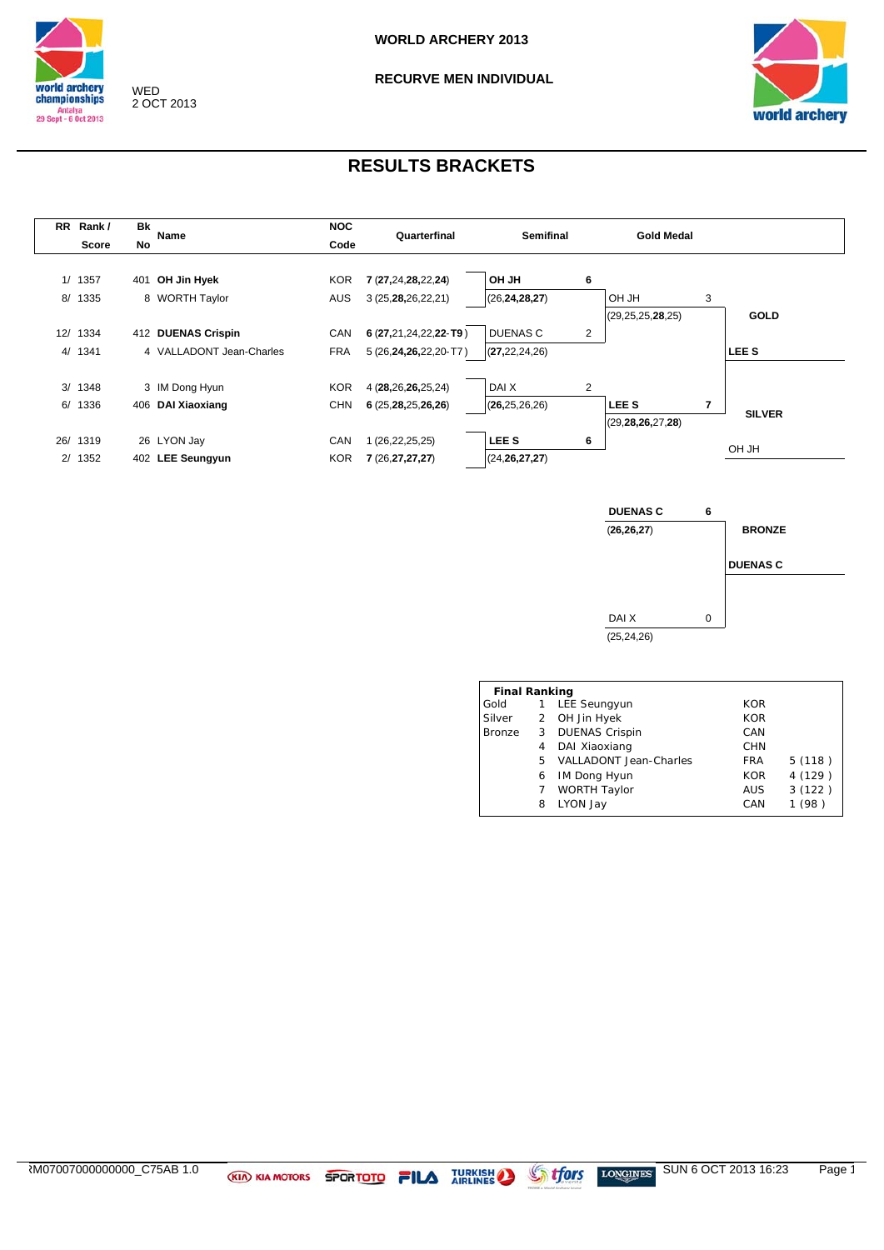

### **RECURVE MEN INDIVIDUAL**



| <b>RR</b> | Rank/    | Bk | Name                     | <b>NOC</b> | Quarterfinal              | <b>Semifinal</b> |   | <b>Gold Medal</b>    |   |                  |
|-----------|----------|----|--------------------------|------------|---------------------------|------------------|---|----------------------|---|------------------|
|           | Score    | No |                          | Code       |                           |                  |   |                      |   |                  |
|           |          |    |                          |            |                           |                  |   |                      |   |                  |
|           | 1/1357   |    | 401 OH Jin Hyek          | <b>KOR</b> | 7 (27,24,28,22,24)        | <b>OH JH</b>     | 6 |                      |   |                  |
|           | 8/ 1335  |    | 8 WORTH Taylor           | <b>AUS</b> | 3 (25, 28, 26, 22, 21)    | (26, 24, 28, 27) |   | OH JH                | 3 |                  |
|           |          |    |                          |            |                           |                  |   | (29, 25, 25, 28, 25) |   | <b>GOLD</b>      |
|           | 12/ 1334 |    | 412 DUENAS Crispin       | CAN        | $6(27,21,24,22,22$ -T9)   | <b>DUENAS C</b>  | 2 |                      |   |                  |
|           | 4/1341   |    | 4 VALLADONT Jean-Charles | <b>FRA</b> | 5 (26, 24, 26, 22, 20-T7) | (27, 22, 24, 26) |   |                      |   | LEE <sub>S</sub> |
|           |          |    |                          |            |                           |                  |   |                      |   |                  |
|           | 3/ 1348  |    | 3 IM Dong Hyun           | <b>KOR</b> | 4 (28,26,26,25,24)        | DAI X            | 2 |                      |   |                  |
| 6/        | 1336     |    | 406 DAI Xiaoxiang        | <b>CHN</b> | 6(25,28,25,26,26)         | (26, 25, 26, 26) |   | <b>LEES</b>          | 7 | <b>SILVER</b>    |
|           |          |    |                          |            |                           |                  |   |                      |   |                  |
|           | 26/ 1319 |    | 26 LYON Jay              | CAN        | (26,22,25,25)             | LEE <sub>S</sub> | 6 |                      |   |                  |
|           | 2/1352   |    | 402 LEE Seungyun         | <b>KOR</b> | 7 (26, 27, 27, 27)        | (24, 26, 27, 27) |   |                      |   | OH JH            |
|           |          |    |                          |            |                           |                  |   |                      |   |                  |



| 1 | LEE Seungyun                  | <b>KOR</b>                                                    |            |
|---|-------------------------------|---------------------------------------------------------------|------------|
|   |                               |                                                               |            |
|   | <b>DUENAS Crispin</b>         | CAN                                                           |            |
| 4 | DAI Xiaoxiang                 | <b>CHN</b>                                                    |            |
|   | <b>VALLADONT Jean-Charles</b> | <b>FRA</b>                                                    | 5(118)     |
| 6 | <b>IM Dong Hyun</b>           | <b>KOR</b>                                                    | 4 (129)    |
|   | WORTH Taylor                  | <b>AUS</b>                                                    | 3(122)     |
| 8 | LYON Jay                      | CAN                                                           | (98)       |
|   |                               | <b>Final Ranking</b><br>2 OH Jin Hyek<br>3 <sup>1</sup><br>5. | <b>KOR</b> |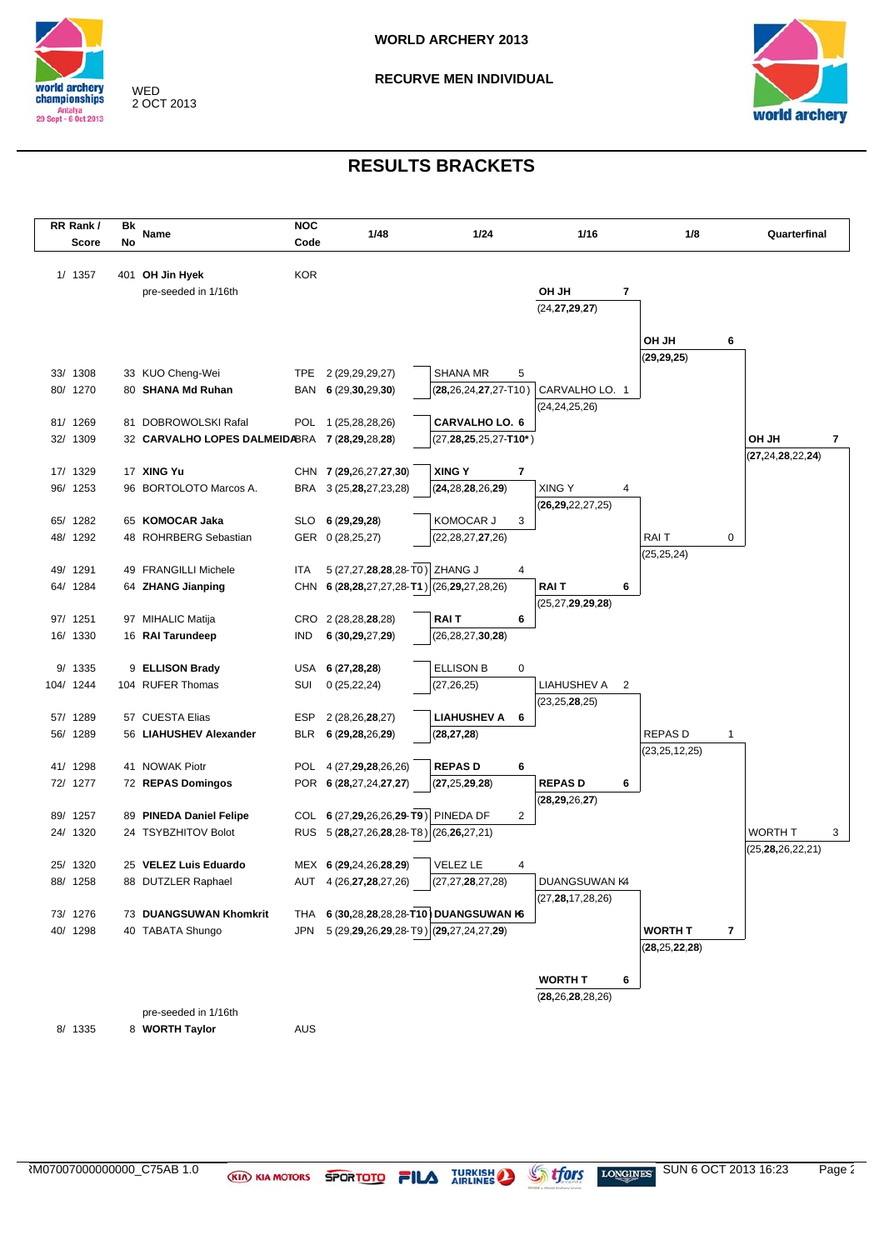

**RECURVE MEN INDIVIDUAL**



| RR Rank/  | Bk |                                                | <b>NOC</b> |                                         |                               |   |                        |   |                  |   |                                             |
|-----------|----|------------------------------------------------|------------|-----------------------------------------|-------------------------------|---|------------------------|---|------------------|---|---------------------------------------------|
| Score     | No | Name                                           | Code       | 1/48                                    | 1/24                          |   | 1/16                   |   | 1/8              |   | Quarterfinal                                |
|           |    |                                                |            |                                         |                               |   |                        |   |                  |   |                                             |
| 1/ 1357   |    | 401 OH Jin Hyek                                | <b>KOR</b> |                                         |                               |   |                        |   |                  |   |                                             |
|           |    | pre-seeded in 1/16th                           |            |                                         |                               |   | HL HO                  | 7 |                  |   |                                             |
|           |    |                                                |            |                                         |                               |   | (24, 27, 29, 27)       |   |                  |   |                                             |
|           |    |                                                |            |                                         |                               |   |                        |   |                  |   |                                             |
|           |    |                                                |            |                                         |                               |   |                        |   | HL HO            | 6 |                                             |
|           |    |                                                |            |                                         |                               |   |                        |   | (29, 29, 25)     |   |                                             |
| 33/ 1308  |    | 33 KUO Cheng-Wei                               |            | TPE 2 (29,29,29,27)                     | <b>SHANA MR</b>               | 5 |                        |   |                  |   |                                             |
| 80/ 1270  |    | 80 SHANA Md Ruhan                              |            | BAN 6 (29,30,29,30)                     | $(28, 26, 24, 27, 27 - T10)$  |   | CARVALHO LO. 1         |   |                  |   |                                             |
|           |    |                                                |            |                                         |                               |   | (24,24,25,26)          |   |                  |   |                                             |
| 81/ 1269  |    | 81 DOBROWOLSKI Rafal                           |            | POL 1 (25,28,28,26)                     | <b>CARVALHO LO. 6</b>         |   |                        |   |                  |   |                                             |
| 32/ 1309  |    | 32 CARVALHO LOPES DALMEIDABRA 7 (28,29,28,28)  |            |                                         | $(27, 28, 25, 25, 27 - T10*)$ |   |                        |   |                  |   | OH JH<br>$\overline{\mathbf{r}}$            |
| 17/ 1329  |    | 17 XING Yu                                     |            | CHN 7 (29,26,27,27,30)                  | <b>XING Y</b>                 | 7 |                        |   |                  |   | (27, 24, 28, 22, 24)                        |
| 96/ 1253  |    | 96 BORTOLOTO Marcos A.                         | BRA        | 3 (25, 28, 27, 23, 28)                  | (24, 28, 28, 26, 29)          |   | <b>XING Y</b>          | 4 |                  |   |                                             |
|           |    |                                                |            |                                         |                               |   | (26, 29, 22, 27, 25)   |   |                  |   |                                             |
| 65/ 1282  |    | 65 KOMOCAR Jaka                                | <b>SLO</b> | 6 (29,29,28)                            | KOMOCAR J                     | 3 |                        |   |                  |   |                                             |
| 48/ 1292  |    | 48 ROHRBERG Sebastian                          |            | GER 0 (28,25,27)                        | (22, 28, 27, 27, 26)          |   |                        |   | RAI T            | 0 |                                             |
|           |    |                                                |            |                                         |                               |   |                        |   | (25, 25, 24)     |   |                                             |
| 49/ 1291  |    | 49 FRANGILLI Michele                           | ITA        | 5 (27,27,28,28,28-T0) ZHANG J           |                               | 4 |                        |   |                  |   |                                             |
| 64/ 1284  |    | 64 ZHANG Jianping                              | CHN        | 6 (28,28,27,27,28-T1) (26,29,27,28,26)  |                               |   | <b>RAIT</b>            | 6 |                  |   |                                             |
|           |    |                                                |            |                                         |                               |   | (25, 27, 29, 29, 28)   |   |                  |   |                                             |
| 97/ 1251  |    | 97 MIHALIC Matija                              |            | CRO 2 (28,28,28,28)                     | <b>RAIT</b>                   | 6 |                        |   |                  |   |                                             |
| 16/ 1330  |    | 16 RAI Tarundeep                               | <b>IND</b> | 6 (30,29,27,29)                         | (26, 28, 27, 30, 28)          |   |                        |   |                  |   |                                             |
|           |    |                                                |            |                                         |                               |   |                        |   |                  |   |                                             |
| 9/ 1335   |    | 9 ELLISON Brady                                | USA        | 6(27, 28, 28)                           | <b>ELLISON B</b>              | 0 |                        |   |                  |   |                                             |
| 104/ 1244 |    | 104 RUFER Thomas                               | SUI        | 0(25, 22, 24)                           | (27, 26, 25)                  |   | LIAHUSHEV A            | 2 |                  |   |                                             |
|           |    |                                                |            |                                         |                               |   | (23,25, <b>28</b> ,25) |   |                  |   |                                             |
| 57/ 1289  |    | 57 CUESTA Elias                                | ESP        | 2 (28, 26, 28, 27)                      | <b>LIAHUSHEV A</b>            | 6 |                        |   |                  |   |                                             |
| 56/ 1289  |    | 56 LIAHUSHEV Alexander                         | <b>BLR</b> | 6 (29,28,26,29)                         | (28, 27, 28)                  |   |                        |   | <b>REPASD</b>    | 1 |                                             |
|           |    |                                                |            |                                         |                               |   |                        |   | (23, 25, 12, 25) |   |                                             |
| 41/ 1298  |    | 41 NOWAK Piotr                                 |            | POL 4 (27,29,28,26,26)                  | <b>REPASD</b>                 | 6 |                        |   |                  |   |                                             |
| 72/ 1277  |    | 72 REPAS Domingos                              |            | POR 6 (28,27,24,27,27)                  | (27, 25, 29, 28)              |   | <b>REPASD</b>          | 6 |                  |   |                                             |
|           |    |                                                |            | COL 6 (27,29,26,26,29-T9) PINEDA DF     |                               |   | (28, 29, 26, 27)       |   |                  |   |                                             |
| 89/ 1257  |    | 89 PINEDA Daniel Felipe<br>24 TSYBZHITOV Bolot |            |                                         |                               | 2 |                        |   |                  |   |                                             |
| 24/ 1320  |    |                                                |            | RUS 5 (28,27,26,28,28-T8) (26,26,27,21) |                               |   |                        |   |                  |   | <b>WORTH T</b><br>3<br>(25, 28, 26, 22, 21) |
| 25/ 1320  |    | 25 VELEZ Luis Eduardo                          |            | MEX 6 (29,24,26,28,29)                  | <b>VELEZ LE</b>               | 4 |                        |   |                  |   |                                             |
| 88/ 1258  |    | 88 DUTZLER Raphael                             |            | AUT 4 (26,27,28,27,26)                  | (27, 27, 28, 27, 28)          |   | DUANGSUWAN K4          |   |                  |   |                                             |
|           |    |                                                |            |                                         |                               |   | (27, 28, 17, 28, 26)   |   |                  |   |                                             |
| 73/ 1276  |    | 73 DUANGSUWAN Khomkrit                         | THA        | 6 (30,28,28,28,28-T10) DUANGSUWAN I6    |                               |   |                        |   |                  |   |                                             |
| 40/ 1298  |    | 40 TABATA Shungo                               | <b>JPN</b> | 5 (29,29,26,29,28-T9) (29,27,24,27,29)  |                               |   |                        |   | <b>WORTH T</b>   | 7 |                                             |
|           |    |                                                |            |                                         |                               |   |                        |   | (28, 25, 22, 28) |   |                                             |
|           |    |                                                |            |                                         |                               |   |                        |   |                  |   |                                             |
|           |    |                                                |            |                                         |                               |   | <b>WORTH T</b>         | 6 |                  |   |                                             |
|           |    |                                                |            |                                         |                               |   | (28, 26, 28, 28, 26)   |   |                  |   |                                             |
|           |    | pre-seeded in 1/16th                           |            |                                         |                               |   |                        |   |                  |   |                                             |
| 8/ 1335   |    | 8 WORTH Taylor                                 | <b>AUS</b> |                                         |                               |   |                        |   |                  |   |                                             |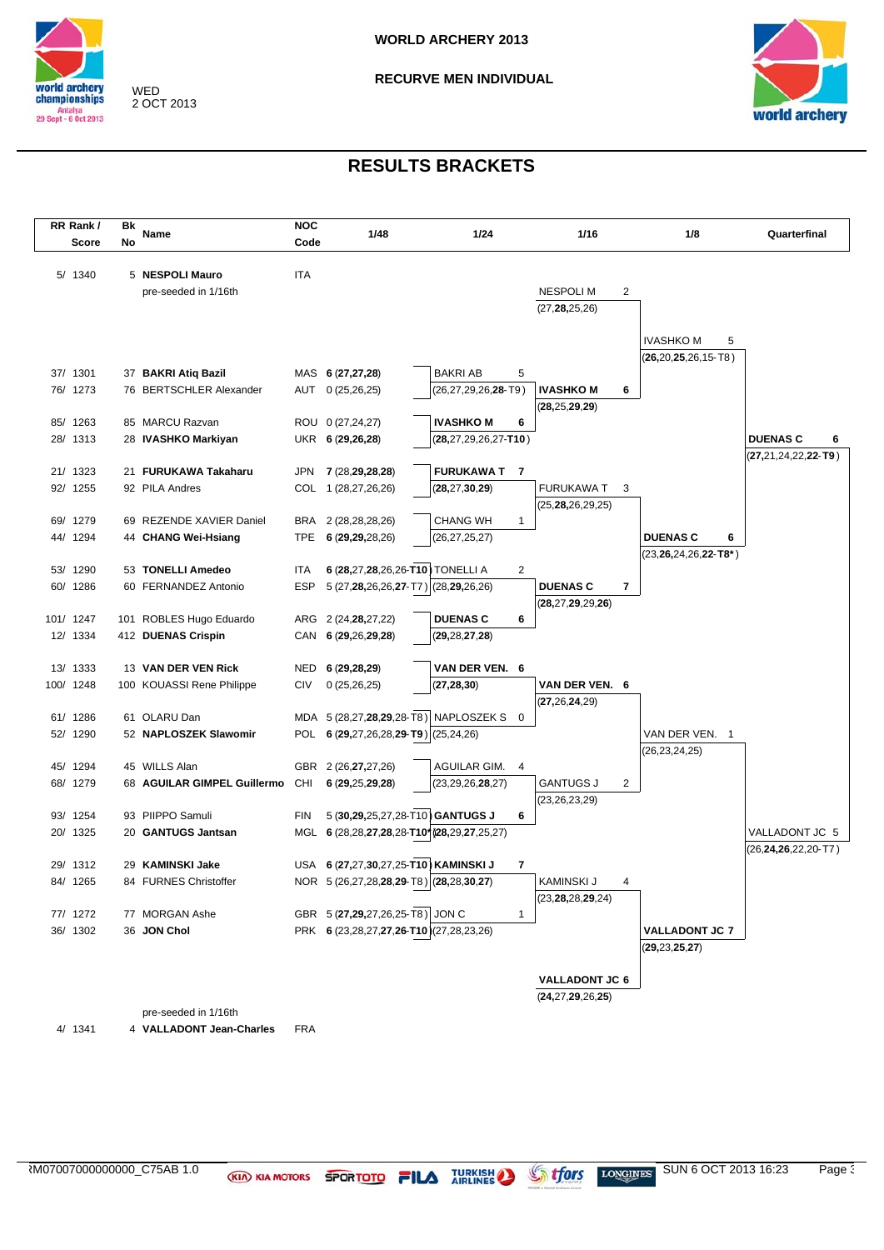



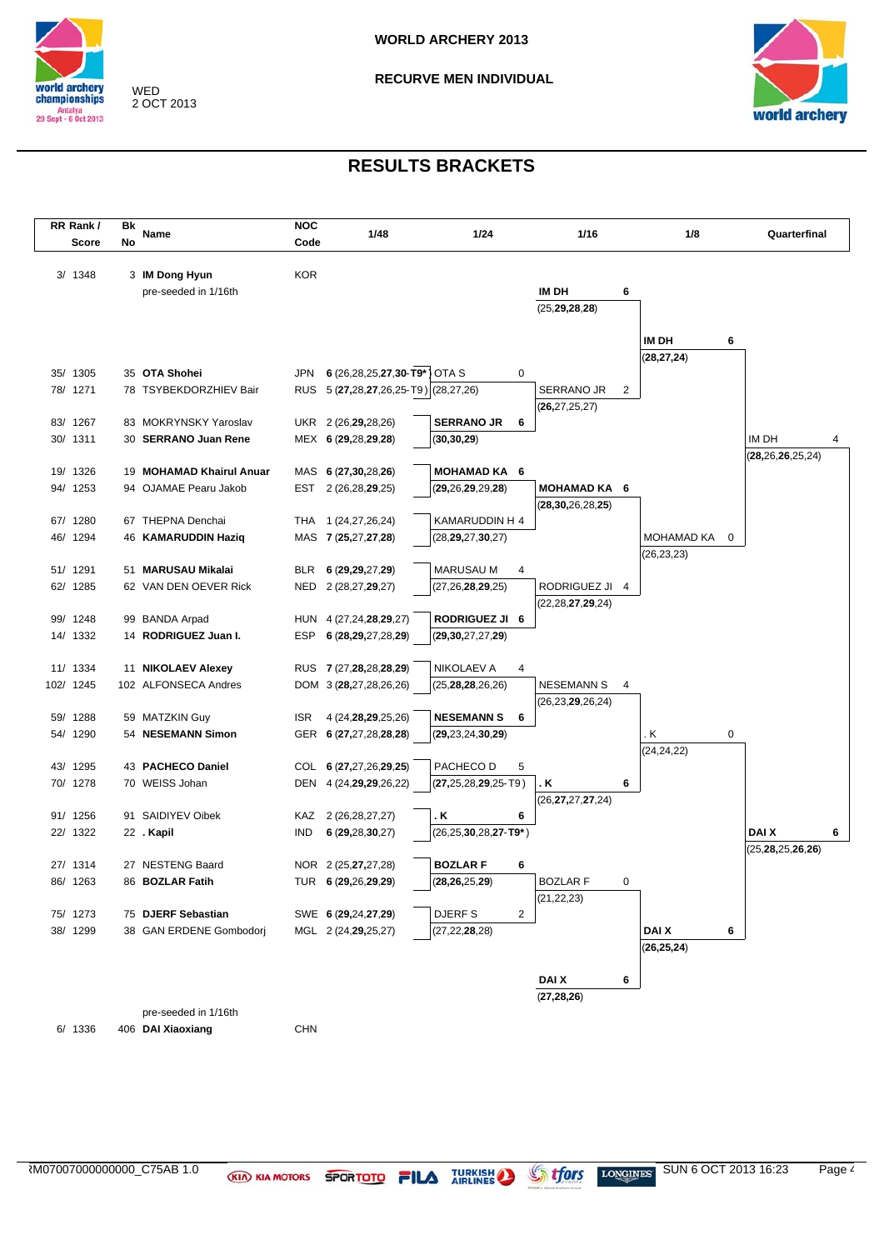

**RECURVE MEN INDIVIDUAL**



### **RESULTS BRACKETS**

| RR Rank/  | Bk | Name                                | <b>NOC</b> | 1/48                                             | 1/24                         | 1/16                               | 1/8               |   | Quarterfinal         |
|-----------|----|-------------------------------------|------------|--------------------------------------------------|------------------------------|------------------------------------|-------------------|---|----------------------|
| Score     | No |                                     | Code       |                                                  |                              |                                    |                   |   |                      |
|           |    |                                     |            |                                                  |                              |                                    |                   |   |                      |
| 3/1348    |    | 3 IM Dong Hyun                      | <b>KOR</b> |                                                  |                              |                                    |                   |   |                      |
|           |    | pre-seeded in 1/16th                |            |                                                  |                              | IM DH                              | 6                 |   |                      |
|           |    |                                     |            |                                                  |                              | (25, 29, 28, 28)                   |                   |   |                      |
|           |    |                                     |            |                                                  |                              |                                    | IM DH             | 6 |                      |
|           |    |                                     |            |                                                  |                              |                                    | (28, 27, 24)      |   |                      |
| 35/ 1305  |    | 35 OTA Shohei                       | <b>JPN</b> | 6 (26,28,25,27,30-T9*) OTA S                     | 0                            |                                    |                   |   |                      |
| 78/ 1271  |    | 78 TSYBEKDORZHIEV Bair              |            | RUS 5 (27,28,27,26,25-T9) (28,27,26)             |                              | SERRANO JR                         | 2                 |   |                      |
|           |    |                                     |            |                                                  |                              | (26, 27, 25, 27)                   |                   |   |                      |
| 83/ 1267  |    | 83 MOKRYNSKY Yaroslav               |            | UKR 2 (26,29,28,26)                              | <b>SERRANO JR</b><br>6       |                                    |                   |   |                      |
| 30/ 1311  |    | 30 SERRANO Juan Rene                |            | MEX 6 (29,28,29,28)                              | (30, 30, 29)                 |                                    |                   |   | IM DH<br>4           |
|           |    |                                     |            |                                                  |                              |                                    |                   |   | (28, 26, 26, 25, 24) |
| 19/ 1326  |    | 19 MOHAMAD Khairul Anuar            |            | MAS 6 (27,30,28,26)                              | MOHAMAD KA 6                 |                                    |                   |   |                      |
| 94/ 1253  |    | 94 OJAMAE Pearu Jakob               |            | EST 2 (26,28,29,25)                              | (29, 26, 29, 29, 28)         | MOHAMAD KA 6                       |                   |   |                      |
| 67/ 1280  |    | 67 THEPNA Denchai                   |            | THA 1 (24,27,26,24)                              | KAMARUDDIN H 4               | (28, 30, 26, 28, 25)               |                   |   |                      |
| 46/ 1294  |    | 46 KAMARUDDIN Haziq                 |            | MAS 7 (25,27,27,28)                              | (28, 29, 27, 30, 27)         |                                    | <b>MOHAMAD KA</b> | 0 |                      |
|           |    |                                     |            |                                                  |                              |                                    | (26, 23, 23)      |   |                      |
| 51/ 1291  |    | 51 MARUSAU Mikalai                  |            | BLR 6 (29,29,27,29)                              | <b>MARUSAU M</b><br>4        |                                    |                   |   |                      |
| 62/ 1285  |    | 62 VAN DEN OEVER Rick               | NED        | 2 (28,27,29,27)                                  | (27, 26, 28, 29, 25)         | RODRIGUEZ JI 4                     |                   |   |                      |
|           |    |                                     |            |                                                  |                              | (22,28,27,29,24)                   |                   |   |                      |
| 99/ 1248  |    | 99 BANDA Arpad                      |            | HUN 4 (27,24,28,29,27)                           | <b>RODRIGUEZ JI 6</b>        |                                    |                   |   |                      |
| 14/ 1332  |    | 14 RODRIGUEZ Juan I.                | ESP        | 6 (28,29,27,28,29)                               | (29, 30, 27, 27, 29)         |                                    |                   |   |                      |
|           |    |                                     |            |                                                  |                              |                                    |                   |   |                      |
| 11/ 1334  |    | 11 NIKOLAEV Alexey                  |            | RUS 7 (27, 28, 28, 28, 29)                       | NIKOLAEV A<br>4              |                                    |                   |   |                      |
| 102/ 1245 |    | 102 ALFONSECA Andres                |            | DOM 3 (28,27,28,26,26)                           | (25, 28, 28, 26, 26)         | <b>NESEMANN S</b>                  | 4                 |   |                      |
| 59/ 1288  |    |                                     | <b>ISR</b> |                                                  | <b>NESEMANN S</b><br>6       | (26,23, <b>29</b> ,26,24)          |                   |   |                      |
| 54/ 1290  |    | 59 MATZKIN Guy<br>54 NESEMANN Simon |            | 4 (24, 28, 29, 25, 26)<br>GER 6 (27,27,28,28,28) | (29, 23, 24, 30, 29)         |                                    | . Κ               | 0 |                      |
|           |    |                                     |            |                                                  |                              |                                    | (24, 24, 22)      |   |                      |
| 43/ 1295  |    | 43 PACHECO Daniel                   |            | COL 6 (27,27,26,29,25)                           | PACHECO D<br>5               |                                    |                   |   |                      |
| 70/ 1278  |    | 70 WEISS Johan                      |            | DEN 4 (24, 29, 29, 26, 22)                       | $(27, 25, 28, 29, 25 - T9)$  | . K                                | 6                 |   |                      |
|           |    |                                     |            |                                                  |                              | (26, <b>27,</b> 27, <b>27</b> ,24) |                   |   |                      |
| 91/ 1256  |    | 91 SAIDIYEV Oibek                   | KAZ        | 2 (26, 28, 27, 27)                               | . K<br>6                     |                                    |                   |   |                      |
| 22/ 1322  |    | 22 . Kapil                          | <b>IND</b> | 6(29, 28, 30, 27)                                | $(26, 25, 30, 28, 27 - T9*)$ |                                    |                   |   | <b>DAIX</b><br>6     |
|           |    |                                     |            |                                                  |                              |                                    |                   |   | (25, 28, 25, 26, 26) |
| 27/ 1314  |    | 27 NESTENG Baard                    |            | NOR 2 (25, 27, 27, 28)                           | <b>BOZLARF</b><br>6          |                                    |                   |   |                      |
| 86/ 1263  |    | 86 BOZLAR Fatih                     |            | TUR 6 (29,26,29,29)                              | (28, 26, 25, 29)             | <b>BOZLAR F</b>                    | 0                 |   |                      |
| 75/ 1273  |    | 75 DJERF Sebastian                  |            | SWE 6 (29,24,27,29)                              | DJERF S<br>2                 | (21, 22, 23)                       |                   |   |                      |
| 38/ 1299  |    | 38 GAN ERDENE Gombodorj             |            | MGL 2 (24,29,25,27)                              | (27, 22, 28, 28)             |                                    | DAI X             | 6 |                      |
|           |    |                                     |            |                                                  |                              |                                    | (26, 25, 24)      |   |                      |
|           |    |                                     |            |                                                  |                              |                                    |                   |   |                      |
|           |    |                                     |            |                                                  |                              | DAI X                              | 6                 |   |                      |
|           |    |                                     |            |                                                  |                              | (27, 28, 26)                       |                   |   |                      |
|           |    | pre-seeded in 1/16th                |            |                                                  |                              |                                    |                   |   |                      |

6/ 1336 406 **DAI Xiaoxiang** CHN

ARM07007000000000\_C75AB 1.0 SUN 6 OCT 2013 16:23 Page 4/5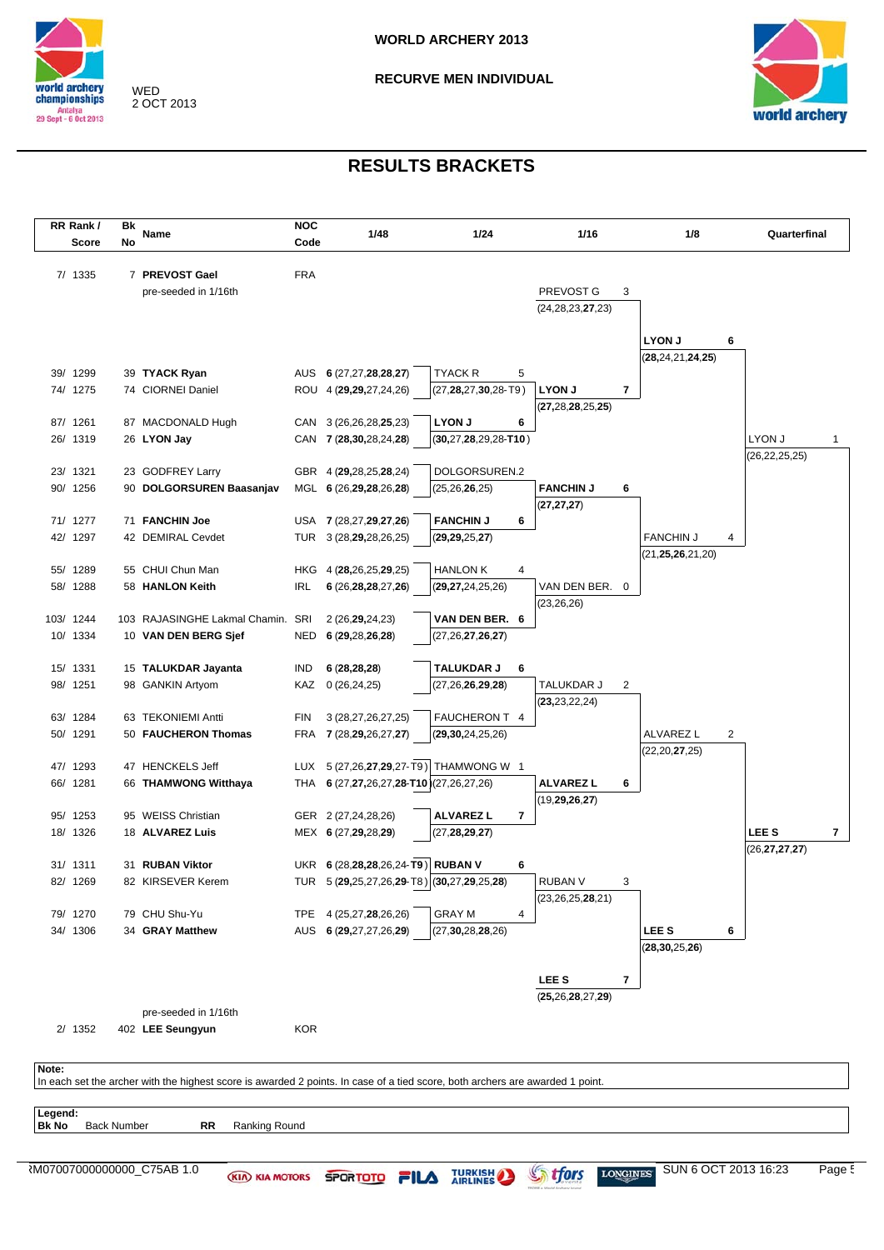

**RECURVE MEN INDIVIDUAL**



 $\overline{\phantom{a}}$ 

| Bk | Name                 | <b>NOC</b>                                                                                                                                                                                                                                                                                                                                                                                                                                                                                  | 1/48                                                          | 1/24                                                                                                                                                                                                                                                                                                                                                                                                          | 1/16                                                                                                                                                                                                                                                                                                                                                                                               |                                                                                                                                                                  | 1/8                           | Quarterfinal                                                                      |
|----|----------------------|---------------------------------------------------------------------------------------------------------------------------------------------------------------------------------------------------------------------------------------------------------------------------------------------------------------------------------------------------------------------------------------------------------------------------------------------------------------------------------------------|---------------------------------------------------------------|---------------------------------------------------------------------------------------------------------------------------------------------------------------------------------------------------------------------------------------------------------------------------------------------------------------------------------------------------------------------------------------------------------------|----------------------------------------------------------------------------------------------------------------------------------------------------------------------------------------------------------------------------------------------------------------------------------------------------------------------------------------------------------------------------------------------------|------------------------------------------------------------------------------------------------------------------------------------------------------------------|-------------------------------|-----------------------------------------------------------------------------------|
| No |                      | Code                                                                                                                                                                                                                                                                                                                                                                                                                                                                                        |                                                               |                                                                                                                                                                                                                                                                                                                                                                                                               |                                                                                                                                                                                                                                                                                                                                                                                                    |                                                                                                                                                                  |                               |                                                                                   |
|    |                      |                                                                                                                                                                                                                                                                                                                                                                                                                                                                                             |                                                               |                                                                                                                                                                                                                                                                                                                                                                                                               |                                                                                                                                                                                                                                                                                                                                                                                                    |                                                                                                                                                                  |                               |                                                                                   |
|    |                      |                                                                                                                                                                                                                                                                                                                                                                                                                                                                                             |                                                               |                                                                                                                                                                                                                                                                                                                                                                                                               |                                                                                                                                                                                                                                                                                                                                                                                                    |                                                                                                                                                                  |                               |                                                                                   |
|    |                      |                                                                                                                                                                                                                                                                                                                                                                                                                                                                                             |                                                               |                                                                                                                                                                                                                                                                                                                                                                                                               |                                                                                                                                                                                                                                                                                                                                                                                                    |                                                                                                                                                                  |                               |                                                                                   |
|    |                      |                                                                                                                                                                                                                                                                                                                                                                                                                                                                                             |                                                               |                                                                                                                                                                                                                                                                                                                                                                                                               |                                                                                                                                                                                                                                                                                                                                                                                                    |                                                                                                                                                                  |                               |                                                                                   |
|    |                      |                                                                                                                                                                                                                                                                                                                                                                                                                                                                                             |                                                               |                                                                                                                                                                                                                                                                                                                                                                                                               |                                                                                                                                                                                                                                                                                                                                                                                                    |                                                                                                                                                                  |                               | 6                                                                                 |
|    |                      |                                                                                                                                                                                                                                                                                                                                                                                                                                                                                             |                                                               |                                                                                                                                                                                                                                                                                                                                                                                                               |                                                                                                                                                                                                                                                                                                                                                                                                    |                                                                                                                                                                  |                               |                                                                                   |
|    |                      |                                                                                                                                                                                                                                                                                                                                                                                                                                                                                             |                                                               | TYACK R<br>5                                                                                                                                                                                                                                                                                                                                                                                                  |                                                                                                                                                                                                                                                                                                                                                                                                    |                                                                                                                                                                  |                               |                                                                                   |
|    |                      |                                                                                                                                                                                                                                                                                                                                                                                                                                                                                             |                                                               | $(27, 28, 27, 30, 28 - T9)$                                                                                                                                                                                                                                                                                                                                                                                   | <b>LYON J</b>                                                                                                                                                                                                                                                                                                                                                                                      | 7                                                                                                                                                                |                               |                                                                                   |
|    |                      |                                                                                                                                                                                                                                                                                                                                                                                                                                                                                             |                                                               |                                                                                                                                                                                                                                                                                                                                                                                                               | (27, 28, 28, 25, 25)                                                                                                                                                                                                                                                                                                                                                                               |                                                                                                                                                                  |                               |                                                                                   |
|    |                      |                                                                                                                                                                                                                                                                                                                                                                                                                                                                                             |                                                               | <b>LYON J</b><br>6                                                                                                                                                                                                                                                                                                                                                                                            |                                                                                                                                                                                                                                                                                                                                                                                                    |                                                                                                                                                                  |                               |                                                                                   |
|    |                      |                                                                                                                                                                                                                                                                                                                                                                                                                                                                                             |                                                               | $(30, 27, 28, 29, 28 - T10)$                                                                                                                                                                                                                                                                                                                                                                                  |                                                                                                                                                                                                                                                                                                                                                                                                    |                                                                                                                                                                  |                               | LYON J                                                                            |
|    |                      |                                                                                                                                                                                                                                                                                                                                                                                                                                                                                             |                                                               |                                                                                                                                                                                                                                                                                                                                                                                                               |                                                                                                                                                                                                                                                                                                                                                                                                    |                                                                                                                                                                  |                               | (26, 22, 25, 25)                                                                  |
|    |                      |                                                                                                                                                                                                                                                                                                                                                                                                                                                                                             |                                                               |                                                                                                                                                                                                                                                                                                                                                                                                               |                                                                                                                                                                                                                                                                                                                                                                                                    |                                                                                                                                                                  |                               |                                                                                   |
|    |                      |                                                                                                                                                                                                                                                                                                                                                                                                                                                                                             |                                                               |                                                                                                                                                                                                                                                                                                                                                                                                               |                                                                                                                                                                                                                                                                                                                                                                                                    |                                                                                                                                                                  |                               |                                                                                   |
|    |                      |                                                                                                                                                                                                                                                                                                                                                                                                                                                                                             |                                                               |                                                                                                                                                                                                                                                                                                                                                                                                               |                                                                                                                                                                                                                                                                                                                                                                                                    |                                                                                                                                                                  |                               |                                                                                   |
|    |                      |                                                                                                                                                                                                                                                                                                                                                                                                                                                                                             |                                                               |                                                                                                                                                                                                                                                                                                                                                                                                               |                                                                                                                                                                                                                                                                                                                                                                                                    |                                                                                                                                                                  |                               |                                                                                   |
|    |                      |                                                                                                                                                                                                                                                                                                                                                                                                                                                                                             |                                                               |                                                                                                                                                                                                                                                                                                                                                                                                               |                                                                                                                                                                                                                                                                                                                                                                                                    |                                                                                                                                                                  |                               | 4                                                                                 |
|    |                      |                                                                                                                                                                                                                                                                                                                                                                                                                                                                                             |                                                               |                                                                                                                                                                                                                                                                                                                                                                                                               |                                                                                                                                                                                                                                                                                                                                                                                                    |                                                                                                                                                                  |                               |                                                                                   |
|    |                      |                                                                                                                                                                                                                                                                                                                                                                                                                                                                                             |                                                               |                                                                                                                                                                                                                                                                                                                                                                                                               |                                                                                                                                                                                                                                                                                                                                                                                                    |                                                                                                                                                                  |                               |                                                                                   |
|    |                      |                                                                                                                                                                                                                                                                                                                                                                                                                                                                                             |                                                               |                                                                                                                                                                                                                                                                                                                                                                                                               |                                                                                                                                                                                                                                                                                                                                                                                                    |                                                                                                                                                                  |                               |                                                                                   |
|    |                      |                                                                                                                                                                                                                                                                                                                                                                                                                                                                                             |                                                               |                                                                                                                                                                                                                                                                                                                                                                                                               |                                                                                                                                                                                                                                                                                                                                                                                                    |                                                                                                                                                                  |                               |                                                                                   |
|    |                      |                                                                                                                                                                                                                                                                                                                                                                                                                                                                                             |                                                               |                                                                                                                                                                                                                                                                                                                                                                                                               |                                                                                                                                                                                                                                                                                                                                                                                                    |                                                                                                                                                                  |                               |                                                                                   |
|    |                      |                                                                                                                                                                                                                                                                                                                                                                                                                                                                                             |                                                               |                                                                                                                                                                                                                                                                                                                                                                                                               |                                                                                                                                                                                                                                                                                                                                                                                                    |                                                                                                                                                                  |                               |                                                                                   |
|    |                      | IND                                                                                                                                                                                                                                                                                                                                                                                                                                                                                         | 6(28, 28, 28)                                                 | <b>TALUKDAR J</b><br>6                                                                                                                                                                                                                                                                                                                                                                                        |                                                                                                                                                                                                                                                                                                                                                                                                    |                                                                                                                                                                  |                               |                                                                                   |
|    |                      |                                                                                                                                                                                                                                                                                                                                                                                                                                                                                             |                                                               | (27, 26, 26, 29, 28)                                                                                                                                                                                                                                                                                                                                                                                          | TALUKDAR J                                                                                                                                                                                                                                                                                                                                                                                         | 2                                                                                                                                                                |                               |                                                                                   |
|    |                      |                                                                                                                                                                                                                                                                                                                                                                                                                                                                                             |                                                               |                                                                                                                                                                                                                                                                                                                                                                                                               | (23, 23, 22, 24)                                                                                                                                                                                                                                                                                                                                                                                   |                                                                                                                                                                  |                               |                                                                                   |
|    |                      | <b>FIN</b>                                                                                                                                                                                                                                                                                                                                                                                                                                                                                  | 3 (28,27,26,27,25)                                            | FAUCHERON T 4                                                                                                                                                                                                                                                                                                                                                                                                 |                                                                                                                                                                                                                                                                                                                                                                                                    |                                                                                                                                                                  |                               |                                                                                   |
|    |                      |                                                                                                                                                                                                                                                                                                                                                                                                                                                                                             |                                                               | (29, 30, 24, 25, 26)                                                                                                                                                                                                                                                                                                                                                                                          |                                                                                                                                                                                                                                                                                                                                                                                                    |                                                                                                                                                                  | ALVAREZ L                     | 2                                                                                 |
|    |                      |                                                                                                                                                                                                                                                                                                                                                                                                                                                                                             |                                                               |                                                                                                                                                                                                                                                                                                                                                                                                               |                                                                                                                                                                                                                                                                                                                                                                                                    |                                                                                                                                                                  | (22, 20, 27, 25)              |                                                                                   |
|    |                      |                                                                                                                                                                                                                                                                                                                                                                                                                                                                                             |                                                               |                                                                                                                                                                                                                                                                                                                                                                                                               |                                                                                                                                                                                                                                                                                                                                                                                                    |                                                                                                                                                                  |                               |                                                                                   |
|    |                      |                                                                                                                                                                                                                                                                                                                                                                                                                                                                                             |                                                               |                                                                                                                                                                                                                                                                                                                                                                                                               |                                                                                                                                                                                                                                                                                                                                                                                                    | 6                                                                                                                                                                |                               |                                                                                   |
|    |                      |                                                                                                                                                                                                                                                                                                                                                                                                                                                                                             |                                                               |                                                                                                                                                                                                                                                                                                                                                                                                               |                                                                                                                                                                                                                                                                                                                                                                                                    |                                                                                                                                                                  |                               |                                                                                   |
|    |                      |                                                                                                                                                                                                                                                                                                                                                                                                                                                                                             |                                                               |                                                                                                                                                                                                                                                                                                                                                                                                               |                                                                                                                                                                                                                                                                                                                                                                                                    |                                                                                                                                                                  |                               |                                                                                   |
|    |                      |                                                                                                                                                                                                                                                                                                                                                                                                                                                                                             |                                                               |                                                                                                                                                                                                                                                                                                                                                                                                               |                                                                                                                                                                                                                                                                                                                                                                                                    |                                                                                                                                                                  |                               | LEE <sub>S</sub>                                                                  |
|    |                      |                                                                                                                                                                                                                                                                                                                                                                                                                                                                                             |                                                               |                                                                                                                                                                                                                                                                                                                                                                                                               |                                                                                                                                                                                                                                                                                                                                                                                                    |                                                                                                                                                                  |                               | (26, 27, 27, 27)                                                                  |
|    |                      |                                                                                                                                                                                                                                                                                                                                                                                                                                                                                             |                                                               |                                                                                                                                                                                                                                                                                                                                                                                                               |                                                                                                                                                                                                                                                                                                                                                                                                    |                                                                                                                                                                  |                               |                                                                                   |
|    |                      |                                                                                                                                                                                                                                                                                                                                                                                                                                                                                             |                                                               |                                                                                                                                                                                                                                                                                                                                                                                                               |                                                                                                                                                                                                                                                                                                                                                                                                    |                                                                                                                                                                  |                               |                                                                                   |
|    | 79 CHU Shu-Yu        |                                                                                                                                                                                                                                                                                                                                                                                                                                                                                             | TPE 4 (25,27,28,26,26)                                        | <b>GRAY M</b><br>4                                                                                                                                                                                                                                                                                                                                                                                            |                                                                                                                                                                                                                                                                                                                                                                                                    |                                                                                                                                                                  |                               |                                                                                   |
|    |                      |                                                                                                                                                                                                                                                                                                                                                                                                                                                                                             | AUS 6 (29,27,27,26,29)                                        | (27, 30, 28, 28, 26)                                                                                                                                                                                                                                                                                                                                                                                          |                                                                                                                                                                                                                                                                                                                                                                                                    |                                                                                                                                                                  | LEE <sub>S</sub>              | 6                                                                                 |
|    |                      |                                                                                                                                                                                                                                                                                                                                                                                                                                                                                             |                                                               |                                                                                                                                                                                                                                                                                                                                                                                                               |                                                                                                                                                                                                                                                                                                                                                                                                    |                                                                                                                                                                  | (28, 30, 25, 26)              |                                                                                   |
|    | 34 GRAY Matthew      |                                                                                                                                                                                                                                                                                                                                                                                                                                                                                             |                                                               |                                                                                                                                                                                                                                                                                                                                                                                                               |                                                                                                                                                                                                                                                                                                                                                                                                    |                                                                                                                                                                  |                               |                                                                                   |
|    |                      |                                                                                                                                                                                                                                                                                                                                                                                                                                                                                             |                                                               |                                                                                                                                                                                                                                                                                                                                                                                                               |                                                                                                                                                                                                                                                                                                                                                                                                    |                                                                                                                                                                  |                               |                                                                                   |
|    |                      |                                                                                                                                                                                                                                                                                                                                                                                                                                                                                             |                                                               |                                                                                                                                                                                                                                                                                                                                                                                                               | LEE <sub>S</sub>                                                                                                                                                                                                                                                                                                                                                                                   | 7                                                                                                                                                                |                               |                                                                                   |
|    |                      |                                                                                                                                                                                                                                                                                                                                                                                                                                                                                             |                                                               |                                                                                                                                                                                                                                                                                                                                                                                                               | (25, 26, 28, 27, 29)                                                                                                                                                                                                                                                                                                                                                                               |                                                                                                                                                                  |                               |                                                                                   |
|    | pre-seeded in 1/16th |                                                                                                                                                                                                                                                                                                                                                                                                                                                                                             |                                                               |                                                                                                                                                                                                                                                                                                                                                                                                               |                                                                                                                                                                                                                                                                                                                                                                                                    |                                                                                                                                                                  |                               |                                                                                   |
|    |                      | 7 PREVOST Gael<br>pre-seeded in 1/16th<br>39 TYACK Ryan<br>74 CIORNEI Daniel<br>87 MACDONALD Hugh<br>26 LYON Jay<br>23 GODFREY Larry<br>90 DOLGORSUREN Baasanjav<br>71 FANCHIN Joe<br>42 DEMIRAL Cevdet<br>55 CHUI Chun Man<br>58 HANLON Keith<br>10 VAN DEN BERG Sjef<br>15 TALUKDAR Jayanta<br>98 GANKIN Artyom<br>63 TEKONIEMI Antti<br>50 FAUCHERON Thomas<br>47 HENCKELS Jeff<br>66 THAMWONG Witthaya<br>95 WEISS Christian<br>18 ALVAREZ Luis<br>31 RUBAN Viktor<br>82 KIRSEVER Kerem | <b>FRA</b><br><b>IRL</b><br>103 RAJASINGHE Lakmal Chamin. SRI | AUS 6 (27,27,28,28,27)<br>ROU 4 (29,29,27,24,26)<br>CAN 3 (26,26,28,25,23)<br>CAN 7 (28,30,28,24,28)<br>GBR 4 (29,28,25,28,24)<br>MGL 6 (26,29,28,26,28)<br>USA 7 (28,27,29,27,26)<br>TUR 3 (28, 29, 28, 26, 25)<br>HKG 4 (28,26,25,29,25)<br>6 (26, 28, 28, 27, 26)<br>2 (26, 29, 24, 23)<br>NED 6 (29,28,26,28)<br>KAZ 0 (26,24,25)<br>FRA 7 (28,29,26,27,27)<br>GER 2 (27,24,28,26)<br>MEX 6 (27,29,28,29) | DOLGORSUREN.2<br>(25, 26, 26, 25)<br><b>FANCHIN J</b><br>6<br>(29, 29, 25, 27)<br><b>HANLON K</b><br>4<br>(29, 27, 24, 25, 26)<br>VAN DEN BER. 6<br>(27, 26, 27, 26, 27)<br>LUX 5 (27,26,27,29,27-T9) THAMWONG W 1<br>THA 6 (27,27,26,27,28-T10)(27,26,27,26)<br><b>ALVAREZ L</b><br>7<br>(27, 28, 29, 27)<br>UKR 6 (28,28,28,26,24-T9) RUBAN V<br>6<br>TUR 5 (29,25,27,26,29-T8) (30,27,29,25,28) | PREVOST G<br>(24, 28, 23, 27, 23)<br><b>FANCHIN J</b><br>(27, 27, 27)<br>(23, 26, 26)<br><b>ALVAREZ L</b><br>(19, 29, 26, 27)<br>RUBAN V<br>(23, 26, 25, 28, 21) | 3<br>6<br>VAN DEN BER. 0<br>3 | <b>LYON J</b><br>(28, 24, 21, 24, 25)<br><b>FANCHIN J</b><br>(21, 25, 26, 21, 20) |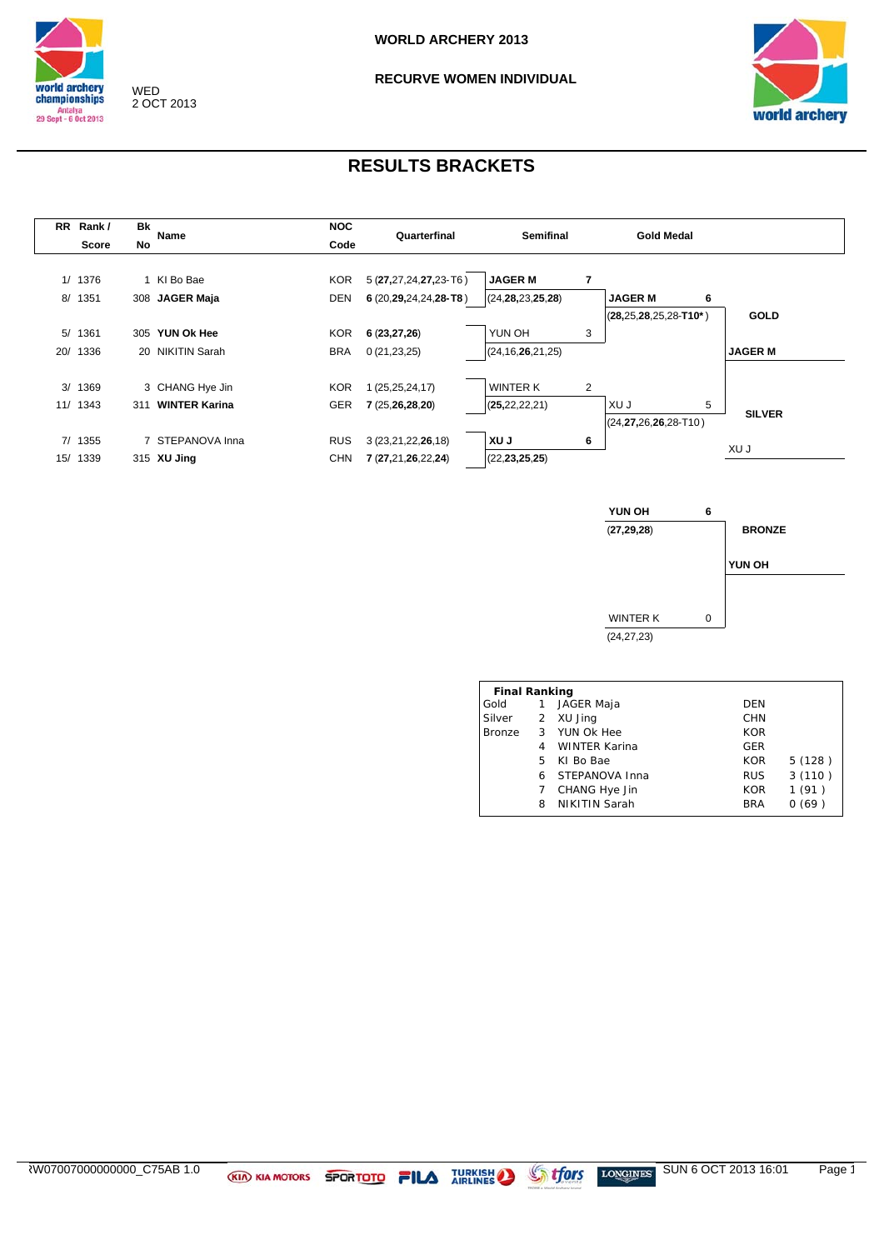

### **RECURVE WOMEN INDIVIDUAL**



| <b>RR</b> | Rank/    | <b>Bk</b> |                      | <b>NOC</b><br>Quarterfinal |                             |                      |   | <b>Gold Medal</b>              |   |                |
|-----------|----------|-----------|----------------------|----------------------------|-----------------------------|----------------------|---|--------------------------------|---|----------------|
|           | Score    | No        | Name                 | Code                       |                             | <b>Semifinal</b>     |   |                                |   |                |
|           |          |           |                      |                            |                             |                      |   |                                |   |                |
|           | 1/ 1376  |           | 1 KI Bo Bae          | <b>KOR</b>                 | $5(27, 27, 24, 27, 23$ -T6) | <b>JAGER M</b>       | 7 |                                |   |                |
| 8/        | 1351     |           | 308 JAGER Maja       | <b>DEN</b>                 | $6(20, 29, 24, 24, 28$ -T8) | (24, 28, 23, 25, 28) |   | <b>JAGER M</b>                 | 6 |                |
|           |          |           |                      |                            |                             |                      |   | $(28, 25, 28, 25, 28 - T10^*)$ |   | <b>GOLD</b>    |
|           | 5/1361   |           | 305 YUN Ok Hee       | <b>KOR</b>                 | 6(23, 27, 26)               | YUN OH               | 3 |                                |   |                |
| 20/       | 1336     |           | 20 NIKITIN Sarah     | <b>BRA</b>                 | 0(21, 23, 25)               | (24, 16, 26, 21, 25) |   |                                |   | <b>JAGER M</b> |
|           |          |           |                      |                            |                             |                      |   |                                |   |                |
|           | 3/1369   |           | 3 CHANG Hye Jin      | <b>KOR</b>                 | 1 (25,25,24,17)             | <b>WINTER K</b>      | 2 |                                |   |                |
|           | 11/ 1343 | 311       | <b>WINTER Karina</b> | GER                        | 7(25,26,28,20)              | (25, 22, 22, 21)     |   | XU J                           | 5 | <b>SILVER</b>  |
|           |          |           |                      |                            |                             |                      |   | $(24, 27, 26, 26, 28 - T10)$   |   |                |
|           | 7/1355   |           | 7 STEPANOVA Inna     | <b>RUS</b>                 | 3 (23,21,22,26,18)          | XU J                 | 6 |                                |   |                |
| 15/       | 1339     |           | 315 XU Jing          | <b>CHN</b>                 | 7 (27,21,26,22,24)          | (22, 23, 25, 25)     |   |                                |   | XU J           |
|           |          |           |                      |                            |                             |                      |   |                                |   |                |



|        | <b>Final Ranking</b> |                      |            |        |  |  |  |  |  |  |  |  |
|--------|----------------------|----------------------|------------|--------|--|--|--|--|--|--|--|--|
| Gold   | $\mathbf{1}$         | JAGER Maja           | DEN        |        |  |  |  |  |  |  |  |  |
| Silver |                      | 2 XU Jing            | CHN        |        |  |  |  |  |  |  |  |  |
|        |                      | Bronze 3 YUN Ok Hee  | <b>KOR</b> |        |  |  |  |  |  |  |  |  |
|        |                      | <b>WINTER Karina</b> | <b>GER</b> |        |  |  |  |  |  |  |  |  |
|        | 5.                   | KI Bo Bae            | <b>KOR</b> | 5(128) |  |  |  |  |  |  |  |  |
|        | 6                    | STEPANOVA Inna       | <b>RUS</b> | 3(110) |  |  |  |  |  |  |  |  |
|        | 7                    | CHANG Hye Jin        | <b>KOR</b> | 1(91)  |  |  |  |  |  |  |  |  |
|        | 8                    | <b>NIKITIN Sarah</b> | <b>BRA</b> | 0(69)  |  |  |  |  |  |  |  |  |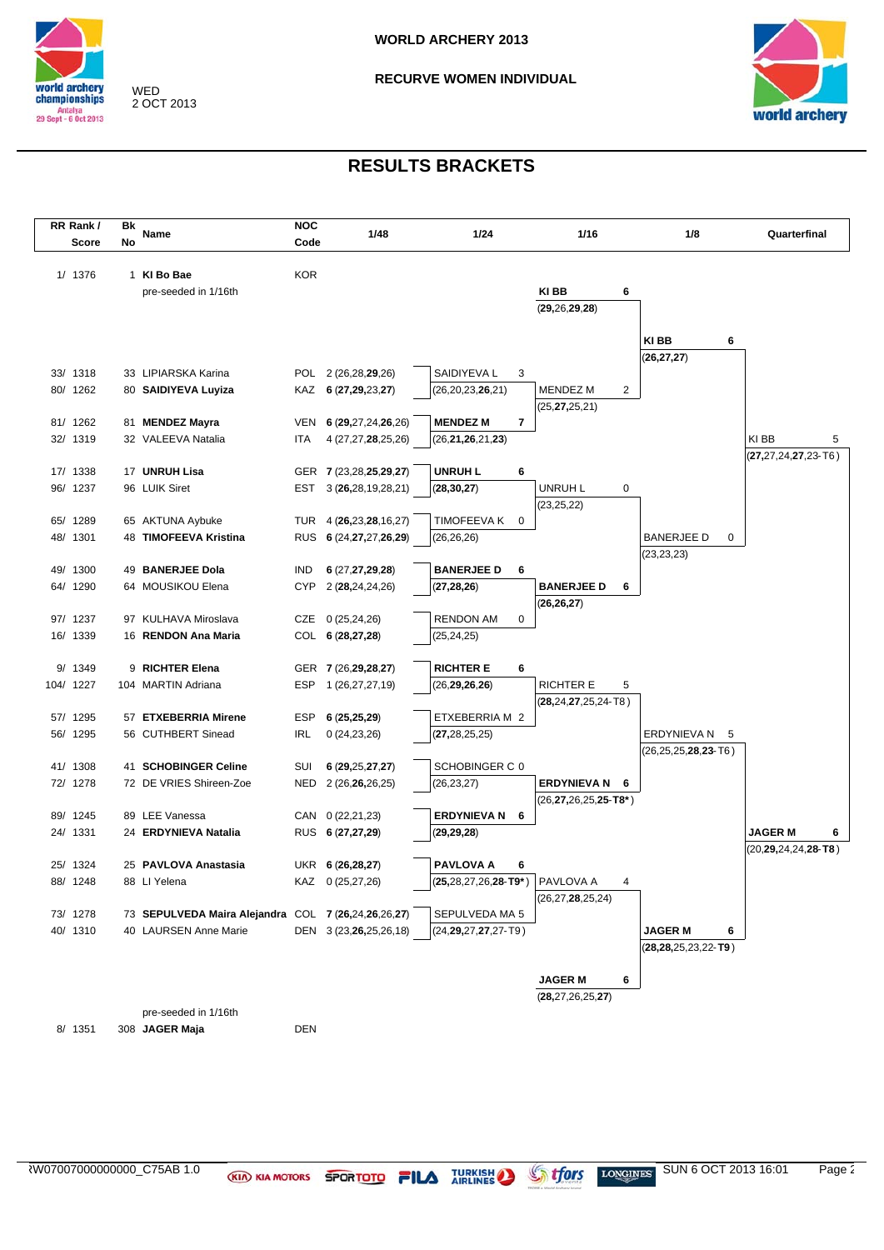

**RECURVE WOMEN INDIVIDUAL** 



| RR Rank/             | Bk |                                                     | <b>NOC</b> |                                          |                             |   |                                        |                              |                                  |
|----------------------|----|-----------------------------------------------------|------------|------------------------------------------|-----------------------------|---|----------------------------------------|------------------------------|----------------------------------|
| Score                | No | Name                                                | Code       | 1/48                                     | 1/24                        |   | 1/16                                   | 1/8                          | Quarterfinal                     |
|                      |    |                                                     |            |                                          |                             |   |                                        |                              |                                  |
| 1/ 1376              |    | 1 KI Bo Bae                                         | <b>KOR</b> |                                          |                             |   |                                        |                              |                                  |
|                      |    | pre-seeded in 1/16th                                |            |                                          |                             |   | KI BB<br>6                             |                              |                                  |
|                      |    |                                                     |            |                                          |                             |   | (29, 26, 29, 28)                       |                              |                                  |
|                      |    |                                                     |            |                                          |                             |   |                                        |                              |                                  |
|                      |    |                                                     |            |                                          |                             |   |                                        | KI BB<br>6                   |                                  |
|                      |    |                                                     |            |                                          |                             |   |                                        | (26, 27, 27)                 |                                  |
| 33/ 1318<br>80/ 1262 |    | 33 LIPIARSKA Karina                                 |            | POL 2 (26,28,29,26)                      | SAIDIYEVA L                 | 3 |                                        |                              |                                  |
|                      |    | 80 SAIDIYEVA Luyiza                                 |            | KAZ 6 (27,29,23,27)                      | (26,20,23,26,21)            |   | <b>MENDEZ M</b><br>2                   |                              |                                  |
| 81/ 1262             |    | 81 MENDEZ Mayra                                     | VEN        |                                          | <b>MENDEZ M</b>             | 7 | (25, <b>27,</b> 25,21)                 |                              |                                  |
| 32/ 1319             |    | 32 VALEEVA Natalia                                  | ITA        | 6 (29,27,24,26,26)<br>4 (27,27,28,25,26) | (26, 21, 26, 21, 23)        |   |                                        |                              | KI BB<br>5                       |
|                      |    |                                                     |            |                                          |                             |   |                                        |                              | $(27, 27, 24, 27, 23 - T6)$      |
| 17/ 1338             |    | 17 UNRUH Lisa                                       |            | GER 7 (23,28,25,29,27)                   | <b>UNRUH L</b>              | 6 |                                        |                              |                                  |
| 96/ 1237             |    | 96 LUIK Siret                                       | EST        | 3(26, 28, 19, 28, 21)                    | (28, 30, 27)                |   | UNRUH L<br>0                           |                              |                                  |
|                      |    |                                                     |            |                                          |                             |   | (23, 25, 22)                           |                              |                                  |
| 65/ 1289             |    | 65 AKTUNA Aybuke                                    |            | TUR 4 (26,23,28,16,27)                   | TIMOFEEVA K                 | 0 |                                        |                              |                                  |
| 48/ 1301             |    | 48 TIMOFEEVA Kristina                               |            | RUS 6 (24, 27, 27, 26, 29)               | (26, 26, 26)                |   |                                        | <b>BANERJEE D</b><br>0       |                                  |
|                      |    |                                                     |            |                                          |                             |   |                                        | (23, 23, 23)                 |                                  |
| 49/ 1300             |    | 49 BANERJEE Dola                                    | IND        | 6 (27,27,29,28)                          | <b>BANERJEE D</b>           | 6 |                                        |                              |                                  |
| 64/ 1290             |    | 64 MOUSIKOU Elena                                   | <b>CYP</b> | 2 (28,24,24,26)                          | (27, 28, 26)                |   | <b>BANERJEE D</b><br>6                 |                              |                                  |
|                      |    |                                                     |            |                                          |                             |   | (26, 26, 27)                           |                              |                                  |
| 97/ 1237             |    | 97 KULHAVA Miroslava                                |            | CZE 0 (25,24,26)                         | <b>RENDON AM</b>            | 0 |                                        |                              |                                  |
| 16/ 1339             |    | 16 RENDON Ana Maria                                 |            | COL 6 (28,27,28)                         | (25,24,25)                  |   |                                        |                              |                                  |
|                      |    |                                                     |            |                                          |                             |   |                                        |                              |                                  |
| 9/ 1349              |    | 9 RICHTER Elena                                     |            | GER 7 (26, 29, 28, 27)                   | <b>RICHTER E</b>            | 6 |                                        |                              |                                  |
| 104/ 1227            |    | 104 MARTIN Adriana                                  | ESP        | 1 (26,27,27,19)                          | (26, 29, 26, 26)            |   | <b>RICHTER E</b><br>5                  |                              |                                  |
|                      |    |                                                     |            |                                          |                             |   | (28,24,27,25,24-T8)                    |                              |                                  |
| 57/ 1295             |    | 57 ETXEBERRIA Mirene                                | ESP        | 6(25, 25, 29)                            | ETXEBERRIA M 2              |   |                                        |                              |                                  |
| 56/ 1295             |    | 56 CUTHBERT Sinead                                  | IRL        | 0(24, 23, 26)                            | (27, 28, 25, 25)            |   |                                        | ERDYNIEVA N<br>- 5           |                                  |
|                      |    |                                                     |            |                                          |                             |   |                                        | (26,25,25, <b>28,23</b> -T6) |                                  |
| 41/ 1308             |    | 41 SCHOBINGER Celine                                | SUI        | 6(29, 25, 27, 27)                        | SCHOBINGER C 0              |   |                                        |                              |                                  |
| 72/ 1278             |    | 72 DE VRIES Shireen-Zoe                             | NED        | 2 (26,26,26,25)                          | (26, 23, 27)                |   | <b>ERDYNIEVA N</b><br>6                |                              |                                  |
|                      |    | 89 LEE Vanessa                                      |            |                                          | <b>ERDYNIEVA N</b>          |   | (26, <b>27,</b> 26,25, <b>25-T8</b> *) |                              |                                  |
| 89/ 1245<br>24/ 1331 |    | 24 ERDYNIEVA Natalia                                |            | CAN 0 (22,21,23)<br>RUS 6 (27,27,29)     |                             | 6 |                                        |                              | <b>JAGER M</b>                   |
|                      |    |                                                     |            |                                          | (29, 29, 28)                |   |                                        |                              | 6<br>$(20, 29, 24, 24, 28 - T8)$ |
| 25/ 1324             |    | 25 PAVLOVA Anastasia                                |            | UKR 6 (26,28,27)                         | <b>PAVLOVA A</b>            | 6 |                                        |                              |                                  |
| 88/ 1248             |    | 88 LI Yelena                                        |            | KAZ 0 (25,27,26)                         | $(25,28,27,26,28-T9^*)$     |   | PAVLOVA A                              |                              |                                  |
|                      |    |                                                     |            |                                          |                             |   | (26, 27, 28, 25, 24)                   |                              |                                  |
| 73/ 1278             |    | 73 SEPULVEDA Maira Alejandra COL 7 (26,24,26,26,27) |            |                                          | SEPULVEDA MA 5              |   |                                        |                              |                                  |
| 40/ 1310             |    | 40 LAURSEN Anne Marie                               |            | DEN 3 (23,26,25,26,18)                   | $(24, 29, 27, 27, 27 - T9)$ |   |                                        | <b>JAGER M</b><br>6          |                                  |
|                      |    |                                                     |            |                                          |                             |   |                                        | $(28, 28, 25, 23, 22 - T9)$  |                                  |
|                      |    |                                                     |            |                                          |                             |   |                                        |                              |                                  |
|                      |    |                                                     |            |                                          |                             |   | <b>JAGER M</b><br>6                    |                              |                                  |
|                      |    |                                                     |            |                                          |                             |   | (28, 27, 26, 25, 27)                   |                              |                                  |
|                      |    | pre-seeded in 1/16th                                |            |                                          |                             |   |                                        |                              |                                  |
| 8/ 1351              |    | 308 JAGER Maja                                      | DEN        |                                          |                             |   |                                        |                              |                                  |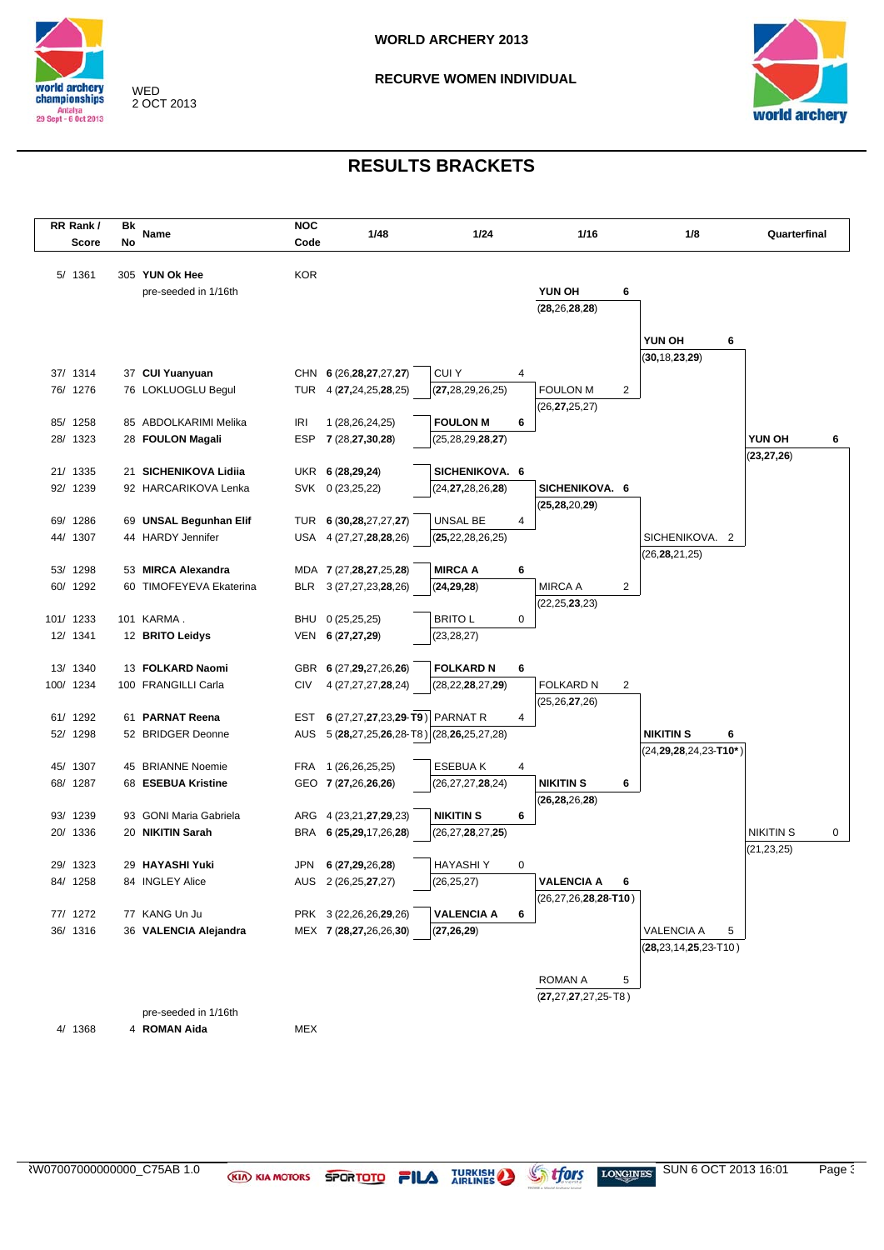

**RECURVE WOMEN INDIVIDUAL** 



| RR Rank/  | Bk |                         | <b>NOC</b> |                                        |                      |   |                              |   |                               |                  |   |
|-----------|----|-------------------------|------------|----------------------------------------|----------------------|---|------------------------------|---|-------------------------------|------------------|---|
| Score     | No | Name                    | Code       | 1/48                                   | 1/24                 |   | 1/16                         |   | 1/8                           | Quarterfinal     |   |
|           |    |                         |            |                                        |                      |   |                              |   |                               |                  |   |
| 5/ 1361   |    | 305 YUN Ok Hee          | KOR        |                                        |                      |   |                              |   |                               |                  |   |
|           |    | pre-seeded in 1/16th    |            |                                        |                      |   | YUN OH                       | 6 |                               |                  |   |
|           |    |                         |            |                                        |                      |   | (28, 26, 28, 28)             |   |                               |                  |   |
|           |    |                         |            |                                        |                      |   |                              |   |                               |                  |   |
|           |    |                         |            |                                        |                      |   |                              |   | YUN OH<br>6                   |                  |   |
|           |    |                         |            |                                        |                      |   |                              |   | (30, 18, 23, 29)              |                  |   |
| 37/ 1314  |    | 37 CUI Yuanyuan         |            | CHN 6 (26, 28, 27, 27, 27)             | <b>CUIY</b>          | 4 |                              |   |                               |                  |   |
| 76/ 1276  |    | 76 LOKLUOGLU Begul      |            | TUR 4 (27,24,25,28,25)                 | (27, 28, 29, 26, 25) |   | <b>FOULON M</b>              | 2 |                               |                  |   |
|           |    |                         |            |                                        |                      |   | (26, <b>27,</b> 25,27)       |   |                               |                  |   |
| 85/ 1258  |    | 85 ABDOLKARIMI Melika   | IRI        | 1 (28,26,24,25)                        | <b>FOULON M</b>      | 6 |                              |   |                               |                  |   |
| 28/ 1323  |    | 28 FOULON Magali        | ESP        | 7 (28,27,30,28)                        | (25, 28, 29, 28, 27) |   |                              |   |                               | YUN OH           | 6 |
|           |    |                         |            |                                        |                      |   |                              |   |                               | (23, 27, 26)     |   |
| 21/ 1335  |    | 21 SICHENIKOVA Lidiia   |            | UKR 6 (28,29,24)                       | SICHENIKOVA. 6       |   |                              |   |                               |                  |   |
| 92/ 1239  |    | 92 HARCARIKOVA Lenka    |            | SVK 0 (23,25,22)                       | (24, 27, 28, 26, 28) |   | SICHENIKOVA. 6               |   |                               |                  |   |
|           |    |                         |            |                                        |                      |   | (25, 28, 20, 29)             |   |                               |                  |   |
| 69/ 1286  |    | 69 UNSAL Begunhan Elif  | TUR        | 6 (30,28,27,27,27)                     | UNSAL BE             | 4 |                              |   |                               |                  |   |
| 44/ 1307  |    | 44 HARDY Jennifer       |            | USA 4 (27,27,28,28,26)                 | (25, 22, 28, 26, 25) |   |                              |   | SICHENIKOVA. 2                |                  |   |
|           |    | 53 MIRCA Alexandra      |            |                                        |                      |   |                              |   | (26, 28, 21, 25)              |                  |   |
| 53/ 1298  |    | 60 TIMOFEYEVA Ekaterina |            | MDA 7 (27,28,27,25,28)                 | <b>MIRCA A</b>       | 6 | <b>MIRCA A</b>               |   |                               |                  |   |
| 60/ 1292  |    |                         |            | BLR 3 (27,27,23,28,26)                 | (24, 29, 28)         |   | (22, 25, 23, 23)             | 2 |                               |                  |   |
| 101/ 1233 |    | 101 KARMA.              |            | BHU 0 (25,25,25)                       | <b>BRITO L</b>       | 0 |                              |   |                               |                  |   |
| 12/ 1341  |    | 12 BRITO Leidys         |            | VEN 6 (27,27,29)                       | (23, 28, 27)         |   |                              |   |                               |                  |   |
|           |    |                         |            |                                        |                      |   |                              |   |                               |                  |   |
| 13/ 1340  |    | 13 FOLKARD Naomi        |            | GBR 6 (27,29,27,26,26)                 | <b>FOLKARD N</b>     | 6 |                              |   |                               |                  |   |
| 100/ 1234 |    | 100 FRANGILLI Carla     | CIV        | 4 (27,27,27,28,24)                     | (28, 22, 28, 27, 29) |   | <b>FOLKARD N</b>             | 2 |                               |                  |   |
|           |    |                         |            |                                        |                      |   | (25, 26, 27, 26)             |   |                               |                  |   |
| 61/ 1292  |    | 61 PARNAT Reena         |            | EST 6 (27,27,27,23,29-T9) PARNAT R     |                      | 4 |                              |   |                               |                  |   |
| 52/ 1298  |    | 52 BRIDGER Deonne       | AUS        | 5 (28,27,25,26,28-T8) (28,26,25,27,28) |                      |   |                              |   | <b>NIKITIN S</b><br>6         |                  |   |
|           |    |                         |            |                                        |                      |   |                              |   | $(24, 29, 28, 24, 23 - T10*)$ |                  |   |
| 45/ 1307  |    | 45 BRIANNE Noemie       |            | FRA 1 (26,26,25,25)                    | <b>ESEBUAK</b>       | 4 |                              |   |                               |                  |   |
| 68/ 1287  |    | 68 ESEBUA Kristine      |            | GEO 7 (27,26,26,26)                    | (26, 27, 27, 28, 24) |   | <b>NIKITIN S</b>             | 6 |                               |                  |   |
|           |    |                         |            |                                        |                      |   | (26,28,26,28)                |   |                               |                  |   |
| 93/ 1239  |    | 93 GONI Maria Gabriela  |            | ARG 4 (23,21,27,29,23)                 | <b>NIKITIN S</b>     | 6 |                              |   |                               |                  |   |
| 20/ 1336  |    | 20 NIKITIN Sarah        |            | BRA 6 (25,29,17,26,28)                 | (26, 27, 28, 27, 25) |   |                              |   |                               | <b>NIKITIN S</b> | 0 |
|           |    |                         |            |                                        |                      |   |                              |   |                               | (21, 23, 25)     |   |
| 29/ 1323  |    | 29 HAYASHI Yuki         | JPN        | 6 (27,29,26,28)                        | <b>HAYASHIY</b>      | 0 |                              |   |                               |                  |   |
| 84/ 1258  |    | 84 INGLEY Alice         |            | AUS 2 (26,25,27,27)                    | (26, 25, 27)         |   | <b>VALENCIA A</b>            | 6 |                               |                  |   |
|           |    |                         |            |                                        |                      |   | $(26, 27, 26, 28, 28 - T10)$ |   |                               |                  |   |
| 77/ 1272  |    | 77 KANG Un Ju           |            | PRK 3 (22,26,26,29,26)                 | <b>VALENCIA A</b>    | 6 |                              |   |                               |                  |   |
| 36/ 1316  |    | 36 VALENCIA Alejandra   |            | MEX 7 (28,27,26,26,30)                 | (27, 26, 29)         |   |                              |   | VALENCIA A<br>5               |                  |   |
|           |    |                         |            |                                        |                      |   |                              |   | $(28, 23, 14, 25, 23 - T10)$  |                  |   |
|           |    |                         |            |                                        |                      |   |                              |   |                               |                  |   |
|           |    |                         |            |                                        |                      |   | ROMAN A                      | 5 |                               |                  |   |
|           |    |                         |            |                                        |                      |   | $(27, 27, 27, 27, 25 - T8)$  |   |                               |                  |   |
|           |    | pre-seeded in 1/16th    |            |                                        |                      |   |                              |   |                               |                  |   |
| 4/ 1368   |    | 4 ROMAN Aida            | MEX        |                                        |                      |   |                              |   |                               |                  |   |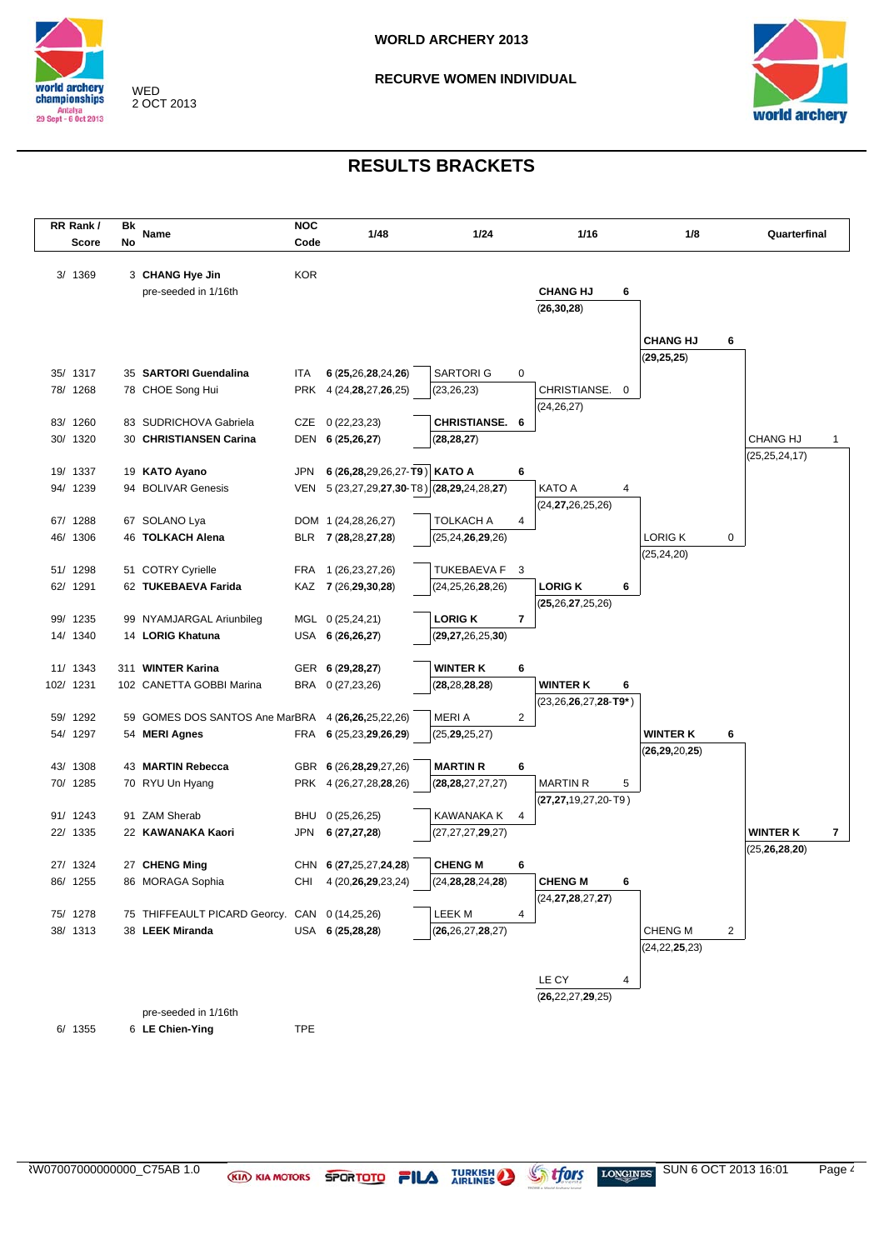

**RECURVE WOMEN INDIVIDUAL** 



| RR Rank/             | Bk |                                               | <b>NOC</b> |                                            |                                         |                |                                                      |                                 |   |                  |   |
|----------------------|----|-----------------------------------------------|------------|--------------------------------------------|-----------------------------------------|----------------|------------------------------------------------------|---------------------------------|---|------------------|---|
| Score                | No | Name                                          | Code       | 1/48                                       | 1/24                                    |                | 1/16                                                 | 1/8                             |   | Quarterfinal     |   |
| 3/ 1369              |    | 3 CHANG Hye Jin<br>pre-seeded in 1/16th       | <b>KOR</b> |                                            |                                         |                | <b>CHANG HJ</b><br>6<br>(26, 30, 28)                 |                                 |   |                  |   |
|                      |    |                                               |            |                                            |                                         |                |                                                      | <b>CHANG HJ</b><br>(29, 25, 25) | 6 |                  |   |
| 35/ 1317             |    | 35 SARTORI Guendalina                         | ITA        | 6 (25,26,28,24,26)                         | <b>SARTORIG</b>                         | 0              |                                                      |                                 |   |                  |   |
| 78/ 1268             |    | 78 CHOE Song Hui                              |            | PRK 4 (24, <b>28</b> , 27, <b>26</b> , 25) | (23, 26, 23)                            |                | CHRISTIANSE. 0                                       |                                 |   |                  |   |
|                      |    |                                               |            |                                            |                                         |                | (24, 26, 27)                                         |                                 |   |                  |   |
| 83/ 1260             |    | 83 SUDRICHOVA Gabriela                        |            | CZE 0 (22,23,23)                           | <b>CHRISTIANSE. 6</b>                   |                |                                                      |                                 |   |                  |   |
| 30/ 1320             |    | 30 CHRISTIANSEN Carina                        |            | DEN 6 (25,26,27)                           | (28, 28, 27)                            |                |                                                      |                                 |   | <b>CHANG HJ</b>  | 1 |
| 19/ 1337             |    | 19 KATO Ayano                                 | <b>JPN</b> | 6 (26,28,29,26,27-T9)   KATO A             |                                         | 6              |                                                      |                                 |   | (25, 25, 24, 17) |   |
| 94/ 1239             |    | 94 BOLIVAR Genesis                            | VEN        | 5 (23,27,29,27,30-T8) (28,29,24,28,27)     |                                         |                | <b>KATO A</b><br>4                                   |                                 |   |                  |   |
|                      |    |                                               |            |                                            |                                         |                | (24, 27, 26, 25, 26)                                 |                                 |   |                  |   |
| 67/ 1288             |    | 67 SOLANO Lya                                 |            | DOM 1 (24,28,26,27)                        | TOLKACH A                               | 4              |                                                      |                                 |   |                  |   |
| 46/ 1306             |    | 46 TOLKACH Alena                              |            | BLR 7 (28,28,27,28)                        | (25,24, <b>26,29</b> ,26)               |                |                                                      | <b>LORIG K</b>                  | 0 |                  |   |
|                      |    |                                               |            |                                            |                                         |                |                                                      | (25, 24, 20)                    |   |                  |   |
| 51/ 1298<br>62/ 1291 |    | 51 COTRY Cyrielle<br>62 TUKEBAEVA Farida      |            | FRA 1 (26,23,27,26)                        | <b>TUKEBAEVA F</b>                      | $\mathbf{3}$   | <b>LORIG K</b><br>6                                  |                                 |   |                  |   |
|                      |    |                                               |            | KAZ 7 (26,29,30,28)                        | (24,25,26, <b>28</b> ,26)               |                | (25, 26, 27, 25, 26)                                 |                                 |   |                  |   |
| 99/ 1235             |    | 99 NYAMJARGAL Ariunbileg                      |            | MGL 0 (25,24,21)                           | <b>LORIG K</b>                          | 7              |                                                      |                                 |   |                  |   |
| 14/ 1340             |    | 14 LORIG Khatuna                              |            | USA 6 (26,26,27)                           | (29, 27, 26, 25, 30)                    |                |                                                      |                                 |   |                  |   |
|                      |    |                                               |            |                                            |                                         |                |                                                      |                                 |   |                  |   |
| 11/ 1343             |    | 311 WINTER Karina                             |            | GER 6 (29,28,27)                           | <b>WINTER K</b>                         | 6              |                                                      |                                 |   |                  |   |
| 102/ 1231            |    | 102 CANETTA GOBBI Marina                      |            | BRA 0 (27,23,26)                           | (28, 28, 28, 28)                        |                | <b>WINTER K</b><br>6<br>$(23, 26, 26, 27, 28 - T9*)$ |                                 |   |                  |   |
| 59/ 1292             |    | 59 GOMES DOS SANTOS Ane MarBRA                |            | 4 (26,26,25,22,26)                         | <b>MERIA</b>                            | 2              |                                                      |                                 |   |                  |   |
| 54/ 1297             |    | 54 MERI Agnes                                 | FRA        | 6 (25,23,29,26,29)                         | (25, 29, 25, 27)                        |                |                                                      | <b>WINTER K</b>                 | 6 |                  |   |
|                      |    |                                               |            |                                            |                                         |                |                                                      | (26, 29, 20, 25)                |   |                  |   |
| 43/ 1308             |    | 43 MARTIN Rebecca                             | <b>GBR</b> | 6 (26,28,29,27,26)                         | <b>MARTIN R</b>                         | 6              |                                                      |                                 |   |                  |   |
| 70/ 1285             |    | 70 RYU Un Hyang                               |            | PRK 4 (26,27,28,28,26)                     | (28, 28, 27, 27, 27)                    |                | <b>MARTIN R</b><br>5                                 |                                 |   |                  |   |
|                      |    |                                               |            |                                            |                                         |                | $(27, 27, 19, 27, 20 - T9)$                          |                                 |   |                  |   |
| 91/ 1243<br>22/ 1335 |    | 91 ZAM Sherab<br>22 KAWANAKA Kaori            | BHU<br>JPN | 0(25,26,25)<br>6(27, 27, 28)               | KAWANAKA K<br>(27,27,27, <b>29</b> ,27) | $\overline{4}$ |                                                      |                                 |   | <b>WINTER K</b>  | 7 |
|                      |    |                                               |            |                                            |                                         |                |                                                      |                                 |   | (25, 26, 28, 20) |   |
| 27/ 1324             |    | 27 CHENG Ming                                 |            | CHN 6 (27,25,27,24,28)                     | <b>CHENG M</b>                          | 6              |                                                      |                                 |   |                  |   |
| 86/ 1255             |    | 86 MORAGA Sophia                              |            | CHI 4 (20, 26, 29, 23, 24)                 | (24, 28, 28, 24, 28)                    |                | <b>CHENG M</b>                                       |                                 |   |                  |   |
|                      |    |                                               |            |                                            |                                         |                | (24, 27, 28, 27, 27)                                 |                                 |   |                  |   |
| 75/ 1278             |    | 75 THIFFEAULT PICARD Georcy. CAN 0 (14,25,26) |            |                                            | LEEK M                                  | 4              |                                                      |                                 |   |                  |   |
| 38/ 1313             |    | 38 LEEK Miranda                               |            | USA 6 (25,28,28)                           | (26, 26, 27, 28, 27)                    |                |                                                      | CHENG M                         | 2 |                  |   |
|                      |    |                                               |            |                                            |                                         |                |                                                      | (24, 22, 25, 23)                |   |                  |   |
|                      |    |                                               |            |                                            |                                         |                | LE CY<br>4                                           |                                 |   |                  |   |
|                      |    |                                               |            |                                            |                                         |                | (26, 22, 27, 29, 25)                                 |                                 |   |                  |   |
|                      |    | pre-seeded in 1/16th                          |            |                                            |                                         |                |                                                      |                                 |   |                  |   |
| 6/ 1355              |    | 6 LE Chien-Ying                               | <b>TPE</b> |                                            |                                         |                |                                                      |                                 |   |                  |   |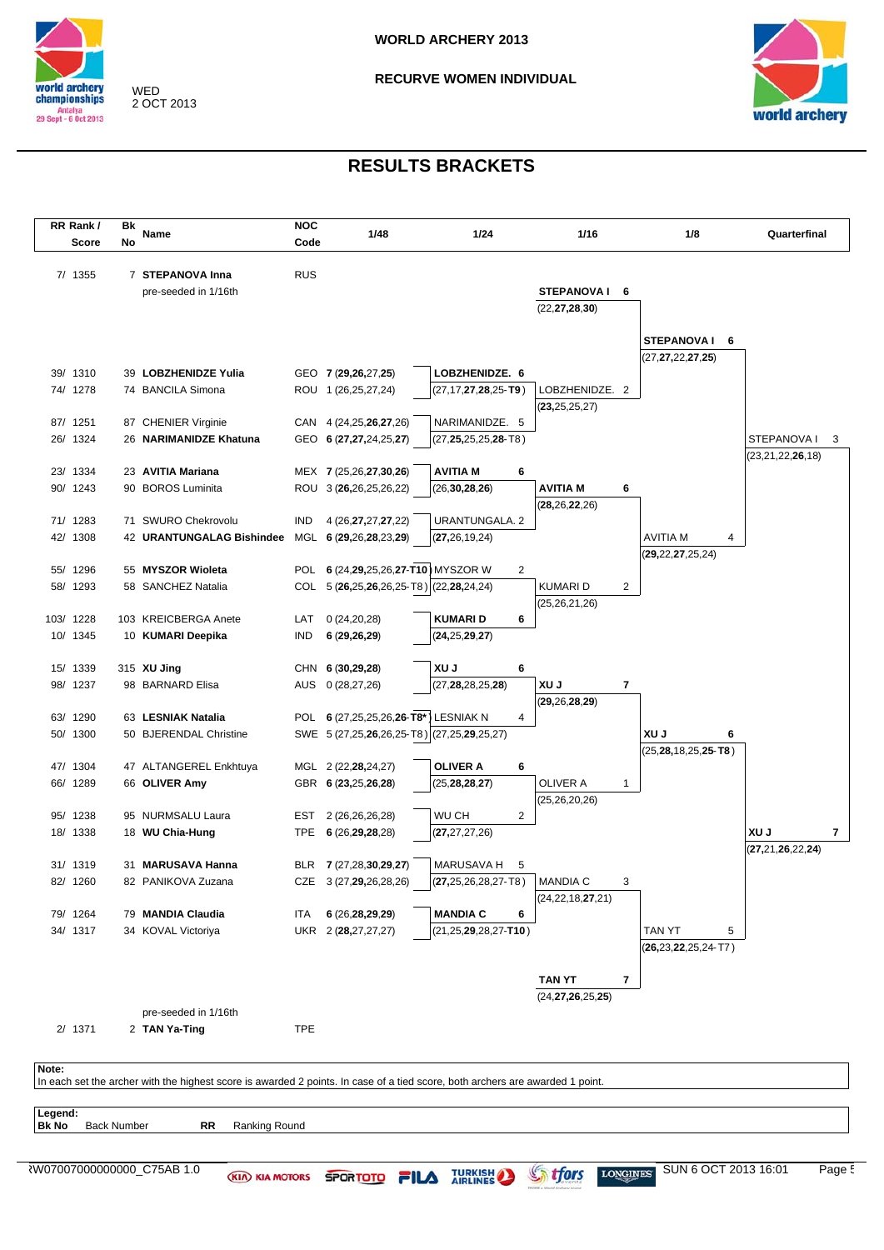

WED 2 OCT 2013 **RECURVE WOMEN INDIVIDUAL** 



 $\overline{\phantom{a}}$ 

| RR Rank/  |              | Bk                 | Name                                                                                                                          | <b>NOC</b> | 1/48                                    | 1/24                                       | 1/16                 |              | 1/8                         | Quarterfinal         |
|-----------|--------------|--------------------|-------------------------------------------------------------------------------------------------------------------------------|------------|-----------------------------------------|--------------------------------------------|----------------------|--------------|-----------------------------|----------------------|
|           | <b>Score</b> | No                 |                                                                                                                               | Code       |                                         |                                            |                      |              |                             |                      |
|           | 7/ 1355      |                    | 7 STEPANOVA Inna                                                                                                              | <b>RUS</b> |                                         |                                            |                      |              |                             |                      |
|           |              |                    | pre-seeded in 1/16th                                                                                                          |            |                                         |                                            | STEPANOVAI 6         |              |                             |                      |
|           |              |                    |                                                                                                                               |            |                                         |                                            | (22, 27, 28, 30)     |              |                             |                      |
|           |              |                    |                                                                                                                               |            |                                         |                                            |                      |              |                             |                      |
|           |              |                    |                                                                                                                               |            |                                         |                                            |                      |              | STEPANOVA I 6               |                      |
|           |              |                    |                                                                                                                               |            |                                         |                                            |                      |              | (27, 27, 22, 27, 25)        |                      |
| 39/ 1310  |              |                    | 39 LOBZHENIDZE Yulia                                                                                                          |            | GEO 7 (29,26,27,25)                     | LOBZHENIDZE. 6                             |                      |              |                             |                      |
| 74/ 1278  |              |                    | 74 BANCILA Simona                                                                                                             |            | ROU 1 (26,25,27,24)                     | $(27, 17, 27, 28, 25 - T9)$                | LOBZHENIDZE. 2       |              |                             |                      |
| 87/ 1251  |              |                    | 87 CHENIER Virginie                                                                                                           |            | CAN 4 (24,25,26,27,26)                  | NARIMANIDZE. 5                             | (23, 25, 25, 27)     |              |                             |                      |
| 26/ 1324  |              |                    | 26 NARIMANIDZE Khatuna                                                                                                        |            | GEO 6 (27,27,24,25,27)                  | $(27, 25, 25, 25, 28 - T8)$                |                      |              |                             | STEPANOVA I          |
|           |              |                    |                                                                                                                               |            |                                         |                                            |                      |              |                             | (23, 21, 22, 26, 18) |
| 23/ 1334  |              |                    | 23 AVITIA Mariana                                                                                                             |            | MEX 7 (25,26,27,30,26)                  | <b>AVITIA M</b><br>6                       |                      |              |                             |                      |
| 90/ 1243  |              |                    | 90 BOROS Luminita                                                                                                             |            | ROU 3 (26,26,25,26,22)                  | (26, 30, 28, 26)                           | AVITIA M             | 6            |                             |                      |
|           |              |                    |                                                                                                                               |            |                                         |                                            | (28, 26, 22, 26)     |              |                             |                      |
| 71/ 1283  |              |                    | 71 SWURO Chekrovolu                                                                                                           | <b>IND</b> | 4 (26, 27, 27, 27, 22)                  | URANTUNGALA. 2                             |                      |              |                             |                      |
| 42/ 1308  |              |                    | 42 URANTUNGALAG Bishindee                                                                                                     |            | MGL 6 (29,26,28,23,29)                  | (27, 26, 19, 24)                           |                      |              | <b>AVITIA M</b><br>4        |                      |
|           |              |                    |                                                                                                                               |            |                                         |                                            |                      |              | (29, 22, 27, 25, 24)        |                      |
| 55/ 1296  |              |                    | 55 MYSZOR Wioleta                                                                                                             |            | POL 6 (24,29,25,26,27-T10) MYSZOR W     | $\overline{2}$                             |                      |              |                             |                      |
| 58/ 1293  |              |                    | 58 SANCHEZ Natalia                                                                                                            |            | COL 5 (26,25,26,26,25-T8) (22,28,24,24) |                                            | KUMARI D             | 2            |                             |                      |
|           |              |                    |                                                                                                                               |            |                                         |                                            | (25, 26, 21, 26)     |              |                             |                      |
| 103/ 1228 |              |                    | 103 KREICBERGA Anete                                                                                                          | LAT        | 0(24,20,28)                             | <b>KUMARID</b><br>6                        |                      |              |                             |                      |
| 10/ 1345  |              |                    | 10 KUMARI Deepika                                                                                                             | <b>IND</b> | 6(29, 26, 29)                           | (24, 25, 29, 27)                           |                      |              |                             |                      |
| 15/ 1339  |              |                    | 315 XU Jing                                                                                                                   |            | CHN 6 (30,29,28)                        | <b>XUJ</b><br>6                            |                      |              |                             |                      |
| 98/ 1237  |              |                    | 98 BARNARD Elisa                                                                                                              |            | AUS 0 (28,27,26)                        | (27, 28, 28, 25, 28)                       | XU J                 | 7            |                             |                      |
|           |              |                    |                                                                                                                               |            |                                         |                                            | (29, 26, 28, 29)     |              |                             |                      |
| 63/ 1290  |              |                    | 63 LESNIAK Natalia                                                                                                            |            | POL 6 (27,25,25,26,26-T8*) LESNIAK N    | 4                                          |                      |              |                             |                      |
| 50/ 1300  |              |                    | 50 BJERENDAL Christine                                                                                                        |            |                                         | SWE 5 (27,25,26,26,25-T8) (27,25,29,25,27) |                      |              | XU J<br>6                   |                      |
|           |              |                    |                                                                                                                               |            |                                         |                                            |                      |              | $(25, 28, 18, 25, 25 - T8)$ |                      |
| 47/ 1304  |              |                    | 47 ALTANGEREL Enkhtuya                                                                                                        |            | MGL 2 (22,28,24,27)                     | <b>OLIVER A</b><br>6                       |                      |              |                             |                      |
| 66/ 1289  |              |                    | 66 OLIVER Amy                                                                                                                 |            | GBR 6 (23,25,26,28)                     | (25, 28, 28, 27)                           | OLIVER A             | $\mathbf{1}$ |                             |                      |
|           |              |                    |                                                                                                                               |            |                                         |                                            | (25, 26, 20, 26)     |              |                             |                      |
| 95/ 1238  |              |                    | 95 NURMSALU Laura                                                                                                             | EST        | 2 (26,26,26,28)                         | WU CH<br>2                                 |                      |              |                             |                      |
| 18/ 1338  |              |                    | 18 WU Chia-Hung                                                                                                               |            | TPE 6 (26,29,28,28)                     | (27, 27, 27, 26)                           |                      |              |                             | XU J                 |
| 31/ 1319  |              |                    | 31 MARUSAVA Hanna                                                                                                             |            | BLR 7 (27,28,30,29,27)                  | MARUSAVA H<br>5                            |                      |              |                             | (27, 21, 26, 22, 24) |
| 82/ 1260  |              |                    | 82 PANIKOVA Zuzana                                                                                                            |            | CZE 3 (27,29,26,28,26)                  | $(27, 25, 26, 28, 27 - T8)$                | MANDIA C             | 3            |                             |                      |
|           |              |                    |                                                                                                                               |            |                                         |                                            | (24, 22, 18, 27, 21) |              |                             |                      |
| 79/ 1264  |              |                    | 79 MANDIA Claudia                                                                                                             | ITA        | 6 (26, 28, 29, 29)                      | <b>MANDIA C</b><br>6                       |                      |              |                             |                      |
| 34/ 1317  |              |                    | 34 KOVAL Victoriya                                                                                                            |            | UKR 2 (28,27,27,27)                     | $(21, 25, 29, 28, 27 - T10)$               |                      |              | TAN YT<br>5                 |                      |
|           |              |                    |                                                                                                                               |            |                                         |                                            |                      |              | $(26, 23, 22, 25, 24 - T7)$ |                      |
|           |              |                    |                                                                                                                               |            |                                         |                                            |                      |              |                             |                      |
|           |              |                    |                                                                                                                               |            |                                         |                                            | <b>TAN YT</b>        | 7            |                             |                      |
|           |              |                    |                                                                                                                               |            |                                         |                                            | (24, 27, 26, 25, 25) |              |                             |                      |
|           |              |                    | pre-seeded in 1/16th                                                                                                          |            |                                         |                                            |                      |              |                             |                      |
|           | 2/ 1371      |                    | 2 TAN Ya-Ting                                                                                                                 | <b>TPE</b> |                                         |                                            |                      |              |                             |                      |
|           |              |                    |                                                                                                                               |            |                                         |                                            |                      |              |                             |                      |
| Note:     |              |                    | In each set the archer with the highest score is awarded 2 points. In case of a tied score, both archers are awarded 1 point. |            |                                         |                                            |                      |              |                             |                      |
|           |              |                    |                                                                                                                               |            |                                         |                                            |                      |              |                             |                      |
| Legend:   |              |                    |                                                                                                                               |            |                                         |                                            |                      |              |                             |                      |
| Bk No     |              | <b>Back Number</b> | RR<br>Ranking Round                                                                                                           |            |                                         |                                            |                      |              |                             |                      |
|           |              |                    |                                                                                                                               |            |                                         |                                            |                      |              |                             |                      |
|           |              |                    | RW07007000000000_C75AB 1.0                                                                                                    |            |                                         |                                            |                      |              |                             | SUN 6 OCT 2013 16:01 |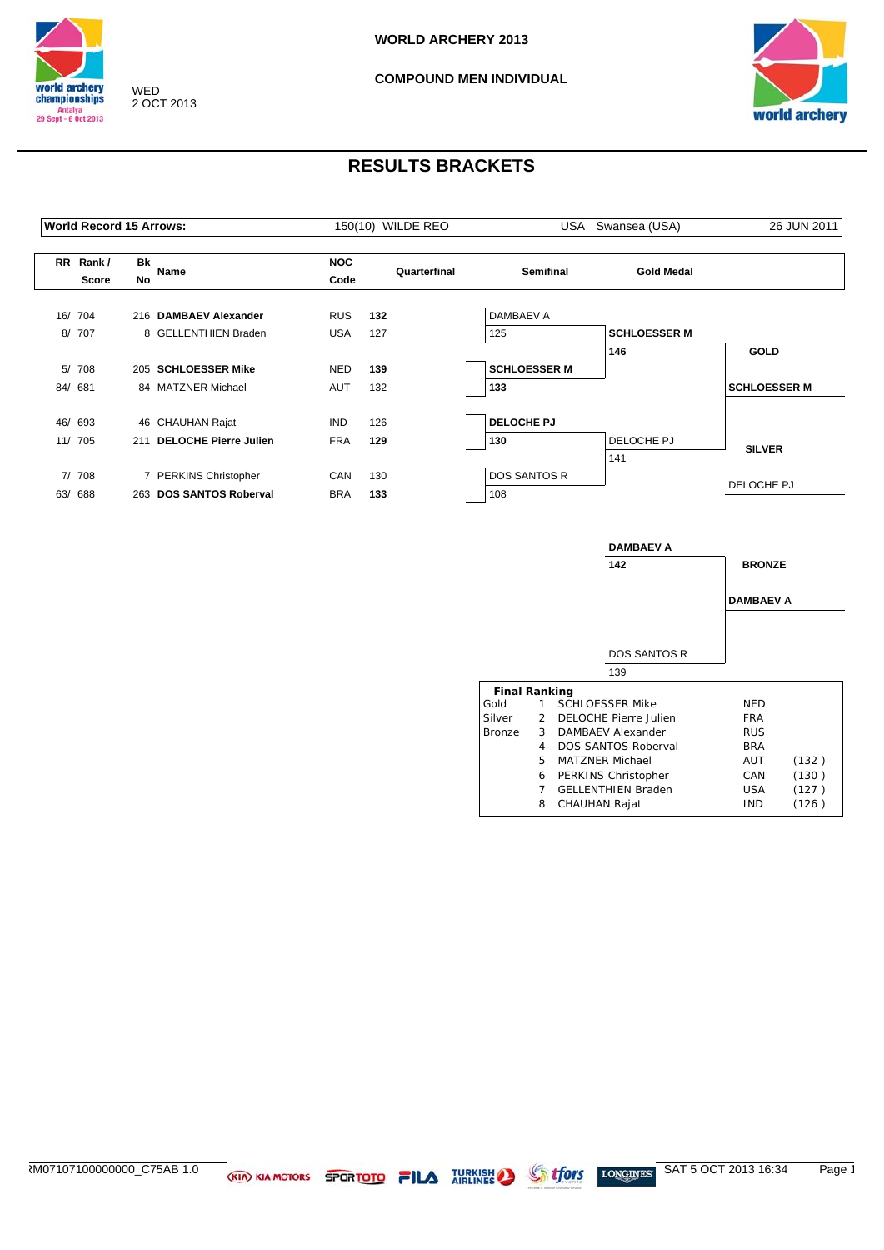





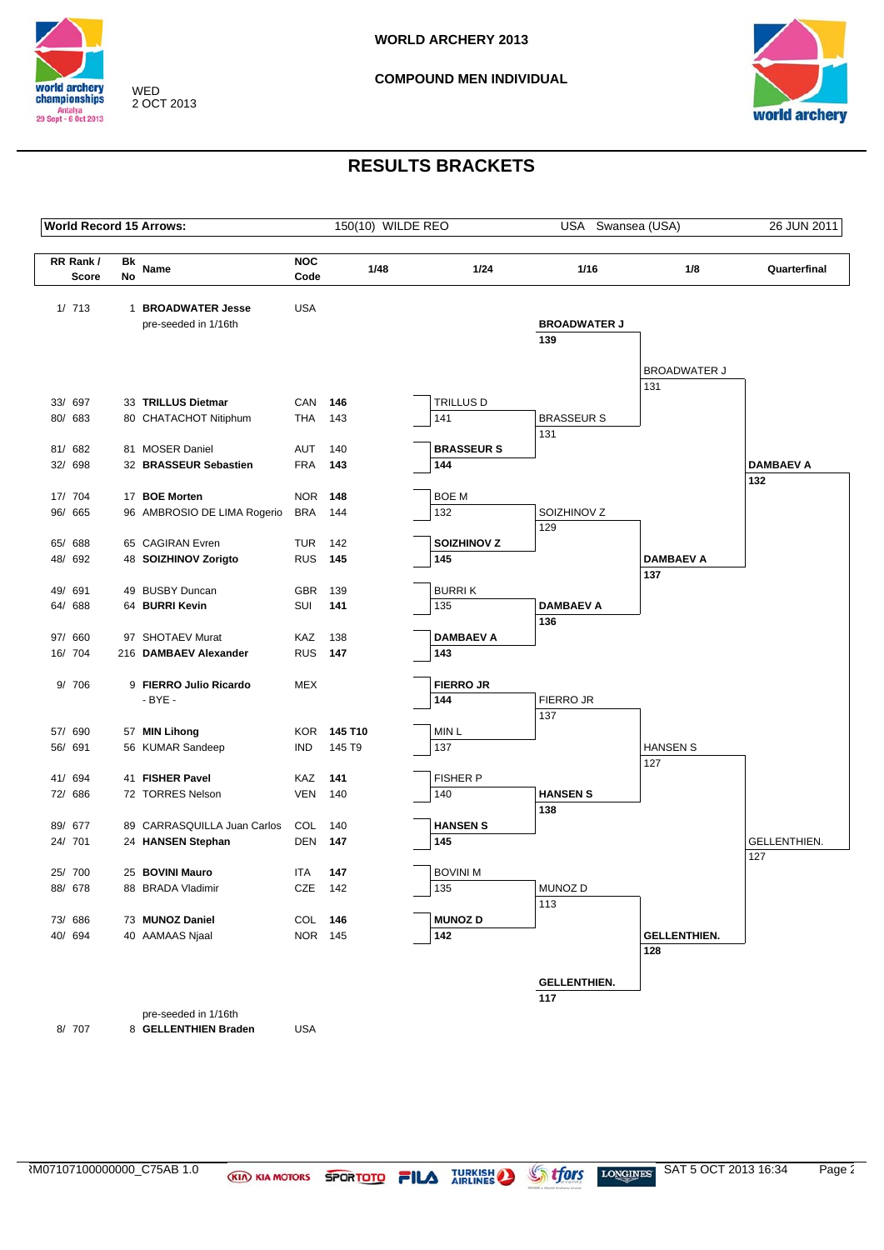



|              |          | <b>World Record 15 Arrows:</b> |                | 150(10) WILDE REO  |                  | USA Swansea (USA)   |                            | 26 JUN 2011         |
|--------------|----------|--------------------------------|----------------|--------------------|------------------|---------------------|----------------------------|---------------------|
| RR Rank/     |          |                                | <b>NOC</b>     |                    |                  |                     |                            |                     |
| <b>Score</b> | Bk<br>No | Name                           | Code           | 1/48               | 1/24             | 1/16                | 1/8                        | Quarterfinal        |
| 1/713        |          | 1 BROADWATER Jesse             | <b>USA</b>     |                    |                  |                     |                            |                     |
|              |          | pre-seeded in 1/16th           |                |                    |                  | <b>BROADWATER J</b> |                            |                     |
|              |          |                                |                |                    |                  | 139                 |                            |                     |
|              |          |                                |                |                    |                  |                     |                            |                     |
|              |          |                                |                |                    |                  |                     | <b>BROADWATER J</b>        |                     |
| 33/ 697      |          | 33 TRILLUS Dietmar             | CAN            | 146                | TRILLUS D        |                     | 131                        |                     |
| 80/ 683      |          | 80 CHATACHOT Nitiphum          | THA            | 143                | 141              | <b>BRASSEUR S</b>   |                            |                     |
|              |          |                                |                |                    |                  | 131                 |                            |                     |
| 81/ 682      |          | 81 MOSER Daniel                | AUT            | 140                | <b>BRASSEURS</b> |                     |                            |                     |
| 32/ 698      |          | 32 BRASSEUR Sebastien          | <b>FRA</b>     | 143                | 144              |                     |                            | <b>DAMBAEV A</b>    |
|              |          |                                |                |                    |                  |                     |                            | 132                 |
| 17/ 704      |          | 17 BOE Morten                  | <b>NOR 148</b> |                    | <b>BOE M</b>     |                     |                            |                     |
| 96/ 665      |          | 96 AMBROSIO DE LIMA Rogerio    | <b>BRA</b>     | 144                | 132              | SOIZHINOV Z         |                            |                     |
| 65/ 688      |          | 65 CAGIRAN Evren               | TUR            | 142                | SOIZHINOV Z      | 129                 |                            |                     |
| 48/ 692      |          | 48 SOIZHINOV Zorigto           | <b>RUS</b> 145 |                    | 145              |                     | <b>DAMBAEV A</b>           |                     |
|              |          |                                |                |                    |                  |                     | 137                        |                     |
| 49/ 691      |          | 49 BUSBY Duncan                | <b>GBR</b>     | 139                | <b>BURRIK</b>    |                     |                            |                     |
| 64/ 688      |          | 64 BURRI Kevin                 | SUI            | 141                | 135              | <b>DAMBAEV A</b>    |                            |                     |
|              |          |                                |                |                    |                  | 136                 |                            |                     |
| 97/ 660      |          | 97 SHOTAEV Murat               | KAZ            | 138                | <b>DAMBAEV A</b> |                     |                            |                     |
| 16/ 704      |          | 216 DAMBAEV Alexander          | <b>RUS</b>     | 147                | 143              |                     |                            |                     |
| 9/ 706       |          | 9 FIERRO Julio Ricardo         | <b>MEX</b>     |                    | <b>FIERRO JR</b> |                     |                            |                     |
|              |          | $-BYE -$                       |                |                    | 144              | FIERRO JR           |                            |                     |
|              |          |                                |                |                    |                  | 137                 |                            |                     |
| 57/ 690      |          | 57 MIN Lihong                  |                | <b>KOR 145 T10</b> | MIN <sub>L</sub> |                     |                            |                     |
| 56/ 691      |          | 56 KUMAR Sandeep               | <b>IND</b>     | 145 T9             | 137              |                     | <b>HANSEN S</b>            |                     |
|              |          |                                |                |                    |                  |                     | 127                        |                     |
| 41/ 694      |          | 41 FISHER Pavel                | KAZ            | 141                | <b>FISHER P</b>  |                     |                            |                     |
| 72/ 686      |          | 72 TORRES Nelson               | VEN            | 140                | 140              | <b>HANSEN S</b>     |                            |                     |
| 89/ 677      |          | 89 CARRASQUILLA Juan Carlos    | COL            | 140                | <b>HANSEN S</b>  | 138                 |                            |                     |
| 24/ 701      |          | 24 HANSEN Stephan              | DEN            | 147                | 145              |                     |                            | <b>GELLENTHIEN.</b> |
|              |          |                                |                |                    |                  |                     |                            | 127                 |
| 25/ 700      |          | 25 BOVINI Mauro                | ITA            | 147                | <b>BOVINI M</b>  |                     |                            |                     |
| 88/ 678      |          | 88 BRADA Vladimir              | CZE 142        |                    | 135              | MUNOZ D             |                            |                     |
|              |          |                                |                |                    |                  | 113                 |                            |                     |
| 73/ 686      |          | 73 MUNOZ Daniel                | COL 146        |                    | <b>MUNOZ D</b>   |                     |                            |                     |
| 40/ 694      |          | 40 AAMAAS Njaal                | NOR 145        |                    | 142              |                     | <b>GELLENTHIEN.</b><br>128 |                     |
|              |          |                                |                |                    |                  |                     |                            |                     |
|              |          |                                |                |                    |                  | <b>GELLENTHIEN.</b> |                            |                     |
|              |          |                                |                |                    |                  | 117                 |                            |                     |
|              |          | pre-seeded in 1/16th           |                |                    |                  |                     |                            |                     |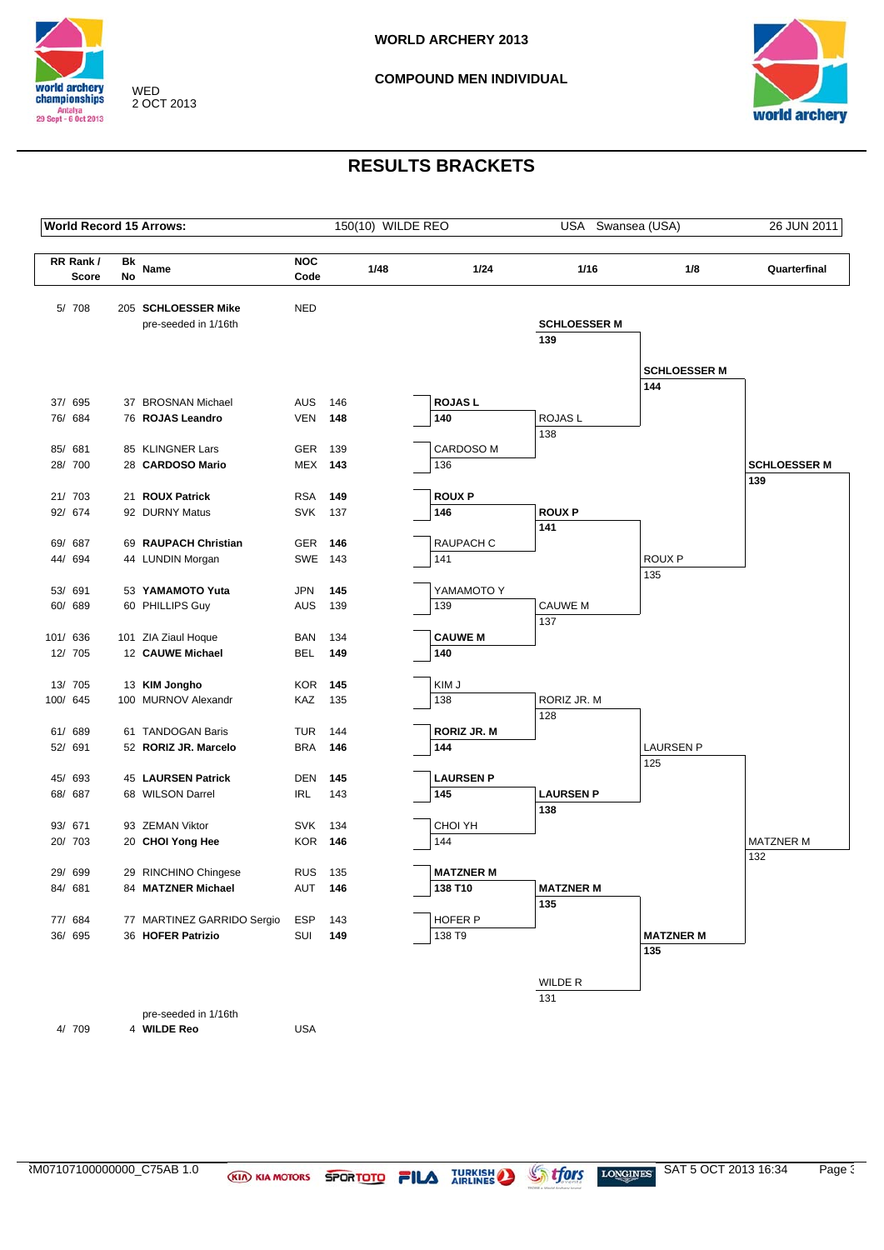



|          |                          |                 | <b>World Record 15 Arrows:</b>              |                    |            | 150(10) WILDE REO |                           | USA Swansea (USA)          |                            | 26 JUN 2011         |
|----------|--------------------------|-----------------|---------------------------------------------|--------------------|------------|-------------------|---------------------------|----------------------------|----------------------------|---------------------|
|          | RR Rank/<br><b>Score</b> | <b>Bk</b><br>No | Name                                        | <b>NOC</b><br>Code |            | 1/48              | 1/24                      | 1/16                       | 1/8                        | Quarterfinal        |
|          | 5/ 708                   |                 | 205 SCHLOESSER Mike<br>pre-seeded in 1/16th | <b>NED</b>         |            |                   |                           | <b>SCHLOESSER M</b><br>139 |                            |                     |
|          |                          |                 |                                             |                    |            |                   |                           |                            | <b>SCHLOESSER M</b><br>144 |                     |
|          | 37/ 695                  |                 | 37 BROSNAN Michael                          | AUS                | 146        |                   | <b>ROJASL</b>             |                            |                            |                     |
|          | 76/ 684                  |                 | 76 ROJAS Leandro                            | <b>VEN</b>         | 148        |                   | 140                       | ROJAS L                    |                            |                     |
|          |                          |                 |                                             |                    |            |                   |                           | 138                        |                            |                     |
|          | 85/ 681                  |                 | 85 KLINGNER Lars                            | <b>GER</b>         | 139        |                   | CARDOSO M                 |                            |                            |                     |
|          | 28/ 700                  |                 | 28 CARDOSO Mario                            | <b>MEX 143</b>     |            |                   | 136                       |                            |                            | <b>SCHLOESSER M</b> |
|          |                          |                 |                                             |                    |            |                   |                           |                            |                            | 139                 |
|          | 21/ 703                  |                 | 21 ROUX Patrick                             | <b>RSA</b>         | 149        |                   | <b>ROUXP</b>              |                            |                            |                     |
|          | 92/ 674                  |                 | 92 DURNY Matus                              | <b>SVK</b>         | 137        |                   | 146                       | <b>ROUXP</b>               |                            |                     |
|          | 69/ 687                  |                 | 69 RAUPACH Christian                        | <b>GER</b>         | 146        |                   | RAUPACH C                 | 141                        |                            |                     |
|          | 44/ 694                  |                 | 44 LUNDIN Morgan                            | SWE 143            |            |                   | 141                       |                            | <b>ROUX P</b>              |                     |
|          |                          |                 |                                             |                    |            |                   |                           |                            | 135                        |                     |
|          | 53/ 691                  |                 | 53 YAMAMOTO Yuta                            | <b>JPN</b>         | 145        |                   | YAMAMOTO Y                |                            |                            |                     |
|          | 60/ 689                  |                 | 60 PHILLIPS Guy                             | AUS                | 139        |                   | 139                       | <b>CAUWE M</b>             |                            |                     |
|          |                          |                 |                                             |                    |            |                   |                           | 137                        |                            |                     |
| 101/ 636 |                          |                 | 101 ZIA Ziaul Hoque                         | <b>BAN</b>         | 134        |                   | <b>CAUWE M</b>            |                            |                            |                     |
|          | 12/ 705                  |                 | 12 CAUWE Michael                            | <b>BEL</b>         | 149        |                   | 140                       |                            |                            |                     |
|          |                          |                 |                                             |                    |            |                   |                           |                            |                            |                     |
|          | 13/ 705                  |                 | 13 KIM Jongho                               | <b>KOR</b>         | 145        |                   | KIM J                     |                            |                            |                     |
|          | 100/ 645                 |                 | 100 MURNOV Alexandr                         | KAZ                | 135        |                   | 138                       | RORIZ JR. M                |                            |                     |
|          |                          |                 |                                             |                    |            |                   |                           | 128                        |                            |                     |
|          | 61/ 689<br>52/ 691       |                 | 61 TANDOGAN Baris<br>52 RORIZ JR. Marcelo   | TUR<br><b>BRA</b>  | 144<br>146 |                   | <b>RORIZ JR. M</b><br>144 |                            | <b>LAURSEN P</b>           |                     |
|          |                          |                 |                                             |                    |            |                   |                           |                            | 125                        |                     |
|          | 45/ 693                  |                 | 45 LAURSEN Patrick                          | <b>DEN</b>         | 145        |                   | <b>LAURSEN P</b>          |                            |                            |                     |
|          | 68/ 687                  |                 | 68 WILSON Darrel                            | <b>IRL</b>         | 143        |                   | 145                       | <b>LAURSEN P</b>           |                            |                     |
|          |                          |                 |                                             |                    |            |                   |                           | 138                        |                            |                     |
|          | 93/ 671                  |                 | 93 ZEMAN Viktor                             | <b>SVK</b>         | 134        |                   | CHOI YH                   |                            |                            |                     |
|          | 20/ 703                  |                 | 20 CHOI Yong Hee                            | KOR                | 146        |                   | 144                       |                            |                            | <b>MATZNER M</b>    |
|          |                          |                 |                                             |                    |            |                   |                           |                            |                            | 132                 |
|          | 29/ 699                  |                 | 29 RINCHINO Chingese                        | <b>RUS</b>         | 135        |                   | <b>MATZNER M</b>          |                            |                            |                     |
|          | 84/ 681                  |                 | 84 MATZNER Michael                          | <b>AUT 146</b>     |            |                   | 138 T10                   | <b>MATZNER M</b>           |                            |                     |
|          |                          |                 |                                             |                    |            |                   |                           | 135                        |                            |                     |
|          | 77/ 684                  |                 | 77 MARTINEZ GARRIDO Sergio                  | ESP                | 143        |                   | HOFER P                   |                            |                            |                     |
|          | 36/ 695                  |                 | 36 HOFER Patrizio                           | SUI                | 149        |                   | 138 T9                    |                            | <b>MATZNER M</b>           |                     |
|          |                          |                 |                                             |                    |            |                   |                           |                            | 135                        |                     |
|          |                          |                 |                                             |                    |            |                   |                           | WILDE R                    |                            |                     |
|          |                          |                 |                                             |                    |            |                   |                           | 131                        |                            |                     |
|          |                          |                 | pre-seeded in 1/16th                        |                    |            |                   |                           |                            |                            |                     |
|          | 4/ 709                   |                 | 4 WILDE Reo                                 | USA                |            |                   |                           |                            |                            |                     |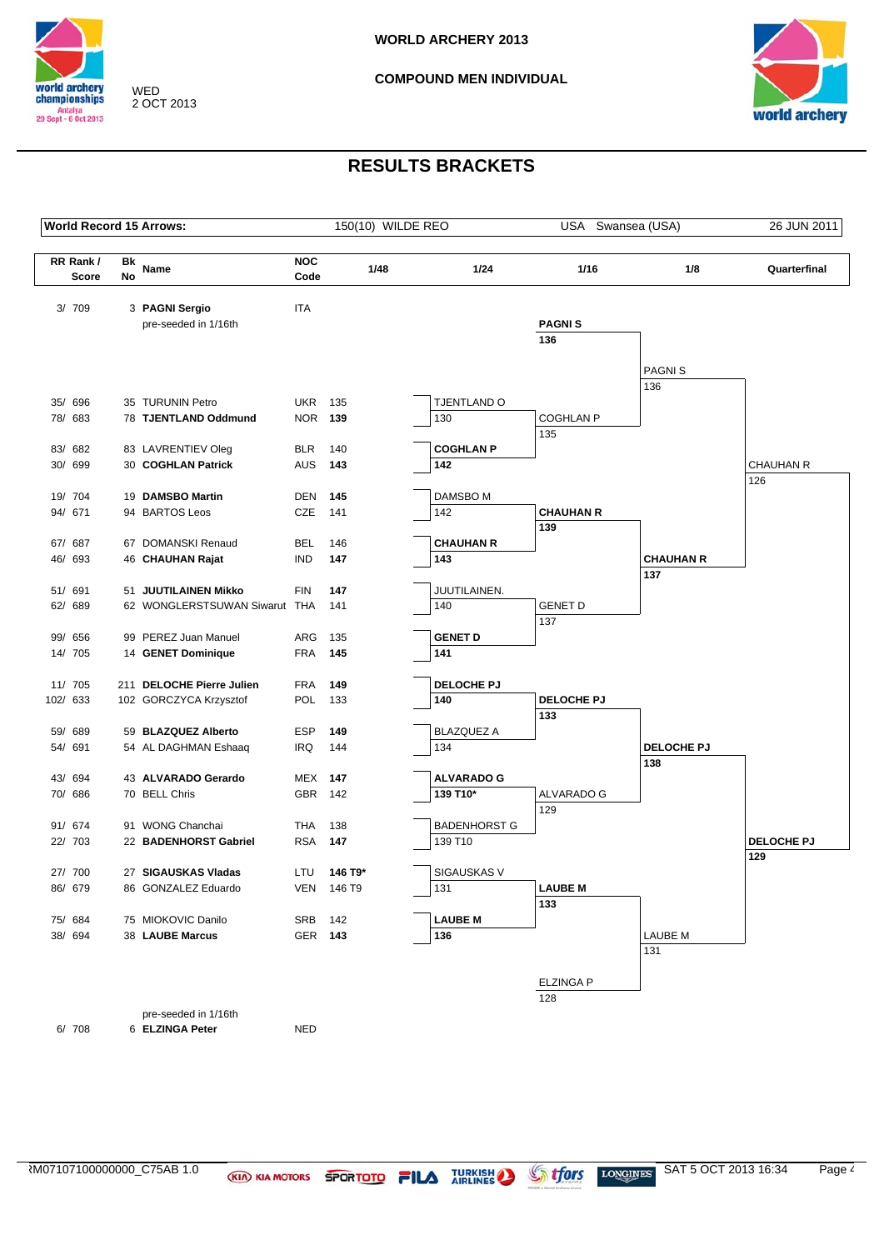



| <b>World Record 15 Arrows:</b> |    |                                      |                              |         | 150(10) WILDE REO |                               | USA Swansea (USA)     |                         | 26 JUN 2011       |
|--------------------------------|----|--------------------------------------|------------------------------|---------|-------------------|-------------------------------|-----------------------|-------------------------|-------------------|
| RR Rank/                       | Bk |                                      | <b>NOC</b>                   |         |                   |                               |                       |                         |                   |
| Score                          | No | Name                                 | Code                         |         | 1/48              | 1/24                          | 1/16                  | 1/8                     | Quarterfinal      |
| 3/ 709                         |    | 3 PAGNI Sergio                       | <b>ITA</b>                   |         |                   |                               |                       |                         |                   |
|                                |    | pre-seeded in 1/16th                 |                              |         |                   |                               | <b>PAGNIS</b>         |                         |                   |
|                                |    |                                      |                              |         |                   |                               | 136                   |                         |                   |
|                                |    |                                      |                              |         |                   |                               |                       | <b>PAGNIS</b>           |                   |
|                                |    |                                      |                              |         |                   |                               |                       | 136                     |                   |
| 35/ 696                        |    | 35 TURUNIN Petro                     | <b>UKR</b>                   | 135     |                   | TJENTLAND O                   |                       |                         |                   |
| 78/ 683                        |    | 78 TJENTLAND Oddmund                 | <b>NOR 139</b>               |         |                   | 130                           | <b>COGHLAN P</b>      |                         |                   |
| 83/ 682                        |    | 83 LAVRENTIEV Oleg                   | <b>BLR</b>                   | 140     |                   | <b>COGHLAN P</b>              | 135                   |                         |                   |
| 30/ 699                        |    | 30 COGHLAN Patrick                   | AUS                          | 143     |                   | 142                           |                       |                         | <b>CHAUHAN R</b>  |
|                                |    |                                      |                              |         |                   |                               |                       |                         | 126               |
| 19/ 704                        |    | 19 DAMSBO Martin                     | <b>DEN</b>                   | 145     |                   | DAMSBO M                      |                       |                         |                   |
| 94/ 671                        |    | 94 BARTOS Leos                       | CZE                          | 141     |                   | 142                           | <b>CHAUHAN R</b>      |                         |                   |
|                                |    |                                      |                              |         |                   |                               | 139                   |                         |                   |
| 67/ 687                        |    | 67 DOMANSKI Renaud                   | <b>BEL</b>                   | 146     |                   | <b>CHAUHAN R</b>              |                       |                         |                   |
| 46/ 693                        |    | 46 CHAUHAN Rajat                     | <b>IND</b>                   | 147     |                   | 143                           |                       | <b>CHAUHAN R</b><br>137 |                   |
| 51/ 691                        |    | 51 JUUTILAINEN Mikko                 | <b>FIN</b>                   | 147     |                   | JUUTILAINEN.                  |                       |                         |                   |
| 62/ 689                        |    | 62 WONGLERSTSUWAN Siwarut THA        |                              | 141     |                   | 140                           | <b>GENET D</b>        |                         |                   |
|                                |    |                                      |                              |         |                   |                               | 137                   |                         |                   |
| 99/ 656                        |    | 99 PEREZ Juan Manuel                 | ARG                          | 135     |                   | <b>GENET D</b>                |                       |                         |                   |
| 14/ 705                        |    | 14 GENET Dominique                   | <b>FRA</b>                   | 145     |                   | 141                           |                       |                         |                   |
| 11/ 705                        |    | 211 DELOCHE Pierre Julien            | <b>FRA</b>                   | 149     |                   | DELOCHE PJ                    |                       |                         |                   |
| 102/ 633                       |    | 102 GORCZYCA Krzysztof               | POL                          | 133     |                   | 140                           | DELOCHE PJ            |                         |                   |
|                                |    |                                      |                              |         |                   |                               | 133                   |                         |                   |
| 59/<br>689                     |    | 59 BLAZQUEZ Alberto                  | <b>ESP</b>                   | 149     |                   | <b>BLAZQUEZ A</b>             |                       |                         |                   |
| 54/ 691                        |    | 54 AL DAGHMAN Eshaaq                 | IRQ                          | 144     |                   | 134                           |                       | DELOCHE PJ              |                   |
|                                |    |                                      |                              |         |                   |                               |                       | 138                     |                   |
| 43/ 694<br>70/ 686             |    | 43 ALVARADO Gerardo<br>70 BELL Chris | <b>MEX 147</b><br><b>GBR</b> | 142     |                   | <b>ALVARADO G</b><br>139 T10* | ALVARADO G            |                         |                   |
|                                |    |                                      |                              |         |                   |                               | 129                   |                         |                   |
| 91/ 674                        |    | 91 WONG Chanchai                     | THA                          | 138     |                   | <b>BADENHORST G</b>           |                       |                         |                   |
| 22/ 703                        |    | 22 BADENHORST Gabriel                | <b>RSA</b>                   | 147     |                   | 139 T10                       |                       |                         | <b>DELOCHE PJ</b> |
|                                |    |                                      |                              |         |                   |                               |                       |                         | 129               |
| 27/ 700                        |    | 27 SIGAUSKAS Vladas                  | LTU                          | 146 T9* |                   | SIGAUSKAS V                   |                       |                         |                   |
| 86/ 679                        |    | 86 GONZALEZ Eduardo                  | VEN                          | 146 T9  |                   | 131                           | <b>LAUBE M</b><br>133 |                         |                   |
| 75/ 684                        |    | 75 MIOKOVIC Danilo                   | SRB                          | 142     |                   | <b>LAUBE M</b>                |                       |                         |                   |
| 38/ 694                        |    | 38 LAUBE Marcus                      |                              | GER 143 |                   | 136                           |                       | <b>LAUBE M</b>          |                   |
|                                |    |                                      |                              |         |                   |                               |                       | 131                     |                   |
|                                |    |                                      |                              |         |                   |                               | <b>ELZINGA P</b>      |                         |                   |
|                                |    |                                      |                              |         |                   |                               | 128                   |                         |                   |
|                                |    | pre-seeded in 1/16th                 |                              |         |                   |                               |                       |                         |                   |
| 6/ 708                         |    | 6 ELZINGA Peter                      | <b>NED</b>                   |         |                   |                               |                       |                         |                   |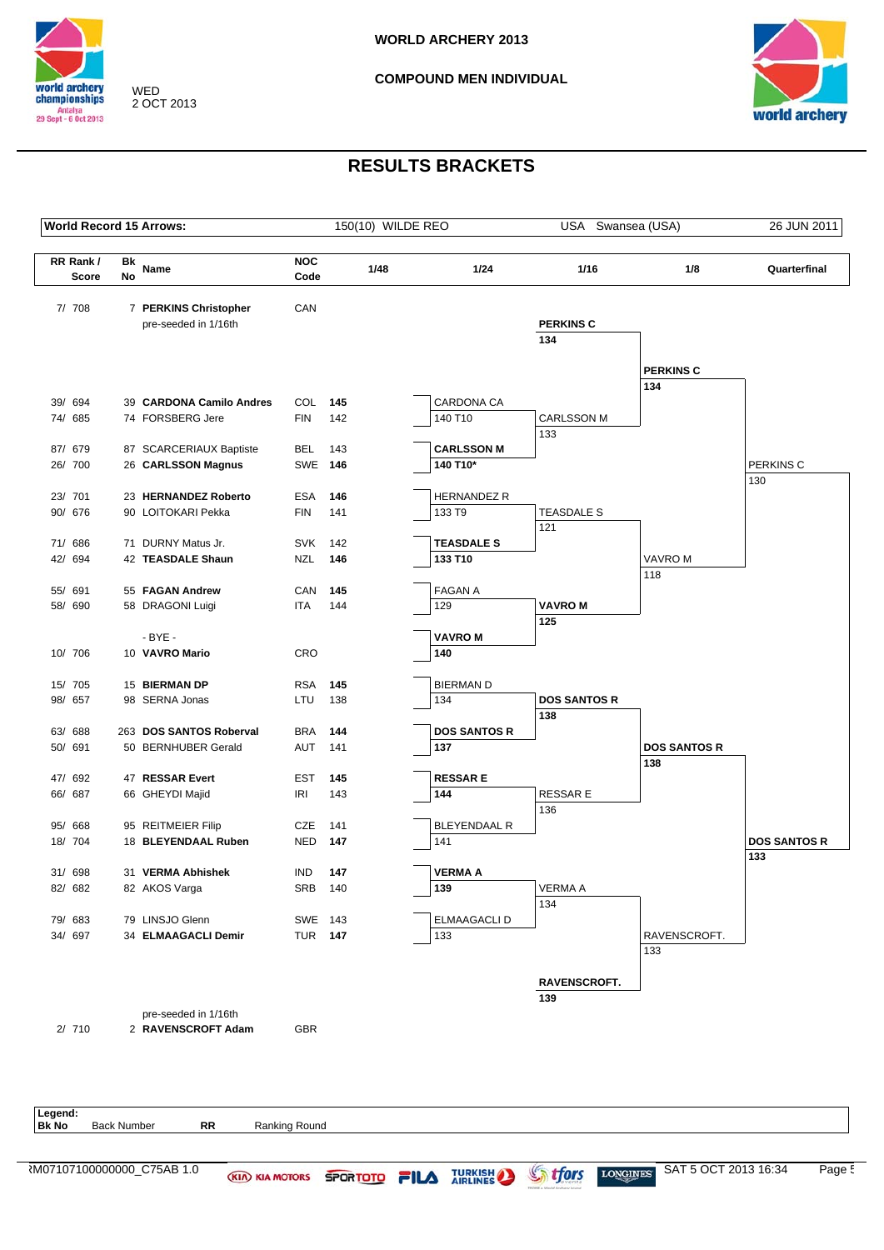

WED 2 OCT 2013

#### **COMPOUND MEN INDIVIDUAL**



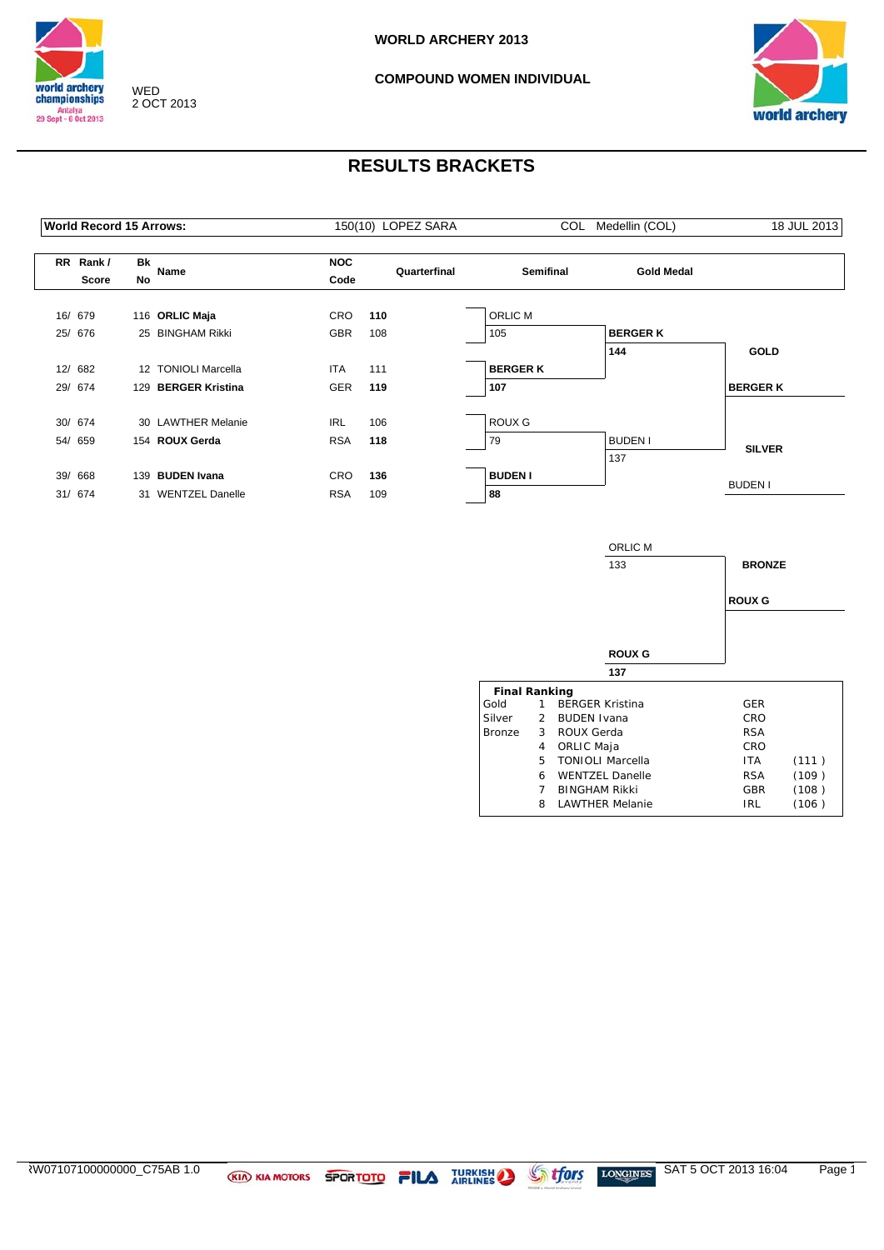



|     | <b>World Record 15 Arrows:</b> |                  |                         |                    | 150(10) LOPEZ SARA |                  | COL Medellin (COL) | 18 JUL 2013     |
|-----|--------------------------------|------------------|-------------------------|--------------------|--------------------|------------------|--------------------|-----------------|
|     | RR Rank/<br>Score              | Bk<br>No         | Name                    | <b>NOC</b><br>Code | Quarterfinal       | <b>Semifinal</b> | <b>Gold Medal</b>  |                 |
|     | 16/ 679                        |                  | 116 ORLIC Maja          | <b>CRO</b>         | 110                | <b>ORLIC M</b>   |                    |                 |
| 25/ | 676                            |                  | 25 BINGHAM Rikki        | <b>GBR</b>         | 108                | 105              | <b>BERGER K</b>    |                 |
|     |                                |                  |                         |                    |                    |                  | 144                | <b>GOLD</b>     |
|     | 12/ 682                        | 12 <sup>12</sup> | <b>TONIOLI Marcella</b> | <b>ITA</b>         | 111                | <b>BERGER K</b>  |                    |                 |
|     | 29/ 674                        |                  | 129 BERGER Kristina     | <b>GER</b>         | 119                | 107              |                    | <b>BERGER K</b> |
|     | 30/ 674                        |                  | 30 LAWTHER Melanie      | <b>IRL</b>         | 106                | ROUX G           |                    |                 |
| 54/ | 659                            |                  | 154 ROUX Gerda          | <b>RSA</b>         | 118                | 79               | <b>BUDEN I</b>     |                 |
|     |                                |                  |                         |                    |                    |                  | 137                | <b>SILVER</b>   |
| 39/ | 668                            |                  | 139 BUDEN Ivana         | <b>CRO</b>         | 136                | <b>BUDEN I</b>   |                    |                 |
|     | 31/ 674                        |                  | 31 WENTZEL Danelle      | <b>RSA</b>         | 109                | 88               |                    | <b>BUDEN I</b>  |
|     |                                |                  |                         |                    |                    |                  |                    |                 |

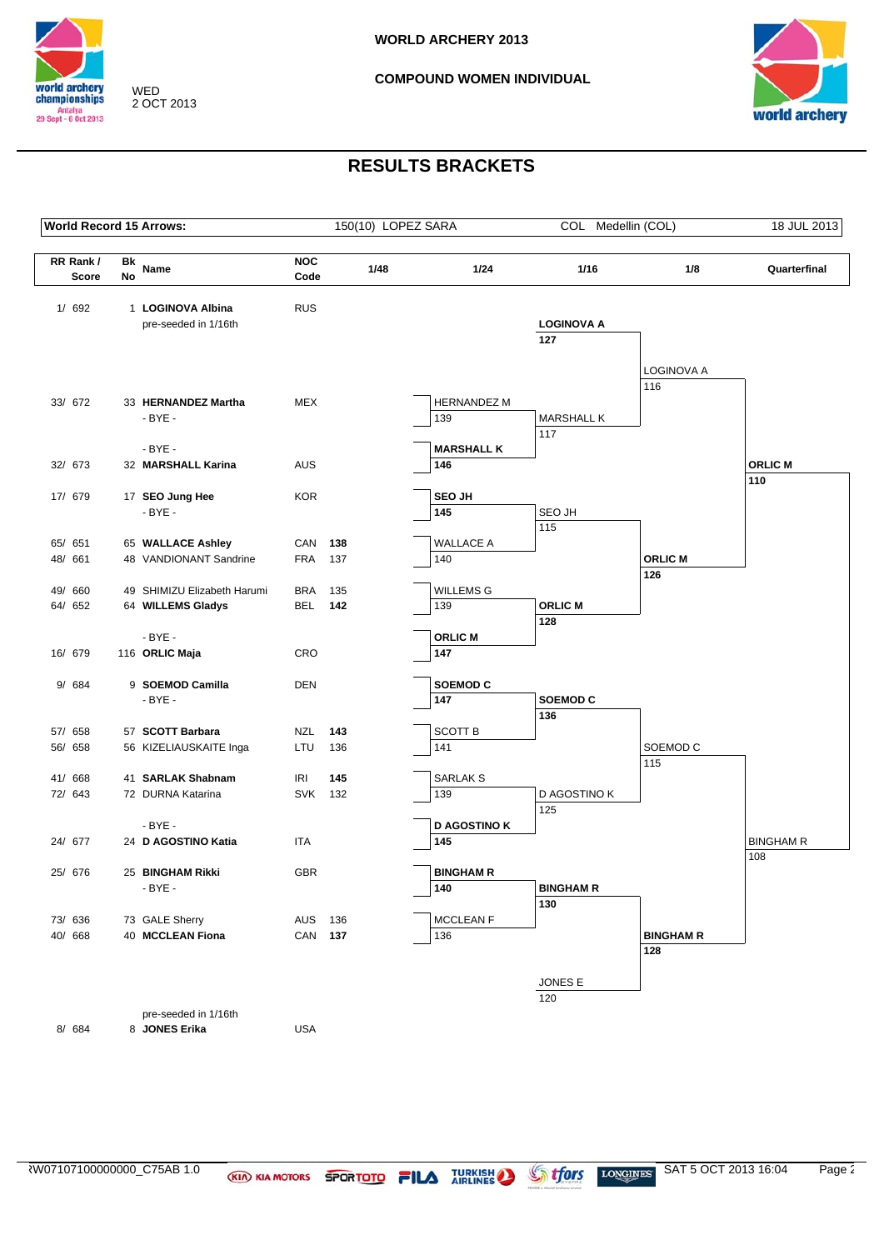



|                    |                          |          | <b>World Record 15 Arrows:</b>              |                    | 150(10) LOPEZ SARA |      |                         | COL Medellin (COL)       |                         | 18 JUL 2013      |
|--------------------|--------------------------|----------|---------------------------------------------|--------------------|--------------------|------|-------------------------|--------------------------|-------------------------|------------------|
|                    | RR Rank/<br><b>Score</b> | Bk<br>No | Name                                        | <b>NOC</b><br>Code |                    | 1/48 | 1/24                    | 1/16                     | 1/8                     | Quarterfinal     |
|                    |                          |          |                                             |                    |                    |      |                         |                          |                         |                  |
|                    | 1/692                    |          | 1 LOGINOVA Albina<br>pre-seeded in 1/16th   | <b>RUS</b>         |                    |      |                         | <b>LOGINOVA A</b>        |                         |                  |
|                    |                          |          |                                             |                    |                    |      |                         | 127                      |                         |                  |
|                    |                          |          |                                             |                    |                    |      |                         |                          |                         |                  |
|                    |                          |          |                                             |                    |                    |      |                         |                          | LOGINOVA A              |                  |
|                    |                          |          |                                             |                    |                    |      |                         |                          | 116                     |                  |
|                    | 33/ 672                  |          | 33 HERNANDEZ Martha                         | <b>MEX</b>         |                    |      | <b>HERNANDEZ M</b>      |                          |                         |                  |
|                    |                          |          | $-BYE -$                                    |                    |                    |      | 139                     | <b>MARSHALL K</b><br>117 |                         |                  |
|                    |                          |          | $-BYE -$                                    |                    |                    |      | <b>MARSHALL K</b>       |                          |                         |                  |
| 32/ 673            |                          |          | 32 MARSHALL Karina                          | <b>AUS</b>         |                    |      | 146                     |                          |                         | <b>ORLIC M</b>   |
|                    |                          |          |                                             |                    |                    |      |                         |                          |                         | 110              |
| 17/ 679            |                          |          | 17 SEO Jung Hee                             | <b>KOR</b>         |                    |      | <b>SEO JH</b>           |                          |                         |                  |
|                    |                          |          | $-BYE -$                                    |                    |                    |      | 145                     | SEO JH                   |                         |                  |
|                    |                          |          |                                             |                    |                    |      |                         | 115                      |                         |                  |
| 65/ 651<br>48/ 661 |                          |          | 65 WALLACE Ashley<br>48 VANDIONANT Sandrine | CAN<br><b>FRA</b>  | 138<br>137         |      | <b>WALLACE A</b><br>140 |                          | <b>ORLIC M</b>          |                  |
|                    |                          |          |                                             |                    |                    |      |                         |                          | 126                     |                  |
| 49/ 660            |                          |          | 49 SHIMIZU Elizabeth Harumi                 | <b>BRA</b>         | 135                |      | <b>WILLEMS G</b>        |                          |                         |                  |
| 64/ 652            |                          |          | 64 WILLEMS Gladys                           | BEL                | 142                |      | 139                     | <b>ORLIC M</b>           |                         |                  |
|                    |                          |          |                                             |                    |                    |      |                         | 128                      |                         |                  |
|                    |                          |          | $-BYE -$                                    |                    |                    |      | <b>ORLIC M</b>          |                          |                         |                  |
| 16/ 679            |                          |          | 116 ORLIC Maja                              | CRO                |                    |      | 147                     |                          |                         |                  |
|                    | 9/ 684                   |          | 9 SOEMOD Camilla                            | <b>DEN</b>         |                    |      | <b>SOEMOD C</b>         |                          |                         |                  |
|                    |                          |          | - BYE -                                     |                    |                    |      | 147                     | SOEMOD <sub>C</sub>      |                         |                  |
|                    |                          |          |                                             |                    |                    |      |                         | 136                      |                         |                  |
| 57/ 658            |                          |          | 57 SCOTT Barbara                            | NZL                | 143                |      | SCOTT B                 |                          |                         |                  |
| 56/ 658            |                          |          | 56 KIZELIAUSKAITE Inga                      | LTU                | 136                |      | 141                     |                          | SOEMOD <sub>C</sub>     |                  |
|                    |                          |          |                                             |                    |                    |      |                         |                          | 115                     |                  |
| 41/ 668            |                          |          | 41 SARLAK Shabnam                           | <b>IRI</b>         | 145                |      | SARLAK S                |                          |                         |                  |
| 72/ 643            |                          |          | 72 DURNA Katarina                           | SVK 132            |                    |      | 139                     | D AGOSTINO K             |                         |                  |
|                    |                          |          | - BYE -                                     |                    |                    |      | <b>D AGOSTINO K</b>     | 125                      |                         |                  |
| 24/ 677            |                          |          | 24 D AGOSTINO Katia                         | ITA                |                    |      | 145                     |                          |                         | <b>BINGHAM R</b> |
|                    |                          |          |                                             |                    |                    |      |                         |                          |                         | 108              |
| 25/ 676            |                          |          | 25 BINGHAM Rikki                            | <b>GBR</b>         |                    |      | <b>BINGHAM R</b>        |                          |                         |                  |
|                    |                          |          | $-BYE -$                                    |                    |                    |      | 140                     | <b>BINGHAM R</b>         |                         |                  |
|                    |                          |          |                                             |                    |                    |      |                         | 130                      |                         |                  |
|                    | 73/ 636                  |          | 73 GALE Sherry                              | AUS                | 136                |      | MCCLEAN F               |                          |                         |                  |
| 40/668             |                          |          | 40 MCCLEAN Fiona                            | CAN 137            |                    |      | 136                     |                          | <b>BINGHAM R</b><br>128 |                  |
|                    |                          |          |                                             |                    |                    |      |                         |                          |                         |                  |
|                    |                          |          |                                             |                    |                    |      |                         | JONES E                  |                         |                  |
|                    |                          |          |                                             |                    |                    |      |                         | 120                      |                         |                  |
|                    |                          |          | pre-seeded in 1/16th                        |                    |                    |      |                         |                          |                         |                  |
|                    | 8/ 684                   |          | 8 JONES Erika                               | <b>USA</b>         |                    |      |                         |                          |                         |                  |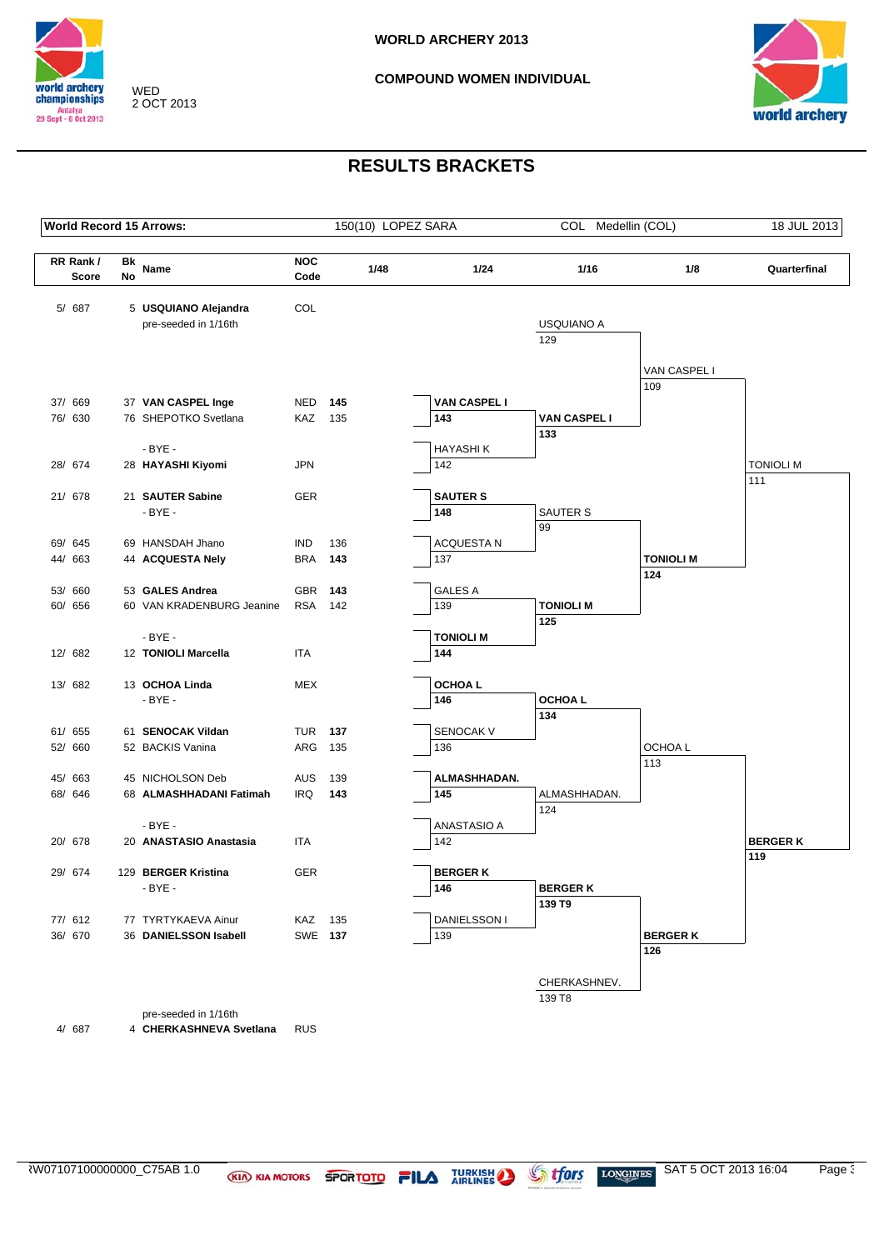



# **RESULTS BRACKETS**

|                    |              |    | <b>World Record 15 Arrows:</b>              |                          |            |      | 150(10) LOPEZ SARA  | COL Medellin (COL)        |                     | 18 JUL 2013      |
|--------------------|--------------|----|---------------------------------------------|--------------------------|------------|------|---------------------|---------------------------|---------------------|------------------|
| RR Rank/           |              | Bk | Name                                        | <b>NOC</b>               |            | 1/48 | 1/24                | 1/16                      | 1/8                 | Quarterfinal     |
|                    | <b>Score</b> | No |                                             | Code                     |            |      |                     |                           |                     |                  |
| 5/ 687             |              |    | 5 USQUIANO Alejandra                        | COL                      |            |      |                     |                           |                     |                  |
|                    |              |    | pre-seeded in 1/16th                        |                          |            |      |                     | <b>USQUIANO A</b>         |                     |                  |
|                    |              |    |                                             |                          |            |      |                     | 129                       |                     |                  |
|                    |              |    |                                             |                          |            |      |                     |                           |                     |                  |
|                    |              |    |                                             |                          |            |      |                     |                           | VAN CASPEL I<br>109 |                  |
| 37/ 669            |              |    | 37 VAN CASPEL Inge                          | NED                      | 145        |      | <b>VAN CASPEL I</b> |                           |                     |                  |
| 76/ 630            |              |    | 76 SHEPOTKO Svetlana                        | KAZ 135                  |            |      | 143                 | <b>VAN CASPEL I</b>       |                     |                  |
|                    |              |    |                                             |                          |            |      |                     | 133                       |                     |                  |
|                    |              |    | $-BYE -$                                    |                          |            |      | <b>HAYASHIK</b>     |                           |                     |                  |
| 28/ 674            |              |    | 28 HAYASHI Kiyomi                           | <b>JPN</b>               |            |      | 142                 |                           |                     | <b>TONIOLI M</b> |
| 21/ 678            |              |    | 21 SAUTER Sabine                            | <b>GER</b>               |            |      | <b>SAUTER S</b>     |                           |                     | 111              |
|                    |              |    | $-BYE -$                                    |                          |            |      | 148                 | SAUTER S                  |                     |                  |
|                    |              |    |                                             |                          |            |      |                     | 99                        |                     |                  |
| 69/ 645            |              |    | 69 HANSDAH Jhano                            | <b>IND</b>               | 136        |      | <b>ACQUESTA N</b>   |                           |                     |                  |
| 44/ 663            |              |    | 44 ACQUESTA Nely                            | <b>BRA</b>               | 143        |      | 137                 |                           | <b>TONIOLI M</b>    |                  |
| 53/ 660            |              |    | 53 GALES Andrea                             | <b>GBR</b>               | 143        |      | <b>GALES A</b>      |                           | 124                 |                  |
| 60/ 656            |              |    | 60 VAN KRADENBURG Jeanine                   | <b>RSA</b>               | 142        |      | 139                 | <b>TONIOLI M</b>          |                     |                  |
|                    |              |    |                                             |                          |            |      |                     | 125                       |                     |                  |
|                    |              |    | $-BYE -$                                    |                          |            |      | <b>TONIOLI M</b>    |                           |                     |                  |
| 12/ 682            |              |    | 12 TONIOLI Marcella                         | <b>ITA</b>               |            |      | 144                 |                           |                     |                  |
|                    |              |    | 13 OCHOA Linda                              | <b>MEX</b>               |            |      | <b>OCHOAL</b>       |                           |                     |                  |
| 13/ 682            |              |    | $-BYE -$                                    |                          |            |      | 146                 | OCHOA L                   |                     |                  |
|                    |              |    |                                             |                          |            |      |                     | 134                       |                     |                  |
| 61/ 655            |              |    | 61 SENOCAK Vildan                           | TUR                      | - 137      |      | SENOCAK V           |                           |                     |                  |
| 52/ 660            |              |    | 52 BACKIS Vanina                            | ARG                      | 135        |      | 136                 |                           | OCHOA L             |                  |
|                    |              |    |                                             |                          |            |      |                     |                           | 113                 |                  |
| 45/ 663<br>68/ 646 |              |    | 45 NICHOLSON Deb<br>68 ALMASHHADANI Fatimah | <b>AUS</b><br><b>IRQ</b> | 139<br>143 |      | ALMASHHADAN.<br>145 | ALMASHHADAN.              |                     |                  |
|                    |              |    |                                             |                          |            |      |                     | 124                       |                     |                  |
|                    |              |    | $-BYE -$                                    |                          |            |      | <b>ANASTASIO A</b>  |                           |                     |                  |
| 20/ 678            |              |    | 20 ANASTASIO Anastasia                      | ITA                      |            |      | 142                 |                           |                     | <b>BERGER K</b>  |
|                    |              |    |                                             |                          |            |      |                     |                           |                     | 119              |
| 29/ 674            |              |    | 129 BERGER Kristina                         | <b>GER</b>               |            |      | <b>BERGERK</b>      |                           |                     |                  |
|                    |              |    | $-BYE -$                                    |                          |            |      | 146                 | <b>BERGER K</b><br>139 T9 |                     |                  |
| 77/ 612            |              |    | 77 TYRTYKAEVA Ainur                         | KAZ 135                  |            |      | DANIELSSON I        |                           |                     |                  |
| 36/ 670            |              |    | 36 DANIELSSON Isabell                       | SWE 137                  |            |      | 139                 |                           | <b>BERGER K</b>     |                  |
|                    |              |    |                                             |                          |            |      |                     |                           | 126                 |                  |
|                    |              |    |                                             |                          |            |      |                     |                           |                     |                  |
|                    |              |    |                                             |                          |            |      |                     | CHERKASHNEV.<br>139 T8    |                     |                  |
|                    |              |    | pre-seeded in 1/16th                        |                          |            |      |                     |                           |                     |                  |

4/ 687 4 **CHERKASHNEVA Svetlana** RUS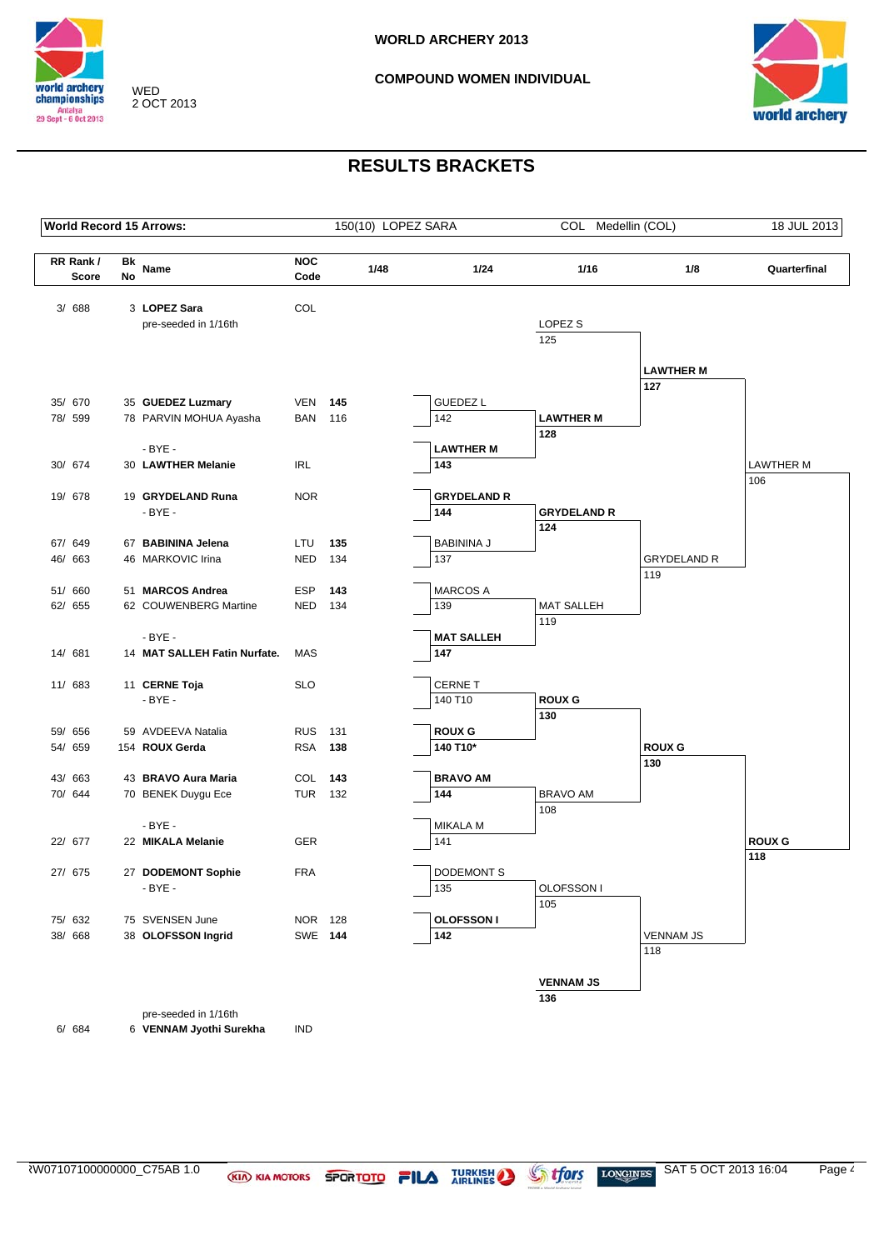



## **RESULTS BRACKETS**

| <b>World Record 15 Arrows:</b> |          |                              |                    | 150(10) LOPEZ SARA |      |                    | COL Medellin (COL) |                    | 18 JUL 2013             |
|--------------------------------|----------|------------------------------|--------------------|--------------------|------|--------------------|--------------------|--------------------|-------------------------|
| RR Rank/<br><b>Score</b>       | Bk<br>No | Name                         | <b>NOC</b><br>Code |                    | 1/48 | 1/24               | 1/16               | 1/8                | Quarterfinal            |
| 3/ 688                         |          | 3 LOPEZ Sara                 | COL                |                    |      |                    |                    |                    |                         |
|                                |          | pre-seeded in 1/16th         |                    |                    |      |                    | LOPEZ <sub>S</sub> |                    |                         |
|                                |          |                              |                    |                    |      |                    | 125                |                    |                         |
|                                |          |                              |                    |                    |      |                    |                    |                    |                         |
|                                |          |                              |                    |                    |      |                    |                    | <b>LAWTHER M</b>   |                         |
| 35/ 670                        |          | 35 GUEDEZ Luzmary            | VEN                | 145                |      | <b>GUEDEZ L</b>    |                    | 127                |                         |
| 78/ 599                        |          | 78 PARVIN MOHUA Ayasha       | <b>BAN</b>         | 116                |      | 142                | <b>LAWTHER M</b>   |                    |                         |
|                                |          |                              |                    |                    |      |                    | 128                |                    |                         |
|                                |          | $-BYE -$                     |                    |                    |      | <b>LAWTHER M</b>   |                    |                    |                         |
| 30/ 674                        |          | 30 LAWTHER Melanie           | <b>IRL</b>         |                    |      | 143                |                    |                    | <b>LAWTHER M</b><br>106 |
| 19/ 678                        |          | 19 GRYDELAND Runa            | <b>NOR</b>         |                    |      | <b>GRYDELAND R</b> |                    |                    |                         |
|                                |          | $-BYE -$                     |                    |                    |      | 144                | <b>GRYDELAND R</b> |                    |                         |
|                                |          |                              |                    |                    |      |                    | 124                |                    |                         |
| 67/ 649                        |          | 67 BABININA Jelena           | LTU                | 135                |      | <b>BABININA J</b>  |                    |                    |                         |
| 46/ 663                        |          | 46 MARKOVIC Irina            | <b>NED</b>         | 134                |      | 137                |                    | <b>GRYDELAND R</b> |                         |
| 51/ 660                        |          | 51 MARCOS Andrea             | ESP                | 143                |      | <b>MARCOS A</b>    |                    | 119                |                         |
| 62/ 655                        |          | 62 COUWENBERG Martine        | NED 134            |                    |      | 139                | <b>MAT SALLEH</b>  |                    |                         |
|                                |          |                              |                    |                    |      |                    | 119                |                    |                         |
|                                |          | $-BYE -$                     |                    |                    |      | <b>MAT SALLEH</b>  |                    |                    |                         |
| 14/ 681                        |          | 14 MAT SALLEH Fatin Nurfate. | MAS                |                    |      | 147                |                    |                    |                         |
| 11/ 683                        |          | 11 CERNE Toja                | <b>SLO</b>         |                    |      | <b>CERNET</b>      |                    |                    |                         |
|                                |          | $-BYE -$                     |                    |                    |      | 140 T10            | <b>ROUX G</b>      |                    |                         |
|                                |          |                              |                    |                    |      |                    | 130                |                    |                         |
| 59/ 656                        |          | 59 AVDEEVA Natalia           | <b>RUS</b>         | 131                |      | <b>ROUX G</b>      |                    |                    |                         |
| 54/ 659                        |          | 154 ROUX Gerda               | <b>RSA</b>         | 138                |      | 140 T10*           |                    | <b>ROUX G</b>      |                         |
| 43/ 663                        |          | 43 BRAVO Aura Maria          | COL 143            |                    |      | <b>BRAVO AM</b>    |                    | 130                |                         |
| 70/ 644                        |          | 70 BENEK Duygu Ece           | <b>TUR 132</b>     |                    |      | 144                | <b>BRAVO AM</b>    |                    |                         |
|                                |          |                              |                    |                    |      |                    | 108                |                    |                         |
|                                |          | $-BYE -$                     |                    |                    |      | <b>MIKALA M</b>    |                    |                    |                         |
| 22/ 677                        |          | 22 MIKALA Melanie            | <b>GER</b>         |                    |      | 141                |                    |                    | <b>ROUX G</b>           |
| 27/ 675                        |          | 27 DODEMONT Sophie           | <b>FRA</b>         |                    |      | <b>DODEMONT S</b>  |                    |                    | 118                     |
|                                |          | $-BYE -$                     |                    |                    |      | 135                | OLOFSSON I         |                    |                         |
|                                |          |                              |                    |                    |      |                    | 105                |                    |                         |
| 75/ 632                        |          | 75 SVENSEN June              | NOR 128            |                    |      | <b>OLOFSSON I</b>  |                    |                    |                         |
| 38/ 668                        |          | 38 OLOFSSON Ingrid           | SWE 144            |                    |      | 142                |                    | <b>VENNAM JS</b>   |                         |
|                                |          |                              |                    |                    |      |                    |                    | 118                |                         |
|                                |          |                              |                    |                    |      |                    | <b>VENNAM JS</b>   |                    |                         |
|                                |          |                              |                    |                    |      |                    | 136                |                    |                         |
|                                |          | pre-seeded in 1/16th         |                    |                    |      |                    |                    |                    |                         |

6/ 684 6 **VENNAM Jyothi Surekha** IND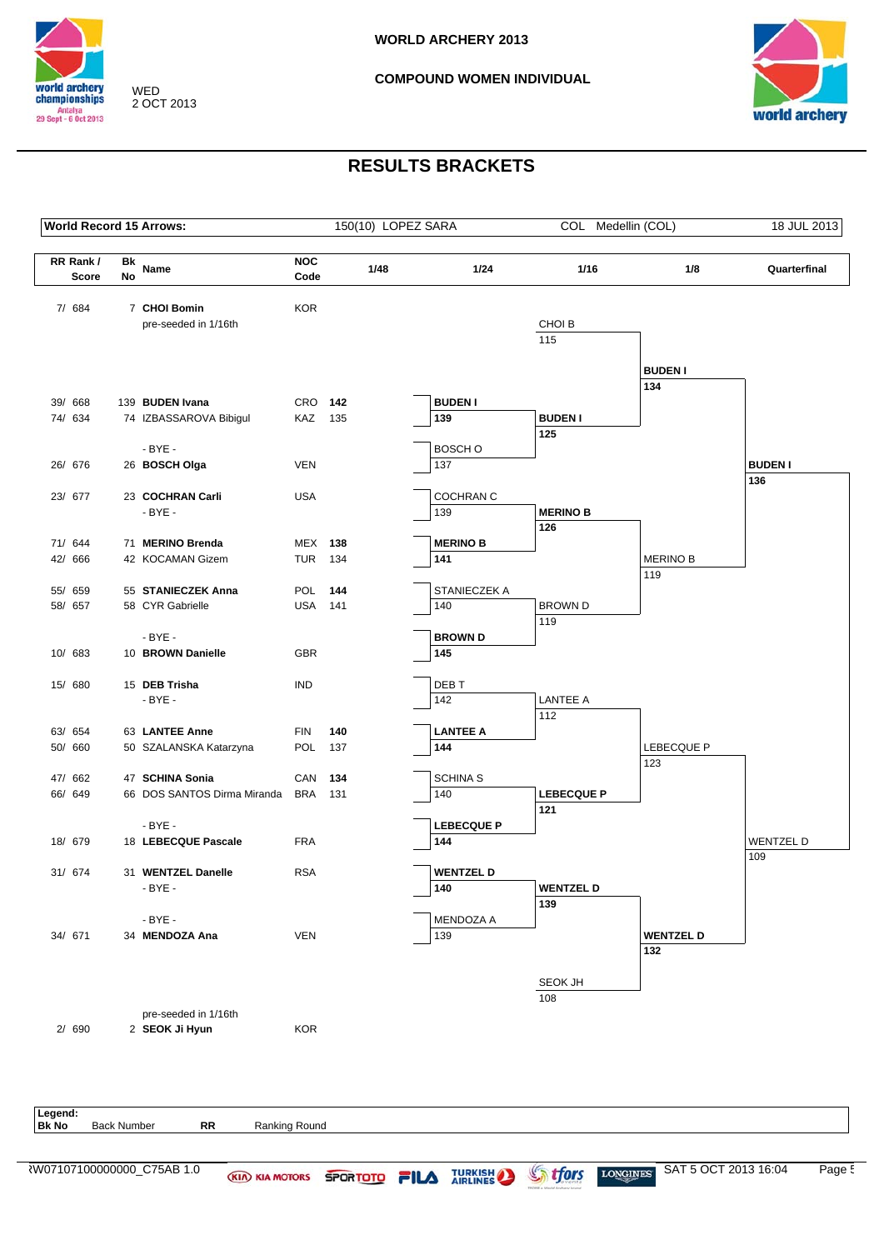



# **RESULTS BRACKETS**

|                          |                 |                                        |                    |     |      |                          |                   | 18 JUL 2013            |                       |
|--------------------------|-----------------|----------------------------------------|--------------------|-----|------|--------------------------|-------------------|------------------------|-----------------------|
| RR Rank/<br><b>Score</b> | Bk<br><b>No</b> | Name                                   | <b>NOC</b><br>Code |     | 1/48 | 1/24                     | 1/16              | 1/8                    | Quarterfinal          |
| 7/ 684                   |                 | 7 CHOI Bomin                           | <b>KOR</b>         |     |      |                          |                   |                        |                       |
|                          |                 | pre-seeded in 1/16th                   |                    |     |      |                          | CHOI B            |                        |                       |
|                          |                 |                                        |                    |     |      |                          | 115               |                        |                       |
|                          |                 |                                        |                    |     |      |                          |                   |                        |                       |
|                          |                 |                                        |                    |     |      |                          |                   | <b>BUDEN I</b><br>134  |                       |
| 39/ 668                  |                 | 139 BUDEN Ivana                        | CRO 142            |     |      | <b>BUDEN I</b>           |                   |                        |                       |
| 74/ 634                  |                 | 74 IZBASSAROVA Bibigul                 | KAZ 135            |     |      | 139                      | <b>BUDEN I</b>    |                        |                       |
|                          |                 |                                        |                    |     |      |                          | 125               |                        |                       |
|                          |                 | $-BYE -$                               |                    |     |      | BOSCH O                  |                   |                        |                       |
| 26/ 676                  |                 | 26 BOSCH Olga                          | <b>VEN</b>         |     |      | 137                      |                   |                        | <b>BUDEN I</b><br>136 |
| 23/ 677                  |                 | 23 COCHRAN Carli                       | <b>USA</b>         |     |      | <b>COCHRAN C</b>         |                   |                        |                       |
|                          |                 | $-BYE -$                               |                    |     |      | 139                      | <b>MERINO B</b>   |                        |                       |
|                          |                 |                                        |                    |     |      |                          | 126               |                        |                       |
| 71/ 644                  |                 | 71 MERINO Brenda                       | <b>MEX 138</b>     |     |      | <b>MERINO B</b>          |                   |                        |                       |
| 42/ 666                  |                 | 42 KOCAMAN Gizem                       | <b>TUR 134</b>     |     |      | 141                      |                   | <b>MERINO B</b><br>119 |                       |
| 55/ 659                  |                 | 55 STANIECZEK Anna                     | POL                | 144 |      | STANIECZEK A             |                   |                        |                       |
| 58/ 657                  |                 | 58 CYR Gabrielle                       | <b>USA 141</b>     |     |      | 140                      | <b>BROWN D</b>    |                        |                       |
|                          |                 |                                        |                    |     |      |                          | 119               |                        |                       |
|                          |                 | $-BYE -$                               |                    |     |      | <b>BROWN D</b>           |                   |                        |                       |
| 10/ 683                  |                 | 10 BROWN Danielle                      | <b>GBR</b>         |     |      | 145                      |                   |                        |                       |
| 15/ 680                  |                 | 15 DEB Trisha                          | <b>IND</b>         |     |      | DEB T                    |                   |                        |                       |
|                          |                 | $-BYE -$                               |                    |     |      | 142                      | <b>LANTEE A</b>   |                        |                       |
|                          |                 |                                        |                    |     |      |                          | 112               |                        |                       |
| 63/ 654                  |                 | 63 LANTEE Anne                         | <b>FIN</b>         | 140 |      | <b>LANTEE A</b>          |                   |                        |                       |
| 50/ 660                  |                 | 50 SZALANSKA Katarzyna                 | <b>POL</b>         | 137 |      | 144                      |                   | LEBECQUE P<br>123      |                       |
| 47/ 662                  |                 | 47 SCHINA Sonia                        | CAN 134            |     |      | <b>SCHINA S</b>          |                   |                        |                       |
| 66/ 649                  |                 | 66 DOS SANTOS Dirma Miranda            | BRA                | 131 |      | 140                      | <b>LEBECQUE P</b> |                        |                       |
|                          |                 |                                        |                    |     |      |                          | 121               |                        |                       |
| 18/ 679                  |                 | $-BYE -$<br>18 LEBECQUE Pascale        | <b>FRA</b>         |     |      | <b>LEBECQUE P</b><br>144 |                   |                        | <b>WENTZELD</b>       |
|                          |                 |                                        |                    |     |      |                          |                   |                        | 109                   |
| 31/ 674                  |                 | 31 WENTZEL Danelle                     | <b>RSA</b>         |     |      | <b>WENTZEL D</b>         |                   |                        |                       |
|                          |                 | $-BYE -$                               |                    |     |      | 140                      | <b>WENTZEL D</b>  |                        |                       |
|                          |                 |                                        |                    |     |      |                          | 139               |                        |                       |
| 34/ 671                  |                 | $-BYE -$<br>34 MENDOZA Ana             | VEN                |     |      | MENDOZA A<br>139         |                   | <b>WENTZEL D</b>       |                       |
|                          |                 |                                        |                    |     |      |                          |                   | 132                    |                       |
|                          |                 |                                        |                    |     |      |                          |                   |                        |                       |
|                          |                 |                                        |                    |     |      |                          | SEOK JH           |                        |                       |
|                          |                 |                                        |                    |     |      |                          | 108               |                        |                       |
| 2/ 690                   |                 | pre-seeded in 1/16th<br>2 SEOK Ji Hyun | <b>KOR</b>         |     |      |                          |                   |                        |                       |
|                          |                 |                                        |                    |     |      |                          |                   |                        |                       |
|                          |                 |                                        |                    |     |      |                          |                   |                        |                       |
|                          |                 |                                        |                    |     |      |                          |                   |                        |                       |
|                          |                 |                                        |                    |     |      |                          |                   |                        |                       |

**Bk No** Back Number **RR** Ranking Round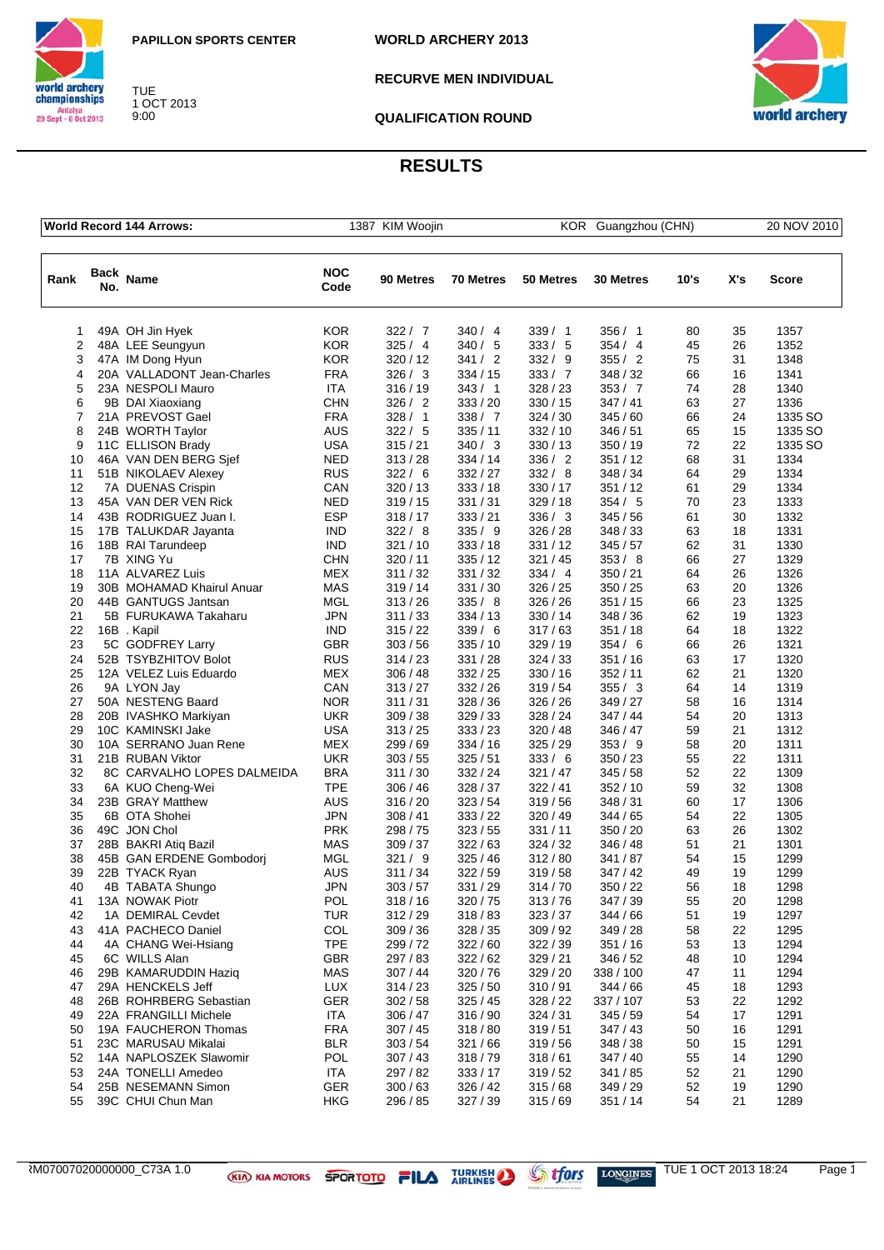



TUE 1 OCT 2013 9:00

**RECURVE MEN INDIVIDUAL**



**QUALIFICATION ROUND**

**WORLD ARCHERY 2013**

|                |             | <b>World Record 144 Arrows:</b>      |                    | 1387 KIM Woojin<br>KOR Guangzhou (CHN) |                    |                    |                      |          |          |              |  | 20 NOV 2010 |  |  |
|----------------|-------------|--------------------------------------|--------------------|----------------------------------------|--------------------|--------------------|----------------------|----------|----------|--------------|--|-------------|--|--|
| Rank           | Back<br>No. | <b>Name</b>                          | <b>NOC</b><br>Code | 90 Metres                              | <b>70 Metres</b>   | 50 Metres          | 30 Metres            | 10's     | X's      | Score        |  |             |  |  |
| 1              |             | 49A OH Jin Hyek                      | <b>KOR</b>         | 322 / 7                                | 340/4              | 339/1              | 356/1                | 80       | 35       | 1357         |  |             |  |  |
| $\overline{2}$ |             | 48A LEE Seungyun                     | <b>KOR</b>         | 325/4                                  | 340/5              | 333 / 5            | 354/4                | 45       | 26       | 1352         |  |             |  |  |
| 3              |             | 47A IM Dong Hyun                     | <b>KOR</b>         | 320/12                                 | 341 / 2            | 332 / 9            | 355/2                | 75       | 31       | 1348         |  |             |  |  |
| 4              |             | 20A VALLADONT Jean-Charles           | <b>FRA</b>         | 326/3                                  | 334/15             | 333 / 7            | 348 / 32             | 66       | 16       | 1341         |  |             |  |  |
| 5              |             | 23A NESPOLI Mauro                    | ITA                | 316/19                                 | 343/1              | 328/23             | 353 / 7              | 74       | 28       | 1340         |  |             |  |  |
| 6              |             | 9B DAI Xiaoxiang                     | <b>CHN</b>         | 326 / 2                                | 333 / 20           | 330 / 15           | 347/41               | 63       | 27       | 1336         |  |             |  |  |
| 7              |             | 21A PREVOST Gael                     | FRA                | 328/1                                  | 338 / 7            | 324/30             | 345 / 60             | 66       | 24       | 1335 SO      |  |             |  |  |
| 8              |             | 24B WORTH Taylor                     | <b>AUS</b>         | 322/5                                  | 335/11             | 332/10             | 346 / 51             | 65       | 15       | 1335 SO      |  |             |  |  |
| 9              |             | 11C ELLISON Brady                    | <b>USA</b>         | 315/21                                 | 340/3              | 330/13             | 350 / 19             | 72       | 22       | 1335 SO      |  |             |  |  |
| 10             |             | 46A VAN DEN BERG Sjef                | NED                | 313/28                                 | 334/14             | 336 / 2            | 351/12               | 68       | 31       | 1334         |  |             |  |  |
| 11             |             | 51B NIKOLAEV Alexey                  | <b>RUS</b>         | 322/6                                  | 332 / 27           | 332 / 8            | 348 / 34             | 64       | 29       | 1334         |  |             |  |  |
| 12             |             | 7A DUENAS Crispin                    | CAN                | 320/13                                 | 333/18             | 330 / 17           | 351 / 12             | 61       | 29       | 1334         |  |             |  |  |
| 13             |             | 45A VAN DER VEN Rick                 | NED                | 319/15                                 | 331 / 31           | 329/18             | 354 / 5              | 70       | 23       | 1333         |  |             |  |  |
| 14             |             | 43B RODRIGUEZ Juan I.                | <b>ESP</b>         | 318/17                                 | 333 / 21           | 336 / 3            | 345 / 56             | 61       | 30       | 1332         |  |             |  |  |
| 15             |             | 17B TALUKDAR Jayanta                 | <b>IND</b>         | 322/8                                  | 335/9              | 326/28             | 348 / 33             | 63       | 18       | 1331         |  |             |  |  |
| 16             |             | 18B RAI Tarundeep                    | <b>IND</b>         | 321/10                                 | 333/18             | 331 / 12           | 345/57               | 62       | 31       | 1330         |  |             |  |  |
| 17             |             | 7B XING Yu                           | CHN                | 320/11                                 | 335/12             | 321/45             | 353/8                | 66       | 27       | 1329         |  |             |  |  |
| 18             |             | 11A ALVAREZ Luis                     | MEX                | 311/32                                 | 331 / 32           | 334 / 4            | 350/21               | 64       | 26       | 1326         |  |             |  |  |
| 19             |             | 30B MOHAMAD Khairul Anuar            | <b>MAS</b>         | 319/14                                 | 331 / 30           | 326/25             | 350 / 25             | 63       | 20       | 1326         |  |             |  |  |
| 20             |             | 44B GANTUGS Jantsan                  | MGL                | 313/26                                 | 335/8              | 326/26             | 351 / 15             | 66       | 23       | 1325         |  |             |  |  |
| 21             |             | 5B FURUKAWA Takaharu                 | <b>JPN</b>         | 311/33                                 | 334/13             | 330 / 14           | 348 / 36             | 62       | 19       | 1323         |  |             |  |  |
| 22             |             | 16B.Kapil                            | IND                | 315/22                                 | 339/6              | 317/63             | 351/18               | 64       | 18       | 1322         |  |             |  |  |
| 23             |             | 5C GODFREY Larry                     | <b>GBR</b>         | 303/56                                 | 335/10             | 329/19             | 354/6                | 66       | 26       | 1321         |  |             |  |  |
| 24             |             | 52B TSYBZHITOV Bolot                 | <b>RUS</b>         | 314/23                                 | 331 / 28           | 324 / 33           | 351/16               | 63       | 17       | 1320         |  |             |  |  |
| 25             |             | 12A VELEZ Luis Eduardo               | <b>MEX</b>         | 306/48                                 | 332/25             | 330/16             | 352 / 11             | 62       | 21       | 1320         |  |             |  |  |
| 26             |             | 9A LYON Jay                          | CAN                | 313/27                                 | 332 / 26           | 319/54             | 355 / 3              | 64       | 14       | 1319         |  |             |  |  |
| 27             |             | 50A NESTENG Baard                    | <b>NOR</b>         | 311/31                                 | 328/36             | 326/26             | 349 / 27             | 58       | 16       | 1314         |  |             |  |  |
| 28             |             | 20B IVASHKO Markiyan                 | <b>UKR</b>         | 309 / 38                               | 329/33             | 328/24             | 347 / 44             | 54       | 20       | 1313         |  |             |  |  |
| 29             |             | 10C KAMINSKI Jake                    | <b>USA</b>         | 313/25                                 | 333 / 23           | 320/48             | 346 / 47             | 59       | 21       | 1312         |  |             |  |  |
| 30             |             | 10A SERRANO Juan Rene                | <b>MEX</b>         | 299 / 69                               | 334/16             | 325/29             | 353/9                | 58       | 20       | 1311         |  |             |  |  |
| 31             |             | 21B RUBAN Viktor                     | <b>UKR</b>         | 303/55                                 | 325/51             | 333 / 6            | 350 / 23             | 55       | 22       | 1311         |  |             |  |  |
| 32             |             | 8C CARVALHO LOPES DALMEIDA           | BRA                | 311/30                                 | 332 / 24           | 321/47             | 345/58               | 52       | 22       | 1309         |  |             |  |  |
| 33             |             | 6A KUO Cheng-Wei<br>23B GRAY Matthew | TPE                | 306/46                                 | 328 / 37           | 322/41             | 352/10<br>348 / 31   | 59       | 32<br>17 | 1308<br>1306 |  |             |  |  |
| 34             |             |                                      | <b>AUS</b>         | 316/20                                 | 323/54             | 319/56             |                      | 60       |          |              |  |             |  |  |
| 35<br>36       |             | 6B OTA Shohei<br>49C JON Chol        | JPN<br><b>PRK</b>  | 308/41<br>298 / 75                     | 333 / 22<br>323/55 | 320 / 49<br>331/11 | 344 / 65<br>350 / 20 | 54<br>63 | 22<br>26 | 1305<br>1302 |  |             |  |  |
| 37             |             | 28B BAKRI Atiq Bazil                 | MAS                | 309 / 37                               | 322/63             | 324/32             | 346 / 48             | 51       | 21       | 1301         |  |             |  |  |
| 38             |             | 45B GAN ERDENE Gombodori             | MGL                | 321 / 9                                | 325/46             | 312/80             | 341 / 87             | 54       | 15       | 1299         |  |             |  |  |
| 39             |             | 22B TYACK Ryan                       | AUS                | 311/34                                 | 322/59             | 319 / 58           | 347/42               | 49       | 19       | 1299         |  |             |  |  |
| 40             |             | 4B TABATA Shungo                     | JPN                | 303 / 57                               | 331 / 29           | 314/70             | 350 / 22             | 56       | 18       | 1298         |  |             |  |  |
| 41             |             | 13A NOWAK Piotr                      | POL                | 318/16                                 | 320 / 75           | 313/76             | 347 / 39             | 55       | 20       | 1298         |  |             |  |  |
| 42             |             | 1A DEMIRAL Cevdet                    | <b>TUR</b>         | 312/29                                 | 318/83             | 323/37             | 344 / 66             | 51       | 19       | 1297         |  |             |  |  |
| 43             |             | 41A PACHECO Daniel                   | COL                | 309/36                                 | 328/35             | 309/92             | 349 / 28             | 58       | 22       | 1295         |  |             |  |  |
| 44             |             | 4A CHANG Wei-Hsiang                  | <b>TPE</b>         | 299/72                                 | 322/60             | 322/39             | 351/16               | 53       | 13       | 1294         |  |             |  |  |
| 45             |             | 6C WILLS Alan                        | <b>GBR</b>         | 297 / 83                               | 322/62             | 329/21             | 346 / 52             | 48       | 10       | 1294         |  |             |  |  |
| 46             |             | 29B KAMARUDDIN Haziq                 | <b>MAS</b>         | 307/44                                 | 320 / 76           | 329 / 20           | 338 / 100            | 47       | 11       | 1294         |  |             |  |  |
| 47             |             | 29A HENCKELS Jeff                    | <b>LUX</b>         | 314/23                                 | 325/50             | 310/91             | 344/66               | 45       | 18       | 1293         |  |             |  |  |
| 48             |             | 26B ROHRBERG Sebastian               | <b>GER</b>         | 302 / 58                               | 325/45             | 328/22             | 337 / 107            | 53       | 22       | 1292         |  |             |  |  |
| 49             |             | 22A FRANGILLI Michele                | <b>ITA</b>         | 306/47                                 | 316 / 90           | 324 / 31           | 345/59               | 54       | 17       | 1291         |  |             |  |  |
| 50             |             | 19A FAUCHERON Thomas                 | <b>FRA</b>         | 307/45                                 | 318/80             | 319/51             | 347/43               | 50       | 16       | 1291         |  |             |  |  |
| 51             |             | 23C MARUSAU Mikalai                  | <b>BLR</b>         | 303/54                                 | 321/66             | 319/56             | 348 / 38             | 50       | 15       | 1291         |  |             |  |  |
| 52             |             | 14A NAPLOSZEK Slawomir               | <b>POL</b>         | 307/43                                 | 318/79             | 318/61             | 347 / 40             | 55       | 14       | 1290         |  |             |  |  |
| 53             |             | 24A TONELLI Amedeo                   | <b>ITA</b>         | 297 / 82                               | 333/17             | 319/52             | 341 / 85             | 52       | 21       | 1290         |  |             |  |  |
| 54             |             | 25B NESEMANN Simon                   | <b>GER</b>         | 300/63                                 | 326/42             | 315/68             | 349 / 29             | 52       | 19       | 1290         |  |             |  |  |
| 55             |             | 39C CHUI Chun Man                    | HKG                | 296 / 85                               | 327 / 39           | 315/69             | 351 / 14             | 54       | 21       | 1289         |  |             |  |  |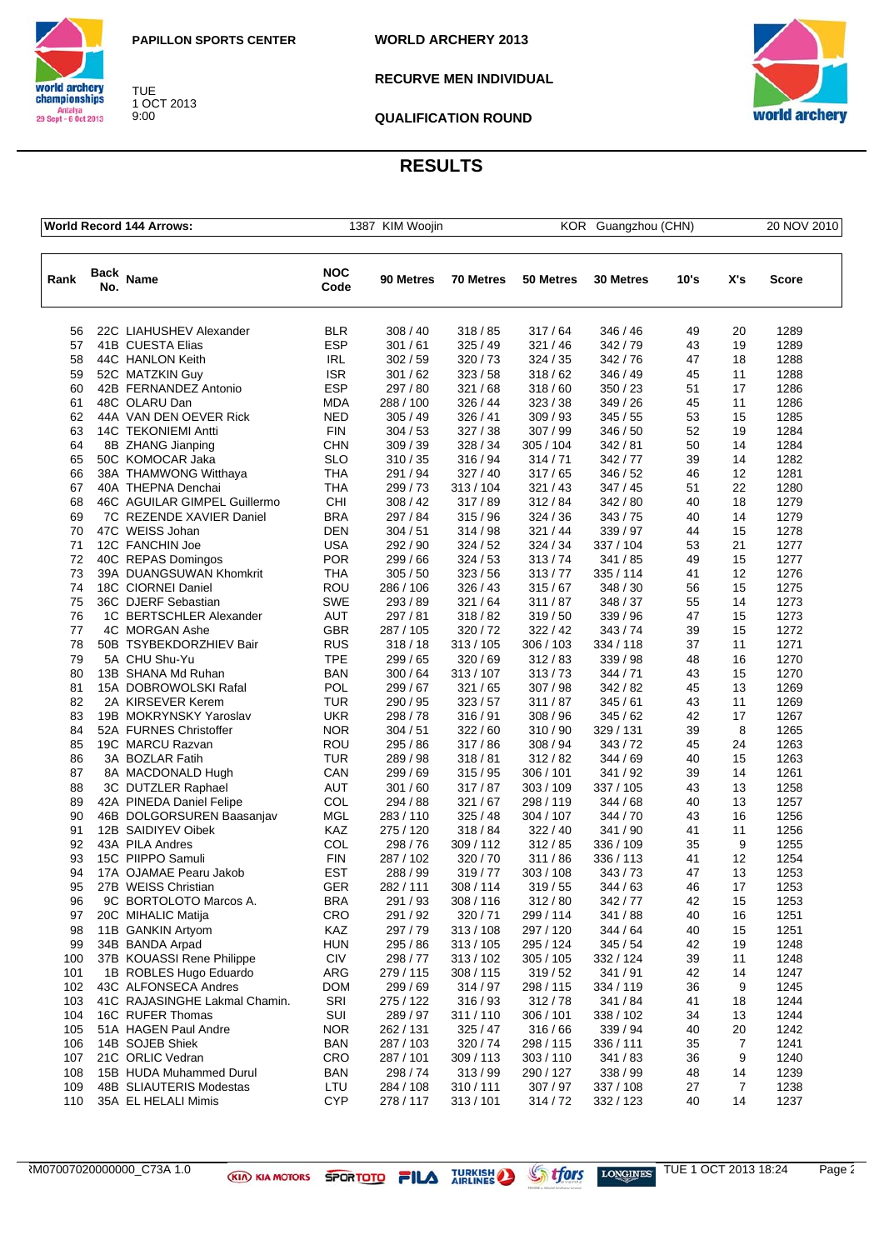

world archery<br>championships TUE Antalya<br>Antalya<br>29 Sept - 6 Oct 2013 1 OCT 2013 9:00

**WORLD ARCHERY 2013**



**RECURVE MEN INDIVIDUAL**

**QUALIFICATION ROUND**

|          |             | <b>World Record 144 Arrows:</b>                 |                    | 1387 KIM Woojin<br>KOR Guangzhou (CHN) |                  | 20 NOV 2010         |                      |          |                |              |
|----------|-------------|-------------------------------------------------|--------------------|----------------------------------------|------------------|---------------------|----------------------|----------|----------------|--------------|
| Rank     | Back<br>No. | <b>Name</b>                                     | <b>NOC</b><br>Code | 90 Metres                              | <b>70 Metres</b> | 50 Metres           | 30 Metres            | 10's     | X's            | <b>Score</b> |
| 56       |             | 22C LIAHUSHEV Alexander                         | <b>BLR</b>         | 308 / 40                               | 318/85           | 317/64              | 346 / 46             | 49       | 20             | 1289         |
| 57       |             | 41B CUESTA Elias                                | <b>ESP</b>         | 301/61                                 | 325/49           | 321/46              | 342 / 79             | 43       | 19             | 1289         |
| 58       |             | 44C HANLON Keith                                | <b>IRL</b>         | 302/59                                 | 320/73           | 324/35              | 342 / 76             | 47       | 18             | 1288         |
| 59       |             | 52C MATZKIN Guy                                 | <b>ISR</b>         | 301 / 62                               | 323/58           | 318/62              | 346 / 49             | 45       | 11             | 1288         |
| 60       |             | 42B FERNANDEZ Antonio                           | ESP                | 297 / 80                               | 321/68           | 318/60              | 350 / 23             | 51       | 17             | 1286         |
| 61       |             | 48C OLARU Dan                                   | <b>MDA</b>         | 288 / 100                              | 326 / 44         | 323/38              | 349 / 26             | 45       | 11             | 1286         |
| 62       |             | 44A VAN DEN OEVER Rick                          | <b>NED</b>         | 305 / 49                               | 326/41           | 309/93              | 345 / 55             | 53       | 15             | 1285         |
| 63       |             | 14C TEKONIEMI Antti                             | <b>FIN</b>         | 304/53                                 | 327/38           | 307/99              | 346 / 50             | 52       | 19             | 1284         |
| 64       |             | 8B ZHANG Jianping                               | <b>CHN</b>         | 309 / 39                               | 328 / 34         | 305 / 104           | 342/81               | 50       | 14             | 1284         |
| 65       |             | 50C KOMOCAR Jaka                                | <b>SLO</b>         | 310/35                                 | 316/94           | 314/71              | 342 / 77             | 39       | 14             | 1282         |
| 66       |             | 38A THAMWONG Witthaya                           | <b>THA</b>         | 291 / 94                               | 327/40           | 317/65              | 346 / 52             | 46       | 12             | 1281         |
| 67       |             | 40A THEPNA Denchai                              | THA                | 299/73                                 | 313/104          | 321/43              | 347 / 45             | 51       | 22             | 1280         |
| 68       |             | 46C AGUILAR GIMPEL Guillermo                    | CHI                | 308 / 42                               | 317/89           | 312/84              | 342/80               | 40       | 18             | 1279         |
| 69       |             | 7C REZENDE XAVIER Daniel                        | <b>BRA</b>         | 297 / 84                               | 315 / 96         | 324 / 36            | 343/75               | 40       | 14             | 1279         |
| 70       |             | 47C WEISS Johan                                 | <b>DEN</b>         | 304/51                                 | 314/98           | 321/44              | 339 / 97             | 44       | 15             | 1278         |
| 71       |             | 12C FANCHIN Joe                                 | <b>USA</b>         | 292 / 90                               | 324/52           | 324 / 34            | 337 / 104            | 53       | 21             | 1277         |
| 72       |             | 40C REPAS Domingos                              | <b>POR</b>         | 299 / 66                               | 324/53           | 313/74              | 341 / 85             | 49       | 15             | 1277         |
| 73       |             | 39A DUANGSUWAN Khomkrit                         | THA                | 305 / 50                               | 323/56           | 313/77              | 335 / 114            | 41       | 12             | 1276         |
| 74       |             | 18C CIORNEI Daniel                              | <b>ROU</b>         | 286 / 106                              | 326/43           | 315/67              | 348 / 30             | 56       | 15             | 1275         |
| 75       |             | 36C DJERF Sebastian                             | <b>SWE</b>         | 293 / 89                               | 321/64           | 311/87              | 348 / 37             | 55       | 14             | 1273         |
| 76       |             | 1C BERTSCHLER Alexander                         | <b>AUT</b>         | 297 / 81                               | 318/82           | 319/50              | 339 / 96             | 47       | 15             | 1273         |
| 77       |             | 4C MORGAN Ashe                                  | <b>GBR</b>         | 287 / 105                              | 320/72           | 322/42              | 343/74               | 39       | 15             | 1272         |
| 78       |             | 50B TSYBEKDORZHIEV Bair                         | <b>RUS</b>         | 318/18                                 | 313/105          | 306 / 103           | 334 / 118            | 37       | 11             | 1271         |
| 79       |             | 5A CHU Shu-Yu                                   | <b>TPE</b>         | 299 / 65                               | 320/69           | 312/83              | 339 / 98             | 48       | 16             | 1270         |
| 80       |             | 13B SHANA Md Ruhan                              | <b>BAN</b>         | 300/64                                 | 313/107          | 313/73              | 344 / 71             | 43       | 15             | 1270         |
| 81       |             | 15A DOBROWOLSKI Rafal                           | POL                | 299 / 67                               | 321/65           | 307 / 98            | 342/82               | 45       | 13             | 1269         |
| 82       |             | 2A KIRSEVER Kerem                               | TUR                | 290 / 95                               | 323/57           | 311/87              | 345 / 61             | 43       | 11             | 1269         |
| 83       |             | 19B MOKRYNSKY Yaroslav                          | <b>UKR</b>         | 298/78                                 | 316/91           | 308/96              | 345 / 62             | 42       | 17             | 1267         |
| 84       |             | 52A FURNES Christoffer                          | <b>NOR</b>         | 304 / 51                               | 322/60           | 310/90              | 329 / 131            | 39       | 8              | 1265         |
| 85       |             | 19C MARCU Razvan                                | ROU                | 295 / 86                               | 317/86           | 308/94              | 343/72               | 45       | 24             | 1263         |
| 86       |             | 3A BOZLAR Fatih                                 | <b>TUR</b>         | 289 / 98                               | 318/81           | 312/82              | 344 / 69             | 40       | 15             | 1263         |
| 87       |             | 8A MACDONALD Hugh                               | CAN                | 299 / 69                               | 315/95           | 306 / 101           | 341 / 92             | 39       | 14             | 1261         |
| 88       |             | 3C DUTZLER Raphael                              | <b>AUT</b>         | 301/60                                 | 317/87           | 303 / 109           | 337 / 105<br>344/68  | 43<br>40 | 13<br>13       | 1258<br>1257 |
| 89<br>90 |             | 42A PINEDA Daniel Felipe                        | COL                | 294 / 88                               | 321/67           | 298 / 119           |                      |          | 16             |              |
| 91       |             | 46B DOLGORSUREN Baasanjav<br>12B SAIDIYEV Oibek | MGL<br>KAZ         | 283/110<br>275 / 120                   | 325/48<br>318/84 | 304 / 107<br>322/40 | 344 / 70<br>341 / 90 | 43<br>41 | 11             | 1256<br>1256 |
| 92       |             | 43A PILA Andres                                 | COL                | 298/76                                 | 309 / 112        | 312/85              | 336 / 109            | 35       | 9              | 1255         |
| 93       |             | 15C PIIPPO Samuli                               | <b>FIN</b>         | 287 / 102                              | 320/70           | 311/86              | 336 / 113            | 41       | 12             | 1254         |
| 94       |             | 17A OJAMAE Pearu Jakob                          | <b>EST</b>         | 288 / 99                               | 319/77           | 303/108             | 343/73               | 47       | 13             | 1253         |
| 95       |             | 27B WEISS Christian                             | <b>GER</b>         | 282 / 111                              | 308 / 114        | 319/55              | 344/63               | 46       | 17             | 1253         |
| 96       |             | 9C BORTOLOTO Marcos A.                          | <b>BRA</b>         | 291 / 93                               | 308 / 116        | 312/80              | 342 / 77             | 42       | 15             | 1253         |
| 97       |             | 20C MIHALIC Matija                              | <b>CRO</b>         | 291 / 92                               | 320/71           | 299 / 114           | 341 / 88             | 40       | 16             | 1251         |
| 98       |             | 11B GANKIN Artyom                               | KAZ                | 297 / 79                               | 313/108          | 297 / 120           | 344 / 64             | 40       | 15             | 1251         |
| 99       |             | 34B BANDA Arpad                                 | <b>HUN</b>         | 295 / 86                               | 313/105          | 295 / 124           | 345/54               | 42       | 19             | 1248         |
| 100      |             | 37B KOUASSI Rene Philippe                       | CIV                | 298 / 77                               | 313/102          | 305 / 105           | 332 / 124            | 39       | 11             | 1248         |
| 101      |             | 1B ROBLES Hugo Eduardo                          | ARG                | 279 / 115                              | 308 / 115        | 319/52              | 341 / 91             | 42       | 14             | 1247         |
| 102      |             | 43C ALFONSECA Andres                            | <b>DOM</b>         | 299 / 69                               | 314/97           | 298 / 115           | 334 / 119            | 36       | 9              | 1245         |
| 103      |             | 41C RAJASINGHE Lakmal Chamin.                   | SRI                | 275 / 122                              | 316/93           | 312/78              | 341 / 84             | 41       | 18             | 1244         |
| 104      |             | 16C RUFER Thomas                                | SUI                | 289 / 97                               | 311/110          | 306 / 101           | 338 / 102            | 34       | 13             | 1244         |
| 105      |             | 51A HAGEN Paul Andre                            | <b>NOR</b>         | 262 / 131                              | 325/47           | 316/66              | 339 / 94             | 40       | 20             | 1242         |
| 106      |             | 14B SOJEB Shiek                                 | <b>BAN</b>         | 287 / 103                              | 320/74           | 298 / 115           | 336 / 111            | 35       | 7              | 1241         |
| 107      |             | 21C ORLIC Vedran                                | <b>CRO</b>         | 287 / 101                              | 309 / 113        | 303/110             | 341/83               | 36       | 9              | 1240         |
| 108      |             | 15B HUDA Muhammed Durul                         | <b>BAN</b>         | 298/74                                 | 313/99           | 290 / 127           | 338 / 99             | 48       | 14             | 1239         |
| 109      |             | 48B SLIAUTERIS Modestas                         | LTU                | 284 / 108                              | 310/111          | 307 / 97            | 337 / 108            | 27       | $\overline{7}$ | 1238         |
| 110      |             | 35A EL HELALI Mimis                             | <b>CYP</b>         | 278 / 117                              | 313/101          | 314/72              | 332 / 123            | 40       | 14             | 1237         |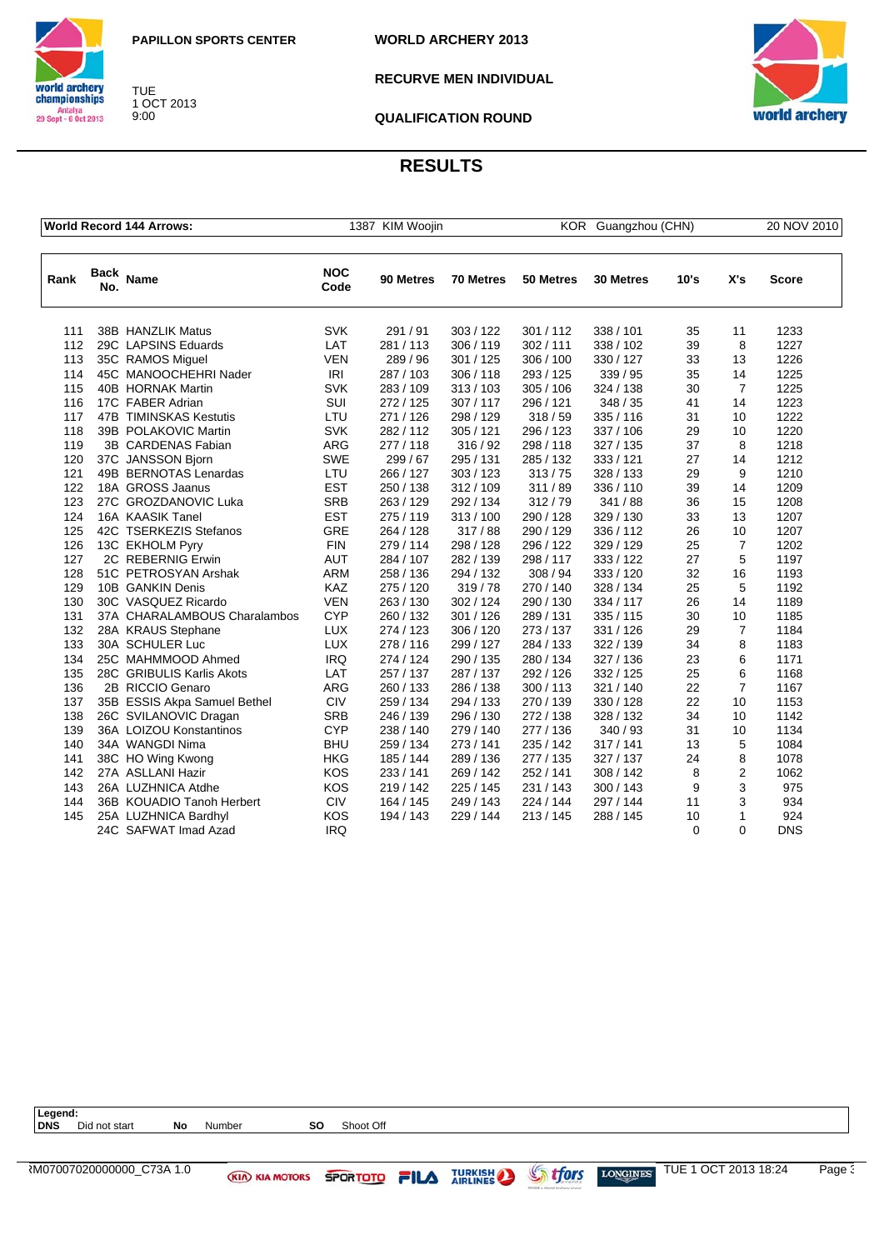

world archery<br>championships TUE 1 OCT 2013 Antalya<br>29 Sept - 6 Oct 2013 9:00

**WORLD ARCHERY 2013**

**RECURVE MEN INDIVIDUAL**



**QUALIFICATION ROUND**

|      |             | <b>World Record 144 Arrows:</b> |                    | 1387 KIM Woojin |           | KOR Guangzhou (CHN) |                  | 20 NOV 2010 |                |            |
|------|-------------|---------------------------------|--------------------|-----------------|-----------|---------------------|------------------|-------------|----------------|------------|
|      |             |                                 |                    |                 |           |                     |                  |             |                |            |
| Rank | Back<br>No. | <b>Name</b>                     | <b>NOC</b><br>Code | 90 Metres       | 70 Metres | 50 Metres           | <b>30 Metres</b> | 10's        | X's            | Score      |
| 111  |             | 38B HANZLIK Matus               | <b>SVK</b>         | 291 / 91        | 303/122   | 301/112             | 338 / 101        | 35          | 11             | 1233       |
| 112  |             | 29C LAPSINS Eduards             | LAT                | 281/113         | 306/119   | 302/111             | 338 / 102        | 39          | 8              | 1227       |
| 113  |             | 35C RAMOS Miguel                | <b>VEN</b>         | 289 / 96        | 301 / 125 | 306 / 100           | 330 / 127        | 33          | 13             | 1226       |
| 114  |             | 45C MANOOCHEHRI Nader           | IRI                | 287 / 103       | 306/118   | 293 / 125           | 339 / 95         | 35          | 14             | 1225       |
| 115  |             | 40B HORNAK Martin               | <b>SVK</b>         | 283/109         | 313/103   | 305 / 106           | 324 / 138        | 30          | $\overline{7}$ | 1225       |
| 116  |             | 17C FABER Adrian                | SUI                | 272 / 125       | 307/117   | 296 / 121           | 348/35           | 41          | 14             | 1223       |
| 117  |             | 47B TIMINSKAS Kestutis          | LTU                | 271 / 126       | 298 / 129 | 318/59              | 335/116          | 31          | 10             | 1222       |
| 118  |             | 39B POLAKOVIC Martin            | <b>SVK</b>         | 282/112         | 305 / 121 | 296 / 123           | 337 / 106        | 29          | 10             | 1220       |
| 119  |             | 3B CARDENAS Fabian              | <b>ARG</b>         | 277/118         | 316/92    | 298 / 118           | 327/135          | 37          | 8              | 1218       |
| 120  |             | 37C JANSSON Bjorn               | <b>SWE</b>         | 299/67          | 295 / 131 | 285 / 132           | 333/121          | 27          | 14             | 1212       |
| 121  |             | 49B BERNOTAS Lenardas           | LTU                | 266 / 127       | 303/123   | 313/75              | 328 / 133        | 29          | 9              | 1210       |
| 122  |             | 18A GROSS Jaanus                | <b>EST</b>         | 250 / 138       | 312 / 109 | 311/89              | 336 / 110        | 39          | 14             | 1209       |
| 123  |             | 27C GROZDANOVIC Luka            | <b>SRB</b>         | 263/129         | 292/134   | 312/79              | 341/88           | 36          | 15             | 1208       |
| 124  |             | 16A KAASIK Tanel                | <b>EST</b>         | 275 / 119       | 313/100   | 290 / 128           | 329 / 130        | 33          | 13             | 1207       |
| 125  |             | 42C TSERKEZIS Stefanos          | <b>GRE</b>         | 264 / 128       | 317/88    | 290 / 129           | 336 / 112        | 26          | 10             | 1207       |
| 126  |             | 13C EKHOLM Pyry                 | <b>FIN</b>         | 279 / 114       | 298 / 128 | 296 / 122           | 329 / 129        | 25          | $\overline{7}$ | 1202       |
| 127  |             | 2C REBERNIG Erwin               | <b>AUT</b>         | 284 / 107       | 282/139   | 298/117             | 333 / 122        | 27          | 5              | 1197       |
| 128  |             | 51C PETROSYAN Arshak            | <b>ARM</b>         | 258 / 136       | 294 / 132 | 308 / 94            | 333 / 120        | 32          | 16             | 1193       |
| 129  |             | 10B GANKIN Denis                | KAZ                | 275 / 120       | 319/78    | 270 / 140           | 328 / 134        | 25          | 5              | 1192       |
| 130  |             | 30C VASQUEZ Ricardo             | <b>VEN</b>         | 263/130         | 302/124   | 290 / 130           | 334 / 117        | 26          | 14             | 1189       |
| 131  |             | 37A CHARALAMBOUS Charalambos    | <b>CYP</b>         | 260 / 132       | 301 / 126 | 289 / 131           | 335 / 115        | 30          | 10             | 1185       |
| 132  |             | 28A KRAUS Stephane              | <b>LUX</b>         | 274 / 123       | 306 / 120 | 273 / 137           | 331 / 126        | 29          | $\overline{7}$ | 1184       |
| 133  |             | 30A SCHULER Luc                 | <b>LUX</b>         | 278 / 116       | 299 / 127 | 284 / 133           | 322 / 139        | 34          | 8              | 1183       |
| 134  |             | 25C MAHMMOOD Ahmed              | <b>IRQ</b>         | 274 / 124       | 290 / 135 | 280 / 134           | 327 / 136        | 23          | 6              | 1171       |
| 135  |             | 28C GRIBULIS Karlis Akots       | LAT                | 257 / 137       | 287 / 137 | 292 / 126           | 332 / 125        | 25          | 6              | 1168       |
| 136  |             | 2B RICCIO Genaro                | <b>ARG</b>         | 260 / 133       | 286 / 138 | 300/113             | 321 / 140        | 22          | $\overline{7}$ | 1167       |
| 137  |             | 35B ESSIS Akpa Samuel Bethel    | <b>CIV</b>         | 259 / 134       | 294 / 133 | 270 / 139           | 330/128          | 22          | 10             | 1153       |
| 138  |             | 26C SVILANOVIC Dragan           | <b>SRB</b>         | 246 / 139       | 296 / 130 | 272 / 138           | 328 / 132        | 34          | 10             | 1142       |
| 139  |             | 36A LOIZOU Konstantinos         | <b>CYP</b>         | 238 / 140       | 279 / 140 | 277 / 136           | 340 / 93         | 31          | 10             | 1134       |
| 140  |             | 34A WANGDI Nima                 | <b>BHU</b>         | 259 / 134       | 273/141   | 235 / 142           | 317/141          | 13          | 5              | 1084       |
| 141  |             | 38C HO Wing Kwong               | <b>HKG</b>         | 185 / 144       | 289 / 136 | 277 / 135           | 327 / 137        | 24          | 8              | 1078       |
| 142  |             | 27A ASLLANI Hazir               | <b>KOS</b>         | 233 / 141       | 269 / 142 | 252 / 141           | 308 / 142        | 8           | $\overline{2}$ | 1062       |
| 143  |             | 26A LUZHNICA Atdhe              | <b>KOS</b>         | 219/142         | 225 / 145 | 231 / 143           | 300 / 143        | 9           | 3              | 975        |
| 144  |             | 36B KOUADIO Tanoh Herbert       | <b>CIV</b>         | 164 / 145       | 249 / 143 | 224 / 144           | 297 / 144        | 11          | 3              | 934        |
| 145  |             | 25A LUZHNICA Bardhyl            | <b>KOS</b>         | 194 / 143       | 229 / 144 | 213/145             | 288 / 145        | 10          | 1              | 924        |
|      |             | 24C SAFWAT Imad Azad            | <b>IRQ</b>         |                 |           |                     |                  | $\Omega$    | $\Omega$       | <b>DNS</b> |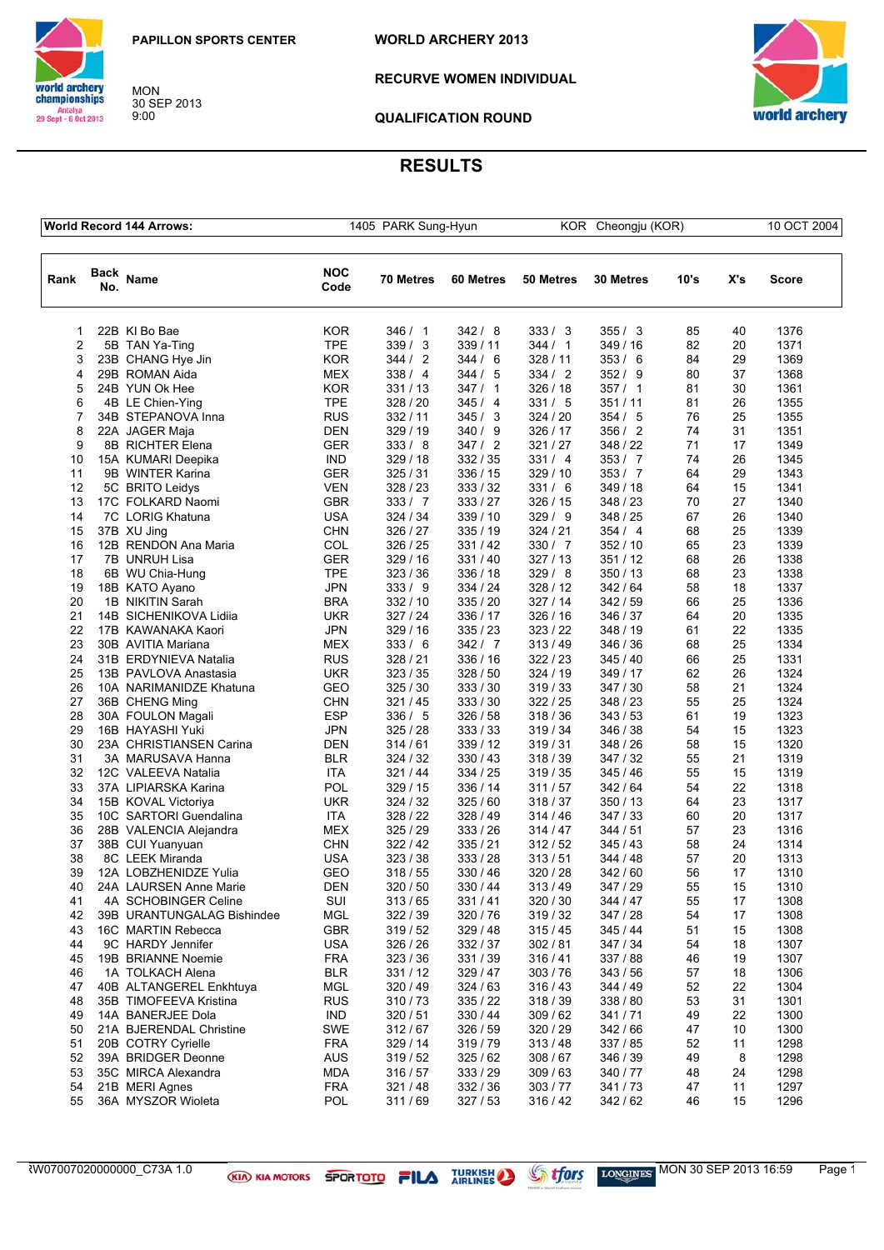

MON 30 SEP 2013 9:00



**RECURVE WOMEN INDIVIDUAL** 



**QUALIFICATION ROUND**

## **RESULTS**

| <b>World Record 144 Arrows:</b> |             |                            |                    | 1405 PARK Sung-Hyun |           |           | KOR Cheongju (KOR) |      |     | 10 OCT 2004  |  |
|---------------------------------|-------------|----------------------------|--------------------|---------------------|-----------|-----------|--------------------|------|-----|--------------|--|
| Rank                            | Back<br>No. | <b>Name</b>                | <b>NOC</b><br>Code | 70 Metres           | 60 Metres | 50 Metres | 30 Metres          | 10's | X's | <b>Score</b> |  |
| 1                               |             | 22B KI Bo Bae              | KOR                | 346/1               | 342/8     | 333/3     | 355/3              | 85   | 40  | 1376         |  |
| 2                               |             | 5B TAN Ya-Ting             | <b>TPE</b>         | 339/3               | 339 / 11  | 344 / 1   | 349 / 16           | 82   | 20  | 1371         |  |
| 3                               |             | 23B CHANG Hye Jin          | KOR                | 344 / 2             | 344/6     | 328 / 11  | 353/6              | 84   | 29  | 1369         |  |
| 4                               |             | 29B ROMAN Aida             | <b>MEX</b>         | 338/4               | 344/5     | 334 / 2   | 352/9              | 80   | 37  | 1368         |  |
| 5                               |             | 24B YUN Ok Hee             | <b>KOR</b>         | 331/13              | 347/1     | 326/18    | 357/1              | 81   | 30  | 1361         |  |
| 6                               |             | 4B LE Chien-Ying           | <b>TPE</b>         | 328 / 20            | 345/4     | 331/5     | 351/11             | 81   | 26  | 1355         |  |
| 7                               |             | 34B STEPANOVA Inna         | <b>RUS</b>         | 332/11              | 345/3     | 324/20    | 354/5              | 76   | 25  | 1355         |  |
| 8                               |             | 22A JAGER Maja             | <b>DEN</b>         | 329 / 19            | 340/9     | 326 / 17  | 356/2              | 74   | 31  | 1351         |  |
| 9                               |             | 8B RICHTER Elena           | GER                | 333/8               | 347/2     | 321/27    | 348 / 22           | 71   | 17  | 1349         |  |
| 10                              |             | 15A KUMARI Deepika         | <b>IND</b>         | 329 / 18            | 332/35    | 331 / 4   | 353/7              | 74   | 26  | 1345         |  |
| 11                              |             | 9B WINTER Karina           | <b>GER</b>         | 325/31              | 336 / 15  | 329 / 10  | 353 / 7            | 64   | 29  | 1343         |  |
| 12                              |             | 5C BRITO Leidys            | <b>VEN</b>         | 328 / 23            | 333/32    | 331/6     | 349 / 18           | 64   | 15  | 1341         |  |
| 13                              |             | 17C FOLKARD Naomi          | GBR                | 333 / 7             | 333/27    | 326 / 15  | 348 / 23           | 70   | 27  | 1340         |  |
| 14                              |             | 7C LORIG Khatuna           | <b>USA</b>         | 324 / 34            | 339 / 10  | 329/9     | 348 / 25           | 67   | 26  | 1340         |  |
| 15                              |             | 37B XU Jing                | <b>CHN</b>         | 326 / 27            | 335/19    | 324 / 21  | 354/4              | 68   | 25  | 1339         |  |
| 16                              |             | 12B RENDON Ana Maria       | COL                | 326 / 25            | 331/42    | 330 / 7   | 352 / 10           | 65   | 23  | 1339         |  |
| 17                              |             | 7B UNRUH Lisa              | GER                | 329 / 16            | 331/40    | 327/13    | 351 / 12           | 68   | 26  | 1338         |  |
| 18                              |             | 6B WU Chia-Hung            | <b>TPE</b>         | 323/36              | 336 / 18  | 329/8     | 350/13             | 68   | 23  | 1338         |  |
| 19                              |             |                            | <b>JPN</b>         | 333/9               |           | 328 / 12  | 342/64             | 58   | 18  | 1337         |  |
|                                 |             | 18B KATO Ayano             |                    |                     | 334 / 24  |           |                    |      |     |              |  |
| 20                              |             | 1B NIKITIN Sarah           | <b>BRA</b>         | 332/10              | 335 / 20  | 327/14    | 342/59             | 66   | 25  | 1336         |  |
| 21                              |             | 14B SICHENIKOVA Lidiia     | <b>UKR</b>         | 327/24              | 336 / 17  | 326 / 16  | 346 / 37           | 64   | 20  | 1335         |  |
| 22                              |             | 17B KAWANAKA Kaori         | JPN                | 329 / 16            | 335/23    | 323/22    | 348 / 19           | 61   | 22  | 1335         |  |
| 23                              |             | 30B AVITIA Mariana         | <b>MEX</b>         | 333/6               | 342/7     | 313/49    | 346 / 36           | 68   | 25  | 1334         |  |
| 24                              |             | 31B ERDYNIEVA Natalia      | <b>RUS</b>         | 328 / 21            | 336 / 16  | 322/23    | 345 / 40           | 66   | 25  | 1331         |  |
| 25                              |             | 13B PAVLOVA Anastasia      | <b>UKR</b>         | 323/35              | 328/50    | 324 / 19  | 349 / 17           | 62   | 26  | 1324         |  |
| 26                              |             | 10A NARIMANIDZE Khatuna    | GEO                | 325/30              | 333 / 30  | 319/33    | 347 / 30           | 58   | 21  | 1324         |  |
| 27                              |             | 36B CHENG Ming             | <b>CHN</b>         | 321/45              | 333/30    | 322/25    | 348 / 23           | 55   | 25  | 1324         |  |
| 28                              |             | 30A FOULON Magali          | <b>ESP</b>         | 336/ 5              | 326/58    | 318 / 36  | 343 / 53           | 61   | 19  | 1323         |  |
| 29                              |             | 16B HAYASHI Yuki           | <b>JPN</b>         | 325 / 28            | 333 / 33  | 319 / 34  | 346 / 38           | 54   | 15  | 1323         |  |
| 30                              |             | 23A CHRISTIANSEN Carina    | DEN                | 314/61              | 339 / 12  | 319/31    | 348 / 26           | 58   | 15  | 1320         |  |
| 31                              |             | 3A MARUSAVA Hanna          | <b>BLR</b>         | 324 / 32            | 330 / 43  | 318 / 39  | 347 / 32           | 55   | 21  | 1319         |  |
| 32                              |             | 12C VALEEVA Natalia        | ITA                | 321 / 44            | 334 / 25  | 319/35    | 345 / 46           | 55   | 15  | 1319         |  |
| 33                              |             | 37A LIPIARSKA Karina       | POL                | 329 / 15            | 336 / 14  | 311/57    | 342/64             | 54   | 22  | 1318         |  |
| 34                              |             | 15B KOVAL Victoriya        | UKR                | 324 / 32            | 325/60    | 318/37    | 350 / 13           | 64   | 23  | 1317         |  |
| 35                              |             | 10C SARTORI Guendalina     | ITA                | 328 / 22            | 328 / 49  | 314/46    | 347 / 33           | 60   | 20  | 1317         |  |
| 36                              |             | 28B VALENCIA Alejandra     | <b>MEX</b>         | 325/29              | 333 / 26  | 314 / 47  | 344/51             | 57   | 23  | 1316         |  |
| 37                              |             | 38B CUI Yuanyuan           | <b>CHN</b>         | 322 / 42            | 335/21    | 312/52    | 345 / 43           | 58   | 24  | 1314         |  |
| 38                              |             | 8C LEEK Miranda            | <b>USA</b>         | 323/38              | 333/28    | 313/51    | 344 / 48           | 57   | 20  | 1313         |  |
| 39                              |             | 12A LOBZHENIDZE Yulia      | GEO                | 318 / 55            | 330 / 46  | 320 / 28  | 342/60             | 56   | 17  | 1310         |  |
| 40                              |             | 24A LAURSEN Anne Marie     | <b>DEN</b>         | 320 / 50            | 330 / 44  | 313/49    | 347 / 29           | 55   | 15  | 1310         |  |
| 41                              |             | 4A SCHOBINGER Celine       | SUI                | 313/65              | 331/41    | 320 / 30  | 344 / 47           | 55   | 17  | 1308         |  |
| 42                              |             | 39B URANTUNGALAG Bishindee | <b>MGL</b>         | 322/39              | 320 / 76  | 319 / 32  | 347 / 28           | 54   | 17  | 1308         |  |
| 43                              |             | 16C MARTIN Rebecca         | <b>GBR</b>         | 319/52              | 329 / 48  | 315/45    | 345 / 44           | 51   | 15  | 1308         |  |
| 44                              |             | 9C HARDY Jennifer          | <b>USA</b>         | 326 / 26            | 332/37    | 302/81    | 347 / 34           | 54   | 18  | 1307         |  |
| 45                              |             | 19B BRIANNE Noemie         | <b>FRA</b>         | 323/36              | 331/39    | 316/41    | 337 / 88           | 46   | 19  | 1307         |  |
| 46                              |             | 1A TOLKACH Alena           | <b>BLR</b>         | 331/12              | 329 / 47  | 303/76    | 343/56             | 57   | 18  | 1306         |  |
| 47                              |             | 40B ALTANGEREL Enkhtuya    | <b>MGL</b>         | 320/49              | 324/63    | 316/43    | 344 / 49           | 52   | 22  | 1304         |  |
| 48                              |             | 35B TIMOFEEVA Kristina     | <b>RUS</b>         | 310/73              | 335/22    | 318 / 39  | 338 / 80           | 53   | 31  | 1301         |  |
| 49                              |             | 14A BANERJEE Dola          | <b>IND</b>         | 320/51              | 330 / 44  | 309/62    | 341/71             | 49   | 22  | 1300         |  |
| 50                              |             | 21A BJERENDAL Christine    | <b>SWE</b>         | 312/67              | 326/59    | 320 / 29  | 342/66             | 47   | 10  | 1300         |  |
| 51                              |             | 20B COTRY Cyrielle         | <b>FRA</b>         | 329 / 14            | 319/79    | 313/48    | 337 / 85           | 52   | 11  | 1298         |  |
| 52                              |             | 39A BRIDGER Deonne         | <b>AUS</b>         | 319 / 52            | 325/62    | 308/67    | 346 / 39           | 49   | 8   | 1298         |  |
| 53                              |             | 35C MIRCA Alexandra        | <b>MDA</b>         | 316/57              | 333 / 29  | 309/63    | 340 / 77           | 48   | 24  | 1298         |  |
| 54                              |             | 21B MERI Agnes             | <b>FRA</b>         | 321/48              | 332 / 36  | 303 / 77  | 341/73             | 47   | 11  | 1297         |  |
| 55                              |             | 36A MYSZOR Wioleta         | POL                | 311/69              | 327/53    | 316 / 42  | 342 / 62           | 46   | 15  | 1296         |  |
|                                 |             |                            |                    |                     |           |           |                    |      |     |              |  |

ARW07007020000000\_C73A 1.0 MON 30 SEP 2013 16:59 Page 1/3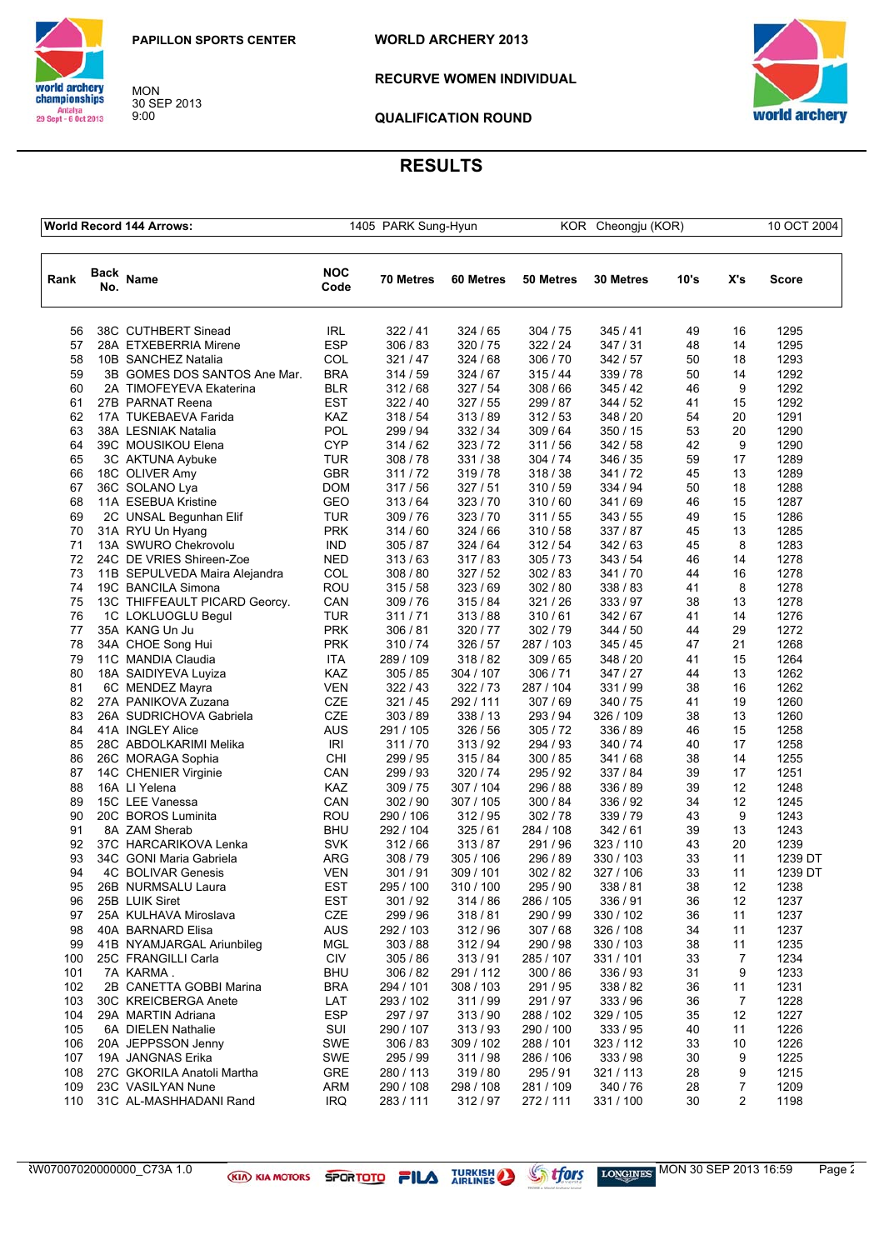

MON 30 SEP 2013 9:00

**WORLD ARCHERY 2013**



**RECURVE WOMEN INDIVIDUAL** 



**QUALIFICATION ROUND**

## **RESULTS**

|      |                    | <b>World Record 144 Arrows:</b> | 1405 PARK Sung-Hyun |           |           | KOR Cheongju (KOR) |                  |      | 10 OCT 2004 |              |
|------|--------------------|---------------------------------|---------------------|-----------|-----------|--------------------|------------------|------|-------------|--------------|
| Rank | <b>Back</b><br>No. | Name                            | <b>NOC</b><br>Code  | 70 Metres | 60 Metres | 50 Metres          | <b>30 Metres</b> | 10's | X's         | <b>Score</b> |
| 56   |                    | 38C CUTHBERT Sinead             | <b>IRL</b>          | 322/41    | 324/65    | 304 / 75           | 345/41           | 49   | 16          | 1295         |
| 57   |                    | 28A ETXEBERRIA Mirene           | <b>ESP</b>          | 306 / 83  | 320 / 75  | 322 / 24           | 347/31           | 48   | 14          | 1295         |
| 58   |                    | 10B SANCHEZ Natalia             | COL                 | 321/47    | 324/68    | 306 / 70           | 342/57           | 50   | 18          | 1293         |
| 59   |                    | 3B GOMES DOS SANTOS Ane Mar.    | <b>BRA</b>          | 314 / 59  | 324/67    | 315/44             | 339 / 78         | 50   | 14          | 1292         |
| 60   |                    | 2A TIMOFEYEVA Ekaterina         | <b>BLR</b>          | 312/68    | 327/54    | 308 / 66           | 345/42           | 46   | 9           | 1292         |
| 61   |                    | 27B PARNAT Reena                | <b>EST</b>          | 322/40    | 327/55    | 299 / 87           | 344/52           | 41   | 15          | 1292         |
| 62   |                    | 17A TUKEBAEVA Farida            | KAZ                 | 318/54    | 313/89    | 312/53             | 348 / 20         | 54   | 20          | 1291         |
| 63   |                    | 38A LESNIAK Natalia             | POL                 | 299 / 94  | 332 / 34  | 309 / 64           | 350 / 15         | 53   | 20          | 1290         |
| 64   |                    | 39C MOUSIKOU Elena              | <b>CYP</b>          | 314 / 62  | 323/72    | 311/56             | 342 / 58         | 42   | 9           | 1290         |
| 65   |                    | 3C AKTUNA Aybuke                | TUR                 | 308/78    | 331 / 38  | 304 / 74           | 346 / 35         | 59   | 17          | 1289         |
| 66   |                    | 18C OLIVER Amy                  | <b>GBR</b>          | 311/72    | 319/78    | 318/38             | 341/72           | 45   | 13          | 1289         |
| 67   |                    | 36C SOLANO Lya                  | <b>DOM</b>          | 317/56    | 327/51    | 310/59             | 334 / 94         | 50   | 18          | 1288         |
| 68   |                    | 11A ESEBUA Kristine             | <b>GEO</b>          | 313/64    | 323 / 70  | 310/60             | 341/69           | 46   | 15          | 1287         |
| 69   |                    | 2C UNSAL Begunhan Elif          | TUR                 | 309/76    | 323/70    | 311/55             | 343/55           | 49   | 15          | 1286         |
| 70   |                    | 31A RYU Un Hyang                | <b>PRK</b>          | 314 / 60  | 324/66    | 310/58             | 337/87           | 45   | 13          | 1285         |
| 71   |                    | 13A SWURO Chekrovolu            | <b>IND</b>          | 305/87    | 324 / 64  | 312/54             | 342/63           | 45   | 8           | 1283         |
| 72   |                    | 24C DE VRIES Shireen-Zoe        | <b>NED</b>          | 313/63    | 317/83    | 305/73             | 343/54           | 46   | 14          | 1278         |
| 73   |                    | 11B SEPULVEDA Maira Alejandra   | COL                 | 308 / 80  | 327/52    | 302/83             | 341/70           | 44   | 16          | 1278         |
| 74   |                    | 19C BANCILA Simona              | ROU                 | 315/58    | 323/69    | 302/80             | 338 / 83         | 41   | 8           | 1278         |
| 75   |                    | 13C THIFFEAULT PICARD Georcy.   | CAN                 | 309/76    | 315/84    | 321 / 26           | 333/97           | 38   | 13          | 1278         |
| 76   |                    | 1C LOKLUOGLU Begul              | <b>TUR</b>          | 311/71    | 313/88    | 310/61             | 342/67           | 41   | 14          | 1276         |
| 77   |                    | 35A KANG Un Ju                  | <b>PRK</b>          | 306 / 81  | 320 / 77  | 302/79             | 344/50           | 44   | 29          | 1272         |
| 78   |                    | 34A CHOE Song Hui               | <b>PRK</b>          | 310/74    | 326 / 57  | 287 / 103          | 345/45           | 47   | 21          | 1268         |
| 79   |                    | 11C MANDIA Claudia              | ITA                 | 289 / 109 | 318/82    | 309/65             | 348 / 20         | 41   | 15          | 1264         |
| 80   |                    | 18A SAIDIYEVA Luyiza            | KAZ                 | 305 / 85  | 304 / 107 | 306 / 71           | 347/27           | 44   | 13          | 1262         |
| 81   |                    | 6C MENDEZ Mayra                 | <b>VEN</b>          | 322/43    | 322/73    | 287 / 104          | 331 / 99         | 38   | 16          | 1262         |
| 82   |                    | 27A PANIKOVA Zuzana             | CZE                 | 321/45    | 292 / 111 | 307/69             | 340 / 75         | 41   | 19          | 1260         |
| 83   |                    | 26A SUDRICHOVA Gabriela         | <b>CZE</b>          | 303 / 89  | 338 / 13  | 293 / 94           | 326 / 109        | 38   | 13          | 1260         |
| 84   |                    | 41A INGLEY Alice                | AUS                 | 291 / 105 | 326 / 56  | 305/72             | 336 / 89         | 46   | 15          | 1258         |
| 85   |                    | 28C ABDOLKARIMI Melika          | IRI                 | 311/70    | 313/92    | 294 / 93           | 340 / 74         | 40   | 17          | 1258         |
| 86   |                    | 26C MORAGA Sophia               | <b>CHI</b>          | 299 / 95  | 315/84    | 300 / 85           | 341/68           | 38   | 14          | 1255         |
| 87   |                    | 14C CHENIER Virginie            | CAN                 | 299 / 93  | 320/74    | 295 / 92           | 337 / 84         | 39   | 17          | 1251         |
| 88   |                    | 16A LI Yelena                   | KAZ                 | 309/75    | 307 / 104 | 296 / 88           | 336 / 89         | 39   | 12          | 1248         |
| 89   |                    | 15C LEE Vanessa                 | CAN                 | 302 / 90  | 307 / 105 | 300 / 84           | 336 / 92         | 34   | 12          | 1245         |
| 90   |                    | 20C BOROS Luminita              | ROU                 | 290 / 106 | 312/95    | 302 / 78           | 339 / 79         | 43   | 9           | 1243         |
| 91   |                    | 8A ZAM Sherab                   | <b>BHU</b>          | 292 / 104 | 325/61    | 284 / 108          | 342/61           | 39   | 13          | 1243         |
| 92   |                    | 37C HARCARIKOVA Lenka           | <b>SVK</b>          | 312/66    | 313/87    | 291/96             | 323 / 110        | 43   | 20          | 1239         |
| 93   |                    | 34C GONI Maria Gabriela         | ARG                 | 308/79    | 305 / 106 | 296 / 89           | 330 / 103        | 33   | 11          | 1239 DT      |
| 94   |                    | 4C BOLIVAR Genesis              | <b>VEN</b>          | 301/91    | 309 / 101 | 302 / 82           | 327 / 106        | 33   | 11          | 1239 DT      |
| 95   |                    | 26B NURMSALU Laura              | <b>EST</b>          | 295 / 100 | 310 / 100 | 295 / 90           | 338 / 81         | 38   | 12          | 1238         |
| 96   |                    | 25B LUIK Siret                  | <b>EST</b>          | 301/92    | 314/86    | 286 / 105          | 336 / 91         | 36   | 12          | 1237         |
| 97   |                    | 25A KULHAVA Miroslava           | CZE                 | 299 / 96  | 318/81    | 290 / 99           | 330 / 102        | 36   | 11          | 1237         |
| 98   |                    | 40A BARNARD Elisa               | <b>AUS</b>          | 292 / 103 | 312/96    | 307/68             | 326 / 108        | 34   | 11          | 1237         |
| 99   |                    | 41B NYAMJARGAL Ariunbileg       | <b>MGL</b>          | 303/88    | 312/94    | 290 / 98           | 330 / 103        | 38   | 11          | 1235         |
| 100  |                    | 25C FRANGILLI Carla             | CIV                 | 305/86    | 313/91    | 285 / 107          | 331 / 101        | 33   | 7           | 1234         |
| 101  |                    | 7A KARMA.                       | <b>BHU</b>          | 306 / 82  | 291 / 112 | 300 / 86           | 336 / 93         | 31   | 9           | 1233         |
| 102  |                    | 2B CANETTA GOBBI Marina         | <b>BRA</b>          | 294 / 101 | 308 / 103 | 291 / 95           | 338 / 82         | 36   | 11          | 1231         |
| 103  |                    | 30C KREICBERGA Anete            | LAT                 | 293 / 102 | 311/99    | 291/97             | 333 / 96         | 36   | 7           | 1228         |
| 104  |                    | 29A MARTIN Adriana              | <b>ESP</b>          | 297 / 97  | 313/90    | 288 / 102          | 329 / 105        | 35   | 12          | 1227         |
| 105  |                    | 6A DIELEN Nathalie              | SUI                 | 290 / 107 | 313/93    | 290 / 100          | 333 / 95         | 40   | 11          | 1226         |
| 106  |                    | 20A JEPPSSON Jenny              | SWE                 | 306/83    | 309 / 102 | 288 / 101          | 323/112          | 33   | 10          | 1226         |
| 107  |                    | 19A JANGNAS Erika               | <b>SWE</b>          | 295 / 99  | 311/98    | 286 / 106          | 333 / 98         | 30   | 9           | 1225         |
| 108  |                    | 27C GKORILA Anatoli Martha      | <b>GRE</b>          | 280 / 113 | 319/80    | 295 / 91           | 321/113          | 28   | 9           | 1215         |
| 109  |                    | 23C VASILYAN Nune               | <b>ARM</b>          | 290 / 108 | 298 / 108 | 281 / 109          | 340 / 76         | 28   | 7           | 1209         |
| 110  |                    | 31C AL-MASHHADANI Rand          | <b>IRQ</b>          | 283 / 111 | 312/97    | 272 / 111          | 331 / 100        | 30   | 2           | 1198         |

ARW07007020000000\_C73A 1.0 MON 30 SEP 2013 16:59 Page 2/3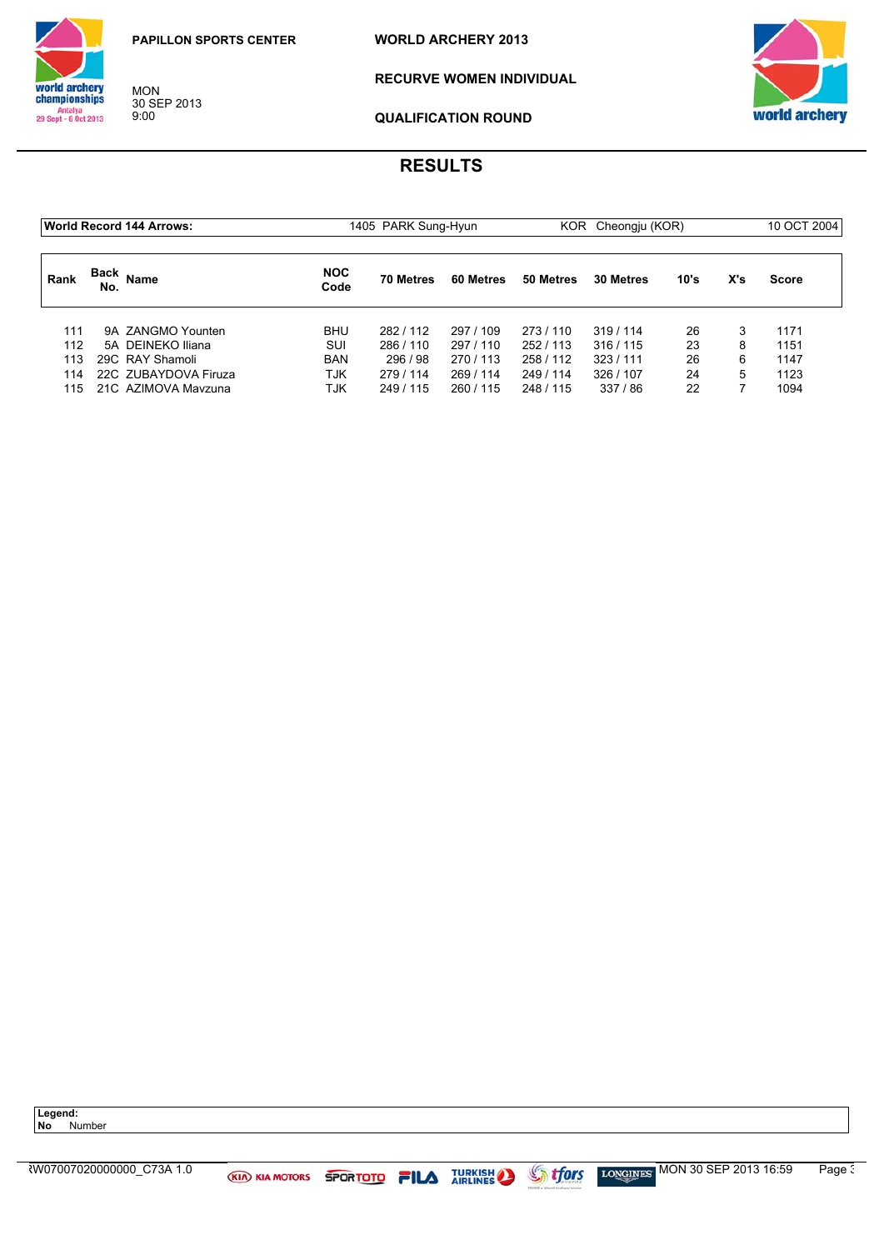MON 30 SEP 2013 9:00

**WORLD ARCHERY 2013**



**RECURVE WOMEN INDIVIDUAL** 



**QUALIFICATION ROUND**

# **RESULTS**

| <b>World Record 144 Arrows:</b> |             |                      |                    | 1405 PARK Sung-Hyun<br>KOR Cheongju (KOR) |           |           |           | 10 OCT 2004 |     |              |
|---------------------------------|-------------|----------------------|--------------------|-------------------------------------------|-----------|-----------|-----------|-------------|-----|--------------|
| Rank                            | Back<br>No. | <b>Name</b>          | <b>NOC</b><br>Code | <b>70 Metres</b>                          | 60 Metres | 50 Metres | 30 Metres | 10's        | X's | <b>Score</b> |
| 111                             |             | 9A ZANGMO Younten    | <b>BHU</b>         | 282/112                                   | 297 / 109 | 273/110   | 319/114   | 26          |     | 1171         |
| 112                             |             | 5A DEINEKO Iliana    | SUI                | 286/110                                   | 297/110   | 252/113   | 316/115   | 23          | 8   | 1151         |
| 113                             |             | 29C RAY Shamoli      | <b>BAN</b>         | 296/98                                    | 270/113   | 258 / 112 | 323/111   | 26          | 6   | 1147         |
| 114                             |             | 22C ZUBAYDOVA Firuza | TJK                | 279/114                                   | 269/114   | 249 / 114 | 326 / 107 | 24          | 5   | 1123         |
| 115.                            |             | 21C AZIMOVA Mavzuna  | TJK                | 249 / 115                                 | 260 / 115 | 248 / 115 | 337 / 86  | 22          |     | 1094         |

**Legend:**

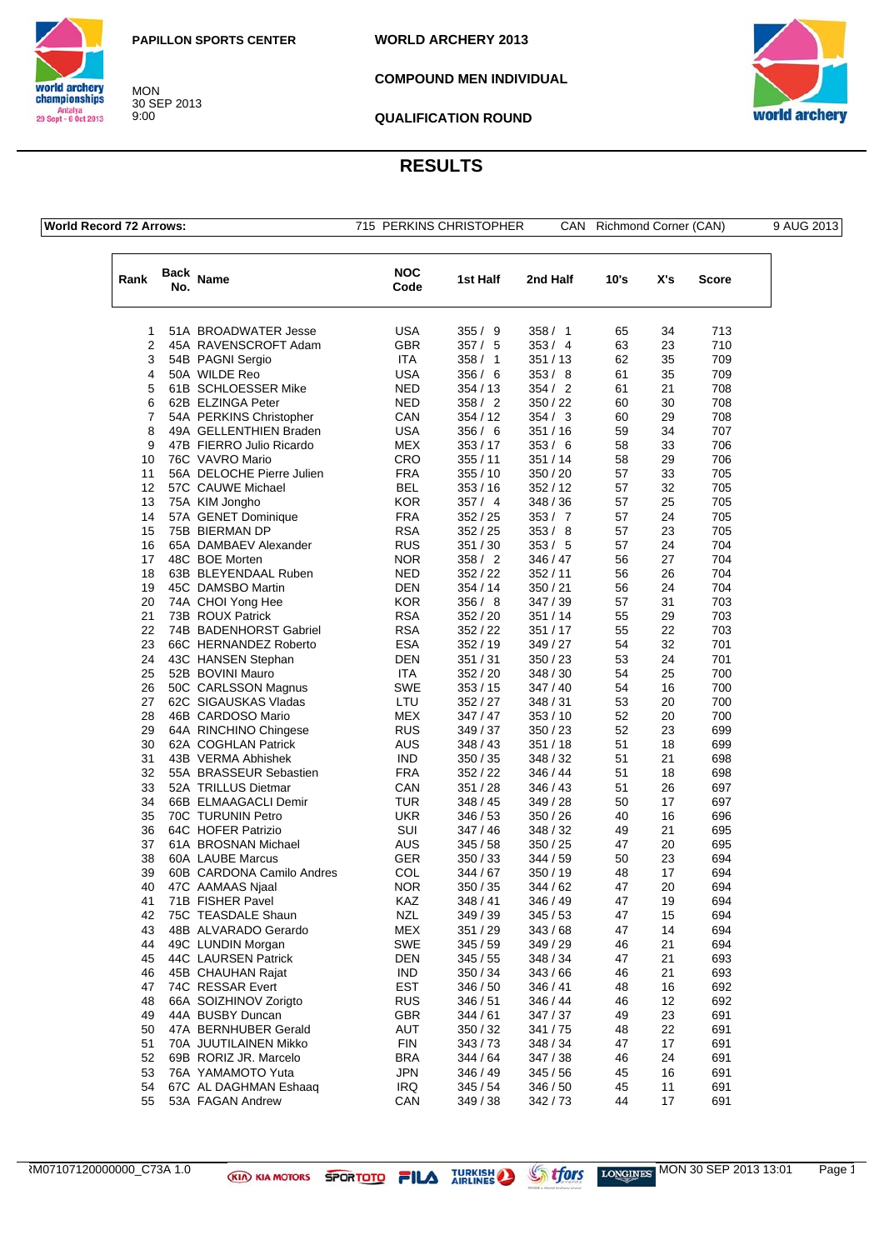



**COMPOUND MEN INDIVIDUAL**



**QUALIFICATION ROUND**

## **RESULTS**

|  |  | <b>World Record 72 Arrows:</b> |  |
|--|--|--------------------------------|--|
|--|--|--------------------------------|--|

MON 30 SEP 2013 9:00

715 PERKINS CHRISTOPHER CAN Richmond Corner (CAN) 9 AUG 20

|  | AUG | ົ<br>2013 |
|--|-----|-----------|

| Rank | No. | Back Name                 | <b>NOC</b><br>Code | 1st Half | 2nd Half | 10's | X's | Score |
|------|-----|---------------------------|--------------------|----------|----------|------|-----|-------|
| 1    |     | 51A BROADWATER Jesse      | USA                | 355/9    | 358/1    | 65   | 34  | 713   |
| 2    |     | 45A RAVENSCROFT Adam      | <b>GBR</b>         | 357/5    | 353/4    | 63   | 23  | 710   |
| 3    |     | 54B PAGNI Sergio          | <b>ITA</b>         | 358/1    | 351/13   | 62   | 35  | 709   |
|      |     |                           |                    |          |          |      |     |       |
| 4    |     | 50A WILDE Reo             | USA                | 356 / 6  | 353/8    | 61   | 35  | 709   |
| 5    |     | 61B SCHLOESSER Mike       | NED                | 354/13   | 354/2    | 61   | 21  | 708   |
| 6    |     | 62B ELZINGA Peter         | NED                | 358 / 2  | 350 / 22 | 60   | 30  | 708   |
| 7    |     | 54A PERKINS Christopher   | CAN                | 354/12   | 354 / 3  | 60   | 29  | 708   |
| 8    |     | 49A GELLENTHIEN Braden    | <b>USA</b>         | 356/6    | 351 / 16 | 59   | 34  | 707   |
| 9    |     | 47B FIERRO Julio Ricardo  | MEX                | 353/17   | 353/6    | 58   | 33  | 706   |
| 10   |     | 76C VAVRO Mario           | CRO                | 355/11   | 351 / 14 | 58   | 29  | 706   |
| 11   |     | 56A DELOCHE Pierre Julien | <b>FRA</b>         | 355/10   | 350 / 20 | 57   | 33  | 705   |
| 12   |     | 57C CAUWE Michael         | <b>BEL</b>         | 353/16   | 352 / 12 | 57   | 32  | 705   |
| 13   |     | 75A KIM Jongho            | KOR                | 357/4    | 348 / 36 | 57   | 25  | 705   |
| 14   |     | 57A GENET Dominique       | <b>FRA</b>         | 352/25   | 353 / 7  | 57   | 24  | 705   |
| 15   |     | 75B BIERMAN DP            | <b>RSA</b>         | 352/25   | 353/8    | 57   | 23  | 705   |
| 16   |     | 65A DAMBAEV Alexander     | <b>RUS</b>         | 351/30   | 353/5    | 57   | 24  | 704   |
| 17   |     | 48C BOE Morten            | <b>NOR</b>         | 358/2    | 346 / 47 | 56   | 27  | 704   |
| 18   |     | 63B BLEYENDAAL Ruben      | <b>NED</b>         | 352/22   | 352 / 11 | 56   | 26  | 704   |
| 19   |     | 45C DAMSBO Martin         | DEN                | 354/14   | 350 / 21 | 56   | 24  | 704   |
| 20   |     | 74A CHOI Yong Hee         | KOR                | 356/8    | 347 / 39 | 57   | 31  | 703   |
| 21   |     | 73B ROUX Patrick          | <b>RSA</b>         | 352/20   | 351 / 14 | 55   | 29  | 703   |
| 22   |     | 74B BADENHORST Gabriel    | <b>RSA</b>         | 352/22   | 351/17   | 55   | 22  | 703   |
| 23   |     | 66C HERNANDEZ Roberto     | <b>ESA</b>         | 352/19   | 349 / 27 | 54   | 32  | 701   |
| 24   |     | 43C HANSEN Stephan        | DEN                | 351/31   | 350 / 23 | 53   | 24  | 701   |
| 25   |     | 52B BOVINI Mauro          | <b>ITA</b>         | 352/20   | 348 / 30 | 54   | 25  | 700   |
| 26   |     | 50C CARLSSON Magnus       | SWE                | 353/15   | 347 / 40 | 54   | 16  | 700   |
| 27   |     | 62C SIGAUSKAS Vladas      | LTU                | 352/27   | 348 / 31 | 53   | 20  | 700   |
| 28   |     | 46B CARDOSO Mario         | MEX                | 347 / 47 | 353 / 10 | 52   | 20  | 700   |
| 29   |     | 64A RINCHINO Chingese     | <b>RUS</b>         | 349 / 37 | 350 / 23 | 52   | 23  | 699   |
| 30   |     | 62A COGHLAN Patrick       | AUS                | 348/43   | 351 / 18 | 51   | 18  | 699   |
| 31   |     | 43B VERMA Abhishek        | <b>IND</b>         | 350 / 35 | 348 / 32 | 51   | 21  | 698   |
| 32   |     | 55A BRASSEUR Sebastien    | <b>FRA</b>         | 352/22   | 346 / 44 | 51   | 18  | 698   |
| 33   |     | 52A TRILLUS Dietmar       | CAN                | 351/28   | 346 / 43 | 51   | 26  | 697   |
| 34   |     | 66B ELMAAGACLI Demir      | TUR                | 348 / 45 | 349 / 28 | 50   | 17  | 697   |
| 35   |     | 70C TURUNIN Petro         | UKR                | 346/53   | 350 / 26 | 40   | 16  | 696   |
| 36   |     | 64C HOFER Patrizio        | SUI                | 347 / 46 | 348 / 32 | 49   | 21  | 695   |
| 37   |     | 61A BROSNAN Michael       | AUS                | 345/58   | 350 / 25 | 47   | 20  | 695   |
| 38   |     | 60A LAUBE Marcus          | <b>GER</b>         | 350/33   | 344 / 59 | 50   | 23  | 694   |
| 39   |     | 60B CARDONA Camilo Andres | COL                | 344 / 67 | 350 / 19 | 48   | 17  | 694   |
| 40   |     | 47C AAMAAS Njaal          | NOR                | 350 / 35 | 344 / 62 | 47   | 20  | 694   |
| 41   |     | 71B FISHER Pavel          | KAZ                | 348 / 41 | 346 / 49 | 47   | 19  | 694   |
| 42   |     | 75C TEASDALE Shaun        | NZL                | 349 / 39 | 345 / 53 | 47   | 15  | 694   |
| 43   |     | 48B ALVARADO Gerardo      | <b>MEX</b>         | 351/29   | 343 / 68 | 47   | 14  | 694   |
| 44   |     | 49C LUNDIN Morgan         | SWE                | 345/59   | 349 / 29 | 46   | 21  | 694   |
| 45   |     | 44C LAURSEN Patrick       | <b>DEN</b>         | 345 / 55 | 348 / 34 | 47   | 21  | 693   |
| 46   |     | 45B CHAUHAN Rajat         | <b>IND</b>         | 350 / 34 | 343 / 66 | 46   | 21  | 693   |
| 47   |     | 74C RESSAR Evert          | <b>EST</b>         | 346 / 50 | 346 / 41 | 48   | 16  | 692   |
| 48   |     | 66A SOIZHINOV Zorigto     | <b>RUS</b>         | 346/51   | 346 / 44 | 46   | 12  | 692   |
| 49   |     | 44A BUSBY Duncan          | <b>GBR</b>         | 344 / 61 | 347 / 37 | 49   | 23  | 691   |
| 50   |     | 47A BERNHUBER Gerald      | AUT                | 350/32   | 341 / 75 | 48   | 22  | 691   |
| 51   |     | 70A JUUTILAINEN Mikko     | <b>FIN</b>         | 343/73   | 348 / 34 | 47   | 17  | 691   |
| 52   |     | 69B RORIZ JR. Marcelo     | <b>BRA</b>         | 344/64   | 347 / 38 | 46   | 24  | 691   |
| 53   |     | 76A YAMAMOTO Yuta         | <b>JPN</b>         | 346 / 49 | 345/56   | 45   | 16  | 691   |
| 54   |     | 67C AL DAGHMAN Eshaaq     | <b>IRQ</b>         | 345/54   | 346 / 50 | 45   | 11  | 691   |
| 55   |     | 53A FAGAN Andrew          | CAN                | 349 / 38 | 342 / 73 | 44   | 17  | 691   |

RM07107120000000\_C73A 1.0 **MON 30 SEP 2013 13:01** Page 1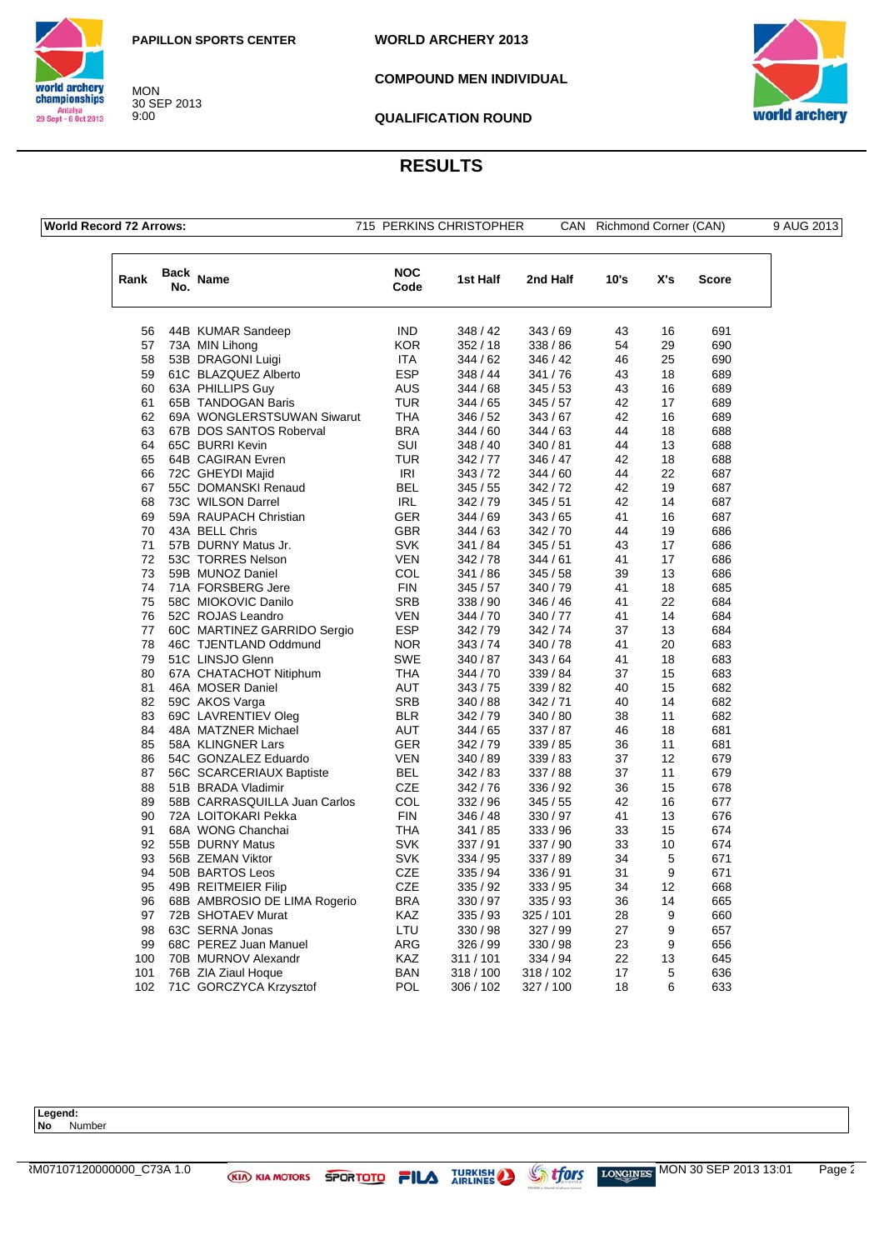**WORLD ARCHERY 2013**



30 SEP 2013

**COMPOUND MEN INDIVIDUAL**



**QUALIFICATION ROUND**

## **RESULTS**

| <b>World Record 72 Arrows:</b> |  |
|--------------------------------|--|
|--------------------------------|--|

MON

9:00

715 PERKINS CHRISTOPHER CAN Richmond Corner (CAN) 9 AUG 2013

| Rank | No. | Back Name                    | <b>NOC</b><br>Code | 1st Half  | 2nd Half  | 10's | X's | <b>Score</b> |
|------|-----|------------------------------|--------------------|-----------|-----------|------|-----|--------------|
| 56   |     | 44B KUMAR Sandeep            | <b>IND</b>         | 348 / 42  | 343/69    | 43   | 16  | 691          |
| 57   |     | 73A MIN Lihong               | <b>KOR</b>         | 352/18    | 338 / 86  | 54   | 29  | 690          |
| 58   |     | 53B DRAGONI Luigi            | <b>ITA</b>         | 344 / 62  | 346 / 42  | 46   | 25  | 690          |
| 59   |     | 61C BLAZQUEZ Alberto         | <b>ESP</b>         | 348 / 44  | 341/76    | 43   | 18  | 689          |
| 60   |     | 63A PHILLIPS Guy             | AUS                | 344 / 68  | 345/53    | 43   | 16  | 689          |
| 61   |     | 65B TANDOGAN Baris           | <b>TUR</b>         | 344 / 65  | 345/57    | 42   | 17  | 689          |
| 62   |     | 69A WONGLERSTSUWAN Siwarut   | THA                | 346 / 52  | 343/67    | 42   | 16  | 689          |
| 63   |     | 67B DOS SANTOS Roberval      | <b>BRA</b>         | 344 / 60  | 344 / 63  | 44   | 18  | 688          |
| 64   |     | 65C BURRI Kevin              | SUI                | 348 / 40  | 340 / 81  | 44   | 13  | 688          |
| 65   |     | 64B CAGIRAN Evren            | <b>TUR</b>         | 342 / 77  | 346 / 47  | 42   | 18  | 688          |
| 66   |     | 72C GHEYDI Majid             | IRI                | 343/72    | 344 / 60  | 44   | 22  | 687          |
| 67   |     | 55C DOMANSKI Renaud          | <b>BEL</b>         | 345 / 55  | 342 / 72  | 42   | 19  | 687          |
| 68   |     | 73C WILSON Darrel            | <b>IRL</b>         | 342 / 79  | 345/51    | 42   | 14  | 687          |
| 69   |     | 59A RAUPACH Christian        | GER                | 344 / 69  | 343/65    | 41   | 16  | 687          |
| 70   |     | 43A BELL Chris               | <b>GBR</b>         | 344 / 63  | 342 / 70  | 44   | 19  | 686          |
| 71   |     | 57B DURNY Matus Jr.          | <b>SVK</b>         | 341 / 84  | 345/51    | 43   | 17  | 686          |
| 72   |     | 53C TORRES Nelson            | <b>VEN</b>         | 342 / 78  | 344/61    | 41   | 17  | 686          |
| 73   |     | 59B MUNOZ Daniel             | COL                | 341 / 86  | 345/58    | 39   | 13  | 686          |
| 74   |     | 71A FORSBERG Jere            | <b>FIN</b>         | 345 / 57  | 340 / 79  | 41   | 18  | 685          |
| 75   |     | 58C MIOKOVIC Danilo          | <b>SRB</b>         | 338 / 90  | 346 / 46  | 41   | 22  | 684          |
| 76   |     | 52C ROJAS Leandro            | <b>VEN</b>         | 344 / 70  | 340 / 77  | 41   | 14  | 684          |
| 77   |     | 60C MARTINEZ GARRIDO Sergio  | <b>ESP</b>         | 342 / 79  | 342 / 74  | 37   | 13  | 684          |
| 78   |     | 46C TJENTLAND Oddmund        | <b>NOR</b>         | 343/74    | 340 / 78  | 41   | 20  | 683          |
| 79   |     | 51C LINSJO Glenn             | <b>SWE</b>         | 340 / 87  | 343 / 64  | 41   | 18  | 683          |
| 80   |     | 67A CHATACHOT Nitiphum       | THA                | 344 / 70  | 339 / 84  | 37   | 15  | 683          |
| 81   |     | 46A MOSER Daniel             | AUT                | 343 / 75  | 339 / 82  | 40   | 15  | 682          |
| 82   |     | 59C AKOS Varga               | <b>SRB</b>         | 340 / 88  | 342/71    | 40   | 14  | 682          |
| 83   |     | 69C LAVRENTIEV Oleg          | <b>BLR</b>         | 342 / 79  | 340 / 80  | 38   | 11  | 682          |
| 84   |     | 48A MATZNER Michael          | <b>AUT</b>         | 344 / 65  | 337/87    | 46   | 18  | 681          |
| 85   |     | 58A KLINGNER Lars            | <b>GER</b>         | 342 / 79  | 339 / 85  | 36   | 11  | 681          |
| 86   |     | 54C GONZALEZ Eduardo         | <b>VEN</b>         | 340 / 89  | 339 / 83  | 37   | 12  | 679          |
| 87   |     | 56C SCARCERIAUX Baptiste     | <b>BEL</b>         | 342 / 83  | 337/88    | 37   | 11  | 679          |
| 88   |     | 51B BRADA Vladimir           | <b>CZE</b>         | 342/76    | 336 / 92  | 36   | 15  | 678          |
| 89   |     | 58B CARRASQUILLA Juan Carlos | COL                | 332 / 96  | 345/55    | 42   | 16  | 677          |
| 90   |     | 72A LOITOKARI Pekka          | <b>FIN</b>         | 346 / 48  | 330 / 97  | 41   | 13  | 676          |
| 91   |     | 68A WONG Chanchai            | THA                | 341 / 85  | 333/96    | 33   | 15  | 674          |
| 92   |     | 55B DURNY Matus              | <b>SVK</b>         | 337 / 91  | 337 / 90  | 33   | 10  | 674          |
| 93   |     | 56B ZEMAN Viktor             | <b>SVK</b>         | 334 / 95  | 337 / 89  | 34   | 5   | 671          |
| 94   |     | 50B BARTOS Leos              | <b>CZE</b>         | 335 / 94  | 336 / 91  | 31   | 9   | 671          |
| 95   |     | 49B REITMEIER Filip          | <b>CZE</b>         | 335 / 92  | 333 / 95  | 34   | 12  | 668          |
| 96   |     | 68B AMBROSIO DE LIMA Rogerio | <b>BRA</b>         | 330 / 97  | 335 / 93  | 36   | 14  | 665          |
| 97   |     | 72B SHOTAEV Murat            | KAZ                | 335 / 93  | 325 / 101 | 28   | 9   | 660          |
| 98   |     | 63C SERNA Jonas              | LTU                | 330 / 98  | 327 / 99  | 27   | 9   | 657          |
| 99   |     | 68C PEREZ Juan Manuel        | <b>ARG</b>         | 326 / 99  | 330 / 98  | 23   | 9   | 656          |
| 100  |     | 70B MURNOV Alexandr          | <b>KAZ</b>         | 311/101   | 334 / 94  | 22   | 13  | 645          |
| 101  |     | 76B ZIA Ziaul Hoque          | <b>BAN</b>         | 318 / 100 | 318 / 102 | 17   | 5   | 636          |
| 102  |     | 71C GORCZYCA Krzysztof       | POL                | 306 / 102 | 327 / 100 | 18   | 6   | 633          |

Legend:<br>No Nu **No** Number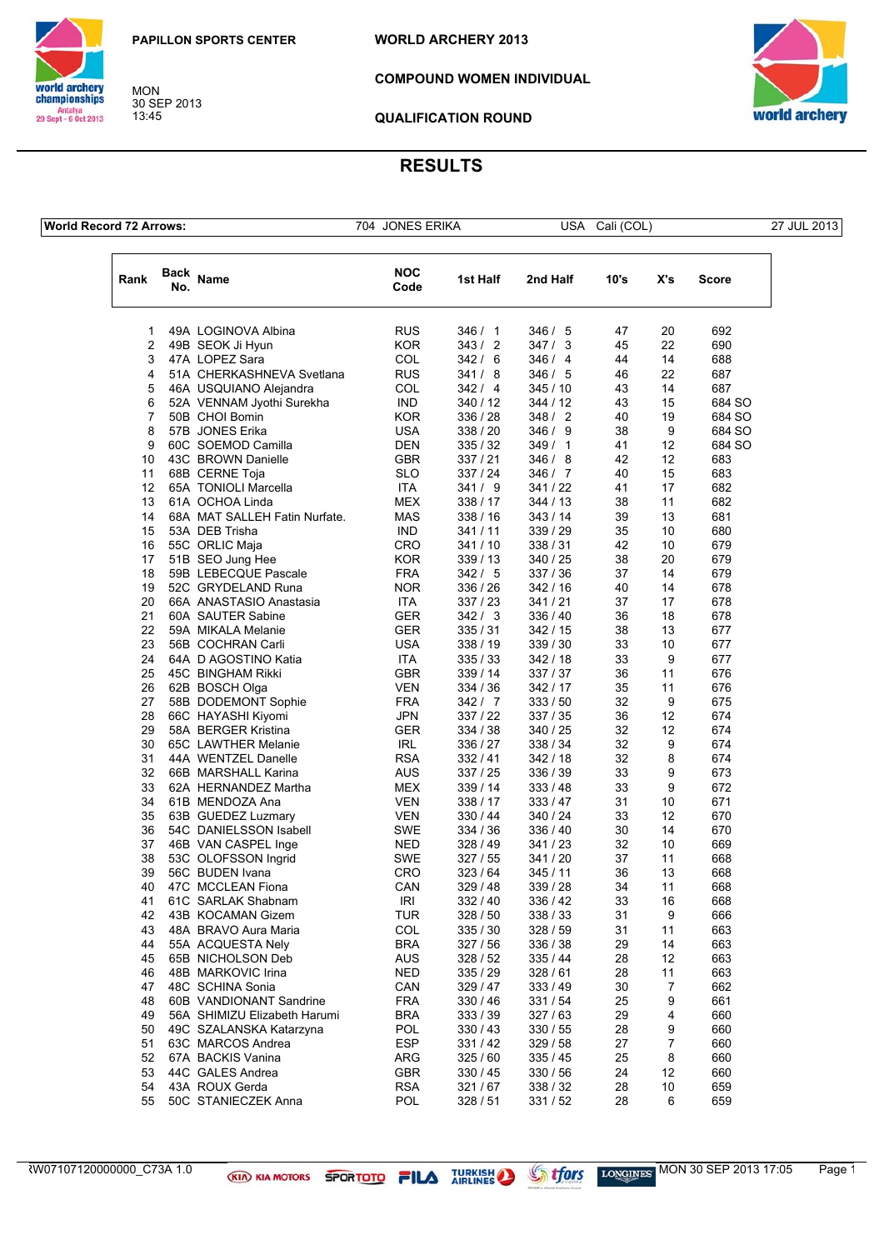

world archery<br>championships Antalya<br>29 Sept - 6 Oct 2013

MON 30 SEP 2013 13:45

**COMPOUND WOMEN INDIVIDUAL**



**QUALIFICATION ROUND**

## **RESULTS**

**World Record 72 Arrows:** 704 JONES ERIKA USA Cali (COL) 27 JUL 2013

| Rank     | Back<br>No. | Name                                                    | <b>NOC</b><br>Code       | 1st Half               | 2nd Half             | 10's     | X's      | Score      |
|----------|-------------|---------------------------------------------------------|--------------------------|------------------------|----------------------|----------|----------|------------|
| 1        |             | 49A LOGINOVA Albina                                     | <b>RUS</b>               | 346 / 1                | 346/5                | 47       | 20       | 692        |
| 2        |             | 49B SEOK Ji Hyun                                        | <b>KOR</b>               | 343/<br>$\overline{2}$ | 347/3                | 45       | 22       | 690        |
| 3        |             | 47A LOPEZ Sara                                          | COL                      | 342/6                  | 346 / 4              | 44       | 14       | 688        |
| 4        |             | 51A CHERKASHNEVA Svetlana                               | <b>RUS</b>               | 341/8                  | 346/5                | 46       | 22       | 687        |
| 5        |             | 46A USQUIANO Alejandra                                  | COL                      | 342/4                  | 345 / 10             | 43       | 14       | 687        |
| 6        |             | 52A VENNAM Jyothi Surekha                               | <b>IND</b>               | 340 / 12               | 344/12               | 43       | 15       | 684 SO     |
| 7        |             | 50B CHOI Bomin                                          | <b>KOR</b>               | 336 / 28               | 348/2                | 40       | 19       | 684 SO     |
| 8        |             | 57B JONES Erika                                         | <b>USA</b>               | 338 / 20               | 346 / 9              | 38       | 9        | 684 SO     |
| 9        |             | 60C SOEMOD Camilla                                      | <b>DEN</b>               | 335/32                 | 349/1                | 41       | 12       | 684 SO     |
| 10       |             | 43C BROWN Danielle                                      | GBR                      | 337/21                 | 346/8                | 42       | 12       | 683        |
| 11       |             | 68B CERNE Toja                                          | <b>SLO</b>               | 337 / 24               | 346/7                | 40       | 15       | 683        |
| 12       |             | 65A TONIOLI Marcella                                    | <b>ITA</b>               | 341/9                  | 341 / 22             | 41       | 17       | 682        |
| 13       |             | 61A OCHOA Linda                                         | <b>MEX</b>               | 338 / 17               | 344 / 13             | 38       | 11       | 682        |
| 14       |             | 68A MAT SALLEH Fatin Nurfate.                           | <b>MAS</b>               | 338 / 16               | 343 / 14             | 39       | 13       | 681        |
| 15       |             | 53A DEB Trisha                                          | <b>IND</b>               | 341 / 11               | 339 / 29             | 35       | 10       | 680        |
| 16       |             | 55C ORLIC Maja                                          | CRO                      | 341/10                 | 338 / 31             | 42       | 10<br>20 | 679        |
| 17<br>18 |             | 51B SEO Jung Hee<br>59B LEBECQUE Pascale                | <b>KOR</b><br><b>FRA</b> | 339 / 13<br>342/5      | 340 / 25<br>337 / 36 | 38<br>37 | 14       | 679<br>679 |
| 19       |             | 52C GRYDELAND Runa                                      | <b>NOR</b>               | 336 / 26               | 342 / 16             | 40       | 14       | 678        |
| 20       |             | 66A ANASTASIO Anastasia                                 | <b>ITA</b>               | 337/23                 | 341 / 21             | 37       | 17       | 678        |
| 21       |             | 60A SAUTER Sabine                                       | <b>GER</b>               | 342/3                  | 336 / 40             | 36       | 18       | 678        |
| 22       |             | 59A MIKALA Melanie                                      | <b>GER</b>               | 335/31                 | 342/15               | 38       | 13       | 677        |
| 23       |             | 56B COCHRAN Carli                                       | <b>USA</b>               | 338 / 19               | 339 / 30             | 33       | 10       | 677        |
| 24       |             | 64A D AGOSTINO Katia                                    | ITA                      | 335/33                 | 342/18               | 33       | 9        | 677        |
| 25       |             | 45C BINGHAM Rikki                                       | <b>GBR</b>               | 339 / 14               | 337 / 37             | 36       | 11       | 676        |
| 26       |             | 62B BOSCH Olga                                          | <b>VEN</b>               | 334 / 36               | 342/17               | 35       | 11       | 676        |
| 27       |             | 58B DODEMONT Sophie                                     | <b>FRA</b>               | 342/7                  | 333/50               | 32       | 9        | 675        |
| 28       |             | 66C HAYASHI Kiyomi                                      | <b>JPN</b>               | 337 / 22               | 337 / 35             | 36       | 12       | 674        |
| 29       |             | 58A BERGER Kristina                                     | <b>GER</b>               | 334 / 38               | 340 / 25             | 32       | 12       | 674        |
| 30       |             | 65C LAWTHER Melanie                                     | <b>IRL</b>               | 336 / 27               | 338 / 34             | 32       | 9        | 674        |
| 31       |             | 44A WENTZEL Danelle                                     | <b>RSA</b>               | 332/41                 | 342 / 18             | 32       | 8        | 674        |
| 32       |             | 66B MARSHALL Karina                                     | <b>AUS</b>               | 337/25                 | 336 / 39             | 33       | 9        | 673        |
| 33       |             | 62A HERNANDEZ Martha                                    | <b>MEX</b>               | 339 / 14               | 333/48               | 33       | 9        | 672        |
| 34       |             | 61B MENDOZA Ana                                         | <b>VEN</b>               | 338 / 17               | 333 / 47             | 31       | 10       | 671        |
| 35       |             | 63B GUEDEZ Luzmary                                      | <b>VEN</b>               | 330 / 44               | 340 / 24             | 33       | 12       | 670        |
| 36       |             | 54C DANIELSSON Isabell                                  | <b>SWE</b>               | 334 / 36               | 336 / 40             | 30       | 14       | 670        |
| 37       |             | 46B VAN CASPEL Inge                                     | <b>NED</b>               | 328 / 49               | 341 / 23             | 32       | 10       | 669        |
| 38       |             | 53C OLOFSSON Ingrid                                     | <b>SWE</b>               | 327/55                 | 341 / 20             | 37       | 11       | 668        |
| 39       |             | 56C BUDEN Ivana                                         | <b>CRO</b>               | 323/64                 | 345 / 11             | 36       | 13       | 668        |
| 40       |             | 47C MCCLEAN Fiona                                       | CAN                      | 329/48                 | 339 / 28             | 34       | 11       | 668        |
| 41       |             | 61C SARLAK Shabnam                                      | <b>IRI</b>               | 332/40                 | 336 / 42             | 33       | 16       | 668        |
| 42       |             | 43B KOCAMAN Gizem                                       | <b>TUR</b>               | 328/50                 | 338 / 33             | 31       | 9        | 666        |
| 43       |             | 48A BRAVO Aura Maria                                    | COL                      | 335/30                 | 328 / 59             | 31       | 11       | 663        |
| 44       |             | 55A ACQUESTA Nely                                       | <b>BRA</b>               | 327/56                 | 336 / 38             | 29       | 14       | 663        |
| 45       |             | 65B NICHOLSON Deb<br>48B MARKOVIC Irina                 | <b>AUS</b>               | 328/52                 | 335/44               | 28       | 12       | 663        |
| 46       |             | 48C SCHINA Sonia                                        | NED<br>CAN               | 335/29<br>329 / 47     | 328/61<br>333/49     | 28<br>30 | 11       | 663<br>662 |
| 47       |             |                                                         | <b>FRA</b>               |                        |                      | 25       | 7        | 661        |
| 48<br>49 |             | 60B VANDIONANT Sandrine<br>56A SHIMIZU Elizabeth Harumi | <b>BRA</b>               | 330 / 46<br>333/39     | 331 / 54<br>327/63   | 29       | 9<br>4   | 660        |
| 50       |             | 49C SZALANSKA Katarzyna                                 | POL                      | 330/43                 | 330 / 55             | 28       | 9        | 660        |
| 51       |             | 63C MARCOS Andrea                                       | <b>ESP</b>               | 331/42                 | 329 / 58             | 27       | 7        | 660        |
| 52       |             | 67A BACKIS Vanina                                       | ARG                      | 325/60                 | 335 / 45             | 25       | 8        | 660        |
| 53       |             | 44C GALES Andrea                                        | <b>GBR</b>               | 330 / 45               | 330 / 56             | 24       | 12       | 660        |
| 54       |             | 43A ROUX Gerda                                          | <b>RSA</b>               | 321/67                 | 338 / 32             | 28       | 10       | 659        |
| 55       |             | 50C STANIECZEK Anna                                     | POL                      | 328/51                 | 331/52               | 28       | 6        | 659        |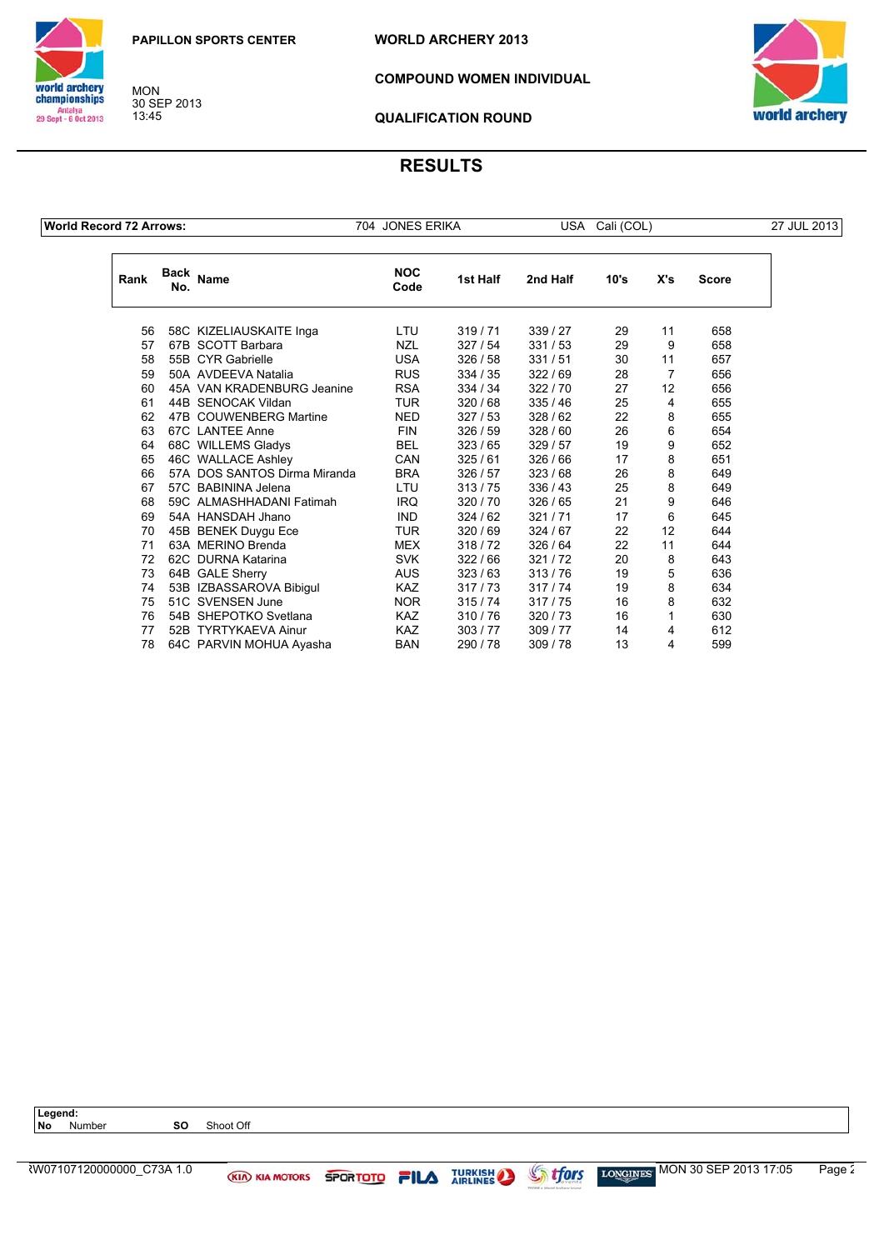



MON 30 SEP 2013 13:45

**COMPOUND WOMEN INDIVIDUAL**



**QUALIFICATION ROUND**

| <b>World Record 72 Arrows:</b> |             |                              | 704 JONES ERIKA    |          |          | USA Cali (COL) |     |              | 27 JUL 2013 |
|--------------------------------|-------------|------------------------------|--------------------|----------|----------|----------------|-----|--------------|-------------|
| Rank                           | Back<br>No. | Name                         | <b>NOC</b><br>Code | 1st Half | 2nd Half | 10's           | X's | <b>Score</b> |             |
| 56                             |             | 58C KIZELIAUSKAITE Inga      | LTU                | 319/71   | 339 / 27 | 29             | 11  | 658          |             |
| 57                             |             | 67B SCOTT Barbara            | <b>NZL</b>         | 327/54   | 331/53   | 29             | 9   | 658          |             |
| 58                             |             | 55B CYR Gabrielle            | <b>USA</b>         | 326/58   | 331/51   | 30             | 11  | 657          |             |
| 59                             |             | 50A AVDEEVA Natalia          | <b>RUS</b>         | 334 / 35 | 322/69   | 28             | 7   | 656          |             |
| 60                             |             | 45A VAN KRADENBURG Jeanine   | <b>RSA</b>         | 334 / 34 | 322/70   | 27             | 12  | 656          |             |
| 61                             |             | 44B SENOCAK Vildan           | <b>TUR</b>         | 320/68   | 335/46   | 25             | 4   | 655          |             |
| 62                             |             | 47B COUWENBERG Martine       | <b>NED</b>         | 327/53   | 328/62   | 22             | 8   | 655          |             |
| 63                             |             | 67C LANTEE Anne              | <b>FIN</b>         | 326/59   | 328 / 60 | 26             | 6   | 654          |             |
| 64                             |             | 68C WILLEMS Gladys           | <b>BEL</b>         | 323/65   | 329/57   | 19             | 9   | 652          |             |
| 65                             |             | 46C WALLACE Ashley           | CAN                | 325/61   | 326 / 66 | 17             | 8   | 651          |             |
| 66                             |             | 57A DOS SANTOS Dirma Miranda | <b>BRA</b>         | 326/57   | 323/68   | 26             | 8   | 649          |             |
| 67                             |             | 57C BABININA Jelena          | LTU                | 313/75   | 336/43   | 25             | 8   | 649          |             |
| 68                             |             | 59C ALMASHHADANI Fatimah     | IRQ                | 320/70   | 326/65   | 21             | 9   | 646          |             |
| 69                             |             | 54A HANSDAH Jhano            | <b>IND</b>         | 324/62   | 321/71   | 17             | 6   | 645          |             |
| 70                             |             | 45B BENEK Duygu Ece          | <b>TUR</b>         | 320 / 69 | 324/67   | 22             | 12  | 644          |             |
| 71                             |             | 63A MERINO Brenda            | <b>MEX</b>         | 318/72   | 326/64   | 22             | 11  | 644          |             |
| 72                             |             | 62C DURNA Katarina           | <b>SVK</b>         | 322/66   | 321/72   | 20             | 8   | 643          |             |
| 73                             |             | 64B GALE Sherry              | <b>AUS</b>         | 323/63   | 313/76   | 19             | 5   | 636          |             |
| 74                             |             | 53B IZBASSAROVA Bibigul      | <b>KAZ</b>         | 317/73   | 317/74   | 19             | 8   | 634          |             |
| 75                             |             | 51C SVENSEN June             | NOR.               | 315/74   | 317/75   | 16             | 8   | 632          |             |
| 76                             |             | 54B SHEPOTKO Svetlana        | <b>KAZ</b>         | 310/76   | 320/73   | 16             |     | 630          |             |
| 77                             |             | 52B TYRTYKAEVA Ainur         | <b>KAZ</b>         | 303/77   | 309 / 77 | 14             | 4   | 612          |             |
| 78                             |             | 64C PARVIN MOHUA Ayasha      | <b>BAN</b>         | 290 / 78 | 309/78   | 13             | 4   | 599          |             |

| Legend:   |                           |    |                       |                 |      |                |                |                                                                       |        |
|-----------|---------------------------|----|-----------------------|-----------------|------|----------------|----------------|-----------------------------------------------------------------------|--------|
| <b>No</b> | Number                    | SΟ | Shoot Off             |                 |      |                |                |                                                                       |        |
|           |                           |    |                       |                 |      |                |                |                                                                       |        |
|           |                           |    |                       |                 |      |                |                |                                                                       |        |
|           | ₹W07107120000000 C73A 1.0 |    | <b>KIA KIA MOTORS</b> | <b>SPORTOTO</b> | FILA | <b>TURKISH</b> | <b>Strfors</b> | $\frac{1000 \text{ G/NES}}{2013 \text{ G/NSE}}$ MON 30 SEP 2013 17:05 | Page 2 |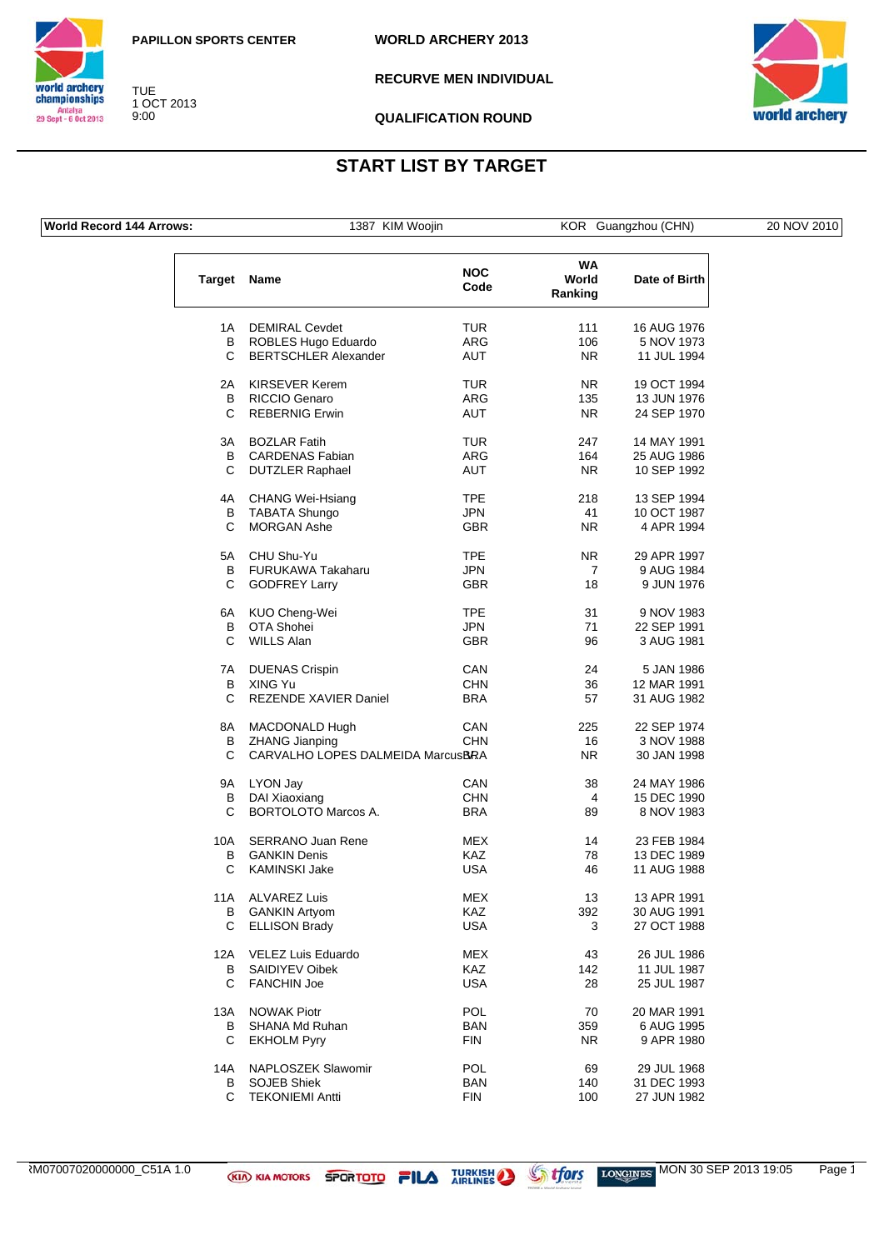



**RECURVE MEN INDIVIDUAL**



**QUALIFICATION ROUND**

## **START LIST BY TARGET**

|  |  |  | <b>World Record 144 Arrows:</b> |
|--|--|--|---------------------------------|
|--|--|--|---------------------------------|

TUE 1 OCT 2013 9:00

1387 KIM Woojin **KOR Guangzhou (CHN)** 

|  | 20 NOV 2010 |
|--|-------------|
|  |             |

| <b>Target</b> | Name                              | <b>NOC</b><br>Code | WA<br>World<br>Ranking | Date of Birth |
|---------------|-----------------------------------|--------------------|------------------------|---------------|
| 1A            | <b>DEMIRAL Cevdet</b>             | TUR                | 111                    | 16 AUG 1976   |
| В             | ROBLES Hugo Eduardo               | ARG                | 106                    | 5 NOV 1973    |
| C             | <b>BERTSCHLER Alexander</b>       | <b>AUT</b>         | NR.                    | 11 JUL 1994   |
|               |                                   |                    |                        |               |
| 2A            | KIRSEVER Kerem                    | TUR                | NR.                    | 19 OCT 1994   |
| В             | RICCIO Genaro                     | ARG                | 135                    | 13 JUN 1976   |
| С             | <b>REBERNIG Erwin</b>             | <b>AUT</b>         | NR.                    | 24 SEP 1970   |
| 3A            | <b>BOZLAR Fatih</b>               | TUR                | 247                    | 14 MAY 1991   |
| В             | <b>CARDENAS Fabian</b>            | ARG                | 164                    | 25 AUG 1986   |
| С             | <b>DUTZLER Raphael</b>            | <b>AUT</b>         | NR.                    | 10 SEP 1992   |
| 4A            | <b>CHANG Wei-Hsiang</b>           | TPE                | 218                    | 13 SEP 1994   |
| B             | <b>TABATA Shungo</b>              | JPN                | 41                     | 10 OCT 1987   |
| С             | <b>MORGAN Ashe</b>                | <b>GBR</b>         | NR.                    | 4 APR 1994    |
|               |                                   |                    |                        |               |
| 5A            | CHU Shu-Yu                        | <b>TPE</b>         | NR.                    | 29 APR 1997   |
| В             | <b>FURUKAWA Takaharu</b>          | JPN                | 7                      | 9 AUG 1984    |
| С             | <b>GODFREY Larry</b>              | <b>GBR</b>         | 18                     | 9 JUN 1976    |
| 6A            | KUO Cheng-Wei                     | <b>TPE</b>         | 31                     | 9 NOV 1983    |
| В             | OTA Shohei                        | <b>JPN</b>         | 71                     | 22 SEP 1991   |
| C             | <b>WILLS Alan</b>                 | <b>GBR</b>         | 96                     | 3 AUG 1981    |
|               |                                   |                    |                        |               |
| 7A            | <b>DUENAS Crispin</b>             | CAN                | 24                     | 5 JAN 1986    |
| В             | XING Yu                           | CHN                | 36                     | 12 MAR 1991   |
| С             | <b>REZENDE XAVIER Daniel</b>      | <b>BRA</b>         | 57                     | 31 AUG 1982   |
| 8A            | MACDONALD Hugh                    | CAN                | 225                    | 22 SEP 1974   |
| В             | <b>ZHANG Jianping</b>             | <b>CHN</b>         | 16                     | 3 NOV 1988    |
| C             | CARVALHO LOPES DALMEIDA MarcusBRA |                    | N <sub>R</sub>         | 30 JAN 1998   |
| 9Α            | LYON Jay                          | CAN                | 38                     | 24 MAY 1986   |
| B             | DAI Xiaoxiang                     | <b>CHN</b>         | 4                      | 15 DEC 1990   |
| С             | <b>BORTOLOTO Marcos A.</b>        | <b>BRA</b>         | 89                     | 8 NOV 1983    |
|               |                                   |                    |                        |               |
| 10A           | SERRANO Juan Rene                 | MEX                | 14                     | 23 FEB 1984   |
| В             | <b>GANKIN Denis</b>               | KAZ                | 78                     | 13 DEC 1989   |
| С             | <b>KAMINSKI Jake</b>              | <b>USA</b>         | 46                     | 11 AUG 1988   |
| 11A           | ALVAREZ Luis                      | MEX                | 13                     | 13 APR 1991   |
| В             | <b>GANKIN Artyom</b>              | <b>KAZ</b>         | 392                    | 30 AUG 1991   |
| C             | <b>ELLISON Brady</b>              | USA                | 3                      | 27 OCT 1988   |
| 12A           | <b>VELEZ Luis Eduardo</b>         | MEX                | 43                     | 26 JUL 1986   |
| В             | SAIDIYEV Oibek                    | <b>KAZ</b>         | 142                    | 11 JUL 1987   |
| С             | <b>FANCHIN Joe</b>                | <b>USA</b>         | 28                     | 25 JUL 1987   |
|               |                                   |                    |                        |               |
| 13A           | <b>NOWAK Piotr</b>                | POL                | 70                     | 20 MAR 1991   |
| В             | SHANA Md Ruhan                    | <b>BAN</b>         | 359                    | 6 AUG 1995    |
| С             | <b>EKHOLM Pyry</b>                | FIN                | NR.                    | 9 APR 1980    |
| 14A           | NAPLOSZEK Slawomir                | POL                | 69                     | 29 JUL 1968   |
| В             | <b>SOJEB Shiek</b>                | BAN                | 140                    | 31 DEC 1993   |
| С             | <b>TEKONIEMI Antti</b>            | FIN                | 100                    | 27 JUN 1982   |
|               |                                   |                    |                        |               |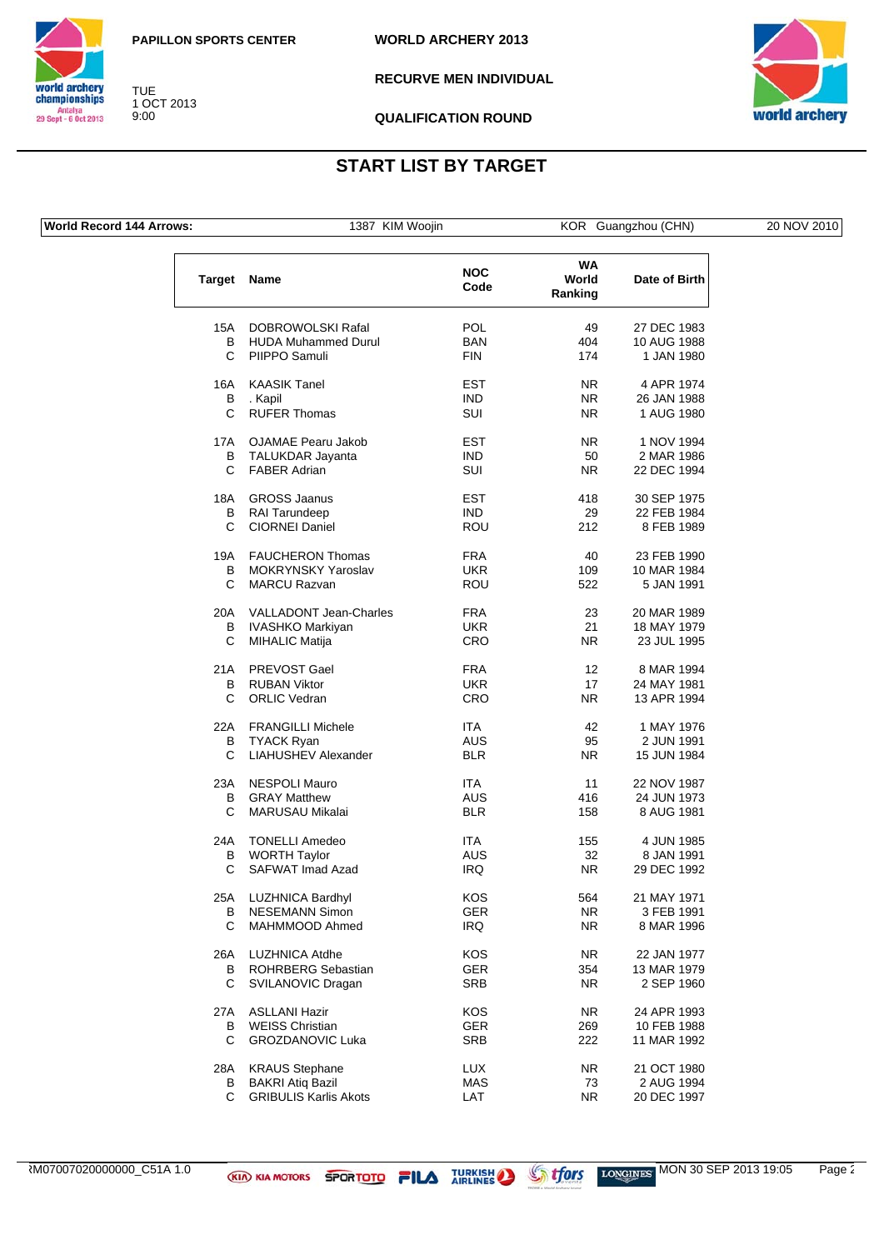

TUE 1 OCT 2013 9:00

**WORLD ARCHERY 2013**

**RECURVE MEN INDIVIDUAL**



**QUALIFICATION ROUND**

## **START LIST BY TARGET**

**World Record 144 Arrows:** 1387 KIM Woojin KOR Guangzhou (CHN) 20 NOV 2010

world archery<br>championships Antalya<br>29 Sept - 6 Oct 2013

| Target | <b>Name</b>                   | <b>NOC</b><br>Code | <b>WA</b><br>World<br>Ranking | Date of Birth |
|--------|-------------------------------|--------------------|-------------------------------|---------------|
| 15A    | DOBROWOLSKI Rafal             | POL                | 49                            | 27 DEC 1983   |
| B      | <b>HUDA Muhammed Durul</b>    | <b>BAN</b>         | 404                           | 10 AUG 1988   |
| C      | PIIPPO Samuli                 | <b>FIN</b>         | 174                           | 1 JAN 1980    |
|        |                               |                    |                               |               |
| 16A    | <b>KAASIK Tanel</b>           | EST                | NR.                           | 4 APR 1974    |
| В      | . Kapil                       | <b>IND</b>         | NR.                           | 26 JAN 1988   |
| C      | <b>RUFER Thomas</b>           | SUI                | N <sub>R</sub>                | 1 AUG 1980    |
| 17A    | <b>OJAMAE Pearu Jakob</b>     | <b>EST</b>         | N <sub>R</sub>                | 1 NOV 1994    |
| B      | TALUKDAR Jayanta              | <b>IND</b>         | 50                            | 2 MAR 1986    |
| С      | <b>FABER Adrian</b>           | <b>SUI</b>         | NR.                           | 22 DEC 1994   |
|        |                               |                    |                               |               |
| 18A    | <b>GROSS Jaanus</b>           | EST                | 418                           | 30 SEP 1975   |
| В      | RAI Tarundeep                 | <b>IND</b>         | 29                            | 22 FEB 1984   |
| C      | <b>CIORNEI Daniel</b>         | ROU                | 212                           | 8 FEB 1989    |
| 19A    | <b>FAUCHERON Thomas</b>       | <b>FRA</b>         | 40                            | 23 FEB 1990   |
| B      | MOKRYNSKY Yaroslav            | <b>UKR</b>         | 109                           | 10 MAR 1984   |
| С      | <b>MARCU Razvan</b>           | <b>ROU</b>         | 522                           | 5 JAN 1991    |
| 20A    | <b>VALLADONT Jean-Charles</b> | <b>FRA</b>         | 23                            | 20 MAR 1989   |
| B      | <b>IVASHKO Markiyan</b>       | <b>UKR</b>         | 21                            | 18 MAY 1979   |
| C      | <b>MIHALIC Matija</b>         | CRO                | NR.                           | 23 JUL 1995   |
|        |                               | <b>FRA</b>         |                               |               |
| 21A    | PREVOST Gael                  |                    | $12 \overline{ }$             | 8 MAR 1994    |
| B      | <b>RUBAN Viktor</b>           | <b>UKR</b>         | 17                            | 24 MAY 1981   |
| C      | <b>ORLIC Vedran</b>           | CRO                | NR.                           | 13 APR 1994   |
| 22A    | <b>FRANGILLI Michele</b>      | <b>ITA</b>         | 42                            | 1 MAY 1976    |
| В      | <b>TYACK Ryan</b>             | AUS                | 95                            | 2 JUN 1991    |
| С      | <b>LIAHUSHEV Alexander</b>    | <b>BLR</b>         | NR.                           | 15 JUN 1984   |
| 23A    | <b>NESPOLI Mauro</b>          | ITA                | 11                            | 22 NOV 1987   |
| B      | <b>GRAY Matthew</b>           | AUS                | 416                           | 24 JUN 1973   |
| C      | <b>MARUSAU Mikalai</b>        | <b>BLR</b>         | 158                           | 8 AUG 1981    |
| 24A    | <b>TONELLI Amedeo</b>         | ITA                | 155                           | 4 JUN 1985    |
| В      | <b>WORTH Taylor</b>           | AUS                | 32                            | 8 JAN 1991    |
| С      | SAFWAT Imad Azad              | <b>IRQ</b>         | NR.                           | 29 DEC 1992   |
|        |                               |                    |                               |               |
| 25A    | <b>LUZHNICA Bardhyl</b>       | KOS                | 564                           | 21 MAY 1971   |
| В      | NESEMANN Simon                | GER                | NR.                           | 3 FEB 1991    |
| С      | MAHMMOOD Ahmed                | IRQ                | NR.                           | 8 MAR 1996    |
| 26A    | <b>LUZHNICA Atdhe</b>         | KOS.               | NR.                           | 22 JAN 1977   |
| В      | ROHRBERG Sebastian            | <b>GER</b>         | 354                           | 13 MAR 1979   |
| C.     | SVILANOVIC Dragan             | <b>SRB</b>         | NR.                           | 2 SEP 1960    |
| 27 A   | <b>ASLLANI Hazir</b>          | KOS                | NR.                           | 24 APR 1993   |
| В      | <b>WEISS Christian</b>        | <b>GER</b>         | 269                           | 10 FEB 1988   |
| С      | <b>GROZDANOVIC Luka</b>       | <b>SRB</b>         | 222                           | 11 MAR 1992   |
|        |                               |                    |                               |               |

 $\frac{1}{2}$  M07007020000000\_C51A 1.0 **MON 30 SEP 2013 19:05** Page 2

GRIBULIS Karlis Akots

28A KRAUS Stephane LUX NR 21 OCT 1980 B BAKRI Atiq Bazil **MAS** 73 2 AUG 1994<br>C GRIBULIS Karlis Akots **1997** LAT 1997 NR 20 DEC 1997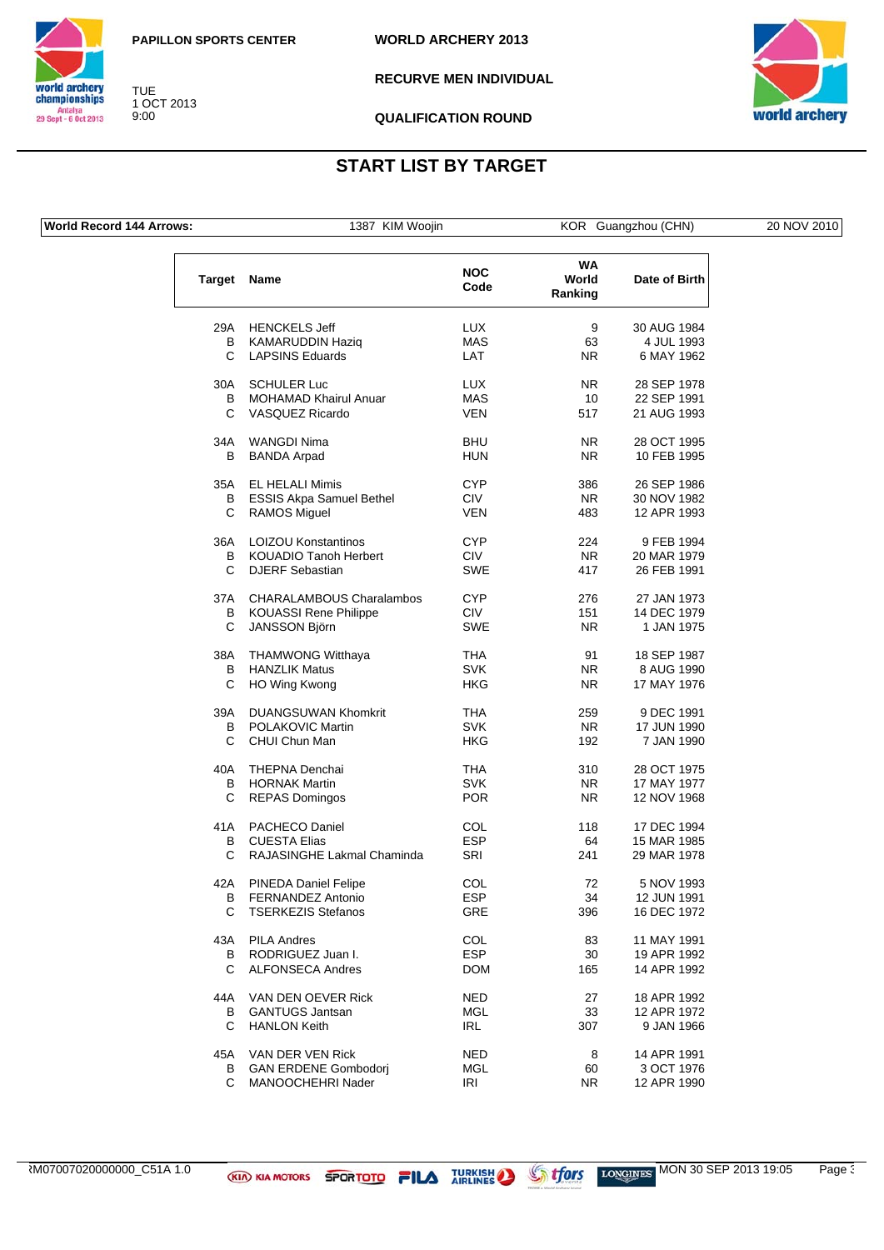

TUE 1 OCT 2013 9:00

**WORLD ARCHERY 2013**

**RECURVE MEN INDIVIDUAL**



**QUALIFICATION ROUND**

## **START LIST BY TARGET**

**World Record 144 Arrows:** 1387 KIM Woojin KOR Guangzhou (CHN) 20 NOV 2010

world archery<br>championships Antalya<br>29 Sept - 6 Oct 2013

| Target | Name                            | <b>NOC</b><br>Code | <b>WA</b><br>World<br>Ranking | Date of Birth |
|--------|---------------------------------|--------------------|-------------------------------|---------------|
|        | 29A HENCKELS Jeff               | <b>LUX</b>         | 9                             | 30 AUG 1984   |
| В      | KAMARUDDIN Haziq                | <b>MAS</b>         | 63                            | 4 JUL 1993    |
| C.     | <b>LAPSINS Eduards</b>          | LAT                | N <sub>R</sub>                | 6 MAY 1962    |
| 30A    | <b>SCHULER Luc</b>              | LUX                | NR.                           | 28 SEP 1978   |
| В      | <b>MOHAMAD Khairul Anuar</b>    | MAS                | 10                            | 22 SEP 1991   |
| C      | <b>VASQUEZ Ricardo</b>          | <b>VEN</b>         | 517                           | 21 AUG 1993   |
| 34A    | WANGDI Nima                     | <b>BHU</b>         | NR.                           | 28 OCT 1995   |
| В      | <b>BANDA Arpad</b>              | HUN                | NR.                           | 10 FEB 1995   |
| 35A    | <b>EL HELALI Mimis</b>          | <b>CYP</b>         | 386                           | 26 SEP 1986   |
| В      | <b>ESSIS Akpa Samuel Bethel</b> | <b>CIV</b>         | <b>NR</b>                     | 30 NOV 1982   |
| С      | <b>RAMOS Miguel</b>             | <b>VEN</b>         | 483                           | 12 APR 1993   |
| 36A    | <b>LOIZOU Konstantinos</b>      | <b>CYP</b>         | 224                           | 9 FEB 1994    |
| В      | <b>KOUADIO Tanoh Herbert</b>    | <b>CIV</b>         | NR.                           | 20 MAR 1979   |
| C      | <b>DJERF</b> Sebastian          | <b>SWE</b>         | 417                           | 26 FEB 1991   |
| 37A    | <b>CHARALAMBOUS Charalambos</b> | <b>CYP</b>         | 276                           | 27 JAN 1973   |
| B      | <b>KOUASSI Rene Philippe</b>    | <b>CIV</b>         | 151                           | 14 DEC 1979   |
| С      | JANSSON Björn                   | SWE                | <b>NR</b>                     | 1 JAN 1975    |
| 38A    | <b>THAMWONG Witthaya</b>        | <b>THA</b>         | 91                            | 18 SEP 1987   |
| B      | <b>HANZLIK Matus</b>            | <b>SVK</b>         | NR.                           | 8 AUG 1990    |
| С      | HO Wing Kwong                   | <b>HKG</b>         | NR.                           | 17 MAY 1976   |
| 39A    | <b>DUANGSUWAN Khomkrit</b>      | THA                | 259                           | 9 DEC 1991    |
| В      | POLAKOVIC Martin                | <b>SVK</b>         | <b>NR</b>                     | 17 JUN 1990   |
| C      | CHUI Chun Man                   | HKG                | 192                           | 7 JAN 1990    |
| 40A    | <b>THEPNA Denchai</b>           | THA                | 310                           | 28 OCT 1975   |
| в      | <b>HORNAK Martin</b>            | <b>SVK</b>         | <b>NR</b>                     | 17 MAY 1977   |
| С      | <b>REPAS Domingos</b>           | <b>POR</b>         | <b>NR</b>                     | 12 NOV 1968   |
| 41 A   | <b>PACHECO Daniel</b>           | COL                | 118                           | 17 DEC 1994   |
| В      | <b>CUESTA Elias</b>             | <b>ESP</b>         | 64                            | 15 MAR 1985   |
| С      | RAJASINGHE Lakmal Chaminda      | SRI                | 241                           | 29 MAR 1978   |
| 42A    | <b>PINEDA Daniel Felipe</b>     | COL                | 72                            | 5 NOV 1993    |
| B      | <b>FERNANDEZ Antonio</b>        | <b>ESP</b>         | 34                            | 12 JUN 1991   |
| С      | TSERKEZIS Stefanos              | GRE                | 396                           | 16 DEC 1972   |
| 43A    | <b>PILA Andres</b>              | COL                | 83                            | 11 MAY 1991   |
| В      | RODRIGUEZ Juan I.               | <b>ESP</b>         | 30                            | 19 APR 1992   |
| С      | <b>ALFONSECA Andres</b>         | <b>DOM</b>         | 165                           | 14 APR 1992   |
| 44A    | VAN DEN OEVER Rick              | NED                | 27                            | 18 APR 1992   |
| в      | <b>GANTUGS Jantsan</b>          | MGL                | 33                            | 12 APR 1972   |
| C.     | <b>HANLON Keith</b>             | IRL                | 307                           | 9 JAN 1966    |
| 45A    | VAN DER VEN Rick                | NED                | 8                             | 14 APR 1991   |
| в      | <b>GAN ERDENE Gombodorj</b>     | <b>MGL</b>         | 60                            | 3 OCT 1976    |

B GAN ERDENE Gombodorj MGL 60 3 OCT 1976<br>C MANOOCHEHRI Nader MRI NR 12 APR 1990

C MANOOCHEHRI Nader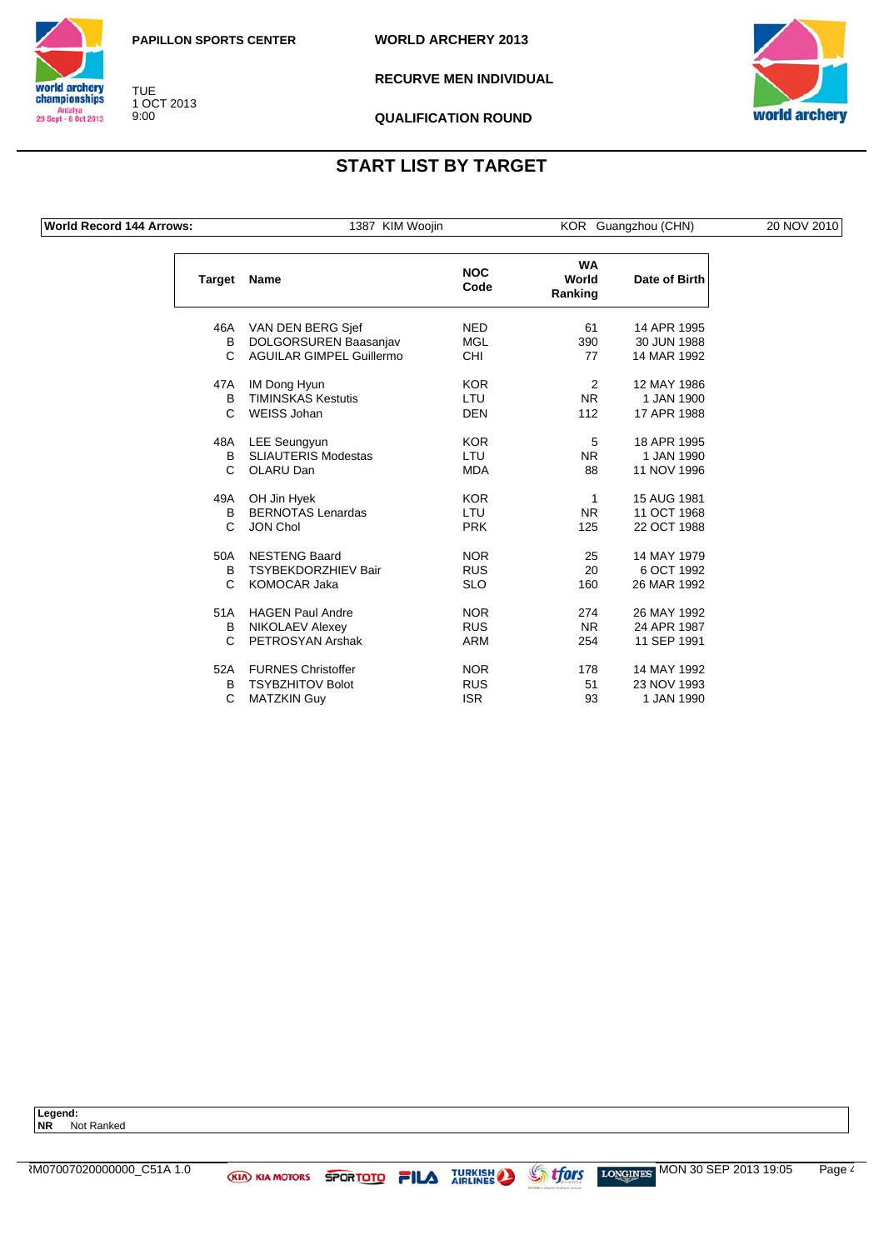



**RECURVE MEN INDIVIDUAL**



**QUALIFICATION ROUND**

### **START LIST BY TARGET**

**World Record 144 Arrows:** 1387 KIM Woojin KOR Guangzhou (CHN) 20 NOV 2010

TUE 1 OCT 2013 9:00

**Target Name NOC Code WA World Ranking Date of Birth** 46A VAN DEN BERG Sjef NED 61 14 APR 1995 B DOLGORSUREN Baasanjav MGL 390 30 JUN 1988 C AGUILAR GIMPEL Guillermo CHI 77 47A IM Dong Hyun KOR 2 12 MAY 1986 B TIMINSKAS Kestutis LTU NR 1 JAN 1900 C WEISS Johan DEN DEN 112 17 APR 1988 48A LEE Seungyun KOR KOR 5 18 APR 1995 B SLIAUTERIS Modestas LTU NR 1 JAN 1990 C OLARU Dan MDA 88 11 NOV 1996

| 49A | OH Jin Hyek                | <b>KOR</b> | 1         | 15 AUG 1981 |
|-----|----------------------------|------------|-----------|-------------|
| B   | <b>BERNOTAS Lenardas</b>   | LTU        | <b>NR</b> | 11 OCT 1968 |
| С   | <b>JON Chol</b>            | <b>PRK</b> | 125       | 22 OCT 1988 |
| 50A | <b>NESTENG Baard</b>       | <b>NOR</b> | 25        | 14 MAY 1979 |
| B   | <b>TSYBEKDORZHIEV Bair</b> | <b>RUS</b> | 20        | 6 OCT 1992  |
| C   | KOMOCAR Jaka               | <b>SLO</b> | 160       | 26 MAR 1992 |
| 51A | <b>HAGEN Paul Andre</b>    | <b>NOR</b> | 274       | 26 MAY 1992 |
| в   | NIKOLAEV Alexey            | <b>RUS</b> | NR.       | 24 APR 1987 |
| C   | PETROSYAN Arshak           | ARM        | 254       | 11 SEP 1991 |
| 52A | <b>FURNES Christoffer</b>  | <b>NOR</b> | 178       | 14 MAY 1992 |
| B.  | <b>TSYBZHITOV Bolot</b>    | <b>RUS</b> | 51        | 23 NOV 1993 |
| С   | <b>MATZKIN Guy</b>         | ISR.       | 93        | 1 JAN 1990  |

Legend:<br>NR No **Not Ranked**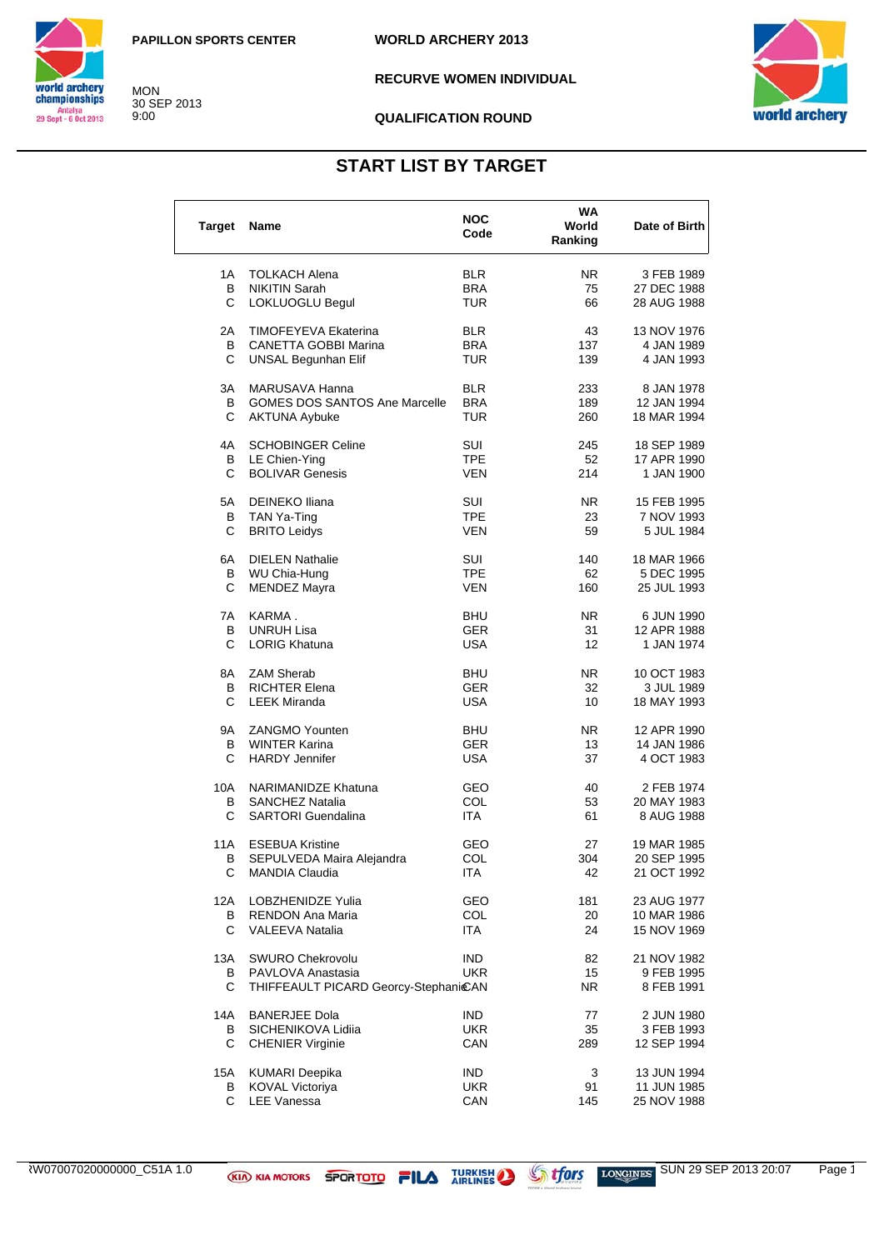MON 30 SEP 2013 9:00



**RECURVE WOMEN INDIVIDUAL** 



#### **QUALIFICATION ROUND**

## **START LIST BY TARGET**

| Target | Name                                 | <b>NOC</b><br>Code | WA<br>World<br>Ranking | Date of Birth |
|--------|--------------------------------------|--------------------|------------------------|---------------|
| 1 A    | <b>TOLKACH Alena</b>                 | <b>BLR</b>         | NR.                    | 3 FEB 1989    |
| В      | <b>NIKITIN Sarah</b>                 | <b>BRA</b>         | 75                     | 27 DEC 1988   |
| C      | LOKLUOGLU Begul                      | TUR                | 66                     | 28 AUG 1988   |
| 2A     | TIMOFEYEVA Ekaterina                 | <b>BLR</b>         | 43                     | 13 NOV 1976   |
| В      | CANETTA GOBBI Marina                 | <b>BRA</b>         | 137                    | 4 JAN 1989    |
| С      | <b>UNSAL Begunhan Elif</b>           | TUR                | 139                    | 4 JAN 1993    |
| ЗA     | MARUSAVA Hanna                       | <b>BLR</b>         | 233                    | 8 JAN 1978    |
| В      | <b>GOMES DOS SANTOS Ane Marcelle</b> | <b>BRA</b>         | 189                    | 12 JAN 1994   |
| C      | <b>AKTUNA Aybuke</b>                 | TUR                | 260                    | 18 MAR 1994   |
| 4A     | <b>SCHOBINGER Celine</b>             | SUI                | 245                    | 18 SEP 1989   |
| В      | LE Chien-Ying                        | <b>TPE</b>         | 52                     | 17 APR 1990   |
| C      | <b>BOLIVAR Genesis</b>               | VEN                | 214                    | 1 JAN 1900    |
| 5А     | <b>DEINEKO Iliana</b>                | SUI                | NR.                    | 15 FEB 1995   |
| В      | TAN Ya-Ting                          | <b>TPE</b>         | 23                     | 7 NOV 1993    |
| С      | <b>BRITO Leidys</b>                  | VEN                | 59                     | 5 JUL 1984    |
| 6A     | <b>DIELEN Nathalie</b>               | SUI                | 140                    | 18 MAR 1966   |
| В      | WU Chia-Hung                         | <b>TPE</b>         | 62                     | 5 DEC 1995    |
| С      | <b>MENDEZ Mayra</b>                  | VEN                | 160                    | 25 JUL 1993   |
| 7A     | KARMA.                               | <b>BHU</b>         | NR.                    | 6 JUN 1990    |
| В      | <b>UNRUH Lisa</b>                    | GER                | 31                     | 12 APR 1988   |
| С      | <b>LORIG Khatuna</b>                 | USA                | 12                     | 1 JAN 1974    |
| 8A     | <b>ZAM Sherab</b>                    | <b>BHU</b>         | NR.                    | 10 OCT 1983   |
| В      | <b>RICHTER Elena</b>                 | GER                | 32                     | 3 JUL 1989    |
| C      | <b>LEEK Miranda</b>                  | USA                | 10                     | 18 MAY 1993   |
| 9A     | <b>ZANGMO Younten</b>                | BHU                | NR.                    | 12 APR 1990   |
| В      | <b>WINTER Karina</b>                 | <b>GER</b>         | 13                     | 14 JAN 1986   |
| C      | <b>HARDY Jennifer</b>                | USA                | 37                     | 4 OCT 1983    |
| 10A    | NARIMANIDZE Khatuna                  | GEO                | 40                     | 2 FEB 1974    |
| В      | <b>SANCHEZ Natalia</b>               | COL                | 53                     | 20 MAY 1983   |
| С      | <b>SARTORI Guendalina</b>            | ITA                | 61                     | 8 AUG 1988    |
| 11A    | <b>ESEBUA Kristine</b>               | GEO                | 27                     | 19 MAR 1985   |
| в      | SEPULVEDA Maira Alejandra            | COL                | 304                    | 20 SEP 1995   |
| С      | MANDIA Claudia                       | <b>ITA</b>         | 42                     | 21 OCT 1992   |
| 12A    | <b>LOBZHENIDZE Yulia</b>             | GEO                | 181                    | 23 AUG 1977   |
| В      | RENDON Ana Maria                     | COL                | 20                     | 10 MAR 1986   |
| С      | <b>VALEEVA Natalia</b>               | ITA                | 24                     | 15 NOV 1969   |
| 13A    | <b>SWURO Chekrovolu</b>              | <b>IND</b>         | 82                     | 21 NOV 1982   |
| В      | PAVLOVA Anastasia                    | <b>UKR</b>         | 15                     | 9 FEB 1995    |
| С      | THIFFEAULT PICARD Georcy-StephanicAN |                    | NR.                    | 8 FEB 1991    |
| 14A    | <b>BANERJEE Dola</b>                 | IND.               | 77                     | 2 JUN 1980    |
| В      | SICHENIKOVA Lidiia                   | <b>UKR</b>         | 35                     | 3 FEB 1993    |
| С      | <b>CHENIER Virginie</b>              | CAN                | 289                    | 12 SEP 1994   |
| 15A    | <b>KUMARI Deepika</b>                | <b>IND</b>         | 3                      | 13 JUN 1994   |
| В      | KOVAL Victoriya                      | <b>UKR</b>         | 91                     | 11 JUN 1985   |
| C      | <b>LEE Vanessa</b>                   | CAN                | 145                    | 25 NOV 1988   |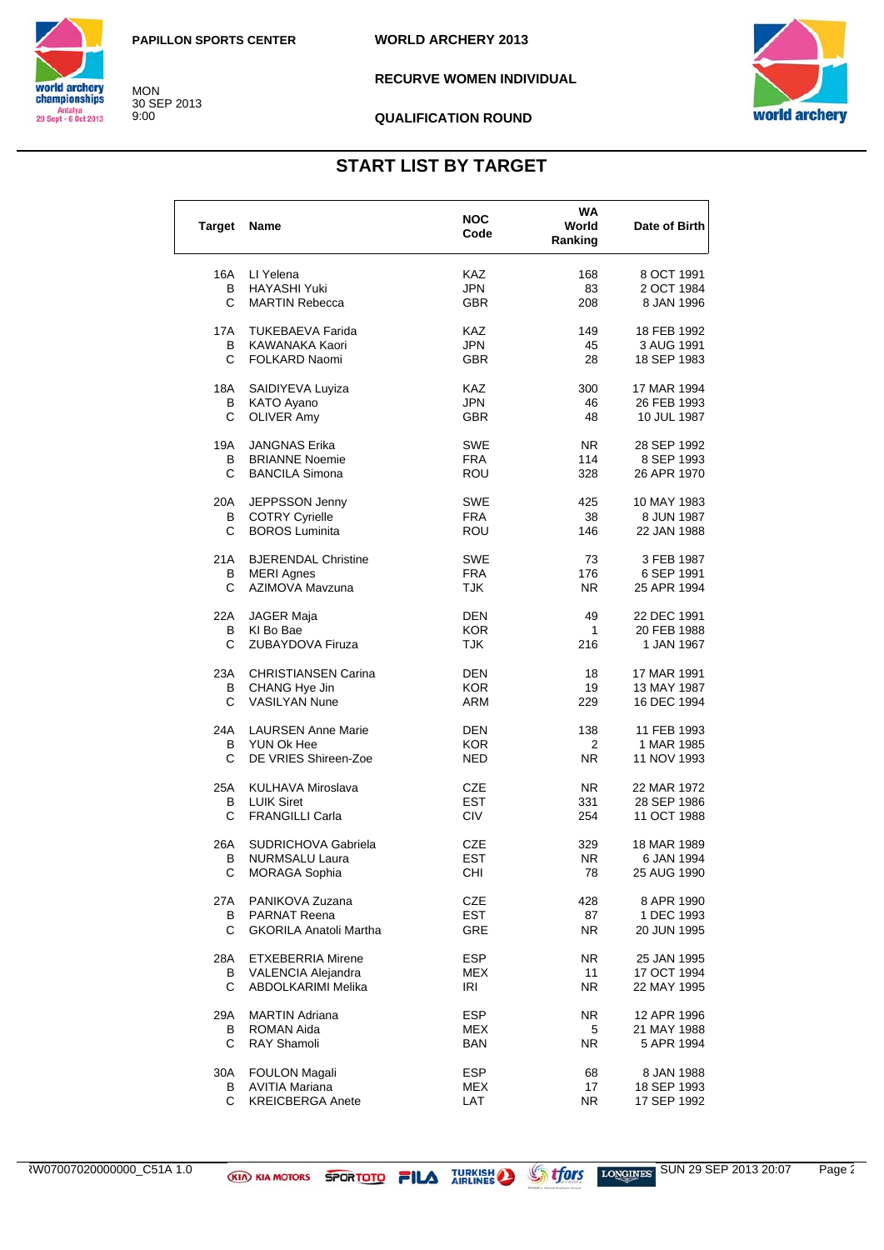

MON 30 SEP 2013 9:00

**RECURVE WOMEN INDIVIDUAL** 



#### **QUALIFICATION ROUND**

## **START LIST BY TARGET**

| <b>Target</b> | Name                          | <b>NOC</b><br>Code | WA<br>World<br>Ranking | Date of Birth |
|---------------|-------------------------------|--------------------|------------------------|---------------|
| 16A           | LI Yelena                     | KAZ.               | 168                    | 8 OCT 1991    |
| В             | <b>HAYASHI Yuki</b>           | <b>JPN</b>         | 83                     | 2 OCT 1984    |
| C             | <b>MARTIN Rebecca</b>         | <b>GBR</b>         | 208                    | 8 JAN 1996    |
| 17A           | <b>TUKEBAEVA Farida</b>       | <b>KAZ</b>         | 149                    | 18 FEB 1992   |
| в             | KAWANAKA Kaori                | JPN                | 45                     | 3 AUG 1991    |
| С             | FOLKARD Naomi                 | <b>GBR</b>         | 28                     | 18 SEP 1983   |
| 18A           | SAIDIYEVA Luyiza              | <b>KAZ</b>         | 300                    | 17 MAR 1994   |
| В             | KATO Ayano                    | <b>JPN</b>         | 46                     | 26 FEB 1993   |
| C             | <b>OLIVER Amy</b>             | <b>GBR</b>         | 48                     | 10 JUL 1987   |
| 19A           | <b>JANGNAS Erika</b>          | <b>SWE</b>         | NR.                    | 28 SEP 1992   |
| В             | <b>BRIANNE Noemie</b>         | <b>FRA</b>         | 114                    | 8 SEP 1993    |
| С             | <b>BANCILA Simona</b>         | <b>ROU</b>         | 328                    | 26 APR 1970   |
| 20A           | JEPPSSON Jenny                | <b>SWE</b>         | 425                    | 10 MAY 1983   |
| В             | <b>COTRY Cyrielle</b>         | FRA                | 38                     | 8 JUN 1987    |
| C             | <b>BOROS Luminita</b>         | ROU                | 146                    | 22 JAN 1988   |
| 21 A          | <b>BJERENDAL Christine</b>    | SWE                | 73                     | 3 FEB 1987    |
| В             | <b>MERI Agnes</b>             | <b>FRA</b>         | 176                    | 6 SEP 1991    |
| C             | AZIMOVA Mavzuna               | TJK                | NR.                    | 25 APR 1994   |
| 22A           | JAGER Maja                    | DEN                | 49                     | 22 DEC 1991   |
| в             | KI Bo Bae                     | <b>KOR</b>         | $\mathbf{1}$           | 20 FEB 1988   |
| С             | ZUBAYDOVA Firuza              | <b>TJK</b>         | 216                    | 1 JAN 1967    |
| 23A           | <b>CHRISTIANSEN Carina</b>    | <b>DEN</b>         | 18                     | 17 MAR 1991   |
| В             | CHANG Hye Jin                 | <b>KOR</b>         | 19                     | 13 MAY 1987   |
| C             | <b>VASILYAN Nune</b>          | ARM                | 229                    | 16 DEC 1994   |
| 24A           | <b>LAURSEN Anne Marie</b>     | DEN                | 138                    | 11 FEB 1993   |
| В             | YUN Ok Hee                    | <b>KOR</b>         | 2                      | 1 MAR 1985    |
| С             | DE VRIES Shireen-Zoe          | NED                | N <sub>R</sub>         | 11 NOV 1993   |
| 25A           | KULHAVA Miroslava             | CZE                | NR.                    | 22 MAR 1972   |
| В             | <b>LUIK Siret</b>             | <b>EST</b>         | 331                    | 28 SEP 1986   |
| С             | <b>FRANGILLI Carla</b>        | <b>CIV</b>         | 254                    | 11 OCT 1988   |
| 26A           | SUDRICHOVA Gabriela           | CZE                | 329                    | 18 MAR 1989   |
| В             | <b>NURMSALU Laura</b>         | <b>EST</b>         | NR.                    | 6 JAN 1994    |
| С             | MORAGA Sophia                 | CHI                | 78                     | 25 AUG 1990   |
| 27A           | PANIKOVA Zuzana               | CZE                | 428                    | 8 APR 1990    |
| В             | <b>PARNAT Reena</b>           | <b>EST</b>         | 87                     | 1 DEC 1993    |
| C             | <b>GKORILA Anatoli Martha</b> | GRE                | NR.                    | 20 JUN 1995   |
| 28A           | <b>ETXEBERRIA Mirene</b>      | <b>ESP</b>         | NR.                    | 25 JAN 1995   |
| В             | VALENCIA Alejandra            | MEX                | 11                     | 17 OCT 1994   |
| C             | ABDOLKARIMI Melika            | IRI                | NR.                    | 22 MAY 1995   |
| 29A           | <b>MARTIN Adriana</b>         | <b>ESP</b>         | NR.                    | 12 APR 1996   |
| В             | ROMAN Aida                    | MEX                | 5                      | 21 MAY 1988   |
| С             | <b>RAY Shamoli</b>            | BAN                | NR.                    | 5 APR 1994    |
| 30A           | <b>FOULON Magali</b>          | <b>ESP</b>         | 68                     | 8 JAN 1988    |
| В             | <b>AVITIA Mariana</b>         | <b>MEX</b>         | 17                     | 18 SEP 1993   |
| C             | <b>KREICBERGA Anete</b>       | LAT                | NR.                    | 17 SEP 1992   |

ARW07007020000000\_C51A 1.0 SUN 29 SEP 2013 20:07 Page 2/3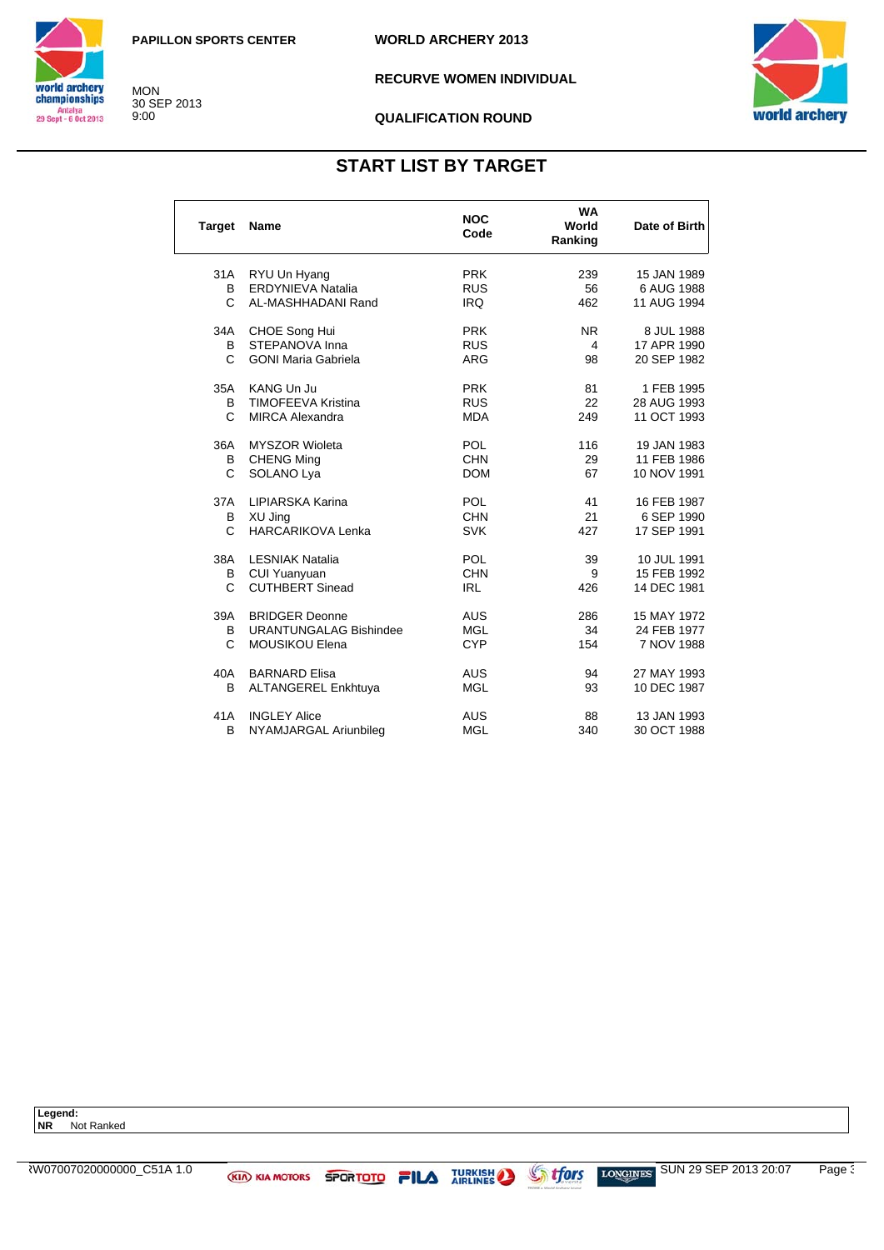MON 30 SEP 2013 9:00



**RECURVE WOMEN INDIVIDUAL** 



#### **QUALIFICATION ROUND**

## **START LIST BY TARGET**

| <b>Target</b> | <b>Name</b>                   | <b>NOC</b><br>Code | <b>WA</b><br>World<br>Ranking | Date of Birth |
|---------------|-------------------------------|--------------------|-------------------------------|---------------|
| 31A           | RYU Un Hyang                  | <b>PRK</b>         | 239                           | 15 JAN 1989   |
| B             | ERDYNIEVA Natalia             | <b>RUS</b>         | 56                            | 6 AUG 1988    |
| C.            | AL-MASHHADANI Rand            | <b>IRQ</b>         | 462                           | 11 AUG 1994   |
| 34A           | CHOE Song Hui                 | <b>PRK</b>         | <b>NR</b>                     | 8 JUL 1988    |
| B             | STEPANOVA Inna                | <b>RUS</b>         | 4                             | 17 APR 1990   |
| C             | <b>GONI Maria Gabriela</b>    | <b>ARG</b>         | 98                            | 20 SEP 1982   |
| 35A           | <b>KANG Un Ju</b>             | <b>PRK</b>         | 81                            | 1 FEB 1995    |
| B             | <b>TIMOFEEVA Kristina</b>     | <b>RUS</b>         | 22                            | 28 AUG 1993   |
| C             | <b>MIRCA Alexandra</b>        | <b>MDA</b>         | 249                           | 11 OCT 1993   |
| 36A           | <b>MYSZOR Wioleta</b>         | <b>POL</b>         | 116                           | 19 JAN 1983   |
| B             | <b>CHENG Ming</b>             | <b>CHN</b>         | 29                            | 11 FEB 1986   |
| C             | SOLANO Lya                    | <b>DOM</b>         | 67                            | 10 NOV 1991   |
| 37A           | LIPIARSKA Karina              | <b>POL</b>         | 41                            | 16 FEB 1987   |
| В             | XU Jing                       | <b>CHN</b>         | 21                            | 6 SEP 1990    |
| C.            | <b>HARCARIKOVA Lenka</b>      | <b>SVK</b>         | 427                           | 17 SEP 1991   |
| 38A           | <b>LESNIAK Natalia</b>        | <b>POL</b>         | 39                            | 10 JUL 1991   |
| В             | <b>CUI Yuanyuan</b>           | <b>CHN</b>         | 9                             | 15 FEB 1992   |
| C.            | <b>CUTHBERT Sinead</b>        | <b>IRL</b>         | 426                           | 14 DEC 1981   |
| 39A           | <b>BRIDGER Deonne</b>         | <b>AUS</b>         | 286                           | 15 MAY 1972   |
| B             | <b>URANTUNGALAG Bishindee</b> | <b>MGL</b>         | 34                            | 24 FEB 1977   |
| C             | <b>MOUSIKOU Elena</b>         | <b>CYP</b>         | 154                           | 7 NOV 1988    |
| 40A           | <b>BARNARD Elisa</b>          | <b>AUS</b>         | 94                            | 27 MAY 1993   |
| В             | <b>ALTANGEREL Enkhtuya</b>    | <b>MGL</b>         | 93                            | 10 DEC 1987   |
| 41A           | <b>INGLEY Alice</b>           | <b>AUS</b>         | 88                            | 13 JAN 1993   |
| B             | NYAMJARGAL Ariunbilea         | <b>MGL</b>         | 340                           | 30 OCT 1988   |

**Legend: NR** Not Ranked

ARW07007020000000\_C51A 1.0 SUN 29 SEP 2013 20:07 Page 3/3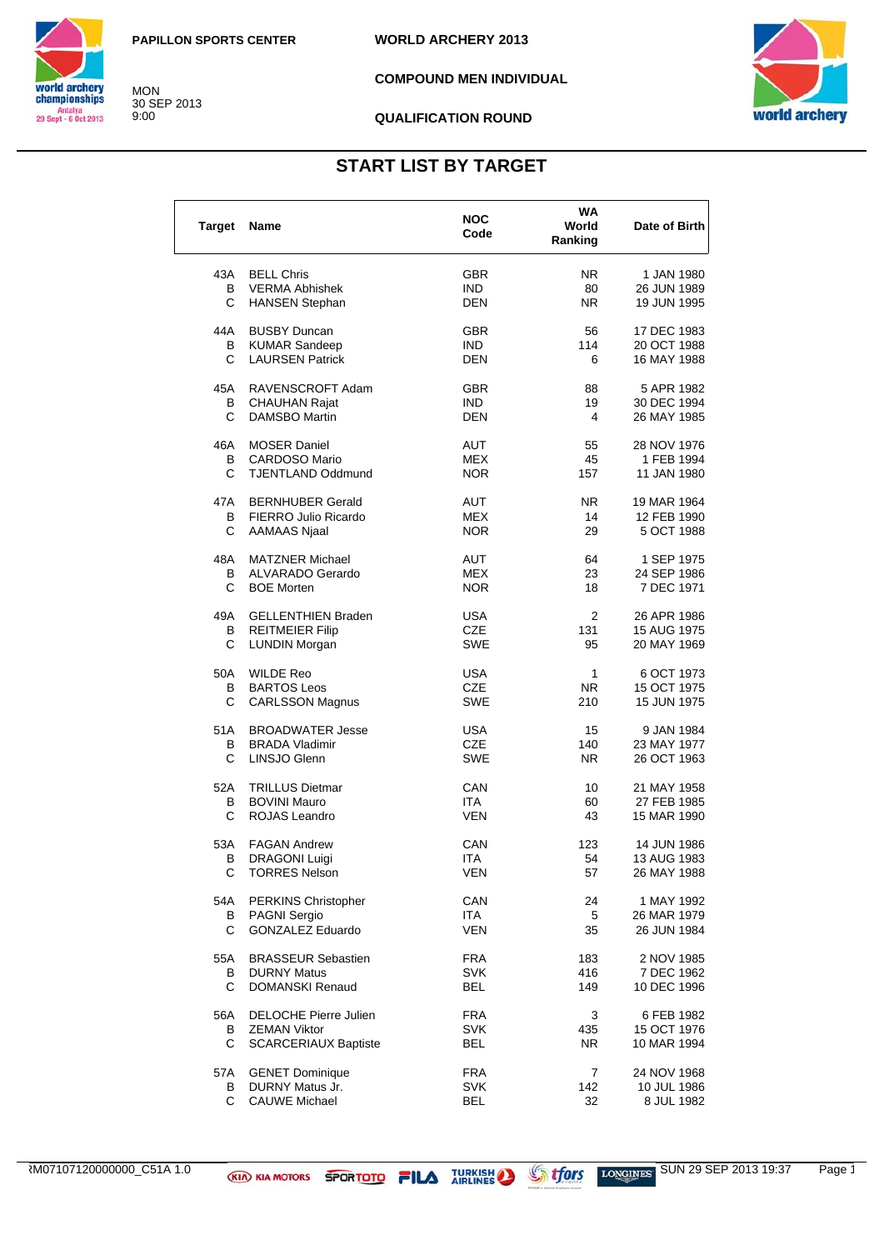MON 30 SEP 2013 9:00



**COMPOUND MEN INDIVIDUAL**



#### **QUALIFICATION ROUND**

## **START LIST BY TARGET**

| <b>Target</b> | Name                                    | <b>NOC</b><br>Code       | <b>WA</b><br>World<br>Ranking | Date of Birth             |
|---------------|-----------------------------------------|--------------------------|-------------------------------|---------------------------|
| 43A           | <b>BELL Chris</b>                       | <b>GBR</b>               | NR.                           | 1 JAN 1980                |
| В             | <b>VERMA Abhishek</b>                   | <b>IND</b>               | 80                            | 26 JUN 1989               |
| С             | <b>HANSEN Stephan</b>                   | <b>DEN</b>               | NR.                           | 19 JUN 1995               |
| 44A           | <b>BUSBY Duncan</b>                     | <b>GBR</b>               | 56                            | 17 DEC 1983               |
| В             | <b>KUMAR Sandeep</b>                    | IND.                     | 114                           | 20 OCT 1988               |
| С             | <b>LAURSEN Patrick</b>                  | DEN                      | 6                             | 16 MAY 1988               |
| 45A           | RAVENSCROFT Adam                        | <b>GBR</b>               | 88                            | 5 APR 1982                |
| В             | <b>CHAUHAN Rajat</b>                    | IND.                     | 19                            | 30 DEC 1994               |
| C             | <b>DAMSBO Martin</b>                    | <b>DEN</b>               | 4                             | 26 MAY 1985               |
| 46A           | <b>MOSER Daniel</b>                     | AUT                      | 55                            | 28 NOV 1976               |
| В             | <b>CARDOSO Mario</b>                    | <b>MEX</b>               | 45                            | 1 FEB 1994                |
| С             | <b>TJENTLAND Oddmund</b>                | <b>NOR</b>               | 157                           | 11 JAN 1980               |
| 47A           | <b>BERNHUBER Gerald</b>                 | <b>AUT</b>               | NR.                           | 19 MAR 1964               |
| В             | FIERRO Julio Ricardo                    | MEX                      | 14                            | 12 FEB 1990               |
| C             | <b>AAMAAS Njaal</b>                     | <b>NOR</b>               | 29                            | 5 OCT 1988                |
| 48A           | <b>MATZNER Michael</b>                  | AUT                      | 64                            | 1 SEP 1975                |
| В             | <b>ALVARADO Gerardo</b>                 | <b>MEX</b>               | 23                            | 24 SEP 1986               |
| C             | <b>BOE Morten</b>                       | <b>NOR</b>               | 18                            | 7 DEC 1971                |
| 49A           | <b>GELLENTHIEN Braden</b>               | USA                      | 2                             | 26 APR 1986               |
| В             | <b>REITMEIER Filip</b>                  | CZE                      | 131                           | 15 AUG 1975               |
| С             | <b>LUNDIN Morgan</b>                    | <b>SWE</b>               | 95                            | 20 MAY 1969               |
| 50A           | <b>WILDE Reo</b>                        | <b>USA</b>               | 1                             | 6 OCT 1973                |
| В             | <b>BARTOS Leos</b>                      | CZE                      | NR.                           | 15 OCT 1975               |
| С             | <b>CARLSSON Magnus</b>                  | <b>SWE</b>               | 210                           | 15 JUN 1975               |
| 51A           | <b>BROADWATER Jesse</b>                 | USA                      | 15                            | 9 JAN 1984                |
| В             | <b>BRADA Vladimir</b>                   | <b>CZE</b>               | 140                           | 23 MAY 1977               |
| С             | LINSJO Glenn                            | <b>SWE</b>               | NR.                           | 26 OCT 1963               |
| 52A           | <b>TRILLUS Dietmar</b>                  | CAN                      | 10                            | 21 MAY 1958               |
| В             | <b>BOVINI Mauro</b>                     | ITA.                     | 60                            | 27 FEB 1985               |
| C             | ROJAS Leandro                           | <b>VEN</b>               | 43                            | 15 MAR 1990               |
| 53A           | <b>FAGAN Andrew</b>                     | CAN                      | 123                           | 14 JUN 1986               |
| В             | <b>DRAGONI Luigi</b>                    | ITA                      | 54                            | 13 AUG 1983               |
| С             | TORRES Nelson                           | VEN                      | 57                            | 26 MAY 1988               |
| 54A           | <b>PERKINS Christopher</b>              | CAN                      | 24                            | 1 MAY 1992                |
| В             | PAGNI Sergio                            | ITA                      | 5                             | 26 MAR 1979               |
| C             | <b>GONZALEZ Eduardo</b>                 | VEN                      | 35                            | 26 JUN 1984               |
| 55A           | <b>BRASSEUR Sebastien</b>               | <b>FRA</b>               | 183                           | 2 NOV 1985                |
| В             | <b>DURNY Matus</b>                      | SVK                      | 416                           | 7 DEC 1962                |
| C             | <b>DOMANSKI Renaud</b>                  | <b>BEL</b>               | 149                           | 10 DEC 1996               |
| 56A           | DELOCHE Pierre Julien                   | FRA                      | 3                             | 6 FEB 1982                |
| В             | <b>ZEMAN Viktor</b>                     | <b>SVK</b>               | 435                           | 15 OCT 1976               |
| С             | <b>SCARCERIAUX Baptiste</b>             | BEL                      | NR.                           | 10 MAR 1994               |
| 57A           | <b>GENET Dominique</b>                  | <b>FRA</b>               | 7                             | 24 NOV 1968               |
| В<br>C        | DURNY Matus Jr.<br><b>CAUWE Michael</b> | <b>SVK</b><br><b>BEL</b> | 142<br>32                     | 10 JUL 1986<br>8 JUL 1982 |
|               |                                         |                          |                               |                           |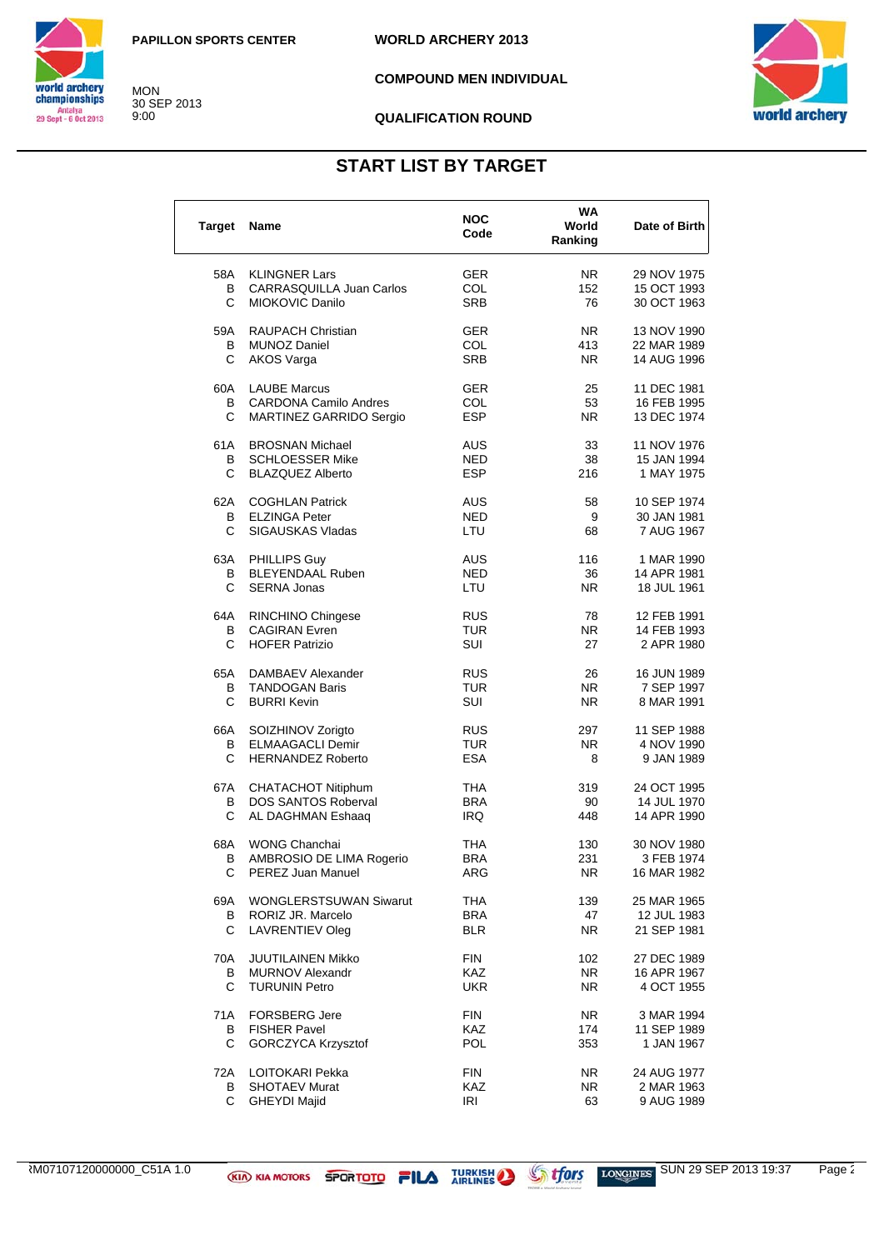MON 30 SEP 2013 9:00

**WORLD ARCHERY 2013**



**COMPOUND MEN INDIVIDUAL**



#### **QUALIFICATION ROUND**

## **START LIST BY TARGET**

| <b>Target</b> | Name                            | NOC<br>Code | WA<br>World<br>Ranking | Date of Birth |
|---------------|---------------------------------|-------------|------------------------|---------------|
| 58A           | <b>KLINGNER Lars</b>            | <b>GER</b>  | NR.                    | 29 NOV 1975   |
| В             | <b>CARRASQUILLA Juan Carlos</b> | COL         | 152                    | 15 OCT 1993   |
| С             | MIOKOVIC Danilo                 | <b>SRB</b>  | 76                     | 30 OCT 1963   |
| 59A           | <b>RAUPACH Christian</b>        | GER         | NR.                    | 13 NOV 1990   |
| В             | <b>MUNOZ Daniel</b>             | COL         | 413                    | 22 MAR 1989   |
| С             | <b>AKOS Varga</b>               | <b>SRB</b>  | N <sub>R</sub>         | 14 AUG 1996   |
| 60A           | <b>LAUBE Marcus</b>             | GER         | 25                     | 11 DEC 1981   |
| В             | <b>CARDONA Camilo Andres</b>    | COL         | 53                     | 16 FEB 1995   |
| C             | MARTINEZ GARRIDO Sergio         | <b>ESP</b>  | NR.                    | 13 DEC 1974   |
| 61A           | <b>BROSNAN Michael</b>          | AUS         | 33                     | 11 NOV 1976   |
| В             | <b>SCHLOESSER Mike</b>          | NED         | 38                     | 15 JAN 1994   |
| С             | <b>BLAZQUEZ Alberto</b>         | <b>ESP</b>  | 216                    | 1 MAY 1975    |
| 62A           | <b>COGHLAN Patrick</b>          | <b>AUS</b>  | 58                     | 10 SEP 1974   |
| В             | <b>ELZINGA Peter</b>            | NED         | 9                      | 30 JAN 1981   |
| C             | <b>SIGAUSKAS Vladas</b>         | LTU         | 68                     | 7 AUG 1967    |
| 63A           | <b>PHILLIPS Guy</b>             | AUS         | 116                    | 1 MAR 1990    |
| В             | <b>BLEYENDAAL Ruben</b>         | NED         | 36                     | 14 APR 1981   |
| С             | <b>SERNA Jonas</b>              | LTU         | N <sub>R</sub>         | 18 JUL 1961   |
| 64A           | RINCHINO Chingese               | <b>RUS</b>  | 78                     | 12 FEB 1991   |
| В             | <b>CAGIRAN Evren</b>            | TUR         | NR.                    | 14 FEB 1993   |
| С             | <b>HOFER Patrizio</b>           | SUI         | 27                     | 2 APR 1980    |
| 65A           | DAMBAEV Alexander               | <b>RUS</b>  | 26                     | 16 JUN 1989   |
| В             | <b>TANDOGAN Baris</b>           | TUR         | NR.                    | 7 SEP 1997    |
| C             | <b>BURRI Kevin</b>              | SUI         | NR.                    | 8 MAR 1991    |
| 66A           | SOIZHINOV Zorigto               | <b>RUS</b>  | 297                    | 11 SEP 1988   |
| В             | <b>ELMAAGACLI Demir</b>         | TUR         | NR.                    | 4 NOV 1990    |
| С             | <b>HERNANDEZ Roberto</b>        | <b>ESA</b>  | 8                      | 9 JAN 1989    |
| 67A           | CHATACHOT Nitiphum              | THA         | 319                    | 24 OCT 1995   |
| В             | <b>DOS SANTOS Roberval</b>      | <b>BRA</b>  | 90                     | 14 JUL 1970   |
| С             | AL DAGHMAN Eshaaq               | IRQ         | 448                    | 14 APR 1990   |
| 68A           | <b>WONG Chanchai</b>            | THA         | 130                    | 30 NOV 1980   |
| В             | AMBROSIO DE LIMA Rogerio        | BRA         | 231                    | 3 FEB 1974    |
| С             | PEREZ Juan Manuel               | ARG         | ${\sf NR}$             | 16 MAR 1982   |
| 69A           | <b>WONGLERSTSUWAN Siwarut</b>   | THA         | 139                    | 25 MAR 1965   |
| В             | RORIZ JR. Marcelo               | BRA         | 47                     | 12 JUL 1983   |
| C             | <b>LAVRENTIEV Oleg</b>          | BLR         | NR.                    | 21 SEP 1981   |
| 70A           | JUUTILAINEN Mikko               | FIN         | 102                    | 27 DEC 1989   |
| В             | <b>MURNOV Alexandr</b>          | KAZ         | <b>NR</b>              | 16 APR 1967   |
| C             | <b>TURUNIN Petro</b>            | <b>UKR</b>  | NR.                    | 4 OCT 1955    |
| 71 A          | <b>FORSBERG Jere</b>            | <b>FIN</b>  | NR.                    | 3 MAR 1994    |
| В             | <b>FISHER Pavel</b>             | <b>KAZ</b>  | 174                    | 11 SEP 1989   |
| С             | <b>GORCZYCA Krzysztof</b>       | <b>POL</b>  | 353                    | 1 JAN 1967    |
| 72A           | LOITOKARI Pekka                 | FIN         | NR.                    | 24 AUG 1977   |
| В<br>C.       | <b>SHOTAEV Murat</b>            | KAZ         | NR.                    | 2 MAR 1963    |
|               | <b>GHEYDI Majid</b>             | <b>IRI</b>  | 63                     | 9 AUG 1989    |

ARM07107120000000\_C51A 1.0 SUN 29 SEP 2013 19:37 Page 2/3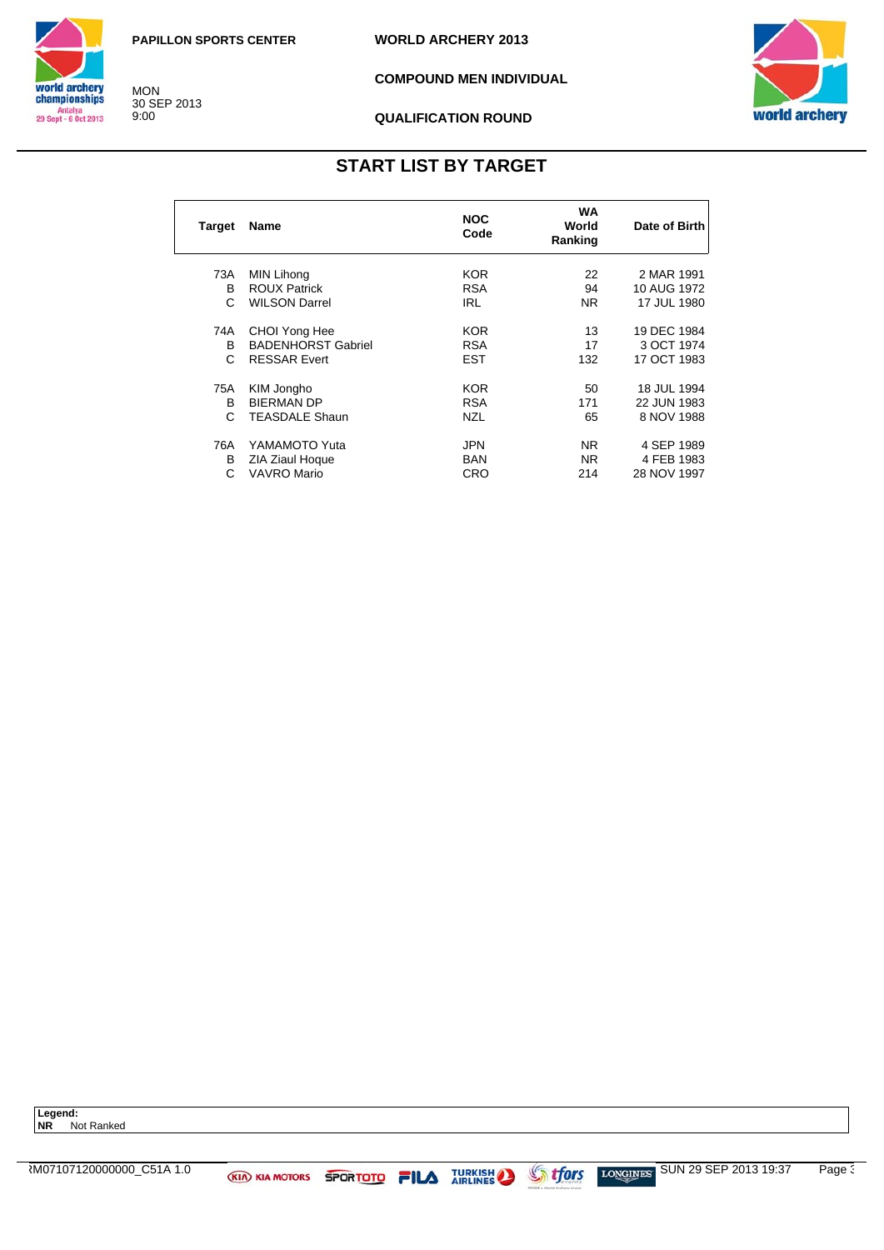**WORLD ARCHERY 2013**



MON 30 SEP 2013 9:00

**COMPOUND MEN INDIVIDUAL**



#### **QUALIFICATION ROUND**

## **START LIST BY TARGET**

| Target | Name                      | <b>NOC</b><br>Code | WA<br>World<br>Ranking | Date of Birth |
|--------|---------------------------|--------------------|------------------------|---------------|
| 73A    | <b>MIN Lihong</b>         | KOR.               | 22                     | 2 MAR 1991    |
| B      | <b>ROUX Patrick</b>       | <b>RSA</b>         | 94                     | 10 AUG 1972   |
| C      | <b>WILSON Darrel</b>      | <b>IRL</b>         | NR.                    | 17 JUL 1980   |
| 74A    | CHOI Yong Hee             | <b>KOR</b>         | 13                     | 19 DEC 1984   |
| B      | <b>BADENHORST Gabriel</b> | <b>RSA</b>         | 17                     | 3 OCT 1974    |
| C      | <b>RESSAR Evert</b>       | <b>EST</b>         | 132                    | 17 OCT 1983   |
| 75A    | KIM Jongho                | KOR.               | 50                     | 18 JUL 1994   |
| B      | <b>BIERMAN DP</b>         | <b>RSA</b>         | 171                    | 22 JUN 1983   |
| C      | <b>TEASDALE Shaun</b>     | <b>NZL</b>         | 65                     | 8 NOV 1988    |
| 76A    | YAMAMOTO Yuta             | <b>JPN</b>         | NR.                    | 4 SEP 1989    |
| в      | ZIA Ziaul Hoque           | BAN                | NR.                    | 4 FEB 1983    |
| С      | <b>VAVRO Mario</b>        | CRO                | 214                    | 28 NOV 1997   |

**Legend: NR** Not Ranked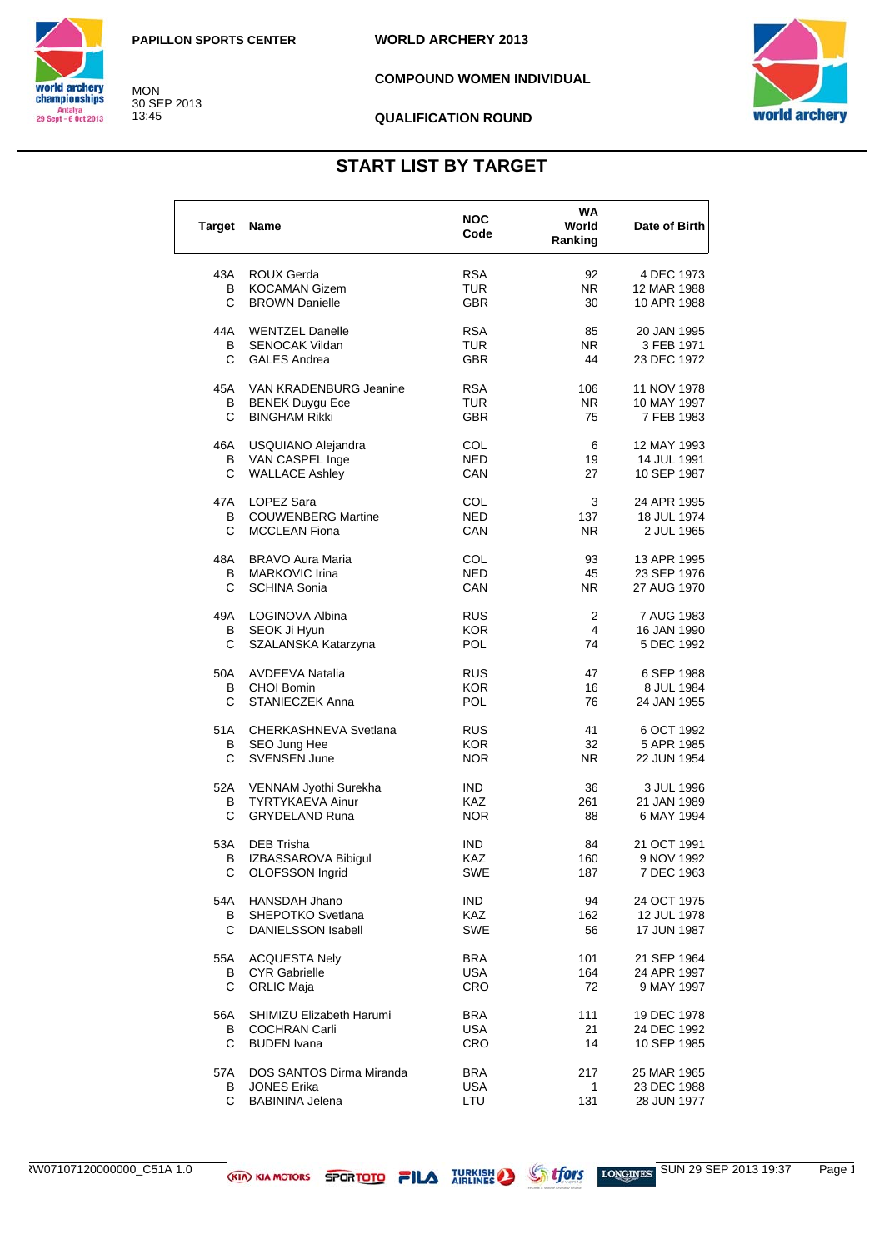**COMPOUND WOMEN INDIVIDUAL**



#### **QUALIFICATION ROUND**

## **START LIST BY TARGET**

| <b>Target</b> | Name                      | <b>NOC</b><br>Code | WA<br>World<br>Ranking | Date of Birth |
|---------------|---------------------------|--------------------|------------------------|---------------|
| 43A           | ROUX Gerda                | <b>RSA</b>         | 92                     | 4 DEC 1973    |
| В             | <b>KOCAMAN Gizem</b>      | TUR                | NR.                    | 12 MAR 1988   |
| C             | <b>BROWN Danielle</b>     | <b>GBR</b>         | 30                     | 10 APR 1988   |
| 44A           | <b>WENTZEL Danelle</b>    | <b>RSA</b>         | 85                     | 20 JAN 1995   |
| В             | <b>SENOCAK Vildan</b>     | TUR                | NR.                    | 3 FEB 1971    |
| C             | <b>GALES Andrea</b>       | <b>GBR</b>         | 44                     | 23 DEC 1972   |
| 45A           | VAN KRADENBURG Jeanine    | <b>RSA</b>         | 106                    | 11 NOV 1978   |
| В             | <b>BENEK Duygu Ece</b>    | TUR                | NR.                    | 10 MAY 1997   |
| C.            | <b>BINGHAM Rikki</b>      | <b>GBR</b>         | 75                     | 7 FEB 1983    |
| 46A           | USQUIANO Alejandra        | COL                | 6                      | 12 MAY 1993   |
| B             | VAN CASPEL Inge           | <b>NED</b>         | 19                     | 14 JUL 1991   |
| С             | <b>WALLACE Ashley</b>     | CAN                | 27                     | 10 SEP 1987   |
| 47A           | LOPEZ Sara                | COL                | 3                      | 24 APR 1995   |
| В             | <b>COUWENBERG Martine</b> | <b>NED</b>         | 137                    | 18 JUL 1974   |
| C             | <b>MCCLEAN Fiona</b>      | CAN                | NR.                    | 2 JUL 1965    |
| 48A           | <b>BRAVO Aura Maria</b>   | COL                | 93                     | 13 APR 1995   |
| В             | <b>MARKOVIC Irina</b>     | <b>NED</b>         | 45                     | 23 SEP 1976   |
| C             | <b>SCHINA Sonia</b>       | CAN                | NR.                    | 27 AUG 1970   |
| 49A           | LOGINOVA Albina           | <b>RUS</b>         | 2                      | 7 AUG 1983    |
| В             | SEOK Ji Hyun              | <b>KOR</b>         | 4                      | 16 JAN 1990   |
| С             | SZALANSKA Katarzyna       | POL                | 74                     | 5 DEC 1992    |
| 50A           | <b>AVDEEVA Natalia</b>    | <b>RUS</b>         | 47                     | 6 SEP 1988    |
| В             | <b>CHOI Bomin</b>         | <b>KOR</b>         | 16                     | 8 JUL 1984    |
| C             | <b>STANIECZEK Anna</b>    | POL                | 76                     | 24 JAN 1955   |
| 51 A          | CHERKASHNEVA Svetlana     | <b>RUS</b>         | 41                     | 6 OCT 1992    |
| в             | SEO Jung Hee              | <b>KOR</b>         | 32                     | 5 APR 1985    |
| С             | <b>SVENSEN June</b>       | NOR.               | NR.                    | 22 JUN 1954   |
| 52A           | VENNAM Jyothi Surekha     | IND.               | 36                     | 3 JUL 1996    |
| В             | <b>TYRTYKAEVA Ainur</b>   | <b>KAZ</b>         | 261                    | 21 JAN 1989   |
| С             | <b>GRYDELAND Runa</b>     | NOR.               | 88                     | 6 MAY 1994    |
| 53A           | DEB Trisha                | IND.               | 84                     | 21 OCT 1991   |
| в             | IZBASSAROVA Bibigul       | KAZ                | 160                    | 9 NOV 1992    |
| C             | OLOFSSON Ingrid           | SWE                | 187                    | 7 DEC 1963    |
| 54A           | HANSDAH Jhano             | IND.               | 94                     | 24 OCT 1975   |
| В             | SHEPOTKO Svetlana         | <b>KAZ</b>         | 162                    | 12 JUL 1978   |
| C             | <b>DANIELSSON Isabell</b> | SWE                | 56                     | 17 JUN 1987   |
| 55A           | <b>ACQUESTA Nely</b>      | BRA                | 101                    | 21 SEP 1964   |
| В             | <b>CYR Gabrielle</b>      | <b>USA</b>         | 164                    | 24 APR 1997   |
| C             | <b>ORLIC Maja</b>         | CRO                | 72                     | 9 MAY 1997    |
| 56A           | SHIMIZU Elizabeth Harumi  | <b>BRA</b>         | 111                    | 19 DEC 1978   |
| В             | <b>COCHRAN Carli</b>      | USA                | 21                     | 24 DEC 1992   |
| С             | <b>BUDEN</b> Ivana        | <b>CRO</b>         | 14                     | 10 SEP 1985   |
| 57A           | DOS SANTOS Dirma Miranda  | BRA                | 217                    | 25 MAR 1965   |
| В             | <b>JONES Erika</b>        | <b>USA</b>         | 1                      | 23 DEC 1988   |
| C.            | <b>BABININA Jelena</b>    | LTU                | 131                    | 28 JUN 1977   |



MON 30 SEP 2013 13:45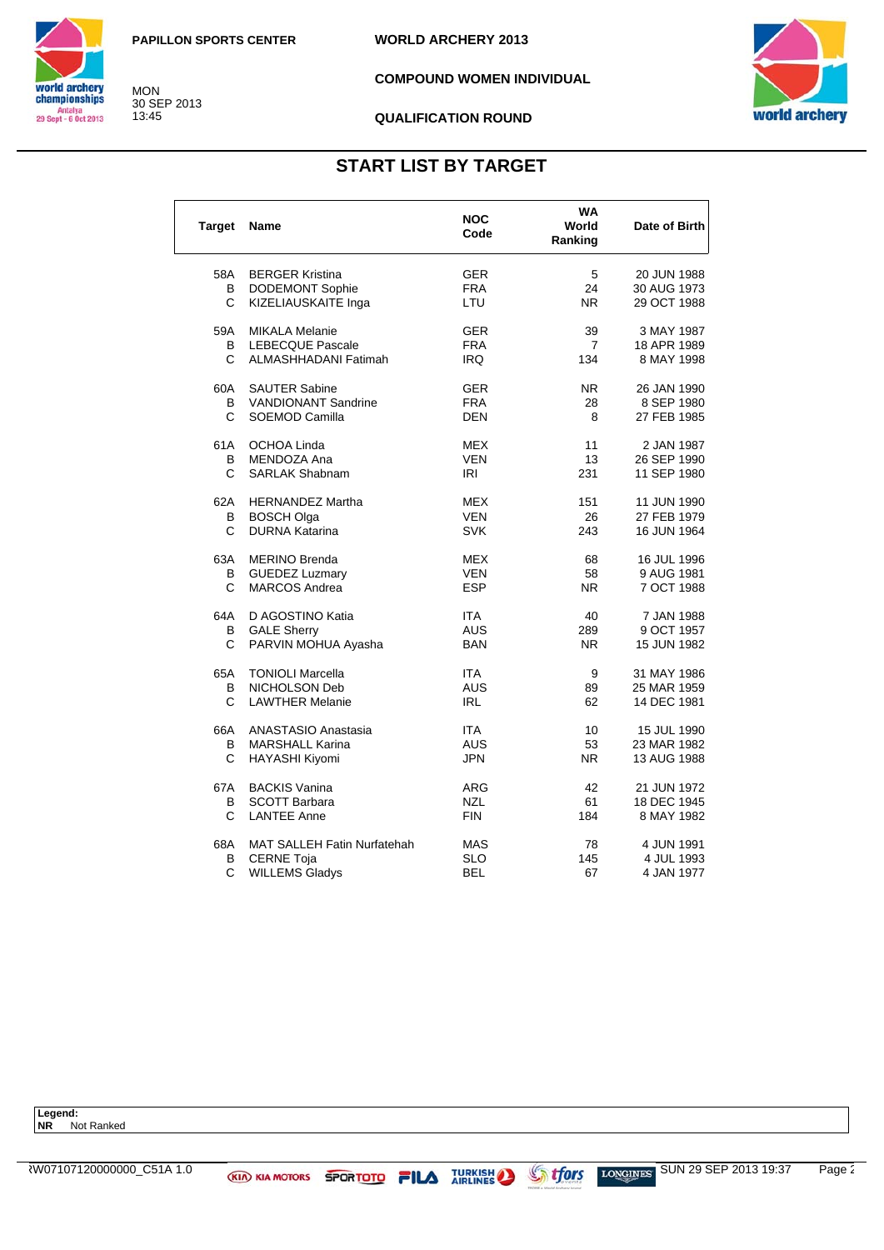**COMPOUND WOMEN INDIVIDUAL**



#### **QUALIFICATION ROUND**

## **START LIST BY TARGET**

| <b>Target</b> | <b>Name</b>                        | <b>NOC</b><br>Code | WA<br>World<br>Ranking | Date of Birth |
|---------------|------------------------------------|--------------------|------------------------|---------------|
| 58A           | <b>BERGER Kristina</b>             | <b>GER</b>         | 5                      | 20 JUN 1988   |
| В             | DODEMONT Sophie                    | <b>FRA</b>         | 24                     | 30 AUG 1973   |
| C             | KIZELIAUSKAITE Inga                | LTU                | N <sub>R</sub>         | 29 OCT 1988   |
| 59A           | <b>MIKALA Melanie</b>              | <b>GER</b>         | 39                     | 3 MAY 1987    |
| В             | <b>LEBECQUE Pascale</b>            | <b>FRA</b>         | $\overline{7}$         | 18 APR 1989   |
| C             | ALMASHHADANI Fatimah               | <b>IRQ</b>         | 134                    | 8 MAY 1998    |
| 60A           | <b>SAUTER Sabine</b>               | <b>GER</b>         | NR.                    | 26 JAN 1990   |
| В             | <b>VANDIONANT Sandrine</b>         | <b>FRA</b>         | 28                     | 8 SEP 1980    |
| C             | SOEMOD Camilla                     | <b>DEN</b>         | 8                      | 27 FEB 1985   |
| 61A           | <b>OCHOA Linda</b>                 | <b>MEX</b>         | 11                     | 2 JAN 1987    |
| В             | MENDOZA Ana                        | VEN                | 13                     | 26 SEP 1990   |
| C             | <b>SARLAK Shabnam</b>              | IRI                | 231                    | 11 SEP 1980   |
| 62A           | <b>HERNANDEZ Martha</b>            | MEX                | 151                    | 11 JUN 1990   |
| В             | <b>BOSCH Olga</b>                  | <b>VEN</b>         | 26                     | 27 FEB 1979   |
| C             | <b>DURNA Katarina</b>              | <b>SVK</b>         | 243                    | 16 JUN 1964   |
| 63A           | <b>MERINO Brenda</b>               | <b>MEX</b>         | 68                     | 16 JUL 1996   |
| В             | <b>GUEDEZ Luzmary</b>              | VEN                | 58                     | 9 AUG 1981    |
| C             | <b>MARCOS Andrea</b>               | <b>ESP</b>         | N <sub>R</sub>         | 7 OCT 1988    |
| 64A           | D AGOSTINO Katia                   | <b>ITA</b>         | 40                     | 7 JAN 1988    |
| В             | <b>GALE Sherry</b>                 | <b>AUS</b>         | 289                    | 9 OCT 1957    |
| C             | PARVIN MOHUA Ayasha                | <b>BAN</b>         | NR.                    | 15 JUN 1982   |
| 65A           | <b>TONIOLI Marcella</b>            | <b>ITA</b>         | 9                      | 31 MAY 1986   |
| В             | NICHOLSON Deb                      | <b>AUS</b>         | 89                     | 25 MAR 1959   |
| C             | <b>LAWTHER Melanie</b>             | <b>IRL</b>         | 62                     | 14 DEC 1981   |
| 66A           | ANASTASIO Anastasia                | <b>ITA</b>         | 10                     | 15 JUL 1990   |
| В             | <b>MARSHALL Karina</b>             | AUS                | 53                     | 23 MAR 1982   |
| C             | HAYASHI Kiyomi                     | <b>JPN</b>         | NR.                    | 13 AUG 1988   |
| 67A           | <b>BACKIS Vanina</b>               | ARG                | 42                     | 21 JUN 1972   |
| в             | <b>SCOTT Barbara</b>               | <b>NZL</b>         | 61                     | 18 DEC 1945   |
| C             | <b>LANTEE Anne</b>                 | <b>FIN</b>         | 184                    | 8 MAY 1982    |
| 68A           | <b>MAT SALLEH Fatin Nurfatehah</b> | <b>MAS</b>         | 78                     | 4 JUN 1991    |
| в             | <b>CERNE Toja</b>                  | <b>SLO</b>         | 145                    | 4 JUL 1993    |
| C             | <b>WILLEMS Gladys</b>              | <b>BEL</b>         | 67                     | 4 JAN 1977    |



MON 30 SEP 2013 13:45

**Legend: NR** Not Ranked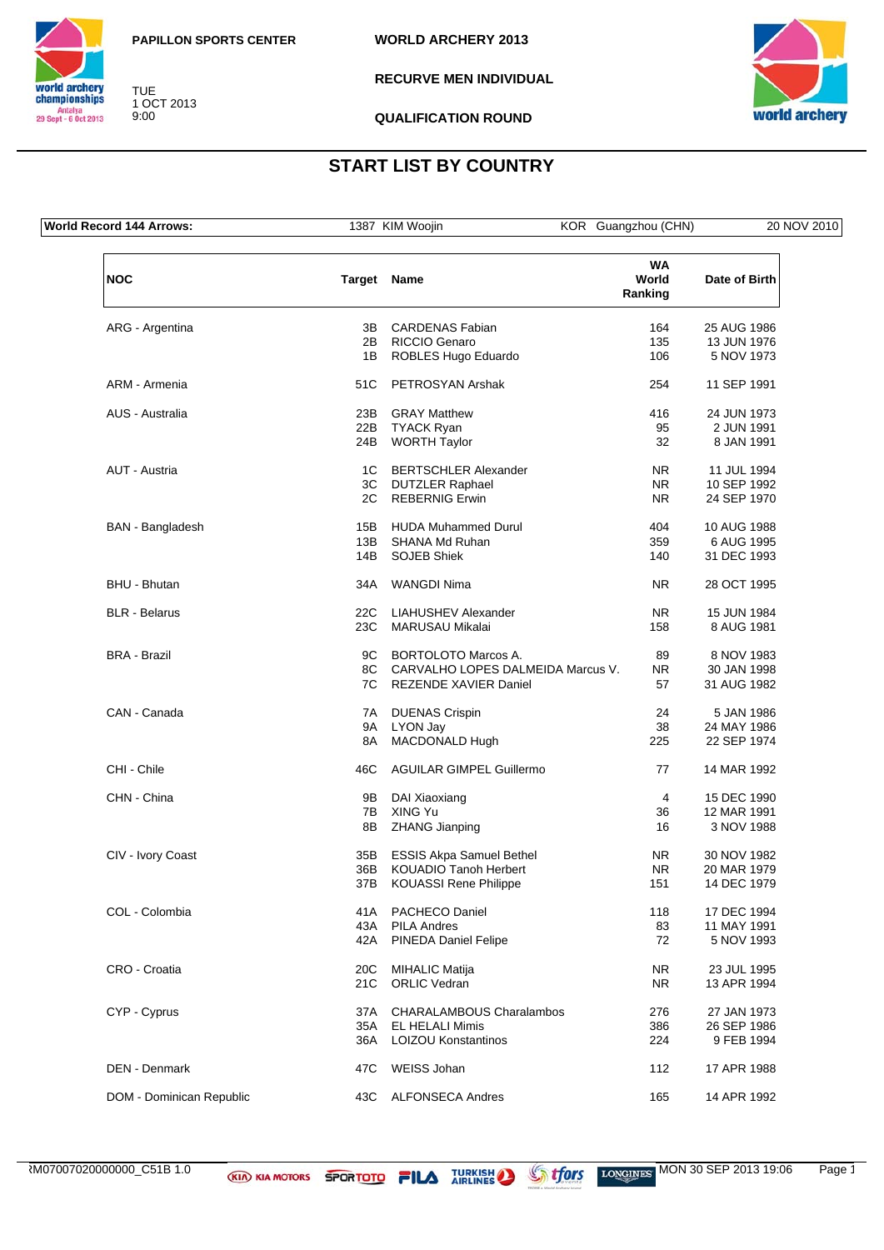



TUE 1 OCT 2013 9:00

**RECURVE MEN INDIVIDUAL**



**QUALIFICATION ROUND**

## **START LIST BY COUNTRY**

**World Record 144 Arrows:** 1387 KIM Woojin KOR Guangzhou (CHN) 20 NOV 2010 **NOC Target Name WA World Ranking Date of Birth** ARG - Argentina 3B CARDENAS Fabian 164 25 AUG 1986 POST RICCIO Genaro 2002 135 13 JUN 1976<br>
208 106 106 15 NOV 1973 1B ROBLES Hugo Eduardo 106 ARM - Armenia 51C PETROSYAN Arshak 254 11 SEP 1991 AUS - Australia 23B GRAY Matthew 416 24 JUN 1973 22B TYACK Ryan 95 24B WORTH Taylor 32 8 JAN 1991 AUT - Austria **1C BERTSCHLER Alexander** 1C BERTSCHLER Alexander 11 JUL 1994<br>3C DUTZLER Raphael 10 SEP 1992 3C DUTZLER Raphael NR 10 SEP 1992<br>3C REBERNIG Erwin NR 24 SEP 1970 2C REBERNIG Erwin NR BAN - Bangladesh 15B HUDA Muhammed Durul 15B 2004 10 AUG 1988 13B SHANA Md Ruhan 359 6 AUG 1995 14B SOJEB Shiek 140 BHU - Bhutan 34A WANGDI Nima NR 28 OCT 1995 BLR - Belarus 22C LIAHUSHEV Alexander 15 JUN 1984<br>23C MARUSAU Mikalai 23C MARUSAU Mikalai 158 8 AUG 1981 MARUSAU Mikalai 2002 - 2012 158 AUG 158 BRA - Brazil **BRA - Brazil 1983 9C BORTOLOTO Marcos A.** 89 8 NOV 1983 8C CARVALHO LOPES DALMEIDA Marcus V. NR 30 JAN 1998<br>7C REZENDE XAVIER Daniel 57 31 AUG 1982 7C REZENDE XAVIER Daniel 37 CAN - Canada 24 5 JAN 1986<br>
24 5 JAN 1986<br>
24 MAY 1986<br>
24 MAY 1986 9A LYON Jav 38 8A MACDONALD Hugh 225 22 SEP 1974 CHI - Chile **1992** CHI - Chile 46C AGUILAR GIMPEL Guillermo 77 14 MAR 1992 CHN - China **15 Dec 1990 9B DAI Xiaoxiang 18 00 1990 4 15 DEC 1990** 7B XING Yu 36 12 MAR 1991 8B ZHANG Jianping 16 CIV - Ivory Coast CIV - Ivory Coast CIV - Ivory Coast CIV - Ivory Coast CIV - NR 30 NOV 1982<br>36B KOUADIO Tanoh Herbert NR 20 MAR 1979 36B KOUADIO Tanoh Herbert 1999 NR 20 MAR 1979<br>37B KOUASSI Rene Philippe 151 14 DEC 1979 37B KOUASSI Rene Philippe 151 COL - Colombia 41A PACHECO Daniel 118 17 DEC 1994 43A PILA Andres 1991 11 MAY 1991<br>42A PINEDA Daniel Felipe 1992 1992 1993 42A PINEDA Daniel Felipe 72 CRO - Croatia 20C MIHALIC Matija NR 23 JUL 1995 ORLIC Vedran CYP - Cyprus 37A CHARALAMBOUS Charalambos 276 27 JAN 1973 35A EL HELALI Mimis 386 26 SEP 1986 36A LOIZOU Konstantinos 224 9 FEB 1994 DEN - Denmark 47C WEISS Johan 112 17 APR 1988 DOM - Dominican Republic **43C** ALFONSECA Andres 165 14 APR 1992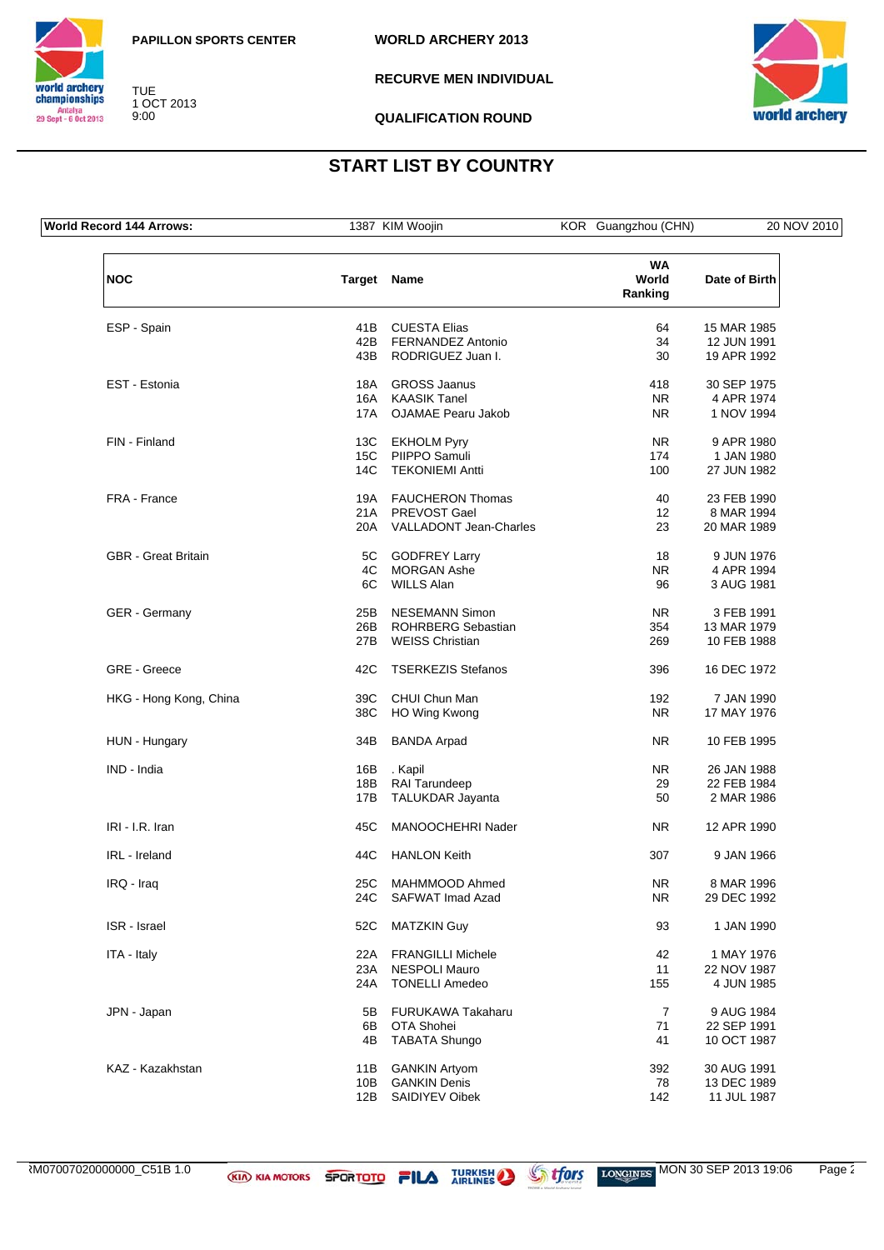



TUE 1 OCT 2013 9:00

**RECURVE MEN INDIVIDUAL**



**QUALIFICATION ROUND**

## **START LIST BY COUNTRY**

**World Record 144 Arrows:** 1387 KIM Woojin KOR Guangzhou (CHN) 20 NOV 2010 **NOC Target Name WA World Ranking Date of Birth** ESP - Spain and the contract of the COLESTA Elias and the contract of the SP - Spain and the MAR 1985 of the MAR 1985 of the MAR 1985 of the MAR 1981 of the MAR 1985 of the MAR 1981 of the MAR 1991 of the MAR 1991 of the M 42B FERNANDEZ Antonio 34 12 JUN 1991 43B RODRIGUEZ Juan I. 30 EST - Estonia 18A GROSS Jaanus 418 30 SEP 1975 16A KAASIK Tanel 16A KAASIK Tanel 17A CUANA KAASIK TANG 2014 NR 4 APR 1974 OJAMAE Pearu Jakob FIN - Finland 13C EKHOLM Pyry NR 9 APR 1980 15C PIIPPO Samuli 174 1 JAN 1980 14C TEKONIEMI Antti 100 27 JUN 1982 FRA - France 23 FEB 1990 21A PREVOST Gael 21A 22 8 MAR 1994 20A VALLADONT Jean-Charles 23 20 MAR 1989 GBR - Great Britain **18 CODEREY Larry CODER EXECUTE 18** 9 JUN 1976 4C MORGAN Ashe NR 4 APR 1994<br>6C WILLS Alan 1981 1981 1982 1984 WILLS Alan 96 GER - Germany **CER 1991** 25B NESEMANN Simon NR 3 FEB 1991<br>26B ROHRBERG Sebastian 254 13 MAR 1979 26B ROHRBERG Sebastian 254 13 MAR 1979<br>27B WEISS Christian 269 10 FEB 1988 **WEISS Christian** GRE - Greece 42C TSERKEZIS Stefanos 436 396 16 DEC 1972 HKG - Hong Kong, China 1990<br>38C HO Wing Kwong 1980 NR 17 MAY 1976 38C HO Wing Kwong NR HUN - Hungary **34B BANDA Arpad** NR 10 FEB 1995 IND - India 16B . Kapil NR 26 JAN 1988 18B RAI Tarundeep 29 22 FEB 1984 17B TALUKDAR Jayanta 1986 50 2 MAR 1986 IRI - I.R. Iran 12 APR 1990 IRL - Ireland 44C HANLON Keith 307 9 JAN 1966 IRQ - Iraq 25C MAHMMOOD Ahmed NR 8 MAR 1996 24C SAFWAT Imad Azad NR ISR - Israel 52C MATZKIN Guy 93 1 JAN 1990 ITA - Italy 1976<br>22A FRANGILLI Michele 1982 1997 19976<br>23A NESPOLI Mauro 22 2000/1987 11 22 NOV 1987 23A NESPOLI Mauro 11 22 NOV 1987<br>24A TONELLI Amedeo 155 4 JUN 1985 **TONELLI Amedeo** JPN - Japan 5B FURUKAWA Takaharu 1984 7 9 AUG 1984 6B OTA Shohei 71 22 SEP 1991 4B TABATA Shungo 41 10 OCT 1987 KAZ - Kazakhstan 11B GANKIN Artyom 392 30 AUG 1991 13 DEC 1989<br>11 Benis 142 13 DEC 1989<br>142 11 JUL 1987 12B SAIDIYEV Oibek 12B 142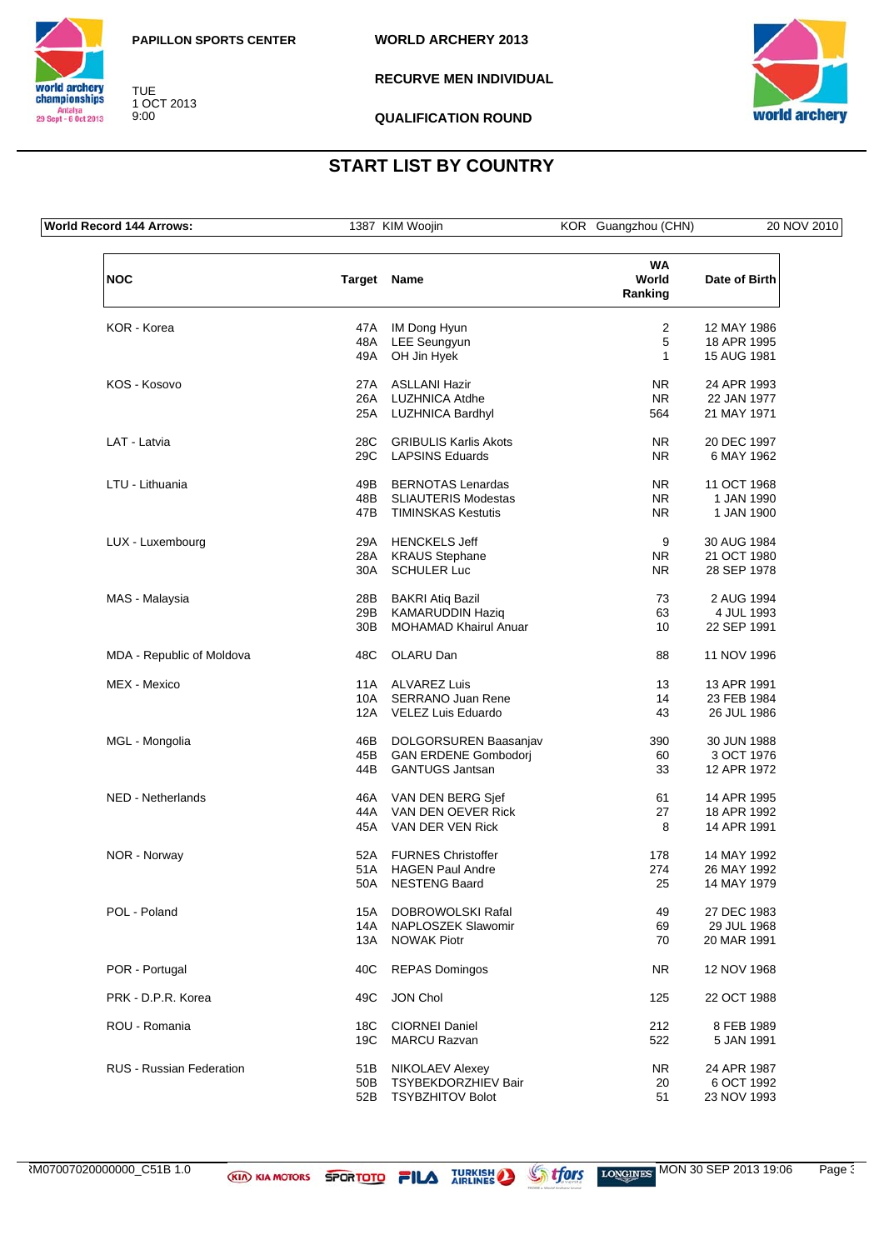



TUE 1 OCT 2013 9:00

**RECURVE MEN INDIVIDUAL**



**QUALIFICATION ROUND**

## **START LIST BY COUNTRY**

**World Record 144 Arrows:** 1387 KIM Woojin KOR Guangzhou (CHN) 20 NOV 2010 **NOC Target Name WA World Ranking Date of Birth** KOR - Korea 47A IM Dong Hyun 2 12 MAY 1986 48A LEE Seungyun 5 18 APR 1995 49A OH Jin Hyek 1 KOS - Kosovo 27A ASLLANI Hazir NR 24 APR 1993 26A LUZHNICA Atdhe NR 22 JAN 1977<br>25A LUZHNICA Bardhyl 1971 564 21 MAY 1971 LUZHNICA Bardhyl LAT - Latvia 28C GRIBULIS Karlis Akots NR 20 DEC 1997 29C LAPSINS Eduards NR 6 MAY 1962 LTU - Lithuania 49B BERNOTAS Lenardas NR 11 OCT 1968 48B SLIAUTERIS Modestas 1 NR 1990<br>47B TIMINSKAS Kestutis 1 NR 1 JAN 1900 47B TIMINSKAS Kestutis NR LUX - Luxembourg 29A HENCKELS Jeff 9 30 AUG 1984 28A KRAUS Stephane 30A SCHULER Luc NR 28 SEP 1978 MAS - Malaysia 28B BAKRI Atiq Bazil 73 2 AUG 1994 29B KAMARUDDIN Haziq 63 4 JUL 1993 MOHAMAD Khairul Anuar 10 MDA - Republic of Moldova **48C** OLARU Dan 88 11 NOV 1996 MEX - Mexico 11A ALVAREZ Luis 13 13 APR 1991 10A SERRANO Juan Rene 14 23 FEB 1984<br>12A VELEZ Luis Eduardo 14 43 26 JUL 1986 12A VELEZ Luis Eduardo 43 MGL - Mongolia 46B DOLGORSUREN Baasanjav 390 30 JUN 1988 45 GAN ERDENE Gombodorj 60 3 OCT 1976<br>GANTUGS Jantsan 60 33 12 APR 1972 44B GANTUGS Jantsan 33 NED - Netherlands **16A VAN DEN BERG Sjef 61** 61 14 APR 1995 44A VAN DEN OEVER Rick 27 18 APR 1992<br>45A VAN DER VEN Rick 28 14 APR 1991 VAN DER VEN Rick 8 14 APR 1991 1992 1991 1992 1992 1991 1992 1991 1992 1991 1992 1991 1992 1992 1991 1992 1991 NOR - Norway 1992<br>
51A HAGEN Paul Andre 178 14 MAY 1992<br>
51A HAGEN Paul Andre 1792<br>
274 26 MAY 1992 51A HAGEN Paul Andre 274 26 MAY 1992 50A NESTENG Baard 25 POL - Poland 15A DOBROWOLSKI Rafal 15A DOBROWOLSKI Rafal 49 27 DEC 1983<br>14A NAPLOSZEK Slawomir 69 29 JUL 1968 14A NAPLOSZEK Slawomir 69 13A NOWAK Piotr **13A NOWAK Piotr** 20 MAR 1991 POR - Portugal **ACK REPAS Domingos** NR 12 NOV 1968 PRK - D.P.R. Korea 49C JON Chol 125 22 OCT 1988 ROU - Romania 18C CIORNEI Daniel 212 8 FEB 1989 19C MARCU Razvan 522 5 JAN 1991 RUS - Russian Federation 51B NIKOLAEV Alexey NR 24 APR 1987 50B TSYBEKDORZHIEV Bair 20 6 OCT 1992 52B TSYBZHITOV Bolot 51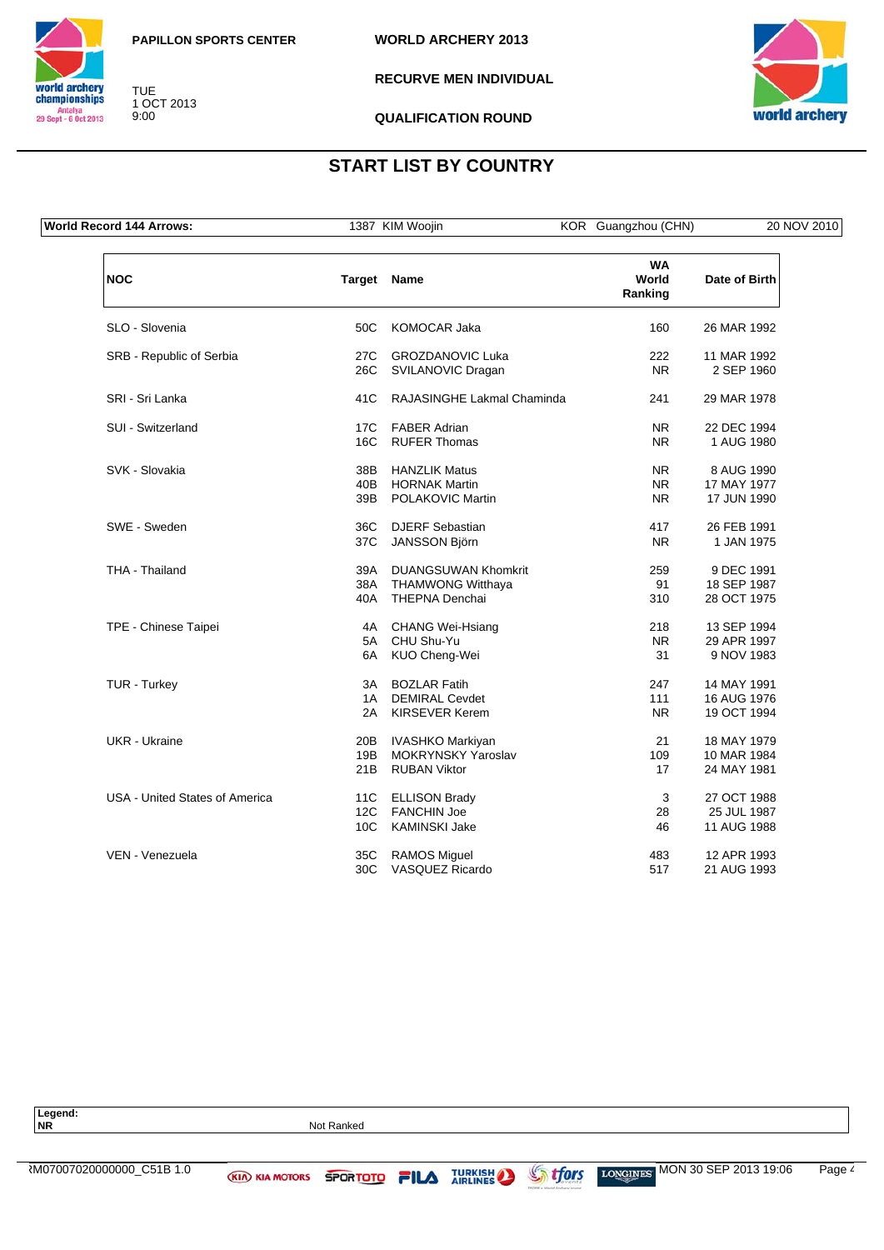

**WORLD ARCHERY 2013**



TUE 1 OCT 2013 9:00

**RECURVE MEN INDIVIDUAL**



**QUALIFICATION ROUND**

## **START LIST BY COUNTRY**

**World Record 144 Arrows:** 1387 KIM Woojin KOR Guangzhou (CHN) 20 NOV 2010

**NOC Target Name WA World Ranking Date of Birth** SLO - Slovenia 50C KOMOCAR Jaka 160 26 MAR 1992 SRB - Republic of Serbia **27C** GROZDANOVIC Luka 222 11 MAR 1992 26C SVILANOVIC Dragan NR 2 SEP 1960 SRI - Sri Lanka 29 MAR 1978 41C RAJASINGHE Lakmal Chaminda 241 29 MAR 1978 SUI - Switzerland 17C FABER Adrian 17C - 17C FABER Adrian 1994 16C RUFER Thomas NR 1 AUG 1980 SVK - Slovakia 38B HANZLIK Matus NR 8 AUG 1990 17 MAY 1977<br>
17 MAY 1977<br>
POLAKOVIC Martin NR 17 JUN 1990 39B POLAKOVIC Martin NR SWE - Sweden 36C DJERF Sebastian 417 26 FEB 1991 37C JANSSON Björn NR 1 JAN 1975 THA - Thailand 1994 2004 259 39A DUANGSUWAN Khomkrit 259 259 9 DEC 1991<br>38A THAMWONG Witthaya 39 394 385 P1987 **THAMWONG Witthaya** 18 SEP 1987 40A THEPNA Denchai 28 OCT 1975 TPE - Chinese Taipei **4A** CHANG Wei-Hsiang 218 13 SEP 1994<br>5A CHU Shu-Yu **29 APR 1997** 5A CHU Shu-Yu Namar (1997)<br>6A KUO Cheng-Wei Namar (1997) 31 9 NOV 1983 KUO Cheng-Wei 31 TUR - Turkey **14 MAY 1991**<br>14 DEMIRAL Cevdet 247 111 16 AUG 1976 1A DEMIRAL Cevdet 111 16 AUG 1976<br>
2A KIRSEVER Kerem 19 NR 19 OCT 1994 2A KIRSEVER Kerem UKR - Ukraine 20B 20B IVASHKO Markiyan 20 21 18 MAY 1979<br>19B MOKRYNSKY Yaroslav 200 109 10 MAR 1984 19B MOKRYNSKY Yaroslav 109 10 MAR 1984<br>RUBAN Viktor 17 24 MAY 1981 21B RUBAN Viktor 17 USA - United States of America 11C ELLISON Brady 11C and States 1 3 27 OCT 1988 12C FANCHIN Joe 28 25 JUL 1987<br>10C KAMINSKI Jake 2002 28 25 JUL 1988 10C KAMINSKI Jake 46 VEN - Venezuela 35C RAMOS Miguel 483 12 APR 1993 30C VASQUEZ Ricardo 517

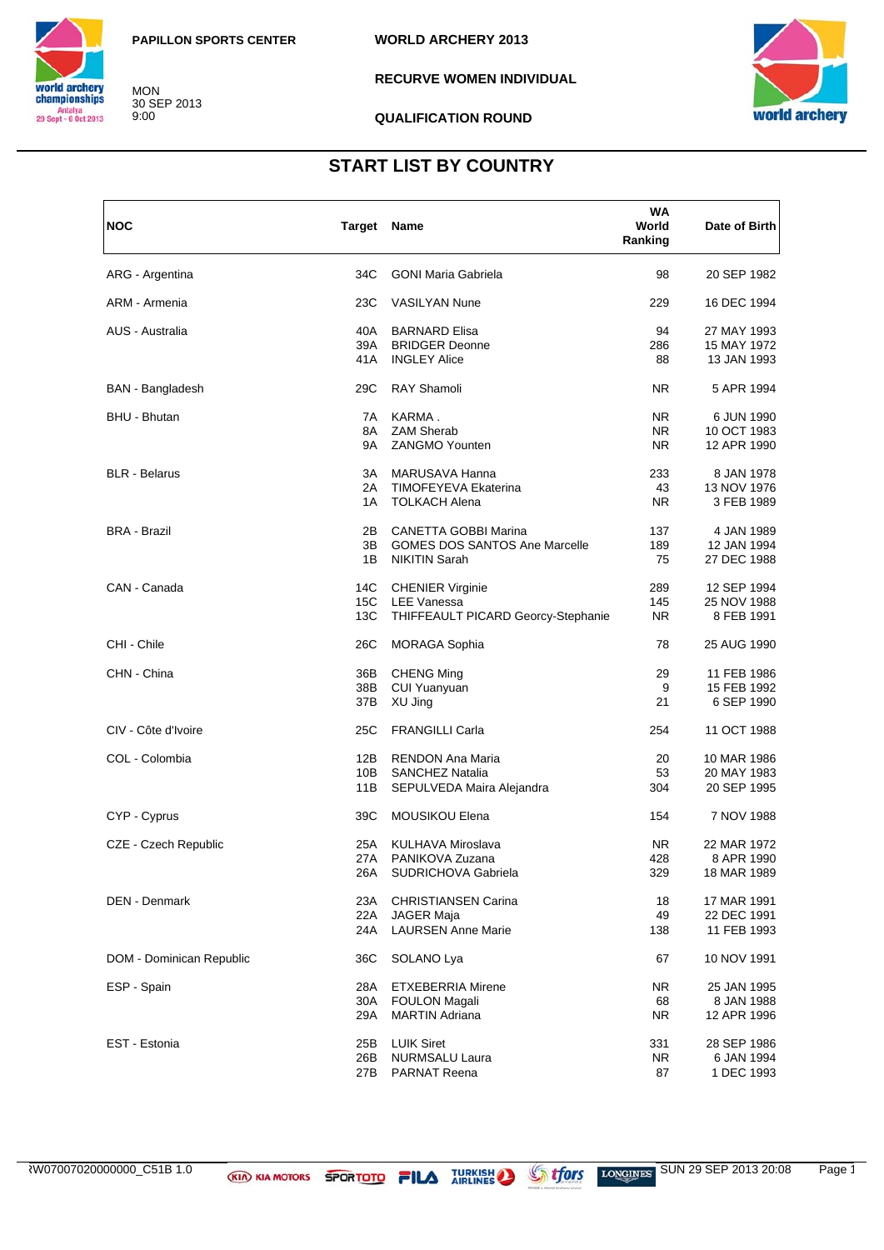

MON 30 SEP 2013 9:00

**WORLD ARCHERY 2013**

**RECURVE WOMEN INDIVIDUAL** 

#### **QUALIFICATION ROUND**



### **START LIST BY COUNTRY**

| <b>NOC</b>               | <b>Target Name</b> |                                      | WA<br>World<br>Ranking | Date of Birth |
|--------------------------|--------------------|--------------------------------------|------------------------|---------------|
| ARG - Argentina          | 34C                | <b>GONI Maria Gabriela</b>           | 98                     | 20 SEP 1982   |
| ARM - Armenia            | 23C                | <b>VASILYAN Nune</b>                 | 229                    | 16 DEC 1994   |
| AUS - Australia          | 40A                | <b>BARNARD Elisa</b>                 | 94                     | 27 MAY 1993   |
|                          | 39A                | <b>BRIDGER Deonne</b>                | 286                    | 15 MAY 1972   |
|                          | 41 A               | <b>INGLEY Alice</b>                  | 88                     | 13 JAN 1993   |
| <b>BAN</b> - Bangladesh  | 29C                | <b>RAY Shamoli</b>                   | NR.                    | 5 APR 1994    |
| BHU - Bhutan             | 7A                 | KARMA.                               | NR.                    | 6 JUN 1990    |
|                          | 8A                 | <b>ZAM Sherab</b>                    | NR.                    | 10 OCT 1983   |
|                          | 9A                 | <b>ZANGMO Younten</b>                | NR.                    | 12 APR 1990   |
| <b>BLR</b> - Belarus     | ЗA                 | MARUSAVA Hanna                       | 233                    | 8 JAN 1978    |
|                          | 2A                 | TIMOFEYEVA Ekaterina                 | 43                     | 13 NOV 1976   |
|                          | 1A                 | <b>TOLKACH Alena</b>                 | NR.                    | 3 FEB 1989    |
| <b>BRA - Brazil</b>      | 2Β                 | <b>CANETTA GOBBI Marina</b>          | 137                    | 4 JAN 1989    |
|                          | 3B                 | <b>GOMES DOS SANTOS Ane Marcelle</b> | 189                    | 12 JAN 1994   |
|                          | 1B                 | <b>NIKITIN Sarah</b>                 | 75                     | 27 DEC 1988   |
| CAN - Canada             | 14C                | <b>CHENIER Virginie</b>              | 289                    | 12 SEP 1994   |
|                          | 15C                | <b>LEE Vanessa</b>                   | 145                    | 25 NOV 1988   |
|                          | 13C                | THIFFEAULT PICARD Georcy-Stephanie   | NR.                    | 8 FEB 1991    |
| CHI - Chile              | 26C                | <b>MORAGA Sophia</b>                 | 78                     | 25 AUG 1990   |
| CHN - China              | 36B                | <b>CHENG Ming</b>                    | 29                     | 11 FEB 1986   |
|                          | 38B                | <b>CUI Yuanyuan</b>                  | 9                      | 15 FEB 1992   |
|                          | 37B                | XU Jing                              | 21                     | 6 SEP 1990    |
| CIV - Côte d'Ivoire      | 25C                | <b>FRANGILLI Carla</b>               | 254                    | 11 OCT 1988   |
| COL - Colombia           | 12B                | <b>RENDON Ana Maria</b>              | 20                     | 10 MAR 1986   |
|                          | 10B                | <b>SANCHEZ Natalia</b>               | 53                     | 20 MAY 1983   |
|                          | 11B                | SEPULVEDA Maira Alejandra            | 304                    | 20 SEP 1995   |
| CYP - Cyprus             | 39C                | MOUSIKOU Elena                       | 154                    | 7 NOV 1988    |
| CZE - Czech Republic     | 25A                | <b>KULHAVA Miroslava</b>             | NR.                    | 22 MAR 1972   |
|                          | 27 A               | PANIKOVA Zuzana                      | 428                    | 8 APR 1990    |
|                          | 26A                | SUDRICHOVA Gabriela                  | 329                    | 18 MAR 1989   |
| DEN - Denmark            | 23A                | <b>CHRISTIANSEN Carina</b>           | 18                     | 17 MAR 1991   |
|                          | 22A                | <b>JAGER Maja</b>                    | 49                     | 22 DEC 1991   |
|                          | 24A                | <b>LAURSEN Anne Marie</b>            | 138                    | 11 FEB 1993   |
| DOM - Dominican Republic | 36C                | SOLANO Lya                           | 67                     | 10 NOV 1991   |
| ESP - Spain              | 28A                | <b>ETXEBERRIA Mirene</b>             | NR.                    | 25 JAN 1995   |
|                          | 30A                | <b>FOULON Magali</b>                 | 68                     | 8 JAN 1988    |
|                          | 29A                | <b>MARTIN Adriana</b>                | NR.                    | 12 APR 1996   |
| EST - Estonia            | 25B                | <b>LUIK Siret</b>                    | 331                    | 28 SEP 1986   |
|                          | 26B                | <b>NURMSALU Laura</b>                | NR.                    | 6 JAN 1994    |
|                          | 27B                | <b>PARNAT Reena</b>                  | 87                     | 1 DEC 1993    |

ARLINES ARRINES SUN 29 SEP 2013 20:08 Page 1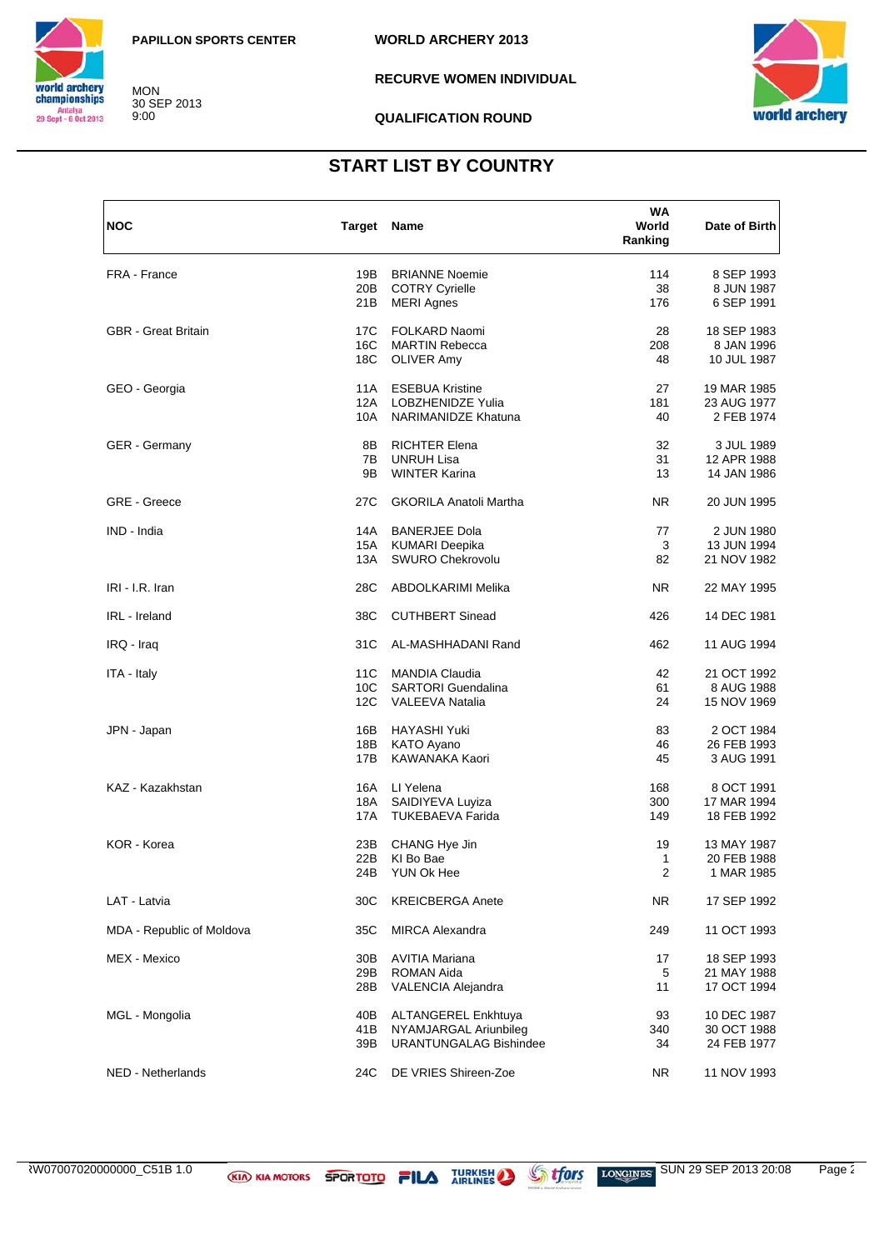

**MON** 30 SEP 2013<br>9:00 **WORLD ARCHERY 2013** 

**RECURVE WOMEN INDIVIDUAL** 

**QUALIFICATION ROUND** 



## **START LIST BY COUNTRY**

| <b>NOC</b>                 | Target Name     |                               | WA<br>World<br>Ranking | Date of Birth |
|----------------------------|-----------------|-------------------------------|------------------------|---------------|
| FRA - France               | 19B             | <b>BRIANNE Noemie</b>         | 114                    | 8 SEP 1993    |
|                            | 20B             | <b>COTRY Cyrielle</b>         | 38                     | 8 JUN 1987    |
|                            | 21B             | <b>MERI Agnes</b>             | 176                    | 6 SEP 1991    |
| <b>GBR</b> - Great Britain | 17C             | FOLKARD Naomi                 | 28                     | 18 SEP 1983   |
|                            | 16C             | <b>MARTIN Rebecca</b>         | 208                    | 8 JAN 1996    |
|                            | 18C             | <b>OLIVER Amy</b>             | 48                     | 10 JUL 1987   |
| GEO - Georgia              | 11A             | <b>ESEBUA Kristine</b>        | 27                     | 19 MAR 1985   |
|                            | 12A             | LOBZHENIDZE Yulia             | 181                    | 23 AUG 1977   |
|                            | 10A             | <b>NARIMANIDZE Khatuna</b>    | 40                     | 2 FEB 1974    |
| <b>GER</b> - Germany       | 8Β              | <b>RICHTER Elena</b>          | 32                     | 3 JUL 1989    |
|                            | 7B              | <b>UNRUH Lisa</b>             | 31                     | 12 APR 1988   |
|                            | 9Β              | <b>WINTER Karina</b>          | 13                     | 14 JAN 1986   |
| <b>GRE</b> - Greece        | 27C             | <b>GKORILA Anatoli Martha</b> | NR.                    | 20 JUN 1995   |
| IND - India                | 14A             | <b>BANERJEE Dola</b>          | 77                     | 2 JUN 1980    |
|                            | 15A             | <b>KUMARI Deepika</b>         | 3                      | 13 JUN 1994   |
|                            | 13A             | <b>SWURO Chekrovolu</b>       | 82                     | 21 NOV 1982   |
| IRI - I.R. Iran            | 28C             | ABDOLKARIMI Melika            | NR.                    | 22 MAY 1995   |
| IRL - Ireland              | 38C             | <b>CUTHBERT Sinead</b>        | 426                    | 14 DEC 1981   |
| IRQ - Iraq                 | 31C             | AL-MASHHADANI Rand            | 462                    | 11 AUG 1994   |
| ITA - Italy                | 11C             | <b>MANDIA Claudia</b>         | 42                     | 21 OCT 1992   |
|                            | 10 <sup>C</sup> | <b>SARTORI</b> Guendalina     | 61                     | 8 AUG 1988    |
|                            | 12C             | <b>VALEEVA Natalia</b>        | 24                     | 15 NOV 1969   |
| JPN - Japan                | 16B             | <b>HAYASHI Yuki</b>           | 83                     | 2 OCT 1984    |
|                            | 18B             | <b>KATO Ayano</b>             | 46                     | 26 FEB 1993   |
|                            | 17B             | KAWANAKA Kaori                | 45                     | 3 AUG 1991    |
| KAZ - Kazakhstan           | 16A             | LI Yelena                     | 168                    | 8 OCT 1991    |
|                            | 18A             | SAIDIYEVA Luyiza              | 300                    | 17 MAR 1994   |
|                            | 17A             | <b>TUKEBAEVA Farida</b>       | 149                    | 18 FEB 1992   |
| KOR - Korea                | 23B             | CHANG Hye Jin                 | 19                     | 13 MAY 1987   |
|                            | 22B             | KI Bo Bae                     | 1                      | 20 FEB 1988   |
|                            |                 | 24B YUN Ok Hee                | 2                      | 1 MAR 1985    |
| LAT - Latvia               | 30C             | <b>KREICBERGA Anete</b>       | NR.                    | 17 SEP 1992   |
| MDA - Republic of Moldova  | 35C             | <b>MIRCA Alexandra</b>        | 249                    | 11 OCT 1993   |
| MEX - Mexico               | 30B             | <b>AVITIA Mariana</b>         | 17                     | 18 SEP 1993   |
|                            | 29B             | <b>ROMAN Aida</b>             | 5                      | 21 MAY 1988   |
|                            | 28B             | VALENCIA Alejandra            | 11                     | 17 OCT 1994   |
| MGL - Mongolia             | 40B             | <b>ALTANGEREL Enkhtuya</b>    | 93                     | 10 DEC 1987   |
|                            | 41 B            | NYAMJARGAL Ariunbileg         | 340                    | 30 OCT 1988   |
|                            | 39B             | <b>URANTUNGALAG Bishindee</b> | 34                     | 24 FEB 1977   |
| <b>NED - Netherlands</b>   | 24C             | DE VRIES Shireen-Zoe          | NR.                    | 11 NOV 1993   |

**If ors**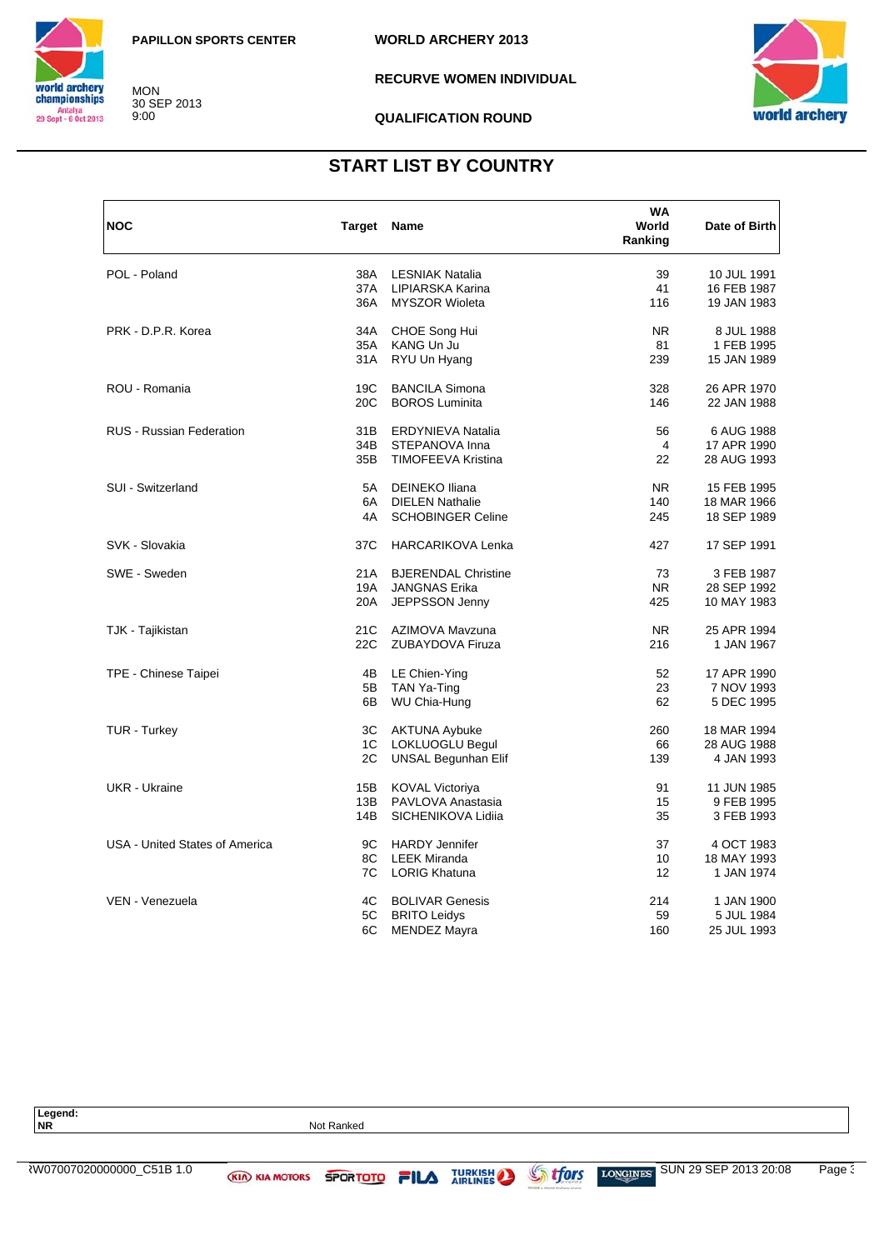

MON 30 SEP 2013 9:00



### **RECURVE WOMEN INDIVIDUAL**

#### **QUALIFICATION ROUND**

**WORLD ARCHERY 2013**

## **START LIST BY COUNTRY**

| <b>NOC</b>                      | Target Name     |                            | WA<br>World<br>Ranking | Date of Birth |
|---------------------------------|-----------------|----------------------------|------------------------|---------------|
| POL - Poland                    | 38A             | <b>LESNIAK Natalia</b>     | 39                     | 10 JUL 1991   |
|                                 | 37A             | LIPIARSKA Karina           | 41                     | 16 FEB 1987   |
|                                 | 36A             | <b>MYSZOR Wioleta</b>      | 116                    | 19 JAN 1983   |
| PRK - D.P.R. Korea              | 34A             | CHOE Song Hui              | NR.                    | 8 JUL 1988    |
|                                 | 35A             | KANG Un Ju                 | 81                     | 1 FEB 1995    |
|                                 | 31A             | RYU Un Hyang               | 239                    | 15 JAN 1989   |
| ROU - Romania                   | 19C             | <b>BANCILA Simona</b>      | 328                    | 26 APR 1970   |
|                                 | 20 <sub>C</sub> | <b>BOROS Luminita</b>      | 146                    | 22 JAN 1988   |
| <b>RUS - Russian Federation</b> | 31B             | ERDYNIEVA Natalia          | 56                     | 6 AUG 1988    |
|                                 | 34B             | STEPANOVA Inna             | 4                      | 17 APR 1990   |
|                                 | 35B             | <b>TIMOFEEVA Kristina</b>  | 22                     | 28 AUG 1993   |
| SUI - Switzerland               | 5A              | <b>DEINEKO Iliana</b>      | <b>NR</b>              | 15 FEB 1995   |
|                                 | 6A              | <b>DIELEN Nathalie</b>     | 140                    | 18 MAR 1966   |
|                                 | 4A              | <b>SCHOBINGER Celine</b>   | 245                    | 18 SEP 1989   |
| SVK - Slovakia                  | 37C             | <b>HARCARIKOVA Lenka</b>   | 427                    | 17 SEP 1991   |
| SWE - Sweden                    | 21A             | <b>BJERENDAL Christine</b> | 73                     | 3 FEB 1987    |
|                                 | 19A             | <b>JANGNAS Erika</b>       | NR.                    | 28 SEP 1992   |
|                                 | 20A             | JEPPSSON Jenny             | 425                    | 10 MAY 1983   |
| TJK - Tajikistan                | 21C             | AZIMOVA Mavzuna            | N <sub>R</sub>         | 25 APR 1994   |
|                                 | 22C             | ZUBAYDOVA Firuza           | 216                    | 1 JAN 1967    |
| TPE - Chinese Taipei            | 4B              | LE Chien-Ying              | 52                     | 17 APR 1990   |
|                                 | 5B              | TAN Ya-Ting                | 23                     | 7 NOV 1993    |
|                                 | 6B              | WU Chia-Hung               | 62                     | 5 DEC 1995    |
| TUR - Turkey                    | ЗC              | <b>AKTUNA Aybuke</b>       | 260                    | 18 MAR 1994   |
|                                 | 1C              | <b>LOKLUOGLU Begul</b>     | 66                     | 28 AUG 1988   |
|                                 | 2C              | <b>UNSAL Begunhan Elif</b> | 139                    | 4 JAN 1993    |
| UKR - Ukraine                   | 15B             | <b>KOVAL Victoriya</b>     | 91                     | 11 JUN 1985   |
|                                 | 13B             | PAVLOVA Anastasia          | 15                     | 9 FEB 1995    |
|                                 | 14B             | SICHENIKOVA Lidija         | 35                     | 3 FEB 1993    |
| USA - United States of America  | 9C              | <b>HARDY Jennifer</b>      | 37                     | 4 OCT 1983    |
|                                 | 8C              | <b>LEEK Miranda</b>        | 10                     | 18 MAY 1993   |
|                                 | 7C              | <b>LORIG Khatuna</b>       | 12                     | 1 JAN 1974    |
| VEN - Venezuela                 | 4C              | <b>BOLIVAR Genesis</b>     | 214                    | 1 JAN 1900    |
|                                 | 5C              | <b>BRITO Leidys</b>        | 59                     | 5 JUL 1984    |
|                                 | 6C              | <b>MENDEZ Mayra</b>        | 160                    | 25 JUL 1993   |

Legend:<br>NR **Not Ranked** ARW07007020000000\_C51B 1.0 SUN 29 SEP 2013 20:08 Page 3/3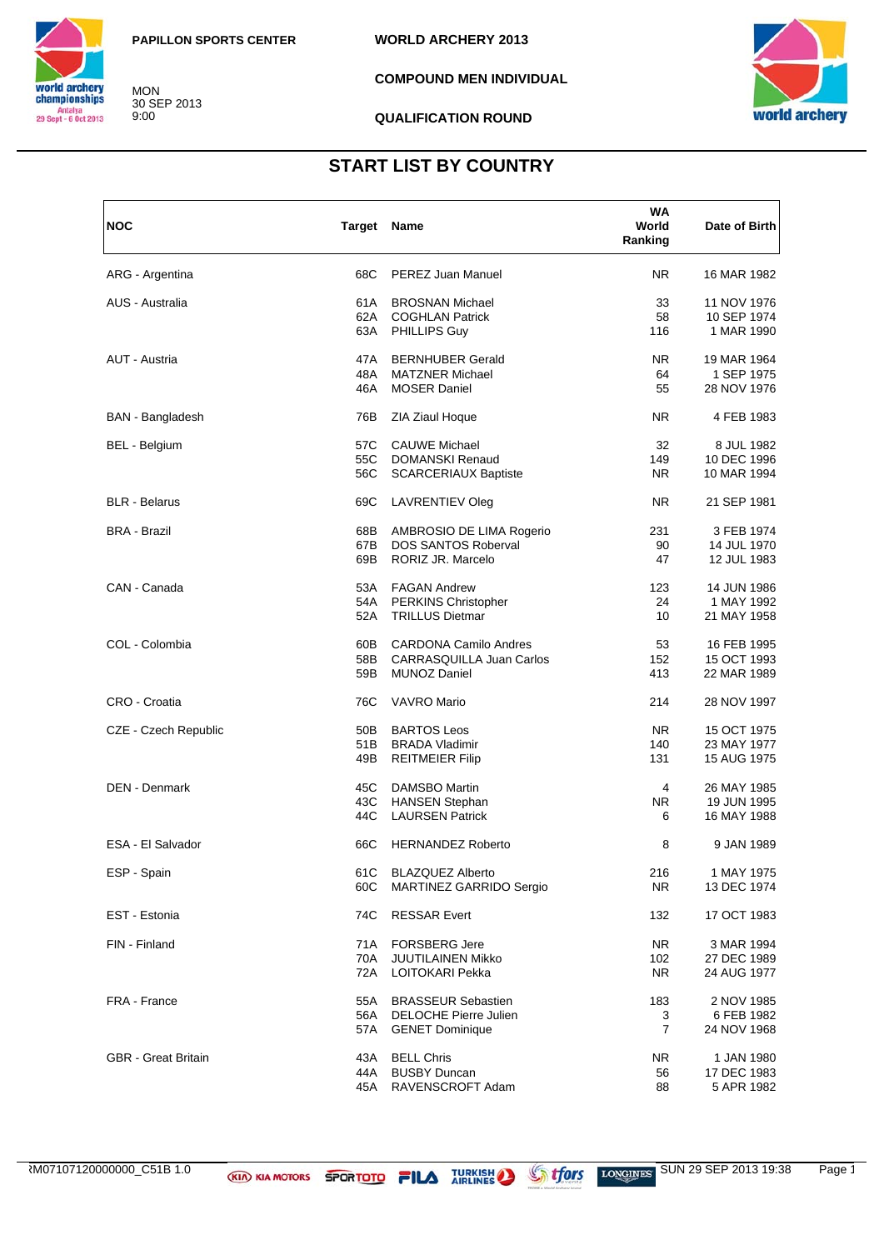

MON 30 SEP 2013 9:00

**WORLD ARCHERY 2013**

**COMPOUND MEN INDIVIDUAL**

**QUALIFICATION ROUND**



### **START LIST BY COUNTRY**

| <b>NOC</b>                 | Target Name |                                 | WA<br>World<br>Ranking | Date of Birth |
|----------------------------|-------------|---------------------------------|------------------------|---------------|
| ARG - Argentina            | 68C         | PEREZ Juan Manuel               | NR.                    | 16 MAR 1982   |
| AUS - Australia            | 61 A        | <b>BROSNAN Michael</b>          | 33                     | 11 NOV 1976   |
|                            | 62A         | <b>COGHLAN Patrick</b>          | 58                     | 10 SEP 1974   |
|                            | 63A         | PHILLIPS Guy                    | 116                    | 1 MAR 1990    |
| AUT - Austria              | 47A         | <b>BERNHUBER Gerald</b>         | NR.                    | 19 MAR 1964   |
|                            | 48A         | <b>MATZNER Michael</b>          | 64                     | 1 SEP 1975    |
|                            | 46A         | <b>MOSER Daniel</b>             | 55                     | 28 NOV 1976   |
| <b>BAN</b> - Bangladesh    | 76B         | ZIA Ziaul Hoque                 | NR.                    | 4 FEB 1983    |
| BEL - Belgium              | 57C         | <b>CAUWE Michael</b>            | 32                     | 8 JUL 1982    |
|                            | 55C         | <b>DOMANSKI Renaud</b>          | 149                    | 10 DEC 1996   |
|                            | 56C         | <b>SCARCERIAUX Baptiste</b>     | NR.                    | 10 MAR 1994   |
| <b>BLR</b> - Belarus       | 69C         | <b>LAVRENTIEV Oleg</b>          | NR.                    | 21 SEP 1981   |
| <b>BRA - Brazil</b>        | 68B         | AMBROSIO DE LIMA Rogerio        | 231                    | 3 FEB 1974    |
|                            | 67B         | DOS SANTOS Roberval             | 90                     | 14 JUL 1970   |
|                            | 69B         | RORIZ JR. Marcelo               | 47                     | 12 JUL 1983   |
| CAN - Canada               | 53A         | <b>FAGAN Andrew</b>             | 123                    | 14 JUN 1986   |
|                            | 54A         | <b>PERKINS Christopher</b>      | 24                     | 1 MAY 1992    |
|                            | 52A         | <b>TRILLUS Dietmar</b>          | 10                     | 21 MAY 1958   |
| COL - Colombia             | 60B         | <b>CARDONA Camilo Andres</b>    | 53                     | 16 FEB 1995   |
|                            | 58B         | <b>CARRASQUILLA Juan Carlos</b> | 152                    | 15 OCT 1993   |
|                            | 59B         | <b>MUNOZ Daniel</b>             | 413                    | 22 MAR 1989   |
| CRO - Croatia              | 76C         | <b>VAVRO Mario</b>              | 214                    | 28 NOV 1997   |
| CZE - Czech Republic       | 50B         | <b>BARTOS Leos</b>              | NR.                    | 15 OCT 1975   |
|                            | 51B         | <b>BRADA Vladimir</b>           | 140                    | 23 MAY 1977   |
|                            | 49B         | <b>REITMEIER Filip</b>          | 131                    | 15 AUG 1975   |
| <b>DEN - Denmark</b>       | 45C         | DAMSBO Martin                   | 4                      | 26 MAY 1985   |
|                            | 43C         | <b>HANSEN Stephan</b>           | NR.                    | 19 JUN 1995   |
|                            | 44C         | <b>LAURSEN Patrick</b>          | 6                      | 16 MAY 1988   |
| ESA - El Salvador          | 66C         | <b>HERNANDEZ Roberto</b>        | 8                      | 9 JAN 1989    |
| ESP - Spain                |             | 61C BLAZQUEZ Alberto            | 216                    | 1 MAY 1975    |
|                            | 60C         | MARTINEZ GARRIDO Sergio         | NR.                    | 13 DEC 1974   |
| EST - Estonia              | 74C         | <b>RESSAR Evert</b>             | 132                    | 17 OCT 1983   |
| FIN - Finland              | 71A         | <b>FORSBERG Jere</b>            | NR.                    | 3 MAR 1994    |
|                            | 70A         | <b>JUUTILAINEN Mikko</b>        | 102                    | 27 DEC 1989   |
|                            | 72A         | LOITOKARI Pekka                 | NR.                    | 24 AUG 1977   |
| FRA - France               | 55A         | <b>BRASSEUR Sebastien</b>       | 183                    | 2 NOV 1985    |
|                            | 56A         | <b>DELOCHE Pierre Julien</b>    | 3                      | 6 FEB 1982    |
|                            | 57A         | <b>GENET Dominique</b>          | $\overline{7}$         | 24 NOV 1968   |
| <b>GBR</b> - Great Britain | 43A         | <b>BELL Chris</b>               | NR.                    | 1 JAN 1980    |
|                            | 44A         | <b>BUSBY Duncan</b>             | 56                     | 17 DEC 1983   |
|                            | 45A         | RAVENSCROFT Adam                | 88                     | 5 APR 1982    |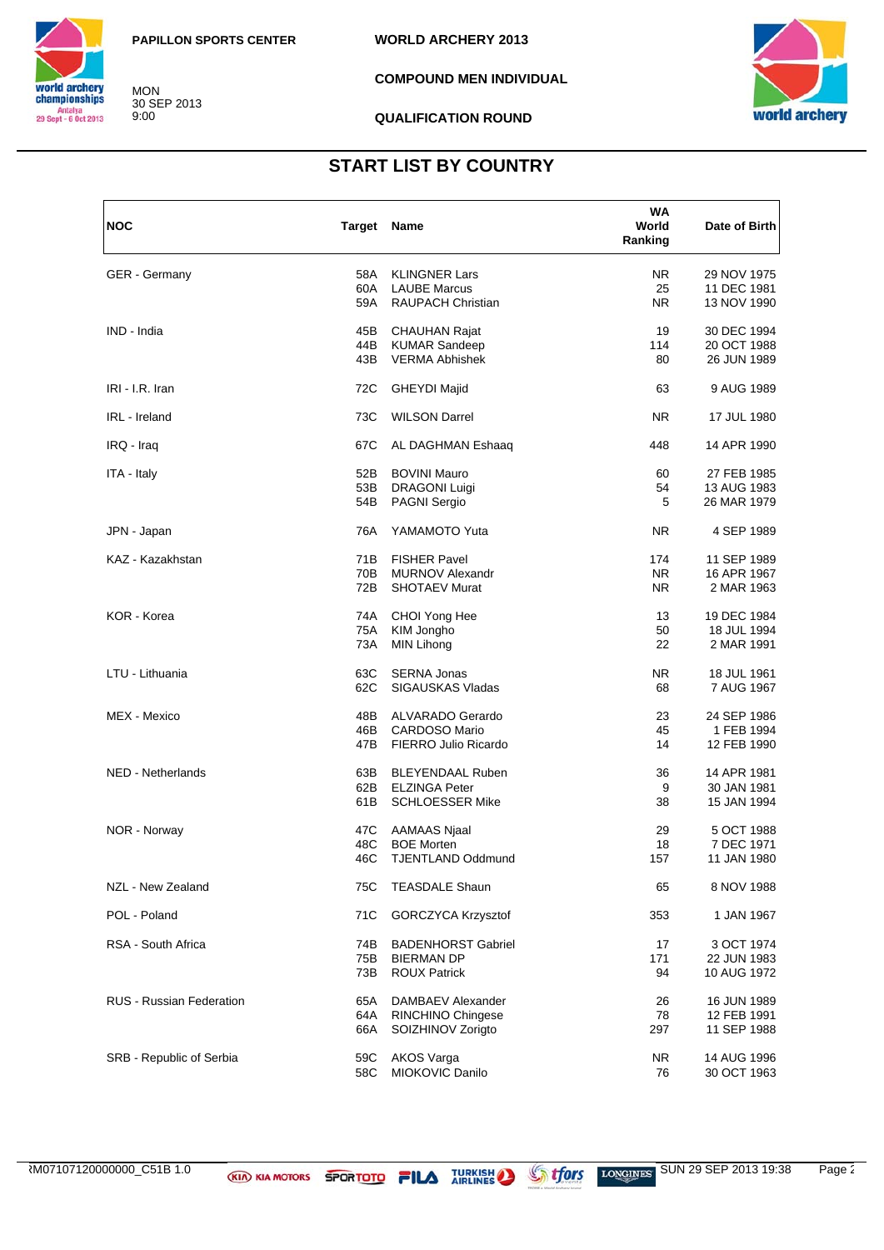

MON 30 SEP 2013 9:00

**WORLD ARCHERY 2013**

**COMPOUND MEN INDIVIDUAL**

**QUALIFICATION ROUND**



## **START LIST BY COUNTRY**

| <b>NOC</b>                      | Target Name |                           | WA<br>World<br>Ranking | Date of Birth |
|---------------------------------|-------------|---------------------------|------------------------|---------------|
| <b>GER</b> - Germany            | 58A         | <b>KLINGNER Lars</b>      | <b>NR</b>              | 29 NOV 1975   |
|                                 | 60A         | <b>LAUBE Marcus</b>       | 25                     | 11 DEC 1981   |
|                                 | 59A         | <b>RAUPACH Christian</b>  | NR.                    | 13 NOV 1990   |
| IND - India                     | 45B         | <b>CHAUHAN Rajat</b>      | 19                     | 30 DEC 1994   |
|                                 | 44B         | <b>KUMAR Sandeep</b>      | 114                    | 20 OCT 1988   |
|                                 | 43B         | <b>VERMA Abhishek</b>     | 80                     | 26 JUN 1989   |
| IRI - I.R. Iran                 | 72C         | <b>GHEYDI Majid</b>       | 63                     | 9 AUG 1989    |
| IRL - Ireland                   | 73C         | <b>WILSON Darrel</b>      | <b>NR</b>              | 17 JUL 1980   |
| IRQ - Iraq                      | 67C         | AL DAGHMAN Eshaaq         | 448                    | 14 APR 1990   |
| ITA - Italy                     | 52B         | <b>BOVINI Mauro</b>       | 60                     | 27 FEB 1985   |
|                                 | 53B         | <b>DRAGONI Luigi</b>      | 54                     | 13 AUG 1983   |
|                                 | 54B         | PAGNI Sergio              | 5                      | 26 MAR 1979   |
| JPN - Japan                     | 76A         | YAMAMOTO Yuta             | <b>NR</b>              | 4 SEP 1989    |
| KAZ - Kazakhstan                | 71B         | <b>FISHER Pavel</b>       | 174                    | 11 SEP 1989   |
|                                 | 70B         | <b>MURNOV Alexandr</b>    | <b>NR</b>              | 16 APR 1967   |
|                                 | 72B         | <b>SHOTAEV Murat</b>      | NR.                    | 2 MAR 1963    |
| KOR - Korea                     | 74A         | CHOI Yong Hee             | 13                     | 19 DEC 1984   |
|                                 | 75A         | KIM Jongho                | 50                     | 18 JUL 1994   |
|                                 | 73A         | <b>MIN Lihong</b>         | 22                     | 2 MAR 1991    |
| LTU - Lithuania                 | 63C         | <b>SERNA Jonas</b>        | NR.                    | 18 JUL 1961   |
|                                 | 62C         | <b>SIGAUSKAS Vladas</b>   | 68                     | 7 AUG 1967    |
| MEX - Mexico                    | 48B         | ALVARADO Gerardo          | 23                     | 24 SEP 1986   |
|                                 | 46B         | <b>CARDOSO Mario</b>      | 45                     | 1 FEB 1994    |
|                                 | 47B         | FIERRO Julio Ricardo      | 14                     | 12 FEB 1990   |
| NED - Netherlands               | 63B         | <b>BLEYENDAAL Ruben</b>   | 36                     | 14 APR 1981   |
|                                 | 62B         | <b>ELZINGA Peter</b>      | 9                      | 30 JAN 1981   |
|                                 | 61B         | <b>SCHLOESSER Mike</b>    | 38                     | 15 JAN 1994   |
| NOR - Norway                    | 47C         | AAMAAS Njaal              | 29                     | 5 OCT 1988    |
|                                 | 48C         | <b>BOE Morten</b>         | 18                     | 7 DEC 1971    |
|                                 | 46C         | <b>TJENTLAND Oddmund</b>  | 157                    | 11 JAN 1980   |
| NZL - New Zealand               | 75C         | <b>TEASDALE Shaun</b>     | 65                     | 8 NOV 1988    |
| POL - Poland                    | 71C         | GORCZYCA Krzysztof        | 353                    | 1 JAN 1967    |
| RSA - South Africa              | 74B         | <b>BADENHORST Gabriel</b> | 17                     | 3 OCT 1974    |
|                                 | 75B         | <b>BIERMAN DP</b>         | 171                    | 22 JUN 1983   |
|                                 | 73B         | <b>ROUX Patrick</b>       | 94                     | 10 AUG 1972   |
| <b>RUS - Russian Federation</b> | 65A         | DAMBAEV Alexander         | 26                     | 16 JUN 1989   |
|                                 | 64A         | <b>RINCHINO Chingese</b>  | 78                     | 12 FEB 1991   |
|                                 | 66A         | SOIZHINOV Zorigto         | 297                    | 11 SEP 1988   |
| SRB - Republic of Serbia        | 59C         | <b>AKOS Varga</b>         | <b>NR</b>              | 14 AUG 1996   |
|                                 | 58C         | MIOKOVIC Danilo           | 76                     | 30 OCT 1963   |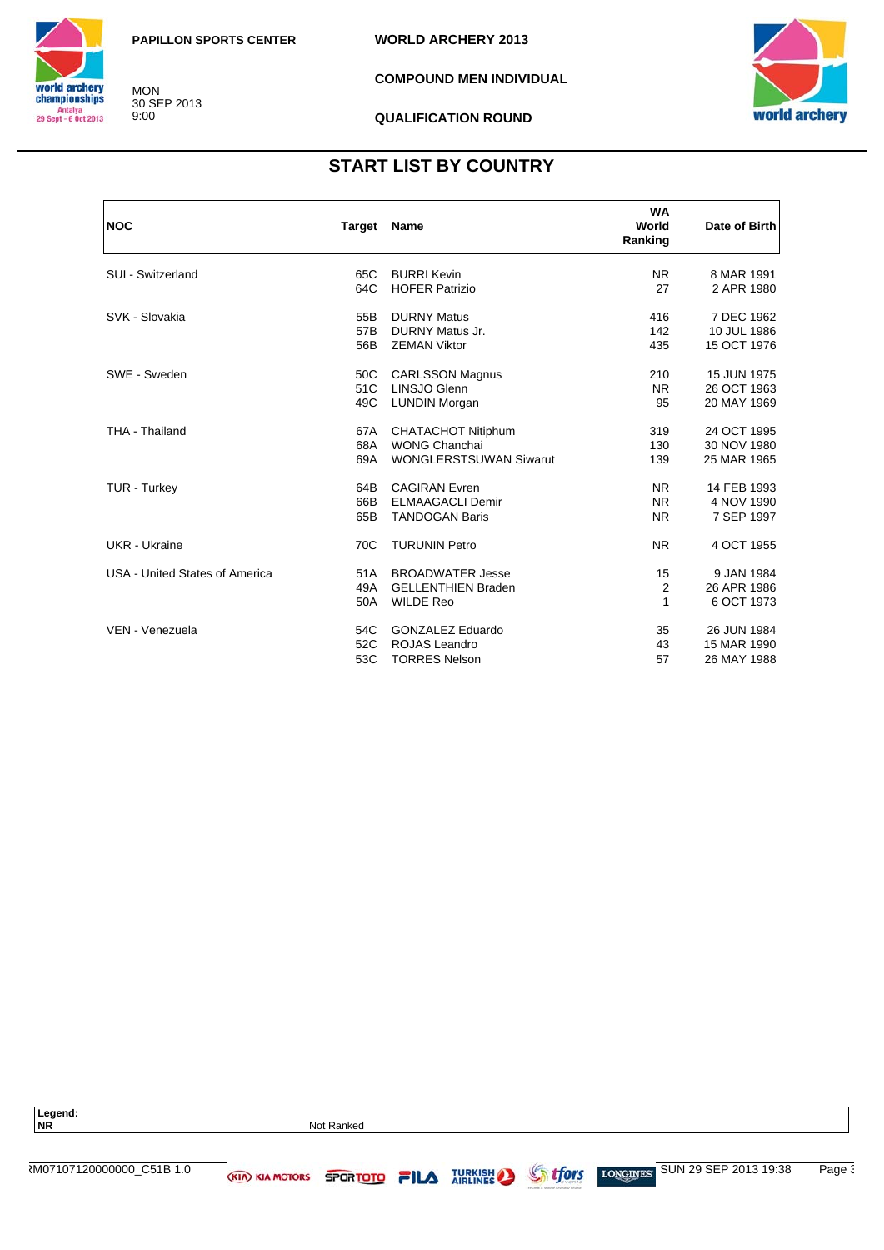

MON 30 SEP 2013 9:00

**WORLD ARCHERY 2013**

**COMPOUND MEN INDIVIDUAL**

**QUALIFICATION ROUND**



## **START LIST BY COUNTRY**

| <b>NOC</b>                     | <b>Target</b> | Name                          | <b>WA</b><br>World<br>Ranking | Date of Birth |
|--------------------------------|---------------|-------------------------------|-------------------------------|---------------|
| SUI - Switzerland              | 65C           | <b>BURRI Kevin</b>            | NR.                           | 8 MAR 1991    |
|                                | 64C           | <b>HOFER Patrizio</b>         | 27                            | 2 APR 1980    |
| SVK - Slovakia                 | 55B           | <b>DURNY Matus</b>            | 416                           | 7 DEC 1962    |
|                                | 57B           | DURNY Matus Jr.               | 142                           | 10 JUL 1986   |
|                                | 56B           | <b>ZEMAN Viktor</b>           | 435                           | 15 OCT 1976   |
| SWE - Sweden                   | 50C           | <b>CARLSSON Magnus</b>        | 210                           | 15 JUN 1975   |
|                                | 51C           | LINSJO Glenn                  | <b>NR</b>                     | 26 OCT 1963   |
|                                | 49C           | <b>LUNDIN Morgan</b>          | 95                            | 20 MAY 1969   |
| THA - Thailand                 | 67A           | <b>CHATACHOT Nitiphum</b>     | 319                           | 24 OCT 1995   |
|                                | 68A           | <b>WONG Chanchai</b>          | 130                           | 30 NOV 1980   |
|                                | 69A           | <b>WONGLERSTSUWAN Siwarut</b> | 139                           | 25 MAR 1965   |
| TUR - Turkey                   | 64B           | <b>CAGIRAN Evren</b>          | <b>NR</b>                     | 14 FEB 1993   |
|                                | 66B           | <b>ELMAAGACLI Demir</b>       | N <sub>R</sub>                | 4 NOV 1990    |
|                                | 65B           | <b>TANDOGAN Baris</b>         | <b>NR</b>                     | 7 SEP 1997    |
| <b>UKR</b> - Ukraine           | 70C           | <b>TURUNIN Petro</b>          | <b>NR</b>                     | 4 OCT 1955    |
| USA - United States of America | 51A           | <b>BROADWATER Jesse</b>       | 15                            | 9 JAN 1984    |
|                                | 49A           | <b>GELLENTHIEN Braden</b>     | 2                             | 26 APR 1986   |
|                                | 50A           | <b>WILDE Reo</b>              | 1                             | 6 OCT 1973    |
| VEN - Venezuela                | 54C           | <b>GONZALEZ Eduardo</b>       | 35                            | 26 JUN 1984   |
|                                | 52C           | ROJAS Leandro                 | 43                            | 15 MAR 1990   |
|                                | 53C           | <b>TORRES Nelson</b>          | 57                            | 26 MAY 1988   |

| Legend:<br><b>NR</b>     |                       | Not Ranked    |                |                                                |                                   |       |
|--------------------------|-----------------------|---------------|----------------|------------------------------------------------|-----------------------------------|-------|
|                          |                       |               |                |                                                |                                   |       |
| M07107120000000 C51B 1.0 | <b>KIA KIA MOTORS</b> | SPORTOTO FILA | <b>TURKISH</b> | <b>Strfors</b><br>TPCUM a World Angluery heavy | SUN 29 SEP 2013 19:38<br>LONGINES | Page: |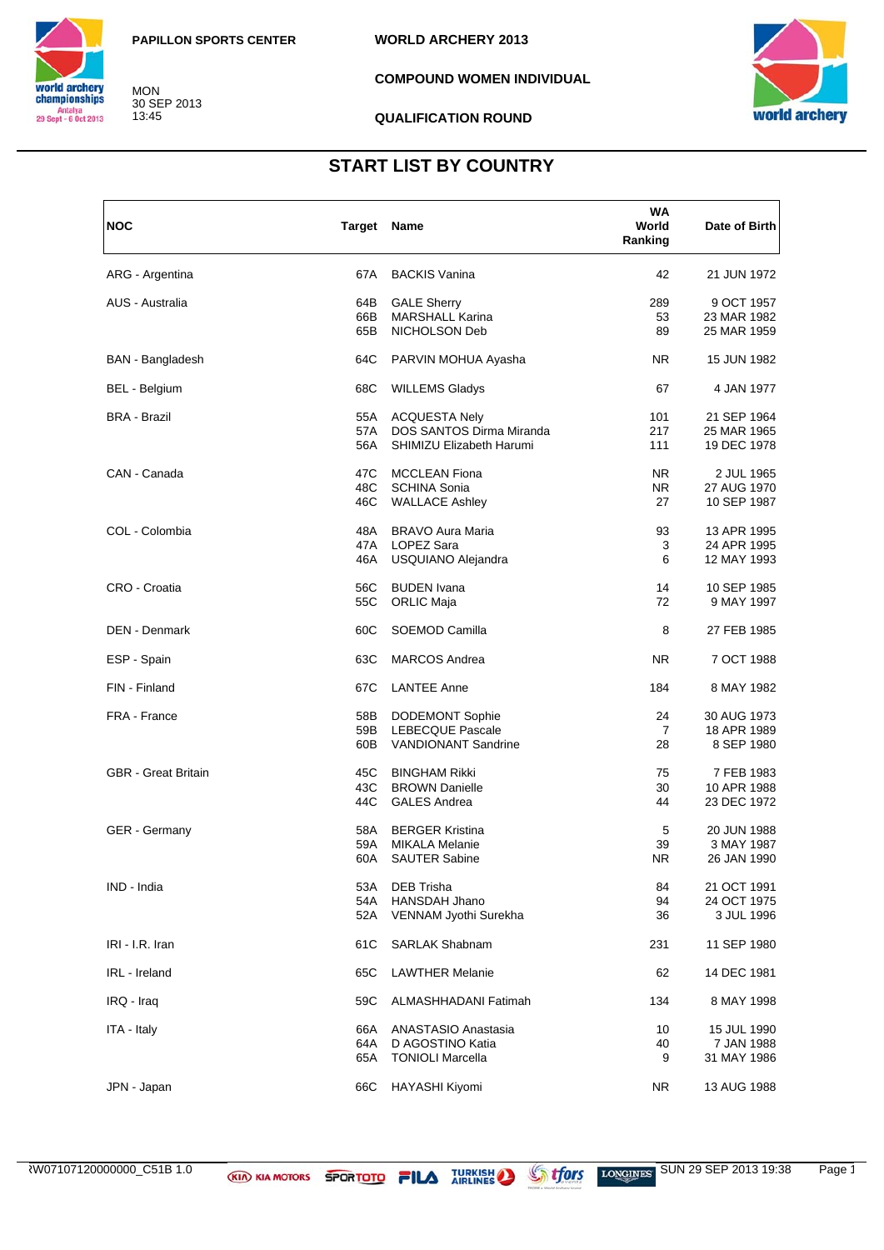

MON 30 SEP 2013 13:45

**WORLD ARCHERY 2013**

**COMPOUND WOMEN INDIVIDUAL**

#### **QUALIFICATION ROUND**



### **START LIST BY COUNTRY**

| <b>NOC</b>                 | <b>Target Name</b> |                            | WA<br>World<br>Ranking | Date of Birth |
|----------------------------|--------------------|----------------------------|------------------------|---------------|
| ARG - Argentina            | 67A                | <b>BACKIS Vanina</b>       | 42                     | 21 JUN 1972   |
| AUS - Australia            | 64B                | <b>GALE Sherry</b>         | 289                    | 9 OCT 1957    |
|                            | 66B                | <b>MARSHALL Karina</b>     | 53                     | 23 MAR 1982   |
|                            | 65B                | NICHOLSON Deb              | 89                     | 25 MAR 1959   |
| <b>BAN</b> - Bangladesh    | 64C                | PARVIN MOHUA Ayasha        | NR.                    | 15 JUN 1982   |
| BEL - Belgium              | 68C                | <b>WILLEMS Gladys</b>      | 67                     | 4 JAN 1977    |
| <b>BRA - Brazil</b>        | 55A                | <b>ACQUESTA Nely</b>       | 101                    | 21 SEP 1964   |
|                            | 57A                | DOS SANTOS Dirma Miranda   | 217                    | 25 MAR 1965   |
|                            | 56A                | SHIMIZU Elizabeth Harumi   | 111                    | 19 DEC 1978   |
| CAN - Canada               | 47C                | <b>MCCLEAN Fiona</b>       | <b>NR</b>              | 2 JUL 1965    |
|                            | 48C                | <b>SCHINA Sonia</b>        | NR.                    | 27 AUG 1970   |
|                            | 46C                | <b>WALLACE Ashley</b>      | 27                     | 10 SEP 1987   |
| COL - Colombia             | 48A                | <b>BRAVO Aura Maria</b>    | 93                     | 13 APR 1995   |
|                            | 47A                | LOPEZ Sara                 | 3                      | 24 APR 1995   |
|                            | 46A                | USQUIANO Alejandra         | 6                      | 12 MAY 1993   |
| CRO - Croatia              | 56C                | <b>BUDEN</b> Ivana         | 14                     | 10 SEP 1985   |
|                            | 55C                | <b>ORLIC Maja</b>          | 72                     | 9 MAY 1997    |
| DEN - Denmark              | 60C                | SOEMOD Camilla             | 8                      | 27 FEB 1985   |
| ESP - Spain                | 63C                | <b>MARCOS Andrea</b>       | <b>NR</b>              | 7 OCT 1988    |
| FIN - Finland              | 67C                | <b>LANTEE Anne</b>         | 184                    | 8 MAY 1982    |
| FRA - France               | 58B                | <b>DODEMONT Sophie</b>     | 24                     | 30 AUG 1973   |
|                            | 59B                | <b>LEBECQUE Pascale</b>    | 7                      | 18 APR 1989   |
|                            | 60B                | <b>VANDIONANT Sandrine</b> | 28                     | 8 SEP 1980    |
| <b>GBR</b> - Great Britain | 45C                | <b>BINGHAM Rikki</b>       | 75                     | 7 FEB 1983    |
|                            | 43C                | <b>BROWN Danielle</b>      | 30                     | 10 APR 1988   |
|                            | 44C                | <b>GALES Andrea</b>        | 44                     | 23 DEC 1972   |
| <b>GER</b> - Germany       | 58A                | <b>BERGER Kristina</b>     | 5                      | 20 JUN 1988   |
|                            | 59A                | <b>MIKALA Melanie</b>      | 39                     | 3 MAY 1987    |
|                            | 60A                | <b>SAUTER Sabine</b>       | <b>NR</b>              | 26 JAN 1990   |
| IND - India                | 53A                | <b>DEB Trisha</b>          | 84                     | 21 OCT 1991   |
|                            | 54A                | HANSDAH Jhano              | 94                     | 24 OCT 1975   |
|                            | 52A                | VENNAM Jyothi Surekha      | 36                     | 3 JUL 1996    |
| IRI - I.R. Iran            | 61C                | <b>SARLAK Shabnam</b>      | 231                    | 11 SEP 1980   |
| IRL - Ireland              | 65C                | <b>LAWTHER Melanie</b>     | 62                     | 14 DEC 1981   |
| IRQ - Iraq                 | 59C                | ALMASHHADANI Fatimah       | 134                    | 8 MAY 1998    |
| ITA - Italy                | 66A                | ANASTASIO Anastasia        | 10                     | 15 JUL 1990   |
|                            | 64A                | D AGOSTINO Katia           | 40                     | 7 JAN 1988    |
|                            | 65A                | <b>TONIOLI Marcella</b>    | 9                      | 31 MAY 1986   |
| JPN - Japan                | 66C                | HAYASHI Kiyomi             | <b>NR</b>              | 13 AUG 1988   |

RW07107120000000\_C51B 1.0 **KIA KIA MOTORS SPORTOTO FILA** TURKISH SUN 29 SEP 2013 19:38 Page 1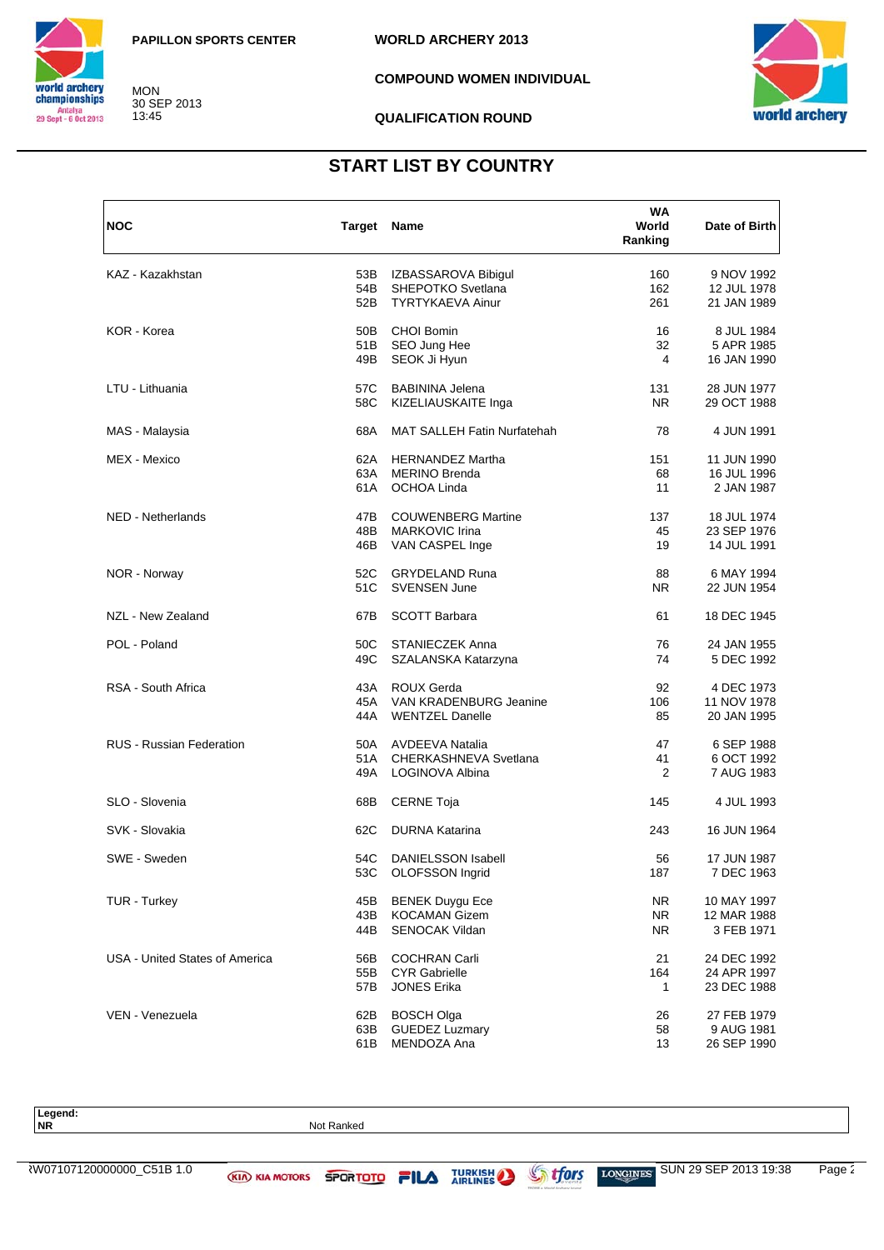

MON 30 SEP 2013 13:45

**COMPOUND WOMEN INDIVIDUAL**

**QUALIFICATION ROUND**

**WORLD ARCHERY 2013**



### **START LIST BY COUNTRY**

| <b>NOC</b>                      | Target Name |                                    | WA<br>World<br>Ranking | Date of Birth |
|---------------------------------|-------------|------------------------------------|------------------------|---------------|
| KAZ - Kazakhstan                | 53B         | IZBASSAROVA Bibigul                | 160                    | 9 NOV 1992    |
|                                 | 54B         | SHEPOTKO Svetlana                  | 162                    | 12 JUL 1978   |
|                                 | 52B         | TYRTYKAEVA Ainur                   | 261                    | 21 JAN 1989   |
| KOR - Korea                     | 50B         | <b>CHOI Bomin</b>                  | 16                     | 8 JUL 1984    |
|                                 | 51 B        | SEO Jung Hee                       | 32                     | 5 APR 1985    |
|                                 | 49B         | SEOK Ji Hyun                       | 4                      | 16 JAN 1990   |
| LTU - Lithuania                 | 57C         | <b>BABININA Jelena</b>             | 131                    | 28 JUN 1977   |
|                                 | 58C         | KIZELIAUSKAITE Inga                | N <sub>R</sub>         | 29 OCT 1988   |
| MAS - Malaysia                  | 68A         | <b>MAT SALLEH Fatin Nurfatehah</b> | 78                     | 4 JUN 1991    |
| MEX - Mexico                    | 62A         | <b>HERNANDEZ Martha</b>            | 151                    | 11 JUN 1990   |
|                                 | 63A         | <b>MERINO Brenda</b>               | 68                     | 16 JUL 1996   |
|                                 | 61 A        | OCHOA Linda                        | 11                     | 2 JAN 1987    |
| <b>NED - Netherlands</b>        | 47B         | <b>COUWENBERG Martine</b>          | 137                    | 18 JUL 1974   |
|                                 | 48B         | <b>MARKOVIC Irina</b>              | 45                     | 23 SEP 1976   |
|                                 | 46B         | VAN CASPEL Inge                    | 19                     | 14 JUL 1991   |
| NOR - Norway                    | 52C         | <b>GRYDELAND Runa</b>              | 88                     | 6 MAY 1994    |
|                                 | 51C         | <b>SVENSEN June</b>                | <b>NR</b>              | 22 JUN 1954   |
| NZL - New Zealand               | 67B         | <b>SCOTT Barbara</b>               | 61                     | 18 DEC 1945   |
| POL - Poland                    | 50C         | <b>STANIECZEK Anna</b>             | 76                     | 24 JAN 1955   |
|                                 | 49C         | SZALANSKA Katarzyna                | 74                     | 5 DEC 1992    |
| RSA - South Africa              | 43A         | <b>ROUX Gerda</b>                  | 92                     | 4 DEC 1973    |
|                                 | 45A         | VAN KRADENBURG Jeanine             | 106                    | 11 NOV 1978   |
|                                 | 44A         | <b>WENTZEL Danelle</b>             | 85                     | 20 JAN 1995   |
| <b>RUS - Russian Federation</b> | 50A         | <b>AVDEEVA Natalia</b>             | 47                     | 6 SEP 1988    |
|                                 | 51A         | CHERKASHNEVA Svetlana              | 41                     | 6 OCT 1992    |
|                                 | 49A         | LOGINOVA Albina                    | 2                      | 7 AUG 1983    |
| SLO - Slovenia                  | 68B         | <b>CERNE Toja</b>                  | 145                    | 4 JUL 1993    |
| SVK - Slovakia                  | 62C         | <b>DURNA Katarina</b>              | 243                    | 16 JUN 1964   |
| SWE - Sweden                    | 54C         | <b>DANIELSSON Isabell</b>          | 56                     | 17 JUN 1987   |
|                                 | 53C         | OLOFSSON Ingrid                    | 187                    | 7 DEC 1963    |
| <b>TUR - Turkey</b>             | 45B         | <b>BENEK Duygu Ece</b>             | NR.                    | 10 MAY 1997   |
|                                 | 43B         | <b>KOCAMAN Gizem</b>               | NR.                    | 12 MAR 1988   |
|                                 | 44B         | <b>SENOCAK Vildan</b>              | NR.                    | 3 FEB 1971    |
| USA - United States of America  | 56B         | <b>COCHRAN Carli</b>               | 21                     | 24 DEC 1992   |
|                                 | 55B         | <b>CYR Gabrielle</b>               | 164                    | 24 APR 1997   |
|                                 | 57B         | <b>JONES Erika</b>                 | 1                      | 23 DEC 1988   |
| VEN - Venezuela                 | 62B         | <b>BOSCH Olga</b>                  | 26                     | 27 FEB 1979   |
|                                 | 63B         | <b>GUEDEZ Luzmary</b>              | 58                     | 9 AUG 1981    |
|                                 | 61B         | MENDOZA Ana                        | 13                     | 26 SEP 1990   |

Legend:<br>NR

**Not Ranked**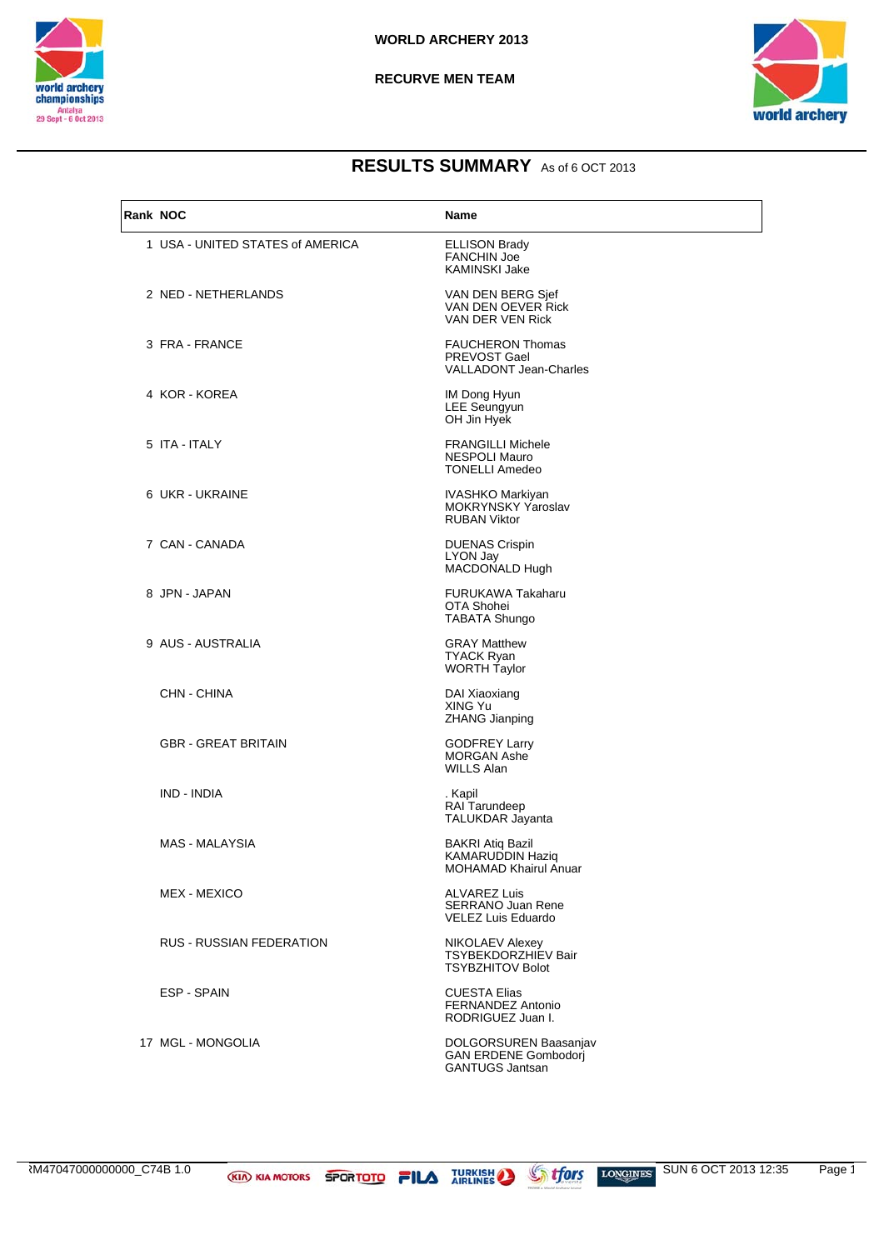



| Rank NOC |                                  | Name                                                                            |
|----------|----------------------------------|---------------------------------------------------------------------------------|
|          | 1 USA - UNITED STATES of AMERICA | <b>ELLISON Brady</b><br><b>FANCHIN Joe</b><br><b>KAMINSKI Jake</b>              |
|          | 2 NED - NETHERLANDS              | VAN DEN BERG Sjef<br>VAN DEN OEVER Rick<br>VAN DER VEN Rick                     |
|          | 3 FRA - FRANCE                   | <b>FAUCHERON Thomas</b><br>PREVOST Gael<br><b>VALLADONT Jean-Charles</b>        |
|          | 4 KOR - KOREA                    | IM Dong Hyun<br><b>LEE Seungyun</b><br>OH Jin Hyek                              |
|          | 5 ITA - ITALY                    | <b>FRANGILLI Michele</b><br>NESPOLI Mauro<br><b>TONELLI Amedeo</b>              |
|          | 6 UKR - UKRAINE                  | IVASHKO Markiyan<br><b>MOKRYNSKY Yaroslav</b><br><b>RUBAN Viktor</b>            |
|          | 7 CAN - CANADA                   | <b>DUENAS Crispin</b><br>LYON Jay<br>MACDONALD Hugh                             |
|          | 8 JPN - JAPAN                    | FURUKAWA Takaharu<br>OTA Shohei<br><b>TABATA Shungo</b>                         |
|          | 9 AUS - AUSTRALIA                | <b>GRAY Matthew</b><br><b>TYACK Ryan</b><br><b>WORTH Taylor</b>                 |
|          | CHN - CHINA                      | DAI Xiaoxiang<br>XING Yu<br><b>ZHANG Jianping</b>                               |
|          | <b>GBR - GREAT BRITAIN</b>       | <b>GODFREY Larry</b><br><b>MORGAN Ashe</b><br><b>WILLS Alan</b>                 |
|          | IND - INDIA                      | . Kapil<br>RAI Tarundeep<br>TALUKDAR Jayanta                                    |
|          | MAS - MALAYSIA                   | BAKRI Atiq Bazil<br><b>KAMARUDDIN Haziq</b><br><b>MOHAMAD Khairul Anuar</b>     |
|          | <b>MEX - MEXICO</b>              | <b>ALVAREZ Luis</b><br><b>SERRANO Juan Rene</b><br>VELEZ Luis Eduardo           |
|          | <b>RUS - RUSSIAN FEDERATION</b>  | <b>NIKOLAEV Alexey</b><br><b>TSYBEKDORZHIEV Bair</b><br><b>TSYBZHITOV Bolot</b> |
|          | ESP - SPAIN                      | <b>CUESTA Elias</b><br>FERNANDEZ Antonio<br>RODRIGUEZ Juan I.                   |
|          | 17 MGL - MONGOLIA                | DOLGORSUREN Baasanjav<br><b>GAN ERDENE Gombodori</b><br><b>GANTUGS Jantsan</b>  |

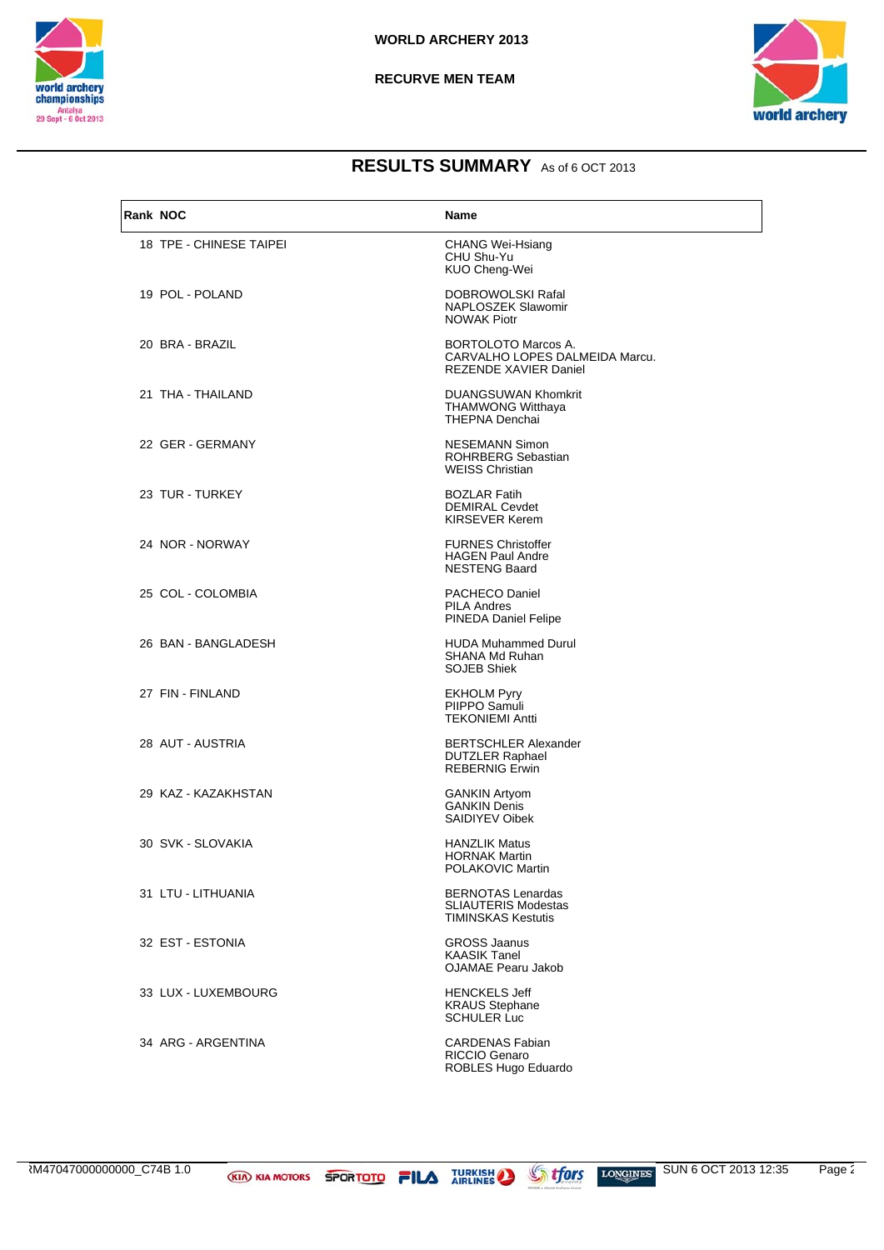



| Rank NOC |                         | <b>Name</b>                                                                                  |
|----------|-------------------------|----------------------------------------------------------------------------------------------|
|          | 18 TPE - CHINESE TAIPEI | CHANG Wei-Hsiang<br>CHU Shu-Yu<br>KUO Cheng-Wei                                              |
|          | 19 POL - POLAND         | DOBROWOLSKI Rafal<br>NAPLOSZEK Slawomir<br><b>NOWAK Piotr</b>                                |
|          | 20 BRA - BRAZIL         | <b>BORTOLOTO Marcos A.</b><br>CARVALHO LOPES DALMEIDA Marcu.<br><b>REZENDE XAVIER Daniel</b> |
|          | 21 THA - THAILAND       | <b>DUANGSUWAN Khomkrit</b><br><b>THAMWONG Witthaya</b><br><b>THEPNA Denchai</b>              |
|          | 22 GER - GERMANY        | NESEMANN Simon<br><b>ROHRBERG Sebastian</b><br><b>WEISS Christian</b>                        |
|          | 23 TUR - TURKEY         | <b>BOZLAR Fatih</b><br><b>DEMIRAL Cevdet</b><br><b>KIRSEVER Kerem</b>                        |
|          | 24 NOR - NORWAY         | <b>FURNES Christoffer</b><br><b>HAGEN Paul Andre</b><br><b>NESTENG Baard</b>                 |
|          | 25 COL - COLOMBIA       | PACHECO Daniel<br><b>PILA Andres</b><br>PINEDA Daniel Felipe                                 |
|          | 26 BAN - BANGLADESH     | <b>HUDA Muhammed Durul</b><br><b>SHANA Md Ruhan</b><br><b>SOJEB Shiek</b>                    |
|          | 27 FIN - FINLAND        | <b>EKHOLM Pyry</b><br>PIIPPO Samuli<br><b>TEKONIEMI Antti</b>                                |
|          | 28 AUT - AUSTRIA        | <b>BERTSCHLER Alexander</b><br><b>DUTZLER Raphael</b><br><b>REBERNIG Erwin</b>               |
|          | 29 KAZ - KAZAKHSTAN     | <b>GANKIN Artyom</b><br><b>GANKIN Denis</b><br>SAIDIYEV Oibek                                |
|          | 30 SVK - SLOVAKIA       | <b>HANZLIK Matus</b><br><b>HORNAK Martin</b><br>POLAKOVIC Martin                             |
|          | 31 LTU - LITHUANIA      | <b>BERNOTAS Lenardas</b><br><b>SLIAUTERIS Modestas</b><br><b>TIMINSKAS Kestutis</b>          |
|          | 32 EST - ESTONIA        | <b>GROSS Jaanus</b><br><b>KAASIK Tanel</b><br><b>OJAMAE Pearu Jakob</b>                      |
|          | 33 LUX - LUXEMBOURG     | <b>HENCKELS Jeff</b><br><b>KRAUS Stephane</b><br><b>SCHULER Luc</b>                          |
|          | 34 ARG - ARGENTINA      | <b>CARDENAS Fabian</b><br>RICCIO Genaro<br>ROBLES Hugo Eduardo                               |

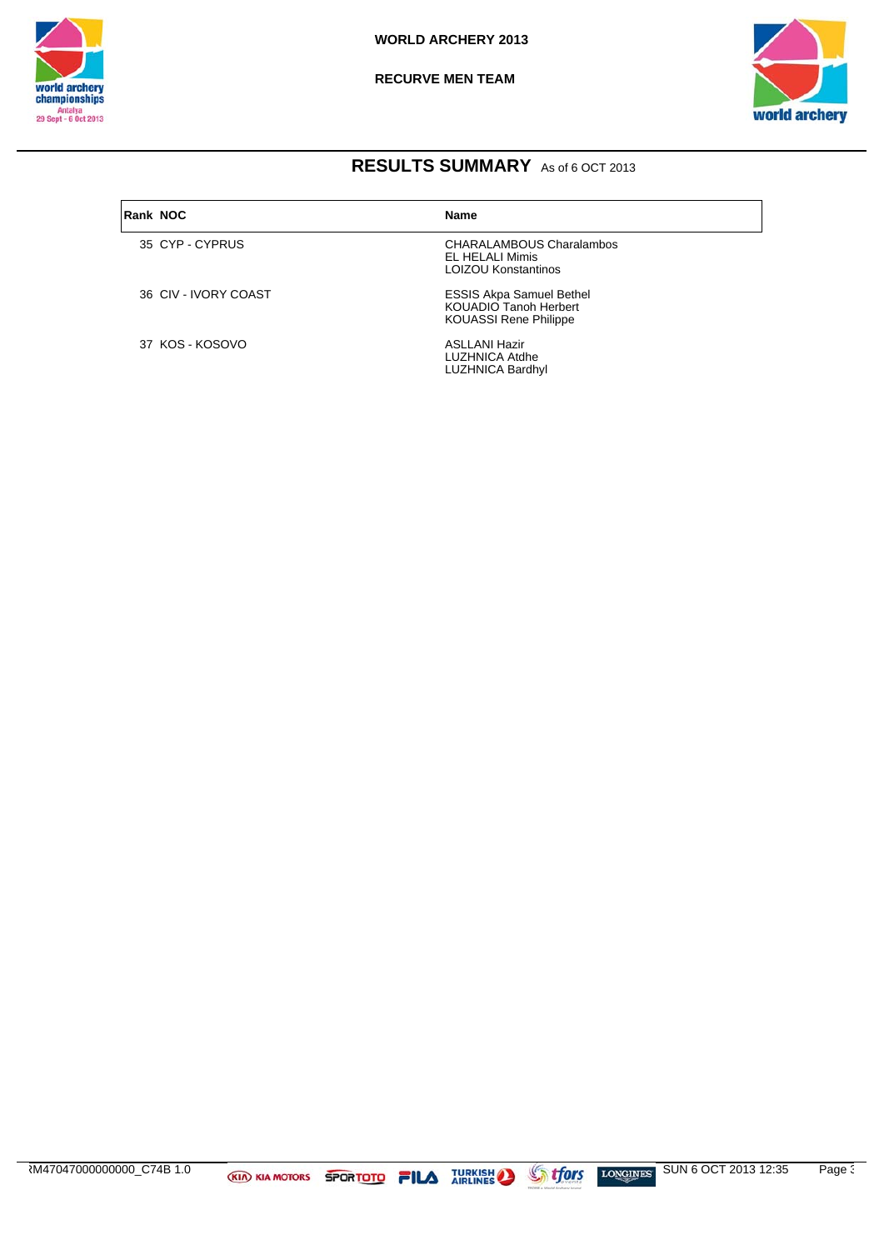

**RECURVE MEN TEAM** 



### RESULTS SUMMARY As of 6 OCT 2013

| <b>Rank NOC</b> |                      | <b>Name</b>                                                                                     |
|-----------------|----------------------|-------------------------------------------------------------------------------------------------|
|                 | 35 CYP-CYPRUS        | <b>CHARALAMBOUS Charalambos</b><br><b>EL HELALI Mimis</b><br><b>LOIZOU Konstantinos</b>         |
|                 | 36 CIV - IVORY COAST | <b>ESSIS Akpa Samuel Bethel</b><br><b>KOUADIO Tanoh Herbert</b><br><b>KOUASSI Rene Philippe</b> |
|                 | 37 KOS - KOSOVO      | <b>ASLLANI Hazir</b><br>LUZHNICA Atdhe<br><b>LUZHNICA Bardhyl</b>                               |

SUN 6 OCT 2013 12:35 RM47047000000000\_C74B 1.0 **Stfors** Page 3 **KIA KIA MOTORS SPORTOTO FILA TURKISH AND AT ATTACK AT A TURKISH** LONGINES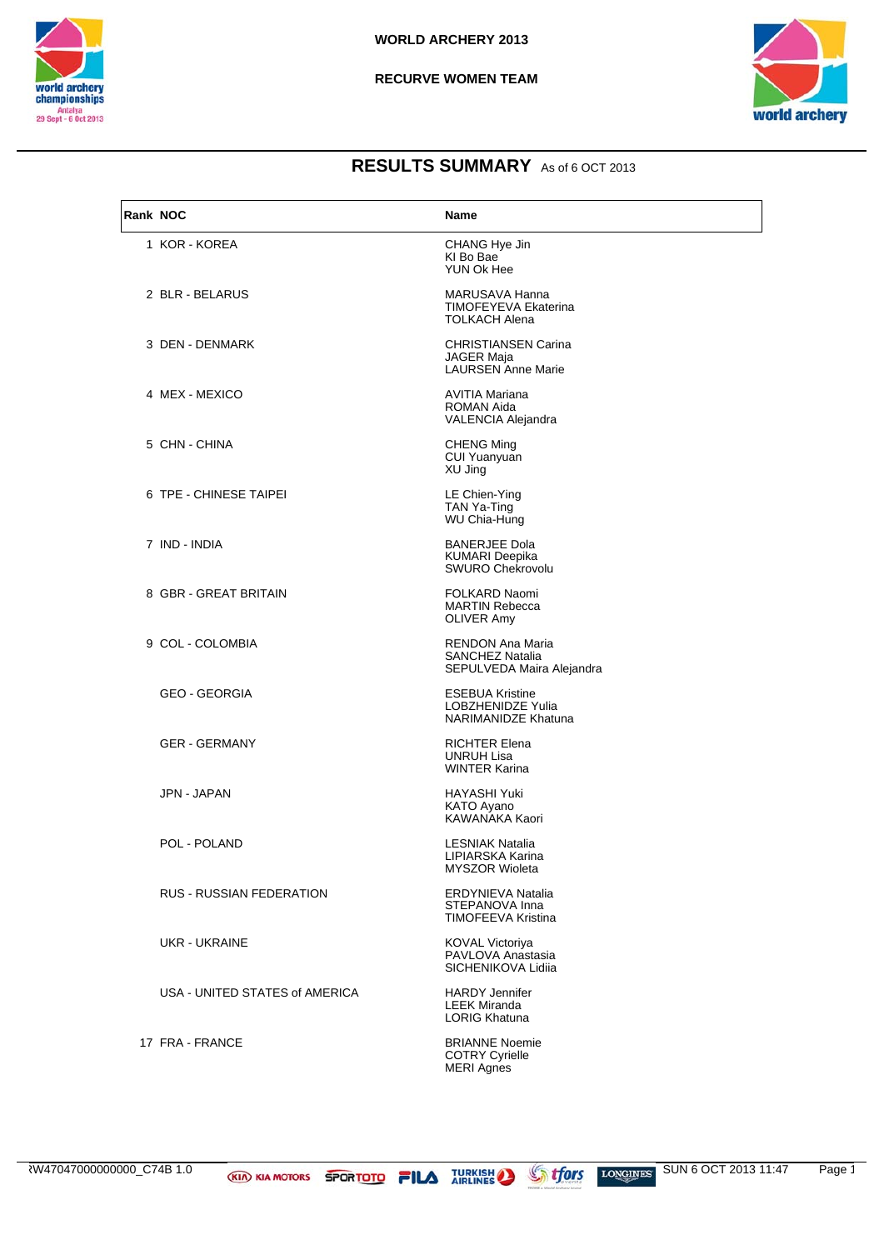



| Rank NOC |                                 | Name                                                                         |
|----------|---------------------------------|------------------------------------------------------------------------------|
|          | 1 KOR - KOREA                   | CHANG Hye Jin<br>KI Bo Bae<br>YUN Ok Hee                                     |
|          | 2 BLR - BELARUS                 | MARUSAVA Hanna<br><b>TIMOFEYEVA Ekaterina</b><br><b>TOLKACH Alena</b>        |
|          | 3 DEN - DENMARK                 | <b>CHRISTIANSEN Carina</b><br><b>JAGER Maja</b><br><b>LAURSEN Anne Marie</b> |
|          | 4 MEX - MEXICO                  | <b>AVITIA Mariana</b><br><b>ROMAN Aida</b><br>VALENCIA Alejandra             |
|          | 5 CHN - CHINA                   | <b>CHENG Ming</b><br><b>CUI Yuanyuan</b><br>XU Jing                          |
|          | 6 TPE - CHINESE TAIPEI          | LE Chien-Ying<br>TAN Ya-Ting<br>WU Chia-Hung                                 |
|          | 7 IND - INDIA                   | <b>BANERJEE Dola</b><br>KUMARI Deepika<br><b>SWURO Chekrovolu</b>            |
|          | 8 GBR - GREAT BRITAIN           | FOLKARD Naomi<br><b>MARTIN Rebecca</b><br>OLIVER Amy                         |
|          | 9 COL - COLOMBIA                | <b>RENDON Ana Maria</b><br>SANCHEZ Natalia<br>SEPULVEDA Maira Alejandra      |
|          | GEO - GEORGIA                   | <b>ESEBUA Kristine</b><br>LOBZHENIDZE Yulia<br>NARIMANIDZE Khatuna           |
|          | <b>GER - GERMANY</b>            | <b>RICHTER Elena</b><br><b>UNRUH Lisa</b><br><b>WINTER Karina</b>            |
|          | JPN - JAPAN                     | <b>HAYASHI Yuki</b><br><b>KATO Ayano</b><br>KAWANAKA Kaori                   |
|          | POL - POLAND                    | <b>LESNIAK Natalia</b><br>LIPIARSKA Karina<br><b>MYSZOR Wioleta</b>          |
|          | <b>RUS - RUSSIAN FEDERATION</b> | ERDYNIEVA Natalia<br>STEPANOVA Inna<br>TIMOFEEVA Kristina                    |
|          | UKR - UKRAINE                   | KOVAL Victoriya<br>PAVLOVA Anastasia<br>SICHENIKOVA Lidija                   |
|          | USA - UNITED STATES of AMERICA  | <b>HARDY Jennifer</b><br><b>LEEK Miranda</b><br><b>LORIG Khatuna</b>         |
|          | 17 FRA - FRANCE                 | <b>BRIANNE Noemie</b><br><b>COTRY Cyrielle</b><br><b>MERI Agnes</b>          |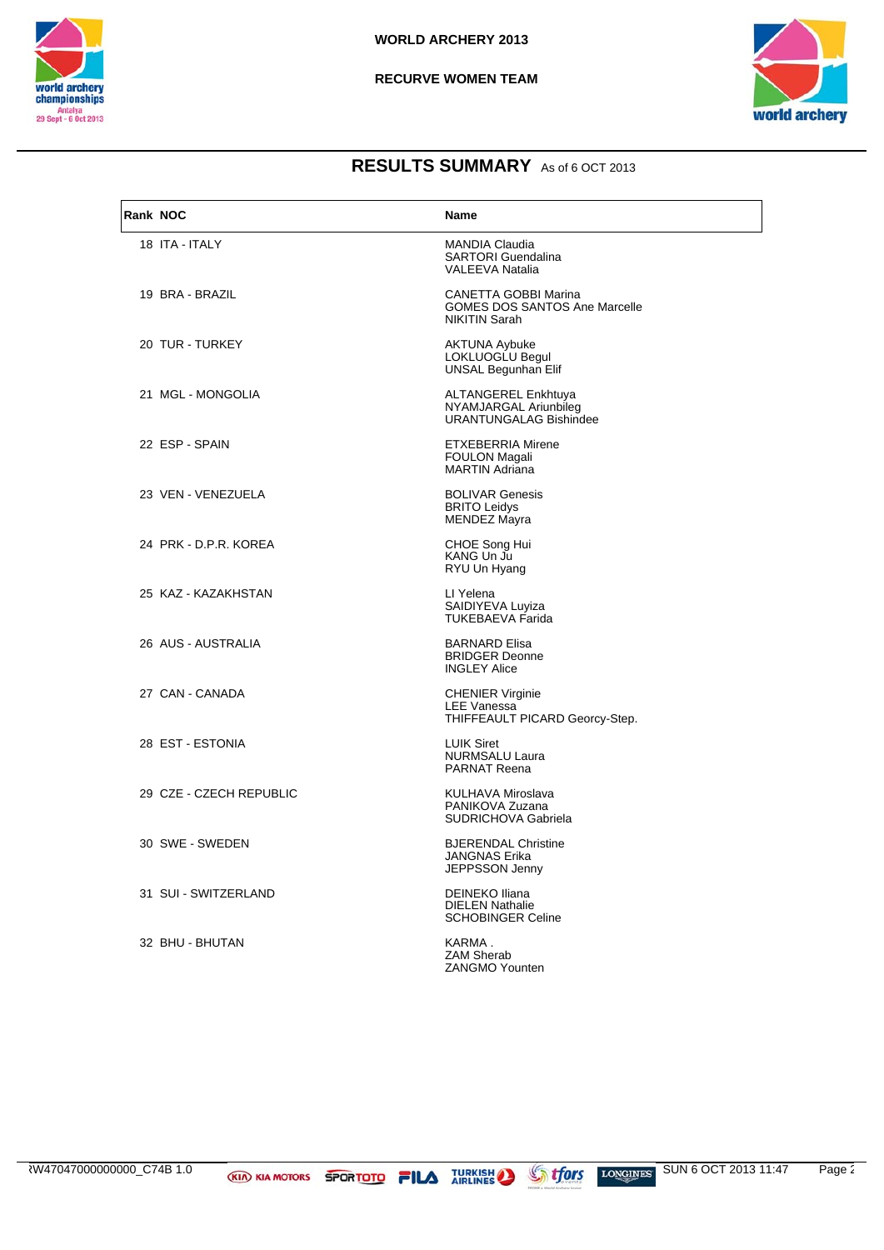



| <b>Rank NOC</b> |                         | <b>Name</b>                                                                          |
|-----------------|-------------------------|--------------------------------------------------------------------------------------|
|                 | 18 ITA - ITALY          | <b>MANDIA Claudia</b><br><b>SARTORI Guendalina</b><br><b>VALEEVA Natalia</b>         |
|                 | 19 BRA - BRAZIL         | CANETTA GOBBI Marina<br><b>GOMES DOS SANTOS Ane Marcelle</b><br><b>NIKITIN Sarah</b> |
|                 | 20 TUR - TURKEY         | <b>AKTUNA Aybuke</b><br>LOKLUOGLU Begul<br>UNSAL Begunhan Elif                       |
|                 | 21 MGL - MONGOLIA       | ALTANGEREL Enkhtuya<br>NYAMJARGAL Ariunbileg<br><b>URANTUNGALAG Bishindee</b>        |
|                 | 22 ESP - SPAIN          | <b>ETXEBERRIA Mirene</b><br><b>FOULON Magali</b><br><b>MARTIN Adriana</b>            |
|                 | 23 VEN - VENEZUELA      | <b>BOLIVAR Genesis</b><br><b>BRITO Leidys</b><br>MENDEZ Mayra                        |
|                 | 24 PRK - D.P.R. KOREA   | CHOE Song Hui<br>KANG Un Ju<br>RYU Un Hyang                                          |
|                 | 25 KAZ - KAZAKHSTAN     | LI Yelena<br>SAIDIYEVA Luyiza<br><b>TUKEBAEVA Farida</b>                             |
|                 | 26 AUS - AUSTRALIA      | <b>BARNARD Elisa</b><br><b>BRIDGER Deonne</b><br><b>INGLEY Alice</b>                 |
|                 | 27 CAN - CANADA         | <b>CHENIER Virginie</b><br><b>LEE Vanessa</b><br>THIFFEAULT PICARD Georcy-Step.      |
|                 | 28 EST - ESTONIA        | <b>LUIK Siret</b><br><b>NURMSALU Laura</b><br><b>PARNAT Reena</b>                    |
|                 | 29 CZE - CZECH REPUBLIC | <b>KULHAVA Miroslava</b><br>PANIKOVA Zuzana<br>SUDRICHOVA Gabriela                   |
|                 | 30 SWE - SWEDEN         | <b>BJERENDAL Christine</b><br>JANGNAS Erika<br>JEPPSSON Jenny                        |
|                 | 31 SUI - SWITZERLAND    | <b>DEINEKO Iliana</b><br><b>DIELEN Nathalie</b><br><b>SCHOBINGER Celine</b>          |
|                 | 32 BHU - BHUTAN         | KARMA.<br><b>ZAM Sherab</b><br>ZANGMO Younten                                        |

**If ors**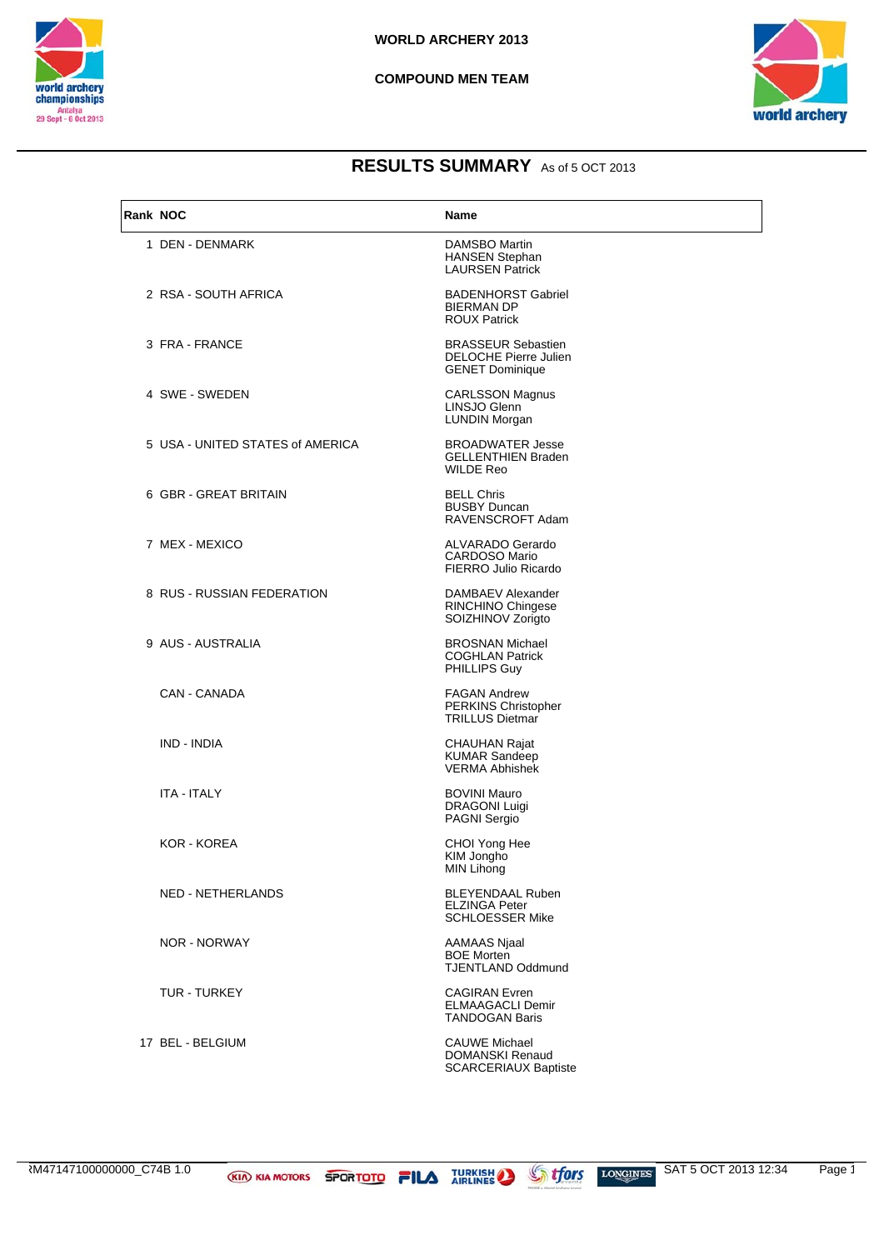



| Rank NOC |                                  | Name                                                                                |
|----------|----------------------------------|-------------------------------------------------------------------------------------|
|          | 1 DEN - DENMARK                  | <b>DAMSBO Martin</b><br><b>HANSEN Stephan</b><br><b>LAURSEN Patrick</b>             |
|          | 2 RSA - SOUTH AFRICA             | <b>BADENHORST Gabriel</b><br><b>BIERMAN DP</b><br><b>ROUX Patrick</b>               |
|          | 3 FRA - FRANCE                   | <b>BRASSEUR Sebastien</b><br><b>DELOCHE Pierre Julien</b><br><b>GENET Dominique</b> |
|          | 4 SWE - SWEDEN                   | <b>CARLSSON Magnus</b><br>LINSJO Glenn<br><b>LUNDIN Morgan</b>                      |
|          | 5 USA - UNITED STATES of AMERICA | <b>BROADWATER Jesse</b><br><b>GELLENTHIEN Braden</b><br><b>WILDE Reo</b>            |
|          | 6 GBR - GREAT BRITAIN            | <b>BELL Chris</b><br><b>BUSBY Duncan</b><br>RAVENSCROFT Adam                        |
|          | 7 MEX - MEXICO                   | ALVARADO Gerardo<br><b>CARDOSO Mario</b><br>FIERRO Julio Ricardo                    |
|          | 8 RUS - RUSSIAN FEDERATION       | DAMBAEV Alexander<br>RINCHINO Chingese<br>SOIZHINOV Zorigto                         |
|          | 9 AUS - AUSTRALIA                | <b>BROSNAN Michael</b><br><b>COGHLAN Patrick</b><br>PHILLIPS Guy                    |
|          | CAN - CANADA                     | <b>FAGAN Andrew</b><br>PERKINS Christopher<br><b>TRILLUS Dietmar</b>                |
|          | IND - INDIA                      | <b>CHAUHAN Rajat</b><br><b>KUMAR Sandeep</b><br><b>VERMA Abhishek</b>               |
|          | <b>ITA - ITALY</b>               | <b>BOVINI Mauro</b><br><b>DRAGONI Luigi</b><br><b>PAGNI Sergio</b>                  |
|          | KOR - KOREA                      | CHOI Yong Hee<br>KIM Jongho<br>MIN Lihong                                           |
|          | NED - NETHERLANDS                | <b>BLEYENDAAL Ruben</b><br><b>ELZINGA Peter</b><br><b>SCHLOESSER Mike</b>           |
|          | <b>NOR - NORWAY</b>              | <b>AAMAAS Njaal</b><br><b>BOE Morten</b><br><b>TJENTLAND Oddmund</b>                |
|          | <b>TUR - TURKEY</b>              | <b>CAGIRAN Evren</b><br>ELMAAGACLI Demir<br><b>TANDOGAN Baris</b>                   |
|          | 17 BEL - BELGIUM                 | <b>CAUWE Michael</b><br><b>DOMANSKI Renaud</b><br><b>SCARCERIAUX Baptiste</b>       |

RM47147100000000\_C74B 1.0 **KID KIA MOTORS SPORTOTO FILA** TURKISH Strings Longings SAT 5 OCT 2013 12:34 Page 1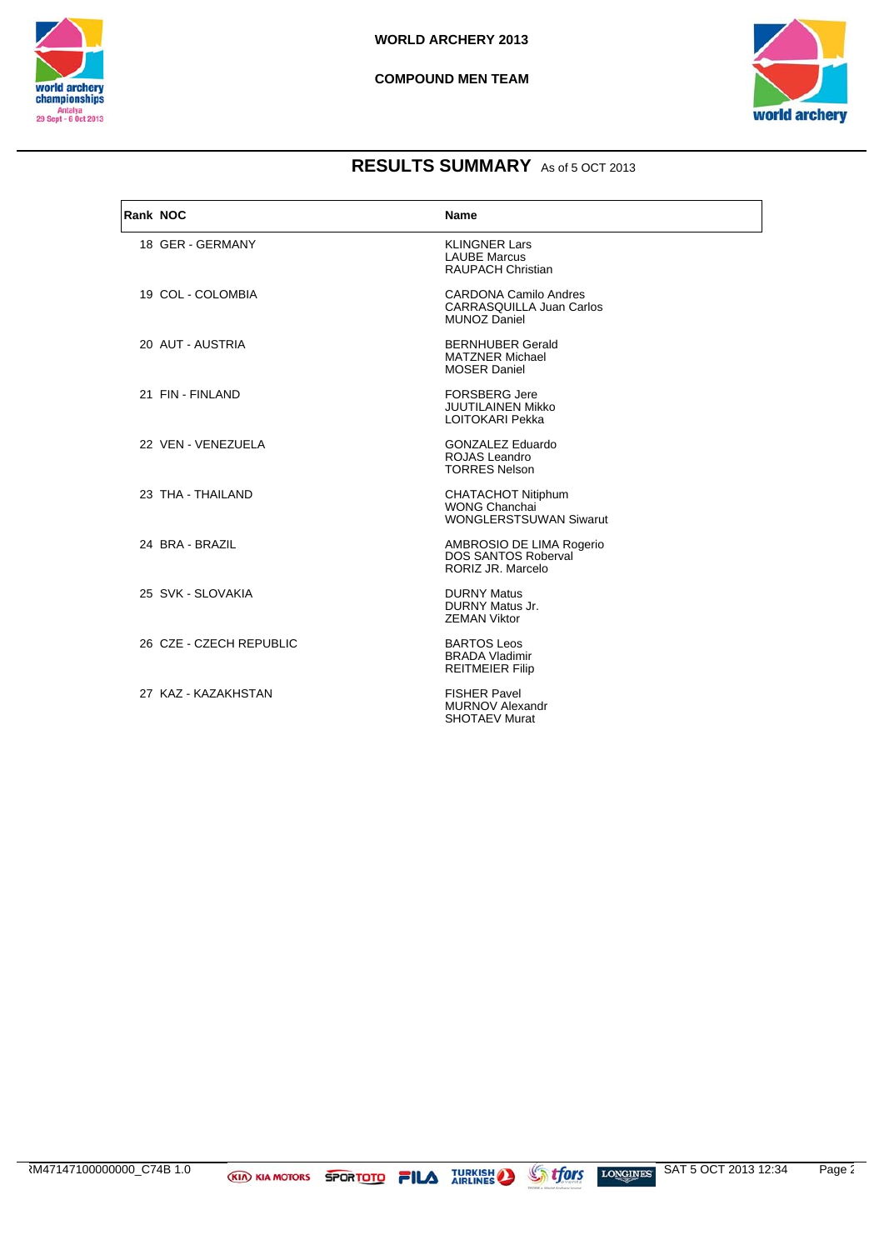



| Rank NOC |                         | Name                                                                                   |
|----------|-------------------------|----------------------------------------------------------------------------------------|
|          | 18 GER - GERMANY        | <b>KLINGNER Lars</b><br><b>LAUBE Marcus</b><br><b>RAUPACH Christian</b>                |
|          | 19 COL - COLOMBIA       | <b>CARDONA Camilo Andres</b><br><b>CARRASQUILLA Juan Carlos</b><br><b>MUNOZ Daniel</b> |
|          | 20 AUT - AUSTRIA        | <b>BERNHUBER Gerald</b><br><b>MATZNER Michael</b><br><b>MOSER Daniel</b>               |
|          | 21 FIN - FINLAND        | <b>FORSBERG Jere</b><br><b>JUUTILAINEN Mikko</b><br><b>LOITOKARI Pekka</b>             |
|          | 22 VEN - VENEZUELA      | <b>GONZALEZ Eduardo</b><br><b>ROJAS Leandro</b><br><b>TORRES Nelson</b>                |
|          | 23 THA - THAILAND       | CHATACHOT Nitiphum<br><b>WONG Chanchai</b><br><b>WONGLERSTSUWAN Siwarut</b>            |
|          | 24 BRA - BRAZIL         | AMBROSIO DE LIMA Rogerio<br><b>DOS SANTOS Roberval</b><br>RORIZ JR. Marcelo            |
|          | 25 SVK - SLOVAKIA       | <b>DURNY Matus</b><br><b>DURNY Matus Jr.</b><br><b>ZEMAN Viktor</b>                    |
|          | 26 CZE - CZECH REPUBLIC | <b>BARTOS Leos</b><br><b>BRADA Vladimir</b><br><b>REITMEIER Filip</b>                  |
|          | 27 KAZ - KAZAKHSTAN     | <b>FISHER Pavel</b><br><b>MURNOV Alexandr</b><br><b>SHOTAEV Murat</b>                  |

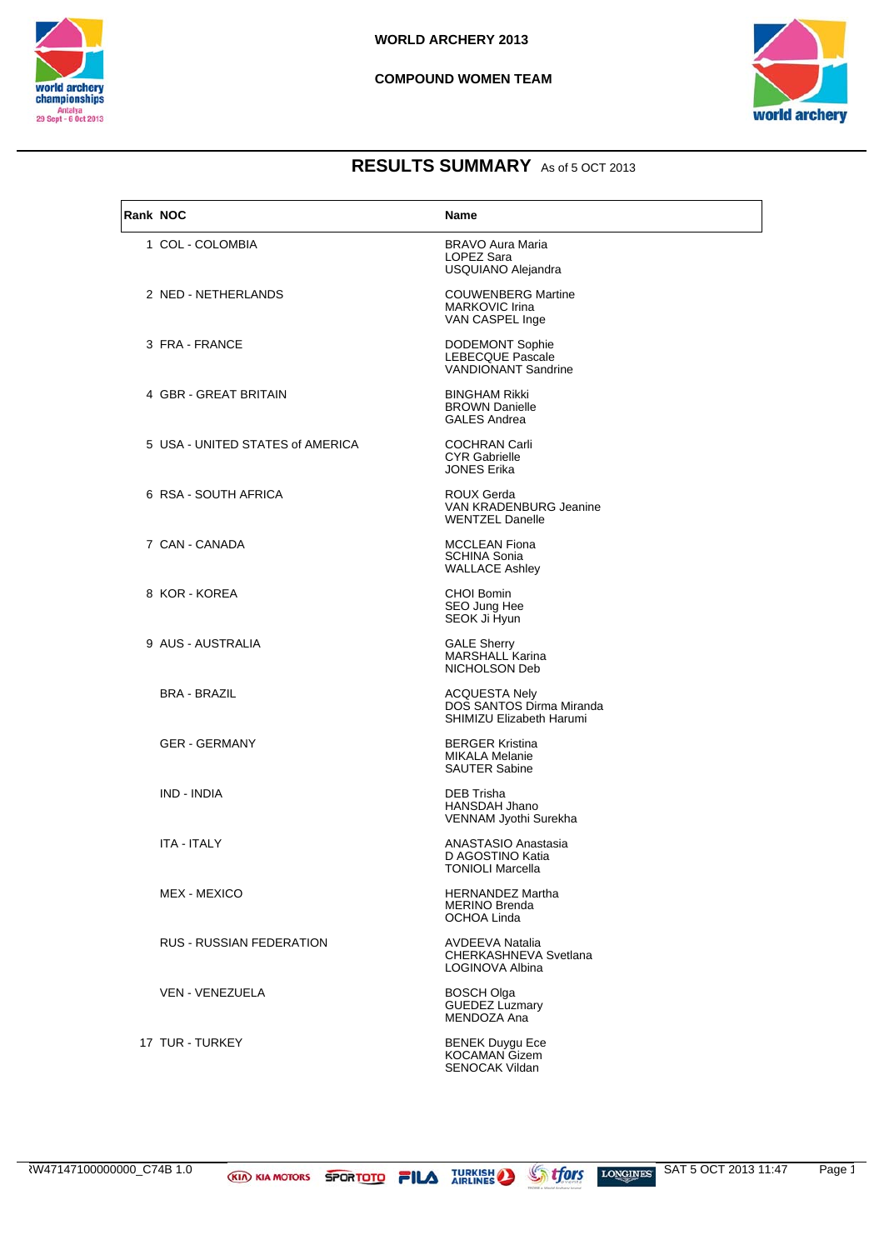



| Rank NOC |                                  | <b>Name</b>                                                                     |
|----------|----------------------------------|---------------------------------------------------------------------------------|
|          | 1 COL - COLOMBIA                 | <b>BRAVO Aura Maria</b><br>LOPEZ Sara<br>USQUIANO Alejandra                     |
|          | 2 NED - NETHERLANDS              | <b>COUWENBERG Martine</b><br><b>MARKOVIC Irina</b><br>VAN CASPEL Inge           |
|          | 3 FRA - FRANCE                   | <b>DODEMONT Sophie</b><br><b>LEBECQUE Pascale</b><br><b>VANDIONANT Sandrine</b> |
|          | 4 GBR - GREAT BRITAIN            | <b>BINGHAM Rikki</b><br><b>BROWN Danielle</b><br><b>GALES Andrea</b>            |
|          | 5 USA - UNITED STATES of AMERICA | <b>COCHRAN Carli</b><br><b>CYR Gabrielle</b><br><b>JONES Erika</b>              |
|          | 6 RSA - SOUTH AFRICA             | ROUX Gerda<br><b>VAN KRADENBURG Jeanine</b><br><b>WENTZEL Danelle</b>           |
|          | 7 CAN - CANADA                   | <b>MCCLEAN Fiona</b><br><b>SCHINA Sonia</b><br><b>WALLACE Ashley</b>            |
|          | 8 KOR - KOREA                    | <b>CHOI Bomin</b><br>SEO Jung Hee<br>SEOK Ji Hyun                               |
|          | 9 AUS - AUSTRALIA                | <b>GALE Sherry</b><br><b>MARSHALL Karina</b><br>NICHOLSON Deb                   |
|          | <b>BRA - BRAZIL</b>              | <b>ACQUESTA Nely</b><br>DOS SANTOS Dirma Miranda<br>SHIMIZU Elizabeth Harumi    |
|          | <b>GER - GERMANY</b>             | <b>BERGER Kristina</b><br><b>MIKALA Melanie</b><br><b>SAUTER Sabine</b>         |
|          | IND - INDIA                      | DEB Trisha<br><b>HANSDAH Jhano</b><br>VENNAM Jyothi Surekha                     |
|          | <b>ITA - ITALY</b>               | ANASTASIO Anastasia<br>D AGOSTINO Katia<br><b>TONIOLI Marcella</b>              |
|          | MEX - MEXICO                     | <b>HERNANDEZ Martha</b><br><b>MERINO Brenda</b><br>OCHOA Linda                  |
|          | <b>RUS - RUSSIAN FEDERATION</b>  | <b>AVDEEVA Natalia</b><br>CHERKASHNEVA Svetlana<br>LOGINOVA Albina              |
|          | VEN - VENEZUELA                  | BOSCH Olga<br><b>GUEDEZ Luzmary</b><br>MENDOZA Ana                              |
|          | 17 TUR - TURKEY                  | <b>BENEK Duygu Ece</b><br>KOCAMAN Gizem<br><b>SENOCAK Vildan</b>                |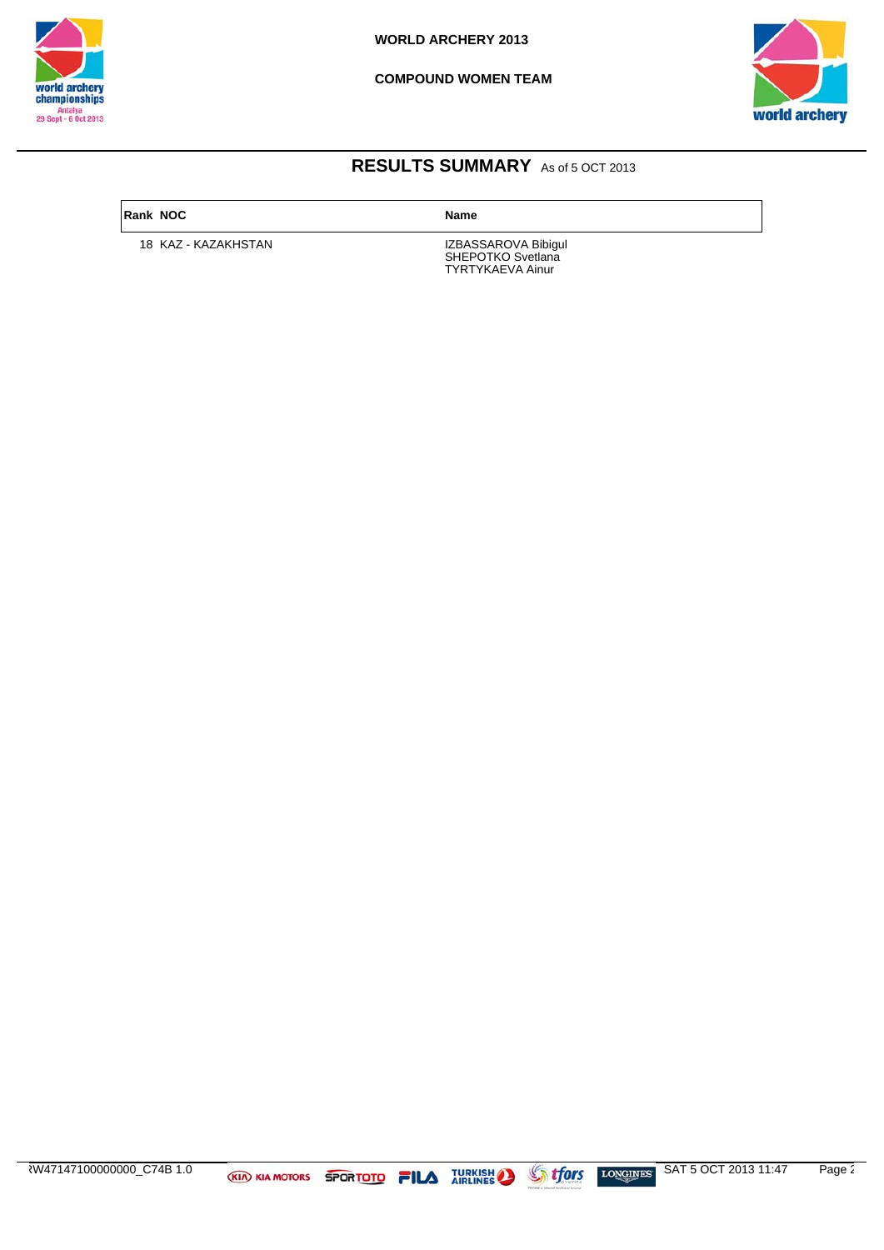

**COMPOUND WOMEN TEAM**



## **RESULTS SUMMARY** As of 5 OCT 2013

**Rank NOC Name**

18 KAZ - KAZAKHSTAN

SHEPOTKO Svetlana TYRTYKAEVA Ainur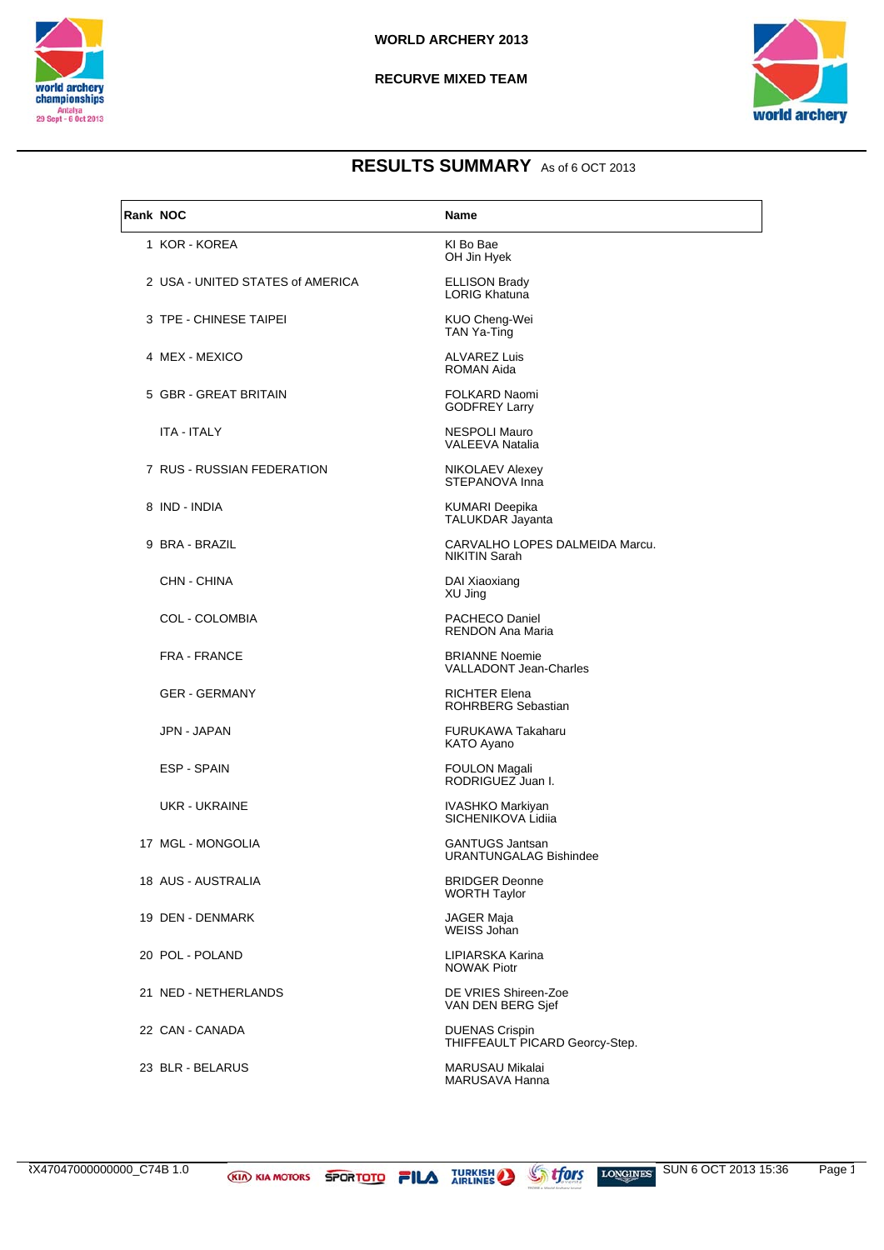



| Rank NOC |                                  | <b>Name</b>                                             |
|----------|----------------------------------|---------------------------------------------------------|
|          | 1 KOR - KOREA                    | KI Bo Bae<br>OH Jin Hyek                                |
|          | 2 USA - UNITED STATES of AMERICA | <b>ELLISON Brady</b><br><b>LORIG Khatuna</b>            |
|          | 3 TPE - CHINESE TAIPEI           | KUO Cheng-Wei<br><b>TAN Ya-Ting</b>                     |
|          | 4 MEX - MEXICO                   | <b>ALVAREZ Luis</b><br><b>ROMAN Aida</b>                |
|          | 5 GBR - GREAT BRITAIN            | <b>FOLKARD Naomi</b><br><b>GODFREY Larry</b>            |
|          | <b>ITA - ITALY</b>               | <b>NESPOLI Mauro</b><br>VALEEVA Natalia                 |
|          | 7 RUS - RUSSIAN FEDERATION       | NIKOLAEV Alexey<br>STEPANOVA Inna                       |
|          | 8 IND - INDIA                    | <b>KUMARI Deepika</b><br>TALUKDAR Jayanta               |
|          | 9 BRA - BRAZIL                   | CARVALHO LOPES DALMEIDA Marcu.<br><b>NIKITIN Sarah</b>  |
|          | CHN - CHINA                      | DAI Xiaoxiang<br>XU Jing                                |
|          | COL - COLOMBIA                   | <b>PACHECO Daniel</b><br><b>RENDON Ana Maria</b>        |
|          | <b>FRA - FRANCE</b>              | <b>BRIANNE Noemie</b><br><b>VALLADONT Jean-Charles</b>  |
|          | <b>GER - GERMANY</b>             | <b>RICHTER Elena</b><br><b>ROHRBERG Sebastian</b>       |
|          | JPN - JAPAN                      | FURUKAWA Takaharu<br>KATO Ayano                         |
|          | ESP - SPAIN                      | <b>FOULON Magali</b><br>RODRIGUEZ Juan I.               |
|          | <b>UKR - UKRAINE</b>             | IVASHKO Markiyan<br>SICHENIKOVA Lidija                  |
|          | 17 MGL - MONGOLIA                | <b>GANTUGS Jantsan</b><br><b>URANTUNGALAG Bishindee</b> |
|          | 18 AUS - AUSTRALIA               | <b>BRIDGER Deonne</b><br><b>WORTH Taylor</b>            |
|          | 19 DEN - DENMARK                 | <b>JAGER Maja</b><br>WEISS Johan                        |
|          | 20 POL - POLAND                  | LIPIARSKA Karina<br><b>NOWAK Piotr</b>                  |
|          | 21 NED - NETHERLANDS             | DE VRIES Shireen-Zoe<br>VAN DEN BERG Sjef               |
|          | 22 CAN - CANADA                  | <b>DUENAS Crispin</b><br>THIFFEAULT PICARD Georcy-Step. |
|          | 23 BLR - BELARUS                 | MARUSAU Mikalai<br>MARUSAVA Hanna                       |

2X47047000000000\_C74B 1.0

**KIA KIA MOTORS SPORTOTO FILA TURKISH AND AT ATTACK AT A TURKISH** 

**If ors**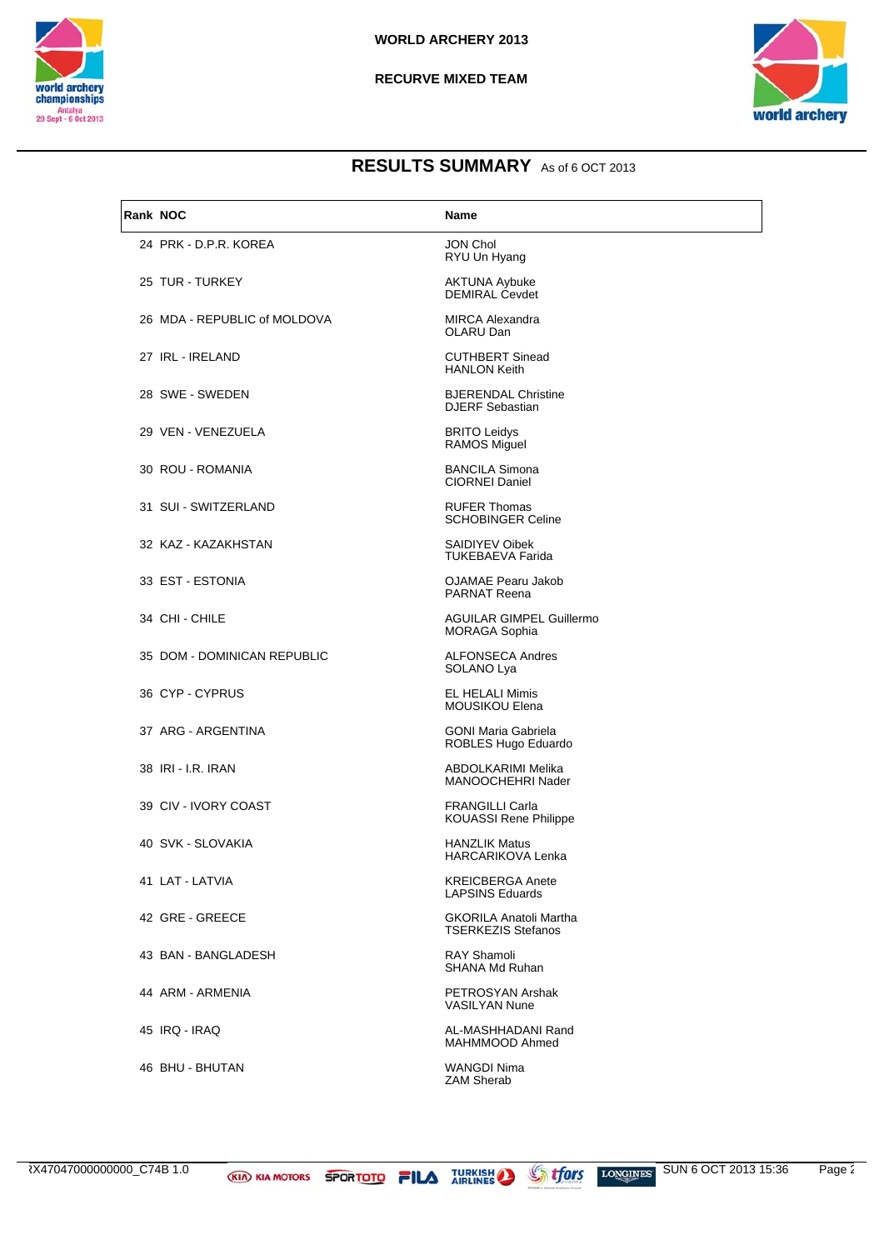



| Rank NOC |                              | <b>Name</b>                                                |
|----------|------------------------------|------------------------------------------------------------|
|          | 24 PRK - D.P.R. KOREA        | <b>JON Chol</b><br>RYU Un Hyang                            |
|          | 25 TUR - TURKEY              | <b>AKTUNA Aybuke</b><br><b>DEMIRAL Cevdet</b>              |
|          | 26 MDA - REPUBLIC of MOLDOVA | <b>MIRCA Alexandra</b><br>OLARU Dan                        |
|          | 27 IRL - IRELAND             | <b>CUTHBERT Sinead</b><br><b>HANLON Keith</b>              |
|          | 28 SWE - SWEDEN              | <b>BJERENDAL Christine</b><br><b>DJERF Sebastian</b>       |
|          | 29 VEN - VENEZUELA           | <b>BRITO Leidys</b><br><b>RAMOS Miguel</b>                 |
|          | 30 ROU - ROMANIA             | <b>BANCILA Simona</b><br><b>CIORNEI Daniel</b>             |
|          | 31 SUI - SWITZERLAND         | <b>RUFER Thomas</b><br><b>SCHOBINGER Celine</b>            |
|          | 32 KAZ - KAZAKHSTAN          | SAIDIYEV Oibek<br><b>TUKEBAEVA Farida</b>                  |
|          | 33 EST - ESTONIA             | <b>OJAMAE Pearu Jakob</b><br><b>PARNAT Reena</b>           |
|          | 34 CHI - CHILE               | <b>AGUILAR GIMPEL Guillermo</b><br><b>MORAGA Sophia</b>    |
|          | 35 DOM - DOMINICAN REPUBLIC  | <b>ALFONSECA Andres</b><br>SOLANO Lya                      |
|          | 36 CYP-CYPRUS                | <b>EL HELALI Mimis</b><br><b>MOUSIKOU Elena</b>            |
|          | 37 ARG - ARGENTINA           | <b>GONI Maria Gabriela</b><br>ROBLES Hugo Eduardo          |
|          | 38 IRI - I.R. IRAN           | ABDOLKARIMI Melika<br>MANOOCHEHRI Nader                    |
|          | 39 CIV - IVORY COAST         | <b>FRANGILLI Carla</b><br><b>KOUASSI Rene Philippe</b>     |
|          | 40 SVK - SLOVAKIA            | <b>HANZLIK Matus</b><br><b>HARCARIKOVA Lenka</b>           |
|          | 41 LAT - LATVIA              | <b>KREICBERGA Anete</b><br><b>LAPSINS Eduards</b>          |
|          | 42 GRE - GREECE              | <b>GKORILA Anatoli Martha</b><br><b>TSERKEZIS Stefanos</b> |
|          | 43 BAN - BANGLADESH          | <b>RAY Shamoli</b><br><b>SHANA Md Ruhan</b>                |
|          | 44 ARM - ARMENIA             | PETROSYAN Arshak<br><b>VASILYAN Nune</b>                   |
|          | 45 IRQ - IRAQ                | AL-MASHHADANI Rand<br>MAHMMOOD Ahmed                       |
|          | 46 BHU - BHUTAN              | <b>WANGDI Nima</b><br><b>ZAM Sherab</b>                    |

**KIA KIA MOTORS SPORTOTO FILA TURKISH** 

**Stfors**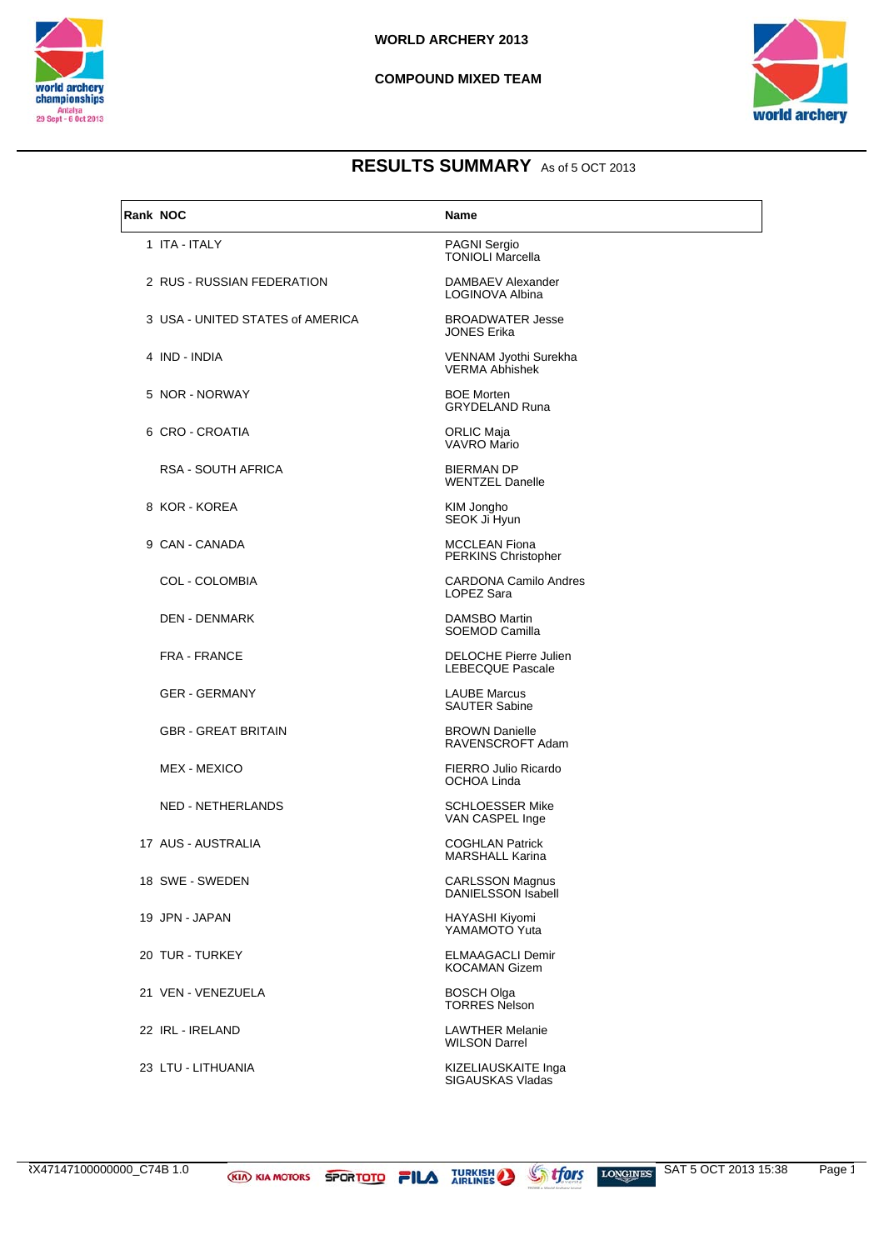



| Rank NOC |                                  | <b>Name</b>                                         |
|----------|----------------------------------|-----------------------------------------------------|
|          | 1 ITA - ITALY                    | PAGNI Sergio<br><b>TONIOLI Marcella</b>             |
|          | 2 RUS - RUSSIAN FEDERATION       | DAMBAEV Alexander<br>LOGINOVA Albina                |
|          | 3 USA - UNITED STATES of AMERICA | <b>BROADWATER Jesse</b><br><b>JONES Erika</b>       |
|          | 4 IND - INDIA                    | VENNAM Jyothi Surekha<br><b>VERMA Abhishek</b>      |
|          | 5 NOR - NORWAY                   | <b>BOE Morten</b><br><b>GRYDELAND Runa</b>          |
|          | 6 CRO - CROATIA                  | <b>ORLIC Maja</b><br>VAVRO Mario                    |
|          | <b>RSA - SOUTH AFRICA</b>        | <b>BIERMAN DP</b><br><b>WENTZEL Danelle</b>         |
|          | 8 KOR - KOREA                    | KIM Jongho<br>SEOK Ji Hyun                          |
|          | 9 CAN - CANADA                   | <b>MCCLEAN Fiona</b><br>PERKINS Christopher         |
|          | <b>COL - COLOMBIA</b>            | <b>CARDONA Camilo Andres</b><br>LOPEZ Sara          |
|          | <b>DEN - DENMARK</b>             | <b>DAMSBO Martin</b><br>SOEMOD Camilla              |
|          | <b>FRA - FRANCE</b>              | DELOCHE Pierre Julien<br><b>LEBECQUE Pascale</b>    |
|          | <b>GER - GERMANY</b>             | <b>LAUBE Marcus</b><br><b>SAUTER Sabine</b>         |
|          | <b>GBR - GREAT BRITAIN</b>       | <b>BROWN Danielle</b><br>RAVENSCROFT Adam           |
|          | MEX - MEXICO                     | FIERRO Julio Ricardo<br>OCHOA Linda                 |
|          | NED - NETHERLANDS                | <b>SCHLOESSER Mike</b><br>VAN CASPEL Inge           |
|          | 17 AUS - AUSTRALIA               | <b>COGHLAN Patrick</b><br><b>MARSHALL Karina</b>    |
|          | 18 SWE - SWEDEN                  | <b>CARLSSON Magnus</b><br><b>DANIELSSON Isabell</b> |
|          | 19 JPN - JAPAN                   | HAYASHI Kiyomi<br>YAMAMOTO Yuta                     |
|          | 20 TUR - TURKEY                  | <b>ELMAAGACLI Demir</b><br><b>KOCAMAN Gizem</b>     |
|          | 21 VEN - VENEZUELA               | <b>BOSCH Olga</b><br><b>TORRES Nelson</b>           |
|          | 22 IRL - IRELAND                 | <b>LAWTHER Melanie</b><br><b>WILSON Darrel</b>      |
|          | 23 LTU - LITHUANIA               | KIZELIAUSKAITE Inga<br>SIGAUSKAS Vladas             |

RX47147100000000\_C74B 1.0 **KID KIA MOTORS SPORTOTO FILA** TURKISH STORTOTS LONGINES SAT 5 OCT 2013 15:38 Page 1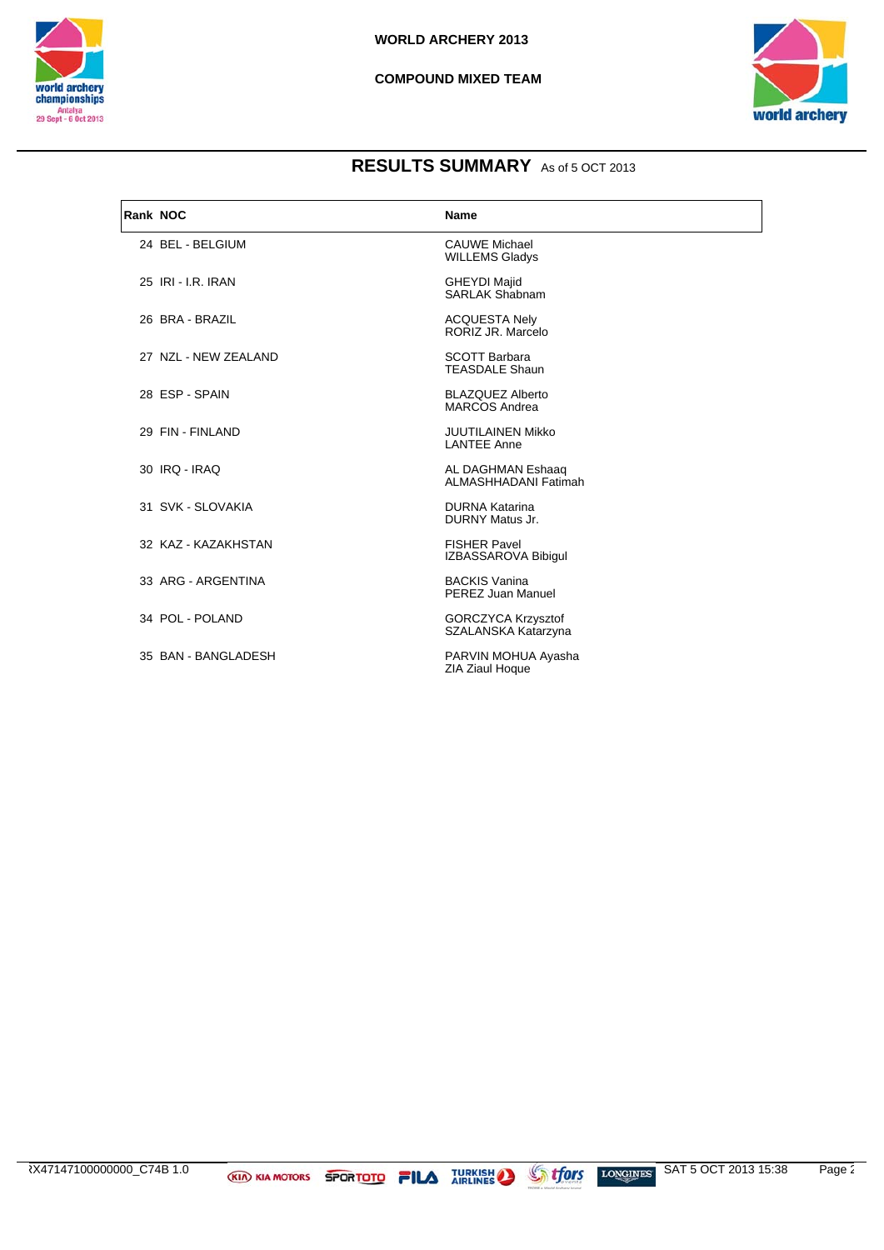



| Rank NOC |                      | <b>Name</b>                                      |
|----------|----------------------|--------------------------------------------------|
|          | 24 BEL - BELGIUM     | <b>CAUWE Michael</b><br><b>WILLEMS Gladys</b>    |
|          | 25 IRI - I.R. IRAN   | <b>GHEYDI Majid</b><br>SARI AK Shabnam           |
|          | 26 BRA - BRAZIL      | <b>ACQUESTA Nely</b><br>RORIZ JR. Marcelo        |
|          | 27 NZL - NEW ZEALAND | <b>SCOTT Barbara</b><br><b>TEASDALE Shaun</b>    |
|          | 28 ESP - SPAIN       | <b>BLAZQUEZ Alberto</b><br><b>MARCOS Andrea</b>  |
|          | 29 FIN - FINLAND     | <b>JUUTILAINEN Mikko</b><br><b>LANTEE Anne</b>   |
|          | 30 IRQ - IRAQ        | AL DAGHMAN Eshaaq<br>ALMASHHADANI Fatimah        |
|          | 31 SVK - SLOVAKIA    | <b>DURNA Katarina</b><br><b>DURNY Matus Jr.</b>  |
|          | 32 KAZ - KAZAKHSTAN  | <b>FISHER Pavel</b><br>IZBASSAROVA Bibigul       |
|          | 33 ARG - ARGENTINA   | <b>BACKIS Vanina</b><br>PEREZ Juan Manuel        |
|          | 34 POL - POLAND      | <b>GORCZYCA Krzysztof</b><br>SZALANSKA Katarzyna |
|          | 35 BAN - BANGLADESH  | PARVIN MOHUA Ayasha<br><b>ZIA Ziaul Hoque</b>    |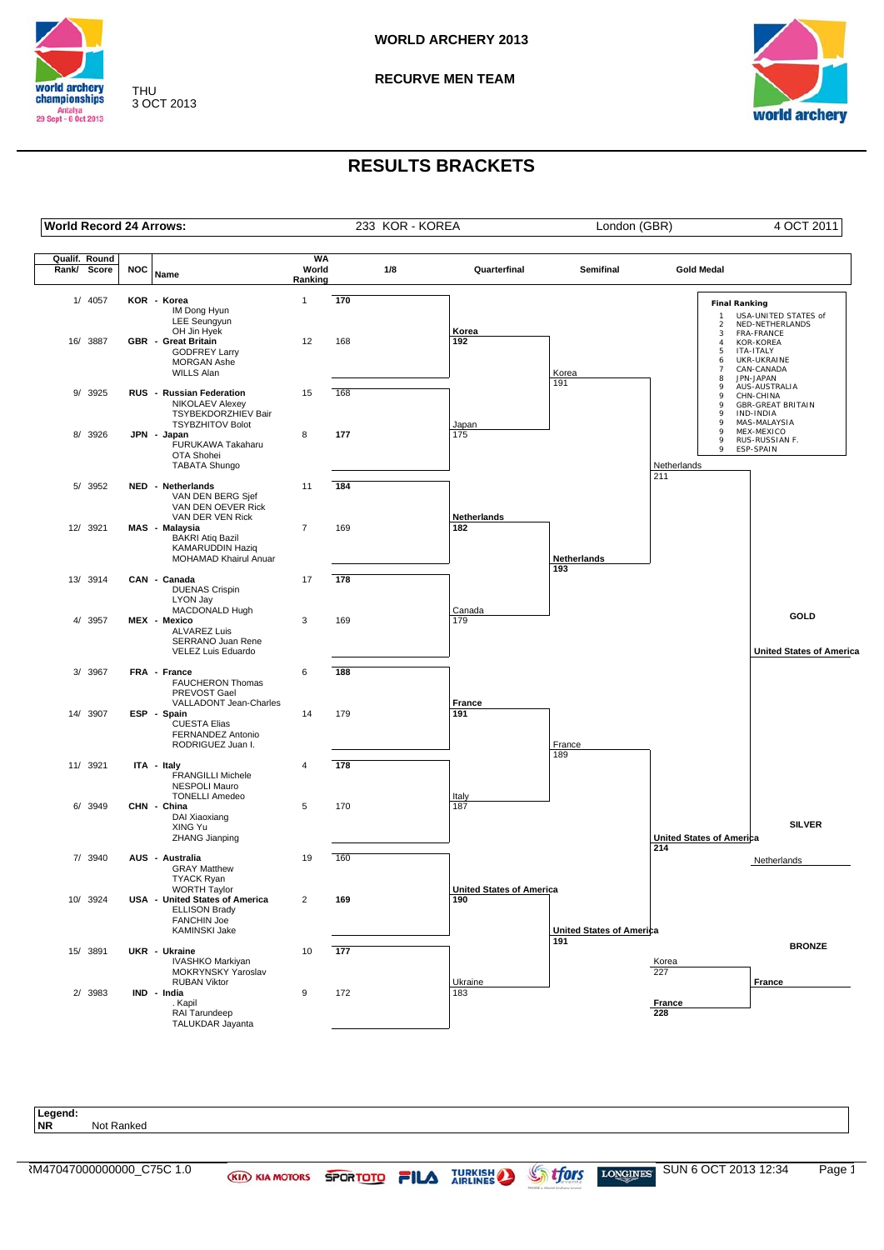

**RECURVE MEN TEAM**



## **RESULTS BRACKETS**

**World Record 24 Arrows:** 233 KOR - KOREA London (GBR) 4 OCT 2011

THU 3 OCT 2013

| Qualif. Round |            |                                                                                                                      | <b>WA</b>        |     |     |                                        |                                 |                                                        |                                                                                       |
|---------------|------------|----------------------------------------------------------------------------------------------------------------------|------------------|-----|-----|----------------------------------------|---------------------------------|--------------------------------------------------------|---------------------------------------------------------------------------------------|
| Rank/ Score   | <b>NOC</b> | Name                                                                                                                 | World<br>Ranking |     | 1/8 | Quarterfinal                           | Semifinal                       | <b>Gold Medal</b>                                      |                                                                                       |
| 1/ 4057       |            | KOR - Korea<br>IM Dong Hyun<br><b>LEE</b> Seungyun<br>OH Jin Hyek                                                    | $\mathbf{1}$     | 170 |     | Korea                                  |                                 | <b>Final Ranking</b><br>$\mathbf{1}$<br>$\overline{2}$ | USA-UNITED STATES of<br>NED-NETHERLANDS                                               |
| 16/ 3887      |            | <b>GBR</b> - Great Britain<br><b>GODFREY Larry</b><br><b>MORGAN Ashe</b><br><b>WILLS Alan</b>                        | 12               | 168 |     | 192                                    | Korea<br>191                    | 3<br>$\overline{4}$<br>5<br>6<br>$\overline{7}$<br>8   | FRA-FRANCE<br><b>KOR-KOREA</b><br>ITA-ITALY<br>UKR-UKRAINE<br>CAN-CANADA<br>JPN-JAPAN |
| 9/ 3925       |            | RUS - Russian Federation<br><b>NIKOLAEV Alexey</b><br>TSYBEKDORZHIEV Bair<br><b>TSYBZHITOV Bolot</b>                 | 15               | 168 |     | Japan                                  |                                 | 9<br>9<br>9<br>9<br>9                                  | AUS-AUSTRALIA<br>CHN-CHINA<br><b>GBR-GREAT BRITAIN</b><br>IND-INDIA<br>MAS-MALAYSIA   |
| 8/ 3926       |            | JPN - Japan<br>FURUKAWA Takaharu<br>OTA Shohei<br><b>TABATA Shungo</b>                                               | 8                | 177 |     | 175                                    |                                 | 9<br>9<br>9<br>Netherlands                             | MEX-MEXICO<br>RUS-RUSSIAN F.<br>ESP-SPAIN                                             |
| 5/ 3952       |            | NED - Netherlands<br>VAN DEN BERG Sjef<br>VAN DEN OEVER Rick<br>VAN DER VEN Rick                                     | 11               | 184 |     | Netherlands                            |                                 | 211                                                    |                                                                                       |
| 12/ 3921      |            | MAS - Malaysia<br><b>BAKRI Atiq Bazil</b><br><b>KAMARUDDIN Haziq</b><br>MOHAMAD Khairul Anuar                        | $\overline{7}$   | 169 |     | 182                                    | Netherlands                     |                                                        |                                                                                       |
| 13/ 3914      |            | CAN - Canada<br><b>DUENAS Crispin</b><br>LYON Jay<br>MACDONALD Hugh                                                  | 17               | 178 |     | Canada                                 | 193                             |                                                        |                                                                                       |
| 4/ 3957       |            | MEX - Mexico<br><b>ALVAREZ Luis</b><br>SERRANO Juan Rene<br>VELEZ Luis Eduardo                                       | 3                | 169 |     | 179                                    |                                 |                                                        | GOLD<br><b>United States of America</b>                                               |
| 3/ 3967       |            | FRA - France<br><b>FAUCHERON Thomas</b><br>PREVOST Gael<br>VALLADONT Jean-Charles                                    | 6                | 188 |     | France                                 |                                 |                                                        |                                                                                       |
| 14/ 3907      |            | ESP - Spain<br><b>CUESTA Elias</b><br>FERNANDEZ Antonio<br>RODRIGUEZ Juan I.                                         | 14               | 179 |     | 191                                    | France                          |                                                        |                                                                                       |
| 11/ 3921      |            | ITA - Italy<br><b>FRANGILLI Michele</b><br><b>NESPOLI Mauro</b><br><b>TONELLI Amedeo</b>                             | 4                | 178 |     | Italy                                  | 189                             |                                                        |                                                                                       |
| 6/ 3949       |            | CHN - China<br>DAI Xiaoxiang<br>XING Yu<br>ZHANG Jianping                                                            | 5                | 170 |     | 187                                    |                                 | <b>United States of America</b>                        | <b>SILVER</b>                                                                         |
| 7/ 3940       |            | AUS - Australia<br><b>GRAY Matthew</b><br><b>TYACK Ryan</b>                                                          | 19               | 160 |     |                                        |                                 | 214                                                    | Netherlands                                                                           |
| 10/ 3924      |            | <b>WORTH Taylor</b><br>USA - United States of America<br><b>ELLISON Brady</b><br><b>FANCHIN Joe</b><br>KAMINSKI Jake | $\overline{2}$   | 169 |     | <b>United States of America</b><br>190 | <b>United States of America</b> |                                                        |                                                                                       |
| 15/ 3891      |            | UKR - Ukraine<br>IVASHKO Markiyan<br>MOKRYNSKY Yaroslav                                                              | 10               | 177 |     |                                        | 191                             | Korea<br>227                                           | <b>BRONZE</b>                                                                         |
| 2/ 3983       |            | <b>RUBAN Viktor</b><br>IND - India<br>. Kapil<br>RAI Tarundeep<br>TALUKDAR Jayanta                                   | 9                | 172 |     | Ukraine<br>183                         |                                 | France<br>228                                          | France                                                                                |

**Legend: Not Ranked**  $\overline{R}$ M47047000000000\_C75C 1.0 KIA KIA MOTORS SPORTOTO FILA TURKISH SUN FORGINES SUN 6 OCT 2013 12:34 Page 1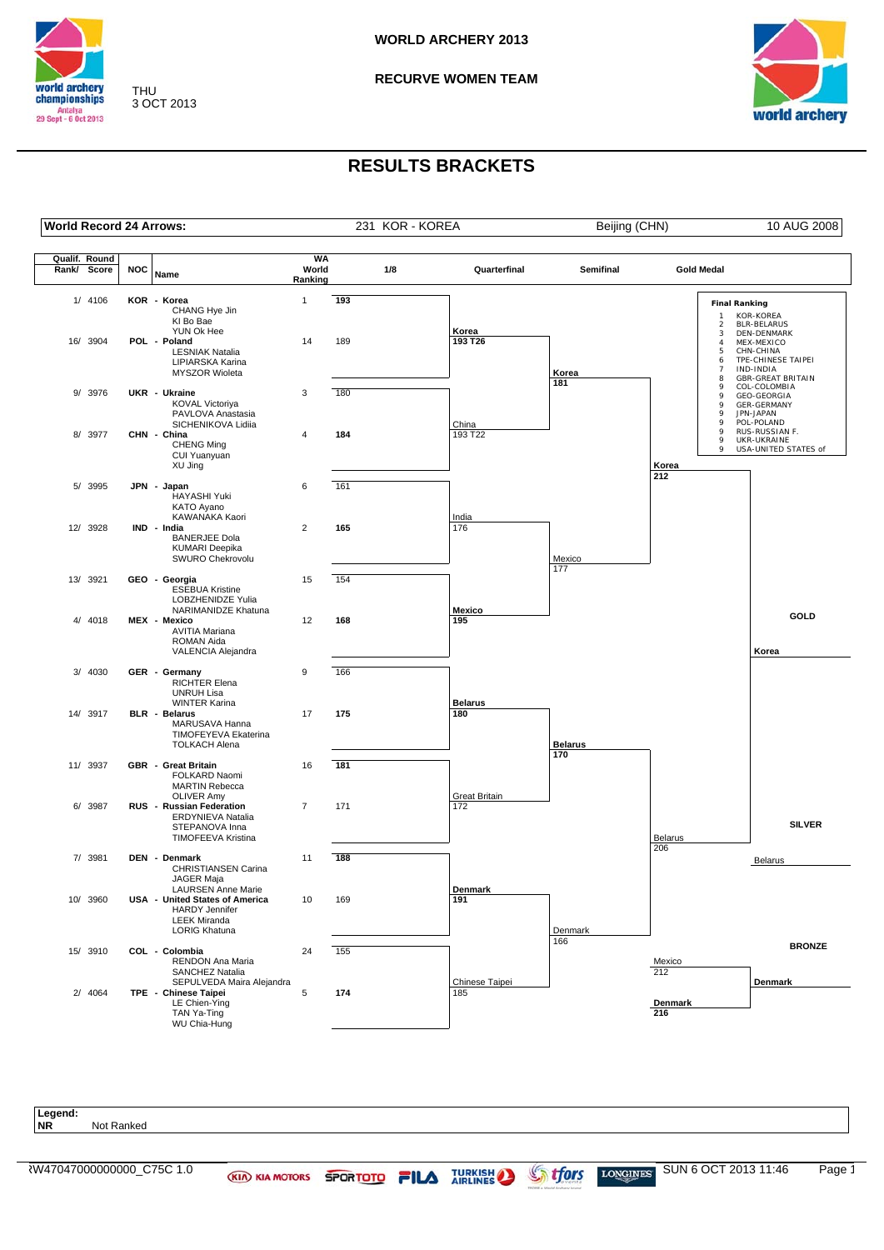

**RECURVE WOMEN TEAM**



## **RESULTS BRACKETS**

THU 3 OCT 2013

| Qualif. Round |          |            |                                                                                                                                     | <b>WA</b>        |     |                       |                |                                                        |                                                                                                       |
|---------------|----------|------------|-------------------------------------------------------------------------------------------------------------------------------------|------------------|-----|-----------------------|----------------|--------------------------------------------------------|-------------------------------------------------------------------------------------------------------|
| Rank/ Score   |          | <b>NOC</b> | Name                                                                                                                                | World<br>Ranking | 1/8 | Quarterfinal          | Semifinal      | <b>Gold Medal</b>                                      |                                                                                                       |
|               | 1/ 4106  |            | KOR - Korea<br>CHANG Hye Jin<br>KI Bo Bae<br>YUN Ok Hee                                                                             | $\mathbf{1}$     | 193 | Korea                 |                | <b>Final Ranking</b><br>$\mathbf{1}$<br>$\overline{2}$ | KOR-KOREA<br><b>BLR-BELARUS</b>                                                                       |
|               | 16/ 3904 |            | POL - Poland<br><b>LESNIAK Natalia</b><br>LIPIARSKA Karina<br><b>MYSZOR Wioleta</b>                                                 | 14               | 189 | 193 T26               | Korea<br>181   | 3<br>$\overline{4}$<br>5<br>6<br>$\overline{7}$<br>8   | DEN-DENMARK<br>MEX-MEXICO<br>CHN-CHINA<br>TPE-CHINESE TAIPEI<br>IND-INDIA<br><b>GBR-GREAT BRITAIN</b> |
|               | 9/ 3976  |            | UKR - Ukraine<br>KOVAL Victoriya<br>PAVLOVA Anastasia<br>SICHENIKOVA Lidiia                                                         | 3                | 180 | China                 |                | 9<br>9<br>9<br>9<br>9                                  | COL-COLOMBIA<br><b>GEO-GEORGIA</b><br>GER-GERMANY<br>JPN-JAPAN<br>POL-POLAND                          |
|               | 8/ 3977  |            | CHN - China<br>CHENG Ming<br>CUI Yuanyuan<br>XU Jing                                                                                | 4                | 184 | 193 T22               |                | 9<br>9<br>9<br>Korea                                   | RUS-RUSSIAN F.<br>UKR-UKRAINE<br>USA-UNITED STATES of                                                 |
|               | 5/ 3995  |            | JPN - Japan<br>HAYASHI Yuki<br>KATO Ayano<br>KAWANAKA Kaori                                                                         | 6                | 161 | India                 |                | 212                                                    |                                                                                                       |
|               | 12/ 3928 |            | IND - India<br><b>BANERJEE Dola</b><br><b>KUMARI Deepika</b><br>SWURO Chekrovolu                                                    | $\overline{2}$   | 165 | 176                   | Mexico<br>177  |                                                        |                                                                                                       |
|               | 13/ 3921 |            | GEO - Georgia<br><b>ESEBUA Kristine</b><br>LOBZHENIDZE Yulia<br>NARIMANIDZE Khatuna                                                 | 15               | 154 | Mexico                |                |                                                        | GOLD                                                                                                  |
|               | 4/ 4018  |            | MEX - Mexico<br>AVITIA Mariana<br>ROMAN Aida<br>VALENCIA Alejandra                                                                  | 12               | 168 | 195                   |                |                                                        | Korea                                                                                                 |
|               | 3/ 4030  |            | GER - Germany<br><b>RICHTER Elena</b><br><b>UNRUH Lisa</b><br><b>WINTER Karina</b>                                                  | 9                | 166 | <b>Belarus</b>        |                |                                                        |                                                                                                       |
|               | 14/ 3917 |            | BLR - Belarus<br>MARUSAVA Hanna<br>TIMOFEYEVA Ekaterina<br><b>TOLKACH Alena</b>                                                     | 17               | 175 | 180                   | <b>Belarus</b> |                                                        |                                                                                                       |
|               | 11/ 3937 |            | GBR - Great Britain<br>FOLKARD Naomi<br><b>MARTIN Rebecca</b><br><b>OLIVER Amy</b>                                                  | 16               | 181 | Great Britain         | 170            |                                                        |                                                                                                       |
|               | 6/ 3987  |            | RUS - Russian Federation<br>ERDYNIEVA Natalia<br>STEPANOVA Inna<br><b>TIMOFEEVA Kristina</b>                                        | $\overline{7}$   | 171 | 172                   |                | Belarus                                                | <b>SILVER</b>                                                                                         |
|               | 7/ 3981  |            | DEN - Denmark<br><b>CHRISTIANSEN Carina</b><br>JAGER Maja                                                                           | 11               | 188 |                       |                | 206                                                    | <b>Belarus</b>                                                                                        |
|               | 10/ 3960 |            | <b>LAURSEN Anne Marie</b><br>USA - United States of America<br><b>HARDY Jennifer</b><br><b>LEEK Miranda</b><br><b>LORIG Khatuna</b> | 10               | 169 | Denmark<br>191        | Denmark        |                                                        |                                                                                                       |
|               | 15/ 3910 |            | COL - Colombia<br>RENDON Ana Maria<br><b>SANCHEZ Natalia</b>                                                                        | 24               | 155 |                       | 166            | Mexico<br>212                                          | <b>BRONZE</b>                                                                                         |
|               | 2/ 4064  |            | SEPULVEDA Maira Aleiandra<br>TPE - Chinese Taipei<br>LE Chien-Ying<br>TAN Ya-Ting<br>WU Chia-Hung                                   | 5                | 174 | Chinese Taipei<br>185 |                | Denmark<br>216                                         | Denmark                                                                                               |

Legend:<br>NR **Not Ranked**  $\overline{X}$ W47047000000000\_C75C 1.0 KIA KIA MOTORS SPORTOTO FILA TURKISH SUN FORGINES SUN 6 OCT 2013 11:46 Page 1

**World Record 24 Arrows:** 231 KOR - KOREA Beijing (CHN) 10 AUG 2008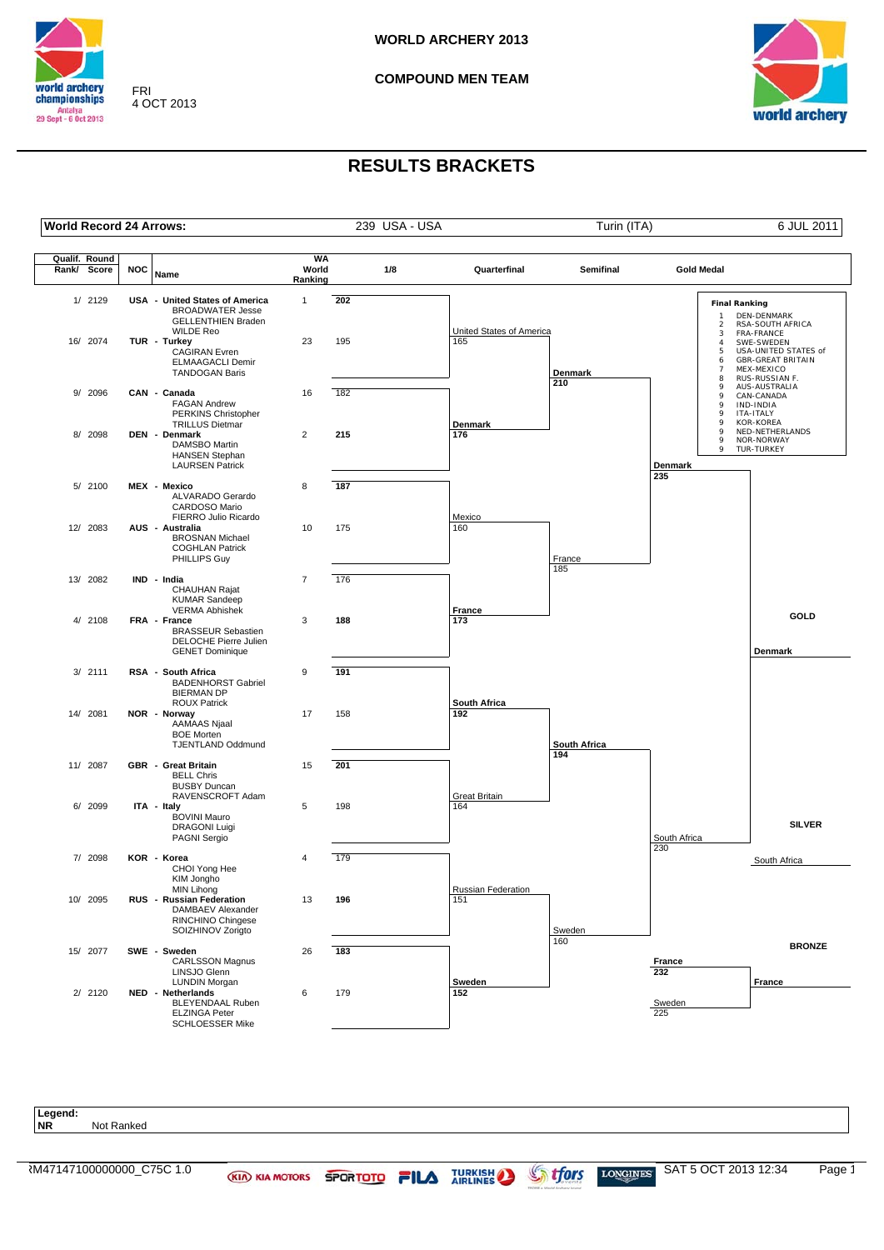

FRI 4 OCT 2013 **COMPOUND MEN TEAM**



## **RESULTS BRACKETS**

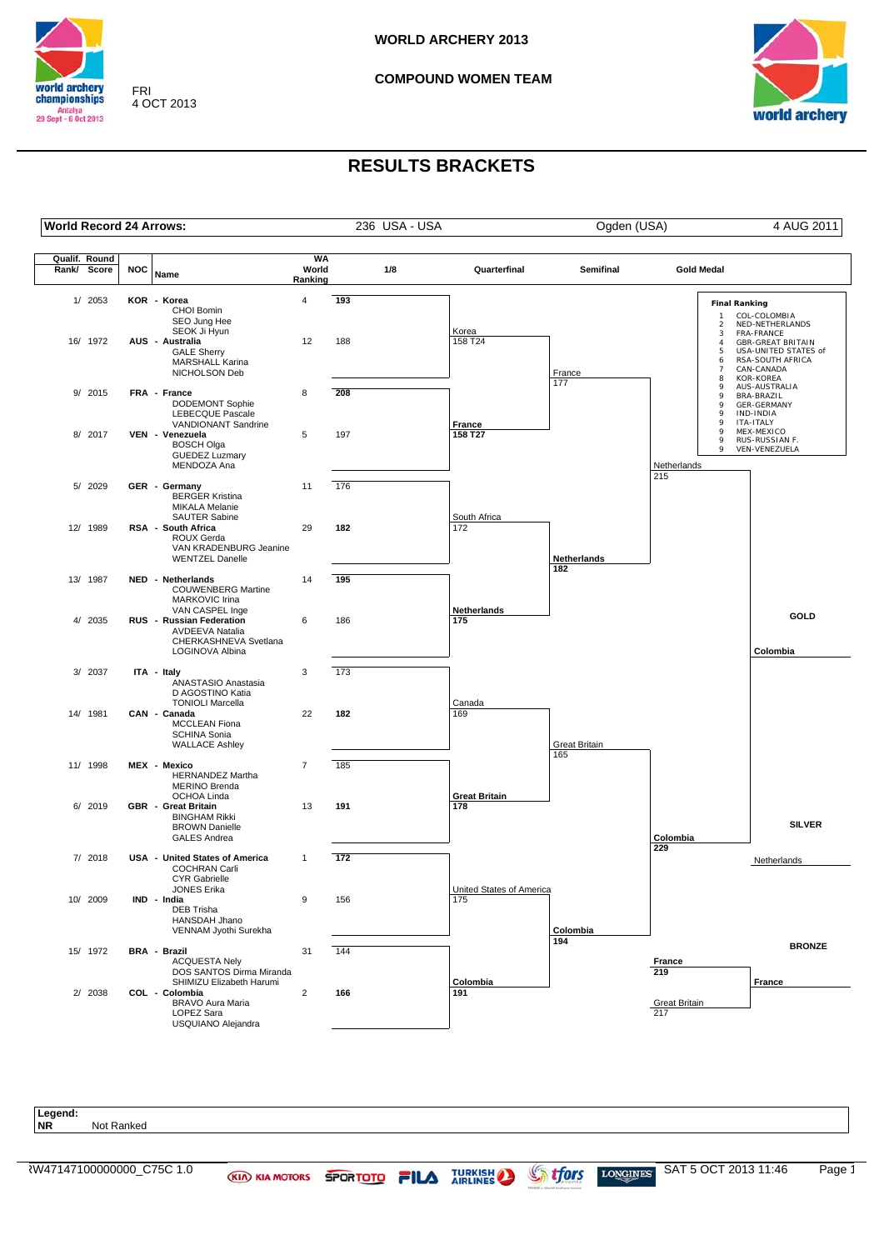

FRI 4 OCT 2013

#### **COMPOUND WOMEN TEAM**



## **RESULTS BRACKETS**

| <b>World Record 24 Arrows:</b> |            |                                                                                                      |                               | 236 USA - USA |     |                          | Ogden (USA)      | 4 AUG 2011                                                  |                                                                                                 |
|--------------------------------|------------|------------------------------------------------------------------------------------------------------|-------------------------------|---------------|-----|--------------------------|------------------|-------------------------------------------------------------|-------------------------------------------------------------------------------------------------|
| Qualif. Round<br>Rank/ Score   | <b>NOC</b> | Name                                                                                                 | <b>WA</b><br>World<br>Ranking |               | 1/8 | Quarterfinal             | <b>Semifinal</b> | <b>Gold Medal</b>                                           |                                                                                                 |
| 1/ 2053                        |            | KOR - Korea<br>CHOI Bomin<br>SEO Jung Hee<br>SEOK Ji Hyun                                            | $\overline{4}$                | 193           |     | Korea                    |                  | <b>Final Ranking</b><br>$\mathbf{1}$<br>$\overline{a}$<br>3 | COL-COLOMBIA<br>NED-NETHERLANDS<br>FRA-FRANCE                                                   |
| 16/ 1972                       |            | AUS - Australia<br><b>GALE Sherry</b><br>MARSHALL Karina<br>NICHOLSON Deb                            | 12                            | 188           |     | 158 T24                  | France<br>177    | $\overline{4}$<br>5<br>6<br>$\overline{7}$<br>8             | <b>GBR-GREAT BRITAIN</b><br>USA-UNITED STATES of<br>RSA-SOUTH AFRICA<br>CAN-CANADA<br>KOR-KOREA |
| 9/ 2015                        |            | FRA - France<br>DODEMONT Sophie<br>LEBECQUE Pascale<br>VANDIONANT Sandrine                           | 8                             | 208           |     | France                   |                  | 9<br>9<br>9<br>9<br>9                                       | AUS-AUSTRALIA<br>BRA-BRAZIL<br><b>GER-GERMANY</b><br>IND-INDIA<br>ITA-ITALY                     |
| 8/ 2017                        |            | VEN - Venezuela<br><b>BOSCH Olga</b><br><b>GUEDEZ Luzmary</b><br>MENDOZA Ana                         | 5                             | 197           |     | 158 T27                  |                  | 9<br>9<br>9<br>Netherlands                                  | MEX-MEXICO<br>RUS-RUSSIAN F.<br>VEN-VENEZUELA                                                   |
| 5/ 2029                        |            | GER - Germany<br><b>BERGER Kristina</b><br><b>MIKALA Melanie</b><br><b>SAUTER Sabine</b>             | 11                            | 176           |     | South Africa             |                  | 215                                                         |                                                                                                 |
| 12/ 1989                       |            | RSA - South Africa<br>ROUX Gerda<br>VAN KRADENBURG Jeanine<br><b>WENTZEL Danelle</b>                 | 29                            | 182           |     | 172                      | Netherlands      |                                                             |                                                                                                 |
| 13/ 1987                       |            | NED - Netherlands<br><b>COUWENBERG Martine</b><br>MARKOVIC Irina<br>VAN CASPEL Inge                  | 14                            | 195           |     | Netherlands              | 182              |                                                             |                                                                                                 |
| 4/ 2035                        |            | RUS - Russian Federation<br><b>AVDEEVA Natalia</b><br>CHERKASHNEVA Svetlana<br>LOGINOVA Albina       | 6                             | 186           |     | 175                      |                  |                                                             | GOLD<br>Colombia                                                                                |
| 3/ 2037                        |            | ITA - Italy<br>ANASTASIO Anastasia<br>D AGOSTINO Katia<br><b>TONIOLI Marcella</b>                    | 3                             | 173           |     | Canada                   |                  |                                                             |                                                                                                 |
| 14/ 1981                       |            | CAN - Canada<br><b>MCCLEAN Fiona</b><br>SCHINA Sonia<br><b>WALLACE Ashley</b>                        | 22                            | 182           |     | 169                      | Great Britain    |                                                             |                                                                                                 |
| 11/ 1998                       |            | MEX - Mexico<br><b>HERNANDEZ Martha</b><br><b>MERINO Brenda</b><br>OCHOA Linda                       | $\overline{7}$                | 185           |     | <b>Great Britain</b>     | 165              |                                                             |                                                                                                 |
| 6/ 2019                        |            | <b>GBR</b> - Great Britain<br><b>BINGHAM Rikki</b><br><b>BROWN Danielle</b><br><b>GALES Andrea</b>   | 13                            | 191           |     | 178                      |                  | Colombia<br>229                                             | <b>SILVER</b>                                                                                   |
| 7/ 2018                        |            | USA - United States of America<br><b>COCHRAN Carli</b><br><b>CYR Gabrielle</b><br><b>JONES Erika</b> | $\mathbf{1}$                  | 172           |     | United States of America |                  |                                                             | Netherlands                                                                                     |
| 10/ 2009                       |            | IND - India<br>DEB Trisha<br>HANSDAH Jhano<br>VENNAM Jyothi Surekha                                  | 9                             | 156           |     | 175                      | Colombia         |                                                             |                                                                                                 |
| 15/ 1972                       |            | BRA - Brazil<br><b>ACQUESTA Nely</b><br>DOS SANTOS Dirma Miranda<br>SHIMIZU Elizabeth Harumi         | 31                            | 144           |     | Colombia                 | 194              | France<br>219                                               | <b>BRONZE</b><br>France                                                                         |
| 2/ 2038                        |            | COL - Colombia<br>BRAVO Aura Maria<br>LOPEZ Sara<br>USQUIANO Alejandra                               | $\overline{2}$                | 166           |     | 191                      |                  | <b>Great Britain</b><br>217                                 |                                                                                                 |

**Legend: Not Ranked** RW47147100000000\_C75C 1.0 KID KIA MOTORS SPORTOTO FILA TURKISH STORGINES SAT 5 OCT 2013 11:46 Page 1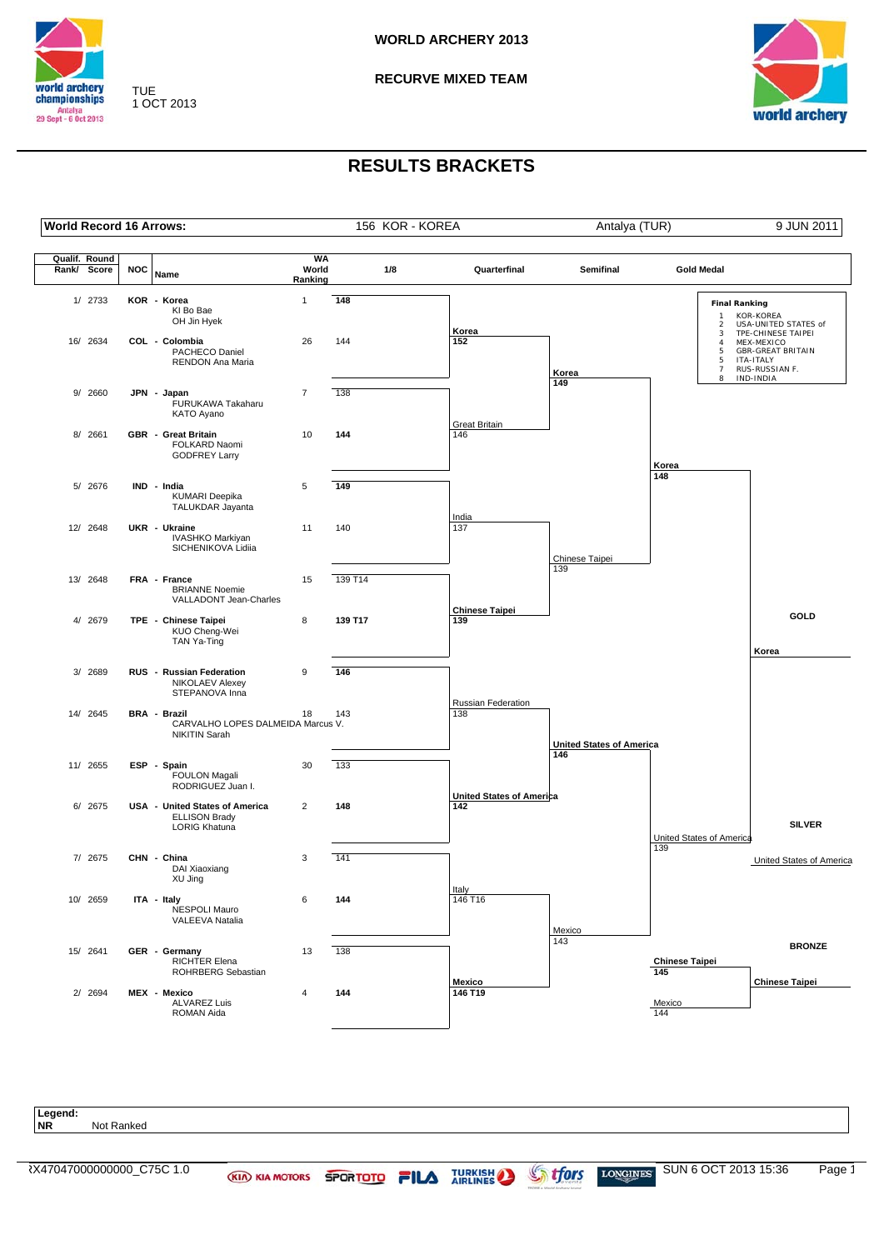

TUE 1 OCT 2013 **RECURVE MIXED TEAM**



## **RESULTS BRACKETS**



Legend:<br>NR **Not Ranked**  $\overline{X}$   $\overline{X}$   $\overline{X}$   $\overline{X}$   $\overline{X}$   $\overline{X}$   $\overline{X}$   $\overline{X}$   $\overline{X}$   $\overline{Y}$   $\overline{X}$   $\overline{Y}$   $\overline{Y}$   $\overline{Y}$   $\overline{Y}$   $\overline{Y}$   $\overline{Y}$   $\overline{Y}$   $\overline{Y}$   $\overline{Y}$   $\overline{Y}$   $\overline{Y}$   $\overline{Y}$   $\overline{Y}$   $\overline{$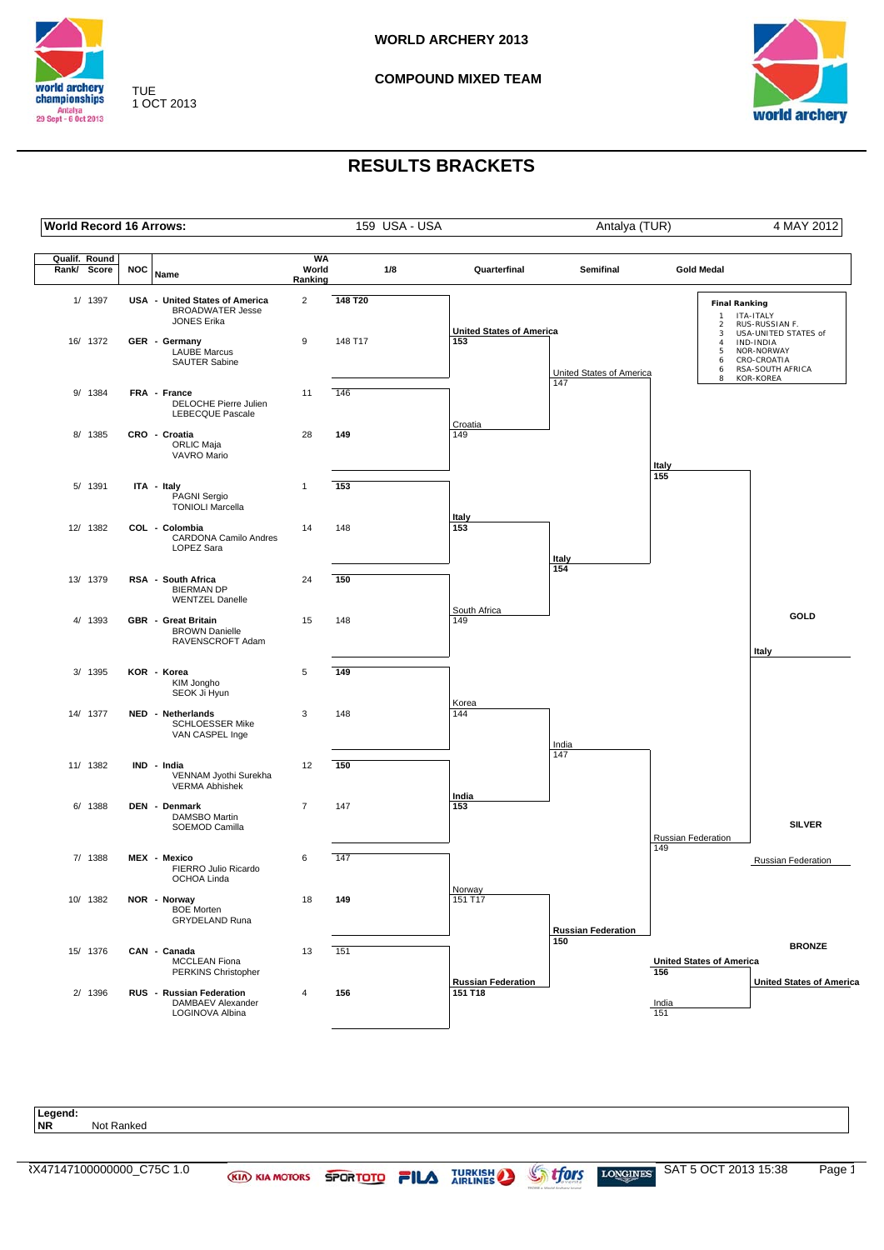

TUE 1 OCT 2013 **COMPOUND MIXED TEAM**



## **RESULTS BRACKETS**



Legend:<br>NR **Not Ranked**  $\overline{X}$   $\overline{X}$   $\overline{Y}$   $\overline{X}$   $\overline{Y}$   $\overline{Y}$   $\overline{Y}$   $\overline{Y}$   $\overline{Y}$   $\overline{Y}$   $\overline{Y}$   $\overline{Y}$   $\overline{Y}$   $\overline{Y}$   $\overline{Y}$   $\overline{Y}$   $\overline{Y}$   $\overline{Y}$   $\overline{Y}$   $\overline{Y}$   $\overline{Y}$   $\overline{Y}$   $\overline{Y}$   $\overline{Y}$   $\overline{$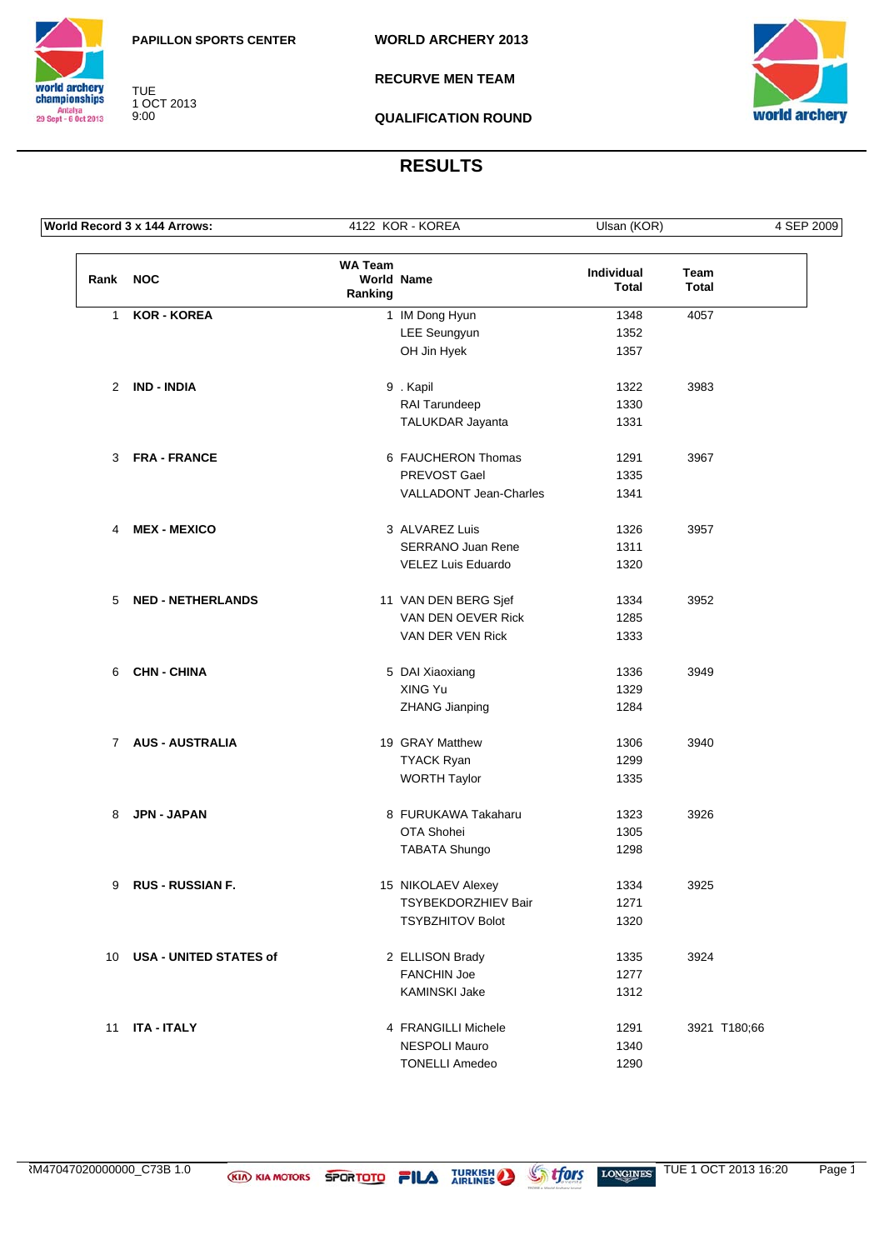

TUE 1 OCT 2013 9:00

**RECURVE MEN TEAM**



**QUALIFICATION ROUND**

|              | World Record 3 x 144 Arrows:  |                           | 4122 KOR - KOREA              | Ulsan (KOR)                |                      | 4 SEP 2009 |
|--------------|-------------------------------|---------------------------|-------------------------------|----------------------------|----------------------|------------|
| Rank NOC     |                               | <b>WA Team</b><br>Ranking | <b>World Name</b>             | Individual<br><b>Total</b> | Team<br><b>Total</b> |            |
| $\mathbf{1}$ | <b>KOR - KOREA</b>            |                           | 1 IM Dong Hyun                | 1348                       | 4057                 |            |
|              |                               |                           | LEE Seungyun                  | 1352                       |                      |            |
|              |                               |                           | OH Jin Hyek                   | 1357                       |                      |            |
|              | 2 IND - INDIA                 |                           | 9. Kapil                      | 1322                       | 3983                 |            |
|              |                               |                           | RAI Tarundeep                 | 1330                       |                      |            |
|              |                               |                           | TALUKDAR Jayanta              | 1331                       |                      |            |
| 3            | <b>FRA - FRANCE</b>           |                           | 6 FAUCHERON Thomas            | 1291                       | 3967                 |            |
|              |                               |                           | PREVOST Gael                  | 1335                       |                      |            |
|              |                               |                           | <b>VALLADONT Jean-Charles</b> | 1341                       |                      |            |
| 4            | <b>MEX - MEXICO</b>           |                           | 3 ALVAREZ Luis                | 1326                       | 3957                 |            |
|              |                               |                           | <b>SERRANO Juan Rene</b>      | 1311                       |                      |            |
|              |                               |                           | VELEZ Luis Eduardo            | 1320                       |                      |            |
| 5            | <b>NED - NETHERLANDS</b>      |                           | 11 VAN DEN BERG Sjef          | 1334                       | 3952                 |            |
|              |                               |                           | VAN DEN OEVER Rick            | 1285                       |                      |            |
|              |                               |                           | VAN DER VEN Rick              | 1333                       |                      |            |
| 6            | <b>CHN - CHINA</b>            |                           | 5 DAI Xiaoxiang               | 1336                       | 3949                 |            |
|              |                               |                           | XING Yu                       | 1329                       |                      |            |
|              |                               |                           | <b>ZHANG Jianping</b>         | 1284                       |                      |            |
|              | 7 AUS - AUSTRALIA             |                           | 19 GRAY Matthew               | 1306                       | 3940                 |            |
|              |                               |                           | <b>TYACK Ryan</b>             | 1299                       |                      |            |
|              |                               |                           | <b>WORTH Taylor</b>           | 1335                       |                      |            |
| 8            | JPN - JAPAN                   |                           | 8 FURUKAWA Takaharu           | 1323                       | 3926                 |            |
|              |                               |                           | OTA Shohei                    | 1305                       |                      |            |
|              |                               |                           | <b>TABATA Shungo</b>          | 1298                       |                      |            |
| 9            | <b>RUS - RUSSIAN F.</b>       |                           | 15 NIKOLAEV Alexey            | 1334                       | 3925                 |            |
|              |                               |                           | <b>TSYBEKDORZHIEV Bair</b>    | 1271                       |                      |            |
|              |                               |                           | <b>TSYBZHITOV Bolot</b>       | 1320                       |                      |            |
| 10           | <b>USA - UNITED STATES of</b> |                           | 2 ELLISON Brady               | 1335                       | 3924                 |            |
|              |                               |                           | <b>FANCHIN Joe</b>            | 1277                       |                      |            |
|              |                               |                           | KAMINSKI Jake                 | 1312                       |                      |            |
| 11           | <b>ITA - ITALY</b>            |                           | 4 FRANGILLI Michele           | 1291                       | 3921 T180;66         |            |
|              |                               |                           | NESPOLI Mauro                 | 1340                       |                      |            |
|              |                               |                           | <b>TONELLI Amedeo</b>         | 1290                       |                      |            |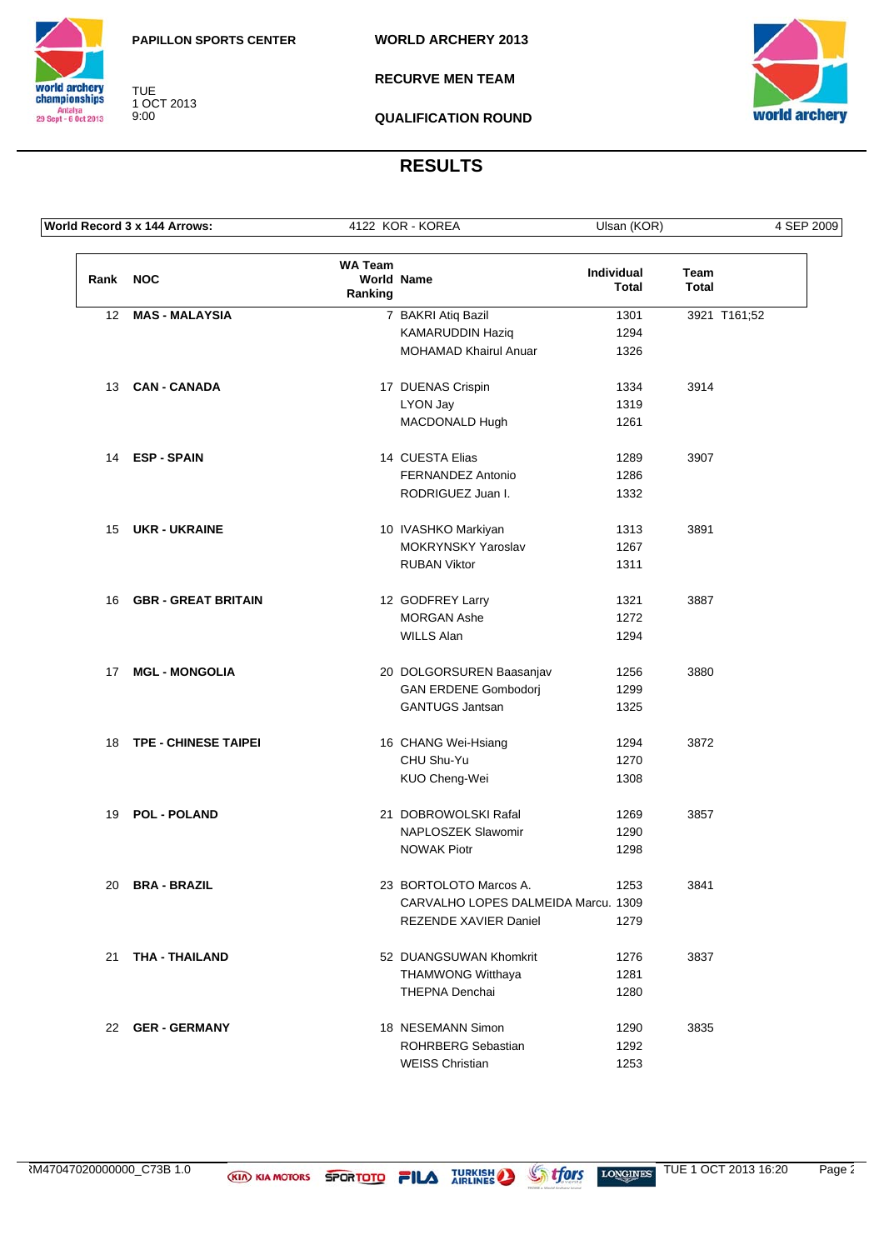

TUE 1 OCT 2013 9:00

**RECURVE MEN TEAM**



**QUALIFICATION ROUND**

|          | World Record 3 x 144 Arrows: |                           | 4122 KOR - KOREA                    | Ulsan (KOR)         |                      | 4 SEP 2009   |
|----------|------------------------------|---------------------------|-------------------------------------|---------------------|----------------------|--------------|
| Rank NOC |                              | <b>WA Team</b><br>Ranking | <b>World Name</b>                   | Individual<br>Total | Team<br><b>Total</b> |              |
| 12       | <b>MAS - MALAYSIA</b>        |                           | 7 BAKRI Atiq Bazil                  | 1301                |                      | 3921 T161;52 |
|          |                              |                           | KAMARUDDIN Haziq                    | 1294                |                      |              |
|          |                              |                           | <b>MOHAMAD Khairul Anuar</b>        | 1326                |                      |              |
|          | 13 CAN-CANADA                |                           | 17 DUENAS Crispin                   | 1334                | 3914                 |              |
|          |                              |                           | LYON Jay                            | 1319                |                      |              |
|          |                              |                           | MACDONALD Hugh                      | 1261                |                      |              |
|          | 14 ESP-SPAIN                 |                           | 14 CUESTA Elias                     | 1289                | 3907                 |              |
|          |                              |                           | FERNANDEZ Antonio                   | 1286                |                      |              |
|          |                              |                           | RODRIGUEZ Juan I.                   | 1332                |                      |              |
|          | 15 UKR - UKRAINE             |                           | 10 IVASHKO Markiyan                 | 1313                | 3891                 |              |
|          |                              |                           | MOKRYNSKY Yaroslav                  | 1267                |                      |              |
|          |                              |                           | <b>RUBAN Viktor</b>                 | 1311                |                      |              |
| 16       | <b>GBR - GREAT BRITAIN</b>   |                           | 12 GODFREY Larry                    | 1321                | 3887                 |              |
|          |                              |                           | <b>MORGAN Ashe</b>                  | 1272                |                      |              |
|          |                              |                           | <b>WILLS Alan</b>                   | 1294                |                      |              |
| 17       | <b>MGL - MONGOLIA</b>        |                           | 20 DOLGORSUREN Baasanjav            | 1256                | 3880                 |              |
|          |                              |                           | <b>GAN ERDENE Gombodorj</b>         | 1299                |                      |              |
|          |                              |                           | <b>GANTUGS Jantsan</b>              | 1325                |                      |              |
| 18       | <b>TPE - CHINESE TAIPEI</b>  |                           | 16 CHANG Wei-Hsiang                 | 1294                | 3872                 |              |
|          |                              |                           | CHU Shu-Yu                          | 1270                |                      |              |
|          |                              |                           | KUO Cheng-Wei                       | 1308                |                      |              |
| 19       | <b>POL - POLAND</b>          |                           | 21 DOBROWOLSKI Rafal                | 1269                | 3857                 |              |
|          |                              |                           | NAPLOSZEK Slawomir                  | 1290                |                      |              |
|          |                              |                           | <b>NOWAK Piotr</b>                  | 1298                |                      |              |
| 20       | <b>BRA - BRAZIL</b>          |                           | 23 BORTOLOTO Marcos A.              | 1253                | 3841                 |              |
|          |                              |                           | CARVALHO LOPES DALMEIDA Marcu. 1309 |                     |                      |              |
|          |                              |                           | REZENDE XAVIER Daniel               | 1279                |                      |              |
| 21       | THA - THAILAND               |                           | 52 DUANGSUWAN Khomkrit              | 1276                | 3837                 |              |
|          |                              |                           | <b>THAMWONG Witthaya</b>            | 1281                |                      |              |
|          |                              |                           | THEPNA Denchai                      | 1280                |                      |              |
|          | 22 GER-GERMANY               |                           | 18 NESEMANN Simon                   | 1290                | 3835                 |              |
|          |                              |                           | <b>ROHRBERG Sebastian</b>           | 1292                |                      |              |
|          |                              |                           | <b>WEISS Christian</b>              | 1253                |                      |              |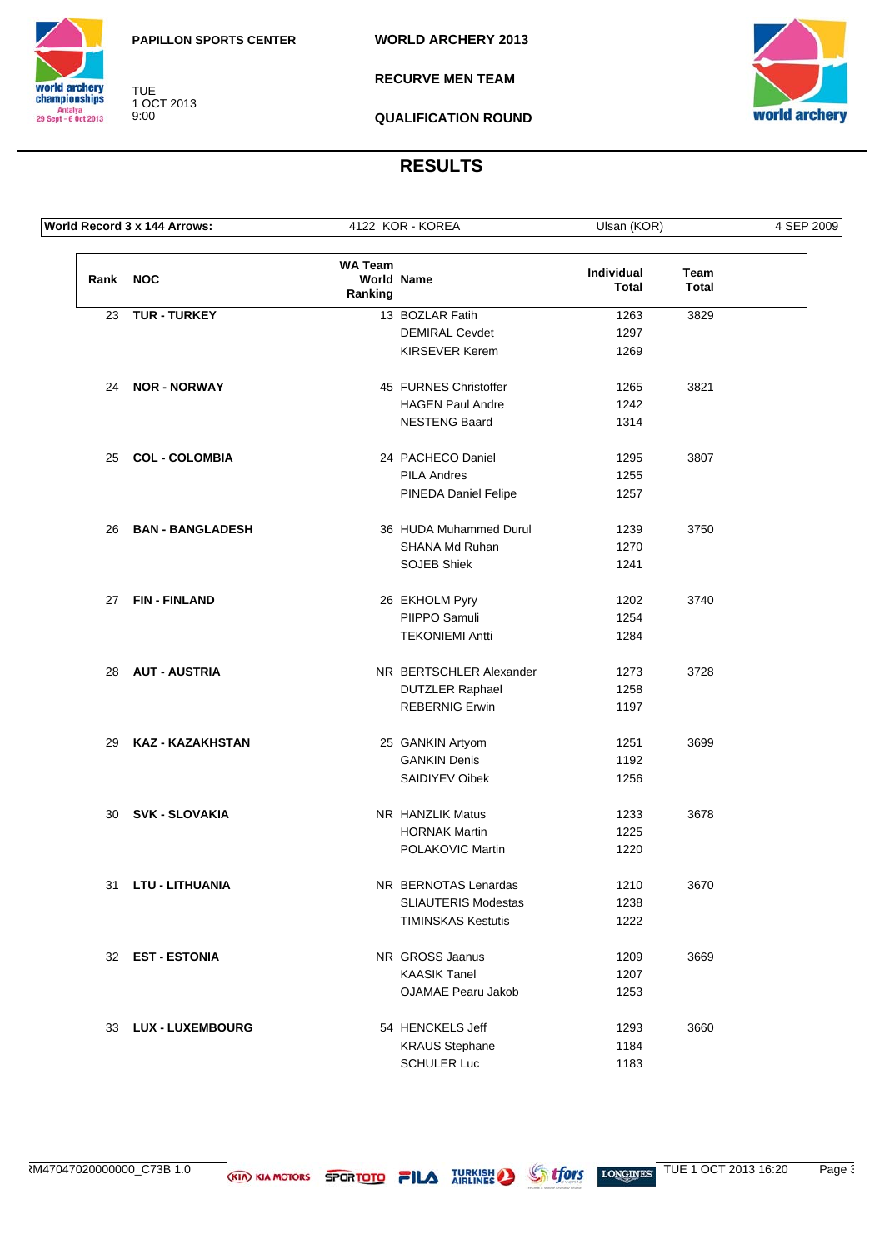

TUE 1 OCT 2013 9:00

**RECURVE MEN TEAM**



**QUALIFICATION ROUND**

|          | World Record 3 x 144 Arrows: |                                                | 4122 KOR - KOREA           | Ulsan (KOR)         |                      | 4 SEP 2009 |
|----------|------------------------------|------------------------------------------------|----------------------------|---------------------|----------------------|------------|
| Rank NOC |                              | <b>WA Team</b><br><b>World Name</b><br>Ranking |                            | Individual<br>Total | Team<br><b>Total</b> |            |
| 23       | <b>TUR - TURKEY</b>          |                                                | 13 BOZLAR Fatih            | 1263                | 3829                 |            |
|          |                              |                                                | <b>DEMIRAL Cevdet</b>      | 1297                |                      |            |
|          |                              |                                                | KIRSEVER Kerem             | 1269                |                      |            |
|          | 24 NOR - NORWAY              |                                                | 45 FURNES Christoffer      | 1265                | 3821                 |            |
|          |                              |                                                | <b>HAGEN Paul Andre</b>    | 1242                |                      |            |
|          |                              |                                                | NESTENG Baard              | 1314                |                      |            |
| 25       | <b>COL - COLOMBIA</b>        |                                                | 24 PACHECO Daniel          | 1295                | 3807                 |            |
|          |                              |                                                | <b>PILA Andres</b>         | 1255                |                      |            |
|          |                              |                                                | PINEDA Daniel Felipe       | 1257                |                      |            |
| 26       | <b>BAN - BANGLADESH</b>      |                                                | 36 HUDA Muhammed Durul     | 1239                | 3750                 |            |
|          |                              |                                                | SHANA Md Ruhan             | 1270                |                      |            |
|          |                              |                                                | <b>SOJEB Shiek</b>         | 1241                |                      |            |
| 27       | <b>FIN-FINLAND</b>           |                                                | 26 EKHOLM Pyry             | 1202                | 3740                 |            |
|          |                              |                                                | PIIPPO Samuli              | 1254                |                      |            |
|          |                              |                                                | <b>TEKONIEMI Antti</b>     | 1284                |                      |            |
|          | 28 AUT - AUSTRIA             |                                                | NR BERTSCHLER Alexander    | 1273                | 3728                 |            |
|          |                              |                                                | <b>DUTZLER Raphael</b>     | 1258                |                      |            |
|          |                              |                                                | <b>REBERNIG Erwin</b>      | 1197                |                      |            |
| 29       | KAZ - KAZAKHSTAN             |                                                | 25 GANKIN Artyom           | 1251                | 3699                 |            |
|          |                              |                                                | <b>GANKIN Denis</b>        | 1192                |                      |            |
|          |                              |                                                | <b>SAIDIYEV Oibek</b>      | 1256                |                      |            |
|          | 30 SVK - SLOVAKIA            |                                                | <b>NR HANZLIK Matus</b>    | 1233                | 3678                 |            |
|          |                              |                                                | <b>HORNAK Martin</b>       | 1225                |                      |            |
|          |                              |                                                | POLAKOVIC Martin           | 1220                |                      |            |
| 31       | <b>LTU - LITHUANIA</b>       |                                                | NR BERNOTAS Lenardas       | 1210                | 3670                 |            |
|          |                              |                                                | <b>SLIAUTERIS Modestas</b> | 1238                |                      |            |
|          |                              |                                                | <b>TIMINSKAS Kestutis</b>  | 1222                |                      |            |
|          | 32 EST - ESTONIA             |                                                | NR GROSS Jaanus            | 1209                | 3669                 |            |
|          |                              |                                                | <b>KAASIK Tanel</b>        | 1207                |                      |            |
|          |                              |                                                | <b>OJAMAE Pearu Jakob</b>  | 1253                |                      |            |
| 33       | <b>LUX - LUXEMBOURG</b>      |                                                | 54 HENCKELS Jeff           | 1293                | 3660                 |            |
|          |                              |                                                | <b>KRAUS Stephane</b>      | 1184                |                      |            |
|          |                              |                                                | <b>SCHULER Luc</b>         | 1183                |                      |            |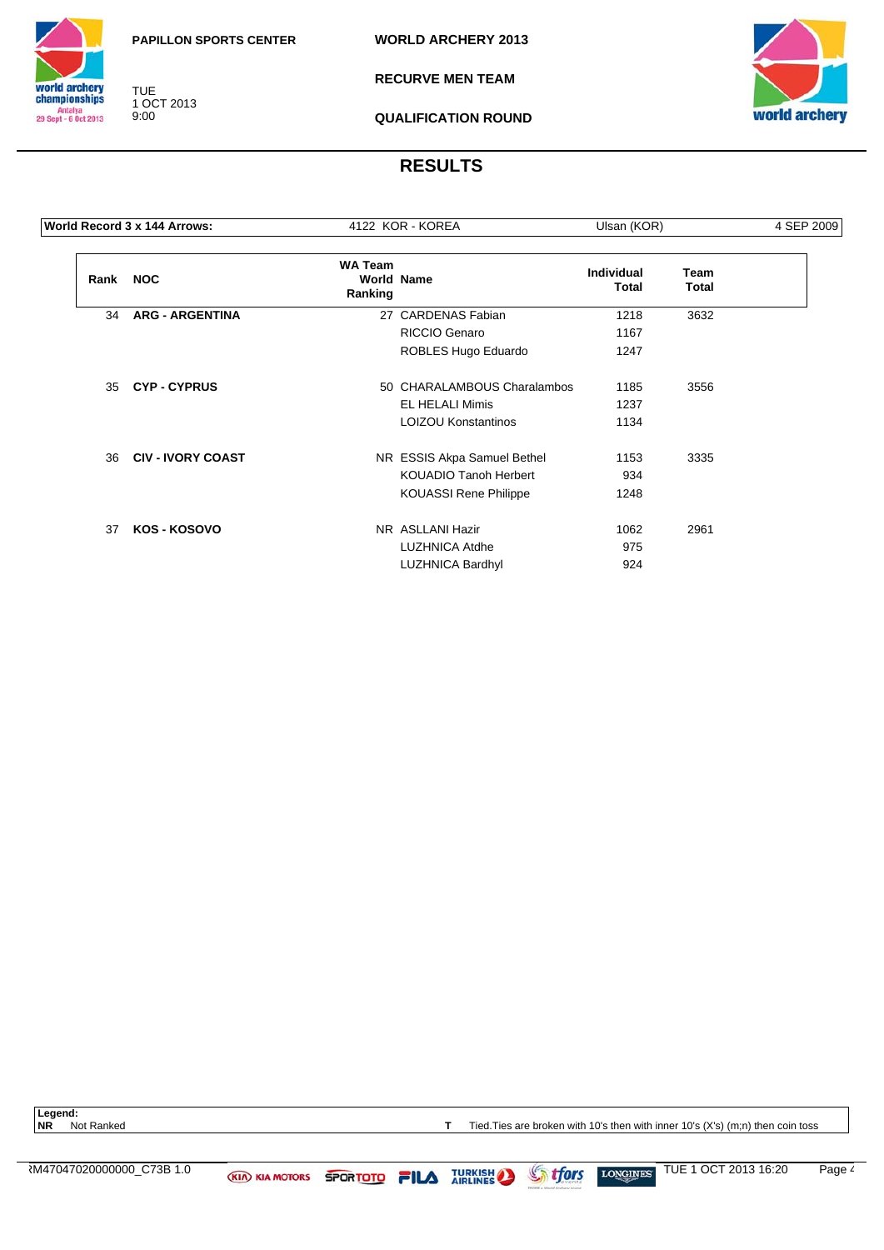

TUE 1 OCT 2013 9:00

**RECURVE MEN TEAM**



**QUALIFICATION ROUND**

# **RESULTS**

|      | World Record 3 x 144 Arrows: | 4122 KOR - KOREA          |                              | Ulsan (KOR)                |                      | 4 SEP 2009 |
|------|------------------------------|---------------------------|------------------------------|----------------------------|----------------------|------------|
| Rank | <b>NOC</b>                   | <b>WA Team</b><br>Ranking | <b>World Name</b>            | <b>Individual</b><br>Total | Team<br><b>Total</b> |            |
| 34   | <b>ARG - ARGENTINA</b>       |                           | 27 CARDENAS Fabian           | 1218                       | 3632                 |            |
|      |                              |                           | RICCIO Genaro                | 1167                       |                      |            |
|      |                              |                           | ROBLES Hugo Eduardo          | 1247                       |                      |            |
| 35   | <b>CYP-CYPRUS</b>            |                           | 50 CHARALAMBOUS Charalambos  | 1185                       | 3556                 |            |
|      |                              |                           | <b>EL HELALI Mimis</b>       | 1237                       |                      |            |
|      |                              |                           | <b>LOIZOU Konstantinos</b>   | 1134                       |                      |            |
| 36   | <b>CIV - IVORY COAST</b>     |                           | NR ESSIS Akpa Samuel Bethel  | 1153                       | 3335                 |            |
|      |                              |                           | <b>KOUADIO Tanoh Herbert</b> | 934                        |                      |            |
|      |                              |                           | <b>KOUASSI Rene Philippe</b> | 1248                       |                      |            |
| 37   | KOS - KOSOVO                 |                           | NR ASLLANI Hazir             | 1062                       | 2961                 |            |
|      |                              |                           | <b>LUZHNICA Atdhe</b>        | 975                        |                      |            |
|      |                              |                           | <b>LUZHNICA Bardhyl</b>      | 924                        |                      |            |
|      |                              |                           |                              |                            |                      |            |

Legend:<br>NR Not Ranked

**T** Tied.Ties are broken with 10's then with inner 10's (X's) (m;n) then coin toss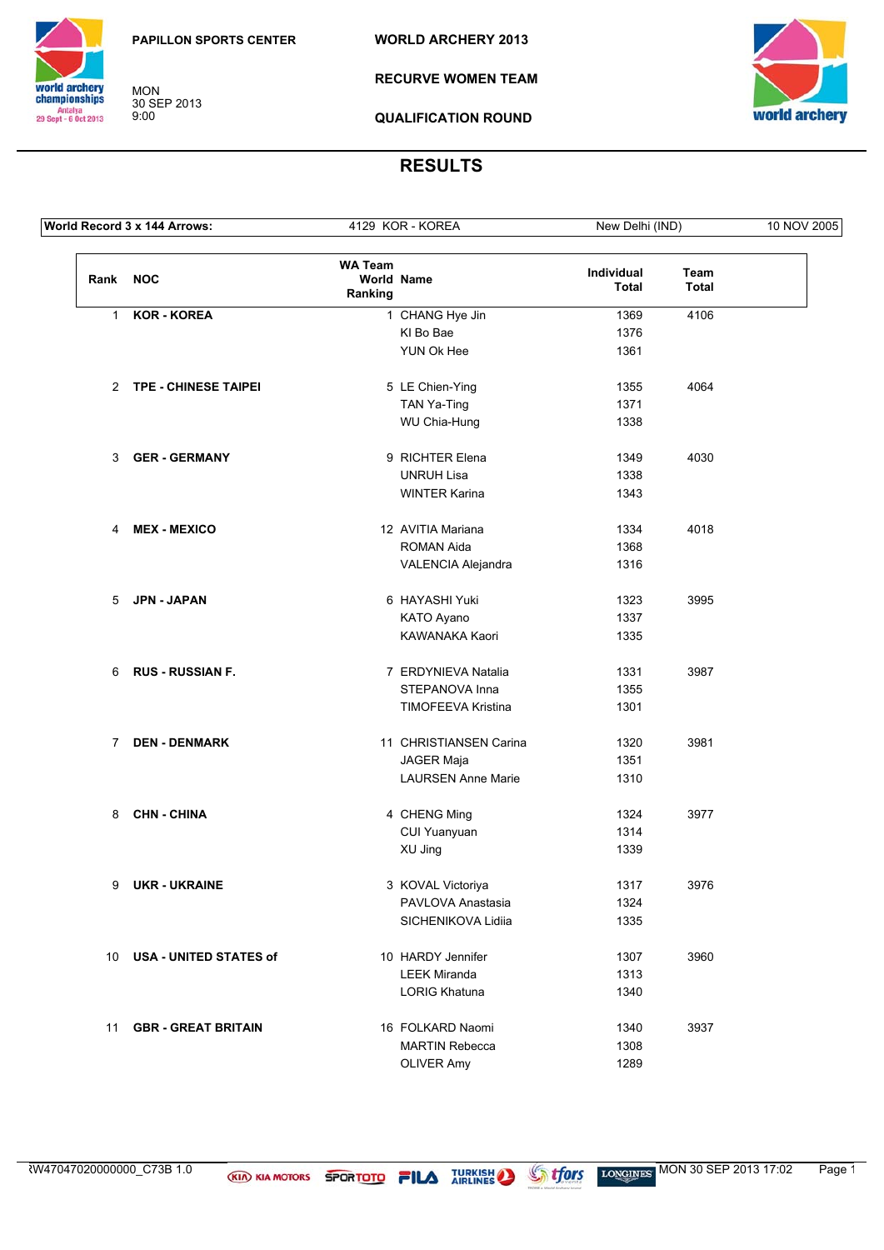**WORLD ARCHERY 2013**



MON 30 SEP 2013 9:00

**RECURVE WOMEN TEAM**



**QUALIFICATION ROUND**

|              | World Record 3 x 144 Arrows:  |                                                | 4129 KOR - KOREA          | New Delhi (IND)     |                      | 10 NOV 2005 |
|--------------|-------------------------------|------------------------------------------------|---------------------------|---------------------|----------------------|-------------|
| Rank         | <b>NOC</b>                    | <b>WA Team</b><br><b>World Name</b><br>Ranking |                           | Individual<br>Total | Team<br><b>Total</b> |             |
| $\mathbf{1}$ | <b>KOR - KOREA</b>            |                                                | 1 CHANG Hye Jin           | 1369                | 4106                 |             |
|              |                               |                                                | KI Bo Bae                 | 1376                |                      |             |
|              |                               |                                                | YUN Ok Hee                | 1361                |                      |             |
|              | 2 TPE - CHINESE TAIPEI        |                                                | 5 LE Chien-Ying           | 1355                | 4064                 |             |
|              |                               |                                                | TAN Ya-Ting               | 1371                |                      |             |
|              |                               |                                                | WU Chia-Hung              | 1338                |                      |             |
|              | 3 GER-GERMANY                 |                                                | 9 RICHTER Elena           | 1349                | 4030                 |             |
|              |                               |                                                | <b>UNRUH Lisa</b>         | 1338                |                      |             |
|              |                               |                                                | <b>WINTER Karina</b>      | 1343                |                      |             |
| 4            | <b>MEX - MEXICO</b>           |                                                | 12 AVITIA Mariana         | 1334                | 4018                 |             |
|              |                               |                                                | <b>ROMAN Aida</b>         | 1368                |                      |             |
|              |                               |                                                | VALENCIA Alejandra        | 1316                |                      |             |
|              | 5 JPN - JAPAN                 |                                                | 6 HAYASHI Yuki            | 1323                | 3995                 |             |
|              |                               |                                                | KATO Ayano                | 1337                |                      |             |
|              |                               |                                                | KAWANAKA Kaori            | 1335                |                      |             |
| 6            | <b>RUS - RUSSIAN F.</b>       |                                                | 7 ERDYNIEVA Natalia       | 1331                | 3987                 |             |
|              |                               |                                                | STEPANOVA Inna            | 1355                |                      |             |
|              |                               |                                                | TIMOFEEVA Kristina        | 1301                |                      |             |
| $\mathbf{7}$ | <b>DEN - DENMARK</b>          |                                                | 11 CHRISTIANSEN Carina    | 1320                | 3981                 |             |
|              |                               |                                                | JAGER Maja                | 1351                |                      |             |
|              |                               |                                                | <b>LAURSEN Anne Marie</b> | 1310                |                      |             |
| 8            | <b>CHN - CHINA</b>            |                                                | 4 CHENG Ming              | 1324                | 3977                 |             |
|              |                               |                                                | CUI Yuanyuan              | 1314                |                      |             |
|              |                               |                                                | XU Jing                   | 1339                |                      |             |
| 9            | <b>UKR - UKRAINE</b>          |                                                | 3 KOVAL Victoriya         | 1317                | 3976                 |             |
|              |                               |                                                | PAVLOVA Anastasia         | 1324                |                      |             |
|              |                               |                                                | SICHENIKOVA Lidiia        | 1335                |                      |             |
| 10           | <b>USA - UNITED STATES of</b> |                                                | 10 HARDY Jennifer         | 1307                | 3960                 |             |
|              |                               |                                                | <b>LEEK Miranda</b>       | 1313                |                      |             |
|              |                               |                                                | <b>LORIG Khatuna</b>      | 1340                |                      |             |
| 11           | <b>GBR - GREAT BRITAIN</b>    |                                                | 16 FOLKARD Naomi          | 1340                | 3937                 |             |
|              |                               |                                                | <b>MARTIN Rebecca</b>     | 1308                |                      |             |
|              |                               |                                                | <b>OLIVER Amy</b>         | 1289                |                      |             |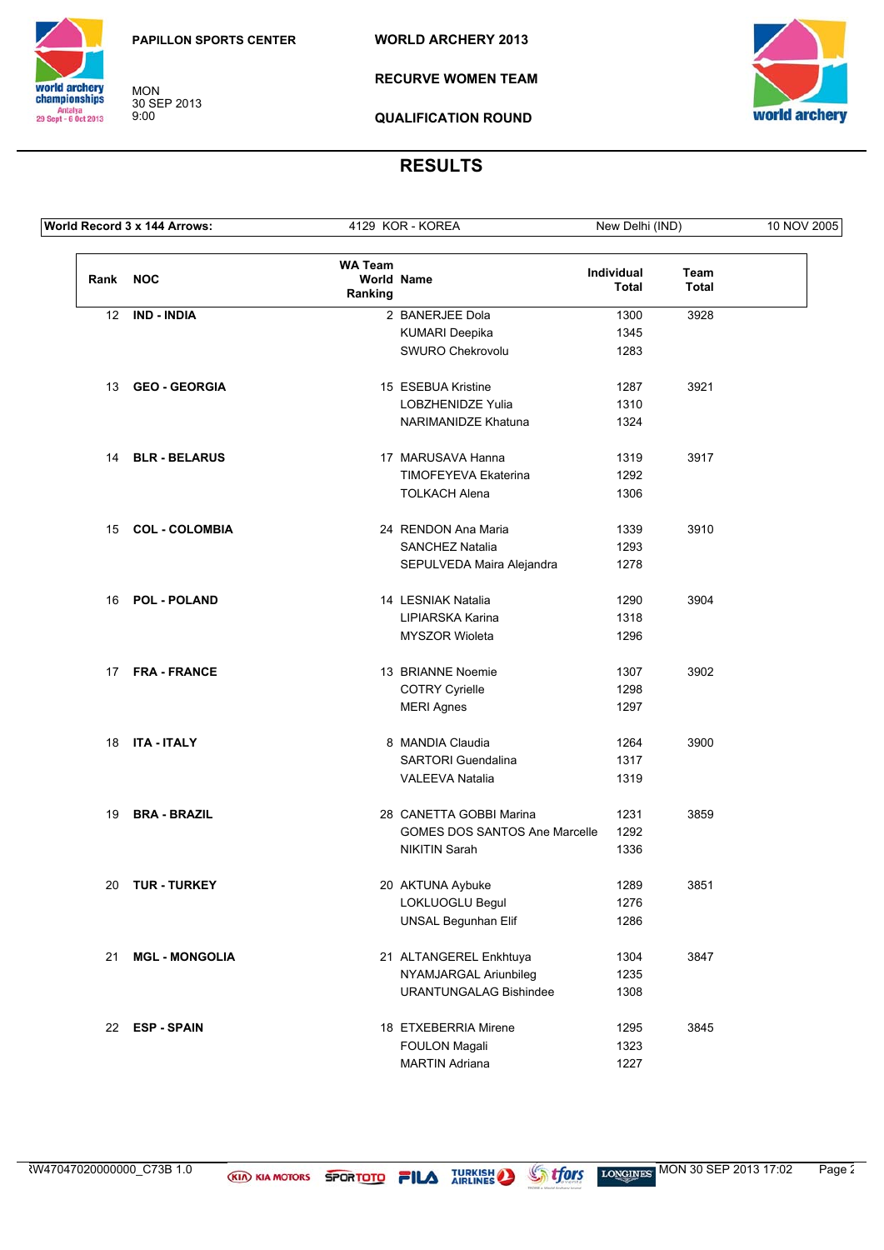**MON** 30 SEP 2013<br>9:00 **WORLD ARCHERY 2013** 

**RECURVE WOMEN TEAM** 





**QUALIFICATION ROUND** 

# **RESULTS**

| World Record 3 x 144 Arrows: |                       | 4129 KOR - KOREA<br>New Delhi (IND)            |                                      | 10 NOV 2005         |                      |  |
|------------------------------|-----------------------|------------------------------------------------|--------------------------------------|---------------------|----------------------|--|
| Rank NOC                     |                       | <b>WA Team</b><br><b>World Name</b><br>Ranking |                                      | Individual<br>Total | Team<br><b>Total</b> |  |
| 12                           | <b>IND - INDIA</b>    |                                                | 2 BANERJEE Dola                      | 1300                | 3928                 |  |
|                              |                       |                                                | <b>KUMARI Deepika</b>                | 1345                |                      |  |
|                              |                       |                                                | SWURO Chekrovolu                     | 1283                |                      |  |
|                              | 13 GEO - GEORGIA      |                                                | 15 ESEBUA Kristine                   | 1287                | 3921                 |  |
|                              |                       |                                                | <b>LOBZHENIDZE Yulia</b>             | 1310                |                      |  |
|                              |                       |                                                | NARIMANIDZE Khatuna                  | 1324                |                      |  |
|                              | 14 BLR - BELARUS      |                                                | 17 MARUSAVA Hanna                    | 1319                | 3917                 |  |
|                              |                       |                                                | TIMOFEYEVA Ekaterina                 | 1292                |                      |  |
|                              |                       |                                                | <b>TOLKACH Alena</b>                 | 1306                |                      |  |
|                              | 15 COL - COLOMBIA     |                                                | 24 RENDON Ana Maria                  | 1339                | 3910                 |  |
|                              |                       |                                                | <b>SANCHEZ Natalia</b>               | 1293                |                      |  |
|                              |                       |                                                | SEPULVEDA Maira Alejandra            | 1278                |                      |  |
|                              | 16 POL - POLAND       |                                                | 14 LESNIAK Natalia                   | 1290                | 3904                 |  |
|                              |                       |                                                | LIPIARSKA Karina                     | 1318                |                      |  |
|                              |                       |                                                | MYSZOR Wioleta                       | 1296                |                      |  |
|                              | 17 FRA-FRANCE         |                                                | 13 BRIANNE Noemie                    | 1307                | 3902                 |  |
|                              |                       |                                                | <b>COTRY Cyrielle</b>                | 1298                |                      |  |
|                              |                       |                                                | <b>MERI Agnes</b>                    | 1297                |                      |  |
|                              | 18 ITA - ITALY        |                                                | 8 MANDIA Claudia                     | 1264                | 3900                 |  |
|                              |                       |                                                | SARTORI Guendalina                   | 1317                |                      |  |
|                              |                       |                                                | <b>VALEEVA Natalia</b>               | 1319                |                      |  |
| 19                           | <b>BRA - BRAZIL</b>   |                                                | 28 CANETTA GOBBI Marina              | 1231                | 3859                 |  |
|                              |                       |                                                | <b>GOMES DOS SANTOS Ane Marcelle</b> | 1292                |                      |  |
|                              |                       |                                                | <b>NIKITIN Sarah</b>                 | 1336                |                      |  |
| 20                           | <b>TUR - TURKEY</b>   |                                                | 20 AKTUNA Aybuke                     | 1289                | 3851                 |  |
|                              |                       |                                                | LOKLUOGLU Begul                      | 1276                |                      |  |
|                              |                       |                                                | UNSAL Begunhan Elif                  | 1286                |                      |  |
| 21                           | <b>MGL - MONGOLIA</b> |                                                | 21 ALTANGEREL Enkhtuya               | 1304                | 3847                 |  |
|                              |                       |                                                | NYAMJARGAL Ariunbileg                | 1235                |                      |  |
|                              |                       |                                                | <b>URANTUNGALAG Bishindee</b>        | 1308                |                      |  |
|                              | 22 ESP-SPAIN          |                                                | 18 ETXEBERRIA Mirene                 | 1295                | 3845                 |  |
|                              |                       |                                                | <b>FOULON Magali</b>                 | 1323                |                      |  |
|                              |                       |                                                | <b>MARTIN Adriana</b>                | 1227                |                      |  |

**If ors**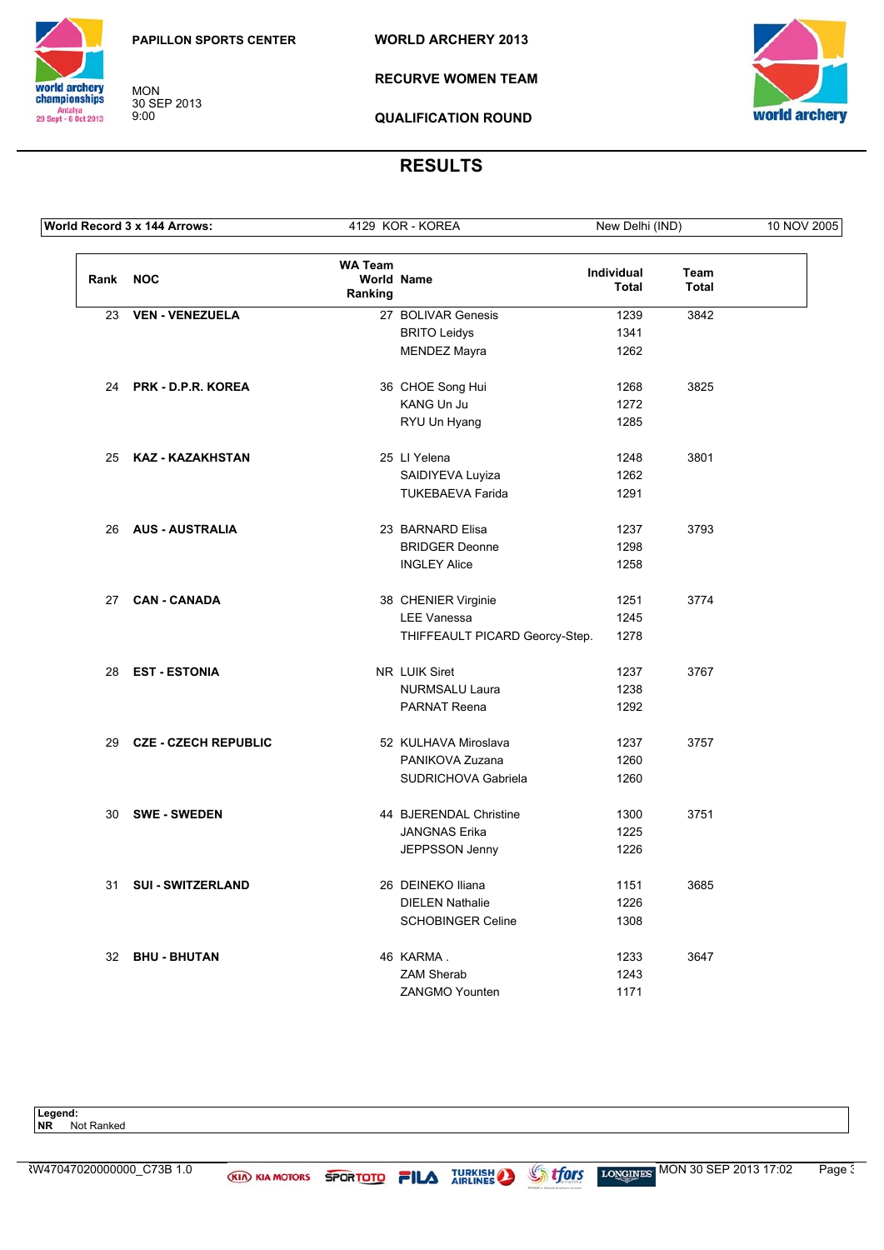**MON** 30 SEP 2013<br>9:00 **WORLD ARCHERY 2013** 



**RECURVE WOMEN TEAM** 



**QUALIFICATION ROUND** 

# **RESULTS**

| World Record 3 x 144 Arrows: |                             |                           | 4129 KOR - KOREA               | New Delhi (IND)            |                             | 10 NOV 2005 |
|------------------------------|-----------------------------|---------------------------|--------------------------------|----------------------------|-----------------------------|-------------|
| Rank NOC                     |                             | <b>WA Team</b><br>Ranking | <b>World Name</b>              | Individual<br><b>Total</b> | <b>Team</b><br><b>Total</b> |             |
| 23                           | <b>VEN - VENEZUELA</b>      |                           | 27 BOLIVAR Genesis             | 1239                       | 3842                        |             |
|                              |                             |                           | <b>BRITO Leidys</b>            | 1341                       |                             |             |
|                              |                             |                           | <b>MENDEZ Mayra</b>            | 1262                       |                             |             |
|                              | 24 PRK - D.P.R. KOREA       |                           | 36 CHOE Song Hui               | 1268                       | 3825                        |             |
|                              |                             |                           | KANG Un Ju                     | 1272                       |                             |             |
|                              |                             |                           | RYU Un Hyang                   | 1285                       |                             |             |
| 25                           | KAZ - KAZAKHSTAN            |                           | 25 LI Yelena                   | 1248                       | 3801                        |             |
|                              |                             |                           | SAIDIYEVA Luyiza               | 1262                       |                             |             |
|                              |                             |                           | <b>TUKEBAEVA Farida</b>        | 1291                       |                             |             |
| 26                           | <b>AUS - AUSTRALIA</b>      |                           | 23 BARNARD Elisa               | 1237                       | 3793                        |             |
|                              |                             |                           | <b>BRIDGER Deonne</b>          | 1298                       |                             |             |
|                              |                             |                           | <b>INGLEY Alice</b>            | 1258                       |                             |             |
|                              | 27 CAN-CANADA               |                           | 38 CHENIER Virginie            | 1251                       | 3774                        |             |
|                              |                             |                           | <b>LEE Vanessa</b>             | 1245                       |                             |             |
|                              |                             |                           | THIFFEAULT PICARD Georcy-Step. | 1278                       |                             |             |
| 28                           | <b>EST - ESTONIA</b>        |                           | NR LUIK Siret                  | 1237                       | 3767                        |             |
|                              |                             |                           | <b>NURMSALU Laura</b>          | 1238                       |                             |             |
|                              |                             |                           | PARNAT Reena                   | 1292                       |                             |             |
| 29                           | <b>CZE - CZECH REPUBLIC</b> |                           | 52 KULHAVA Miroslava           | 1237                       | 3757                        |             |
|                              |                             |                           | PANIKOVA Zuzana                | 1260                       |                             |             |
|                              |                             |                           | SUDRICHOVA Gabriela            | 1260                       |                             |             |
| 30                           | <b>SWE - SWEDEN</b>         |                           | 44 BJERENDAL Christine         | 1300                       | 3751                        |             |
|                              |                             |                           | <b>JANGNAS Erika</b>           | 1225                       |                             |             |
|                              |                             |                           | JEPPSSON Jenny                 | 1226                       |                             |             |
| 31                           | <b>SUI - SWITZERLAND</b>    |                           | 26 DEINEKO Iliana              | 1151                       | 3685                        |             |
|                              |                             |                           | <b>DIELEN Nathalie</b>         | 1226                       |                             |             |
|                              |                             |                           | <b>SCHOBINGER Celine</b>       | 1308                       |                             |             |
|                              | 32 BHU - BHUTAN             |                           | 46 KARMA.                      | 1233                       | 3647                        |             |
|                              |                             |                           | <b>ZAM Sherab</b>              | 1243                       |                             |             |
|                              |                             |                           | ZANGMO Younten                 | 1171                       |                             |             |

Legend:<br>NR Not Ranked



**Stfors**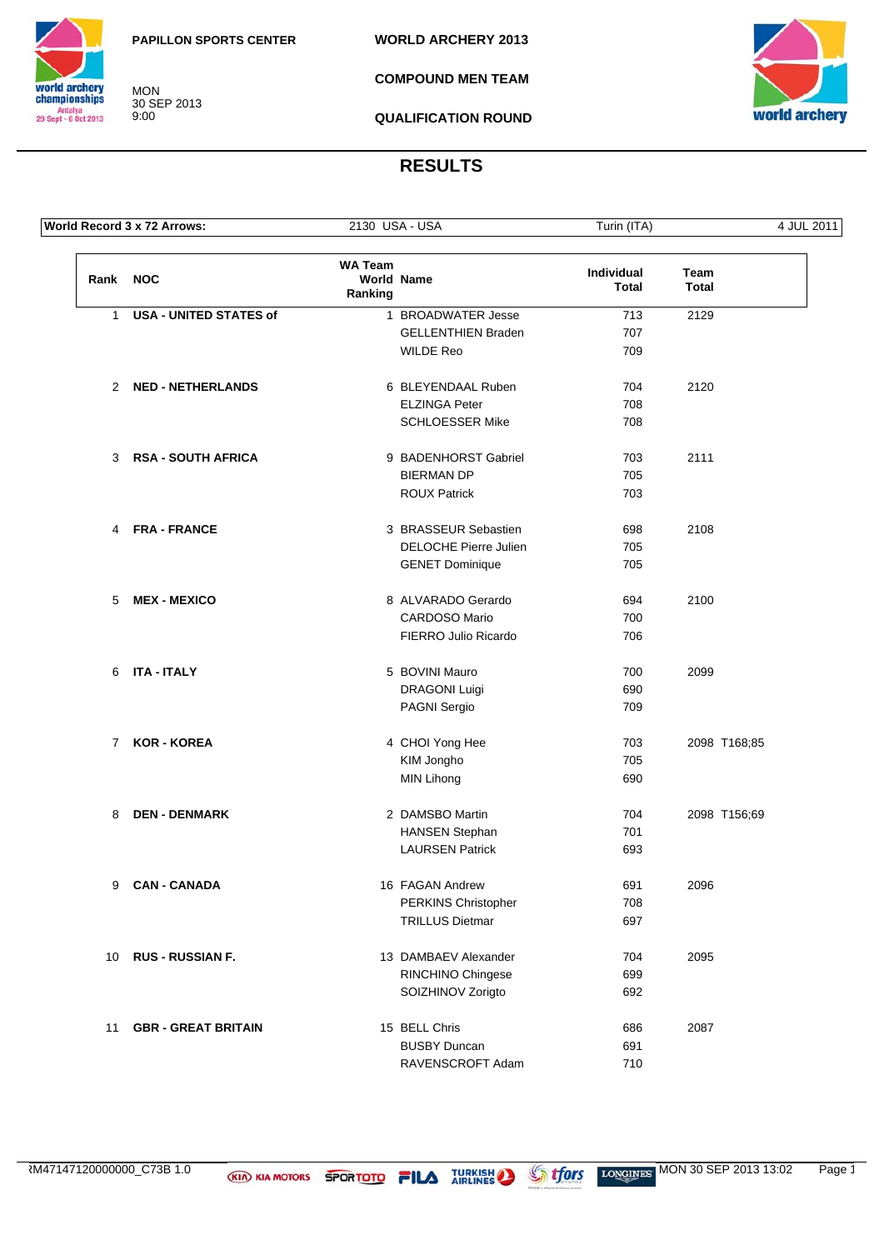

MON 30 SEP 2013 9:00

**COMPOUND MEN TEAM**



**QUALIFICATION ROUND**

|              | World Record 3 x 72 Arrows:   | 2130 USA - USA            |                              | Turin (ITA)                | 4 JUL 2011    |
|--------------|-------------------------------|---------------------------|------------------------------|----------------------------|---------------|
| Rank NOC     |                               | <b>WA Team</b><br>Ranking | World Name                   | Individual<br><b>Total</b> | Team<br>Total |
| $\mathbf{1}$ | <b>USA - UNITED STATES of</b> |                           | 1 BROADWATER Jesse           | 713                        | 2129          |
|              |                               |                           | <b>GELLENTHIEN Braden</b>    | 707                        |               |
|              |                               |                           | <b>WILDE Reo</b>             | 709                        |               |
|              | 2 NED - NETHERLANDS           |                           | 6 BLEYENDAAL Ruben           | 704                        | 2120          |
|              |                               |                           | <b>ELZINGA Peter</b>         | 708                        |               |
|              |                               |                           | <b>SCHLOESSER Mike</b>       | 708                        |               |
| 3            | <b>RSA - SOUTH AFRICA</b>     |                           | 9 BADENHORST Gabriel         | 703                        | 2111          |
|              |                               |                           | <b>BIERMAN DP</b>            | 705                        |               |
|              |                               |                           | <b>ROUX Patrick</b>          | 703                        |               |
| 4            | <b>FRA - FRANCE</b>           |                           | 3 BRASSEUR Sebastien         | 698                        | 2108          |
|              |                               |                           | <b>DELOCHE Pierre Julien</b> | 705                        |               |
|              |                               |                           | <b>GENET Dominique</b>       | 705                        |               |
| 5            | <b>MEX - MEXICO</b>           |                           | 8 ALVARADO Gerardo           | 694                        | 2100          |
|              |                               |                           | <b>CARDOSO Mario</b>         | 700                        |               |
|              |                               |                           | FIERRO Julio Ricardo         | 706                        |               |
| 6            | <b>ITA - ITALY</b>            |                           | 5 BOVINI Mauro               | 700                        | 2099          |
|              |                               |                           | <b>DRAGONI Luigi</b>         | 690                        |               |
|              |                               |                           | PAGNI Sergio                 | 709                        |               |
| $7^{\circ}$  | KOR - KOREA                   |                           | 4 CHOI Yong Hee              | 703                        | 2098 T168;85  |
|              |                               |                           | KIM Jongho                   | 705                        |               |
|              |                               |                           | <b>MIN Lihong</b>            | 690                        |               |
| 8            | <b>DEN - DENMARK</b>          |                           | 2 DAMSBO Martin              | 704                        | 2098 T156;69  |
|              |                               |                           | <b>HANSEN Stephan</b>        | 701                        |               |
|              |                               |                           | <b>LAURSEN Patrick</b>       | 693                        |               |
|              | 9 CAN-CANADA                  |                           | 16 FAGAN Andrew              | 691                        | 2096          |
|              |                               |                           | PERKINS Christopher          | 708                        |               |
|              |                               |                           | <b>TRILLUS Dietmar</b>       | 697                        |               |
|              | 10 RUS - RUSSIAN F.           |                           | 13 DAMBAEV Alexander         | 704                        | 2095          |
|              |                               |                           | RINCHINO Chingese            | 699                        |               |
|              |                               |                           | SOIZHINOV Zorigto            | 692                        |               |
| 11           | <b>GBR - GREAT BRITAIN</b>    |                           | 15 BELL Chris                | 686                        | 2087          |
|              |                               |                           | <b>BUSBY Duncan</b>          | 691                        |               |
|              |                               |                           | RAVENSCROFT Adam             | 710                        |               |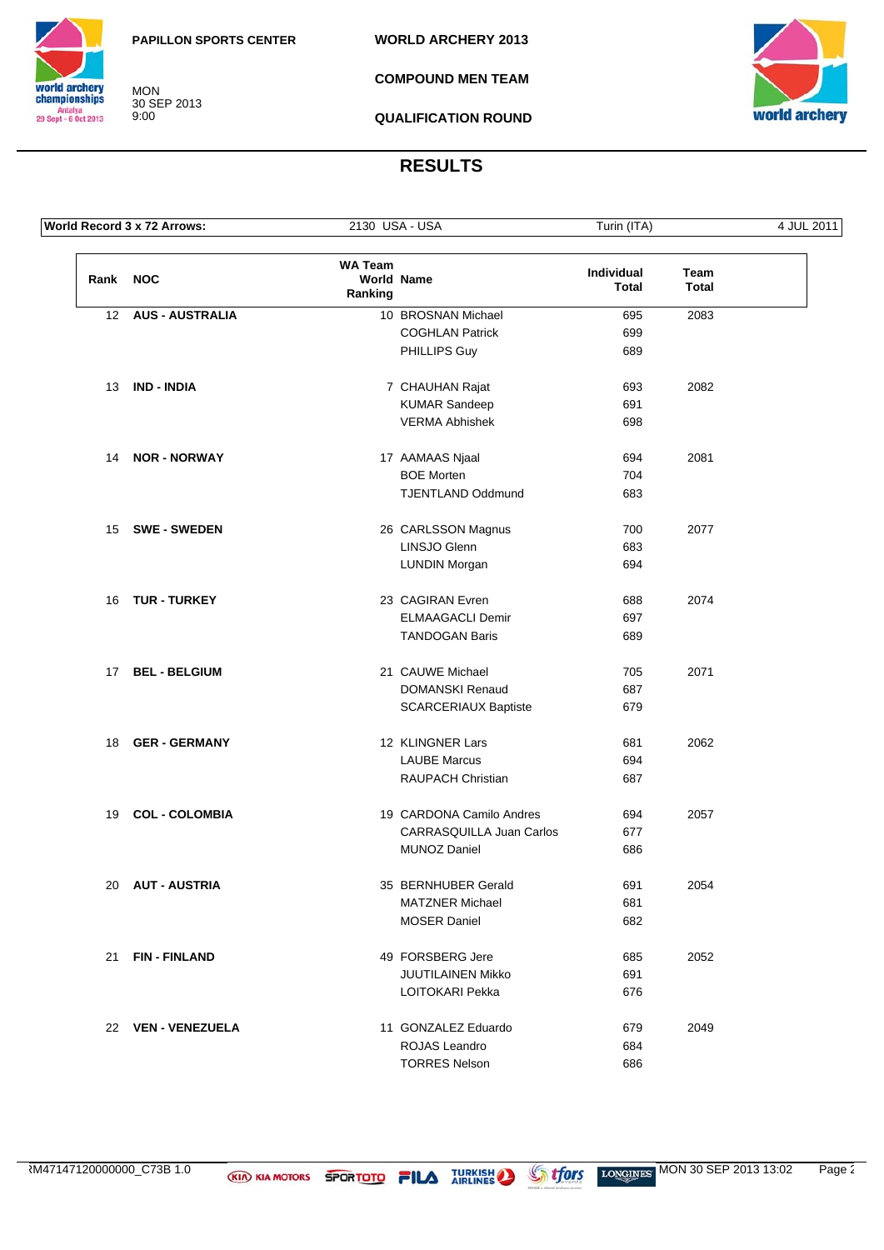**WORLD ARCHERY 2013**



MON 30 SEP 2013 9:00

**COMPOUND MEN TEAM**



**QUALIFICATION ROUND**

|      | World Record 3 x 72 Arrows: | 2130 USA - USA            |                             | Turin (ITA)                |               | 4 JUL 2011 |
|------|-----------------------------|---------------------------|-----------------------------|----------------------------|---------------|------------|
| Rank | <b>NOC</b>                  | <b>WA Team</b><br>Ranking | <b>World Name</b>           | Individual<br><b>Total</b> | Team<br>Total |            |
|      | 12 AUS - AUSTRALIA          |                           | 10 BROSNAN Michael          | 695                        | 2083          |            |
|      |                             |                           | <b>COGHLAN Patrick</b>      | 699                        |               |            |
|      |                             |                           | PHILLIPS Guy                | 689                        |               |            |
| 13   | <b>IND - INDIA</b>          |                           | 7 CHAUHAN Rajat             | 693                        | 2082          |            |
|      |                             |                           | <b>KUMAR Sandeep</b>        | 691                        |               |            |
|      |                             |                           | <b>VERMA Abhishek</b>       | 698                        |               |            |
| 14   | <b>NOR - NORWAY</b>         |                           | 17 AAMAAS Njaal             | 694                        | 2081          |            |
|      |                             |                           | <b>BOE Morten</b>           | 704                        |               |            |
|      |                             |                           | <b>TJENTLAND Oddmund</b>    | 683                        |               |            |
|      | 15 SWE - SWEDEN             |                           | 26 CARLSSON Magnus          | 700                        | 2077          |            |
|      |                             |                           | LINSJO Glenn                | 683                        |               |            |
|      |                             |                           | <b>LUNDIN Morgan</b>        | 694                        |               |            |
| 16   | <b>TUR - TURKEY</b>         |                           | 23 CAGIRAN Evren            | 688                        | 2074          |            |
|      |                             |                           | <b>ELMAAGACLI Demir</b>     | 697                        |               |            |
|      |                             |                           | <b>TANDOGAN Baris</b>       | 689                        |               |            |
| 17   | <b>BEL - BELGIUM</b>        |                           | 21 CAUWE Michael            | 705                        | 2071          |            |
|      |                             |                           | DOMANSKI Renaud             | 687                        |               |            |
|      |                             |                           | <b>SCARCERIAUX Baptiste</b> | 679                        |               |            |
| 18   | <b>GER - GERMANY</b>        |                           | 12 KLINGNER Lars            | 681                        | 2062          |            |
|      |                             |                           | <b>LAUBE Marcus</b>         | 694                        |               |            |
|      |                             |                           | RAUPACH Christian           | 687                        |               |            |
| 19   | <b>COL - COLOMBIA</b>       |                           | 19 CARDONA Camilo Andres    | 694                        | 2057          |            |
|      |                             |                           | CARRASQUILLA Juan Carlos    | 677                        |               |            |
|      |                             |                           | MUNOZ Daniel                | 686                        |               |            |
|      | 20 AUT - AUSTRIA            |                           | 35 BERNHUBER Gerald         | 691                        | 2054          |            |
|      |                             |                           | <b>MATZNER Michael</b>      | 681                        |               |            |
|      |                             |                           | <b>MOSER Daniel</b>         | 682                        |               |            |
| 21   | <b>FIN-FINLAND</b>          |                           | 49 FORSBERG Jere            | 685                        | 2052          |            |
|      |                             |                           | JUUTILAINEN Mikko           | 691                        |               |            |
|      |                             |                           | LOITOKARI Pekka             | 676                        |               |            |
|      | 22 VEN - VENEZUELA          |                           | 11 GONZALEZ Eduardo         | 679                        | 2049          |            |
|      |                             |                           | ROJAS Leandro               | 684                        |               |            |
|      |                             |                           | <b>TORRES Nelson</b>        | 686                        |               |            |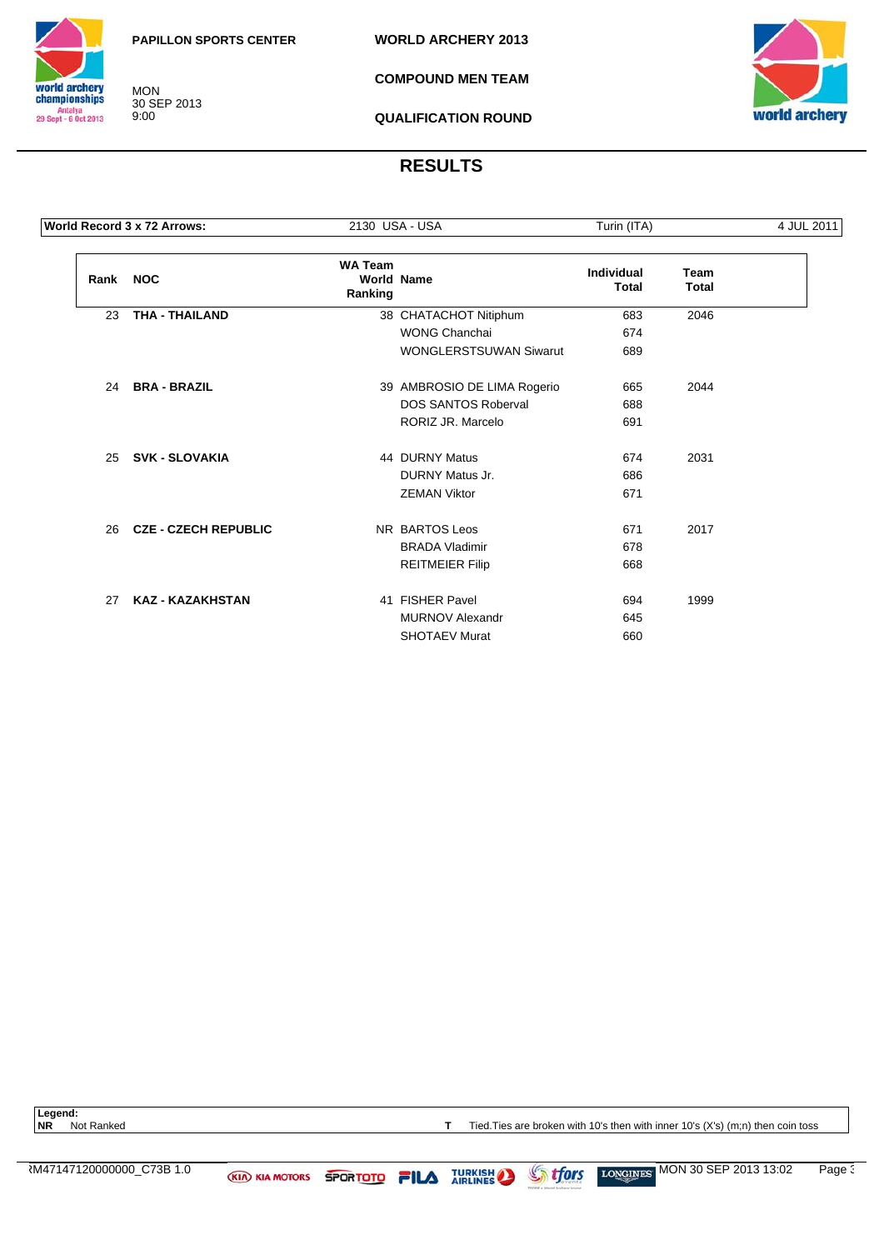

MON 30 SEP 2013 9:00

**WORLD ARCHERY 2013**

**COMPOUND MEN TEAM**



**QUALIFICATION ROUND**

## **RESULTS**

|          | World Record 3 x 72 Arrows: |                           | 2130 USA - USA                | Turin (ITA)                       |                             | 4 JUL 2011 |
|----------|-----------------------------|---------------------------|-------------------------------|-----------------------------------|-----------------------------|------------|
| Rank NOC |                             | <b>WA Team</b><br>Ranking | <b>World Name</b>             | <b>Individual</b><br><b>Total</b> | <b>Team</b><br><b>Total</b> |            |
| 23       | <b>THA - THAILAND</b>       |                           | 38 CHATACHOT Nitiphum         | 683                               | 2046                        |            |
|          |                             |                           | <b>WONG Chanchai</b>          | 674                               |                             |            |
|          |                             |                           | <b>WONGLERSTSUWAN Siwarut</b> | 689                               |                             |            |
| 24       | <b>BRA - BRAZIL</b>         |                           | 39 AMBROSIO DE LIMA Rogerio   | 665                               | 2044                        |            |
|          |                             |                           | <b>DOS SANTOS Roberval</b>    | 688                               |                             |            |
|          |                             |                           | RORIZ JR. Marcelo             | 691                               |                             |            |
| 25       | <b>SVK - SLOVAKIA</b>       |                           | 44 DURNY Matus                | 674                               | 2031                        |            |
|          |                             |                           | DURNY Matus Jr.               | 686                               |                             |            |
|          |                             |                           | <b>ZEMAN Viktor</b>           | 671                               |                             |            |
| 26       | <b>CZE - CZECH REPUBLIC</b> |                           | NR BARTOS Leos                | 671                               | 2017                        |            |
|          |                             |                           | <b>BRADA Vladimir</b>         | 678                               |                             |            |
|          |                             |                           | <b>REITMEIER Filip</b>        | 668                               |                             |            |
| 27       | <b>KAZ - KAZAKHSTAN</b>     |                           | 41 FISHER Pavel               | 694                               | 1999                        |            |
|          |                             |                           | <b>MURNOV Alexandr</b>        | 645                               |                             |            |
|          |                             |                           | <b>SHOTAEV Murat</b>          | 660                               |                             |            |

Legend:<br>NR Not Ranked

**T** Tied. Ties are broken with 10's then with inner 10's (X's) (m;n) then coin toss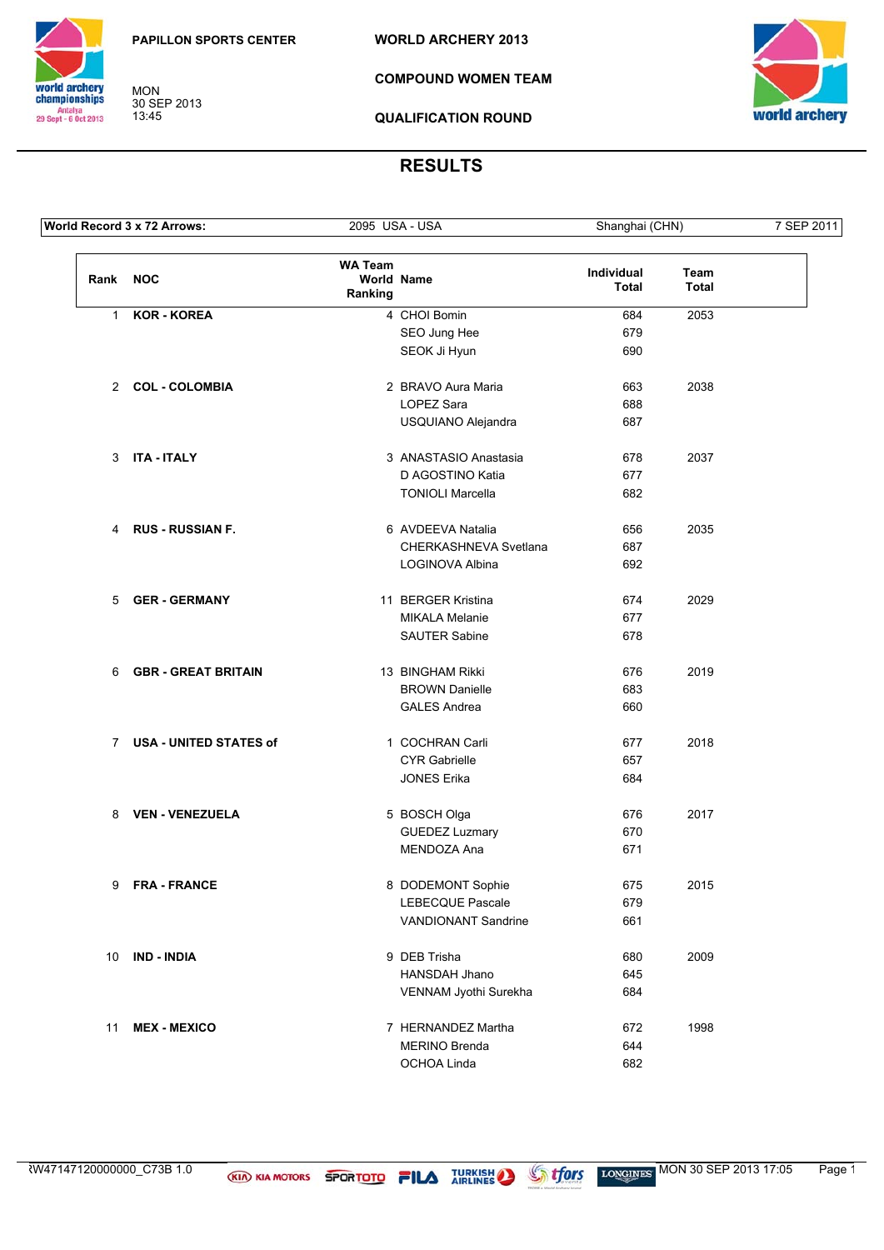**WORLD ARCHERY 2013**



MON 30 SEP 2013 13:45

**COMPOUND WOMEN TEAM**



**QUALIFICATION ROUND**

|              | World Record 3 x 72 Arrows:   | 2095 USA - USA            |                              | Shanghai (CHN)      |                      | 7 SEP 2011 |
|--------------|-------------------------------|---------------------------|------------------------------|---------------------|----------------------|------------|
| Rank NOC     |                               | <b>WA Team</b><br>Ranking | World Name                   | Individual<br>Total | Team<br><b>Total</b> |            |
| $\mathbf{1}$ | <b>KOR - KOREA</b>            |                           | 4 CHOI Bomin                 | 684                 | 2053                 |            |
|              |                               |                           | SEO Jung Hee                 | 679                 |                      |            |
|              |                               |                           | SEOK Ji Hyun                 | 690                 |                      |            |
|              | 2 COL - COLOMBIA              |                           | 2 BRAVO Aura Maria           | 663                 | 2038                 |            |
|              |                               |                           | LOPEZ Sara                   | 688                 |                      |            |
|              |                               |                           | USQUIANO Alejandra           | 687                 |                      |            |
| 3            | <b>ITA - ITALY</b>            |                           | 3 ANASTASIO Anastasia        | 678                 | 2037                 |            |
|              |                               |                           | D AGOSTINO Katia             | 677                 |                      |            |
|              |                               |                           | <b>TONIOLI Marcella</b>      | 682                 |                      |            |
|              | 4 RUS - RUSSIAN F.            |                           | 6 AVDEEVA Natalia            | 656                 | 2035                 |            |
|              |                               |                           | <b>CHERKASHNEVA Svetlana</b> | 687                 |                      |            |
|              |                               |                           | LOGINOVA Albina              | 692                 |                      |            |
| 5            | <b>GER - GERMANY</b>          |                           | 11 BERGER Kristina           | 674                 | 2029                 |            |
|              |                               |                           | <b>MIKALA Melanie</b>        | 677                 |                      |            |
|              |                               |                           | <b>SAUTER Sabine</b>         | 678                 |                      |            |
| 6            | <b>GBR - GREAT BRITAIN</b>    |                           | 13 BINGHAM Rikki             | 676                 | 2019                 |            |
|              |                               |                           | <b>BROWN Danielle</b>        | 683                 |                      |            |
|              |                               |                           | <b>GALES Andrea</b>          | 660                 |                      |            |
| $7^{\circ}$  | <b>USA - UNITED STATES of</b> |                           | 1 COCHRAN Carli              | 677                 | 2018                 |            |
|              |                               |                           | <b>CYR Gabrielle</b>         | 657                 |                      |            |
|              |                               |                           | <b>JONES Erika</b>           | 684                 |                      |            |
| 8            | <b>VEN - VENEZUELA</b>        |                           | 5 BOSCH Olga                 | 676                 | 2017                 |            |
|              |                               |                           | <b>GUEDEZ Luzmary</b>        | 670                 |                      |            |
|              |                               |                           | MENDOZA Ana                  | 671                 |                      |            |
|              | 9 FRA-FRANCE                  |                           | 8 DODEMONT Sophie            | 675                 | 2015                 |            |
|              |                               |                           | <b>LEBECQUE Pascale</b>      | 679                 |                      |            |
|              |                               |                           | <b>VANDIONANT Sandrine</b>   | 661                 |                      |            |
| 10           | <b>IND - INDIA</b>            |                           | 9 DEB Trisha                 | 680                 | 2009                 |            |
|              |                               |                           | HANSDAH Jhano                | 645                 |                      |            |
|              |                               |                           | VENNAM Jyothi Surekha        | 684                 |                      |            |
| 11           | <b>MEX - MEXICO</b>           |                           | 7 HERNANDEZ Martha           | 672                 | 1998                 |            |
|              |                               |                           | MERINO Brenda                | 644                 |                      |            |
|              |                               |                           | OCHOA Linda                  | 682                 |                      |            |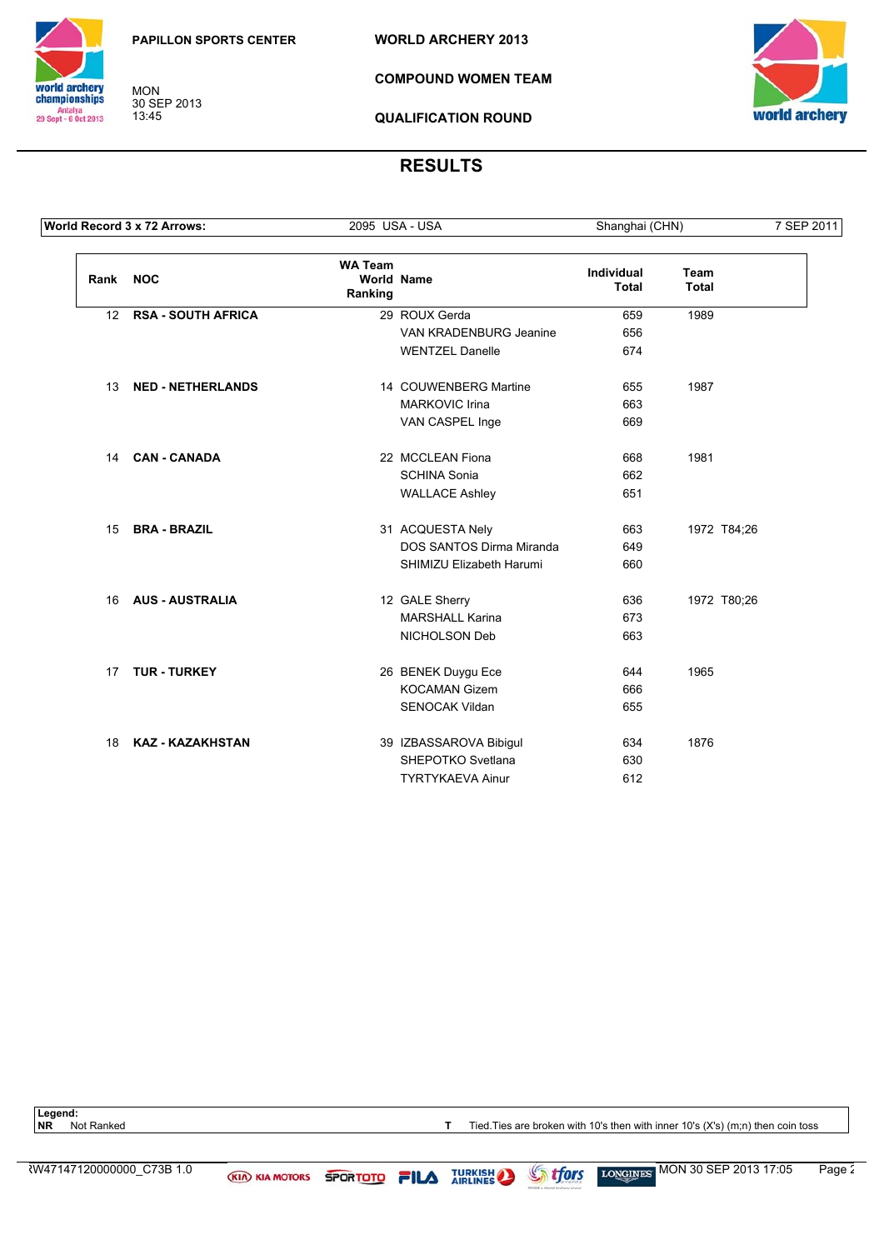**WORLD ARCHERY 2013**



MON 30 SEP 2013 13:45

**COMPOUND WOMEN TEAM**



**QUALIFICATION ROUND**

## **RESULTS**

|                  | World Record 3 x 72 Arrows: | 2095 USA - USA            |                          | Shanghai (CHN)                    |                      | 7 SEP 2011 |
|------------------|-----------------------------|---------------------------|--------------------------|-----------------------------------|----------------------|------------|
| Rank             | <b>NOC</b>                  | <b>WA Team</b><br>Ranking | <b>World Name</b>        | <b>Individual</b><br><b>Total</b> | Team<br><b>Total</b> |            |
| 12 <sup>12</sup> | <b>RSA - SOUTH AFRICA</b>   |                           | 29 ROUX Gerda            | 659                               | 1989                 |            |
|                  |                             |                           | VAN KRADENBURG Jeanine   | 656                               |                      |            |
|                  |                             |                           | <b>WENTZEL Danelle</b>   | 674                               |                      |            |
| 13               | <b>NED - NETHERLANDS</b>    |                           | 14 COUWENBERG Martine    | 655                               | 1987                 |            |
|                  |                             |                           | <b>MARKOVIC Irina</b>    | 663                               |                      |            |
|                  |                             |                           | VAN CASPEL Inge          | 669                               |                      |            |
| 14               | <b>CAN - CANADA</b>         |                           | 22 MCCLEAN Fiona         | 668                               | 1981                 |            |
|                  |                             |                           | <b>SCHINA Sonia</b>      | 662                               |                      |            |
|                  |                             |                           | <b>WALLACE Ashley</b>    | 651                               |                      |            |
| 15               | <b>BRA - BRAZIL</b>         |                           | 31 ACQUESTA Nely         | 663                               | 1972 T84;26          |            |
|                  |                             |                           | DOS SANTOS Dirma Miranda | 649                               |                      |            |
|                  |                             |                           | SHIMIZU Elizabeth Harumi | 660                               |                      |            |
| 16               | <b>AUS - AUSTRALIA</b>      |                           | 12 GALE Sherry           | 636                               | 1972 T80;26          |            |
|                  |                             |                           | <b>MARSHALL Karina</b>   | 673                               |                      |            |
|                  |                             |                           | NICHOLSON Deb            | 663                               |                      |            |
| 17               | <b>TUR - TURKEY</b>         |                           | 26 BENEK Duygu Ece       | 644                               | 1965                 |            |
|                  |                             |                           | <b>KOCAMAN Gizem</b>     | 666                               |                      |            |
|                  |                             |                           | SENOCAK Vildan           | 655                               |                      |            |
| 18               | <b>KAZ - KAZAKHSTAN</b>     |                           | 39 IZBASSAROVA Bibigul   | 634                               | 1876                 |            |
|                  |                             |                           | SHEPOTKO Svetlana        | 630                               |                      |            |
|                  |                             |                           | <b>TYRTYKAEVA Ainur</b>  | 612                               |                      |            |

Legend:<br>**NR** Not Ranked

**T** Tied. Ties are broken with 10's then with inner 10's (X's) (m;n) then coin toss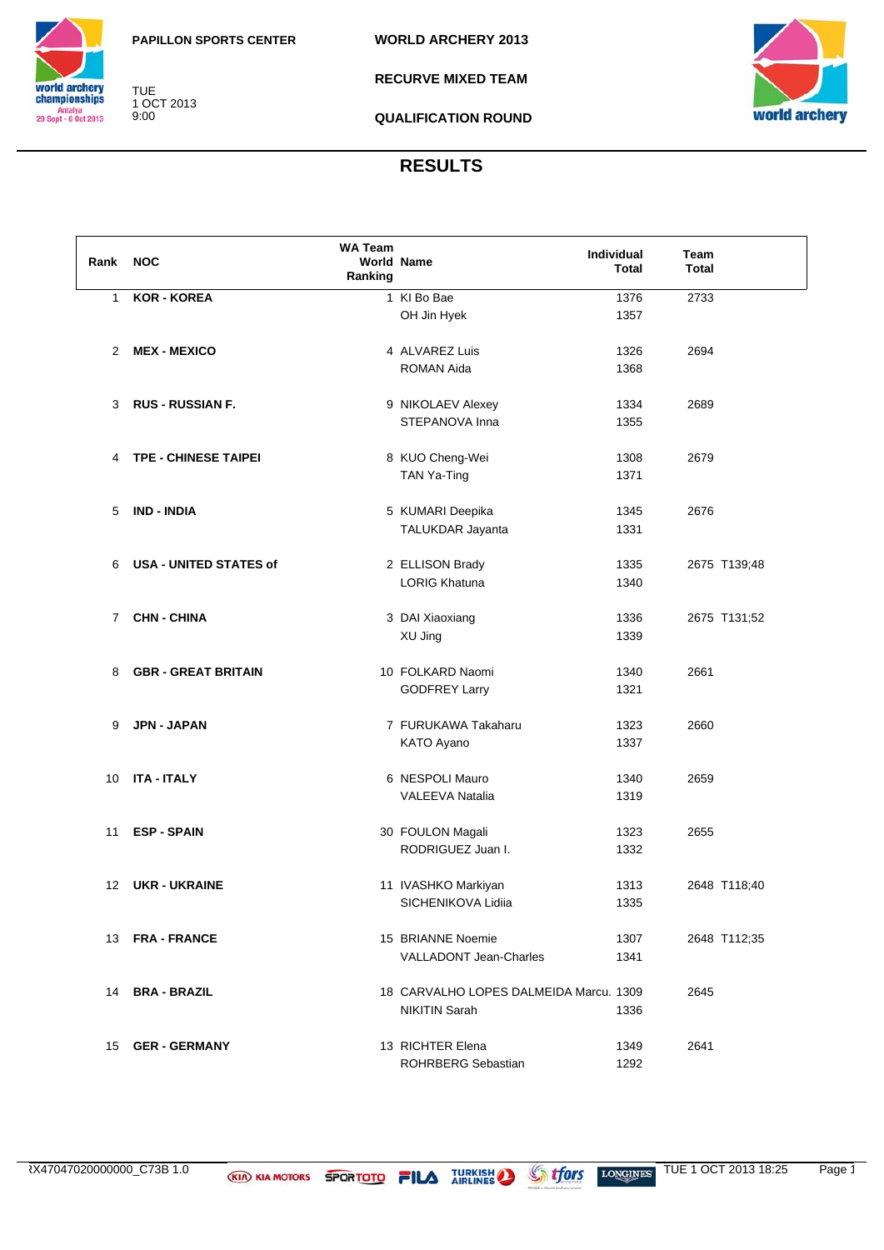



TUE 1 OCT 2013 9:00

**RECURVE MIXED TEAM**



**QUALIFICATION ROUND**

| Rank            | <b>NOC</b>                    | <b>WA Team</b><br>Ranking | <b>World Name</b>                      | Individual<br><b>Total</b> | Team<br><b>Total</b> |
|-----------------|-------------------------------|---------------------------|----------------------------------------|----------------------------|----------------------|
| $\mathbf{1}$    | <b>KOR - KOREA</b>            |                           | 1 KI Bo Bae                            | 1376                       | 2733                 |
|                 |                               |                           | OH Jin Hyek                            | 1357                       |                      |
| $\overline{2}$  | <b>MEX - MEXICO</b>           |                           | 4 ALVAREZ Luis                         | 1326                       | 2694                 |
|                 |                               |                           | ROMAN Aida                             | 1368                       |                      |
| 3               | <b>RUS - RUSSIAN F.</b>       |                           | 9 NIKOLAEV Alexey                      | 1334                       | 2689                 |
|                 |                               |                           | STEPANOVA Inna                         | 1355                       |                      |
| 4               | <b>TPE - CHINESE TAIPEI</b>   |                           | 8 KUO Cheng-Wei                        | 1308                       | 2679                 |
|                 |                               |                           | TAN Ya-Ting                            | 1371                       |                      |
| 5               | <b>IND - INDIA</b>            |                           | 5 KUMARI Deepika                       | 1345                       | 2676                 |
|                 |                               |                           | TALUKDAR Jayanta                       | 1331                       |                      |
| 6               | <b>USA - UNITED STATES of</b> |                           | 2 ELLISON Brady                        | 1335                       | 2675 T139;48         |
|                 |                               |                           | <b>LORIG Khatuna</b>                   | 1340                       |                      |
| $\overline{7}$  | <b>CHN - CHINA</b>            |                           | 3 DAI Xiaoxiang                        | 1336                       | 2675 T131;52         |
|                 |                               |                           | XU Jing                                | 1339                       |                      |
| 8               | <b>GBR - GREAT BRITAIN</b>    |                           | 10 FOLKARD Naomi                       | 1340                       | 2661                 |
|                 |                               |                           | <b>GODFREY Larry</b>                   | 1321                       |                      |
| 9               | <b>JPN - JAPAN</b>            |                           | 7 FURUKAWA Takaharu                    | 1323                       | 2660                 |
|                 |                               |                           | KATO Ayano                             | 1337                       |                      |
| 10              | <b>ITA - ITALY</b>            |                           | 6 NESPOLI Mauro                        | 1340                       | 2659                 |
|                 |                               |                           | <b>VALEEVA Natalia</b>                 | 1319                       |                      |
| 11              | <b>ESP - SPAIN</b>            |                           | 30 FOULON Magali                       | 1323                       | 2655                 |
|                 |                               |                           | RODRIGUEZ Juan I.                      | 1332                       |                      |
| 12 <sup>2</sup> | <b>UKR - UKRAINE</b>          |                           | 11 IVASHKO Markiyan                    | 1313                       | 2648 T118;40         |
|                 |                               |                           | SICHENIKOVA Lidiia                     | 1335                       |                      |
| 13              | <b>FRA - FRANCE</b>           |                           | 15 BRIANNE Noemie                      | 1307                       | 2648 T112;35         |
|                 |                               |                           | <b>VALLADONT Jean-Charles</b>          | 1341                       |                      |
| 14              | <b>BRA - BRAZIL</b>           |                           | 18 CARVALHO LOPES DALMEIDA Marcu. 1309 |                            | 2645                 |
|                 |                               |                           | NIKITIN Sarah                          | 1336                       |                      |
| 15              | <b>GER - GERMANY</b>          |                           | 13 RICHTER Elena                       | 1349                       | 2641                 |
|                 |                               |                           | ROHRBERG Sebastian                     | 1292                       |                      |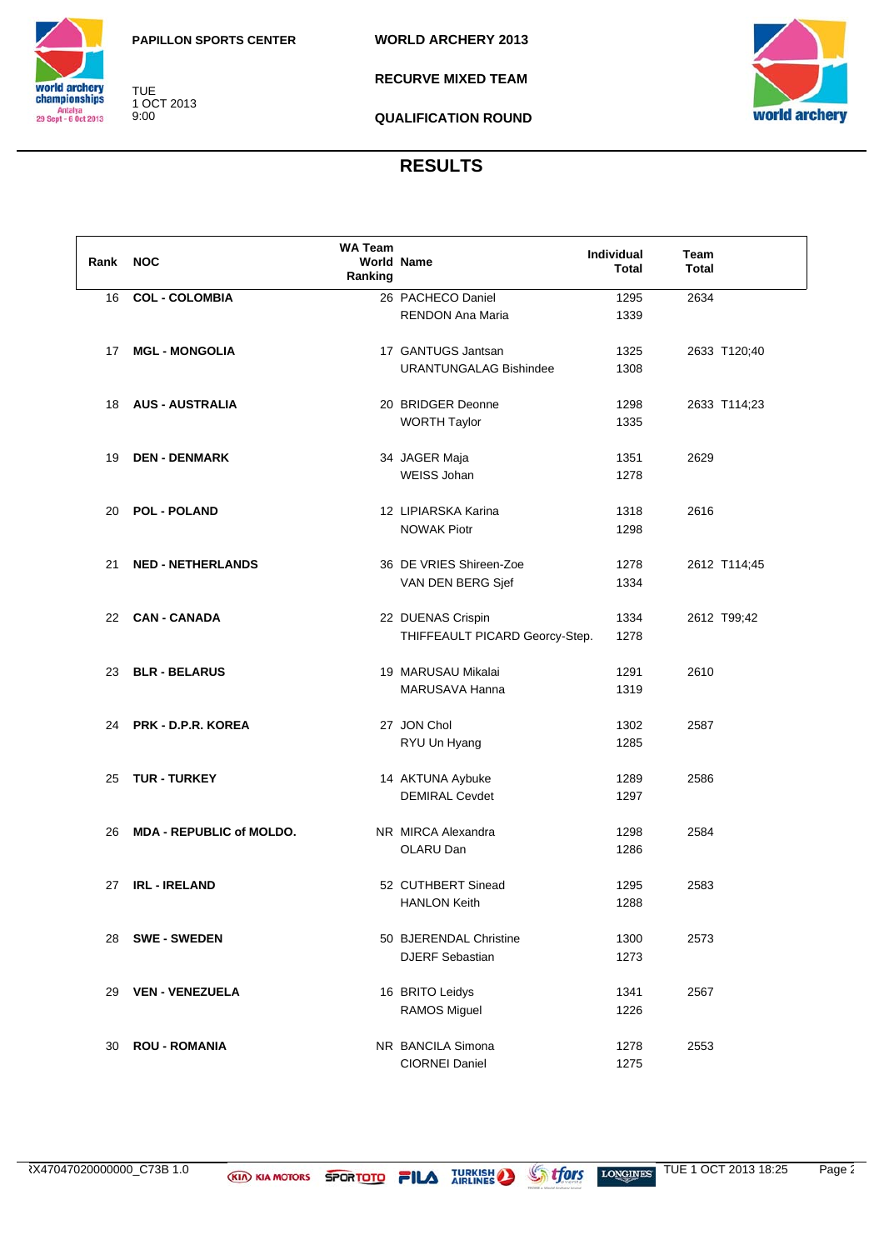



1 OCT 2013

TUE

9:00

**RECURVE MIXED TEAM**



**QUALIFICATION ROUND**

| Rank | <b>NOC</b>                      | <b>WA Team</b><br>Ranking | <b>World Name</b>                          | Individual<br><b>Total</b> | Team<br><b>Total</b> |
|------|---------------------------------|---------------------------|--------------------------------------------|----------------------------|----------------------|
| 16   | <b>COL - COLOMBIA</b>           |                           | 26 PACHECO Daniel                          | 1295                       | 2634                 |
|      |                                 |                           | <b>RENDON Ana Maria</b>                    | 1339                       |                      |
| 17   | <b>MGL - MONGOLIA</b>           |                           | 17 GANTUGS Jantsan                         | 1325                       | 2633 T120;40         |
|      |                                 |                           | <b>URANTUNGALAG Bishindee</b>              | 1308                       |                      |
| 18   | <b>AUS - AUSTRALIA</b>          |                           | 20 BRIDGER Deonne                          | 1298                       | 2633 T114;23         |
|      |                                 |                           | <b>WORTH Taylor</b>                        | 1335                       |                      |
| 19   | <b>DEN - DENMARK</b>            |                           | 34 JAGER Maja                              | 1351                       | 2629                 |
|      |                                 |                           | WEISS Johan                                | 1278                       |                      |
| 20   | <b>POL - POLAND</b>             |                           | 12 LIPIARSKA Karina                        | 1318                       | 2616                 |
|      |                                 |                           | <b>NOWAK Piotr</b>                         | 1298                       |                      |
| 21   | <b>NED - NETHERLANDS</b>        |                           | 36 DE VRIES Shireen-Zoe                    | 1278                       | 2612 T114;45         |
|      |                                 |                           | VAN DEN BERG Sjef                          | 1334                       |                      |
| 22   | <b>CAN - CANADA</b>             |                           | 22 DUENAS Crispin                          | 1334                       | 2612 T99;42          |
|      |                                 |                           | THIFFEAULT PICARD Georcy-Step.             | 1278                       |                      |
| 23   | <b>BLR - BELARUS</b>            |                           | 19 MARUSAU Mikalai                         | 1291                       | 2610                 |
|      |                                 |                           | MARUSAVA Hanna                             | 1319                       |                      |
| 24   | PRK - D.P.R. KOREA              |                           | 27 JON Chol                                | 1302                       | 2587                 |
|      |                                 |                           | RYU Un Hyang                               | 1285                       |                      |
| 25   | <b>TUR - TURKEY</b>             |                           | 14 AKTUNA Aybuke                           | 1289                       | 2586                 |
|      |                                 |                           | <b>DEMIRAL Cevdet</b>                      | 1297                       |                      |
| 26   | <b>MDA - REPUBLIC of MOLDO.</b> |                           | NR MIRCA Alexandra<br>OLARU Dan            | 1298                       | 2584                 |
|      |                                 |                           |                                            | 1286                       |                      |
| 27   | <b>IRL - IRELAND</b>            |                           | 52 CUTHBERT Sinead                         | 1295                       | 2583                 |
|      |                                 |                           | <b>HANLON Keith</b>                        | 1288                       |                      |
| 28   | <b>SWE - SWEDEN</b>             |                           | 50 BJERENDAL Christine                     | 1300                       | 2573                 |
|      |                                 |                           | <b>DJERF Sebastian</b>                     | 1273                       |                      |
| 29   | <b>VEN - VENEZUELA</b>          |                           | 16 BRITO Leidys                            | 1341                       | 2567                 |
|      |                                 |                           | <b>RAMOS Miguel</b>                        | 1226                       |                      |
| 30   | <b>ROU - ROMANIA</b>            |                           | NR BANCILA Simona<br><b>CIORNEI Daniel</b> | 1278<br>1275               | 2553                 |
|      |                                 |                           |                                            |                            |                      |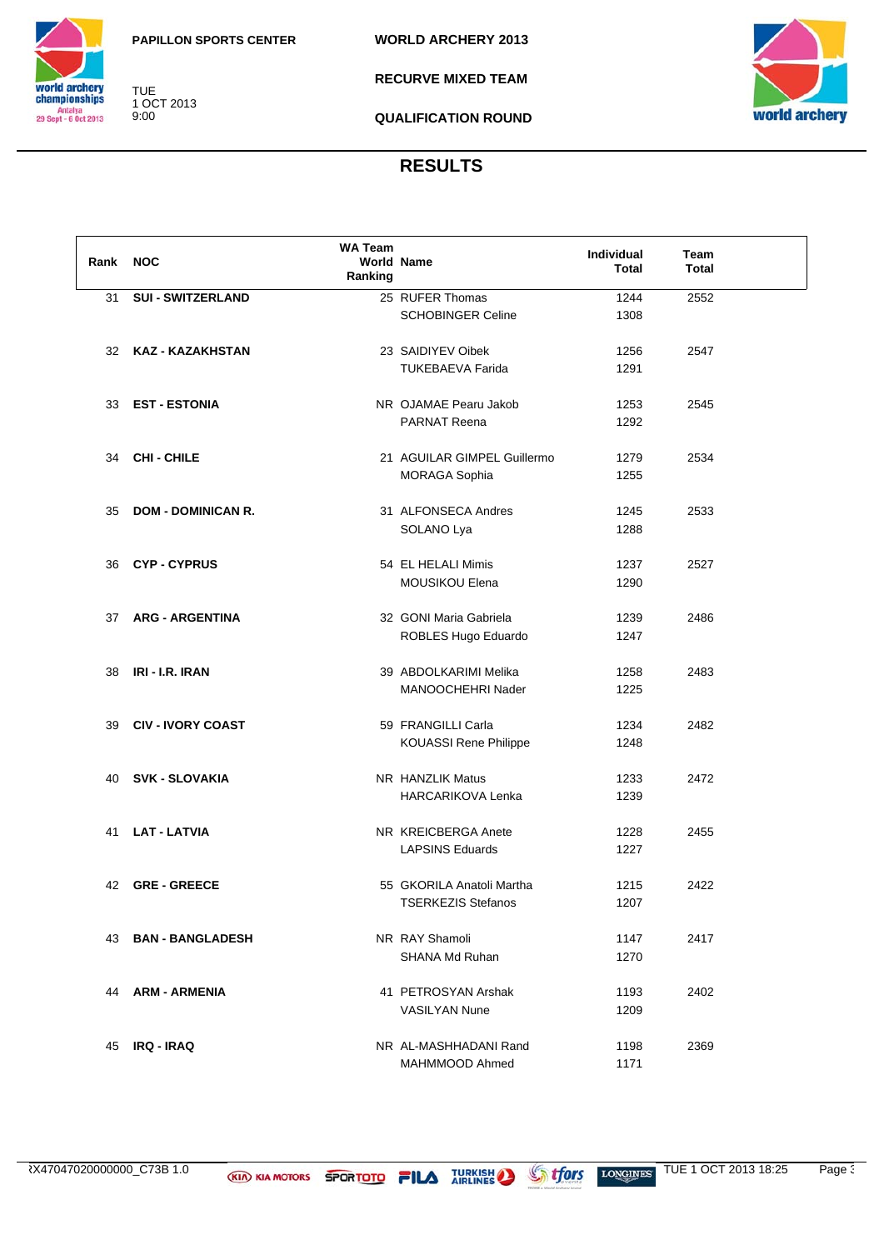



TUE 1 OCT 2013 9:00

**RECURVE MIXED TEAM**



**QUALIFICATION ROUND**

| Rank NOC |                           | <b>WA Team</b><br>Ranking | <b>World Name</b>            | Individual<br><b>Total</b> | Team<br><b>Total</b> |  |
|----------|---------------------------|---------------------------|------------------------------|----------------------------|----------------------|--|
| 31       | <b>SUI - SWITZERLAND</b>  |                           | 25 RUFER Thomas              | 1244                       | 2552                 |  |
|          |                           |                           | <b>SCHOBINGER Celine</b>     | 1308                       |                      |  |
|          |                           |                           |                              |                            |                      |  |
| 32       | KAZ - KAZAKHSTAN          |                           | 23 SAIDIYEV Oibek            | 1256                       | 2547                 |  |
|          |                           |                           | <b>TUKEBAEVA Farida</b>      | 1291                       |                      |  |
|          |                           |                           |                              |                            |                      |  |
| 33       | <b>EST - ESTONIA</b>      |                           | NR OJAMAE Pearu Jakob        | 1253                       | 2545                 |  |
|          |                           |                           | PARNAT Reena                 | 1292                       |                      |  |
|          |                           |                           |                              |                            |                      |  |
| 34       | CHI - CHILE               |                           | 21 AGUILAR GIMPEL Guillermo  | 1279                       | 2534                 |  |
|          |                           |                           | <b>MORAGA Sophia</b>         | 1255                       |                      |  |
|          |                           |                           |                              |                            |                      |  |
| 35       | <b>DOM - DOMINICAN R.</b> |                           | 31 ALFONSECA Andres          | 1245                       | 2533                 |  |
|          |                           |                           | SOLANO Lya                   | 1288                       |                      |  |
|          |                           |                           |                              |                            |                      |  |
| 36       | <b>CYP-CYPRUS</b>         |                           | 54 EL HELALI Mimis           | 1237                       | 2527                 |  |
|          |                           |                           | MOUSIKOU Elena               | 1290                       |                      |  |
|          |                           |                           |                              |                            |                      |  |
| 37       | <b>ARG - ARGENTINA</b>    |                           | 32 GONI Maria Gabriela       | 1239                       | 2486                 |  |
|          |                           |                           | ROBLES Hugo Eduardo          | 1247                       |                      |  |
|          |                           |                           |                              |                            |                      |  |
| 38       | IRI - I.R. IRAN           |                           | 39 ABDOLKARIMI Melika        | 1258                       | 2483                 |  |
|          |                           |                           | MANOOCHEHRI Nader            | 1225                       |                      |  |
|          |                           |                           |                              |                            |                      |  |
| 39       | <b>CIV - IVORY COAST</b>  |                           | 59 FRANGILLI Carla           | 1234                       | 2482                 |  |
|          |                           |                           | <b>KOUASSI Rene Philippe</b> | 1248                       |                      |  |
|          |                           |                           |                              |                            |                      |  |
| 40       | <b>SVK - SLOVAKIA</b>     |                           | NR HANZLIK Matus             | 1233                       | 2472                 |  |
|          |                           |                           | <b>HARCARIKOVA Lenka</b>     | 1239                       |                      |  |
|          |                           |                           |                              |                            |                      |  |
| 41       | <b>LAT - LATVIA</b>       |                           | NR KREICBERGA Anete          | 1228                       | 2455                 |  |
|          |                           |                           | <b>LAPSINS Eduards</b>       | 1227                       |                      |  |
|          |                           |                           |                              |                            |                      |  |
|          | 42 GRE-GREECE             |                           | 55 GKORILA Anatoli Martha    | 1215                       | 2422                 |  |
|          |                           |                           | <b>TSERKEZIS Stefanos</b>    | 1207                       |                      |  |
|          |                           |                           |                              |                            |                      |  |
| 43       | <b>BAN - BANGLADESH</b>   |                           | NR RAY Shamoli               | 1147                       | 2417                 |  |
|          |                           |                           | SHANA Md Ruhan               | 1270                       |                      |  |
|          |                           |                           |                              |                            |                      |  |
| 44       | ARM - ARMENIA             |                           | 41 PETROSYAN Arshak          | 1193                       | 2402                 |  |
|          |                           |                           | <b>VASILYAN Nune</b>         | 1209                       |                      |  |
|          |                           |                           |                              |                            |                      |  |
| 45       | <b>IRQ - IRAQ</b>         |                           | NR AL-MASHHADANI Rand        | 1198                       | 2369                 |  |
|          |                           |                           | MAHMMOOD Ahmed               | 1171                       |                      |  |
|          |                           |                           |                              |                            |                      |  |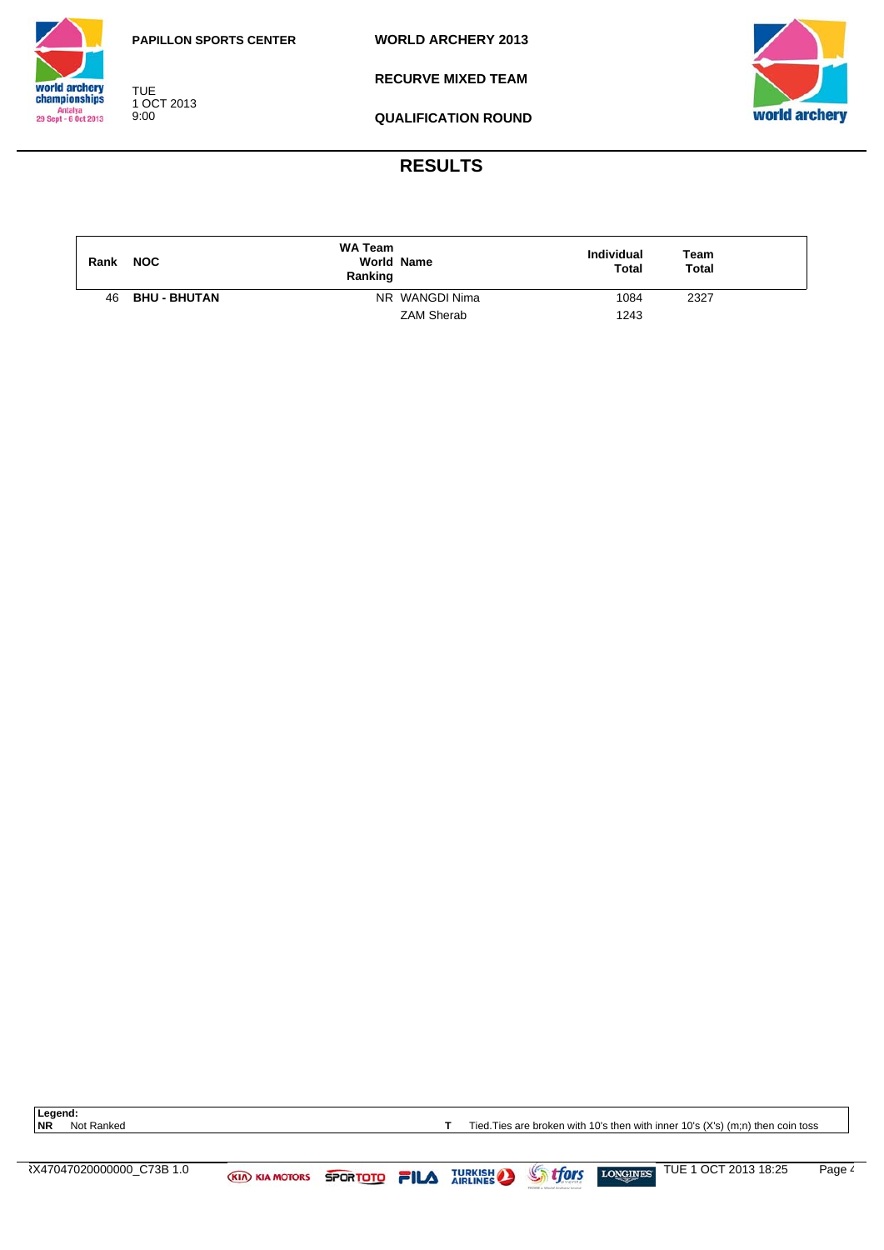

**WORLD ARCHERY 2013**



TUE 1 OCT 2013 9:00

**RECURVE MIXED TEAM**



**QUALIFICATION ROUND**

# **RESULTS**

| Rank | <b>NOC</b>          | <b>WA Team</b><br><b>World Name</b><br>Ranking | Individual<br><b>Total</b> | Team<br>Total |  |
|------|---------------------|------------------------------------------------|----------------------------|---------------|--|
| 46   | <b>BHU - BHUTAN</b> | NR WANGDI Nima                                 | 1084                       | 2327          |  |
|      |                     | <b>ZAM Sherab</b>                              | 1243                       |               |  |

Legend:<br>NR Not Ranked

**T** Tied. Ties are broken with 10's then with inner 10's (X's) (m;n) then coin toss

 $\overline{X}$   $\overline{X}$   $\overline{X}$   $\overline{X}$   $\overline{X}$   $\overline{X}$   $\overline{X}$   $\overline{X}$   $\overline{X}$   $\overline{X}$   $\overline{Y}$   $\overline{Y}$   $\overline{Y}$   $\overline{Y}$   $\overline{Y}$   $\overline{Y}$   $\overline{Y}$   $\overline{Y}$   $\overline{Y}$   $\overline{Y}$   $\overline{Y}$   $\overline{Y}$   $\overline{Y}$   $\overline{Y}$   $\overline{$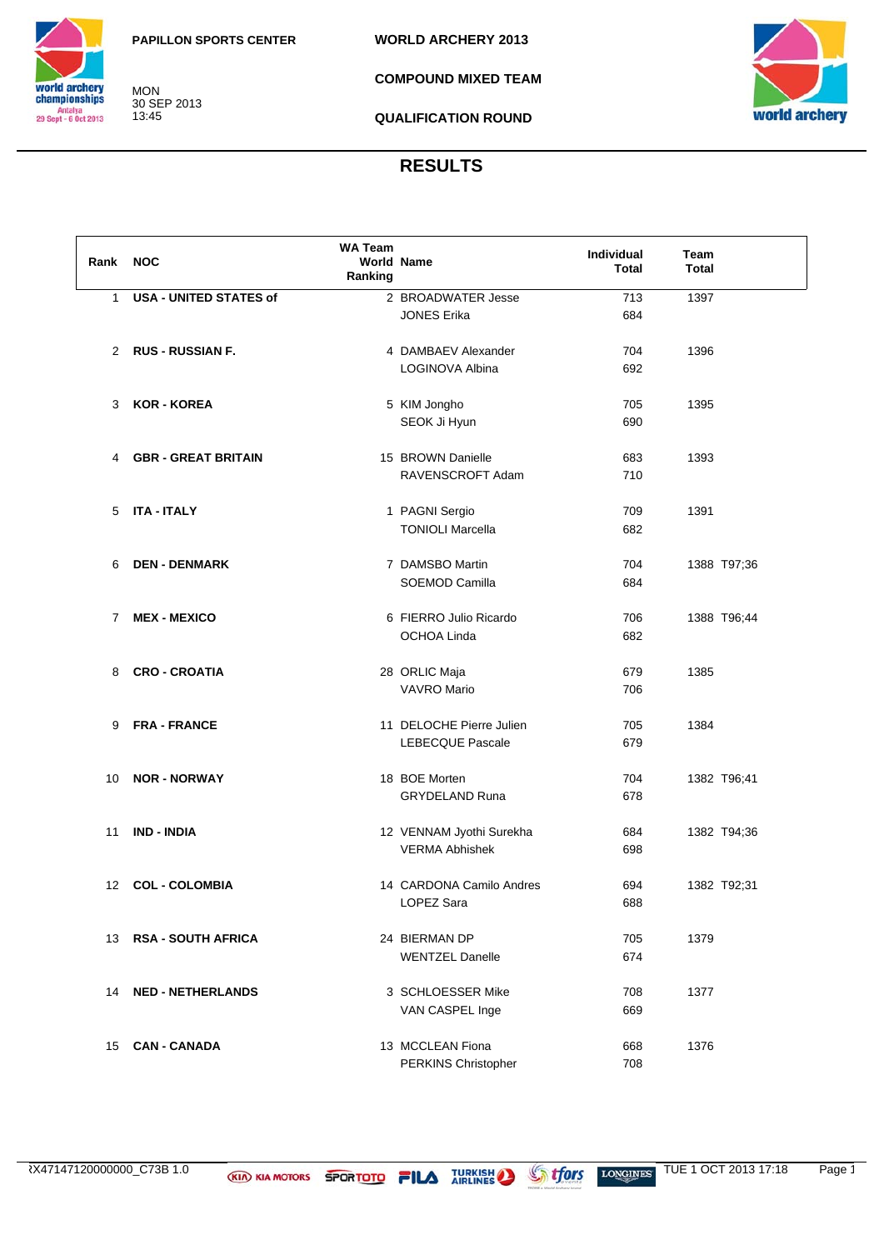

MON 30 SEP 2013 13:45

**COMPOUND MIXED TEAM**



**QUALIFICATION ROUND**

| Rank           | <b>NOC</b>                    | <b>WA Team</b><br>Ranking | <b>World Name</b>        | Individual<br><b>Total</b> | Team<br><b>Total</b> |
|----------------|-------------------------------|---------------------------|--------------------------|----------------------------|----------------------|
| $\mathbf{1}$   | <b>USA - UNITED STATES of</b> |                           | 2 BROADWATER Jesse       | 713                        | 1397                 |
|                |                               |                           | <b>JONES Erika</b>       | 684                        |                      |
|                |                               |                           |                          |                            |                      |
| 2              | <b>RUS - RUSSIAN F.</b>       |                           | 4 DAMBAEV Alexander      | 704                        | 1396                 |
|                |                               |                           | LOGINOVA Albina          | 692                        |                      |
|                |                               |                           |                          |                            |                      |
| 3              | <b>KOR - KOREA</b>            |                           | 5 KIM Jongho             | 705                        | 1395                 |
|                |                               |                           | SEOK Ji Hyun             | 690                        |                      |
|                |                               |                           |                          |                            |                      |
| 4              | <b>GBR - GREAT BRITAIN</b>    |                           | 15 BROWN Danielle        | 683                        | 1393                 |
|                |                               |                           | RAVENSCROFT Adam         | 710                        |                      |
|                |                               |                           |                          |                            |                      |
| 5              | <b>ITA - ITALY</b>            |                           | 1 PAGNI Sergio           | 709                        | 1391                 |
|                |                               |                           | <b>TONIOLI Marcella</b>  | 682                        |                      |
|                |                               |                           |                          |                            |                      |
| 6              | <b>DEN - DENMARK</b>          |                           | 7 DAMSBO Martin          | 704                        | 1388 T97;36          |
|                |                               |                           | SOEMOD Camilla           | 684                        |                      |
|                |                               |                           |                          |                            |                      |
| $\overline{7}$ | <b>MEX - MEXICO</b>           |                           | 6 FIERRO Julio Ricardo   | 706                        | 1388 T96;44          |
|                |                               |                           | <b>OCHOA Linda</b>       | 682                        |                      |
|                |                               |                           |                          |                            |                      |
| 8              | <b>CRO - CROATIA</b>          |                           | 28 ORLIC Maja            | 679                        | 1385                 |
|                |                               |                           | <b>VAVRO Mario</b>       | 706                        |                      |
|                |                               |                           |                          |                            |                      |
| 9              | <b>FRA - FRANCE</b>           |                           | 11 DELOCHE Pierre Julien | 705                        | 1384                 |
|                |                               |                           | LEBECQUE Pascale         | 679                        |                      |
|                |                               |                           |                          |                            |                      |
| 10             | <b>NOR - NORWAY</b>           |                           | 18 BOE Morten            | 704                        | 1382 T96;41          |
|                |                               |                           | <b>GRYDELAND Runa</b>    | 678                        |                      |
|                |                               |                           |                          |                            |                      |
| 11             | <b>IND - INDIA</b>            |                           | 12 VENNAM Jyothi Surekha | 684                        | 1382 T94;36          |
|                |                               |                           | <b>VERMA Abhishek</b>    | 698                        |                      |
|                |                               |                           |                          |                            |                      |
| 12             | <b>COL - COLOMBIA</b>         |                           | 14 CARDONA Camilo Andres | 694                        | 1382 T92;31          |
|                |                               |                           | LOPEZ Sara               | 688                        |                      |
|                |                               |                           |                          |                            |                      |
| 13             | <b>RSA - SOUTH AFRICA</b>     |                           | 24 BIERMAN DP            | 705                        | 1379                 |
|                |                               |                           | <b>WENTZEL Danelle</b>   | 674                        |                      |
|                |                               |                           |                          |                            |                      |
| 14             | <b>NED - NETHERLANDS</b>      |                           | 3 SCHLOESSER Mike        | 708                        | 1377                 |
|                |                               |                           | VAN CASPEL Inge          | 669                        |                      |
|                |                               |                           |                          |                            |                      |
| 15             | <b>CAN - CANADA</b>           |                           | 13 MCCLEAN Fiona         | 668                        | 1376                 |
|                |                               |                           | PERKINS Christopher      | 708                        |                      |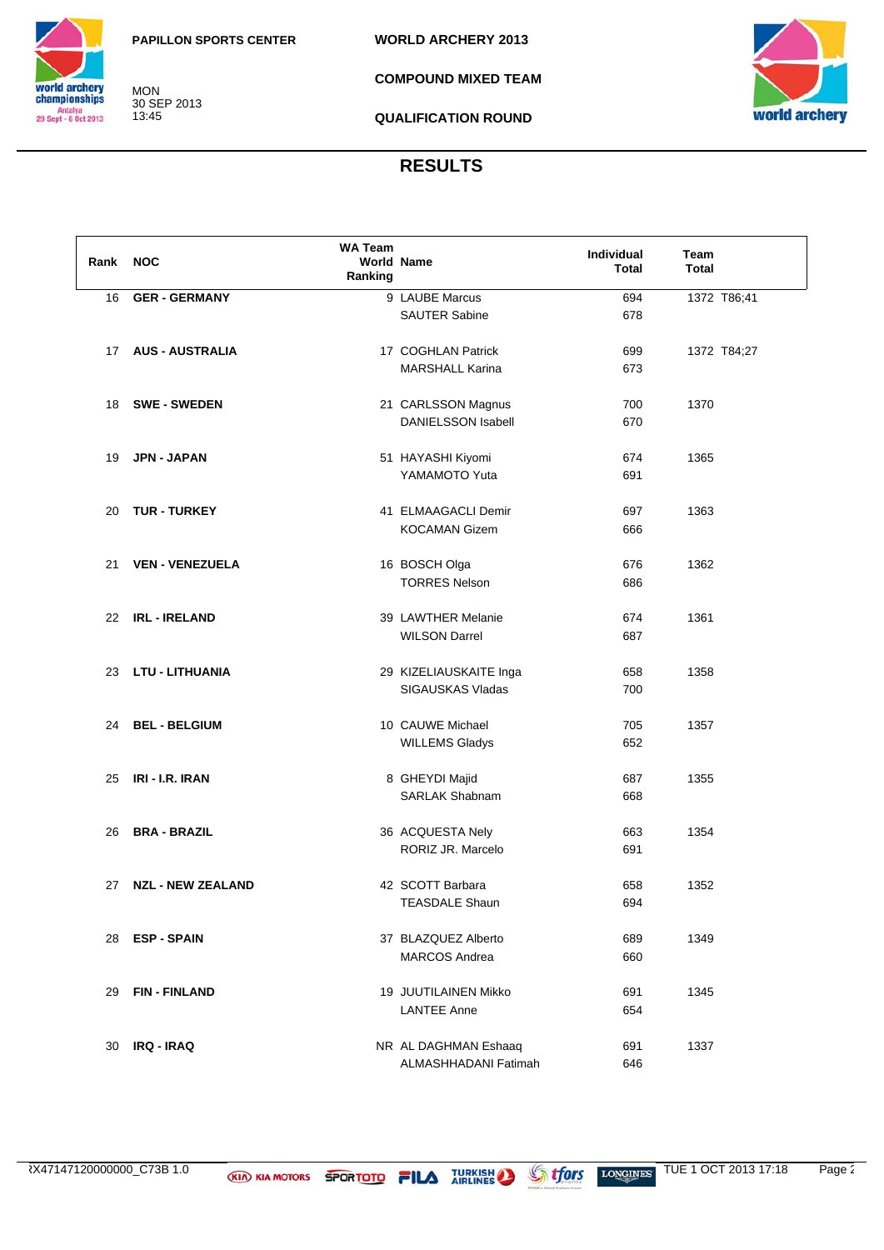

MON 30 SEP 2013 13:45

**COMPOUND MIXED TEAM**



**QUALIFICATION ROUND**

| Rank | <b>NOC</b>               | <b>WA Team</b><br>Ranking | World Name                              | <b>Individual</b><br>Total | Team<br><b>Total</b> |  |
|------|--------------------------|---------------------------|-----------------------------------------|----------------------------|----------------------|--|
| 16   | <b>GER - GERMANY</b>     |                           | 9 LAUBE Marcus                          | 694                        | 1372 T86;41          |  |
|      |                          |                           | <b>SAUTER Sabine</b>                    | 678                        |                      |  |
|      |                          |                           |                                         |                            |                      |  |
| 17   | <b>AUS - AUSTRALIA</b>   |                           | 17 COGHLAN Patrick                      | 699                        | 1372 T84;27          |  |
|      |                          |                           | <b>MARSHALL Karina</b>                  | 673                        |                      |  |
| 18   | <b>SWE - SWEDEN</b>      |                           | 21 CARLSSON Magnus                      | 700                        | 1370                 |  |
|      |                          |                           | <b>DANIELSSON Isabell</b>               | 670                        |                      |  |
|      |                          |                           |                                         |                            |                      |  |
| 19   | JPN - JAPAN              |                           | 51 HAYASHI Kiyomi                       | 674                        | 1365                 |  |
|      |                          |                           | YAMAMOTO Yuta                           | 691                        |                      |  |
|      |                          |                           |                                         |                            |                      |  |
| 20   | <b>TUR - TURKEY</b>      |                           | 41 ELMAAGACLI Demir                     | 697                        | 1363                 |  |
|      |                          |                           | <b>KOCAMAN Gizem</b>                    | 666                        |                      |  |
|      |                          |                           |                                         |                            |                      |  |
| 21   | <b>VEN - VENEZUELA</b>   |                           | 16 BOSCH Olga                           | 676                        | 1362                 |  |
|      |                          |                           | <b>TORRES Nelson</b>                    | 686                        |                      |  |
| 22   | <b>IRL - IRELAND</b>     |                           | 39 LAWTHER Melanie                      | 674                        | 1361                 |  |
|      |                          |                           | <b>WILSON Darrel</b>                    | 687                        |                      |  |
|      |                          |                           |                                         |                            |                      |  |
| 23   | LTU - LITHUANIA          |                           | 29 KIZELIAUSKAITE Inga                  | 658                        | 1358                 |  |
|      |                          |                           | SIGAUSKAS Vladas                        | 700                        |                      |  |
|      |                          |                           |                                         |                            |                      |  |
| 24   | <b>BEL - BELGIUM</b>     |                           | 10 CAUWE Michael                        | 705                        | 1357                 |  |
|      |                          |                           | <b>WILLEMS Gladys</b>                   | 652                        |                      |  |
|      | IRI - I.R. IRAN          |                           |                                         |                            | 1355                 |  |
| 25   |                          |                           | 8 GHEYDI Majid<br><b>SARLAK Shabnam</b> | 687<br>668                 |                      |  |
|      |                          |                           |                                         |                            |                      |  |
| 26   | <b>BRA - BRAZIL</b>      |                           | 36 ACQUESTA Nely                        | 663                        | 1354                 |  |
|      |                          |                           | RORIZ JR. Marcelo                       | 691                        |                      |  |
|      |                          |                           |                                         |                            |                      |  |
| 27   | <b>NZL - NEW ZEALAND</b> |                           | 42 SCOTT Barbara                        | 658                        | 1352                 |  |
|      |                          |                           | <b>TEASDALE Shaun</b>                   | 694                        |                      |  |
|      |                          |                           |                                         |                            |                      |  |
| 28   | <b>ESP - SPAIN</b>       |                           | 37 BLAZQUEZ Alberto                     | 689                        | 1349                 |  |
|      |                          |                           | <b>MARCOS Andrea</b>                    | 660                        |                      |  |
| 29   | <b>FIN-FINLAND</b>       |                           | 19 JUUTILAINEN Mikko                    | 691                        | 1345                 |  |
|      |                          |                           | <b>LANTEE Anne</b>                      | 654                        |                      |  |
|      |                          |                           |                                         |                            |                      |  |
| 30   | <b>IRQ - IRAQ</b>        |                           | NR AL DAGHMAN Eshaaq                    | 691                        | 1337                 |  |
|      |                          |                           | ALMASHHADANI Fatimah                    | 646                        |                      |  |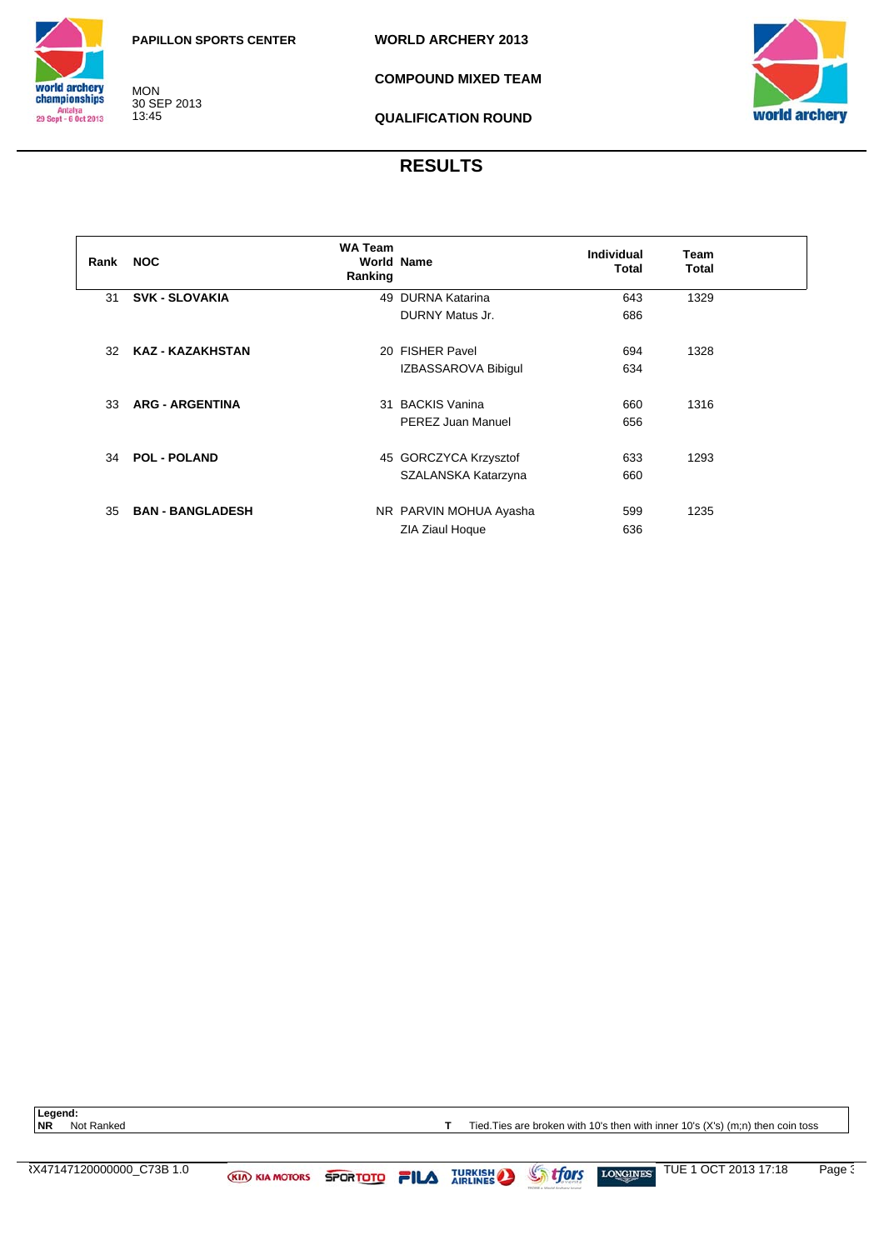

MON 30 SEP 2013 13:45

**COMPOUND MIXED TEAM**



**QUALIFICATION ROUND**

## **RESULTS**

| Rank | <b>NOC</b>              | <b>WA Team</b><br><b>World Name</b><br>Ranking |                        | Individual<br>Total | Team<br>Total |  |
|------|-------------------------|------------------------------------------------|------------------------|---------------------|---------------|--|
| 31   | <b>SVK - SLOVAKIA</b>   |                                                | 49 DURNA Katarina      | 643                 | 1329          |  |
|      |                         |                                                | DURNY Matus Jr.        | 686                 |               |  |
|      |                         |                                                |                        |                     |               |  |
| 32   | <b>KAZ - KAZAKHSTAN</b> |                                                | 20 FISHER Pavel        | 694                 | 1328          |  |
|      |                         |                                                | IZBASSAROVA Bibigul    | 634                 |               |  |
|      |                         |                                                |                        |                     |               |  |
| 33   | <b>ARG - ARGENTINA</b>  |                                                | 31 BACKIS Vanina       | 660                 | 1316          |  |
|      |                         |                                                | PEREZ Juan Manuel      | 656                 |               |  |
|      |                         |                                                |                        |                     |               |  |
| 34   | <b>POL - POLAND</b>     |                                                | 45 GORCZYCA Krzysztof  | 633                 | 1293          |  |
|      |                         |                                                | SZALANSKA Katarzyna    | 660                 |               |  |
|      |                         |                                                |                        |                     |               |  |
| 35   | <b>BAN - BANGLADESH</b> |                                                | NR PARVIN MOHUA Ayasha | 599                 | 1235          |  |
|      |                         |                                                | ZIA Ziaul Hoque        | 636                 |               |  |

Legend:<br>NR Not Ranked

**T** Tied. Ties are broken with 10's then with inner 10's (X's) (m;n) then coin toss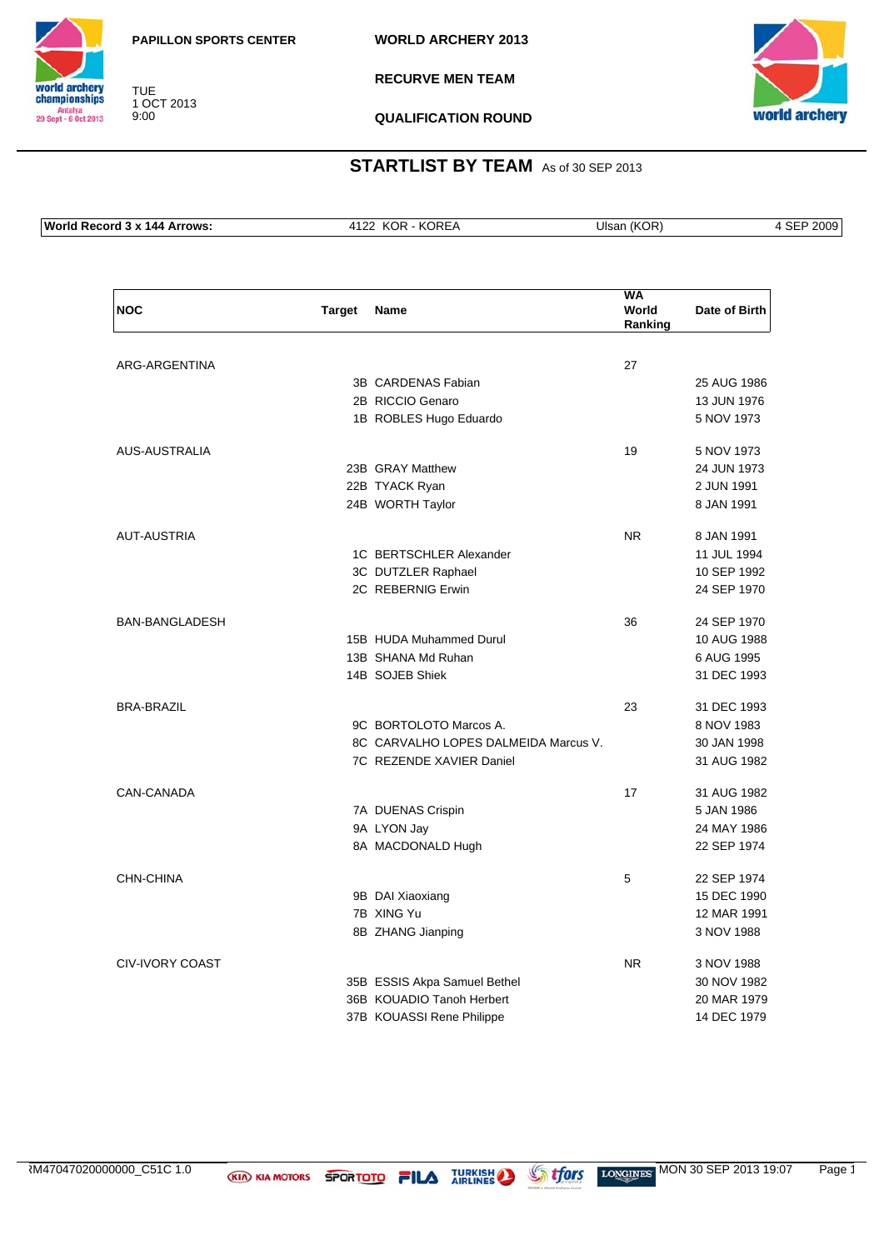**WORLD ARCHERY 2013**



TUE 1 OCT 2013 9:00

**RECURVE MEN TEAM**



**QUALIFICATION ROUND**

| ⊥Wor⊪<br><b>Arrows</b><br>144<br>$\sim$<br>$\ldots$ | . .<br>∼ | אנ<br><b>Jisar</b><br>$\overline{\phantom{a}}$ | ∩∩∩<br>uu.<br>___ |
|-----------------------------------------------------|----------|------------------------------------------------|-------------------|

| <b>NOC</b>             | <b>Target</b> | <b>Name</b>                          | <b>WA</b><br>World<br>Ranking | Date of Birth |
|------------------------|---------------|--------------------------------------|-------------------------------|---------------|
|                        |               |                                      |                               |               |
| ARG-ARGENTINA          |               |                                      | 27                            |               |
|                        |               | 3B CARDENAS Fabian                   |                               | 25 AUG 1986   |
|                        |               | 2B RICCIO Genaro                     |                               | 13 JUN 1976   |
|                        |               | 1B ROBLES Hugo Eduardo               |                               | 5 NOV 1973    |
|                        |               |                                      |                               |               |
| AUS-AUSTRALIA          |               |                                      | 19                            | 5 NOV 1973    |
|                        |               | 23B GRAY Matthew                     |                               | 24 JUN 1973   |
|                        |               | 22B TYACK Ryan                       |                               | 2 JUN 1991    |
|                        |               | 24B WORTH Taylor                     |                               | 8 JAN 1991    |
| <b>AUT-AUSTRIA</b>     |               |                                      | NR.                           | 8 JAN 1991    |
|                        |               | 1C BERTSCHLER Alexander              |                               | 11 JUL 1994   |
|                        |               | 3C DUTZLER Raphael                   |                               | 10 SEP 1992   |
|                        |               | 2C REBERNIG Erwin                    |                               | 24 SEP 1970   |
|                        |               |                                      |                               |               |
| <b>BAN-BANGLADESH</b>  |               |                                      | 36                            | 24 SEP 1970   |
|                        |               | 15B HUDA Muhammed Durul              |                               | 10 AUG 1988   |
|                        |               | 13B SHANA Md Ruhan                   |                               | 6 AUG 1995    |
|                        |               | 14B SOJEB Shiek                      |                               | 31 DEC 1993   |
| <b>BRA-BRAZIL</b>      |               |                                      | 23                            | 31 DEC 1993   |
|                        |               | 9C BORTOLOTO Marcos A.               |                               | 8 NOV 1983    |
|                        |               | 8C CARVALHO LOPES DALMEIDA Marcus V. |                               | 30 JAN 1998   |
|                        |               | 7C REZENDE XAVIER Daniel             |                               | 31 AUG 1982   |
| CAN-CANADA             |               |                                      | 17                            | 31 AUG 1982   |
|                        |               | 7A DUENAS Crispin                    |                               | 5 JAN 1986    |
|                        |               | 9A LYON Jay                          |                               | 24 MAY 1986   |
|                        |               | 8A MACDONALD Hugh                    |                               | 22 SEP 1974   |
|                        |               |                                      |                               |               |
| CHN-CHINA              |               |                                      | 5                             | 22 SEP 1974   |
|                        |               | 9B DAI Xiaoxiang                     |                               | 15 DEC 1990   |
|                        |               | 7B XING Yu                           |                               | 12 MAR 1991   |
|                        |               | 8B ZHANG Jianping                    |                               | 3 NOV 1988    |
| <b>CIV-IVORY COAST</b> |               |                                      | N <sub>R</sub>                | 3 NOV 1988    |
|                        |               | 35B ESSIS Akpa Samuel Bethel         |                               | 30 NOV 1982   |
|                        |               | 36B KOUADIO Tanoh Herbert            |                               | 20 MAR 1979   |
|                        |               | 37B KOUASSI Rene Philippe            |                               | 14 DEC 1979   |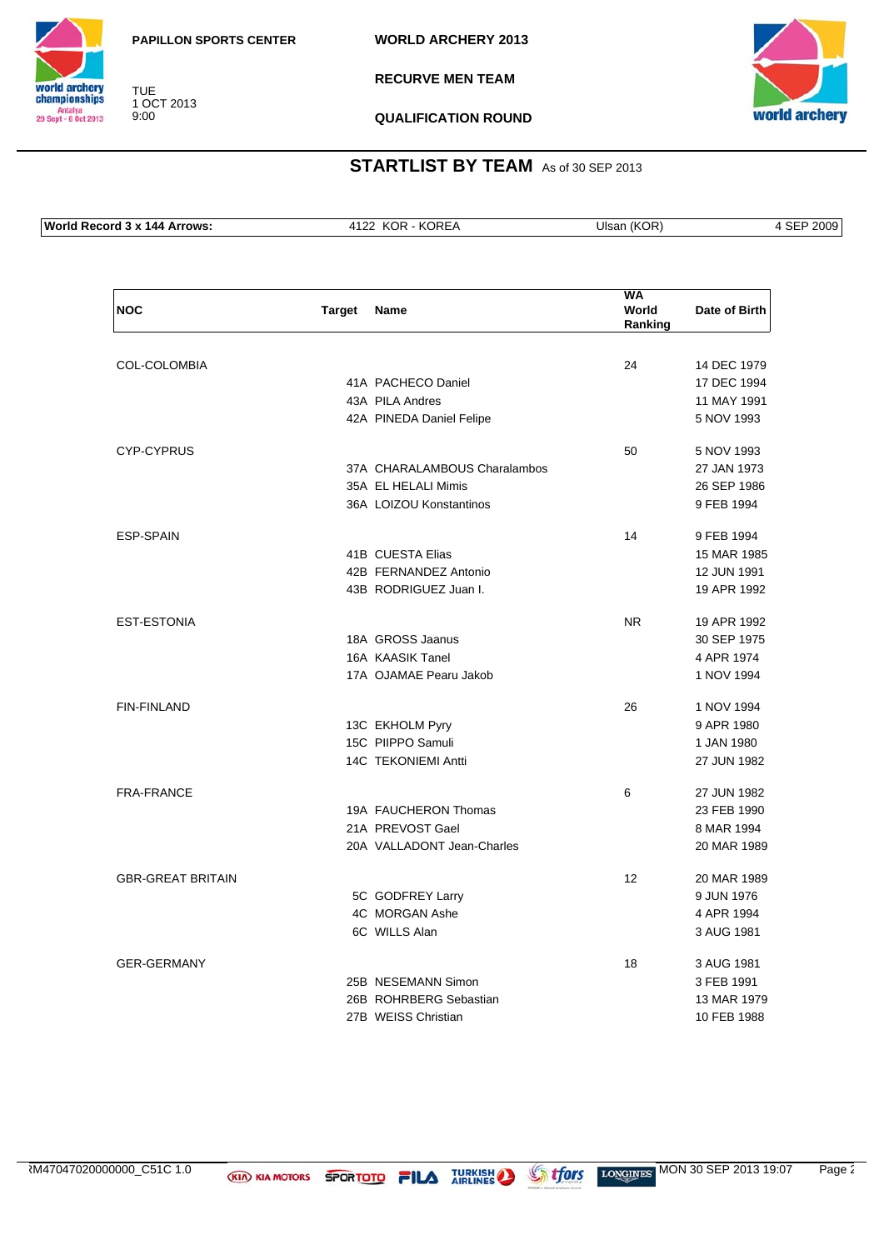**WORLD ARCHERY 2013**



TUE 1 OCT 2013 9:00

**RECURVE MEN TEAM**



**QUALIFICATION ROUND**

| <b>Wor</b><br>.rrows <sup>.</sup><br>144<br>$\sim$<br>…ore : | .<br>,,,<br>$\sim$ | Jls | ገበበር<br>- -<br>ञ⊏<br>$\sim$ $\sim$ $\sim$ $\sim$ $\sim$ |
|--------------------------------------------------------------|--------------------|-----|---------------------------------------------------------|

| <b>NOC</b>               | <b>Target</b> | Name                         | WA<br>World<br>Ranking | Date of Birth |
|--------------------------|---------------|------------------------------|------------------------|---------------|
|                          |               |                              |                        |               |
| COL-COLOMBIA             |               |                              | 24                     | 14 DEC 1979   |
|                          |               | 41A PACHECO Daniel           |                        | 17 DEC 1994   |
|                          |               | 43A PILA Andres              |                        | 11 MAY 1991   |
|                          |               | 42A PINEDA Daniel Felipe     |                        | 5 NOV 1993    |
| <b>CYP-CYPRUS</b>        |               |                              | 50                     | 5 NOV 1993    |
|                          |               | 37A CHARALAMBOUS Charalambos |                        | 27 JAN 1973   |
|                          |               | 35A EL HELALI Mimis          |                        | 26 SEP 1986   |
|                          |               | 36A LOIZOU Konstantinos      |                        | 9 FEB 1994    |
| <b>ESP-SPAIN</b>         |               |                              | 14                     | 9 FEB 1994    |
|                          |               | 41B CUESTA Elias             |                        | 15 MAR 1985   |
|                          |               | 42B FERNANDEZ Antonio        |                        | 12 JUN 1991   |
|                          |               | 43B RODRIGUEZ Juan I.        |                        | 19 APR 1992   |
| <b>EST-ESTONIA</b>       |               |                              | <b>NR</b>              | 19 APR 1992   |
|                          |               | 18A GROSS Jaanus             |                        | 30 SEP 1975   |
|                          |               | 16A KAASIK Tanel             |                        | 4 APR 1974    |
|                          |               | 17A OJAMAE Pearu Jakob       |                        | 1 NOV 1994    |
| <b>FIN-FINLAND</b>       |               |                              | 26                     | 1 NOV 1994    |
|                          |               | 13C EKHOLM Pyry              |                        | 9 APR 1980    |
|                          |               | 15C PIIPPO Samuli            |                        | 1 JAN 1980    |
|                          |               | 14C TEKONIEMI Antti          |                        | 27 JUN 1982   |
| <b>FRA-FRANCE</b>        |               |                              | 6                      | 27 JUN 1982   |
|                          |               | 19A FAUCHERON Thomas         |                        | 23 FEB 1990   |
|                          |               | 21A PREVOST Gael             |                        | 8 MAR 1994    |
|                          |               | 20A VALLADONT Jean-Charles   |                        | 20 MAR 1989   |
| <b>GBR-GREAT BRITAIN</b> |               |                              | 12                     | 20 MAR 1989   |
|                          |               | 5C GODFREY Larry             |                        | 9 JUN 1976    |
|                          |               | 4C MORGAN Ashe               |                        | 4 APR 1994    |
|                          |               | 6C WILLS Alan                |                        | 3 AUG 1981    |
| <b>GER-GERMANY</b>       |               |                              | 18                     | 3 AUG 1981    |
|                          |               | 25B NESEMANN Simon           |                        | 3 FEB 1991    |
|                          |               | 26B ROHRBERG Sebastian       |                        | 13 MAR 1979   |
|                          |               | 27B WEISS Christian          |                        | 10 FEB 1988   |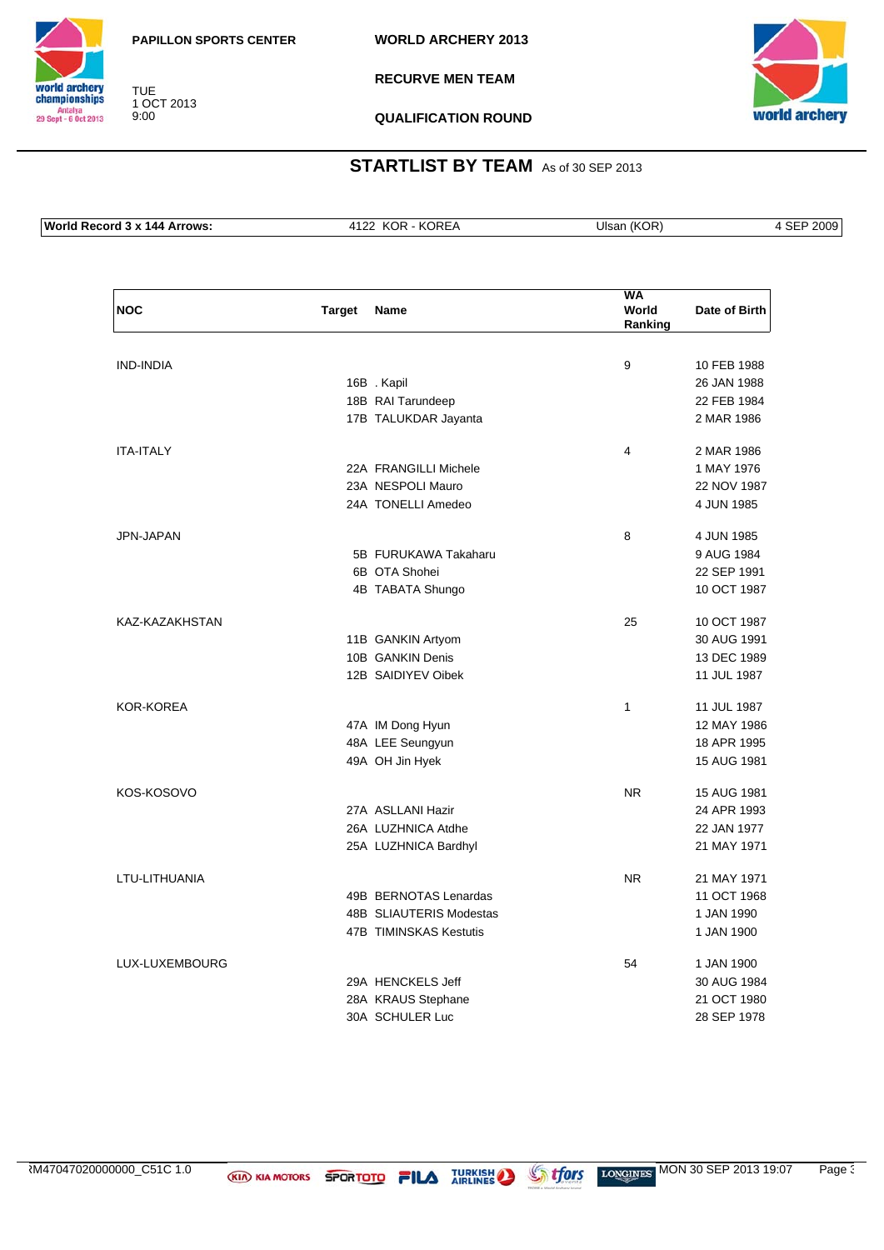**WORLD ARCHERY 2013**



TUE 1 OCT 2013 9:00

**RECURVE MEN TEAM**



**QUALIFICATION ROUND**

#### **STARTLIST BY TEAM** As of 30 SEP 2013

**World Record 3 x 144 Arrows:** 4122 KOR - KOREA Ulsan (KOR) 4 SEP 2009

| <b>NOC</b>       | <b>Target</b> | Name                    | <b>WA</b><br>World<br>Ranking | Date of Birth |
|------------------|---------------|-------------------------|-------------------------------|---------------|
| <b>IND-INDIA</b> |               |                         | 9                             | 10 FEB 1988   |
|                  |               | 16B. Kapil              |                               | 26 JAN 1988   |
|                  |               | 18B RAI Tarundeep       |                               | 22 FEB 1984   |
|                  |               | 17B TALUKDAR Jayanta    |                               | 2 MAR 1986    |
| <b>ITA-ITALY</b> |               |                         | 4                             | 2 MAR 1986    |
|                  |               | 22A FRANGILLI Michele   |                               | 1 MAY 1976    |
|                  |               | 23A NESPOLI Mauro       |                               | 22 NOV 1987   |
|                  |               | 24A TONELLI Amedeo      |                               | 4 JUN 1985    |
| JPN-JAPAN        |               |                         | 8                             | 4 JUN 1985    |
|                  |               | 5B FURUKAWA Takaharu    |                               | 9 AUG 1984    |
|                  |               | 6B OTA Shohei           |                               | 22 SEP 1991   |
|                  |               | 4B TABATA Shungo        |                               | 10 OCT 1987   |
| KAZ-KAZAKHSTAN   |               |                         | 25                            | 10 OCT 1987   |
|                  |               | 11B GANKIN Artyom       |                               | 30 AUG 1991   |
|                  |               | 10B GANKIN Denis        |                               | 13 DEC 1989   |
|                  |               | 12B SAIDIYEV Oibek      |                               | 11 JUL 1987   |
| <b>KOR-KOREA</b> |               |                         | 1                             | 11 JUL 1987   |
|                  |               | 47A IM Dong Hyun        |                               | 12 MAY 1986   |
|                  |               | 48A LEE Seungyun        |                               | 18 APR 1995   |
|                  |               | 49A OH Jin Hyek         |                               | 15 AUG 1981   |
| KOS-KOSOVO       |               |                         | <b>NR</b>                     | 15 AUG 1981   |
|                  |               | 27A ASLLANI Hazir       |                               | 24 APR 1993   |
|                  |               | 26A LUZHNICA Atdhe      |                               | 22 JAN 1977   |
|                  |               | 25A LUZHNICA Bardhyl    |                               | 21 MAY 1971   |
| LTU-LITHUANIA    |               |                         | N <sub>R</sub>                | 21 MAY 1971   |
|                  |               | 49B BERNOTAS Lenardas   |                               | 11 OCT 1968   |
|                  |               | 48B SLIAUTERIS Modestas |                               | 1 JAN 1990    |
|                  |               | 47B TIMINSKAS Kestutis  |                               | 1 JAN 1900    |
| LUX-LUXEMBOURG   |               |                         | 54                            | 1 JAN 1900    |
|                  |               | 29A HENCKELS Jeff       |                               | 30 AUG 1984   |
|                  |               | 28A KRAUS Stephane      |                               | 21 OCT 1980   |
|                  |               | 30A SCHULER Luc         |                               | 28 SEP 1978   |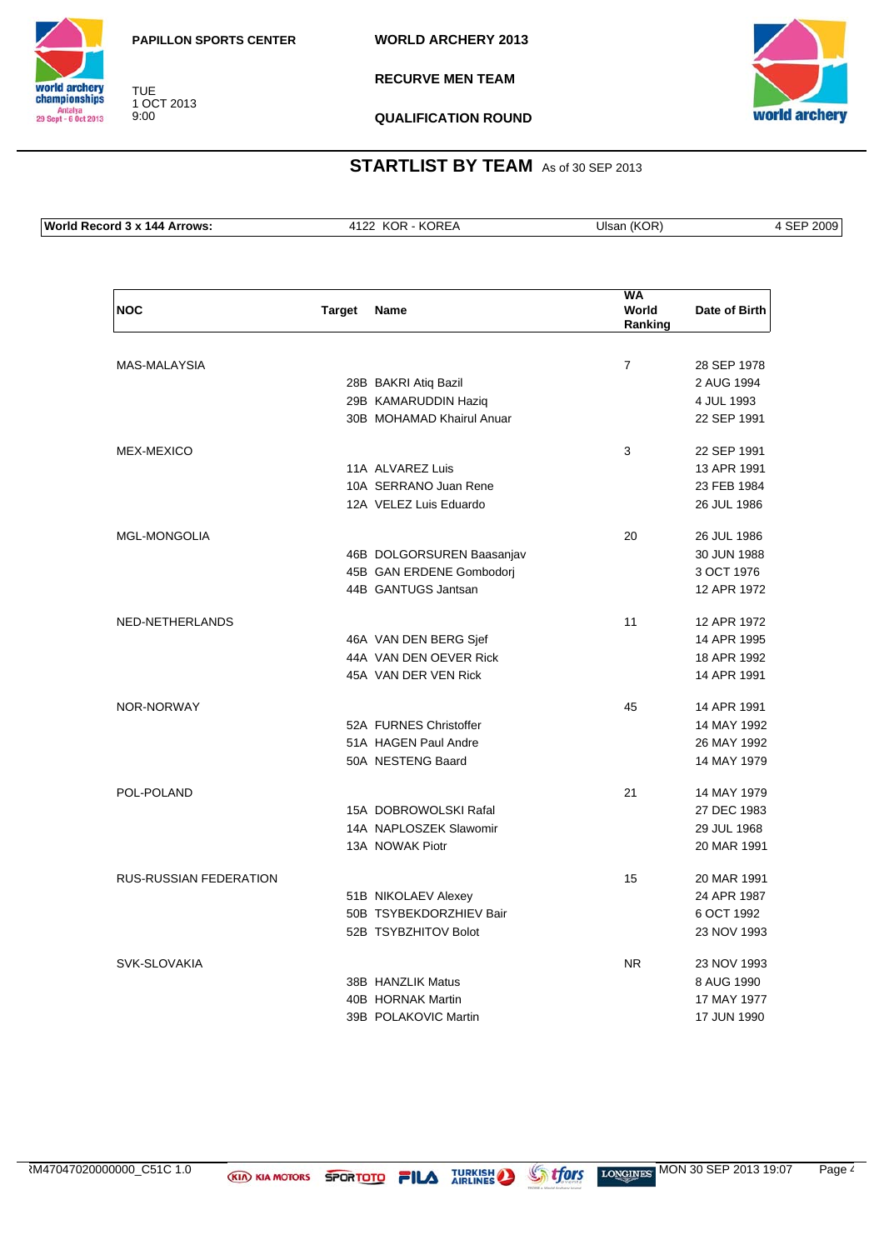**WORLD ARCHERY 2013**



TUE 1 OCT 2013 9:00

**RECURVE MEN TEAM**



**QUALIFICATION ROUND**

| <b>Wo</b><br>.0002<br>. 44 | the contract of the contract of the contract of the contract of the contract of the contract of the contract of | ш | эг<br>____<br>$\sim$ |
|----------------------------|-----------------------------------------------------------------------------------------------------------------|---|----------------------|
|                            |                                                                                                                 |   |                      |

| <b>NOC</b>                    | <b>Target</b> | <b>Name</b>               | WA<br>World<br>Ranking | Date of Birth |
|-------------------------------|---------------|---------------------------|------------------------|---------------|
|                               |               |                           |                        |               |
| <b>MAS-MALAYSIA</b>           |               |                           | $\overline{7}$         | 28 SEP 1978   |
|                               |               | 28B BAKRI Atiq Bazil      |                        | 2 AUG 1994    |
|                               |               | 29B KAMARUDDIN Haziq      |                        | 4 JUL 1993    |
|                               |               | 30B MOHAMAD Khairul Anuar |                        | 22 SEP 1991   |
| <b>MEX-MEXICO</b>             |               |                           | 3                      | 22 SEP 1991   |
|                               |               | 11A ALVAREZ Luis          |                        | 13 APR 1991   |
|                               |               | 10A SERRANO Juan Rene     |                        | 23 FEB 1984   |
|                               |               | 12A VELEZ Luis Eduardo    |                        | 26 JUL 1986   |
| <b>MGL-MONGOLIA</b>           |               |                           | 20                     | 26 JUL 1986   |
|                               |               | 46B DOLGORSUREN Baasanjav |                        | 30 JUN 1988   |
|                               |               | 45B GAN ERDENE Gombodorj  |                        | 3 OCT 1976    |
|                               |               | 44B GANTUGS Jantsan       |                        | 12 APR 1972   |
| NED-NETHERLANDS               |               |                           | 11                     | 12 APR 1972   |
|                               |               | 46A VAN DEN BERG Sjef     |                        | 14 APR 1995   |
|                               |               | 44A VAN DEN OEVER Rick    |                        | 18 APR 1992   |
|                               |               | 45A VAN DER VEN Rick      |                        | 14 APR 1991   |
| NOR-NORWAY                    |               |                           | 45                     | 14 APR 1991   |
|                               |               | 52A FURNES Christoffer    |                        | 14 MAY 1992   |
|                               |               | 51A HAGEN Paul Andre      |                        | 26 MAY 1992   |
|                               |               | 50A NESTENG Baard         |                        | 14 MAY 1979   |
| POL-POLAND                    |               |                           | 21                     | 14 MAY 1979   |
|                               |               | 15A DOBROWOLSKI Rafal     |                        | 27 DEC 1983   |
|                               |               | 14A NAPLOSZEK Slawomir    |                        | 29 JUL 1968   |
|                               |               | 13A NOWAK Piotr           |                        | 20 MAR 1991   |
| <b>RUS-RUSSIAN FEDERATION</b> |               |                           | 15                     | 20 MAR 1991   |
|                               |               | 51B NIKOLAEV Alexey       |                        | 24 APR 1987   |
|                               |               | 50B TSYBEKDORZHIEV Bair   |                        | 6 OCT 1992    |
|                               |               | 52B TSYBZHITOV Bolot      |                        | 23 NOV 1993   |
| SVK-SLOVAKIA                  |               |                           | <b>NR</b>              | 23 NOV 1993   |
|                               |               | 38B HANZLIK Matus         |                        | 8 AUG 1990    |
|                               |               | 40B HORNAK Martin         |                        | 17 MAY 1977   |
|                               |               | 39B POLAKOVIC Martin      |                        | 17 JUN 1990   |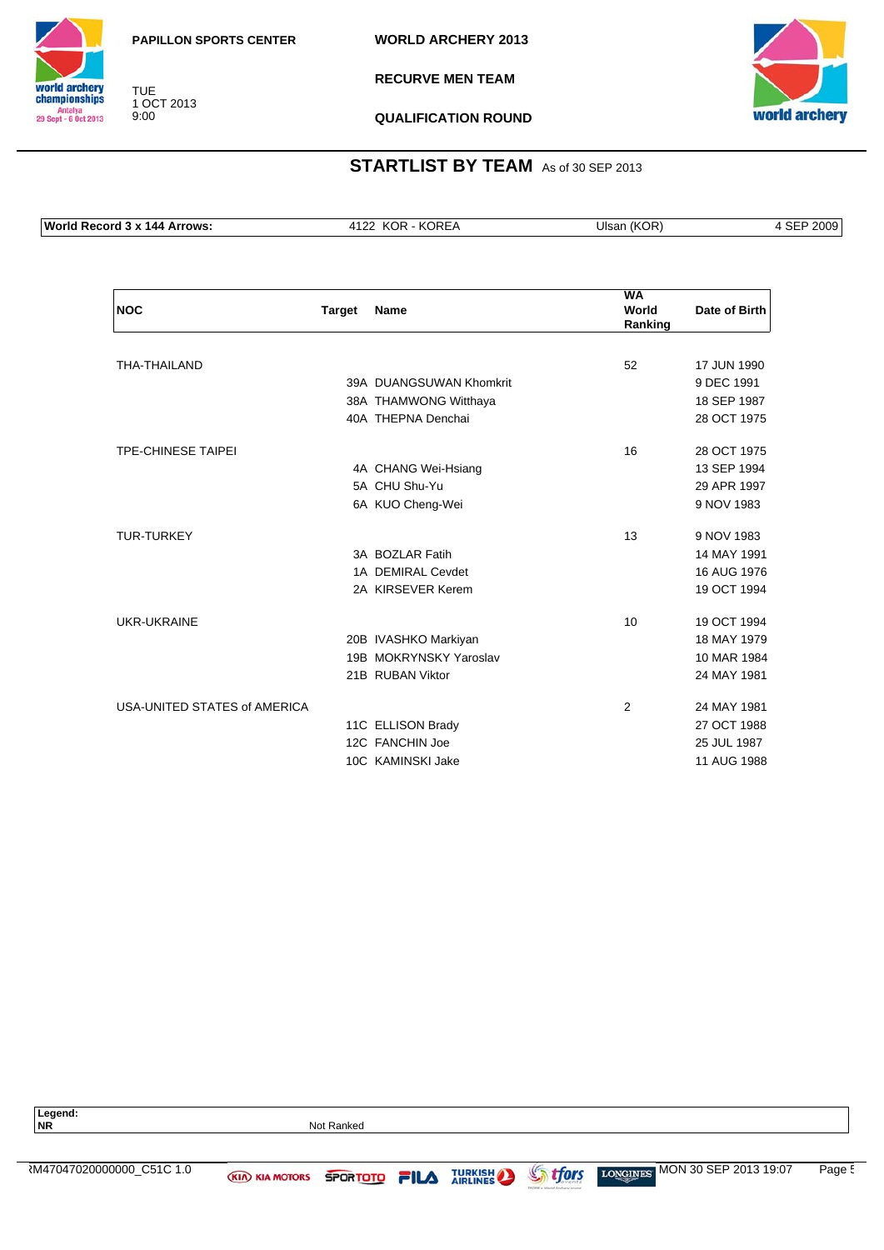**WORLD ARCHERY 2013**



TUE 1 OCT 2013 9:00

**RECURVE MEN TEAM**



**QUALIFICATION ROUND**

| Work<br>$\sim$ nr<br>.OP'<br>Jisar<br>$\overline{\phantom{a}}$<br><b>Arrows</b><br>. .<br>144<br>. :orc<br>00.        |           |
|-----------------------------------------------------------------------------------------------------------------------|-----------|
| ``<br>the contract of the contract of the contract of the contract of the contract of the contract of the contract of | ∩^<br>uu. |

| <b>NOC</b>                   | <b>Target</b> | Name                    | <b>WA</b><br>World<br>Ranking | Date of Birth |
|------------------------------|---------------|-------------------------|-------------------------------|---------------|
|                              |               |                         |                               |               |
| THA-THAILAND                 |               |                         | 52                            | 17 JUN 1990   |
|                              |               | 39A DUANGSUWAN Khomkrit |                               | 9 DEC 1991    |
|                              |               | 38A THAMWONG Witthaya   |                               | 18 SEP 1987   |
|                              |               | 40A THEPNA Denchai      |                               | 28 OCT 1975   |
| <b>TPE-CHINESE TAIPEI</b>    |               |                         | 16                            | 28 OCT 1975   |
|                              |               | 4A CHANG Wei-Hsiang     |                               | 13 SEP 1994   |
|                              |               | 5A CHU Shu-Yu           |                               | 29 APR 1997   |
|                              |               | 6A KUO Cheng-Wei        |                               | 9 NOV 1983    |
| <b>TUR-TURKEY</b>            |               |                         | 13                            | 9 NOV 1983    |
|                              |               | 3A BOZLAR Fatih         |                               | 14 MAY 1991   |
|                              |               | 1A DEMIRAL Cevdet       |                               | 16 AUG 1976   |
|                              |               | 2A KIRSEVER Kerem       |                               | 19 OCT 1994   |
| <b>UKR-UKRAINE</b>           |               |                         | 10                            | 19 OCT 1994   |
|                              |               | 20B IVASHKO Markiyan    |                               | 18 MAY 1979   |
|                              |               | 19B MOKRYNSKY Yaroslav  |                               | 10 MAR 1984   |
|                              |               | 21B RUBAN Viktor        |                               | 24 MAY 1981   |
| USA-UNITED STATES of AMERICA |               |                         | 2                             | 24 MAY 1981   |
|                              |               | 11C ELLISON Brady       |                               | 27 OCT 1988   |
|                              |               | 12C FANCHIN Joe         |                               | 25 JUL 1987   |
|                              |               | 10C KAMINSKI Jake       |                               | 11 AUG 1988   |

| <b>NR</b> | Legend:                   |                       | Not Ranked    |                      |                |                                |        |
|-----------|---------------------------|-----------------------|---------------|----------------------|----------------|--------------------------------|--------|
|           |                           |                       |               |                      |                |                                |        |
|           | RM47047020000000_C51C 1.0 | <b>KIA KIA MOTORS</b> | SPORTOTO FILA | TURKISH <sup>O</sup> | <b>Strfors</b> | LONGINES MON 30 SEP 2013 19:07 | Page 5 |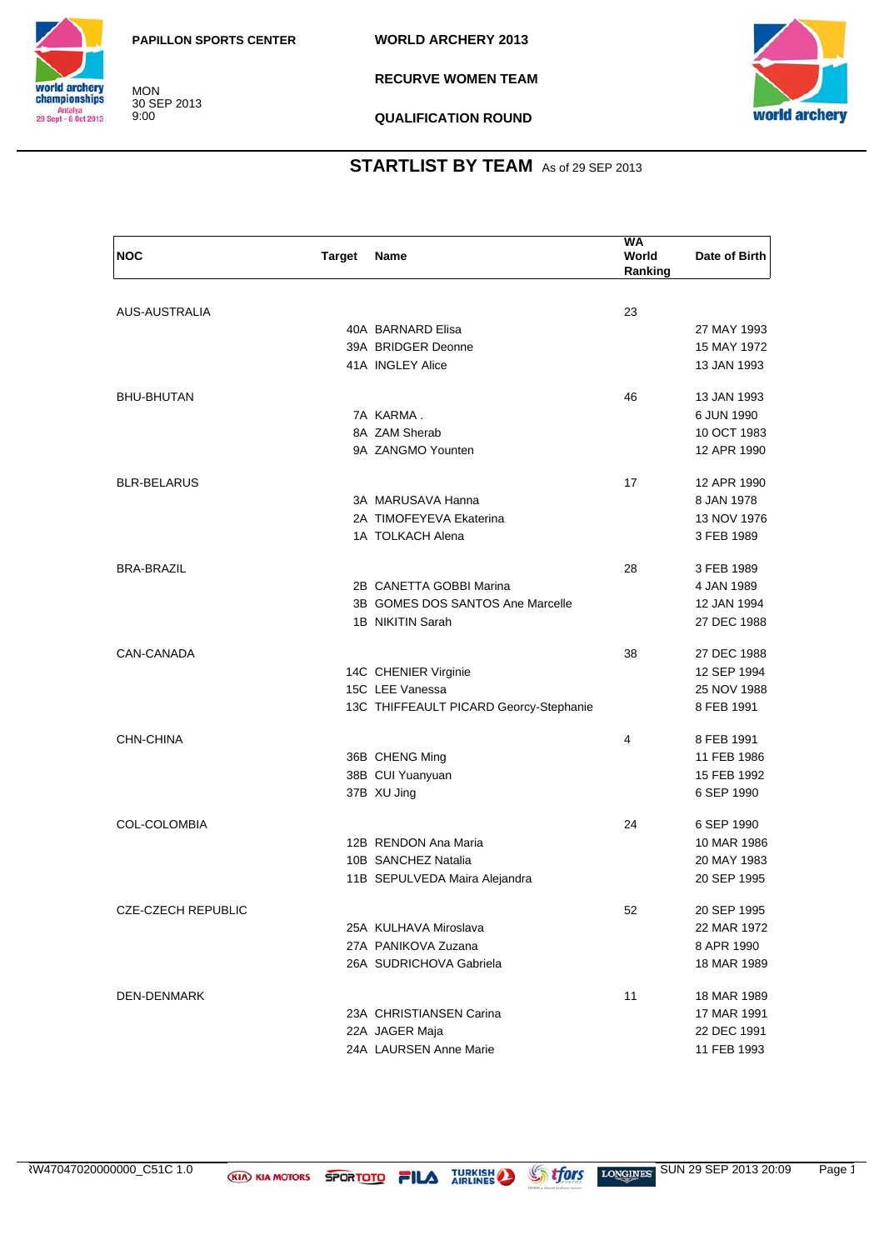

**RECURVE WOMEN TEAM**



**QUALIFICATION ROUND**

### **STARTLIST BY TEAM** As of 29 SEP 2013

| <b>NOC</b>                | <b>Target</b> | <b>Name</b>                            | WA<br>World<br>Ranking | Date of Birth |
|---------------------------|---------------|----------------------------------------|------------------------|---------------|
|                           |               |                                        |                        |               |
| AUS-AUSTRALIA             |               |                                        | 23                     |               |
|                           |               | 40A BARNARD Elisa                      |                        | 27 MAY 1993   |
|                           |               | 39A BRIDGER Deonne                     |                        | 15 MAY 1972   |
|                           |               | 41A INGLEY Alice                       |                        | 13 JAN 1993   |
| <b>BHU-BHUTAN</b>         |               |                                        | 46                     | 13 JAN 1993   |
|                           |               | 7A KARMA.                              |                        | 6 JUN 1990    |
|                           |               | 8A ZAM Sherab                          |                        | 10 OCT 1983   |
|                           |               | 9A ZANGMO Younten                      |                        | 12 APR 1990   |
| <b>BLR-BELARUS</b>        |               |                                        | 17                     | 12 APR 1990   |
|                           |               | 3A MARUSAVA Hanna                      |                        | 8 JAN 1978    |
|                           |               | 2A TIMOFEYEVA Ekaterina                |                        | 13 NOV 1976   |
|                           |               | 1A TOLKACH Alena                       |                        | 3 FEB 1989    |
| <b>BRA-BRAZIL</b>         |               |                                        | 28                     | 3 FEB 1989    |
|                           |               | 2B CANETTA GOBBI Marina                |                        | 4 JAN 1989    |
|                           |               | 3B GOMES DOS SANTOS Ane Marcelle       |                        | 12 JAN 1994   |
|                           |               | 1B NIKITIN Sarah                       |                        | 27 DEC 1988   |
| CAN-CANADA                |               |                                        | 38                     | 27 DEC 1988   |
|                           |               | 14C CHENIER Virginie                   |                        | 12 SEP 1994   |
|                           |               | 15C LEE Vanessa                        |                        | 25 NOV 1988   |
|                           |               | 13C THIFFEAULT PICARD Georcy-Stephanie |                        | 8 FEB 1991    |
| CHN-CHINA                 |               |                                        | 4                      | 8 FEB 1991    |
|                           |               | 36B CHENG Ming                         |                        | 11 FEB 1986   |
|                           |               | 38B CUI Yuanyuan                       |                        | 15 FEB 1992   |
|                           |               | 37B XU Jing                            |                        | 6 SEP 1990    |
| <b>COL-COLOMBIA</b>       |               |                                        | 24                     | 6 SEP 1990    |
|                           |               | 12B RENDON Ana Maria                   |                        | 10 MAR 1986   |
|                           |               | 10B SANCHEZ Natalia                    |                        | 20 MAY 1983   |
|                           |               | 11B SEPULVEDA Maira Alejandra          |                        | 20 SEP 1995   |
| <b>CZE-CZECH REPUBLIC</b> |               |                                        | 52                     | 20 SEP 1995   |
|                           |               | 25A KULHAVA Miroslava                  |                        | 22 MAR 1972   |
|                           |               | 27A PANIKOVA Zuzana                    |                        | 8 APR 1990    |
|                           |               | 26A SUDRICHOVA Gabriela                |                        | 18 MAR 1989   |
| <b>DEN-DENMARK</b>        |               |                                        | 11                     | 18 MAR 1989   |
|                           |               | 23A CHRISTIANSEN Carina                |                        | 17 MAR 1991   |
|                           |               | 22A JAGER Maja                         |                        | 22 DEC 1991   |
|                           |               | 24A LAURSEN Anne Marie                 |                        | 11 FEB 1993   |
|                           |               |                                        |                        |               |

RW47047020000000\_C51C 1.0 **KIA KIA MOTORS SPORTOTO FILA** TURKISH SUN 29 SEP 2013 20:09 Page 1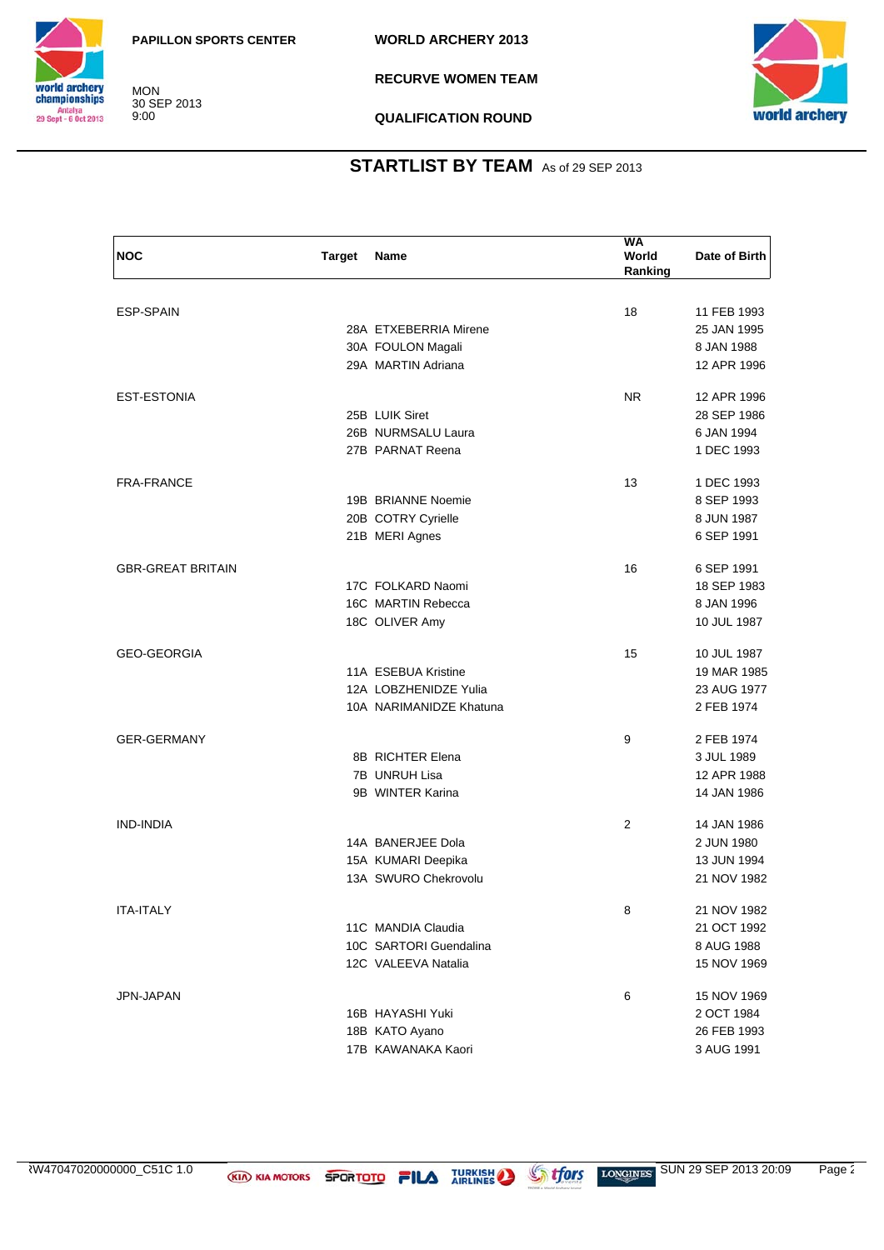

**RECURVE WOMEN TEAM**



**QUALIFICATION ROUND**

| <b>NOC</b>               | <b>Target</b> | Name                    | <b>WA</b><br>World<br>Ranking | Date of Birth |
|--------------------------|---------------|-------------------------|-------------------------------|---------------|
|                          |               |                         |                               |               |
| <b>ESP-SPAIN</b>         |               |                         | 18                            | 11 FEB 1993   |
|                          |               | 28A ETXEBERRIA Mirene   |                               | 25 JAN 1995   |
|                          |               | 30A FOULON Magali       |                               | 8 JAN 1988    |
|                          |               | 29A MARTIN Adriana      |                               | 12 APR 1996   |
| <b>EST-ESTONIA</b>       |               |                         | NR.                           | 12 APR 1996   |
|                          |               | 25B LUIK Siret          |                               | 28 SEP 1986   |
|                          |               | 26B NURMSALU Laura      |                               | 6 JAN 1994    |
|                          |               | 27B PARNAT Reena        |                               | 1 DEC 1993    |
| <b>FRA-FRANCE</b>        |               |                         | 13                            | 1 DEC 1993    |
|                          |               | 19B BRIANNE Noemie      |                               | 8 SEP 1993    |
|                          |               | 20B COTRY Cyrielle      |                               | 8 JUN 1987    |
|                          |               | 21B MERI Agnes          |                               | 6 SEP 1991    |
| <b>GBR-GREAT BRITAIN</b> |               |                         | 16                            | 6 SEP 1991    |
|                          |               | 17C FOLKARD Naomi       |                               | 18 SEP 1983   |
|                          |               | 16C MARTIN Rebecca      |                               | 8 JAN 1996    |
|                          |               | 18C OLIVER Amy          |                               | 10 JUL 1987   |
| <b>GEO-GEORGIA</b>       |               |                         | 15                            | 10 JUL 1987   |
|                          |               | 11A ESEBUA Kristine     |                               | 19 MAR 1985   |
|                          |               | 12A LOBZHENIDZE Yulia   |                               | 23 AUG 1977   |
|                          |               | 10A NARIMANIDZE Khatuna |                               | 2 FEB 1974    |
| <b>GER-GERMANY</b>       |               |                         | 9                             | 2 FEB 1974    |
|                          |               | 8B RICHTER Elena        |                               | 3 JUL 1989    |
|                          |               | 7B UNRUH Lisa           |                               | 12 APR 1988   |
|                          |               | 9B WINTER Karina        |                               | 14 JAN 1986   |
| <b>IND-INDIA</b>         |               |                         | 2                             | 14 JAN 1986   |
|                          |               | 14A BANERJEE Dola       |                               | 2 JUN 1980    |
|                          |               | 15A KUMARI Deepika      |                               | 13 JUN 1994   |
|                          |               | 13A SWURO Chekrovolu    |                               | 21 NOV 1982   |
| <b>ITA-ITALY</b>         |               |                         | 8                             | 21 NOV 1982   |
|                          |               | 11C MANDIA Claudia      |                               | 21 OCT 1992   |
|                          |               | 10C SARTORI Guendalina  |                               | 8 AUG 1988    |
|                          |               | 12C VALEEVA Natalia     |                               | 15 NOV 1969   |
| JPN-JAPAN                |               |                         | 6                             | 15 NOV 1969   |
|                          |               | 16B HAYASHI Yuki        |                               | 2 OCT 1984    |
|                          |               | 18B KATO Ayano          |                               | 26 FEB 1993   |
|                          |               | 17B KAWANAKA Kaori      |                               | 3 AUG 1991    |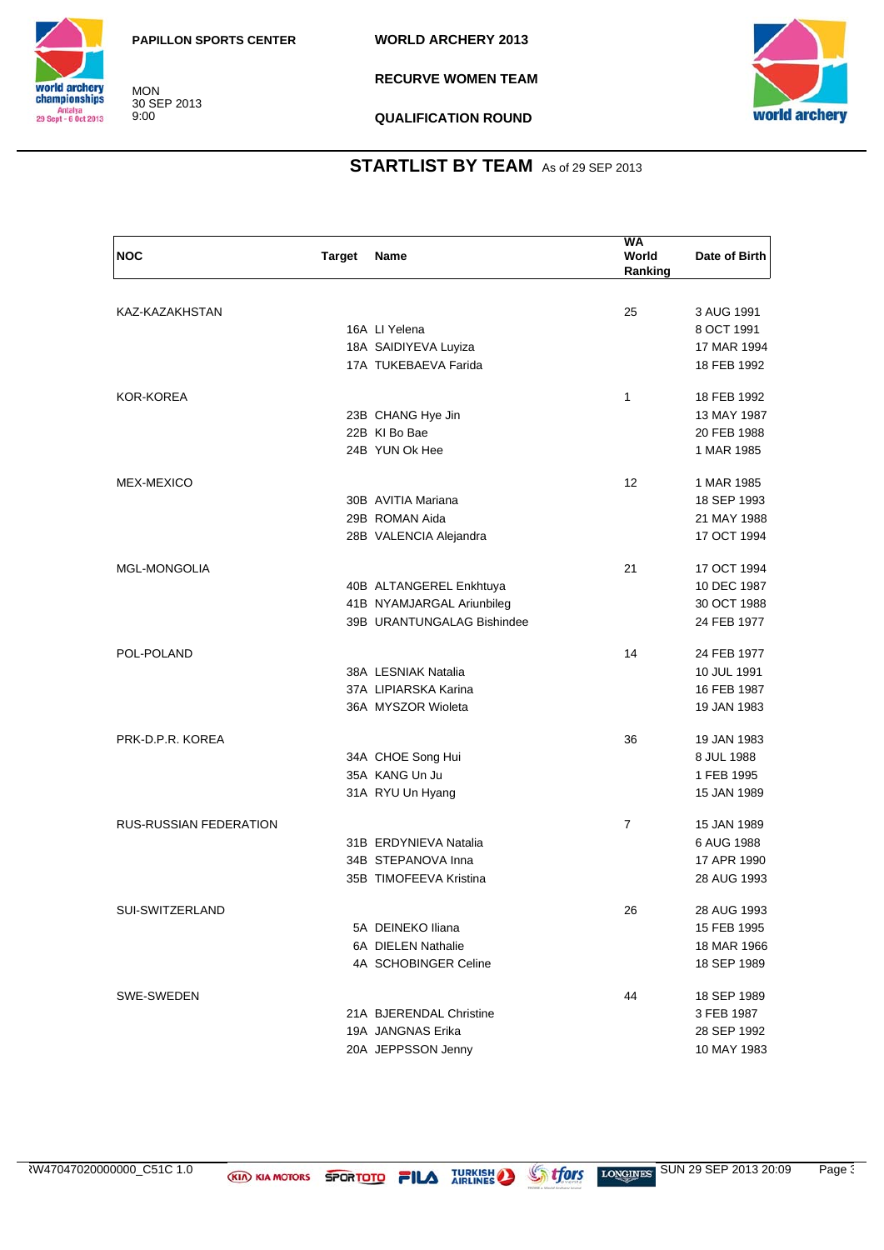

**RECURVE WOMEN TEAM**



**QUALIFICATION ROUND**

| <b>NOC</b>                    | <b>Target</b> | Name                       | <b>WA</b><br>World<br>Ranking | Date of Birth |
|-------------------------------|---------------|----------------------------|-------------------------------|---------------|
|                               |               |                            |                               |               |
| KAZ-KAZAKHSTAN                |               |                            | 25                            | 3 AUG 1991    |
|                               |               | 16A LI Yelena              |                               | 8 OCT 1991    |
|                               |               | 18A SAIDIYEVA Luyiza       |                               | 17 MAR 1994   |
|                               |               | 17A TUKEBAEVA Farida       |                               | 18 FEB 1992   |
| <b>KOR-KOREA</b>              |               |                            | 1                             | 18 FEB 1992   |
|                               |               | 23B CHANG Hye Jin          |                               | 13 MAY 1987   |
|                               |               | 22B KI Bo Bae              |                               | 20 FEB 1988   |
|                               |               | 24B YUN Ok Hee             |                               | 1 MAR 1985    |
| MEX-MEXICO                    |               |                            | 12                            | 1 MAR 1985    |
|                               |               | 30B AVITIA Mariana         |                               | 18 SEP 1993   |
|                               |               | 29B ROMAN Aida             |                               | 21 MAY 1988   |
|                               |               | 28B VALENCIA Alejandra     |                               | 17 OCT 1994   |
| <b>MGL-MONGOLIA</b>           |               |                            | 21                            | 17 OCT 1994   |
|                               |               | 40B ALTANGEREL Enkhtuya    |                               | 10 DEC 1987   |
|                               |               | 41B NYAMJARGAL Ariunbileg  |                               | 30 OCT 1988   |
|                               |               | 39B URANTUNGALAG Bishindee |                               | 24 FEB 1977   |
| POL-POLAND                    |               |                            | 14                            | 24 FEB 1977   |
|                               |               | 38A LESNIAK Natalia        |                               | 10 JUL 1991   |
|                               |               | 37A LIPIARSKA Karina       |                               | 16 FEB 1987   |
|                               |               | 36A MYSZOR Wioleta         |                               | 19 JAN 1983   |
| PRK-D.P.R. KOREA              |               |                            | 36                            | 19 JAN 1983   |
|                               |               | 34A CHOE Song Hui          |                               | 8 JUL 1988    |
|                               |               | 35A KANG Un Ju             |                               | 1 FEB 1995    |
|                               |               | 31A RYU Un Hyang           |                               | 15 JAN 1989   |
| <b>RUS-RUSSIAN FEDERATION</b> |               |                            | $\overline{7}$                | 15 JAN 1989   |
|                               |               | 31B ERDYNIEVA Natalia      |                               | 6 AUG 1988    |
|                               |               | 34B STEPANOVA Inna         |                               | 17 APR 1990   |
|                               |               | 35B TIMOFEEVA Kristina     |                               | 28 AUG 1993   |
| SUI-SWITZERLAND               |               |                            | 26                            | 28 AUG 1993   |
|                               |               | 5A DEINEKO Iliana          |                               | 15 FEB 1995   |
|                               |               | 6A DIELEN Nathalie         |                               | 18 MAR 1966   |
|                               |               | 4A SCHOBINGER Celine       |                               | 18 SEP 1989   |
| SWE-SWEDEN                    |               |                            | 44                            | 18 SEP 1989   |
|                               |               | 21A BJERENDAL Christine    |                               | 3 FEB 1987    |
|                               |               | 19A JANGNAS Erika          |                               | 28 SEP 1992   |
|                               |               | 20A JEPPSSON Jenny         |                               | 10 MAY 1983   |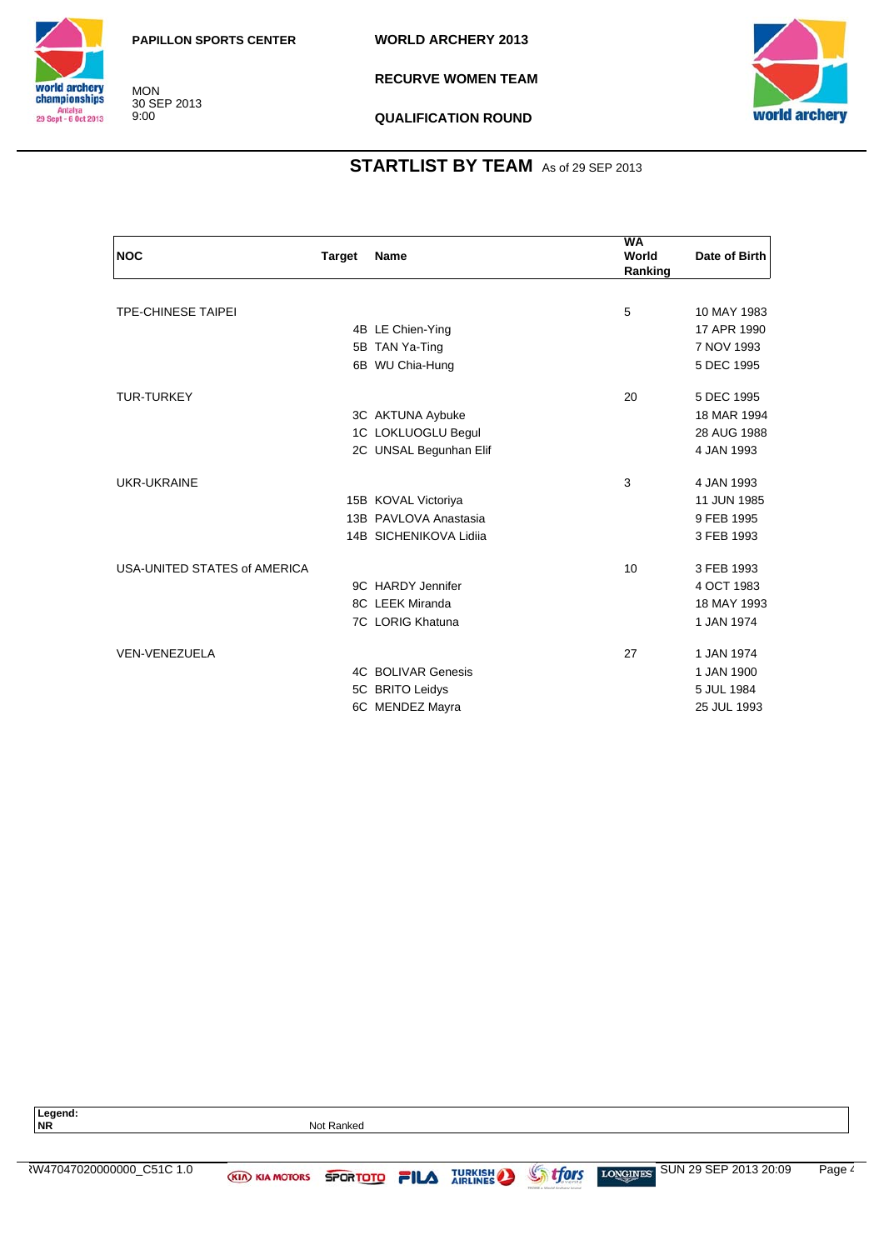

**RECURVE WOMEN TEAM**



#### **QUALIFICATION ROUND**

| <b>NOC</b>                   | <b>Target</b> | Name                      | WA<br>World<br>Ranking | Date of Birth |
|------------------------------|---------------|---------------------------|------------------------|---------------|
|                              |               |                           |                        |               |
| <b>TPE-CHINESE TAIPEI</b>    |               |                           | 5                      | 10 MAY 1983   |
|                              |               | 4B LE Chien-Ying          |                        | 17 APR 1990   |
|                              |               | 5B TAN Ya-Ting            |                        | 7 NOV 1993    |
|                              |               | 6B WU Chia-Hung           |                        | 5 DEC 1995    |
| <b>TUR-TURKEY</b>            |               |                           | 20                     | 5 DEC 1995    |
|                              |               | 3C AKTUNA Aybuke          |                        | 18 MAR 1994   |
|                              |               | 1C LOKLUOGLU Begul        |                        | 28 AUG 1988   |
|                              |               | 2C UNSAL Begunhan Elif    |                        | 4 JAN 1993    |
| UKR-UKRAINE                  |               |                           | 3                      | 4 JAN 1993    |
|                              |               | 15B KOVAL Victoriya       |                        | 11 JUN 1985   |
|                              |               | 13B PAVLOVA Anastasia     |                        | 9 FEB 1995    |
|                              |               | 14B SICHENIKOVA Lidija    |                        | 3 FEB 1993    |
| USA-UNITED STATES of AMERICA |               |                           | 10                     | 3 FEB 1993    |
|                              |               | 9C HARDY Jennifer         |                        | 4 OCT 1983    |
|                              |               | 8C LEEK Miranda           |                        | 18 MAY 1993   |
|                              |               | 7C LORIG Khatuna          |                        | 1 JAN 1974    |
| <b>VEN-VENEZUELA</b>         |               |                           | 27                     | 1 JAN 1974    |
|                              |               | <b>4C BOLIVAR Genesis</b> |                        | 1 JAN 1900    |
|                              |               | 5C BRITO Leidys           |                        | 5 JUL 1984    |
|                              |               | 6C MENDEZ Mayra           |                        | 25 JUL 1993   |

| Legend:<br><b>NR</b>      | Not Ranked            |               |  |                |                |                                |        |
|---------------------------|-----------------------|---------------|--|----------------|----------------|--------------------------------|--------|
|                           |                       |               |  |                |                |                                |        |
| ₹W47047020000000 C51C 1.0 | <b>KIA KIA MOTORS</b> | SPORTOTO FILA |  | <b>TURKISH</b> | <b>Strfors</b> | LONGINES SUN 29 SEP 2013 20:09 | Page 4 |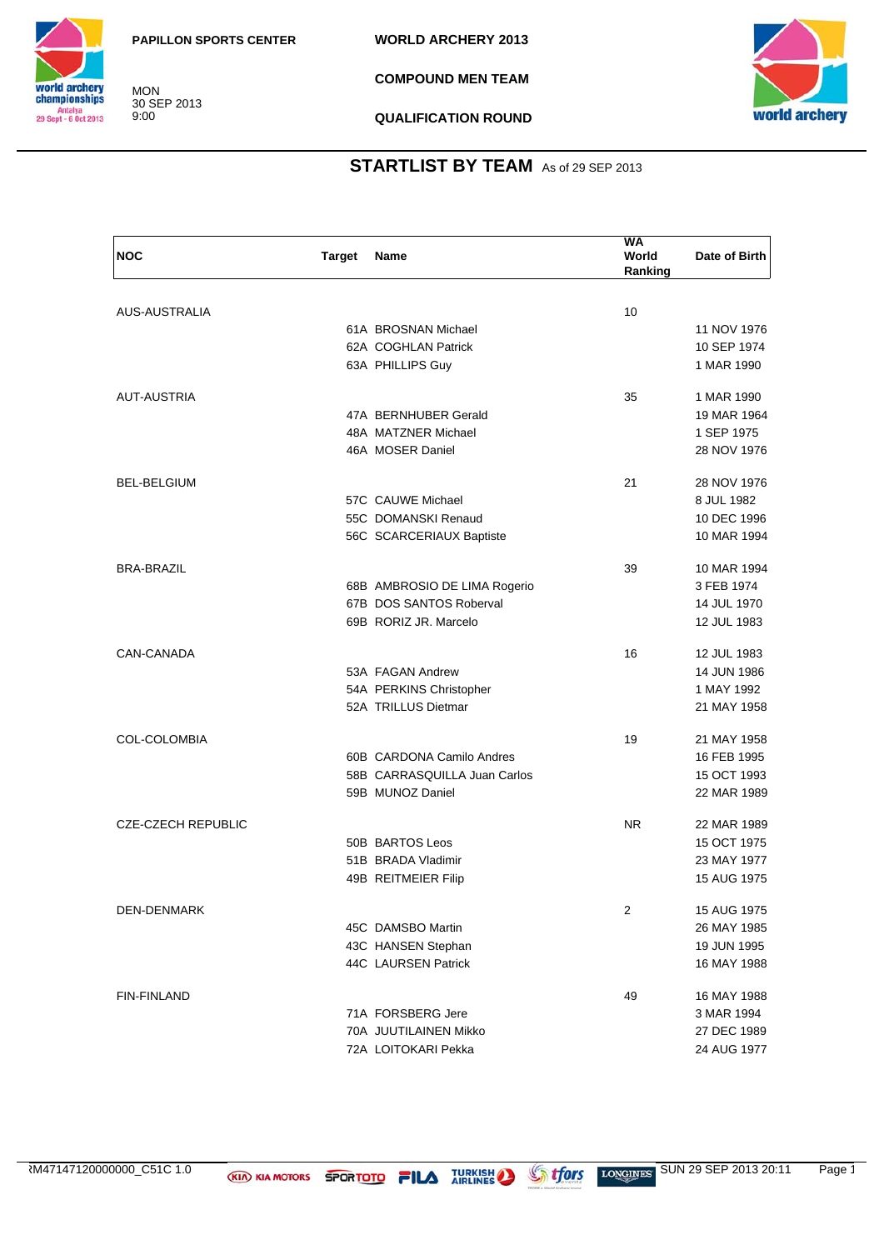

**COMPOUND MEN TEAM**



**QUALIFICATION ROUND**

### **STARTLIST BY TEAM** As of 29 SEP 2013

| <b>NOC</b>                | <b>Target</b> | Name                                      | <b>WA</b><br>World<br>Ranking | Date of Birth |
|---------------------------|---------------|-------------------------------------------|-------------------------------|---------------|
|                           |               |                                           |                               |               |
| AUS-AUSTRALIA             |               |                                           | 10                            |               |
|                           |               | 61A BROSNAN Michael                       |                               | 11 NOV 1976   |
|                           |               | 62A COGHLAN Patrick                       |                               | 10 SEP 1974   |
|                           |               | 63A PHILLIPS Guy                          |                               | 1 MAR 1990    |
| <b>AUT-AUSTRIA</b>        |               |                                           | 35                            | 1 MAR 1990    |
|                           |               | 47A BERNHUBER Gerald                      |                               | 19 MAR 1964   |
|                           |               | 48A MATZNER Michael                       |                               | 1 SEP 1975    |
|                           |               | 46A MOSER Daniel                          |                               | 28 NOV 1976   |
| <b>BEL-BELGIUM</b>        |               |                                           | 21                            | 28 NOV 1976   |
|                           |               | 57C CAUWE Michael                         |                               | 8 JUL 1982    |
|                           |               | 55C DOMANSKI Renaud                       |                               | 10 DEC 1996   |
|                           |               | 56C SCARCERIAUX Baptiste                  |                               | 10 MAR 1994   |
| <b>BRA-BRAZIL</b>         |               |                                           | 39                            | 10 MAR 1994   |
|                           |               | 68B AMBROSIO DE LIMA Rogerio              |                               | 3 FEB 1974    |
|                           |               | 67B DOS SANTOS Roberval                   |                               | 14 JUL 1970   |
|                           |               | 69B RORIZ JR. Marcelo                     |                               | 12 JUL 1983   |
| CAN-CANADA                |               |                                           | 16                            | 12 JUL 1983   |
|                           |               | 53A FAGAN Andrew                          |                               | 14 JUN 1986   |
|                           |               | 54A PERKINS Christopher                   |                               | 1 MAY 1992    |
|                           |               | 52A TRILLUS Dietmar                       |                               | 21 MAY 1958   |
| <b>COL-COLOMBIA</b>       |               |                                           | 19                            | 21 MAY 1958   |
|                           |               | 60B CARDONA Camilo Andres                 |                               | 16 FEB 1995   |
|                           |               | 58B CARRASQUILLA Juan Carlos              |                               | 15 OCT 1993   |
|                           |               | 59B MUNOZ Daniel                          |                               | 22 MAR 1989   |
| <b>CZE-CZECH REPUBLIC</b> |               |                                           | N <sub>R</sub>                | 22 MAR 1989   |
|                           |               | 50B BARTOS Leos                           |                               | 15 OCT 1975   |
|                           |               | 51B BRADA Vladimir                        |                               | 23 MAY 1977   |
|                           |               | 49B REITMEIER Filip                       |                               | 15 AUG 1975   |
|                           |               |                                           |                               |               |
| DEN-DENMARK               |               |                                           | 2                             | 15 AUG 1975   |
|                           |               | 45C DAMSBO Martin                         |                               | 26 MAY 1985   |
|                           |               | 43C HANSEN Stephan<br>44C LAURSEN Patrick |                               | 19 JUN 1995   |
|                           |               |                                           |                               | 16 MAY 1988   |
| <b>FIN-FINLAND</b>        |               |                                           | 49                            | 16 MAY 1988   |
|                           |               | 71A FORSBERG Jere                         |                               | 3 MAR 1994    |
|                           |               | 70A JUUTILAINEN Mikko                     |                               | 27 DEC 1989   |
|                           |               | 72A LOITOKARI Pekka                       |                               | 24 AUG 1977   |

TURKISH SUN 29 SEP 2013 20:11 Page 1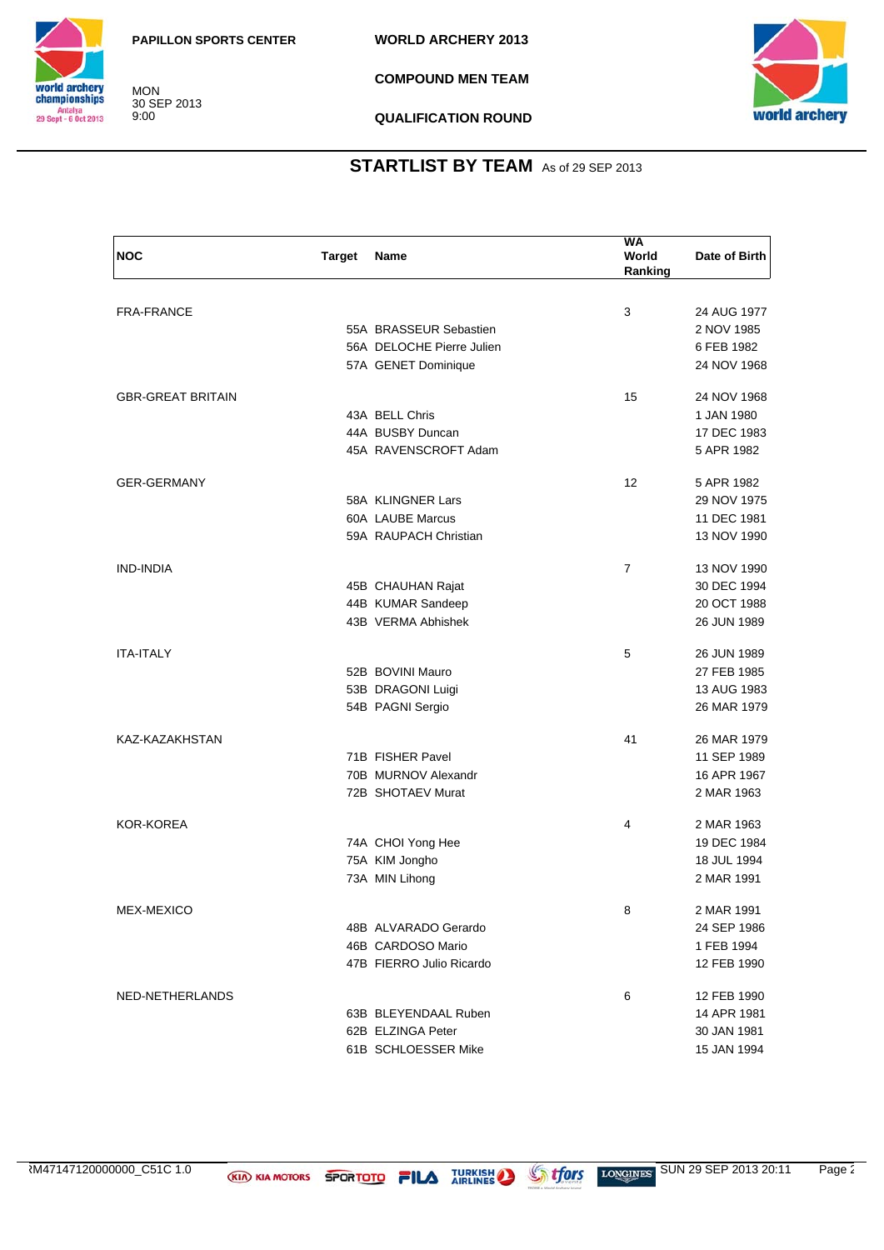

**COMPOUND MEN TEAM**



**QUALIFICATION ROUND**

| <b>NOC</b>               | <b>Target</b> | Name                      | <b>WA</b><br>World<br>Ranking | Date of Birth |
|--------------------------|---------------|---------------------------|-------------------------------|---------------|
|                          |               |                           |                               |               |
| <b>FRA-FRANCE</b>        |               |                           | 3                             | 24 AUG 1977   |
|                          |               | 55A BRASSEUR Sebastien    |                               | 2 NOV 1985    |
|                          |               | 56A DELOCHE Pierre Julien |                               | 6 FEB 1982    |
|                          |               | 57A GENET Dominique       |                               | 24 NOV 1968   |
| <b>GBR-GREAT BRITAIN</b> |               |                           | 15                            | 24 NOV 1968   |
|                          |               | 43A BELL Chris            |                               | 1 JAN 1980    |
|                          |               | 44A BUSBY Duncan          |                               | 17 DEC 1983   |
|                          |               | 45A RAVENSCROFT Adam      |                               | 5 APR 1982    |
| <b>GER-GERMANY</b>       |               |                           | 12                            | 5 APR 1982    |
|                          |               | 58A KLINGNER Lars         |                               | 29 NOV 1975   |
|                          |               | 60A LAUBE Marcus          |                               | 11 DEC 1981   |
|                          |               | 59A RAUPACH Christian     |                               | 13 NOV 1990   |
| <b>IND-INDIA</b>         |               |                           | $\overline{7}$                | 13 NOV 1990   |
|                          |               | 45B CHAUHAN Rajat         |                               | 30 DEC 1994   |
|                          |               | 44B KUMAR Sandeep         |                               | 20 OCT 1988   |
|                          |               | 43B VERMA Abhishek        |                               | 26 JUN 1989   |
| <b>ITA-ITALY</b>         |               |                           | 5                             | 26 JUN 1989   |
|                          |               | 52B BOVINI Mauro          |                               | 27 FEB 1985   |
|                          |               | 53B DRAGONI Luigi         |                               | 13 AUG 1983   |
|                          |               | 54B PAGNI Sergio          |                               | 26 MAR 1979   |
| KAZ-KAZAKHSTAN           |               |                           | 41                            | 26 MAR 1979   |
|                          |               | 71B FISHER Pavel          |                               | 11 SEP 1989   |
|                          |               | 70B MURNOV Alexandr       |                               | 16 APR 1967   |
|                          |               | 72B SHOTAEV Murat         |                               | 2 MAR 1963    |
| <b>KOR-KOREA</b>         |               |                           | 4                             | 2 MAR 1963    |
|                          |               | 74A CHOI Yong Hee         |                               | 19 DEC 1984   |
|                          |               | 75A KIM Jongho            |                               | 18 JUL 1994   |
|                          |               | 73A MIN Lihong            |                               | 2 MAR 1991    |
| MEX-MEXICO               |               |                           | 8                             | 2 MAR 1991    |
|                          |               | 48B ALVARADO Gerardo      |                               | 24 SEP 1986   |
|                          |               | 46B CARDOSO Mario         |                               | 1 FEB 1994    |
|                          |               | 47B FIERRO Julio Ricardo  |                               | 12 FEB 1990   |
| NED-NETHERLANDS          |               |                           | 6                             | 12 FEB 1990   |
|                          |               | 63B BLEYENDAAL Ruben      |                               | 14 APR 1981   |
|                          |               | 62B ELZINGA Peter         |                               | 30 JAN 1981   |
|                          |               | 61B SCHLOESSER Mike       |                               | 15 JAN 1994   |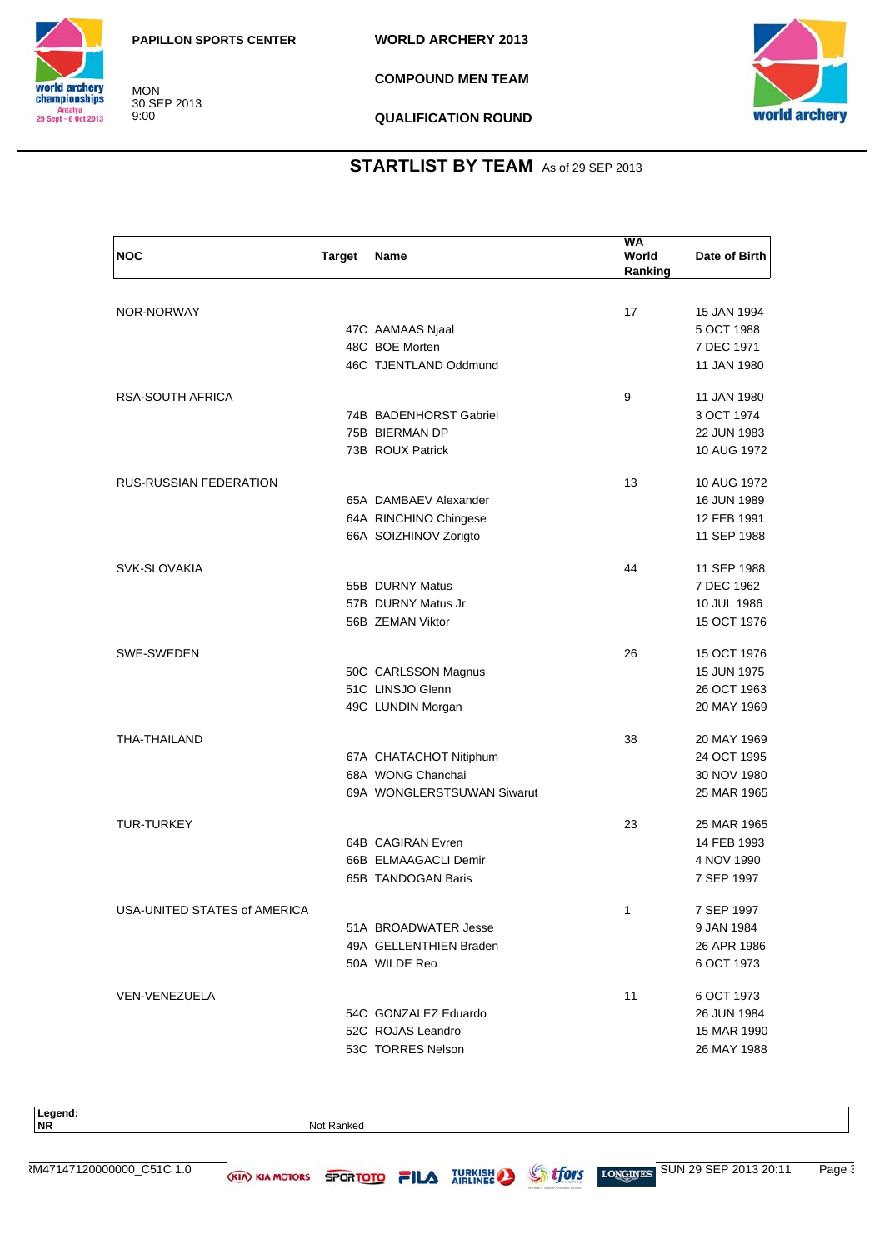

**COMPOUND MEN TEAM**



**QUALIFICATION ROUND**

## **STARTLIST BY TEAM** As of 29 SEP 2013

| <b>NOC</b>                   | <b>Target</b> | Name                       | <b>WA</b><br>World<br>Ranking | Date of Birth |
|------------------------------|---------------|----------------------------|-------------------------------|---------------|
|                              |               |                            |                               |               |
| NOR-NORWAY                   |               |                            | 17                            | 15 JAN 1994   |
|                              |               | 47C AAMAAS Njaal           |                               | 5 OCT 1988    |
|                              |               | 48C BOE Morten             |                               | 7 DEC 1971    |
|                              |               | 46C TJENTLAND Oddmund      |                               | 11 JAN 1980   |
| RSA-SOUTH AFRICA             |               |                            | 9                             | 11 JAN 1980   |
|                              |               | 74B BADENHORST Gabriel     |                               | 3 OCT 1974    |
|                              |               | 75B BIERMAN DP             |                               | 22 JUN 1983   |
|                              |               | 73B ROUX Patrick           |                               | 10 AUG 1972   |
| RUS-RUSSIAN FEDERATION       |               |                            | 13                            | 10 AUG 1972   |
|                              |               | 65A DAMBAEV Alexander      |                               | 16 JUN 1989   |
|                              |               | 64A RINCHINO Chingese      |                               | 12 FEB 1991   |
|                              |               | 66A SOIZHINOV Zorigto      |                               | 11 SEP 1988   |
| SVK-SLOVAKIA                 |               |                            | 44                            | 11 SEP 1988   |
|                              |               | 55B DURNY Matus            |                               | 7 DEC 1962    |
|                              |               | 57B DURNY Matus Jr.        |                               | 10 JUL 1986   |
|                              |               | 56B ZEMAN Viktor           |                               | 15 OCT 1976   |
| SWE-SWEDEN                   |               |                            | 26                            | 15 OCT 1976   |
|                              |               | 50C CARLSSON Magnus        |                               | 15 JUN 1975   |
|                              |               | 51C LINSJO Glenn           |                               | 26 OCT 1963   |
|                              |               | 49C LUNDIN Morgan          |                               | 20 MAY 1969   |
| THA-THAILAND                 |               |                            | 38                            | 20 MAY 1969   |
|                              |               | 67A CHATACHOT Nitiphum     |                               | 24 OCT 1995   |
|                              |               | 68A WONG Chanchai          |                               | 30 NOV 1980   |
|                              |               | 69A WONGLERSTSUWAN Siwarut |                               | 25 MAR 1965   |
| TUR-TURKEY                   |               |                            | 23                            | 25 MAR 1965   |
|                              |               | 64B CAGIRAN Evren          |                               | 14 FEB 1993   |
|                              |               | 66B ELMAAGACLI Demir       |                               | 4 NOV 1990    |
|                              |               | 65B TANDOGAN Baris         |                               | 7 SEP 1997    |
| USA-UNITED STATES of AMERICA |               |                            | 1                             | 7 SEP 1997    |
|                              |               | 51A BROADWATER Jesse       |                               | 9 JAN 1984    |
|                              |               | 49A GELLENTHIEN Braden     |                               | 26 APR 1986   |
|                              |               | 50A WILDE Reo              |                               | 6 OCT 1973    |
| VEN-VENEZUELA                |               |                            | 11                            | 6 OCT 1973    |
|                              |               | 54C GONZALEZ Eduardo       |                               | 26 JUN 1984   |
|                              |               | 52C ROJAS Leandro          |                               | 15 MAR 1990   |
|                              |               | 53C TORRES Nelson          |                               | 26 MAY 1988   |

Legend:<br>NR

**Not Ranked**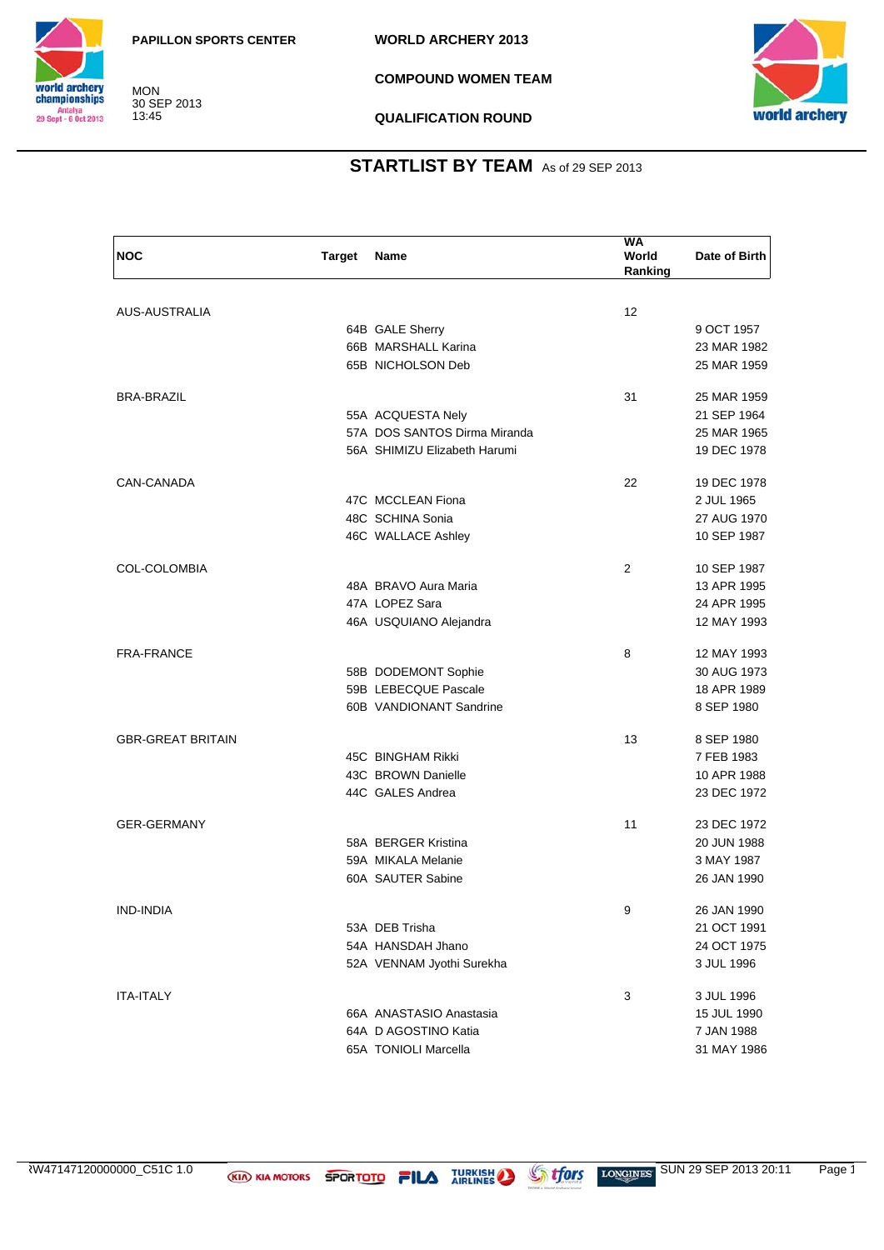

**COMPOUND WOMEN TEAM**



**QUALIFICATION ROUND**

## **STARTLIST BY TEAM** As of 29 SEP 2013

| <b>NOC</b>               | <b>Target</b> | Name                                   | WA<br>World<br>Ranking | Date of Birth |
|--------------------------|---------------|----------------------------------------|------------------------|---------------|
|                          |               |                                        |                        |               |
| AUS-AUSTRALIA            |               |                                        | 12                     | 9 OCT 1957    |
|                          |               | 64B GALE Sherry<br>66B MARSHALL Karina |                        | 23 MAR 1982   |
|                          |               | 65B NICHOLSON Deb                      |                        | 25 MAR 1959   |
|                          |               |                                        |                        |               |
| <b>BRA-BRAZIL</b>        |               |                                        | 31                     | 25 MAR 1959   |
|                          |               | 55A ACQUESTA Nely                      |                        | 21 SEP 1964   |
|                          |               | 57A DOS SANTOS Dirma Miranda           |                        | 25 MAR 1965   |
|                          |               | 56A SHIMIZU Elizabeth Harumi           |                        | 19 DEC 1978   |
| CAN-CANADA               |               |                                        | 22                     | 19 DEC 1978   |
|                          |               | 47C MCCLEAN Fiona                      |                        | 2 JUL 1965    |
|                          |               | 48C SCHINA Sonia                       |                        | 27 AUG 1970   |
|                          |               | 46C WALLACE Ashley                     |                        | 10 SEP 1987   |
| COL-COLOMBIA             |               |                                        | 2                      | 10 SEP 1987   |
|                          |               | 48A BRAVO Aura Maria                   |                        | 13 APR 1995   |
|                          |               | 47A LOPEZ Sara                         |                        | 24 APR 1995   |
|                          |               | 46A USQUIANO Alejandra                 |                        | 12 MAY 1993   |
| <b>FRA-FRANCE</b>        |               |                                        | 8                      | 12 MAY 1993   |
|                          |               | 58B DODEMONT Sophie                    |                        | 30 AUG 1973   |
|                          |               | 59B LEBECQUE Pascale                   |                        | 18 APR 1989   |
|                          |               | 60B VANDIONANT Sandrine                |                        | 8 SEP 1980    |
| <b>GBR-GREAT BRITAIN</b> |               |                                        | 13                     | 8 SEP 1980    |
|                          |               | 45C BINGHAM Rikki                      |                        | 7 FEB 1983    |
|                          |               | 43C BROWN Danielle                     |                        | 10 APR 1988   |
|                          |               | 44C GALES Andrea                       |                        | 23 DEC 1972   |
| <b>GER-GERMANY</b>       |               |                                        | 11                     | 23 DEC 1972   |
|                          |               | 58A BERGER Kristina                    |                        | 20 JUN 1988   |
|                          |               | 59A MIKALA Melanie                     |                        | 3 MAY 1987    |
|                          |               | 60A SAUTER Sabine                      |                        | 26 JAN 1990   |
| IND-INDIA                |               |                                        | 9                      | 26 JAN 1990   |
|                          |               | 53A DEB Trisha                         |                        | 21 OCT 1991   |
|                          |               | 54A HANSDAH Jhano                      |                        | 24 OCT 1975   |
|                          |               | 52A VENNAM Jyothi Surekha              |                        | 3 JUL 1996    |
|                          |               |                                        |                        |               |
| <b>ITA-ITALY</b>         |               |                                        | 3                      | 3 JUL 1996    |
|                          |               | 66A ANASTASIO Anastasia                |                        | 15 JUL 1990   |
|                          |               | 64A D AGOSTINO Katia                   |                        | 7 JAN 1988    |
|                          |               | 65A TONIOLI Marcella                   |                        | 31 MAY 1986   |

RW47147120000000\_C51C 1.0 **KIA KIA MOTORS SPORTOTO FILA** TURKISH SUN 29 SEP 2013 20:11 Page 1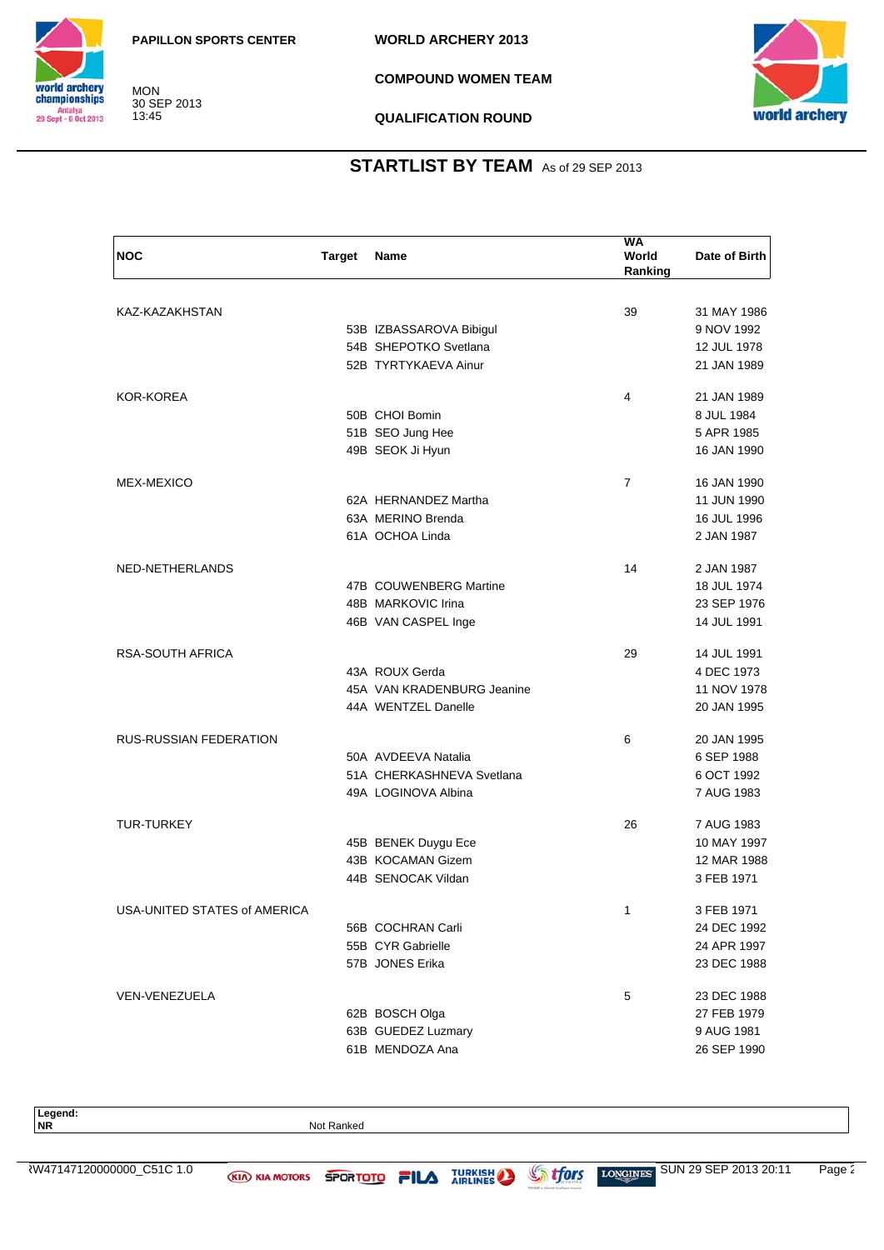

**COMPOUND WOMEN TEAM**



**QUALIFICATION ROUND**

## **STARTLIST BY TEAM** As of 29 SEP 2013

| <b>NOC</b>                    | <b>Target</b> | <b>Name</b>                | <b>WA</b><br>World<br>Ranking | Date of Birth |
|-------------------------------|---------------|----------------------------|-------------------------------|---------------|
|                               |               |                            |                               |               |
| KAZ-KAZAKHSTAN                |               |                            | 39                            | 31 MAY 1986   |
|                               |               | 53B IZBASSAROVA Bibigul    |                               | 9 NOV 1992    |
|                               |               | 54B SHEPOTKO Svetlana      |                               | 12 JUL 1978   |
|                               |               | 52B TYRTYKAEVA Ainur       |                               | 21 JAN 1989   |
| KOR-KOREA                     |               |                            | 4                             | 21 JAN 1989   |
|                               |               | 50B CHOI Bomin             |                               | 8 JUL 1984    |
|                               |               | 51B SEO Jung Hee           |                               | 5 APR 1985    |
|                               |               | 49B SEOK Ji Hyun           |                               | 16 JAN 1990   |
| <b>MEX-MEXICO</b>             |               |                            | $\overline{7}$                | 16 JAN 1990   |
|                               |               | 62A HERNANDEZ Martha       |                               | 11 JUN 1990   |
|                               |               | 63A MERINO Brenda          |                               | 16 JUL 1996   |
|                               |               | 61A OCHOA Linda            |                               | 2 JAN 1987    |
| NED-NETHERLANDS               |               |                            | 14                            | 2 JAN 1987    |
|                               |               | 47B COUWENBERG Martine     |                               | 18 JUL 1974   |
|                               |               | 48B MARKOVIC Irina         |                               | 23 SEP 1976   |
|                               |               | 46B VAN CASPEL Inge        |                               | 14 JUL 1991   |
| RSA-SOUTH AFRICA              |               |                            | 29                            | 14 JUL 1991   |
|                               |               | 43A ROUX Gerda             |                               | 4 DEC 1973    |
|                               |               | 45A VAN KRADENBURG Jeanine |                               | 11 NOV 1978   |
|                               |               | 44A WENTZEL Danelle        |                               | 20 JAN 1995   |
| <b>RUS-RUSSIAN FEDERATION</b> |               |                            | 6                             | 20 JAN 1995   |
|                               |               | 50A AVDEEVA Natalia        |                               | 6 SEP 1988    |
|                               |               | 51A CHERKASHNEVA Svetlana  |                               | 6 OCT 1992    |
|                               |               | 49A LOGINOVA Albina        |                               | 7 AUG 1983    |
| <b>TUR-TURKEY</b>             |               |                            | 26                            | 7 AUG 1983    |
|                               |               | 45B BENEK Duygu Ece        |                               | 10 MAY 1997   |
|                               |               | 43B KOCAMAN Gizem          |                               | 12 MAR 1988   |
|                               |               | 44B SENOCAK Vildan         |                               | 3 FEB 1971    |
| USA-UNITED STATES of AMERICA  |               |                            | 1                             | 3 FEB 1971    |
|                               |               | 56B COCHRAN Carli          |                               | 24 DEC 1992   |
|                               |               | 55B CYR Gabrielle          |                               | 24 APR 1997   |
|                               |               | 57B JONES Erika            |                               | 23 DEC 1988   |
| VEN-VENEZUELA                 |               |                            | 5                             | 23 DEC 1988   |
|                               |               | 62B BOSCH Olga             |                               | 27 FEB 1979   |
|                               |               | 63B GUEDEZ Luzmary         |                               | 9 AUG 1981    |
|                               |               | 61B MENDOZA Ana            |                               | 26 SEP 1990   |

Legend:<br>NR

**Not Ranked**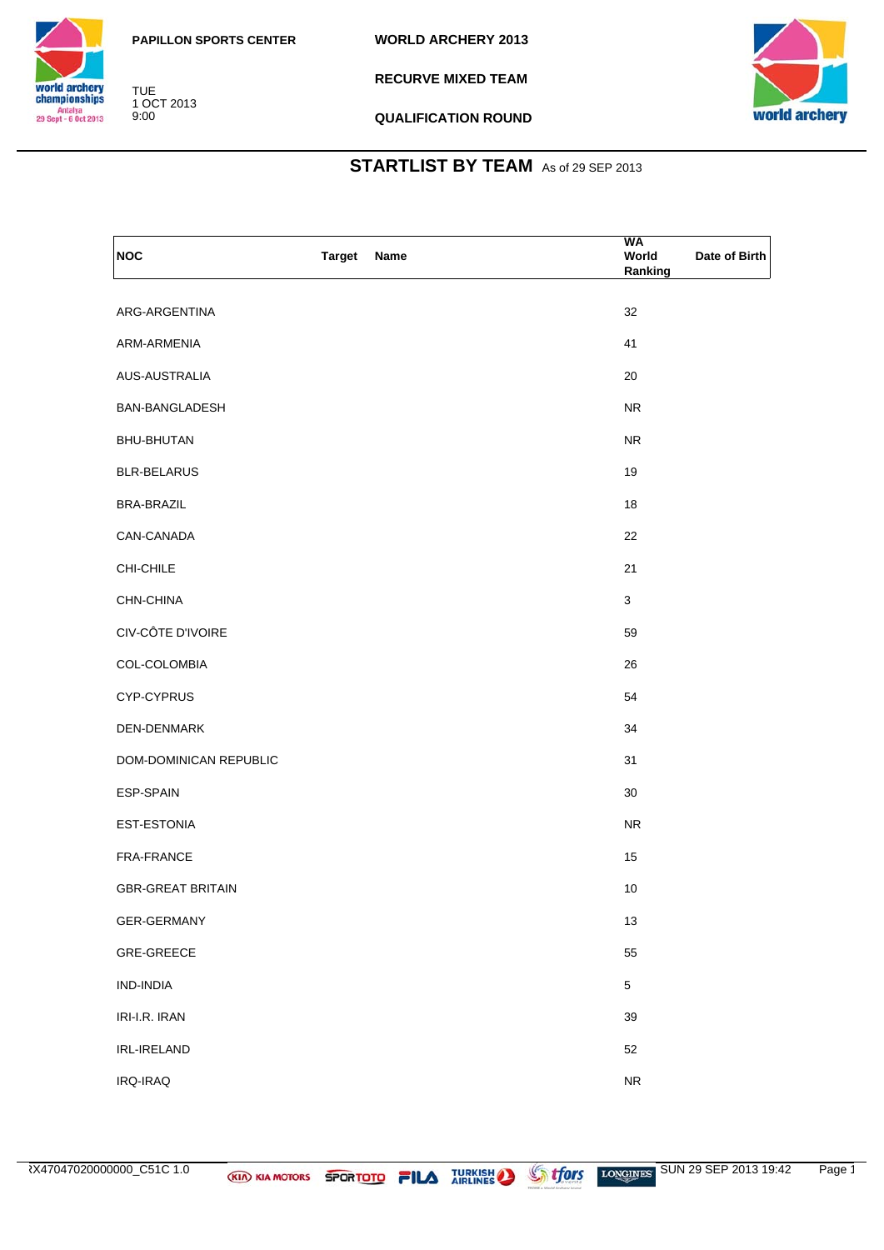

TUE 1 OCT 2013 9:00

**RECURVE MIXED TEAM**



**QUALIFICATION ROUND**

| <b>NOC</b>               | <b>Target</b><br>Name | WA<br>World<br>Date of Birth<br>Ranking |
|--------------------------|-----------------------|-----------------------------------------|
| ARG-ARGENTINA            |                       | 32                                      |
| ARM-ARMENIA              |                       | 41                                      |
| AUS-AUSTRALIA            |                       | 20                                      |
| BAN-BANGLADESH           |                       | <b>NR</b>                               |
| <b>BHU-BHUTAN</b>        |                       | <b>NR</b>                               |
| <b>BLR-BELARUS</b>       |                       | 19                                      |
| <b>BRA-BRAZIL</b>        |                       | 18                                      |
| CAN-CANADA               |                       | 22                                      |
| CHI-CHILE                |                       | 21                                      |
| CHN-CHINA                |                       | $\mathbf{3}$                            |
| CIV-CÔTE D'IVOIRE        |                       | 59                                      |
| COL-COLOMBIA             |                       | 26                                      |
| CYP-CYPRUS               |                       | 54                                      |
| DEN-DENMARK              |                       | 34                                      |
| DOM-DOMINICAN REPUBLIC   |                       | 31                                      |
| ESP-SPAIN                |                       | 30                                      |
| EST-ESTONIA              |                       | <b>NR</b>                               |
| FRA-FRANCE               |                       | 15                                      |
| <b>GBR-GREAT BRITAIN</b> |                       | 10                                      |
| GER-GERMANY              |                       | 13                                      |
| GRE-GREECE               |                       | 55                                      |
| IND-INDIA                |                       | $\overline{5}$                          |
| IRI-I.R. IRAN            |                       | 39                                      |
| IRL-IRELAND              |                       | 52                                      |
| IRQ-IRAQ                 |                       | ${\sf NR}$                              |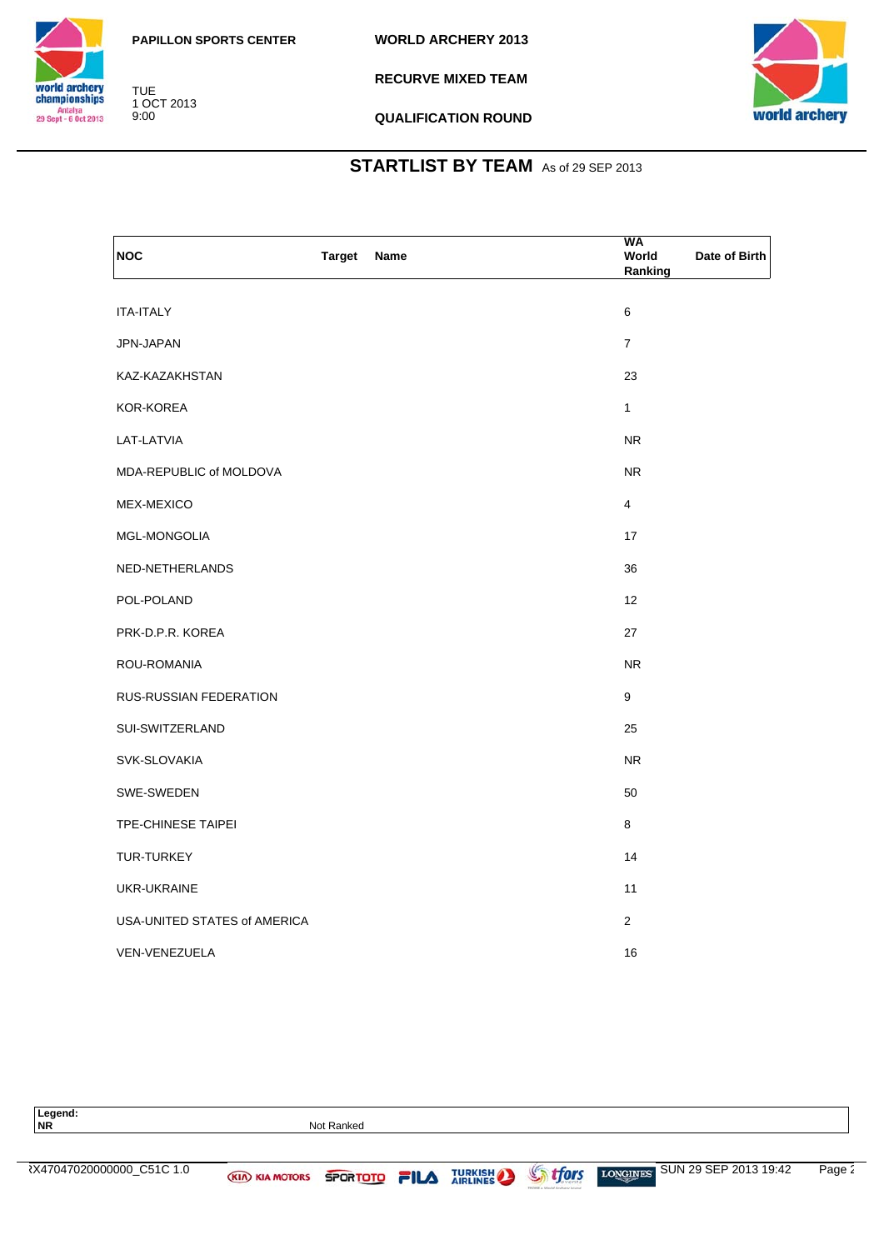

TUE 1 OCT 2013 9:00

**RECURVE MIXED TEAM**



**QUALIFICATION ROUND**

| <b>NOC</b>                    | <b>Target</b> | Name | WA<br>World<br>Ranking   | Date of Birth |
|-------------------------------|---------------|------|--------------------------|---------------|
| ITA-ITALY                     |               |      | 6                        |               |
| JPN-JAPAN                     |               |      | $\overline{\mathcal{I}}$ |               |
| KAZ-KAZAKHSTAN                |               |      | 23                       |               |
| KOR-KOREA                     |               |      | $\mathbf{1}$             |               |
| LAT-LATVIA                    |               |      | ${\sf NR}$               |               |
| MDA-REPUBLIC of MOLDOVA       |               |      | <b>NR</b>                |               |
| MEX-MEXICO                    |               |      | $\overline{4}$           |               |
| MGL-MONGOLIA                  |               |      | 17                       |               |
| NED-NETHERLANDS               |               |      | 36                       |               |
| POL-POLAND                    |               |      | 12                       |               |
| PRK-D.P.R. KOREA              |               |      | 27                       |               |
| ROU-ROMANIA                   |               |      | ${\sf NR}$               |               |
| <b>RUS-RUSSIAN FEDERATION</b> |               |      | $\boldsymbol{9}$         |               |
| SUI-SWITZERLAND               |               |      | 25                       |               |
| SVK-SLOVAKIA                  |               |      | <b>NR</b>                |               |
| SWE-SWEDEN                    |               |      | 50                       |               |
| TPE-CHINESE TAIPEI            |               |      | 8                        |               |
| TUR-TURKEY                    |               |      | 14                       |               |
| UKR-UKRAINE                   |               |      | 11                       |               |
| USA-UNITED STATES of AMERICA  |               |      | $\overline{2}$           |               |
| VEN-VENEZUELA                 |               |      | 16                       |               |

| Legend:<br><b>NR</b>      |                  | Not Ranked |       |                |       |                                          |        |
|---------------------------|------------------|------------|-------|----------------|-------|------------------------------------------|--------|
|                           |                  |            |       |                |       |                                          |        |
| ₹X47047020000000_C51C 1.0 | (KIA) KIA MOTORS | SPORTOTO   | 2II А | <b>TURKISH</b> | tfors | SUN 29 SEP 2013 19:42<br><b>LONGINES</b> | Page 2 |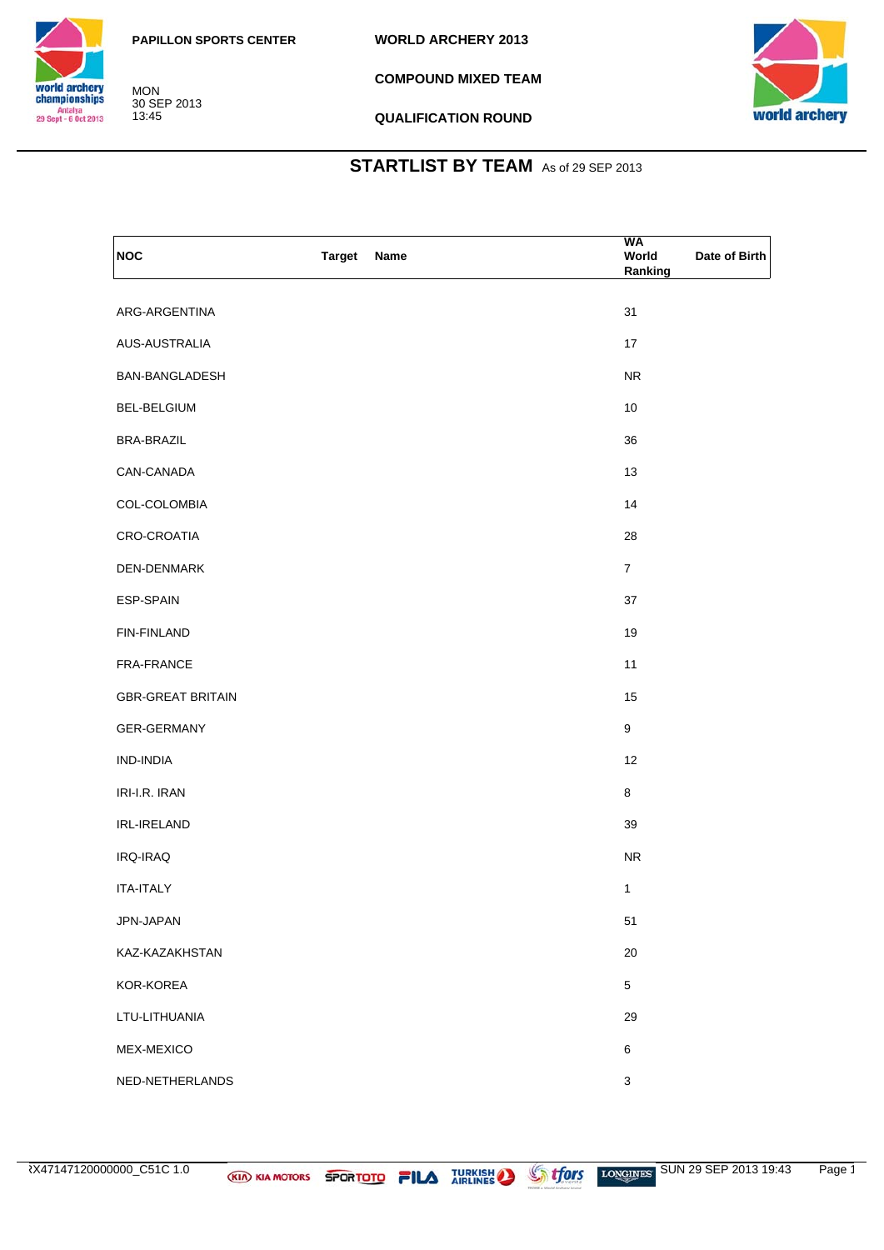

**COMPOUND MIXED TEAM**



**QUALIFICATION ROUND**

| NOC                      | <b>Target</b><br>Name | WA<br>World<br>Date of Birth<br>Ranking |
|--------------------------|-----------------------|-----------------------------------------|
| ARG-ARGENTINA            |                       | 31                                      |
| AUS-AUSTRALIA            |                       | 17                                      |
| BAN-BANGLADESH           |                       | <b>NR</b>                               |
| BEL-BELGIUM              |                       | 10                                      |
| <b>BRA-BRAZIL</b>        |                       | 36                                      |
| CAN-CANADA               |                       | 13                                      |
| COL-COLOMBIA             |                       | 14                                      |
| CRO-CROATIA              |                       | 28                                      |
| DEN-DENMARK              |                       | $\overline{7}$                          |
| ESP-SPAIN                |                       | 37                                      |
| FIN-FINLAND              |                       | 19                                      |
| FRA-FRANCE               |                       | 11                                      |
| <b>GBR-GREAT BRITAIN</b> |                       | 15                                      |
| GER-GERMANY              |                       | 9                                       |
| IND-INDIA                |                       | 12                                      |
| IRI-I.R. IRAN            |                       | 8                                       |
| IRL-IRELAND              |                       | 39                                      |
| IRQ-IRAQ                 |                       | <b>NR</b>                               |
| <b>ITA-ITALY</b>         |                       | $\mathbf{1}$                            |
| JPN-JAPAN                |                       | 51                                      |
| KAZ-KAZAKHSTAN           |                       | $20\,$                                  |
| KOR-KOREA                |                       | 5                                       |
| LTU-LITHUANIA            |                       | 29                                      |
| MEX-MEXICO               |                       | 6                                       |
| NED-NETHERLANDS          |                       | $\mathbf{3}$                            |